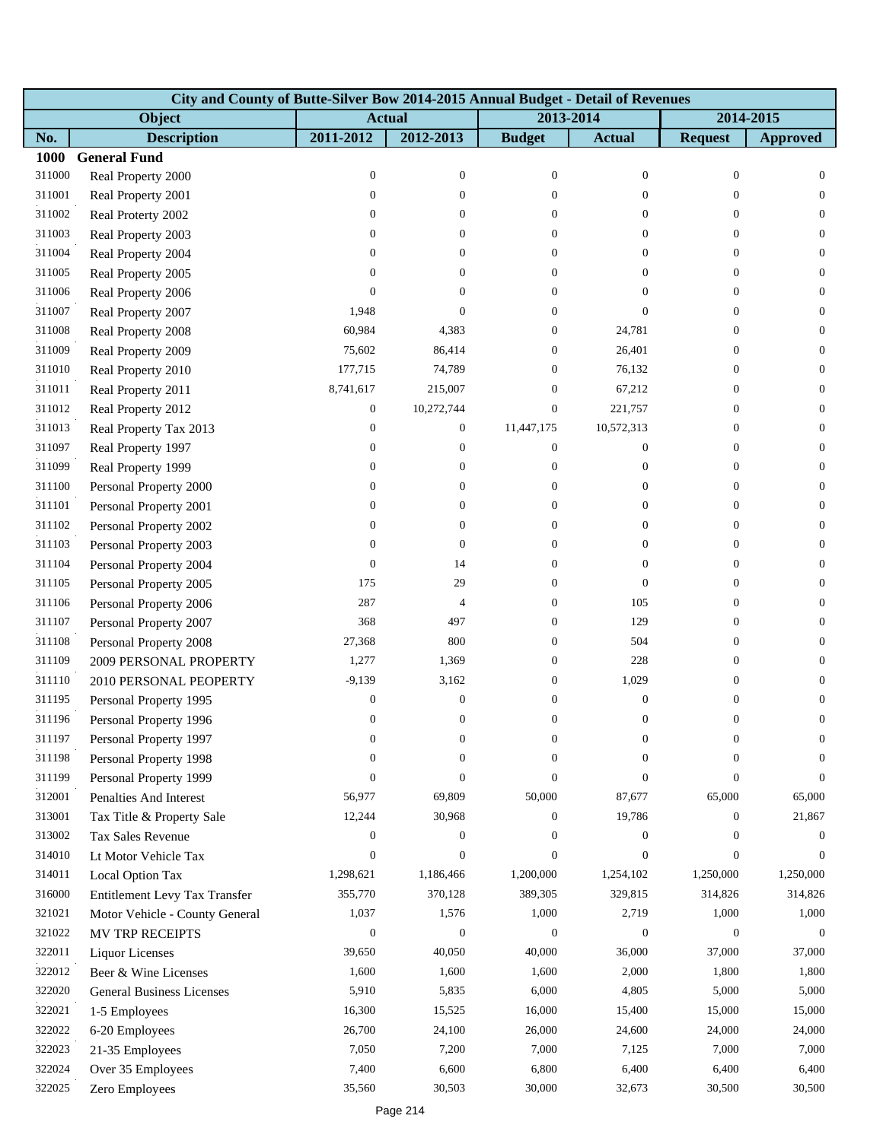|        | City and County of Butte-Silver Bow 2014-2015 Annual Budget - Detail of Revenues |                  |                  |                  |                  |                  |                  |  |  |  |
|--------|----------------------------------------------------------------------------------|------------------|------------------|------------------|------------------|------------------|------------------|--|--|--|
|        | Object                                                                           | <b>Actual</b>    |                  | 2013-2014        |                  | 2014-2015        |                  |  |  |  |
| No.    | <b>Description</b>                                                               | 2011-2012        | 2012-2013        | <b>Budget</b>    | <b>Actual</b>    | <b>Request</b>   | <b>Approved</b>  |  |  |  |
| 1000   | <b>General Fund</b>                                                              |                  |                  |                  |                  |                  |                  |  |  |  |
| 311000 | Real Property 2000                                                               | $\boldsymbol{0}$ | $\boldsymbol{0}$ | $\boldsymbol{0}$ | $\mathbf{0}$     | $\boldsymbol{0}$ | $\mathbf{0}$     |  |  |  |
| 311001 | Real Property 2001                                                               | $\boldsymbol{0}$ | $\overline{0}$   | $\Omega$         | $\mathbf{0}$     | $\Omega$         | $\theta$         |  |  |  |
| 311002 | Real Proterty 2002                                                               | $\boldsymbol{0}$ | $\overline{0}$   | $\overline{0}$   | $\theta$         | $\Omega$         | $\theta$         |  |  |  |
| 311003 | Real Property 2003                                                               | $\boldsymbol{0}$ | $\overline{0}$   | $\overline{0}$   | $\mathbf{0}$     | $\Omega$         | $\overline{0}$   |  |  |  |
| 311004 | Real Property 2004                                                               | $\boldsymbol{0}$ | $\overline{0}$   | $\overline{0}$   | $\theta$         | $\overline{0}$   | $\mathbf{0}$     |  |  |  |
| 311005 | Real Property 2005                                                               | $\Omega$         | 0                | $\Omega$         | $\mathbf{0}$     | $\Omega$         | $\mathbf{0}$     |  |  |  |
| 311006 | Real Property 2006                                                               | $\theta$         | $\Omega$         | $\overline{0}$   | $\mathbf{0}$     | $\Omega$         | $\mathbf{0}$     |  |  |  |
| 311007 | Real Property 2007                                                               | 1,948            | $\theta$         | 0                | $\Omega$         | $\mathbf{0}$     | $\theta$         |  |  |  |
| 311008 | Real Property 2008                                                               | 60,984           | 4,383            | 0                | 24,781           | $\overline{0}$   | $\mathbf{0}$     |  |  |  |
| 311009 | Real Property 2009                                                               | 75,602           | 86,414           | $\overline{0}$   | 26,401           | $\overline{0}$   | $\theta$         |  |  |  |
| 311010 | Real Property 2010                                                               | 177,715          | 74,789           | $\mathbf{0}$     | 76,132           | $\overline{0}$   | $\theta$         |  |  |  |
| 311011 | Real Property 2011                                                               | 8,741,617        | 215,007          | $\overline{0}$   | 67,212           | $\overline{0}$   | $\theta$         |  |  |  |
| 311012 | Real Property 2012                                                               | $\boldsymbol{0}$ | 10,272,744       | $\boldsymbol{0}$ | 221,757          | $\overline{0}$   | $\mathbf{0}$     |  |  |  |
| 311013 | Real Property Tax 2013                                                           | $\boldsymbol{0}$ | $\boldsymbol{0}$ | 11,447,175       | 10,572,313       | $\theta$         | $\theta$         |  |  |  |
| 311097 | Real Property 1997                                                               | 0                | 0                | $\boldsymbol{0}$ | $\mathbf{0}$     | $\theta$         | $\theta$         |  |  |  |
| 311099 | Real Property 1999                                                               | $\boldsymbol{0}$ | $\overline{0}$   | $\boldsymbol{0}$ | $\boldsymbol{0}$ | $\overline{0}$   | $\theta$         |  |  |  |
| 311100 | Personal Property 2000                                                           | $\boldsymbol{0}$ | 0                | $\overline{0}$   | $\mathbf{0}$     | $\overline{0}$   | $\mathbf{0}$     |  |  |  |
| 311101 | Personal Property 2001                                                           | $\boldsymbol{0}$ | 0                | $\overline{0}$   | $\theta$         | $\overline{0}$   | $\theta$         |  |  |  |
| 311102 | Personal Property 2002                                                           | $\boldsymbol{0}$ | 0                | $\mathbf{0}$     | $\overline{0}$   | $\theta$         | $\mathbf{0}$     |  |  |  |
| 311103 | Personal Property 2003                                                           | $\mathbf{0}$     | $\boldsymbol{0}$ | 0                | $\mathbf{0}$     | $\overline{0}$   | $\theta$         |  |  |  |
| 311104 | Personal Property 2004                                                           | $\mathbf{0}$     | 14               | $\overline{0}$   | $\mathbf{0}$     | $\overline{0}$   | $\boldsymbol{0}$ |  |  |  |
| 311105 | Personal Property 2005                                                           | 175              | 29               | $\overline{0}$   | $\mathbf{0}$     | $\theta$         | $\theta$         |  |  |  |
| 311106 | Personal Property 2006                                                           | 287              | 4                | $\overline{0}$   | 105              | $\theta$         | $\theta$         |  |  |  |
| 311107 | Personal Property 2007                                                           | 368              | 497              | 0                | 129              | $\overline{0}$   | $\theta$         |  |  |  |
| 311108 | Personal Property 2008                                                           | 27,368           | 800              | 0                | 504              | $\overline{0}$   | $\boldsymbol{0}$ |  |  |  |
| 311109 | 2009 PERSONAL PROPERTY                                                           | 1,277            | 1,369            | $\overline{0}$   | 228              | $\overline{0}$   | $\theta$         |  |  |  |
| 311110 | 2010 PERSONAL PEOPERTY                                                           | $-9,139$         | 3,162            | $\overline{0}$   | 1,029            | $\overline{0}$   | $\theta$         |  |  |  |
| 311195 | Personal Property 1995                                                           | $\boldsymbol{0}$ | $\boldsymbol{0}$ | $\mathbf{0}$     | $\boldsymbol{0}$ | $\boldsymbol{0}$ | $\mathbf{0}$     |  |  |  |
| 311196 | Personal Property 1996                                                           | $\boldsymbol{0}$ | $\boldsymbol{0}$ | $\overline{0}$   | $\boldsymbol{0}$ | $\boldsymbol{0}$ | $\boldsymbol{0}$ |  |  |  |
| 311197 | Personal Property 1997                                                           | 0                | $\boldsymbol{0}$ | 0                | $\boldsymbol{0}$ | 0                | 0                |  |  |  |
| 311198 | Personal Property 1998                                                           | $\boldsymbol{0}$ | $\overline{0}$   | $\Omega$         | $\Omega$         | $\Omega$         | $\Omega$         |  |  |  |
| 311199 | Personal Property 1999                                                           | $\overline{0}$   | $\overline{0}$   | $\Omega$         | $\mathbf{0}$     | $\overline{0}$   | $\theta$         |  |  |  |
| 312001 | Penalties And Interest                                                           | 56,977           | 69,809           | 50,000           | 87,677           | 65,000           | 65,000           |  |  |  |
| 313001 | Tax Title & Property Sale                                                        | 12,244           | 30,968           | $\overline{0}$   | 19,786           | $\overline{0}$   | 21,867           |  |  |  |
| 313002 | <b>Tax Sales Revenue</b>                                                         | 0                | $\boldsymbol{0}$ | $\overline{0}$   | $\overline{0}$   | $\Omega$         | $\overline{0}$   |  |  |  |
| 314010 | Lt Motor Vehicle Tax                                                             | $\boldsymbol{0}$ | $\boldsymbol{0}$ | $\overline{0}$   | $\mathbf{0}$     | $\overline{0}$   | $\Omega$         |  |  |  |
| 314011 | Local Option Tax                                                                 | 1,298,621        | 1,186,466        | 1,200,000        | 1,254,102        | 1,250,000        | 1,250,000        |  |  |  |
| 316000 | Entitlement Levy Tax Transfer                                                    | 355,770          | 370,128          | 389,305          | 329,815          | 314,826          | 314,826          |  |  |  |
| 321021 | Motor Vehicle - County General                                                   | 1,037            | 1,576            | 1,000            | 2,719            | 1,000            | 1,000            |  |  |  |
| 321022 | <b>MV TRP RECEIPTS</b>                                                           | $\boldsymbol{0}$ | $\boldsymbol{0}$ | $\boldsymbol{0}$ | $\mathbf{0}$     | $\theta$         | $\theta$         |  |  |  |
| 322011 | <b>Liquor Licenses</b>                                                           | 39,650           | 40,050           | 40,000           | 36,000           | 37,000           | 37,000           |  |  |  |
| 322012 | Beer & Wine Licenses                                                             | 1,600            | 1,600            | 1,600            | 2,000            | 1,800            | 1,800            |  |  |  |
| 322020 | <b>General Business Licenses</b>                                                 | 5,910            | 5,835            | 6,000            | 4,805            | 5,000            | 5,000            |  |  |  |
| 322021 | 1-5 Employees                                                                    | 16,300           | 15,525           | 16,000           | 15,400           | 15,000           | 15,000           |  |  |  |
| 322022 | 6-20 Employees                                                                   | 26,700           | 24,100           | 26,000           | 24,600           | 24,000           | 24,000           |  |  |  |
| 322023 | 21-35 Employees                                                                  | 7,050            | 7,200            | 7,000            | 7,125            | 7,000            | 7,000            |  |  |  |
| 322024 | Over 35 Employees                                                                | 7,400            | 6,600            | 6,800            | 6,400            | 6,400            | 6,400            |  |  |  |
| 322025 | Zero Employees                                                                   | 35,560           | 30,503           | 30,000           | 32,673           | 30,500           | 30,500           |  |  |  |
|        |                                                                                  |                  |                  |                  |                  |                  |                  |  |  |  |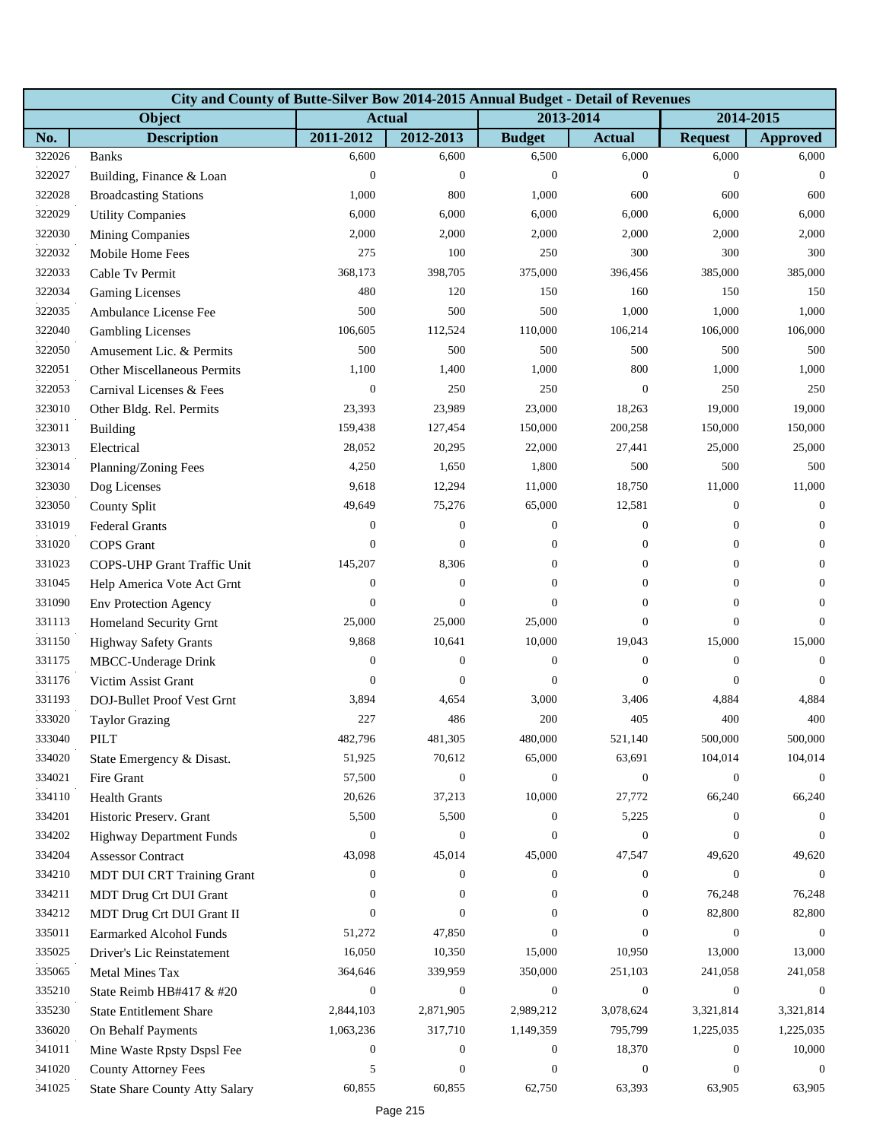|        | City and County of Butte-Silver Bow 2014-2015 Annual Budget - Detail of Revenues |                  |                  |                  |                  |                  |                  |  |  |  |
|--------|----------------------------------------------------------------------------------|------------------|------------------|------------------|------------------|------------------|------------------|--|--|--|
|        | Object                                                                           | <b>Actual</b>    |                  | 2013-2014        |                  | 2014-2015        |                  |  |  |  |
| No.    | <b>Description</b>                                                               | 2011-2012        | 2012-2013        | <b>Budget</b>    | <b>Actual</b>    | <b>Request</b>   | <b>Approved</b>  |  |  |  |
| 322026 | <b>Banks</b>                                                                     | 6,600            | 6,600            | 6,500            | 6,000            | 6,000            | 6,000            |  |  |  |
| 322027 | Building, Finance & Loan                                                         | $\boldsymbol{0}$ | $\boldsymbol{0}$ | $\theta$         | $\boldsymbol{0}$ | $\boldsymbol{0}$ | $\theta$         |  |  |  |
| 322028 | <b>Broadcasting Stations</b>                                                     | 1,000            | 800              | 1,000            | 600              | 600              | 600              |  |  |  |
| 322029 | <b>Utility Companies</b>                                                         | 6,000            | 6,000            | 6,000            | 6,000            | 6,000            | 6,000            |  |  |  |
| 322030 | <b>Mining Companies</b>                                                          | 2,000            | 2,000            | 2,000            | 2,000            | 2,000            | 2,000            |  |  |  |
| 322032 | Mobile Home Fees                                                                 | 275              | 100              | 250              | 300              | 300              | 300              |  |  |  |
| 322033 | Cable Tv Permit                                                                  | 368,173          | 398,705          | 375,000          | 396,456          | 385,000          | 385,000          |  |  |  |
| 322034 | <b>Gaming Licenses</b>                                                           | 480              | 120              | 150              | 160              | 150              | 150              |  |  |  |
| 322035 | Ambulance License Fee                                                            | 500              | 500              | 500              | 1,000            | 1,000            | 1,000            |  |  |  |
| 322040 | <b>Gambling Licenses</b>                                                         | 106,605          | 112,524          | 110,000          | 106,214          | 106,000          | 106,000          |  |  |  |
| 322050 | Amusement Lic. & Permits                                                         | 500              | 500              | 500              | 500              | 500              | 500              |  |  |  |
| 322051 | Other Miscellaneous Permits                                                      | 1,100            | 1,400            | 1,000            | 800              | 1,000            | 1,000            |  |  |  |
| 322053 | Carnival Licenses & Fees                                                         | $\boldsymbol{0}$ | 250              | 250              | $\mathbf{0}$     | 250              | 250              |  |  |  |
| 323010 | Other Bldg. Rel. Permits                                                         | 23,393           | 23,989           | 23,000           | 18,263           | 19,000           | 19,000           |  |  |  |
| 323011 | Building                                                                         | 159,438          | 127,454          | 150,000          | 200,258          | 150,000          | 150,000          |  |  |  |
| 323013 | Electrical                                                                       | 28,052           | 20,295           | 22,000           | 27,441           | 25,000           | 25,000           |  |  |  |
| 323014 | Planning/Zoning Fees                                                             | 4,250            | 1,650            | 1,800            | 500              | 500              | 500              |  |  |  |
| 323030 | Dog Licenses                                                                     | 9,618            | 12,294           | 11,000           | 18,750           | 11,000           | 11,000           |  |  |  |
| 323050 | County Split                                                                     | 49,649           | 75,276           | 65,000           | 12,581           | $\boldsymbol{0}$ | $\theta$         |  |  |  |
| 331019 | <b>Federal Grants</b>                                                            | $\boldsymbol{0}$ | $\boldsymbol{0}$ | $\boldsymbol{0}$ | $\mathbf{0}$     | $\mathbf{0}$     | $\theta$         |  |  |  |
| 331020 | <b>COPS</b> Grant                                                                | $\boldsymbol{0}$ | $\overline{0}$   | $\boldsymbol{0}$ | $\boldsymbol{0}$ | $\boldsymbol{0}$ | $\mathbf{0}$     |  |  |  |
| 331023 | COPS-UHP Grant Traffic Unit                                                      | 145,207          | 8,306            | 0                | $\boldsymbol{0}$ | $\mathbf{0}$     | $\theta$         |  |  |  |
| 331045 | Help America Vote Act Grnt                                                       | $\boldsymbol{0}$ | $\overline{0}$   | $\overline{0}$   | $\mathbf{0}$     | $\mathbf{0}$     | $\theta$         |  |  |  |
| 331090 | <b>Env</b> Protection Agency                                                     | $\boldsymbol{0}$ | $\boldsymbol{0}$ | $\overline{0}$   | $\boldsymbol{0}$ | $\mathbf{0}$     | $\theta$         |  |  |  |
| 331113 | Homeland Security Grnt                                                           | 25,000           | 25,000           | 25,000           | $\boldsymbol{0}$ | $\mathbf{0}$     | $\theta$         |  |  |  |
| 331150 | <b>Highway Safety Grants</b>                                                     | 9,868            | 10,641           | 10,000           | 19,043           | 15,000           | 15,000           |  |  |  |
| 331175 | MBCC-Underage Drink                                                              | $\boldsymbol{0}$ | $\boldsymbol{0}$ | $\boldsymbol{0}$ | $\boldsymbol{0}$ | $\boldsymbol{0}$ | $\mathbf{0}$     |  |  |  |
| 331176 | Victim Assist Grant                                                              | $\overline{0}$   | $\mathbf{0}$     | $\overline{0}$   | $\overline{0}$   | $\mathbf{0}$     | $\Omega$         |  |  |  |
| 331193 | DOJ-Bullet Proof Vest Grnt                                                       | 3,894            | 4,654            | 3,000            | 3,406            | 4,884            | 4,884            |  |  |  |
| 333020 | <b>Taylor Grazing</b>                                                            | 227              | 486              | 200              | 405              | 400              | 400              |  |  |  |
| 333040 | PILT                                                                             | 482,796          | 481,305          | 480,000          | 521,140          | 500,000          | 500,000          |  |  |  |
| 334020 | State Emergency & Disast.                                                        | 51,925           | 70,612           | 65,000           | 63,691           | 104,014          | 104,014          |  |  |  |
| 334021 | Fire Grant                                                                       | 57,500           | $\boldsymbol{0}$ | $\mathbf{0}$     | $\boldsymbol{0}$ | $\boldsymbol{0}$ | $\overline{0}$   |  |  |  |
| 334110 | <b>Health Grants</b>                                                             | 20,626           | 37,213           | 10,000           | 27,772           | 66,240           | 66,240           |  |  |  |
| 334201 | Historic Preserv. Grant                                                          | 5,500            | 5,500            | $\overline{0}$   | 5,225            | $\Omega$         | $\Omega$         |  |  |  |
| 334202 | <b>Highway Department Funds</b>                                                  | $\boldsymbol{0}$ | $\overline{0}$   | $\Omega$         | $\mathbf{0}$     | $\Omega$         | $\Omega$         |  |  |  |
| 334204 | <b>Assessor Contract</b>                                                         | 43,098           | 45,014           | 45,000           | 47,547           | 49,620           | 49,620           |  |  |  |
| 334210 | MDT DUI CRT Training Grant                                                       | $\boldsymbol{0}$ | $\boldsymbol{0}$ | 0                | $\boldsymbol{0}$ | $\boldsymbol{0}$ | $\boldsymbol{0}$ |  |  |  |
| 334211 | MDT Drug Crt DUI Grant                                                           | $\boldsymbol{0}$ | $\overline{0}$   | $\Omega$         | $\overline{0}$   | 76,248           | 76,248           |  |  |  |
| 334212 | MDT Drug Crt DUI Grant II                                                        | $\overline{0}$   | $\overline{0}$   | $\Omega$         | $\mathbf{0}$     | 82,800           | 82,800           |  |  |  |
| 335011 | Earmarked Alcohol Funds                                                          | 51,272           | 47,850           | $\Omega$         | $\overline{0}$   | $\boldsymbol{0}$ | $\overline{0}$   |  |  |  |
| 335025 | Driver's Lic Reinstatement                                                       | 16,050           | 10,350           | 15,000           | 10,950           | 13,000           | 13,000           |  |  |  |
| 335065 | Metal Mines Tax                                                                  | 364,646          | 339,959          | 350,000          | 251,103          | 241,058          | 241,058          |  |  |  |
| 335210 | State Reimb HB#417 & #20                                                         | $\boldsymbol{0}$ | $\boldsymbol{0}$ | $\overline{0}$   | $\boldsymbol{0}$ | $\boldsymbol{0}$ | $\overline{0}$   |  |  |  |
| 335230 | <b>State Entitlement Share</b>                                                   | 2,844,103        | 2,871,905        | 2,989,212        | 3,078,624        | 3,321,814        | 3,321,814        |  |  |  |
| 336020 | On Behalf Payments                                                               | 1,063,236        | 317,710          | 1,149,359        | 795,799          | 1,225,035        | 1,225,035        |  |  |  |
| 341011 | Mine Waste Rpsty Dspsl Fee                                                       | $\boldsymbol{0}$ | 0                | 0                | 18,370           | $\boldsymbol{0}$ | 10,000           |  |  |  |
| 341020 | <b>County Attorney Fees</b>                                                      | 5                | $\overline{0}$   | $\overline{0}$   | $\boldsymbol{0}$ | $\theta$         | $\overline{0}$   |  |  |  |
| 341025 | <b>State Share County Atty Salary</b>                                            | 60,855           | 60,855           | 62,750           | 63,393           | 63,905           | 63,905           |  |  |  |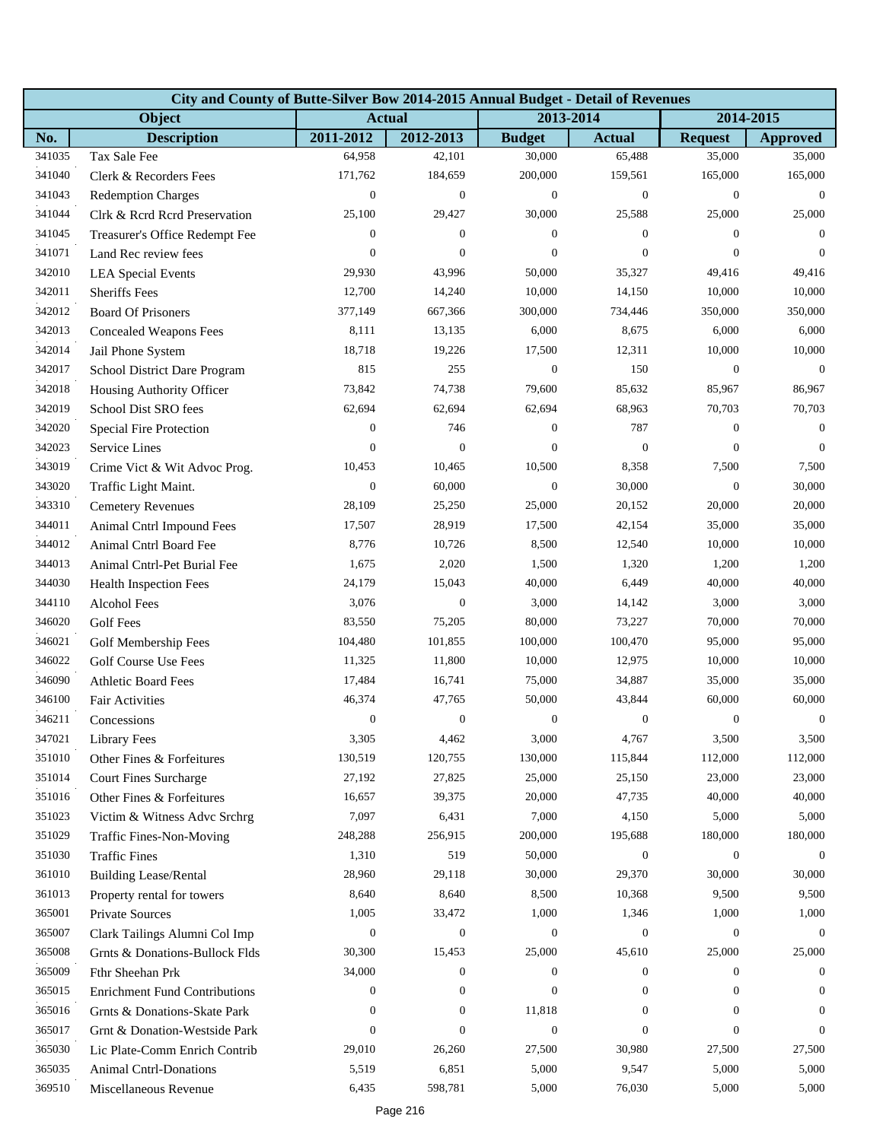|        | City and County of Butte-Silver Bow 2014-2015 Annual Budget - Detail of Revenues |                  |                  |                  |                  |                  |                  |  |  |  |
|--------|----------------------------------------------------------------------------------|------------------|------------------|------------------|------------------|------------------|------------------|--|--|--|
|        | Object                                                                           |                  | <b>Actual</b>    | 2013-2014        |                  |                  | 2014-2015        |  |  |  |
| No.    | <b>Description</b>                                                               | 2011-2012        | 2012-2013        | <b>Budget</b>    | <b>Actual</b>    | <b>Request</b>   | <b>Approved</b>  |  |  |  |
| 341035 | Tax Sale Fee                                                                     | 64,958           | 42,101           | 30,000           | 65,488           | 35,000           | 35,000           |  |  |  |
| 341040 | Clerk & Recorders Fees                                                           | 171,762          | 184,659          | 200,000          | 159,561          | 165,000          | 165,000          |  |  |  |
| 341043 | <b>Redemption Charges</b>                                                        | $\boldsymbol{0}$ | $\boldsymbol{0}$ | $\boldsymbol{0}$ | $\boldsymbol{0}$ | $\boldsymbol{0}$ | $\mathbf{0}$     |  |  |  |
| 341044 | Clrk & Rcrd Rcrd Preservation                                                    | 25,100           | 29,427           | 30,000           | 25,588           | 25,000           | 25,000           |  |  |  |
| 341045 | Treasurer's Office Redempt Fee                                                   | $\mathbf{0}$     | $\boldsymbol{0}$ | $\boldsymbol{0}$ | $\mathbf{0}$     | $\mathbf{0}$     | $\theta$         |  |  |  |
| 341071 | Land Rec review fees                                                             | $\boldsymbol{0}$ | $\boldsymbol{0}$ | $\boldsymbol{0}$ | $\mathbf{0}$     | $\mathbf{0}$     | $\theta$         |  |  |  |
| 342010 | <b>LEA Special Events</b>                                                        | 29,930           | 43,996           | 50,000           | 35,327           | 49,416           | 49,416           |  |  |  |
| 342011 | <b>Sheriffs</b> Fees                                                             | 12,700           | 14,240           | 10,000           | 14,150           | 10,000           | 10,000           |  |  |  |
| 342012 | <b>Board Of Prisoners</b>                                                        | 377,149          | 667,366          | 300,000          | 734,446          | 350,000          | 350,000          |  |  |  |
| 342013 | <b>Concealed Weapons Fees</b>                                                    | 8,111            | 13,135           | 6,000            | 8,675            | 6,000            | 6,000            |  |  |  |
| 342014 | Jail Phone System                                                                | 18,718           | 19,226           | 17,500           | 12,311           | 10,000           | 10,000           |  |  |  |
| 342017 | School District Dare Program                                                     | 815              | 255              | $\overline{0}$   | 150              | $\boldsymbol{0}$ | $\theta$         |  |  |  |
| 342018 | Housing Authority Officer                                                        | 73,842           | 74,738           | 79,600           | 85,632           | 85,967           | 86,967           |  |  |  |
| 342019 | School Dist SRO fees                                                             | 62,694           | 62,694           | 62,694           | 68,963           | 70,703           | 70,703           |  |  |  |
| 342020 | Special Fire Protection                                                          | $\boldsymbol{0}$ | 746              | $\theta$         | 787              | $\mathbf{0}$     | $\Omega$         |  |  |  |
| 342023 | Service Lines                                                                    | $\overline{0}$   | $\overline{0}$   | $\overline{0}$   | $\overline{0}$   | $\mathbf{0}$     | $\Omega$         |  |  |  |
| 343019 | Crime Vict & Wit Advoc Prog.                                                     | 10,453           | 10,465           | 10,500           | 8,358            | 7,500            | 7,500            |  |  |  |
| 343020 | Traffic Light Maint.                                                             | $\boldsymbol{0}$ | 60,000           | $\boldsymbol{0}$ | 30,000           | $\boldsymbol{0}$ | 30,000           |  |  |  |
| 343310 | <b>Cemetery Revenues</b>                                                         | 28,109           | 25,250           | 25,000           | 20,152           | 20,000           | 20,000           |  |  |  |
| 344011 | Animal Cntrl Impound Fees                                                        | 17,507           | 28,919           | 17,500           | 42,154           | 35,000           | 35,000           |  |  |  |
| 344012 | Animal Cntrl Board Fee                                                           | 8,776            | 10,726           | 8,500            | 12,540           | 10,000           | 10,000           |  |  |  |
| 344013 | Animal Cntrl-Pet Burial Fee                                                      | 1,675            | 2,020            | 1,500            | 1,320            | 1,200            | 1,200            |  |  |  |
| 344030 | <b>Health Inspection Fees</b>                                                    | 24,179           | 15,043           | 40,000           | 6,449            | 40,000           | 40,000           |  |  |  |
| 344110 | Alcohol Fees                                                                     | 3,076            | $\boldsymbol{0}$ | 3,000            | 14,142           | 3,000            | 3,000            |  |  |  |
| 346020 | <b>Golf Fees</b>                                                                 | 83,550           | 75,205           | 80,000           | 73,227           | 70,000           | 70,000           |  |  |  |
| 346021 | Golf Membership Fees                                                             | 104,480          | 101,855          | 100,000          | 100,470          | 95,000           | 95,000           |  |  |  |
| 346022 | Golf Course Use Fees                                                             | 11,325           | 11,800           | 10,000           | 12,975           | 10,000           | 10,000           |  |  |  |
| 346090 | <b>Athletic Board Fees</b>                                                       | 17,484           | 16,741           | 75,000           | 34,887           | 35,000           | 35,000           |  |  |  |
| 346100 | <b>Fair Activities</b>                                                           | 46,374           | 47,765           | 50,000           | 43,844           | 60,000           | 60,000           |  |  |  |
| 346211 | Concessions                                                                      | $\boldsymbol{0}$ | $\boldsymbol{0}$ | $\mathbf{0}$     | $\boldsymbol{0}$ | $\boldsymbol{0}$ | $\boldsymbol{0}$ |  |  |  |
| 347021 | <b>Library Fees</b>                                                              | 3,305            | 4,462            | 3,000            | 4,767            | 3,500            | 3,500            |  |  |  |
| 351010 | Other Fines & Forfeitures                                                        | 130,519          | 120,755          | 130,000          | 115,844          | 112,000          | 112,000          |  |  |  |
| 351014 | <b>Court Fines Surcharge</b>                                                     | 27,192           | 27,825           | 25,000           | 25,150           | 23,000           | 23,000           |  |  |  |
| 351016 | Other Fines & Forfeitures                                                        | 16,657           | 39,375           | 20,000           | 47,735           | 40,000           | 40,000           |  |  |  |
| 351023 | Victim & Witness Advc Srchrg                                                     | 7,097            | 6,431            | 7,000            | 4,150            | 5,000            | 5,000            |  |  |  |
| 351029 | Traffic Fines-Non-Moving                                                         | 248,288          | 256,915          | 200,000          | 195,688          | 180,000          | 180,000          |  |  |  |
| 351030 | <b>Traffic Fines</b>                                                             | 1,310            | 519              | 50,000           | $\boldsymbol{0}$ | $\boldsymbol{0}$ | $\boldsymbol{0}$ |  |  |  |
| 361010 | <b>Building Lease/Rental</b>                                                     | 28,960           | 29,118           | 30,000           | 29,370           | 30,000           | 30,000           |  |  |  |
| 361013 | Property rental for towers                                                       | 8,640            | 8,640            | 8,500            | 10,368           | 9,500            | 9,500            |  |  |  |
| 365001 | Private Sources                                                                  | 1,005            | 33,472           | 1,000            | 1,346            | 1,000            | 1,000            |  |  |  |
| 365007 | Clark Tailings Alumni Col Imp                                                    | $\boldsymbol{0}$ | $\boldsymbol{0}$ | $\boldsymbol{0}$ | $\boldsymbol{0}$ | $\boldsymbol{0}$ | $\overline{0}$   |  |  |  |
| 365008 | Grnts & Donations-Bullock Flds                                                   | 30,300           | 15,453           | 25,000           | 45,610           | 25,000           | 25,000           |  |  |  |
| 365009 | Fthr Sheehan Prk                                                                 | 34,000           | 0                | $\overline{0}$   | $\mathbf{0}$     | $\theta$         | $\Omega$         |  |  |  |
| 365015 | <b>Enrichment Fund Contributions</b>                                             | 0                | $\overline{0}$   | $\overline{0}$   | $\boldsymbol{0}$ | $\theta$         | $\Omega$         |  |  |  |
| 365016 | Grnts & Donations-Skate Park                                                     | 0                | $\boldsymbol{0}$ | 11,818           | $\boldsymbol{0}$ | $\theta$         | $\Omega$         |  |  |  |
| 365017 | Grnt & Donation-Westside Park                                                    | $\boldsymbol{0}$ | $\boldsymbol{0}$ | $\boldsymbol{0}$ | $\boldsymbol{0}$ | $\boldsymbol{0}$ | $\theta$         |  |  |  |
| 365030 | Lic Plate-Comm Enrich Contrib                                                    | 29,010           | 26,260           | 27,500           | 30,980           | 27,500           | 27,500           |  |  |  |
| 365035 | <b>Animal Cntrl-Donations</b>                                                    | 5,519            | 6,851            | 5,000            | 9,547            | 5,000            | 5,000            |  |  |  |
| 369510 | Miscellaneous Revenue                                                            | 6,435            | 598,781          | 5,000            | 76,030           | 5,000            | 5,000            |  |  |  |
|        |                                                                                  |                  |                  |                  |                  |                  |                  |  |  |  |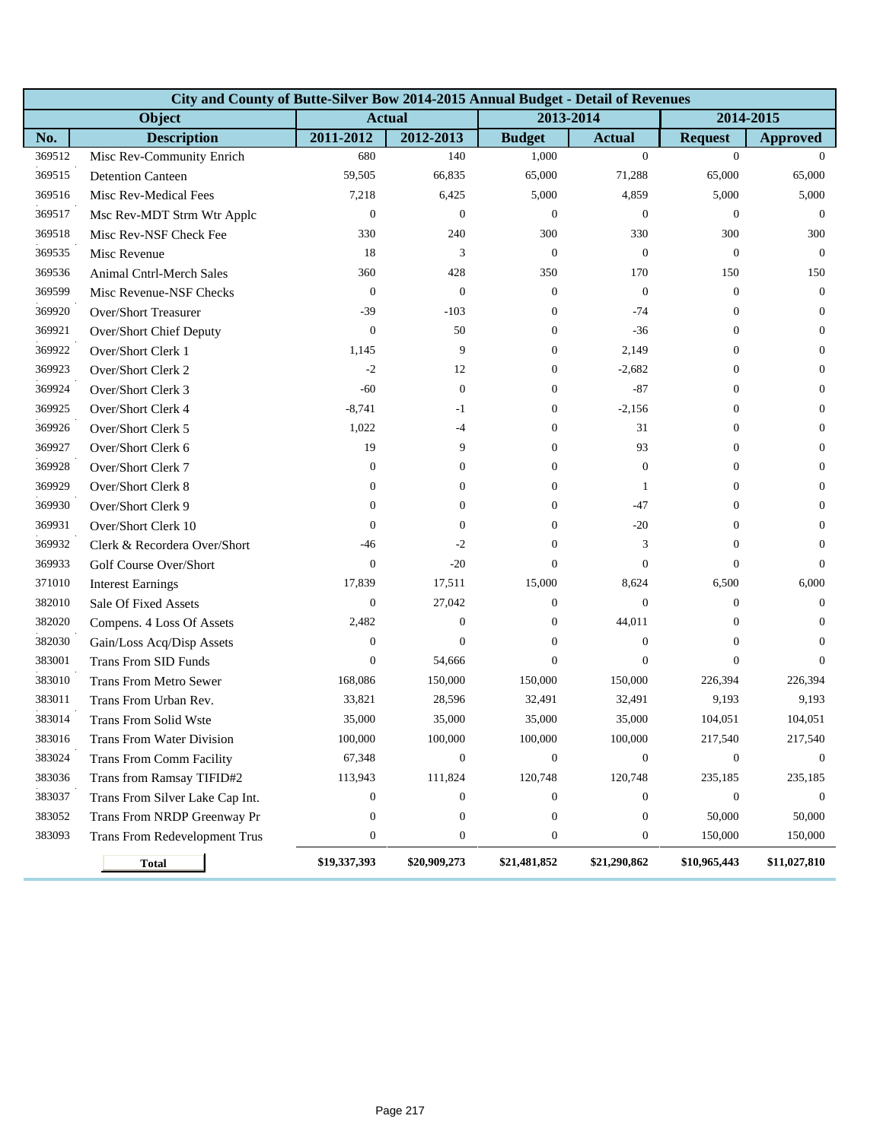|        | City and County of Butte-Silver Bow 2014-2015 Annual Budget - Detail of Revenues |                  |                  |                  |                  |                  |                  |  |  |  |  |
|--------|----------------------------------------------------------------------------------|------------------|------------------|------------------|------------------|------------------|------------------|--|--|--|--|
|        | Object                                                                           |                  | <b>Actual</b>    | 2013-2014        |                  | 2014-2015        |                  |  |  |  |  |
| No.    | <b>Description</b>                                                               | 2011-2012        | 2012-2013        | <b>Budget</b>    | <b>Actual</b>    | <b>Request</b>   | <b>Approved</b>  |  |  |  |  |
| 369512 | Misc Rev-Community Enrich                                                        | 680              | 140              | 1,000            | $\overline{0}$   | $\mathbf{0}$     | $\Omega$         |  |  |  |  |
| 369515 | <b>Detention Canteen</b>                                                         | 59,505           | 66,835           | 65,000           | 71,288           | 65,000           | 65,000           |  |  |  |  |
| 369516 | Misc Rev-Medical Fees                                                            | 7,218            | 6,425            | 5,000            | 4,859            | 5,000            | 5,000            |  |  |  |  |
| 369517 | Msc Rev-MDT Strm Wtr Applc                                                       | $\mathbf{0}$     | $\mathbf{0}$     | $\boldsymbol{0}$ | $\mathbf{0}$     | $\boldsymbol{0}$ | $\mathbf{0}$     |  |  |  |  |
| 369518 | Misc Rev-NSF Check Fee                                                           | 330              | 240              | 300              | 330              | 300              | 300              |  |  |  |  |
| 369535 | Misc Revenue                                                                     | 18               | 3                | $\theta$         | $\mathbf{0}$     | $\mathbf{0}$     | $\boldsymbol{0}$ |  |  |  |  |
| 369536 | <b>Animal Cntrl-Merch Sales</b>                                                  | 360              | 428              | 350              | 170              | 150              | 150              |  |  |  |  |
| 369599 | Misc Revenue-NSF Checks                                                          | $\theta$         | $\boldsymbol{0}$ | $\theta$         | $\mathbf{0}$     | $\theta$         | $\mathbf{0}$     |  |  |  |  |
| 369920 | Over/Short Treasurer                                                             | $-39$            | $-103$           | $\mathbf{0}$     | $-74$            | $\mathbf{0}$     | $\overline{0}$   |  |  |  |  |
| 369921 | Over/Short Chief Deputy                                                          | $\boldsymbol{0}$ | 50               | $\boldsymbol{0}$ | $-36$            | $\theta$         | $\mathbf{0}$     |  |  |  |  |
| 369922 | Over/Short Clerk 1                                                               | 1,145            | 9                | $\mathbf{0}$     | 2,149            | $\theta$         | $\overline{0}$   |  |  |  |  |
| 369923 | Over/Short Clerk 2                                                               | $-2$             | 12               | $\theta$         | $-2,682$         | $\theta$         | $\mathbf{0}$     |  |  |  |  |
| 369924 | Over/Short Clerk 3                                                               | $-60$            | $\boldsymbol{0}$ | $\mathbf{0}$     | $-87$            | $\mathbf{0}$     | $\mathbf{0}$     |  |  |  |  |
| 369925 | Over/Short Clerk 4                                                               | $-8,741$         | $-1$             | $\theta$         | $-2,156$         | $\theta$         | $\mathbf{0}$     |  |  |  |  |
| 369926 | Over/Short Clerk 5                                                               | 1,022            | $-4$             | $\overline{0}$   | 31               | $\mathbf{0}$     | $\overline{0}$   |  |  |  |  |
| 369927 | Over/Short Clerk 6                                                               | 19               | 9                | $\overline{0}$   | 93               | $\mathbf{0}$     | $\theta$         |  |  |  |  |
| 369928 | Over/Short Clerk 7                                                               | $\boldsymbol{0}$ | $\boldsymbol{0}$ | $\mathbf{0}$     | $\boldsymbol{0}$ | $\mathbf{0}$     | $\theta$         |  |  |  |  |
| 369929 | Over/Short Clerk 8                                                               | $\mathbf{0}$     | $\boldsymbol{0}$ | $\theta$         | 1                | $\theta$         | $\mathbf{0}$     |  |  |  |  |
| 369930 | Over/Short Clerk 9                                                               | $\mathbf{0}$     | $\overline{0}$   | $\theta$         | $-47$            | $\theta$         | $\overline{0}$   |  |  |  |  |
| 369931 | Over/Short Clerk 10                                                              | $\mathbf{0}$     | $\overline{0}$   | $\theta$         | $-20$            | $\theta$         | $\theta$         |  |  |  |  |
| 369932 | Clerk & Recordera Over/Short                                                     | $-46$            | $-2$             | $\mathbf{0}$     | 3                | $\mathbf{0}$     | $\theta$         |  |  |  |  |
| 369933 | Golf Course Over/Short                                                           | $\mathbf{0}$     | $-20$            | $\mathbf{0}$     | $\mathbf{0}$     | $\mathbf{0}$     | $\theta$         |  |  |  |  |
| 371010 | <b>Interest Earnings</b>                                                         | 17,839           | 17,511           | 15,000           | 8,624            | 6,500            | 6,000            |  |  |  |  |
| 382010 | Sale Of Fixed Assets                                                             | $\mathbf{0}$     | 27,042           | $\theta$         | $\mathbf{0}$     | $\theta$         | $\overline{0}$   |  |  |  |  |
| 382020 | Compens. 4 Loss Of Assets                                                        | 2,482            | $\boldsymbol{0}$ | $\mathbf{0}$     | 44,011           | $\mathbf{0}$     | $\theta$         |  |  |  |  |
| 382030 | Gain/Loss Acq/Disp Assets                                                        | $\boldsymbol{0}$ | $\mathbf{0}$     | $\mathbf{0}$     | $\boldsymbol{0}$ | $\mathbf{0}$     | $\theta$         |  |  |  |  |
| 383001 | <b>Trans From SID Funds</b>                                                      | $\mathbf{0}$     | 54,666           | $\mathbf{0}$     | $\overline{0}$   | $\mathbf{0}$     | $\theta$         |  |  |  |  |
| 383010 | <b>Trans From Metro Sewer</b>                                                    | 168,086          | 150,000          | 150,000          | 150,000          | 226,394          | 226,394          |  |  |  |  |
| 383011 | Trans From Urban Rev.                                                            | 33,821           | 28,596           | 32,491           | 32,491           | 9,193            | 9,193            |  |  |  |  |
| 383014 | <b>Trans From Solid Wste</b>                                                     | 35,000           | 35,000           | 35,000           | 35,000           | 104,051          | 104,051          |  |  |  |  |
| 383016 | Trans From Water Division                                                        | 100,000          | 100,000          | 100,000          | 100,000          | 217,540          | 217,540          |  |  |  |  |
| 383024 | Trans From Comm Facility                                                         | 67,348           | $\boldsymbol{0}$ | $\boldsymbol{0}$ | $\mathbf{0}$     | $\boldsymbol{0}$ | $\theta$         |  |  |  |  |
| 383036 | Trans from Ramsay TIFID#2                                                        | 113,943          | 111,824          | 120,748          | 120,748          | 235,185          | 235,185          |  |  |  |  |
| 383037 | Trans From Silver Lake Cap Int.                                                  | $\mathbf{0}$     | $\boldsymbol{0}$ | $\mathbf{0}$     | $\boldsymbol{0}$ | $\boldsymbol{0}$ | $\mathbf{0}$     |  |  |  |  |
| 383052 | Trans From NRDP Greenway Pr                                                      | $\boldsymbol{0}$ | $\boldsymbol{0}$ | $\boldsymbol{0}$ | $\mathbf{0}$     | 50,000           | 50,000           |  |  |  |  |
| 383093 | <b>Trans From Redevelopment Trus</b>                                             | $\boldsymbol{0}$ | $\boldsymbol{0}$ | $\overline{0}$   | $\boldsymbol{0}$ | 150,000          | 150,000          |  |  |  |  |
|        | <b>Total</b>                                                                     | \$19,337,393     | \$20,909,273     | \$21,481,852     | \$21,290,862     | \$10,965,443     | \$11,027,810     |  |  |  |  |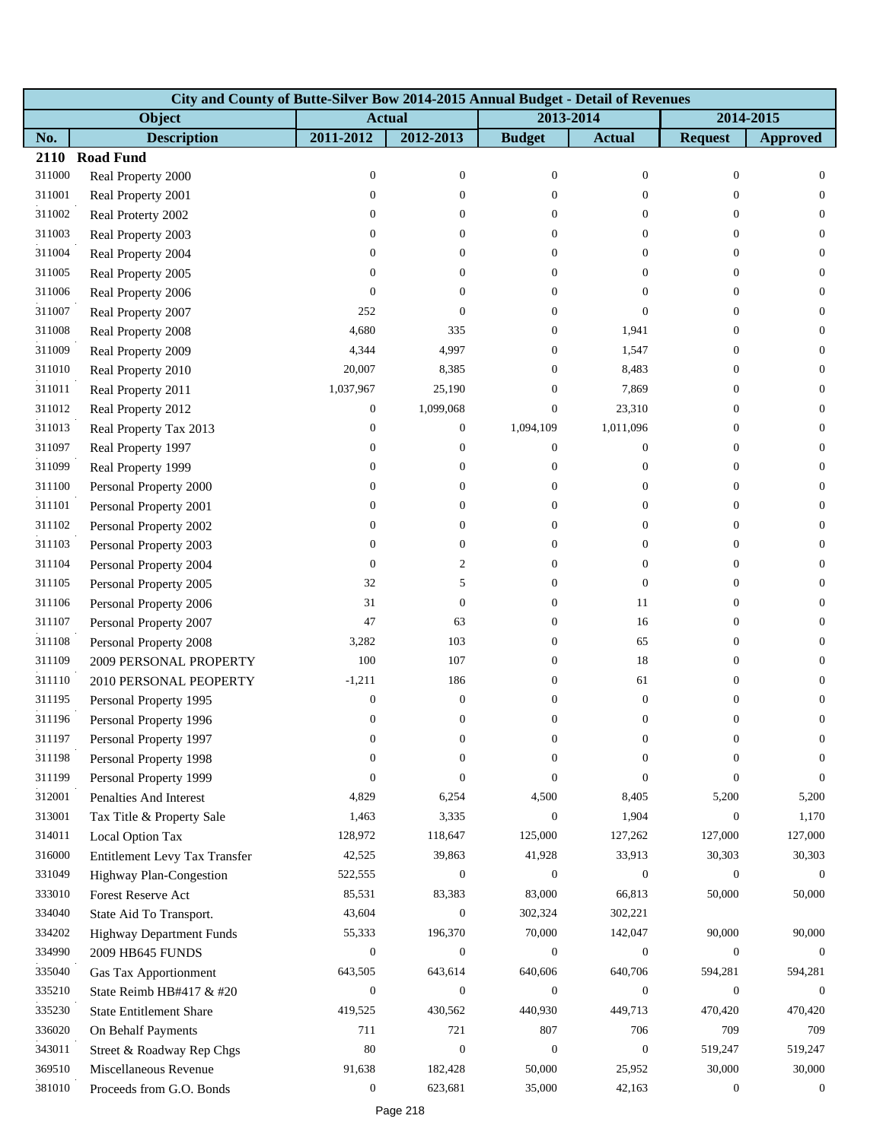|        | City and County of Butte-Silver Bow 2014-2015 Annual Budget - Detail of Revenues |                  |                  |                  |                  |                  |                  |
|--------|----------------------------------------------------------------------------------|------------------|------------------|------------------|------------------|------------------|------------------|
|        | Object                                                                           | <b>Actual</b>    |                  | 2013-2014        |                  | 2014-2015        |                  |
| No.    | <b>Description</b>                                                               | 2011-2012        | 2012-2013        | <b>Budget</b>    | <b>Actual</b>    | <b>Request</b>   | <b>Approved</b>  |
| 2110   | <b>Road Fund</b>                                                                 |                  |                  |                  |                  |                  |                  |
| 311000 | Real Property 2000                                                               | $\boldsymbol{0}$ | $\boldsymbol{0}$ | $\boldsymbol{0}$ | $\mathbf{0}$     | $\boldsymbol{0}$ | $\mathbf{0}$     |
| 311001 | Real Property 2001                                                               | $\overline{0}$   | $\overline{0}$   | $\Omega$         | $\theta$         | $\Omega$         | $\theta$         |
| 311002 | Real Proterty 2002                                                               | $\boldsymbol{0}$ | $\overline{0}$   | $\overline{0}$   | $\theta$         | $\overline{0}$   | $\mathbf{0}$     |
| 311003 | Real Property 2003                                                               | $\boldsymbol{0}$ | $\mathbf{0}$     | $\mathbf{0}$     | $\theta$         | $\overline{0}$   | $\mathbf{0}$     |
| 311004 | Real Property 2004                                                               | $\boldsymbol{0}$ | 0                | 0                | $\theta$         | $\overline{0}$   | $\mathbf{0}$     |
| 311005 | Real Property 2005                                                               | $\boldsymbol{0}$ | 0                | $\Omega$         | $\theta$         | $\Omega$         | $\theta$         |
| 311006 | Real Property 2006                                                               | $\mathbf{0}$     | $\Omega$         | $\Omega$         | $\mathbf{0}$     | $\Omega$         | $\mathbf{0}$     |
| 311007 | Real Property 2007                                                               | 252              | $\theta$         | 0                | $\mathbf{0}$     | $\theta$         | $\mathbf{0}$     |
| 311008 | Real Property 2008                                                               | 4,680            | 335              | 0                | 1,941            | $\mathbf{0}$     | $\mathbf{0}$     |
| 311009 | Real Property 2009                                                               | 4,344            | 4,997            | $\Omega$         | 1,547            | $\Omega$         | $\theta$         |
| 311010 | Real Property 2010                                                               | 20,007           | 8,385            | $\mathbf{0}$     | 8,483            | $\Omega$         | $\mathbf{0}$     |
| 311011 | Real Property 2011                                                               | 1,037,967        | 25,190           | $\overline{0}$   | 7,869            | $\theta$         | $\overline{0}$   |
| 311012 | Real Property 2012                                                               | $\boldsymbol{0}$ | 1,099,068        | $\boldsymbol{0}$ | 23,310           | $\overline{0}$   | $\theta$         |
| 311013 | Real Property Tax 2013                                                           | $\mathbf{0}$     | $\boldsymbol{0}$ | 1,094,109        | 1,011,096        | $\Omega$         | $\theta$         |
| 311097 | Real Property 1997                                                               | $\boldsymbol{0}$ | $\boldsymbol{0}$ | $\boldsymbol{0}$ | $\mathbf{0}$     | $\Omega$         | $\mathbf{0}$     |
| 311099 | Real Property 1999                                                               | $\boldsymbol{0}$ | $\overline{0}$   | $\overline{0}$   | $\boldsymbol{0}$ | $\Omega$         | $\mathbf{0}$     |
| 311100 | Personal Property 2000                                                           | $\boldsymbol{0}$ | 0                | $\overline{0}$   | $\mathbf{0}$     | $\overline{0}$   | $\mathbf{0}$     |
| 311101 | Personal Property 2001                                                           | $\boldsymbol{0}$ | 0                | $\Omega$         | $\theta$         | $\Omega$         | $\theta$         |
| 311102 | Personal Property 2002                                                           | $\boldsymbol{0}$ | $\overline{0}$   | $\overline{0}$   | $\theta$         | $\Omega$         | $\mathbf{0}$     |
| 311103 | Personal Property 2003                                                           | $\mathbf{0}$     | $\overline{0}$   | $\overline{0}$   | $\mathbf{0}$     | $\Omega$         | $\overline{0}$   |
| 311104 | Personal Property 2004                                                           | $\boldsymbol{0}$ | 2                | $\overline{0}$   | $\mathbf{0}$     | $\Omega$         | $\mathbf{0}$     |
| 311105 | Personal Property 2005                                                           | 32               | 5                | $\Omega$         | $\mathbf{0}$     | $\Omega$         | $\theta$         |
| 311106 | Personal Property 2006                                                           | 31               | $\boldsymbol{0}$ | $\overline{0}$   | 11               | $\Omega$         | $\mathbf{0}$     |
| 311107 | Personal Property 2007                                                           | 47               | 63               | $\overline{0}$   | 16               | $\overline{0}$   | $\mathbf{0}$     |
| 311108 | Personal Property 2008                                                           | 3,282            | 103              | $\boldsymbol{0}$ | 65               | $\overline{0}$   | $\mathbf{0}$     |
| 311109 | 2009 PERSONAL PROPERTY                                                           | 100              | 107              | $\overline{0}$   | 18               | $\Omega$         | $\overline{0}$   |
| 311110 | 2010 PERSONAL PEOPERTY                                                           | $-1,211$         | 186              | $\overline{0}$   | 61               | $\theta$         | $\theta$         |
| 311195 | Personal Property 1995                                                           | $\boldsymbol{0}$ | $\boldsymbol{0}$ | $\overline{0}$   | $\boldsymbol{0}$ | $\mathbf{0}$     | $\mathbf{0}$     |
| 311196 | Personal Property 1996                                                           | $\boldsymbol{0}$ | $\boldsymbol{0}$ | $\overline{0}$   | $\boldsymbol{0}$ | $\boldsymbol{0}$ | $\boldsymbol{0}$ |
| 311197 | Personal Property 1997                                                           | $\boldsymbol{0}$ | 0                | 0                | $\boldsymbol{0}$ | $\mathbf{0}$     | $\overline{0}$   |
| 311198 | Personal Property 1998                                                           | $\boldsymbol{0}$ | $\overline{0}$   | $\Omega$         | $\Omega$         | $\Omega$         | $\Omega$         |
| 311199 | Personal Property 1999                                                           | $\mathbf{0}$     | $\overline{0}$   | $\Omega$         | $\mathbf{0}$     | $\mathbf{0}$     | $\overline{0}$   |
| 312001 | Penalties And Interest                                                           | 4,829            | 6,254            | 4,500            | 8,405            | 5,200            | 5,200            |
| 313001 | Tax Title & Property Sale                                                        | 1,463            | 3,335            | $\theta$         | 1,904            | $\mathbf{0}$     | 1,170            |
| 314011 | Local Option Tax                                                                 | 128,972          | 118,647          | 125,000          | 127,262          | 127,000          | 127,000          |
| 316000 | Entitlement Levy Tax Transfer                                                    | 42,525           | 39,863           | 41,928           | 33,913           | 30,303           | 30,303           |
| 331049 | Highway Plan-Congestion                                                          | 522,555          | $\boldsymbol{0}$ | $\mathbf{0}$     | $\boldsymbol{0}$ | $\mathbf{0}$     | $\mathbf{0}$     |
| 333010 | Forest Reserve Act                                                               | 85,531           | 83,383           | 83,000           | 66,813           | 50,000           | 50,000           |
| 334040 | State Aid To Transport.                                                          | 43,604           | $\boldsymbol{0}$ | 302,324          | 302,221          |                  |                  |
| 334202 | <b>Highway Department Funds</b>                                                  | 55,333           | 196,370          | 70,000           | 142,047          | 90,000           | 90,000           |
| 334990 | 2009 HB645 FUNDS                                                                 | $\mathbf{0}$     | $\boldsymbol{0}$ | $\mathbf{0}$     | $\mathbf{0}$     | $\boldsymbol{0}$ | $\overline{0}$   |
| 335040 | <b>Gas Tax Apportionment</b>                                                     | 643,505          | 643,614          | 640,606          | 640,706          | 594,281          | 594,281          |
| 335210 | State Reimb HB#417 & #20                                                         | $\boldsymbol{0}$ | $\boldsymbol{0}$ | $\overline{0}$   | $\theta$         | $\theta$         | $\theta$         |
| 335230 | <b>State Entitlement Share</b>                                                   | 419,525          | 430,562          | 440,930          | 449,713          | 470,420          | 470,420          |
| 336020 | On Behalf Payments                                                               | 711              | 721              | 807              | 706              | 709              | 709              |
| 343011 | Street & Roadway Rep Chgs                                                        | 80               | $\boldsymbol{0}$ | $\boldsymbol{0}$ | $\boldsymbol{0}$ | 519,247          | 519,247          |
| 369510 | Miscellaneous Revenue                                                            | 91,638           | 182,428          | 50,000           | 25,952           | 30,000           | 30,000           |
| 381010 | Proceeds from G.O. Bonds                                                         | $\boldsymbol{0}$ | 623,681          | 35,000           | 42,163           | $\boldsymbol{0}$ | $\boldsymbol{0}$ |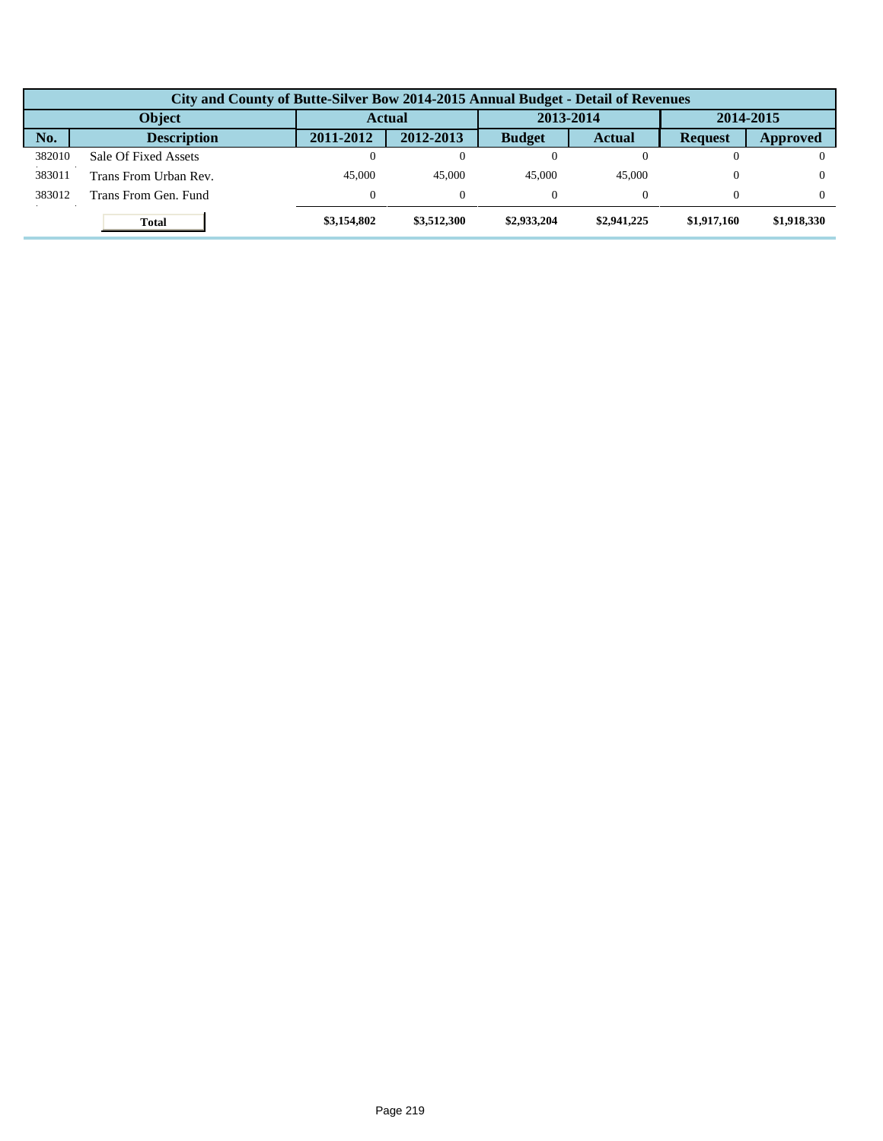| City and County of Butte-Silver Bow 2014-2015 Annual Budget - Detail of Revenues |                       |              |             |               |               |                |             |  |  |  |
|----------------------------------------------------------------------------------|-----------------------|--------------|-------------|---------------|---------------|----------------|-------------|--|--|--|
| <b>Object</b>                                                                    |                       | Actual       |             | 2013-2014     |               | 2014-2015      |             |  |  |  |
| No.                                                                              | <b>Description</b>    | 2011-2012    | 2012-2013   | <b>Budget</b> | <b>Actual</b> | <b>Request</b> | Approved    |  |  |  |
| 382010                                                                           | Sale Of Fixed Assets  | $\theta$     |             |               |               |                |             |  |  |  |
| 383011                                                                           | Trans From Urban Rev. | 45,000       | 45.000      | 45.000        | 45,000        |                |             |  |  |  |
| 383012                                                                           | Trans From Gen. Fund  | $\mathbf{0}$ | $\Omega$    |               |               |                |             |  |  |  |
|                                                                                  | <b>Total</b>          | \$3,154,802  | \$3,512,300 | \$2,933,204   | \$2,941,225   | \$1,917,160    | \$1,918,330 |  |  |  |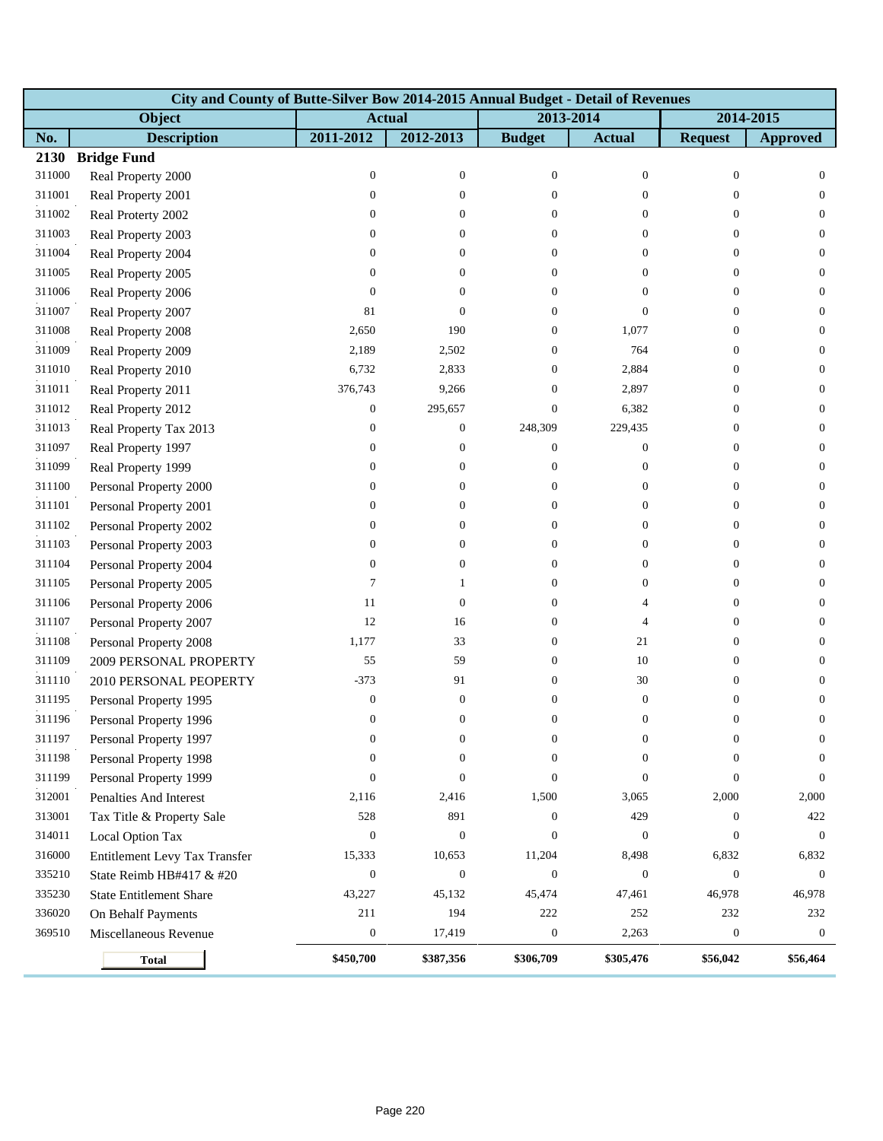|        | City and County of Butte-Silver Bow 2014-2015 Annual Budget - Detail of Revenues |                  |                  |                  |                  |                  |                  |  |  |  |  |
|--------|----------------------------------------------------------------------------------|------------------|------------------|------------------|------------------|------------------|------------------|--|--|--|--|
|        | Object                                                                           | <b>Actual</b>    |                  |                  | 2013-2014        |                  | 2014-2015        |  |  |  |  |
| No.    | <b>Description</b>                                                               | 2011-2012        | 2012-2013        | <b>Budget</b>    | <b>Actual</b>    | <b>Request</b>   | <b>Approved</b>  |  |  |  |  |
| 2130   | <b>Bridge Fund</b>                                                               |                  |                  |                  |                  |                  |                  |  |  |  |  |
| 311000 | Real Property 2000                                                               | $\boldsymbol{0}$ | $\boldsymbol{0}$ | $\boldsymbol{0}$ | $\boldsymbol{0}$ | $\boldsymbol{0}$ | $\mathbf{0}$     |  |  |  |  |
| 311001 | Real Property 2001                                                               | $\mathbf{0}$     | $\mathbf{0}$     | $\theta$         | $\overline{0}$   | $\theta$         | $\overline{0}$   |  |  |  |  |
| 311002 | Real Proterty 2002                                                               | $\mathbf{0}$     | $\mathbf{0}$     | $\overline{0}$   | $\overline{0}$   | $\overline{0}$   | $\mathbf{0}$     |  |  |  |  |
| 311003 | Real Property 2003                                                               | $\boldsymbol{0}$ | $\overline{0}$   | $\overline{0}$   | $\overline{0}$   | $\mathbf{0}$     | $\mathbf{0}$     |  |  |  |  |
| 311004 | Real Property 2004                                                               | $\boldsymbol{0}$ | $\mathbf{0}$     | $\overline{0}$   | 0                | $\theta$         | $\mathbf{0}$     |  |  |  |  |
| 311005 | Real Property 2005                                                               | $\mathbf{0}$     | 0                | $\overline{0}$   | $\overline{0}$   | $\overline{0}$   | $\overline{0}$   |  |  |  |  |
| 311006 | Real Property 2006                                                               | $\mathbf{0}$     | $\theta$         | $\overline{0}$   | $\overline{0}$   | $\overline{0}$   | $\mathbf{0}$     |  |  |  |  |
| 311007 | Real Property 2007                                                               | 81               | $\mathbf{0}$     | $\Omega$         | $\overline{0}$   | $\theta$         | $\mathbf{0}$     |  |  |  |  |
| 311008 | Real Property 2008                                                               | 2,650            | 190              | 0                | 1,077            | $\boldsymbol{0}$ | $\mathbf{0}$     |  |  |  |  |
| 311009 | Real Property 2009                                                               | 2,189            | 2,502            | $\overline{0}$   | 764              | $\theta$         | $\mathbf{0}$     |  |  |  |  |
| 311010 | Real Property 2010                                                               | 6,732            | 2,833            | $\overline{0}$   | 2,884            | $\theta$         | $\mathbf{0}$     |  |  |  |  |
| 311011 | Real Property 2011                                                               | 376,743          | 9,266            | $\overline{0}$   | 2,897            | $\theta$         | $\mathbf{0}$     |  |  |  |  |
| 311012 | Real Property 2012                                                               | $\boldsymbol{0}$ | 295,657          | $\overline{0}$   | 6,382            | $\theta$         | $\mathbf{0}$     |  |  |  |  |
| 311013 | Real Property Tax 2013                                                           | $\boldsymbol{0}$ | $\boldsymbol{0}$ | 248,309          | 229,435          | $\theta$         | $\mathbf{0}$     |  |  |  |  |
| 311097 | Real Property 1997                                                               | $\mathbf{0}$     | $\mathbf{0}$     | $\theta$         | $\boldsymbol{0}$ | $\overline{0}$   | $\mathbf{0}$     |  |  |  |  |
| 311099 | Real Property 1999                                                               | $\boldsymbol{0}$ | $\overline{0}$   | $\theta$         | $\boldsymbol{0}$ | $\theta$         | $\mathbf{0}$     |  |  |  |  |
| 311100 | Personal Property 2000                                                           | $\boldsymbol{0}$ | $\boldsymbol{0}$ | $\overline{0}$   | $\boldsymbol{0}$ | $\boldsymbol{0}$ | $\mathbf{0}$     |  |  |  |  |
| 311101 | Personal Property 2001                                                           | $\boldsymbol{0}$ | 0                | 0                | $\overline{0}$   | $\theta$         | $\mathbf{0}$     |  |  |  |  |
| 311102 | Personal Property 2002                                                           | $\boldsymbol{0}$ | 0                | $\Omega$         | $\overline{0}$   | $\theta$         | $\mathbf{0}$     |  |  |  |  |
| 311103 | Personal Property 2003                                                           | $\boldsymbol{0}$ | $\overline{0}$   | $\mathbf{0}$     | $\overline{0}$   | $\theta$         | $\mathbf{0}$     |  |  |  |  |
| 311104 | Personal Property 2004                                                           | $\boldsymbol{0}$ | $\boldsymbol{0}$ | 0                | $\boldsymbol{0}$ | $\theta$         | $\mathbf{0}$     |  |  |  |  |
| 311105 | Personal Property 2005                                                           | 7                | 1                | $\overline{0}$   | 0                | $\overline{0}$   | $\mathbf{0}$     |  |  |  |  |
| 311106 | Personal Property 2006                                                           | 11               | $\boldsymbol{0}$ | $\overline{0}$   | $\overline{4}$   | $\overline{0}$   | $\mathbf{0}$     |  |  |  |  |
| 311107 | Personal Property 2007                                                           | 12               | 16               | $\mathbf{0}$     | 4                | $\theta$         | $\mathbf{0}$     |  |  |  |  |
| 311108 | Personal Property 2008                                                           | 1,177            | 33               | 0                | 21               | $\boldsymbol{0}$ | $\mathbf{0}$     |  |  |  |  |
| 311109 | 2009 PERSONAL PROPERTY                                                           | 55               | 59               | $\overline{0}$   | 10               | $\theta$         | $\mathbf{0}$     |  |  |  |  |
| 311110 | 2010 PERSONAL PEOPERTY                                                           | $-373$           | 91               | $\Omega$         | 30               | $\overline{0}$   | $\overline{0}$   |  |  |  |  |
| 311195 | Personal Property 1995                                                           | $\mathbf{0}$     | $\boldsymbol{0}$ | $\mathbf{0}$     | $\boldsymbol{0}$ | $\boldsymbol{0}$ | $\boldsymbol{0}$ |  |  |  |  |
| 311196 | Personal Property 1996                                                           | $\boldsymbol{0}$ | $\mathbf{0}$     | $\theta$         | $\boldsymbol{0}$ | $\boldsymbol{0}$ | $\mathbf{0}$     |  |  |  |  |
| 311197 | Personal Property 1997                                                           | 0                | 0                | $\theta$         | 0                | 0                | $\theta$         |  |  |  |  |
| 311198 | Personal Property 1998                                                           | $\mathbf{0}$     | $\theta$         | $\Omega$         | $\Omega$         | $\Omega$         | $\theta$         |  |  |  |  |
| 311199 | Personal Property 1999                                                           | $\mathbf{0}$     | $\theta$         | $\Omega$         | $\overline{0}$   | $\theta$         | $\theta$         |  |  |  |  |
| 312001 | Penalties And Interest                                                           | 2,116            | 2,416            | 1,500            | 3,065            | 2,000            | 2,000            |  |  |  |  |
| 313001 | Tax Title & Property Sale                                                        | 528              | 891              | $\theta$         | 429              | $\mathbf{0}$     | 422              |  |  |  |  |
| 314011 | Local Option Tax                                                                 | $\mathbf{0}$     | $\boldsymbol{0}$ | $\Omega$         | $\boldsymbol{0}$ | $\theta$         | $\theta$         |  |  |  |  |
| 316000 | Entitlement Levy Tax Transfer                                                    | 15,333           | 10,653           | 11,204           | 8,498            | 6,832            | 6,832            |  |  |  |  |
| 335210 | State Reimb HB#417 & #20                                                         | $\mathbf{0}$     | $\boldsymbol{0}$ | $\theta$         | $\mathbf{0}$     | $\mathbf{0}$     | $\mathbf{0}$     |  |  |  |  |
| 335230 | <b>State Entitlement Share</b>                                                   | 43,227           | 45,132           | 45,474           | 47,461           | 46,978           | 46,978           |  |  |  |  |
| 336020 | On Behalf Payments                                                               | 211              | 194              | 222              | 252              | 232              | 232              |  |  |  |  |
| 369510 | Miscellaneous Revenue                                                            | $\boldsymbol{0}$ | 17,419           | $\boldsymbol{0}$ | 2,263            | $\boldsymbol{0}$ | $\boldsymbol{0}$ |  |  |  |  |
|        | <b>Total</b>                                                                     | \$450,700        | \$387,356        | \$306,709        | \$305,476        | \$56,042         | \$56,464         |  |  |  |  |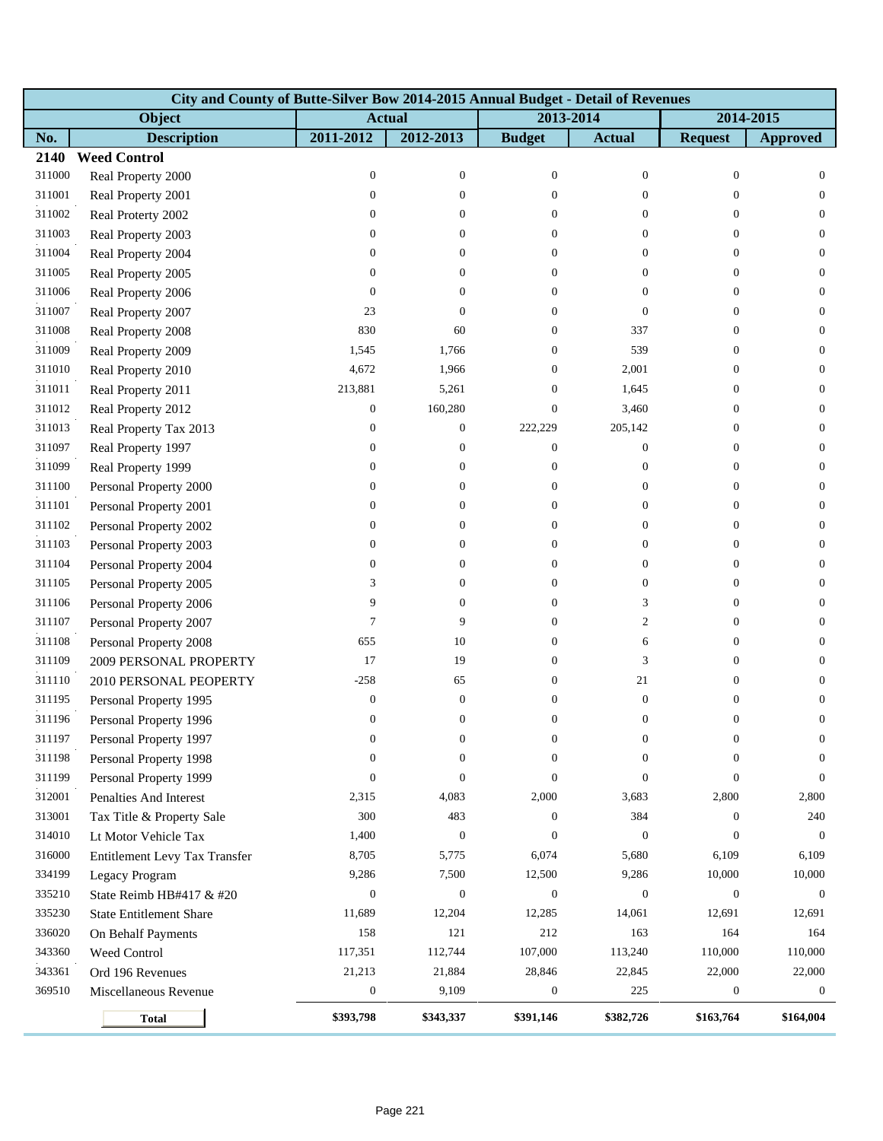|        | City and County of Butte-Silver Bow 2014-2015 Annual Budget - Detail of Revenues |                  |                  |                  |                  |                  |                  |  |  |  |  |
|--------|----------------------------------------------------------------------------------|------------------|------------------|------------------|------------------|------------------|------------------|--|--|--|--|
|        | Object                                                                           | <b>Actual</b>    |                  | 2013-2014        |                  |                  | 2014-2015        |  |  |  |  |
| No.    | <b>Description</b>                                                               | 2011-2012        | 2012-2013        | <b>Budget</b>    | <b>Actual</b>    | <b>Request</b>   | <b>Approved</b>  |  |  |  |  |
| 2140   | <b>Weed Control</b>                                                              |                  |                  |                  |                  |                  |                  |  |  |  |  |
| 311000 | Real Property 2000                                                               | $\boldsymbol{0}$ | $\boldsymbol{0}$ | $\boldsymbol{0}$ | $\boldsymbol{0}$ | $\boldsymbol{0}$ | $\mathbf{0}$     |  |  |  |  |
| 311001 | Real Property 2001                                                               | $\mathbf{0}$     | $\boldsymbol{0}$ | $\theta$         | $\overline{0}$   | $\theta$         | $\overline{0}$   |  |  |  |  |
| 311002 | Real Proterty 2002                                                               | $\mathbf{0}$     | $\overline{0}$   | $\overline{0}$   | $\overline{0}$   | $\overline{0}$   | $\overline{0}$   |  |  |  |  |
| 311003 | Real Property 2003                                                               | $\boldsymbol{0}$ | $\overline{0}$   | $\overline{0}$   | $\overline{0}$   | $\mathbf{0}$     | $\mathbf{0}$     |  |  |  |  |
| 311004 | Real Property 2004                                                               | $\boldsymbol{0}$ | $\boldsymbol{0}$ | $\overline{0}$   | 0                | $\theta$         | $\mathbf{0}$     |  |  |  |  |
| 311005 | Real Property 2005                                                               | $\mathbf{0}$     | 0                | $\overline{0}$   | $\overline{0}$   | $\overline{0}$   | $\overline{0}$   |  |  |  |  |
| 311006 | Real Property 2006                                                               | $\mathbf{0}$     | 0                | $\overline{0}$   | $\overline{0}$   | $\overline{0}$   | $\mathbf{0}$     |  |  |  |  |
| 311007 | Real Property 2007                                                               | 23               | $\theta$         | $\Omega$         | $\overline{0}$   | $\theta$         | $\mathbf{0}$     |  |  |  |  |
| 311008 | Real Property 2008                                                               | 830              | 60               | $\overline{0}$   | 337              | $\boldsymbol{0}$ | $\mathbf{0}$     |  |  |  |  |
| 311009 | Real Property 2009                                                               | 1,545            | 1,766            | 0                | 539              | $\theta$         | $\mathbf{0}$     |  |  |  |  |
| 311010 | Real Property 2010                                                               | 4,672            | 1,966            | $\overline{0}$   | 2,001            | $\theta$         | $\mathbf{0}$     |  |  |  |  |
| 311011 | Real Property 2011                                                               | 213,881          | 5,261            | $\mathbf{0}$     | 1,645            | $\theta$         | $\mathbf{0}$     |  |  |  |  |
| 311012 | Real Property 2012                                                               | $\boldsymbol{0}$ | 160,280          | $\overline{0}$   | 3,460            | $\theta$         | $\mathbf{0}$     |  |  |  |  |
| 311013 | Real Property Tax 2013                                                           | $\boldsymbol{0}$ | $\boldsymbol{0}$ | 222,229          | 205,142          | $\theta$         | $\mathbf{0}$     |  |  |  |  |
| 311097 | Real Property 1997                                                               | $\mathbf{0}$     | $\boldsymbol{0}$ | $\theta$         | $\boldsymbol{0}$ | $\theta$         | $\mathbf{0}$     |  |  |  |  |
| 311099 | Real Property 1999                                                               | $\boldsymbol{0}$ | $\overline{0}$   | $\overline{0}$   | $\boldsymbol{0}$ | $\theta$         | $\mathbf{0}$     |  |  |  |  |
| 311100 | Personal Property 2000                                                           | $\boldsymbol{0}$ | $\boldsymbol{0}$ | $\overline{0}$   | $\boldsymbol{0}$ | $\boldsymbol{0}$ | $\mathbf{0}$     |  |  |  |  |
| 311101 | Personal Property 2001                                                           | $\boldsymbol{0}$ | 0                | 0                | $\overline{0}$   | $\theta$         | $\mathbf{0}$     |  |  |  |  |
| 311102 | Personal Property 2002                                                           | $\boldsymbol{0}$ | 0                | $\Omega$         | $\overline{0}$   | $\theta$         | $\mathbf{0}$     |  |  |  |  |
| 311103 | Personal Property 2003                                                           | $\boldsymbol{0}$ | $\theta$         | $\mathbf{0}$     | $\overline{0}$   | $\theta$         | $\mathbf{0}$     |  |  |  |  |
| 311104 | Personal Property 2004                                                           | $\boldsymbol{0}$ | $\boldsymbol{0}$ | 0                | $\boldsymbol{0}$ | $\theta$         | $\mathbf{0}$     |  |  |  |  |
| 311105 | Personal Property 2005                                                           | 3                | $\boldsymbol{0}$ | $\overline{0}$   | $\boldsymbol{0}$ | $\overline{0}$   | $\mathbf{0}$     |  |  |  |  |
| 311106 | Personal Property 2006                                                           | 9                | $\overline{0}$   | $\overline{0}$   | 3                | $\overline{0}$   | $\mathbf{0}$     |  |  |  |  |
| 311107 | Personal Property 2007                                                           | $\tau$           | 9                | $\mathbf{0}$     | $\overline{c}$   | $\theta$         | $\mathbf{0}$     |  |  |  |  |
| 311108 | Personal Property 2008                                                           | 655              | 10               | $\overline{0}$   | 6                | $\theta$         | $\mathbf{0}$     |  |  |  |  |
| 311109 | 2009 PERSONAL PROPERTY                                                           | 17               | 19               | $\overline{0}$   | 3                | $\theta$         | $\mathbf{0}$     |  |  |  |  |
| 311110 | 2010 PERSONAL PEOPERTY                                                           | $-258$           | 65               | $\Omega$         | 21               | $\theta$         | $\overline{0}$   |  |  |  |  |
| 311195 | Personal Property 1995                                                           | $\boldsymbol{0}$ | $\boldsymbol{0}$ | $\mathbf{0}$     | $\boldsymbol{0}$ | $\boldsymbol{0}$ | $\boldsymbol{0}$ |  |  |  |  |
| 311196 | Personal Property 1996                                                           | $\mathbf{0}$     | $\boldsymbol{0}$ | $\overline{0}$   | $\boldsymbol{0}$ | $\boldsymbol{0}$ | $\mathbf{0}$     |  |  |  |  |
| 311197 | Personal Property 1997                                                           | $\bf{0}$         | 0                | $\bf{0}$         | 0                | $\bf{0}$         | $\bf{0}$         |  |  |  |  |
| 311198 | Personal Property 1998                                                           | $\mathbf{0}$     | $\boldsymbol{0}$ | $\Omega$         | $\overline{0}$   | $\Omega$         | $\theta$         |  |  |  |  |
| 311199 | Personal Property 1999                                                           | $\boldsymbol{0}$ | $\mathbf{0}$     | $\Omega$         | $\overline{0}$   | $\boldsymbol{0}$ | $\mathbf{0}$     |  |  |  |  |
| 312001 | Penalties And Interest                                                           | 2,315            | 4,083            | 2,000            | 3,683            | 2,800            | 2,800            |  |  |  |  |
| 313001 | Tax Title & Property Sale                                                        | 300              | 483              | $\theta$         | 384              | $\mathbf{0}$     | 240              |  |  |  |  |
| 314010 | Lt Motor Vehicle Tax                                                             | 1,400            | $\boldsymbol{0}$ | $\Omega$         | $\boldsymbol{0}$ | $\theta$         | $\theta$         |  |  |  |  |
| 316000 | Entitlement Levy Tax Transfer                                                    | 8,705            | 5,775            | 6,074            | 5,680            | 6,109            | 6,109            |  |  |  |  |
| 334199 | Legacy Program                                                                   | 9,286            | 7,500            | 12,500           | 9,286            | 10,000           | 10,000           |  |  |  |  |
| 335210 | State Reimb HB#417 & #20                                                         | $\boldsymbol{0}$ | $\boldsymbol{0}$ | $\mathbf{0}$     | $\boldsymbol{0}$ | $\boldsymbol{0}$ | $\mathbf{0}$     |  |  |  |  |
| 335230 | <b>State Entitlement Share</b>                                                   | 11,689           | 12,204           | 12,285           | 14,061           | 12,691           | 12,691           |  |  |  |  |
| 336020 | On Behalf Payments                                                               | 158              | 121              | 212              | 163              | 164              | 164              |  |  |  |  |
| 343360 | Weed Control                                                                     | 117,351          | 112,744          | 107,000          | 113,240          | 110,000          | 110,000          |  |  |  |  |
| 343361 | Ord 196 Revenues                                                                 | 21,213           | 21,884           | 28,846           | 22,845           | 22,000           | 22,000           |  |  |  |  |
| 369510 | Miscellaneous Revenue                                                            | $\mathbf{0}$     | 9,109            | $\mathbf{0}$     | 225              | $\boldsymbol{0}$ | $\overline{0}$   |  |  |  |  |
|        | <b>Total</b>                                                                     | \$393,798        | \$343,337        | \$391,146        | \$382,726        | \$163,764        | \$164,004        |  |  |  |  |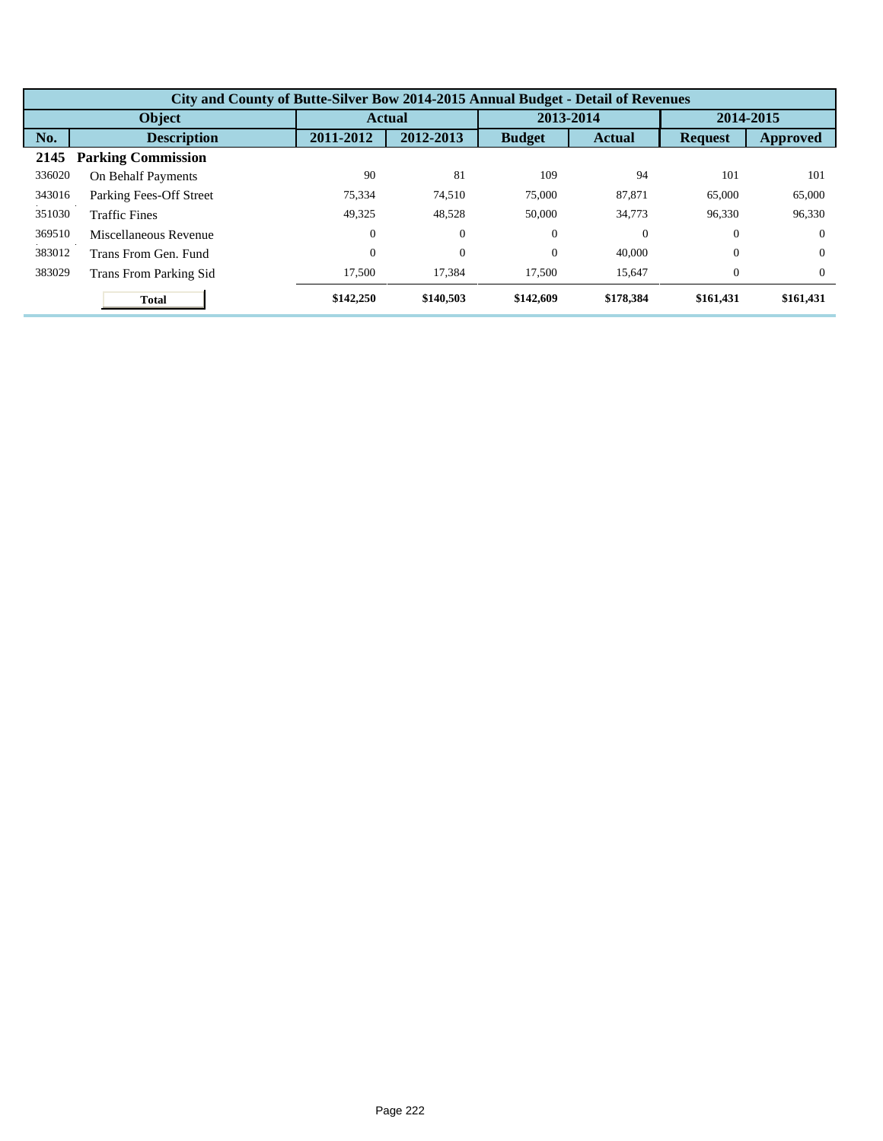| City and County of Butte-Silver Bow 2014-2015 Annual Budget - Detail of Revenues |                               |                  |               |               |               |                |           |  |  |  |
|----------------------------------------------------------------------------------|-------------------------------|------------------|---------------|---------------|---------------|----------------|-----------|--|--|--|
|                                                                                  | <b>Object</b>                 |                  | <b>Actual</b> |               | 2013-2014     |                | 2014-2015 |  |  |  |
| No.                                                                              | <b>Description</b>            | 2011-2012        | 2012-2013     | <b>Budget</b> | <b>Actual</b> | <b>Request</b> | Approved  |  |  |  |
| 2145                                                                             | <b>Parking Commission</b>     |                  |               |               |               |                |           |  |  |  |
| 336020                                                                           | On Behalf Payments            | 90               | 81            | 109           | 94            | 101            | 101       |  |  |  |
| 343016                                                                           | Parking Fees-Off Street       | 75.334           | 74.510        | 75,000        | 87,871        | 65,000         | 65,000    |  |  |  |
| 351030                                                                           | <b>Traffic Fines</b>          | 49.325           | 48,528        | 50,000        | 34,773        | 96,330         | 96,330    |  |  |  |
| 369510                                                                           | Miscellaneous Revenue         | $\Omega$         | $\theta$      | $\theta$      | $\theta$      | $\Omega$       | $\Omega$  |  |  |  |
| 383012                                                                           | Trans From Gen. Fund          | $\boldsymbol{0}$ | $\theta$      | $\theta$      | 40,000        | $\theta$       | $\Omega$  |  |  |  |
| 383029                                                                           | <b>Trans From Parking Sid</b> | 17,500           | 17,384        | 17,500        | 15,647        | $\theta$       | $\Omega$  |  |  |  |
|                                                                                  | <b>Total</b>                  | \$142,250        | \$140,503     | \$142,609     | \$178,384     | \$161,431      | \$161,431 |  |  |  |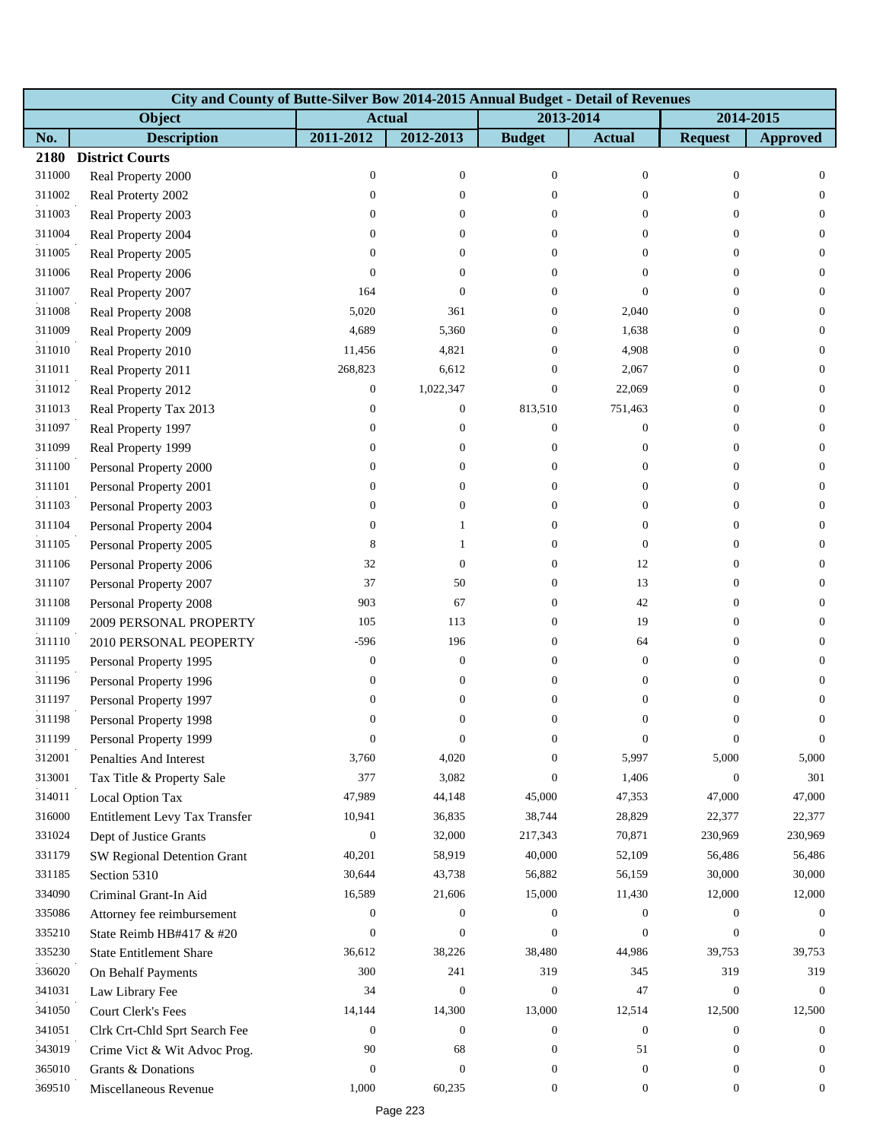|        | City and County of Butte-Silver Bow 2014-2015 Annual Budget - Detail of Revenues |                  |                  |                  |                  |                  |                  |  |  |  |  |
|--------|----------------------------------------------------------------------------------|------------------|------------------|------------------|------------------|------------------|------------------|--|--|--|--|
|        | Object                                                                           | <b>Actual</b>    |                  | 2013-2014        |                  |                  | 2014-2015        |  |  |  |  |
| No.    | <b>Description</b>                                                               | 2011-2012        | 2012-2013        | <b>Budget</b>    | <b>Actual</b>    | <b>Request</b>   | <b>Approved</b>  |  |  |  |  |
| 2180   | <b>District Courts</b>                                                           |                  |                  |                  |                  |                  |                  |  |  |  |  |
| 311000 | Real Property 2000                                                               | $\boldsymbol{0}$ | $\boldsymbol{0}$ | $\mathbf{0}$     | $\boldsymbol{0}$ | $\mathbf{0}$     | $\overline{0}$   |  |  |  |  |
| 311002 | Real Proterty 2002                                                               | $\boldsymbol{0}$ | $\overline{0}$   | $\Omega$         | $\overline{0}$   | $\Omega$         | $\Omega$         |  |  |  |  |
| 311003 | Real Property 2003                                                               | $\boldsymbol{0}$ | $\overline{0}$   | $\Omega$         | $\overline{0}$   | $\overline{0}$   | $\overline{0}$   |  |  |  |  |
| 311004 | Real Property 2004                                                               | $\boldsymbol{0}$ | $\overline{0}$   | $\overline{0}$   | $\overline{0}$   | $\overline{0}$   | $\overline{0}$   |  |  |  |  |
| 311005 | Real Property 2005                                                               | 0                | $\overline{0}$   | $\overline{0}$   | $\theta$         | $\overline{0}$   | $\overline{0}$   |  |  |  |  |
| 311006 | Real Property 2006                                                               | $\Omega$         | $\Omega$         | $\Omega$         | $\overline{0}$   | $\Omega$         | $\overline{0}$   |  |  |  |  |
| 311007 | Real Property 2007                                                               | 164              | $\Omega$         | $\Omega$         | $\mathbf{0}$     | $\theta$         | $\overline{0}$   |  |  |  |  |
| 311008 | Real Property 2008                                                               | 5,020            | 361              | $\Omega$         | 2,040            | $\mathbf{0}$     | $\overline{0}$   |  |  |  |  |
| 311009 | Real Property 2009                                                               | 4,689            | 5,360            | $\overline{0}$   | 1,638            | $\theta$         | $\overline{0}$   |  |  |  |  |
| 311010 | Real Property 2010                                                               | 11,456           | 4,821            | $\Omega$         | 4,908            | $\Omega$         | $\Omega$         |  |  |  |  |
| 311011 | Real Property 2011                                                               | 268,823          | 6,612            | $\overline{0}$   | 2,067            | $\theta$         | $\overline{0}$   |  |  |  |  |
| 311012 | Real Property 2012                                                               | $\boldsymbol{0}$ | 1,022,347        | $\overline{0}$   | 22,069           | $\mathbf{0}$     | $\Omega$         |  |  |  |  |
| 311013 | Real Property Tax 2013                                                           | $\boldsymbol{0}$ | $\boldsymbol{0}$ | 813,510          | 751,463          | $\theta$         | $\overline{0}$   |  |  |  |  |
| 311097 | Real Property 1997                                                               | $\boldsymbol{0}$ | $\overline{0}$   | $\overline{0}$   | $\mathbf{0}$     | $\Omega$         | $\Omega$         |  |  |  |  |
| 311099 | Real Property 1999                                                               | $\boldsymbol{0}$ | $\overline{0}$   | $\overline{0}$   | $\mathbf{0}$     | $\Omega$         | $\overline{0}$   |  |  |  |  |
| 311100 | Personal Property 2000                                                           | $\boldsymbol{0}$ | $\Omega$         | $\overline{0}$   | $\boldsymbol{0}$ | $\mathbf{0}$     | $\overline{0}$   |  |  |  |  |
| 311101 | Personal Property 2001                                                           | $\boldsymbol{0}$ | 0                | $\overline{0}$   | $\boldsymbol{0}$ | $\theta$         | $\overline{0}$   |  |  |  |  |
| 311103 | Personal Property 2003                                                           | $\boldsymbol{0}$ | $\Omega$         | 0                | $\mathbf{0}$     | $\Omega$         | $\Omega$         |  |  |  |  |
| 311104 | Personal Property 2004                                                           | 0                | 1                | $\Omega$         | $\mathbf{0}$     | $\Omega$         | $\overline{0}$   |  |  |  |  |
| 311105 | Personal Property 2005                                                           | 8                | 1                | $\Omega$         | $\mathbf{0}$     | $\Omega$         | $\overline{0}$   |  |  |  |  |
| 311106 | Personal Property 2006                                                           | 32               | $\mathbf{0}$     | $\overline{0}$   | 12               | $\theta$         | $\overline{0}$   |  |  |  |  |
| 311107 | Personal Property 2007                                                           | 37               | 50               | $\Omega$         | 13               | $\Omega$         | $\Omega$         |  |  |  |  |
| 311108 | Personal Property 2008                                                           | 903              | 67               | $\overline{0}$   | 42               | $\Omega$         | $\overline{0}$   |  |  |  |  |
| 311109 | 2009 PERSONAL PROPERTY                                                           | 105              | 113              | $\overline{0}$   | 19               | $\mathbf{0}$     | $\overline{0}$   |  |  |  |  |
| 311110 | 2010 PERSONAL PEOPERTY                                                           | $-596$           | 196              | $\overline{0}$   | 64               | $\theta$         | $\overline{0}$   |  |  |  |  |
| 311195 | Personal Property 1995                                                           | $\boldsymbol{0}$ | $\mathbf{0}$     | $\overline{0}$   | $\mathbf{0}$     | $\Omega$         | $\overline{0}$   |  |  |  |  |
| 311196 | Personal Property 1996                                                           | $\boldsymbol{0}$ | $\mathbf{0}$     | $\overline{0}$   | $\overline{0}$   | $\overline{0}$   | $\overline{0}$   |  |  |  |  |
| 311197 | Personal Property 1997                                                           | 0                | $\mathbf{0}$     | $\overline{0}$   | $\boldsymbol{0}$ | $\mathbf{0}$     | $\mathbf{0}$     |  |  |  |  |
| 311198 | Personal Property 1998                                                           | $\overline{0}$   | $\boldsymbol{0}$ | $\overline{0}$   | $\mathbf{0}$     | $\mathbf{0}$     | $\mathbf{0}$     |  |  |  |  |
| 311199 | Personal Property 1999                                                           | $\boldsymbol{0}$ | 0                | $\boldsymbol{0}$ | $\boldsymbol{0}$ | $\boldsymbol{0}$ | $\overline{0}$   |  |  |  |  |
| 312001 | Penalties And Interest                                                           | 3,760            | 4,020            | $\Omega$         | 5,997            | 5,000            | 5,000            |  |  |  |  |
| 313001 | Tax Title & Property Sale                                                        | 377              | 3,082            | $\overline{0}$   | 1,406            | $\mathbf{0}$     | 301              |  |  |  |  |
| 314011 | Local Option Tax                                                                 | 47,989           | 44,148           | 45,000           | 47,353           | 47,000           | 47,000           |  |  |  |  |
| 316000 | Entitlement Levy Tax Transfer                                                    | 10,941           | 36,835           | 38,744           | 28,829           | 22,377           | 22,377           |  |  |  |  |
| 331024 | Dept of Justice Grants                                                           | $\boldsymbol{0}$ | 32,000           | 217,343          | 70,871           | 230,969          | 230,969          |  |  |  |  |
| 331179 | SW Regional Detention Grant                                                      | 40,201           | 58,919           | 40,000           | 52,109           | 56,486           | 56,486           |  |  |  |  |
| 331185 | Section 5310                                                                     | 30,644           | 43,738           | 56,882           | 56,159           | 30,000           | 30,000           |  |  |  |  |
| 334090 | Criminal Grant-In Aid                                                            | 16,589           | 21,606           | 15,000           | 11,430           | 12,000           | 12,000           |  |  |  |  |
| 335086 | Attorney fee reimbursement                                                       | $\boldsymbol{0}$ | $\mathbf{0}$     | $\overline{0}$   | $\mathbf{0}$     | $\overline{0}$   | $\Omega$         |  |  |  |  |
| 335210 | State Reimb HB#417 & #20                                                         | $\boldsymbol{0}$ | $\mathbf{0}$     | $\overline{0}$   | $\boldsymbol{0}$ | $\theta$         | $\Omega$         |  |  |  |  |
| 335230 | <b>State Entitlement Share</b>                                                   | 36,612           | 38,226           | 38,480           | 44,986           | 39,753           | 39,753           |  |  |  |  |
| 336020 | On Behalf Payments                                                               | 300              | 241              | 319              | 345              | 319              | 319              |  |  |  |  |
| 341031 | Law Library Fee                                                                  | 34               | $\mathbf{0}$     | $\overline{0}$   | 47               | $\mathbf{0}$     | $\overline{0}$   |  |  |  |  |
| 341050 | Court Clerk's Fees                                                               | 14,144           | 14,300           | 13,000           | 12,514           | 12,500           | 12,500           |  |  |  |  |
| 341051 | Clrk Crt-Chld Sprt Search Fee                                                    | $\boldsymbol{0}$ | $\boldsymbol{0}$ | $\boldsymbol{0}$ | $\boldsymbol{0}$ | $\mathbf{0}$     | $\overline{0}$   |  |  |  |  |
| 343019 | Crime Vict & Wit Advoc Prog.                                                     | 90               | 68               | $\boldsymbol{0}$ | 51               | $\overline{0}$   | $\overline{0}$   |  |  |  |  |
| 365010 | Grants & Donations                                                               | $\boldsymbol{0}$ | $\mathbf{0}$     | $\overline{0}$   | $\mathbf{0}$     | $\overline{0}$   | $\overline{0}$   |  |  |  |  |
| 369510 | Miscellaneous Revenue                                                            | 1,000            | 60,235           | 0                | $\mathbf{0}$     | $\mathbf{0}$     | $\boldsymbol{0}$ |  |  |  |  |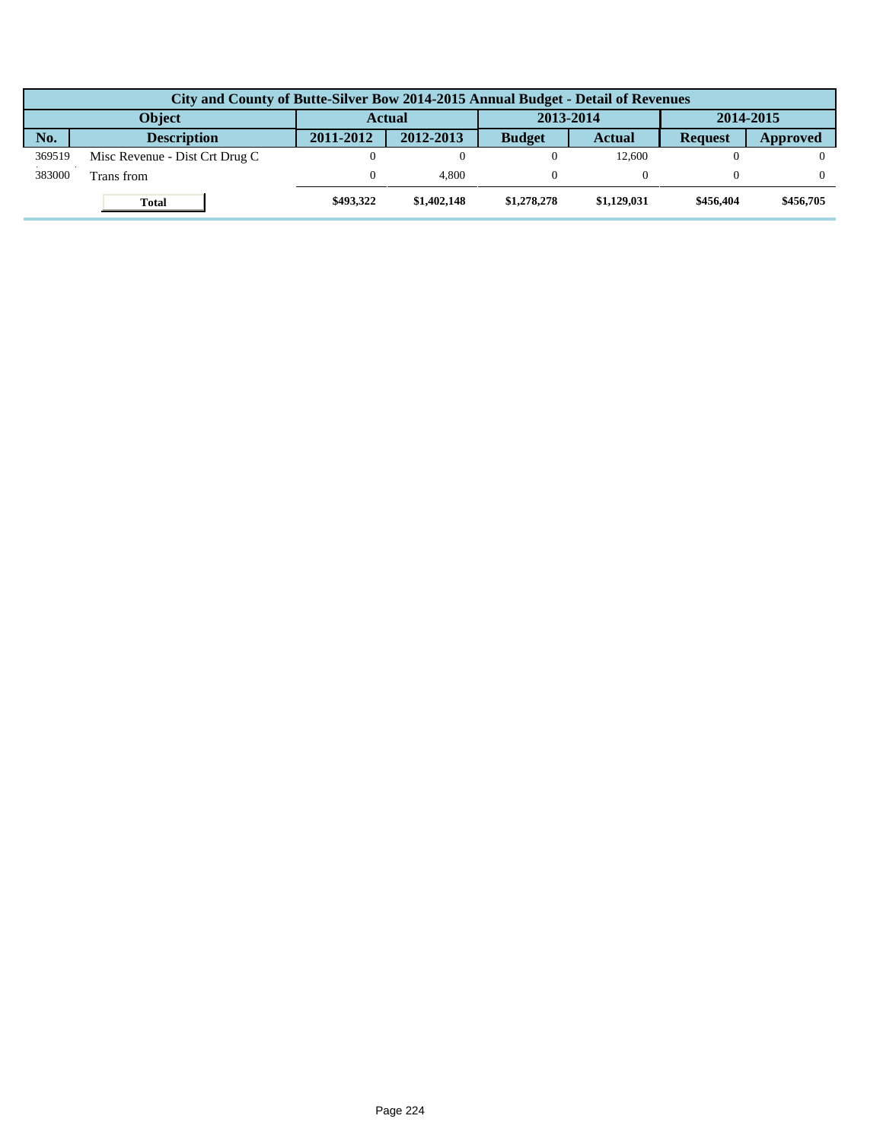| City and County of Butte-Silver Bow 2014-2015 Annual Budget - Detail of Revenues |                                |               |             |               |             |                |           |  |  |  |
|----------------------------------------------------------------------------------|--------------------------------|---------------|-------------|---------------|-------------|----------------|-----------|--|--|--|
|                                                                                  | <b>Object</b>                  | <b>Actual</b> |             | 2013-2014     |             | 2014-2015      |           |  |  |  |
| No.                                                                              | <b>Description</b>             | 2011-2012     | 2012-2013   | <b>Budget</b> | Actual      | <b>Request</b> | Approved  |  |  |  |
| 369519                                                                           | Misc Revenue - Dist Crt Drug C |               |             |               | 12.600      |                |           |  |  |  |
| 383000                                                                           | Trans from                     |               | 4.800       |               |             |                |           |  |  |  |
|                                                                                  | <b>Total</b>                   | \$493,322     | \$1,402,148 | \$1,278,278   | \$1,129,031 | \$456,404      | \$456,705 |  |  |  |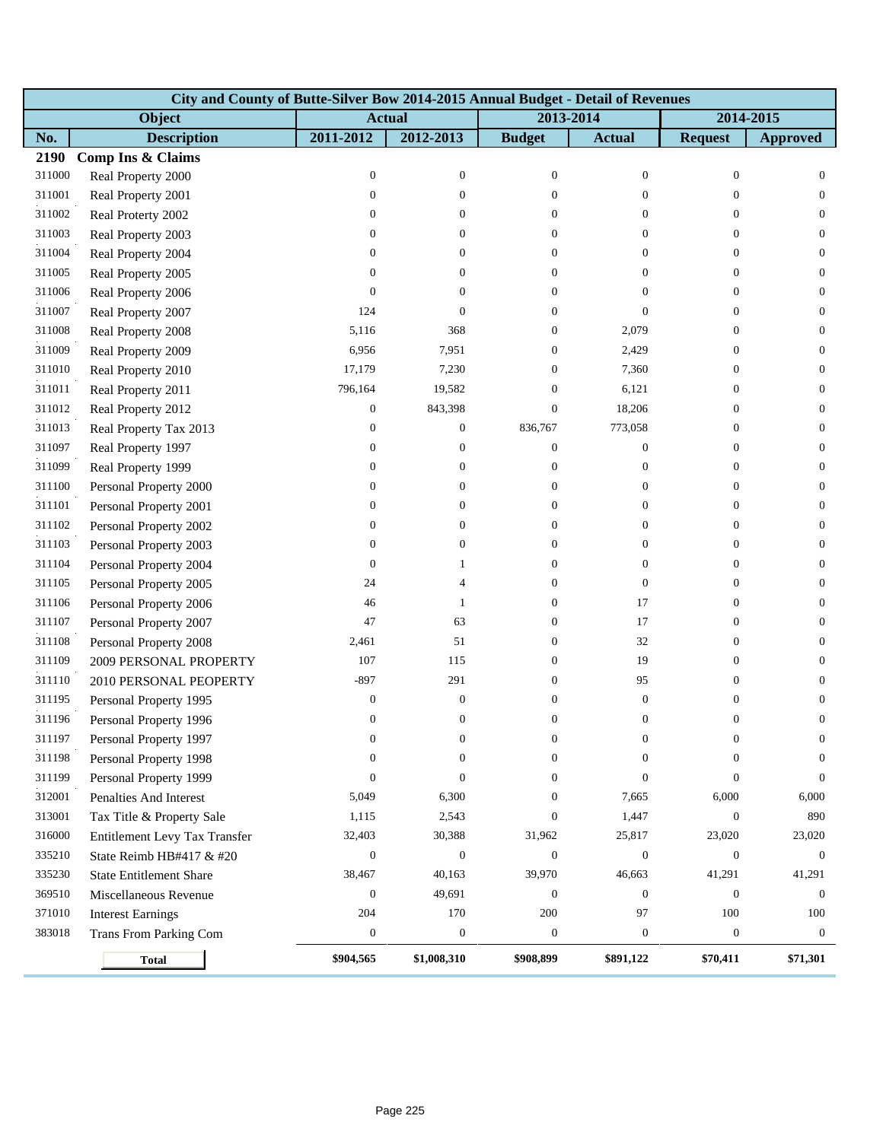|        | City and County of Butte-Silver Bow 2014-2015 Annual Budget - Detail of Revenues |                  |                  |                  |                  |                  |                  |  |  |  |  |
|--------|----------------------------------------------------------------------------------|------------------|------------------|------------------|------------------|------------------|------------------|--|--|--|--|
|        | Object                                                                           |                  | <b>Actual</b>    |                  | 2013-2014        |                  | 2014-2015        |  |  |  |  |
| No.    | <b>Description</b>                                                               | 2011-2012        | 2012-2013        | <b>Budget</b>    | <b>Actual</b>    | <b>Request</b>   | <b>Approved</b>  |  |  |  |  |
| 2190   | Comp Ins & Claims                                                                |                  |                  |                  |                  |                  |                  |  |  |  |  |
| 311000 | Real Property 2000                                                               | $\boldsymbol{0}$ | $\boldsymbol{0}$ | $\boldsymbol{0}$ | $\boldsymbol{0}$ | $\boldsymbol{0}$ | $\mathbf{0}$     |  |  |  |  |
| 311001 | Real Property 2001                                                               | $\boldsymbol{0}$ | $\mathbf{0}$     | $\theta$         | $\overline{0}$   | $\theta$         | $\mathbf{0}$     |  |  |  |  |
| 311002 | Real Proterty 2002                                                               | $\mathbf{0}$     | $\overline{0}$   | $\Omega$         | $\overline{0}$   | $\overline{0}$   | $\mathbf{0}$     |  |  |  |  |
| 311003 | Real Property 2003                                                               | $\boldsymbol{0}$ | $\overline{0}$   | $\Omega$         | $\overline{0}$   | $\theta$         | $\mathbf{0}$     |  |  |  |  |
| 311004 | Real Property 2004                                                               | $\boldsymbol{0}$ | $\theta$         | 0                | $\boldsymbol{0}$ | $\theta$         | $\mathbf{0}$     |  |  |  |  |
| 311005 | Real Property 2005                                                               | $\mathbf{0}$     | 0                | 0                | $\overline{0}$   | $\overline{0}$   | $\mathbf{0}$     |  |  |  |  |
| 311006 | Real Property 2006                                                               | $\mathbf{0}$     | 0                | $\Omega$         | $\overline{0}$   | $\overline{0}$   | $\mathbf{0}$     |  |  |  |  |
| 311007 | Real Property 2007                                                               | 124              | $\mathbf{0}$     | $\Omega$         | $\overline{0}$   | $\mathbf{0}$     | $\mathbf{0}$     |  |  |  |  |
| 311008 | Real Property 2008                                                               | 5,116            | 368              | $\overline{0}$   | 2,079            | $\boldsymbol{0}$ | $\mathbf{0}$     |  |  |  |  |
| 311009 | Real Property 2009                                                               | 6,956            | 7,951            | $\theta$         | 2,429            | $\boldsymbol{0}$ | $\mathbf{0}$     |  |  |  |  |
| 311010 | Real Property 2010                                                               | 17,179           | 7,230            | $\Omega$         | 7,360            | $\theta$         | $\mathbf{0}$     |  |  |  |  |
| 311011 | Real Property 2011                                                               | 796,164          | 19,582           | $\mathbf{0}$     | 6,121            | $\theta$         | $\mathbf{0}$     |  |  |  |  |
| 311012 | Real Property 2012                                                               | $\boldsymbol{0}$ | 843,398          | $\overline{0}$   | 18,206           | $\boldsymbol{0}$ | $\mathbf{0}$     |  |  |  |  |
| 311013 | Real Property Tax 2013                                                           | $\boldsymbol{0}$ | $\boldsymbol{0}$ | 836,767          | 773,058          | $\boldsymbol{0}$ | $\mathbf{0}$     |  |  |  |  |
| 311097 | Real Property 1997                                                               | $\mathbf{0}$     | $\mathbf{0}$     | $\theta$         | $\boldsymbol{0}$ | $\mathbf{0}$     | $\mathbf{0}$     |  |  |  |  |
| 311099 | Real Property 1999                                                               | $\boldsymbol{0}$ | $\mathbf{0}$     | $\overline{0}$   | $\boldsymbol{0}$ | $\theta$         | $\mathbf{0}$     |  |  |  |  |
| 311100 | Personal Property 2000                                                           | $\boldsymbol{0}$ | $\boldsymbol{0}$ | $\overline{0}$   | $\boldsymbol{0}$ | $\boldsymbol{0}$ | $\mathbf{0}$     |  |  |  |  |
| 311101 | Personal Property 2001                                                           | $\boldsymbol{0}$ | $\boldsymbol{0}$ | $\overline{0}$   | $\boldsymbol{0}$ | $\boldsymbol{0}$ | $\mathbf{0}$     |  |  |  |  |
| 311102 | Personal Property 2002                                                           | $\boldsymbol{0}$ | $\overline{0}$   | $\Omega$         | $\overline{0}$   | $\theta$         | $\mathbf{0}$     |  |  |  |  |
| 311103 | Personal Property 2003                                                           | $\boldsymbol{0}$ | $\boldsymbol{0}$ | $\Omega$         | $\boldsymbol{0}$ | $\theta$         | $\mathbf{0}$     |  |  |  |  |
| 311104 | Personal Property 2004                                                           | $\boldsymbol{0}$ | 1                | $\overline{0}$   | $\boldsymbol{0}$ | $\mathbf{0}$     | $\mathbf{0}$     |  |  |  |  |
| 311105 | Personal Property 2005                                                           | 24               | 4                | $\overline{0}$   | $\boldsymbol{0}$ | $\mathbf{0}$     | $\mathbf{0}$     |  |  |  |  |
| 311106 | Personal Property 2006                                                           | 46               | 1                | $\Omega$         | 17               | $\mathbf{0}$     | $\mathbf{0}$     |  |  |  |  |
| 311107 | Personal Property 2007                                                           | 47               | 63               | $\overline{0}$   | 17               | $\boldsymbol{0}$ | $\mathbf{0}$     |  |  |  |  |
| 311108 | Personal Property 2008                                                           | 2,461            | 51               | $\overline{0}$   | 32               | $\boldsymbol{0}$ | $\mathbf{0}$     |  |  |  |  |
| 311109 | 2009 PERSONAL PROPERTY                                                           | 107              | 115              | $\theta$         | 19               | $\boldsymbol{0}$ | $\mathbf{0}$     |  |  |  |  |
| 311110 | 2010 PERSONAL PEOPERTY                                                           | $-897$           | 291              | $\Omega$         | 95               | $\Omega$         | $\overline{0}$   |  |  |  |  |
| 311195 | Personal Property 1995                                                           | $\boldsymbol{0}$ | $\boldsymbol{0}$ | $\Omega$         | $\boldsymbol{0}$ | $\boldsymbol{0}$ | $\boldsymbol{0}$ |  |  |  |  |
| 311196 | Personal Property 1996                                                           | $\mathbf{0}$     | $\boldsymbol{0}$ | $\overline{0}$   | $\overline{0}$   | $\mathbf{0}$     | $\mathbf{0}$     |  |  |  |  |
| 311197 | Personal Property 1997                                                           | $\theta$         | $\theta$         | $\theta$         | $\sigma$         | $\theta$         | $\theta$         |  |  |  |  |
| 311198 | Personal Property 1998                                                           | $\mathbf{0}$     | $\boldsymbol{0}$ | $\Omega$         | $\Omega$         | $\Omega$         | $\theta$         |  |  |  |  |
| 311199 | Personal Property 1999                                                           | $\mathbf{0}$     | $\mathbf{0}$     | $\Omega$         | $\Omega$         | $\mathbf{0}$     | $\theta$         |  |  |  |  |
| 312001 | Penalties And Interest                                                           | 5,049            | 6,300            | $\overline{0}$   | 7,665            | 6,000            | 6,000            |  |  |  |  |
| 313001 | Tax Title & Property Sale                                                        | 1,115            | 2,543            | $\mathbf{0}$     | 1,447            | $\boldsymbol{0}$ | 890              |  |  |  |  |
| 316000 | Entitlement Levy Tax Transfer                                                    | 32,403           | 30,388           | 31,962           | 25,817           | 23,020           | 23,020           |  |  |  |  |
| 335210 | State Reimb HB#417 & #20                                                         | $\boldsymbol{0}$ | $\boldsymbol{0}$ | $\mathbf{0}$     | $\boldsymbol{0}$ | $\mathbf{0}$     | $\mathbf{0}$     |  |  |  |  |
| 335230 | <b>State Entitlement Share</b>                                                   | 38,467           | 40,163           | 39,970           | 46,663           | 41,291           | 41,291           |  |  |  |  |
| 369510 | Miscellaneous Revenue                                                            | $\boldsymbol{0}$ | 49,691           | $\mathbf{0}$     | $\mathbf{0}$     | $\boldsymbol{0}$ | $\boldsymbol{0}$ |  |  |  |  |
| 371010 | <b>Interest Earnings</b>                                                         | 204              | 170              | 200              | 97               | 100              | 100              |  |  |  |  |
| 383018 | Trans From Parking Com                                                           | $\boldsymbol{0}$ | $\boldsymbol{0}$ | $\mathbf{0}$     | $\boldsymbol{0}$ | $\boldsymbol{0}$ | $\mathbf{0}$     |  |  |  |  |
|        | <b>Total</b>                                                                     | \$904,565        | \$1,008,310      | \$908,899        | \$891,122        | \$70,411         | \$71,301         |  |  |  |  |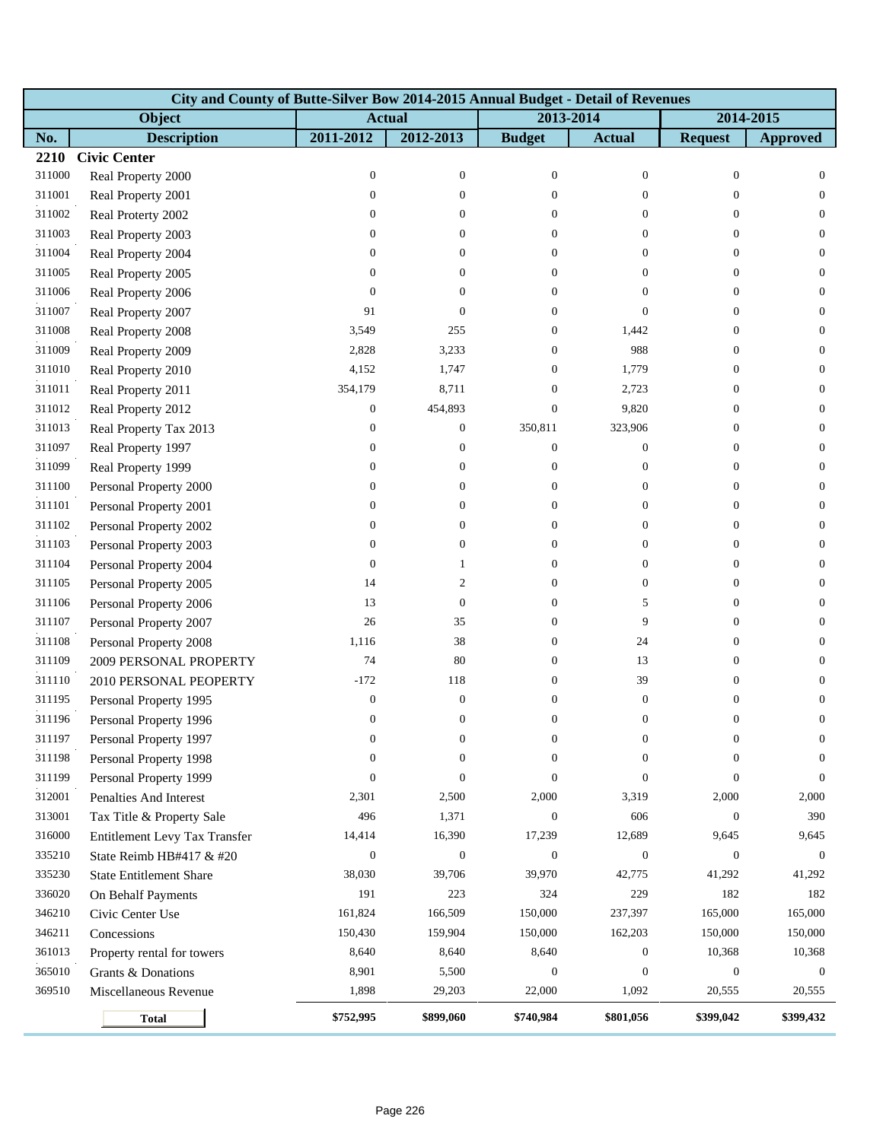|        | City and County of Butte-Silver Bow 2014-2015 Annual Budget - Detail of Revenues |                  |                  |                  |                  |                  |                  |  |  |  |  |
|--------|----------------------------------------------------------------------------------|------------------|------------------|------------------|------------------|------------------|------------------|--|--|--|--|
|        | Object                                                                           | <b>Actual</b>    |                  | 2013-2014        |                  |                  | 2014-2015        |  |  |  |  |
| No.    | <b>Description</b>                                                               | 2011-2012        | 2012-2013        | <b>Budget</b>    | <b>Actual</b>    | <b>Request</b>   | <b>Approved</b>  |  |  |  |  |
| 2210   | <b>Civic Center</b>                                                              |                  |                  |                  |                  |                  |                  |  |  |  |  |
| 311000 | Real Property 2000                                                               | $\mathbf{0}$     | $\boldsymbol{0}$ | $\mathbf{0}$     | $\boldsymbol{0}$ | $\boldsymbol{0}$ | $\mathbf{0}$     |  |  |  |  |
| 311001 | Real Property 2001                                                               | $\boldsymbol{0}$ | $\overline{0}$   | $\overline{0}$   | $\mathbf{0}$     | $\mathbf{0}$     | $\overline{0}$   |  |  |  |  |
| 311002 | Real Proterty 2002                                                               | $\overline{0}$   | $\overline{0}$   | $\overline{0}$   | $\theta$         | $\overline{0}$   | $\overline{0}$   |  |  |  |  |
| 311003 | Real Property 2003                                                               | $\boldsymbol{0}$ | $\overline{0}$   | $\overline{0}$   | $\mathbf{0}$     | $\overline{0}$   | $\boldsymbol{0}$ |  |  |  |  |
| 311004 | Real Property 2004                                                               | 0                | 0                | $\overline{0}$   | $\boldsymbol{0}$ | $\mathbf{0}$     | $\overline{0}$   |  |  |  |  |
| 311005 | Real Property 2005                                                               | $\mathbf{0}$     | $\overline{0}$   | $\overline{0}$   | $\theta$         | $\mathbf{0}$     | $\overline{0}$   |  |  |  |  |
| 311006 | Real Property 2006                                                               | $\mathbf{0}$     | $\mathbf{0}$     | $\overline{0}$   | $\mathbf{0}$     | $\overline{0}$   | $\overline{0}$   |  |  |  |  |
| 311007 | Real Property 2007                                                               | 91               | $\overline{0}$   | $\overline{0}$   | $\mathbf{0}$     | $\overline{0}$   | $\boldsymbol{0}$ |  |  |  |  |
| 311008 | Real Property 2008                                                               | 3,549            | 255              | 0                | 1,442            | $\boldsymbol{0}$ | $\mathbf{0}$     |  |  |  |  |
| 311009 | Real Property 2009                                                               | 2,828            | 3,233            | $\overline{0}$   | 988              | $\overline{0}$   | $\boldsymbol{0}$ |  |  |  |  |
| 311010 | Real Property 2010                                                               | 4,152            | 1,747            | $\overline{0}$   | 1,779            | $\overline{0}$   | $\overline{0}$   |  |  |  |  |
| 311011 | Real Property 2011                                                               | 354,179          | 8,711            | $\overline{0}$   | 2,723            | $\overline{0}$   | $\boldsymbol{0}$ |  |  |  |  |
| 311012 | Real Property 2012                                                               | $\mathbf{0}$     | 454,893          | $\overline{0}$   | 9,820            | $\overline{0}$   | $\mathbf{0}$     |  |  |  |  |
| 311013 | Real Property Tax 2013                                                           | $\boldsymbol{0}$ | $\boldsymbol{0}$ | 350,811          | 323,906          | $\overline{0}$   | $\boldsymbol{0}$ |  |  |  |  |
| 311097 | Real Property 1997                                                               | $\mathbf{0}$     | $\boldsymbol{0}$ | $\boldsymbol{0}$ | $\boldsymbol{0}$ | $\overline{0}$   | $\overline{0}$   |  |  |  |  |
| 311099 | Real Property 1999                                                               | $\boldsymbol{0}$ | $\boldsymbol{0}$ | $\boldsymbol{0}$ | $\boldsymbol{0}$ | $\overline{0}$   | $\boldsymbol{0}$ |  |  |  |  |
| 311100 | Personal Property 2000                                                           | 0                | $\boldsymbol{0}$ | $\mathbf{0}$     | $\boldsymbol{0}$ | $\boldsymbol{0}$ | $\mathbf{0}$     |  |  |  |  |
| 311101 | Personal Property 2001                                                           | $\boldsymbol{0}$ | $\overline{0}$   | $\overline{0}$   | $\theta$         | $\overline{0}$   | $\boldsymbol{0}$ |  |  |  |  |
| 311102 | Personal Property 2002                                                           | 0                | $\overline{0}$   | $\overline{0}$   | $\theta$         | $\overline{0}$   | $\overline{0}$   |  |  |  |  |
| 311103 | Personal Property 2003                                                           | $\boldsymbol{0}$ | 0                | $\overline{0}$   | $\mathbf{0}$     | $\overline{0}$   | $\boldsymbol{0}$ |  |  |  |  |
| 311104 | Personal Property 2004                                                           | $\boldsymbol{0}$ | 1                | $\overline{0}$   | $\boldsymbol{0}$ | $\overline{0}$   | $\mathbf{0}$     |  |  |  |  |
| 311105 | Personal Property 2005                                                           | 14               | 2                | $\overline{0}$   | $\mathbf{0}$     | $\overline{0}$   | $\boldsymbol{0}$ |  |  |  |  |
| 311106 | Personal Property 2006                                                           | 13               | $\boldsymbol{0}$ | $\overline{0}$   | 5                | $\overline{0}$   | $\overline{0}$   |  |  |  |  |
| 311107 | Personal Property 2007                                                           | 26               | 35               | $\overline{0}$   | 9                | $\overline{0}$   | $\boldsymbol{0}$ |  |  |  |  |
| 311108 | Personal Property 2008                                                           | 1,116            | 38               | $\mathbf{0}$     | 24               | $\boldsymbol{0}$ | $\mathbf{0}$     |  |  |  |  |
| 311109 | 2009 PERSONAL PROPERTY                                                           | 74               | 80               | $\overline{0}$   | 13               | $\overline{0}$   | $\boldsymbol{0}$ |  |  |  |  |
| 311110 | 2010 PERSONAL PEOPERTY                                                           | $-172$           | 118              | $\overline{0}$   | 39               | $\theta$         | $\overline{0}$   |  |  |  |  |
| 311195 | Personal Property 1995                                                           | $\boldsymbol{0}$ | $\boldsymbol{0}$ | $\overline{0}$   | $\boldsymbol{0}$ | $\boldsymbol{0}$ | $\boldsymbol{0}$ |  |  |  |  |
| 311196 | Personal Property 1996                                                           | $\mathbf{0}$     | $\boldsymbol{0}$ | $\overline{0}$   | $\boldsymbol{0}$ | $\boldsymbol{0}$ | $\boldsymbol{0}$ |  |  |  |  |
| 311197 | Personal Property 1997                                                           | $\boldsymbol{0}$ | 0                | $\theta$         | 0                | $\bf{0}$         | $\bf{0}$         |  |  |  |  |
| 311198 | Personal Property 1998                                                           | $\mathbf{0}$     | $\boldsymbol{0}$ | $\Omega$         | $\theta$         | $\theta$         | $\Omega$         |  |  |  |  |
| 311199 | Personal Property 1999                                                           | $\mathbf{0}$     | $\overline{0}$   | $\Omega$         | $\mathbf{0}$     | $\overline{0}$   | $\theta$         |  |  |  |  |
| 312001 | Penalties And Interest                                                           | 2,301            | 2,500            | 2,000            | 3,319            | 2,000            | 2,000            |  |  |  |  |
| 313001 | Tax Title & Property Sale                                                        | 496              | 1,371            | $\mathbf{0}$     | 606              | $\boldsymbol{0}$ | 390              |  |  |  |  |
| 316000 | Entitlement Levy Tax Transfer                                                    | 14,414           | 16,390           | 17,239           | 12,689           | 9,645            | 9,645            |  |  |  |  |
| 335210 | State Reimb HB#417 & #20                                                         | $\boldsymbol{0}$ | $\boldsymbol{0}$ | $\overline{0}$   | $\boldsymbol{0}$ | $\mathbf{0}$     | $\boldsymbol{0}$ |  |  |  |  |
| 335230 | <b>State Entitlement Share</b>                                                   | 38,030           | 39,706           | 39,970           | 42,775           | 41,292           | 41,292           |  |  |  |  |
| 336020 | On Behalf Payments                                                               | 191              | 223              | 324              | 229              | 182              | 182              |  |  |  |  |
| 346210 | Civic Center Use                                                                 | 161,824          | 166,509          | 150,000          | 237,397          | 165,000          | 165,000          |  |  |  |  |
| 346211 | Concessions                                                                      | 150,430          | 159,904          | 150,000          | 162,203          | 150,000          | 150,000          |  |  |  |  |
| 361013 | Property rental for towers                                                       | 8,640            | 8,640            | 8,640            | $\boldsymbol{0}$ | 10,368           | 10,368           |  |  |  |  |
| 365010 | Grants & Donations                                                               | 8,901            | 5,500            | $\mathbf{0}$     | $\boldsymbol{0}$ | $\mathbf{0}$     | $\boldsymbol{0}$ |  |  |  |  |
| 369510 | Miscellaneous Revenue                                                            | 1,898            | 29,203           | 22,000           | 1,092            | 20,555           | 20,555           |  |  |  |  |
|        | <b>Total</b>                                                                     | \$752,995        | \$899,060        | \$740,984        | \$801,056        | \$399,042        | \$399,432        |  |  |  |  |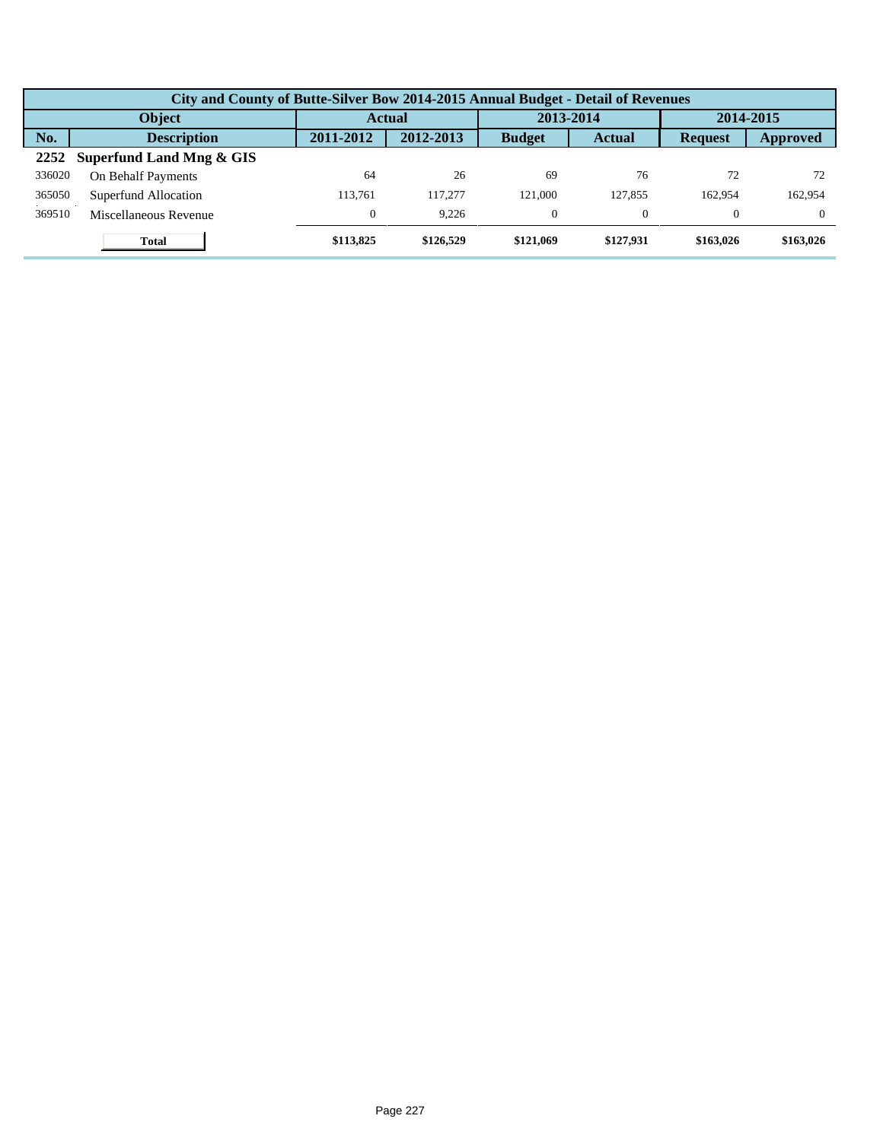|        | City and County of Butte-Silver Bow 2014-2015 Annual Budget - Detail of Revenues |                  |               |               |               |                |           |  |  |  |  |
|--------|----------------------------------------------------------------------------------|------------------|---------------|---------------|---------------|----------------|-----------|--|--|--|--|
| Object |                                                                                  |                  | <b>Actual</b> |               | 2013-2014     |                | 2014-2015 |  |  |  |  |
| No.    | <b>Description</b>                                                               | 2011-2012        | 2012-2013     | <b>Budget</b> | <b>Actual</b> | <b>Request</b> | Approved  |  |  |  |  |
| 2252   | Superfund Land Mng & GIS                                                         |                  |               |               |               |                |           |  |  |  |  |
| 336020 | On Behalf Payments                                                               | 64               | 26            | 69            | 76            | 72             | 72        |  |  |  |  |
| 365050 | Superfund Allocation                                                             | 113.761          | 117,277       | 121,000       | 127,855       | 162.954        | 162,954   |  |  |  |  |
| 369510 | Miscellaneous Revenue                                                            | $\boldsymbol{0}$ | 9.226         | $\Omega$      | 0             | $\Omega$       |           |  |  |  |  |
|        | Total                                                                            | \$113,825        | \$126,529     | \$121,069     | \$127,931     | \$163,026      | \$163,026 |  |  |  |  |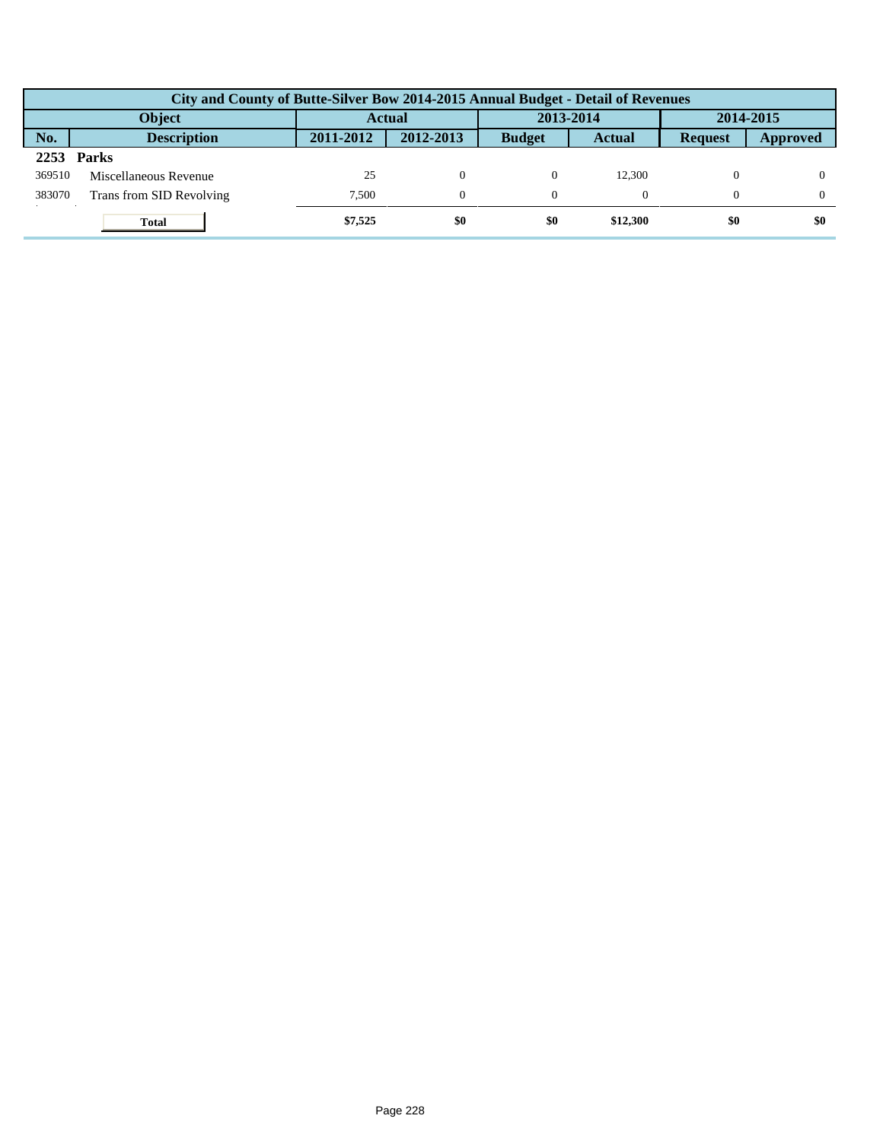|        | City and County of Butte-Silver Bow 2014-2015 Annual Budget - Detail of Revenues |               |           |               |               |                |          |  |  |  |  |
|--------|----------------------------------------------------------------------------------|---------------|-----------|---------------|---------------|----------------|----------|--|--|--|--|
| Object |                                                                                  | <b>Actual</b> |           | 2013-2014     |               | 2014-2015      |          |  |  |  |  |
| No.    | <b>Description</b>                                                               | 2011-2012     | 2012-2013 | <b>Budget</b> | <b>Actual</b> | <b>Request</b> | Approved |  |  |  |  |
| 2253   | <b>Parks</b>                                                                     |               |           |               |               |                |          |  |  |  |  |
| 369510 | Miscellaneous Revenue                                                            | 25            | 0         |               | 12.300        |                |          |  |  |  |  |
| 383070 | Trans from SID Revolving                                                         | 7.500         | $\theta$  |               |               | $\Omega$       |          |  |  |  |  |
|        | <b>Total</b>                                                                     | \$7,525       | \$0       | \$0           | \$12,300      | \$0            | \$0      |  |  |  |  |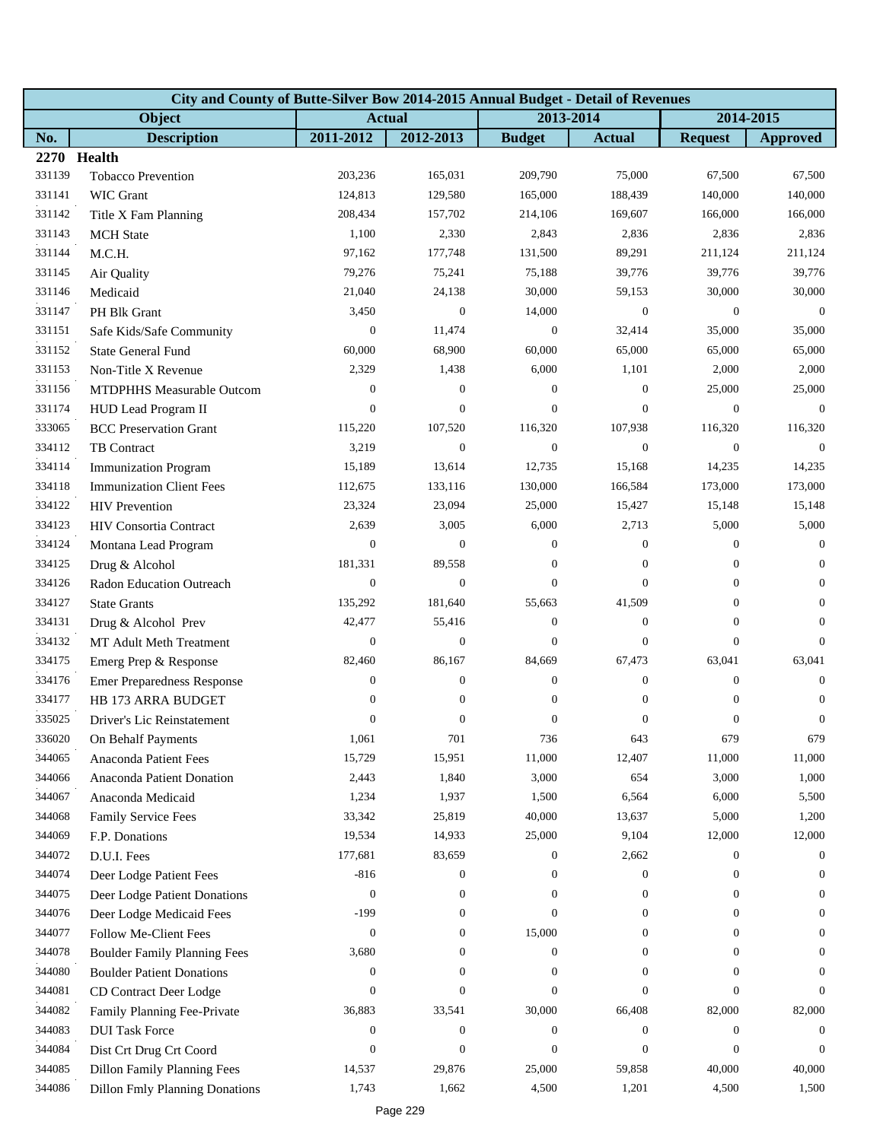|        | City and County of Butte-Silver Bow 2014-2015 Annual Budget - Detail of Revenues |                  |                  |                  |                  |                  |                  |  |  |  |  |
|--------|----------------------------------------------------------------------------------|------------------|------------------|------------------|------------------|------------------|------------------|--|--|--|--|
|        | Object                                                                           | <b>Actual</b>    |                  | 2013-2014        |                  | 2014-2015        |                  |  |  |  |  |
| No.    | <b>Description</b>                                                               | 2011-2012        | 2012-2013        | <b>Budget</b>    | <b>Actual</b>    | <b>Request</b>   | <b>Approved</b>  |  |  |  |  |
|        | 2270 Health                                                                      |                  |                  |                  |                  |                  |                  |  |  |  |  |
| 331139 | Tobacco Prevention                                                               | 203,236          | 165,031          | 209,790          | 75,000           | 67,500           | 67,500           |  |  |  |  |
| 331141 | <b>WIC Grant</b>                                                                 | 124,813          | 129,580          | 165,000          | 188,439          | 140,000          | 140,000          |  |  |  |  |
| 331142 | Title X Fam Planning                                                             | 208,434          | 157,702          | 214,106          | 169,607          | 166,000          | 166,000          |  |  |  |  |
| 331143 | <b>MCH</b> State                                                                 | 1,100            | 2,330            | 2,843            | 2,836            | 2,836            | 2,836            |  |  |  |  |
| 331144 | M.C.H.                                                                           | 97,162           | 177,748          | 131,500          | 89,291           | 211,124          | 211,124          |  |  |  |  |
| 331145 | Air Quality                                                                      | 79,276           | 75,241           | 75,188           | 39,776           | 39,776           | 39,776           |  |  |  |  |
| 331146 | Medicaid                                                                         | 21,040           | 24,138           | 30,000           | 59,153           | 30,000           | 30,000           |  |  |  |  |
| 331147 | PH Blk Grant                                                                     | 3,450            | $\boldsymbol{0}$ | 14,000           | $\mathbf{0}$     | $\mathbf{0}$     | $\overline{0}$   |  |  |  |  |
| 331151 | Safe Kids/Safe Community                                                         | $\boldsymbol{0}$ | 11,474           | $\mathbf{0}$     | 32,414           | 35,000           | 35,000           |  |  |  |  |
| 331152 | State General Fund                                                               | 60,000           | 68,900           | 60,000           | 65,000           | 65,000           | 65,000           |  |  |  |  |
| 331153 | Non-Title X Revenue                                                              | 2,329            | 1,438            | 6,000            | 1,101            | 2,000            | 2,000            |  |  |  |  |
| 331156 | MTDPHHS Measurable Outcom                                                        | $\boldsymbol{0}$ | $\boldsymbol{0}$ | $\mathbf{0}$     | $\mathbf{0}$     | 25,000           | 25,000           |  |  |  |  |
| 331174 | HUD Lead Program II                                                              | $\mathbf{0}$     | $\boldsymbol{0}$ | $\theta$         | $\boldsymbol{0}$ | $\theta$         | $\Omega$         |  |  |  |  |
| 333065 | <b>BCC</b> Preservation Grant                                                    | 115,220          | 107,520          | 116,320          | 107,938          | 116,320          | 116,320          |  |  |  |  |
| 334112 | TB Contract                                                                      | 3,219            | $\boldsymbol{0}$ | $\boldsymbol{0}$ | $\boldsymbol{0}$ | $\boldsymbol{0}$ | $\overline{0}$   |  |  |  |  |
| 334114 | <b>Immunization Program</b>                                                      | 15,189           | 13,614           | 12,735           | 15,168           | 14,235           | 14,235           |  |  |  |  |
| 334118 | <b>Immunization Client Fees</b>                                                  | 112,675          | 133,116          | 130,000          | 166,584          | 173,000          | 173,000          |  |  |  |  |
| 334122 | <b>HIV</b> Prevention                                                            | 23,324           | 23,094           | 25,000           | 15,427           | 15,148           | 15,148           |  |  |  |  |
| 334123 | HIV Consortia Contract                                                           | 2,639            | 3,005            | 6,000            | 2,713            | 5,000            | 5,000            |  |  |  |  |
| 334124 | Montana Lead Program                                                             | $\mathbf{0}$     | $\boldsymbol{0}$ | $\boldsymbol{0}$ | $\mathbf{0}$     | $\mathbf{0}$     | $\overline{0}$   |  |  |  |  |
| 334125 | Drug & Alcohol                                                                   | 181,331          | 89,558           | $\mathbf{0}$     | $\mathbf{0}$     | $\overline{0}$   | $\overline{0}$   |  |  |  |  |
| 334126 | Radon Education Outreach                                                         | $\boldsymbol{0}$ | $\overline{0}$   | $\overline{0}$   | $\mathbf{0}$     | $\mathbf{0}$     | $\mathbf{0}$     |  |  |  |  |
| 334127 | <b>State Grants</b>                                                              | 135,292          | 181,640          | 55,663           | 41,509           | $\overline{0}$   | $\mathbf{0}$     |  |  |  |  |
| 334131 | Drug & Alcohol Prev                                                              | 42,477           | 55,416           | $\boldsymbol{0}$ | $\mathbf{0}$     | $\mathbf{0}$     | $\theta$         |  |  |  |  |
| 334132 | MT Adult Meth Treatment                                                          | $\boldsymbol{0}$ | $\mathbf{0}$     | $\boldsymbol{0}$ | $\mathbf{0}$     | $\overline{0}$   | $\mathbf{0}$     |  |  |  |  |
| 334175 | Emerg Prep & Response                                                            | 82,460           | 86,167           | 84,669           | 67,473           | 63,041           | 63,041           |  |  |  |  |
| 334176 | <b>Emer Preparedness Response</b>                                                | $\boldsymbol{0}$ | $\boldsymbol{0}$ | $\boldsymbol{0}$ | $\mathbf{0}$     | $\mathbf{0}$     | $\theta$         |  |  |  |  |
| 334177 | <b>HB 173 ARRA BUDGET</b>                                                        | $\boldsymbol{0}$ | $\boldsymbol{0}$ | $\boldsymbol{0}$ | $\mathbf{0}$     | $\boldsymbol{0}$ | $\boldsymbol{0}$ |  |  |  |  |
| 335025 | Driver's Lic Reinstatement                                                       | $\boldsymbol{0}$ | $\boldsymbol{0}$ | $\boldsymbol{0}$ | $\mathbf{0}$     | $\mathbf{0}$     | $\boldsymbol{0}$ |  |  |  |  |
| 336020 | On Behalf Payments                                                               | 1,061            | 701              | 736              | 643              | 679              | 679              |  |  |  |  |
| 344065 | Anaconda Patient Fees                                                            | 15,729           | 15,951           | 11,000           | 12,407           | 11,000           | 11,000           |  |  |  |  |
| 344066 | Anaconda Patient Donation                                                        | 2,443            | 1,840            | 3,000            | 654              | 3,000            | 1,000            |  |  |  |  |
| 344067 | Anaconda Medicaid                                                                | 1,234            | 1,937            | 1,500            | 6,564            | 6,000            | 5,500            |  |  |  |  |
| 344068 | <b>Family Service Fees</b>                                                       | 33,342           | 25,819           | 40,000           | 13,637           | 5,000            | 1,200            |  |  |  |  |
| 344069 | F.P. Donations                                                                   | 19,534           | 14,933           | 25,000           | 9,104            | 12,000           | 12,000           |  |  |  |  |
| 344072 | D.U.I. Fees                                                                      | 177,681          | 83,659           | 0                | 2,662            | $\boldsymbol{0}$ | $\overline{0}$   |  |  |  |  |
| 344074 | Deer Lodge Patient Fees                                                          | $-816$           | $\boldsymbol{0}$ | 0                | $\boldsymbol{0}$ | $\boldsymbol{0}$ | $\theta$         |  |  |  |  |
| 344075 | Deer Lodge Patient Donations                                                     | $\boldsymbol{0}$ | $\mathbf{0}$     | $\overline{0}$   | $\mathbf{0}$     | $\overline{0}$   | $\Omega$         |  |  |  |  |
| 344076 | Deer Lodge Medicaid Fees                                                         | $-199$           | $\boldsymbol{0}$ | $\overline{0}$   | $\mathbf{0}$     | $\mathbf{0}$     | $\overline{0}$   |  |  |  |  |
| 344077 | Follow Me-Client Fees                                                            | $\boldsymbol{0}$ | $\boldsymbol{0}$ | 15,000           | $\mathbf{0}$     | $\boldsymbol{0}$ | $\theta$         |  |  |  |  |
| 344078 | <b>Boulder Family Planning Fees</b>                                              | 3,680            | $\mathbf{0}$     | 0                | $\mathbf{0}$     | $\mathbf{0}$     | $\theta$         |  |  |  |  |
| 344080 | <b>Boulder Patient Donations</b>                                                 | 0                | $\overline{0}$   | $\overline{0}$   | $\overline{0}$   | $\overline{0}$   | $\Omega$         |  |  |  |  |
| 344081 | CD Contract Deer Lodge                                                           | $\boldsymbol{0}$ | $\boldsymbol{0}$ | $\overline{0}$   | $\mathbf{0}$     | $\overline{0}$   | $\Omega$         |  |  |  |  |
| 344082 | Family Planning Fee-Private                                                      | 36,883           | 33,541           | 30,000           | 66,408           | 82,000           | 82,000           |  |  |  |  |
| 344083 | <b>DUI Task Force</b>                                                            | $\boldsymbol{0}$ | $\boldsymbol{0}$ | $\boldsymbol{0}$ | $\boldsymbol{0}$ | $\mathbf{0}$     | $\theta$         |  |  |  |  |
| 344084 | Dist Crt Drug Crt Coord                                                          | $\boldsymbol{0}$ | $\boldsymbol{0}$ | $\overline{0}$   | $\mathbf{0}$     | $\overline{0}$   | $\Omega$         |  |  |  |  |
| 344085 | <b>Dillon Family Planning Fees</b>                                               | 14,537           | 29,876           | 25,000           | 59,858           | 40,000           | 40,000           |  |  |  |  |
| 344086 | <b>Dillon Fmly Planning Donations</b>                                            | 1,743            | 1,662            | 4,500            | 1,201            | 4,500            | 1,500            |  |  |  |  |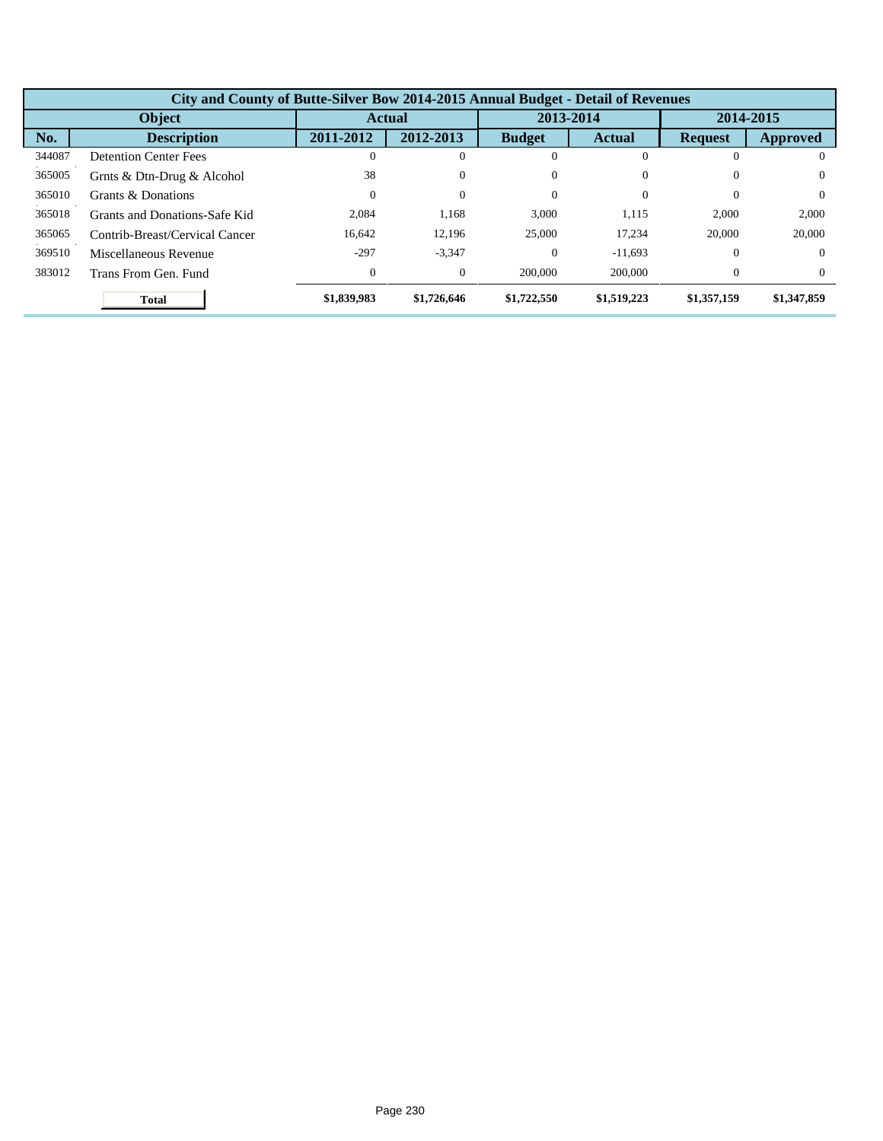|        | City and County of Butte-Silver Bow 2014-2015 Annual Budget - Detail of Revenues |             |                |               |               |                |             |  |  |  |  |
|--------|----------------------------------------------------------------------------------|-------------|----------------|---------------|---------------|----------------|-------------|--|--|--|--|
|        | Object                                                                           |             | <b>Actual</b>  |               | 2013-2014     | 2014-2015      |             |  |  |  |  |
| No.    | <b>Description</b>                                                               | 2011-2012   | 2012-2013      | <b>Budget</b> | <b>Actual</b> | <b>Request</b> | Approved    |  |  |  |  |
| 344087 | <b>Detention Center Fees</b>                                                     |             |                | $\Omega$      |               | 0              | $\Omega$    |  |  |  |  |
| 365005 | Grnts & Dtn-Drug & Alcohol                                                       | 38          | $\theta$       | $\Omega$      |               | $\Omega$       | $\Omega$    |  |  |  |  |
| 365010 | Grants & Donations                                                               | 0           | $\overline{0}$ | $\Omega$      | 0             | $\Omega$       | $\Omega$    |  |  |  |  |
| 365018 | Grants and Donations-Safe Kid                                                    | 2.084       | 1,168          | 3.000         | 1,115         | 2,000          | 2,000       |  |  |  |  |
| 365065 | Contrib-Breast/Cervical Cancer                                                   | 16.642      | 12,196         | 25,000        | 17,234        | 20,000         | 20,000      |  |  |  |  |
| 369510 | Miscellaneous Revenue                                                            | $-297$      | $-3,347$       | $\Omega$      | $-11.693$     | $\Omega$       | $\Omega$    |  |  |  |  |
| 383012 | Trans From Gen. Fund                                                             | 0           | $\theta$       | 200,000       | 200,000       | $\Omega$       | $\Omega$    |  |  |  |  |
|        | <b>Total</b>                                                                     | \$1,839,983 | \$1,726,646    | \$1,722,550   | \$1,519,223   | \$1,357,159    | \$1,347,859 |  |  |  |  |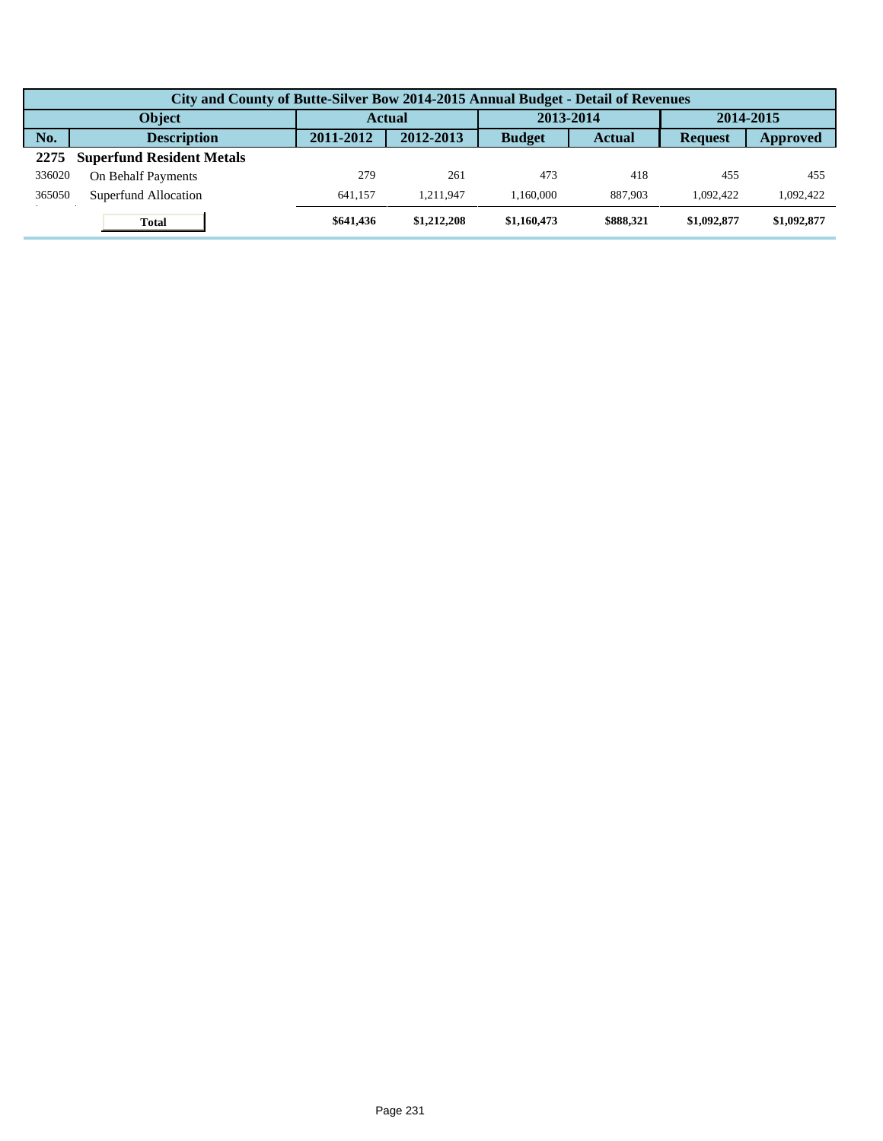|               | City and County of Butte-Silver Bow 2014-2015 Annual Budget - Detail of Revenues |           |             |               |               |                |             |  |  |  |
|---------------|----------------------------------------------------------------------------------|-----------|-------------|---------------|---------------|----------------|-------------|--|--|--|
| <b>Object</b> |                                                                                  | Actual    |             | 2013-2014     |               | 2014-2015      |             |  |  |  |
| No.           | <b>Description</b>                                                               | 2011-2012 | 2012-2013   | <b>Budget</b> | <b>Actual</b> | <b>Request</b> | Approved    |  |  |  |
| 2275          | <b>Superfund Resident Metals</b>                                                 |           |             |               |               |                |             |  |  |  |
| 336020        | On Behalf Payments                                                               | 279       | 261         | 473           | 418           | 455            | 455         |  |  |  |
| 365050        | Superfund Allocation                                                             | 641.157   | 1.211.947   | 1.160.000     | 887,903       | 1.092.422      | 1,092,422   |  |  |  |
|               | <b>Total</b>                                                                     | \$641.436 | \$1,212,208 | \$1,160,473   | \$888.321     | \$1,092,877    | \$1,092,877 |  |  |  |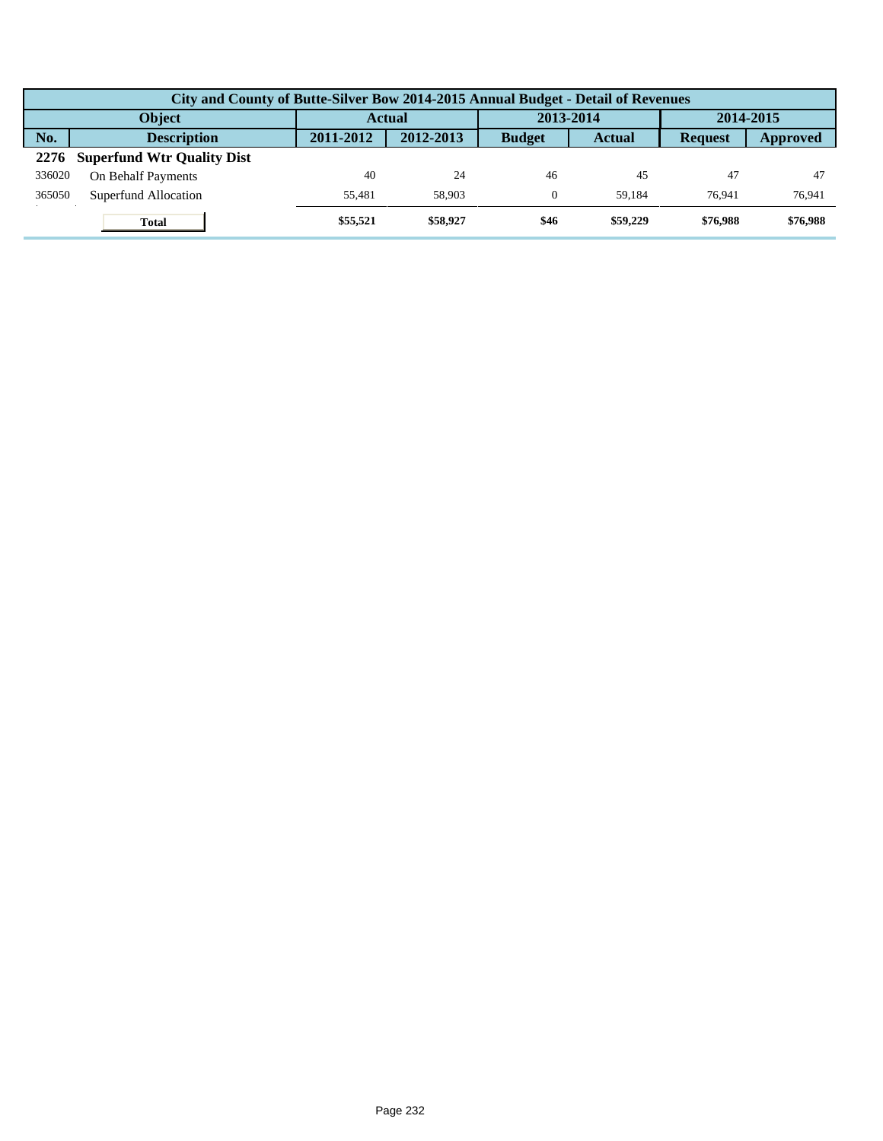| City and County of Butte-Silver Bow 2014-2015 Annual Budget - Detail of Revenues |           |           |               |               |                |           |  |  |  |  |
|----------------------------------------------------------------------------------|-----------|-----------|---------------|---------------|----------------|-----------|--|--|--|--|
| <b>Object</b>                                                                    |           | Actual    |               | 2013-2014     |                | 2014-2015 |  |  |  |  |
| No.<br><b>Description</b>                                                        | 2011-2012 | 2012-2013 | <b>Budget</b> | <b>Actual</b> | <b>Request</b> | Approved  |  |  |  |  |
| <b>Superfund Wtr Quality Dist</b><br>2276                                        |           |           |               |               |                |           |  |  |  |  |
| 336020<br>On Behalf Payments                                                     | 40        | 24        | 46            | 45            | 47             | 47        |  |  |  |  |
| 365050<br>Superfund Allocation                                                   | 55.481    | 58,903    | $\Omega$      | 59.184        | 76.941         | 76,941    |  |  |  |  |
| <b>Total</b>                                                                     | \$55,521  | \$58,927  | \$46          | \$59,229      | \$76,988       | \$76,988  |  |  |  |  |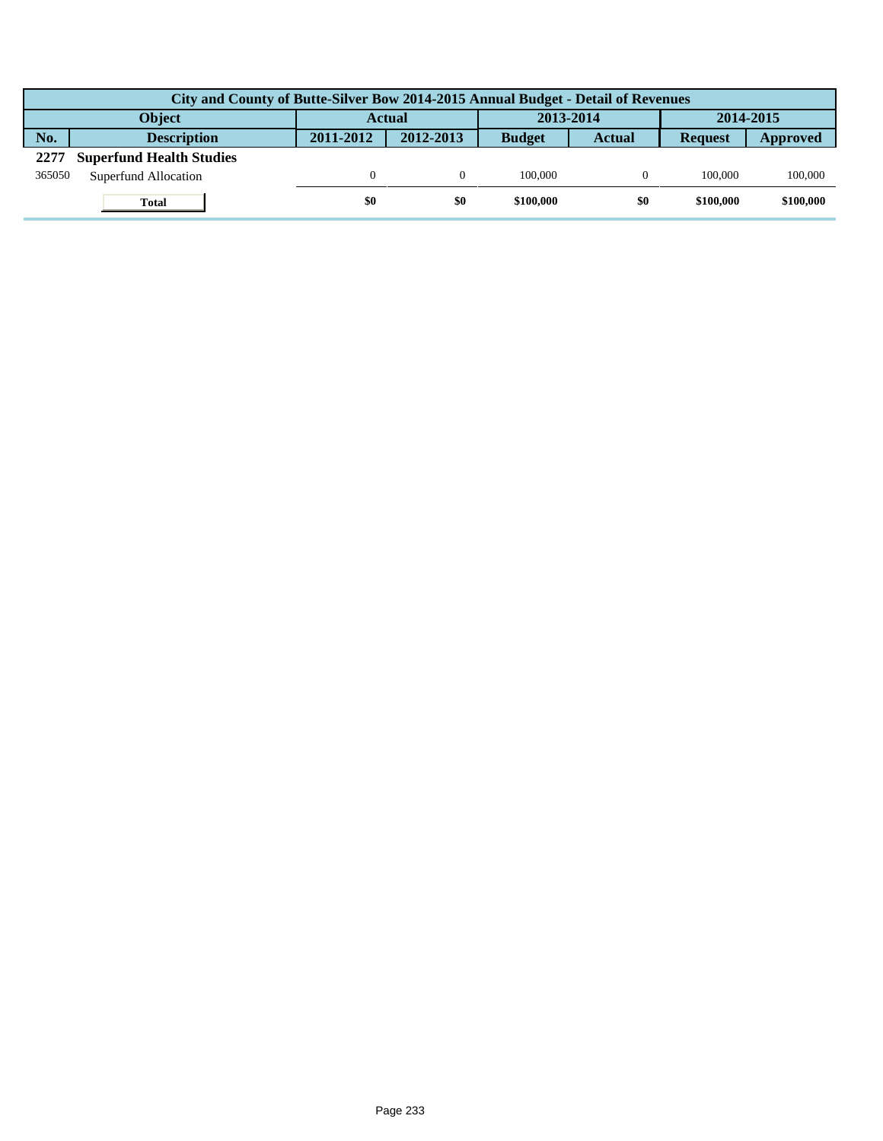|               | City and County of Butte-Silver Bow 2014-2015 Annual Budget - Detail of Revenues |               |           |               |               |                |           |  |  |  |  |
|---------------|----------------------------------------------------------------------------------|---------------|-----------|---------------|---------------|----------------|-----------|--|--|--|--|
| <b>Object</b> |                                                                                  | <b>Actual</b> |           | 2013-2014     |               | 2014-2015      |           |  |  |  |  |
| No.           | <b>Description</b>                                                               | 2011-2012     | 2012-2013 | <b>Budget</b> | <b>Actual</b> | <b>Request</b> | Approved  |  |  |  |  |
| 2277          | <b>Superfund Health Studies</b>                                                  |               |           |               |               |                |           |  |  |  |  |
| 365050        | Superfund Allocation                                                             |               |           | 100,000       |               | 100,000        | 100,000   |  |  |  |  |
|               | <b>Total</b>                                                                     | \$0           | \$0       | \$100,000     | \$0           | \$100,000      | \$100,000 |  |  |  |  |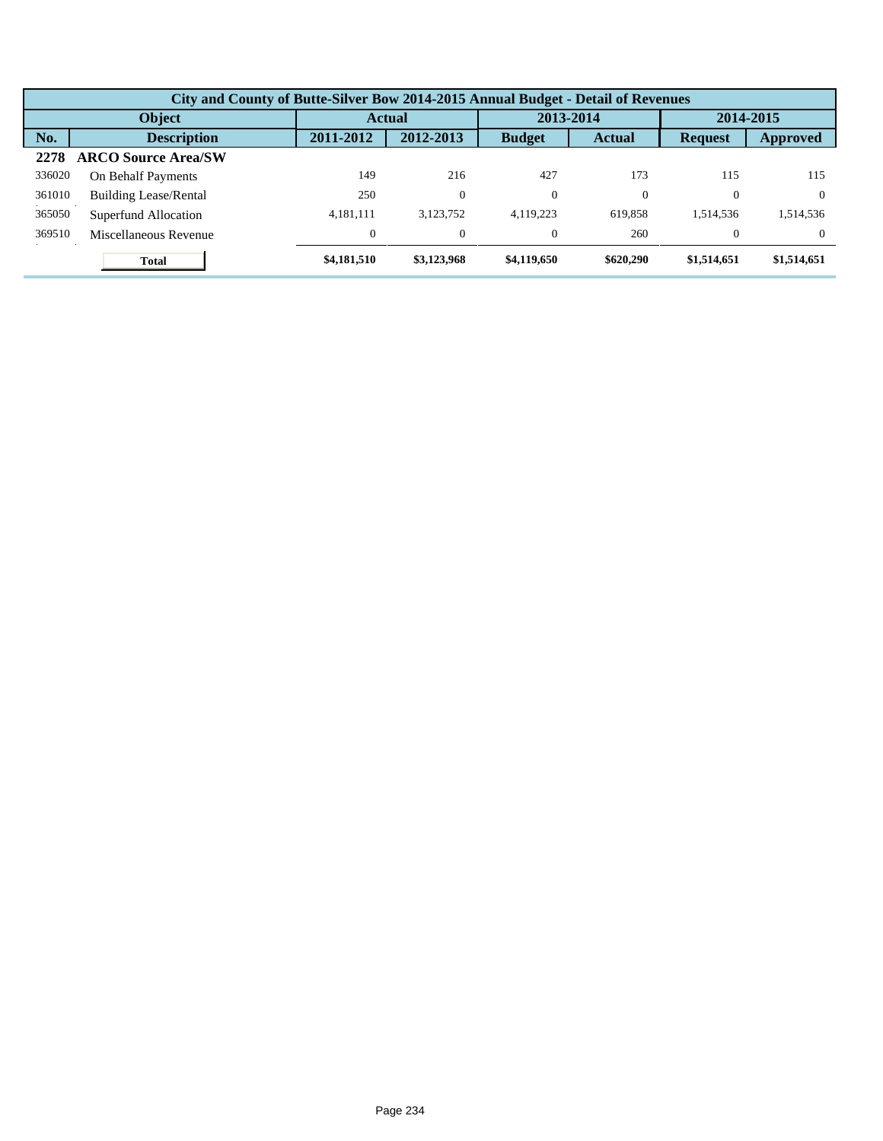|               | City and County of Butte-Silver Bow 2014-2015 Annual Budget - Detail of Revenues |                |             |               |               |                |             |  |  |  |  |
|---------------|----------------------------------------------------------------------------------|----------------|-------------|---------------|---------------|----------------|-------------|--|--|--|--|
| <b>Object</b> |                                                                                  |                | Actual      |               | 2013-2014     |                | 2014-2015   |  |  |  |  |
| No.           | <b>Description</b>                                                               | 2011-2012      | 2012-2013   | <b>Budget</b> | <b>Actual</b> | <b>Request</b> | Approved    |  |  |  |  |
| 2278          | <b>ARCO Source Area/SW</b>                                                       |                |             |               |               |                |             |  |  |  |  |
| 336020        | On Behalf Payments                                                               | 149            | 216         | 427           | 173           | 115            | 115         |  |  |  |  |
| 361010        | <b>Building Lease/Rental</b>                                                     | 250            | $\theta$    | $\theta$      |               | $\Omega$       | $\Omega$    |  |  |  |  |
| 365050        | Superfund Allocation                                                             | 4.181.111      | 3,123,752   | 4.119.223     | 619.858       | 1.514.536      | 1,514,536   |  |  |  |  |
| 369510        | Miscellaneous Revenue                                                            | $\overline{0}$ | $\theta$    | $\theta$      | 260           | $\Omega$       | $\Omega$    |  |  |  |  |
|               | <b>Total</b>                                                                     | \$4,181,510    | \$3,123,968 | \$4,119,650   | \$620,290     | \$1,514,651    | \$1,514,651 |  |  |  |  |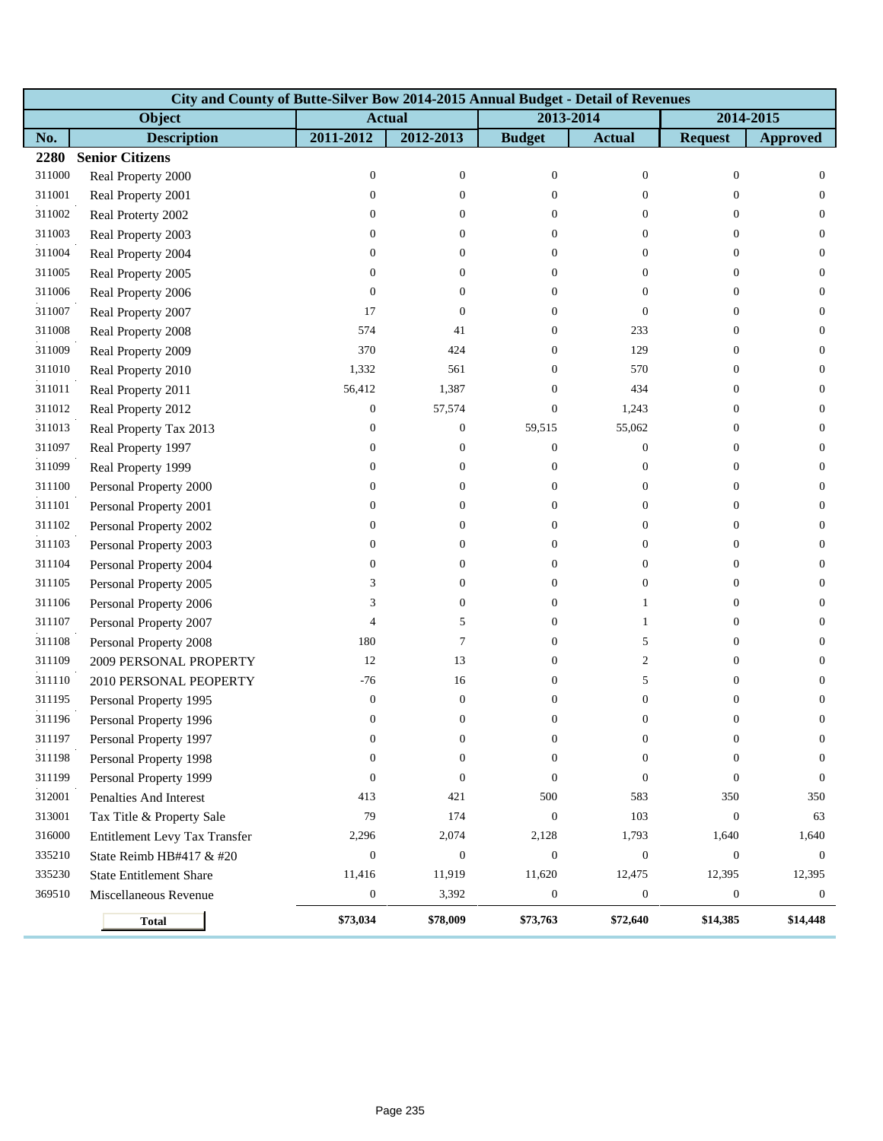|        | City and County of Butte-Silver Bow 2014-2015 Annual Budget - Detail of Revenues |                  |                  |                  |                  |                  |                  |  |  |  |  |
|--------|----------------------------------------------------------------------------------|------------------|------------------|------------------|------------------|------------------|------------------|--|--|--|--|
|        | Object                                                                           | <b>Actual</b>    |                  | 2013-2014        |                  |                  | 2014-2015        |  |  |  |  |
| No.    | <b>Description</b>                                                               | 2011-2012        | 2012-2013        | <b>Budget</b>    | <b>Actual</b>    | <b>Request</b>   | <b>Approved</b>  |  |  |  |  |
| 2280   | <b>Senior Citizens</b>                                                           |                  |                  |                  |                  |                  |                  |  |  |  |  |
| 311000 | Real Property 2000                                                               | $\boldsymbol{0}$ | $\boldsymbol{0}$ | $\mathbf{0}$     | $\mathbf{0}$     | $\mathbf{0}$     | $\mathbf{0}$     |  |  |  |  |
| 311001 | Real Property 2001                                                               | $\mathbf{0}$     | $\theta$         | $\Omega$         | $\overline{0}$   | $\overline{0}$   | $\overline{0}$   |  |  |  |  |
| 311002 | Real Proterty 2002                                                               | $\mathbf{0}$     | $\theta$         | $\overline{0}$   | $\overline{0}$   | $\overline{0}$   | $\overline{0}$   |  |  |  |  |
| 311003 | Real Property 2003                                                               | $\mathbf{0}$     | $\theta$         | $\Omega$         | $\overline{0}$   | $\mathbf{0}$     | $\boldsymbol{0}$ |  |  |  |  |
| 311004 | Real Property 2004                                                               | $\mathbf{0}$     | $\boldsymbol{0}$ | $\overline{0}$   | $\boldsymbol{0}$ | $\mathbf{0}$     | $\mathbf{0}$     |  |  |  |  |
| 311005 | Real Property 2005                                                               | $\mathbf{0}$     | $\overline{0}$   | $\overline{0}$   | $\overline{0}$   | $\overline{0}$   | $\overline{0}$   |  |  |  |  |
| 311006 | Real Property 2006                                                               | $\mathbf{0}$     | $\theta$         | $\overline{0}$   | $\overline{0}$   | $\mathbf{0}$     | $\overline{0}$   |  |  |  |  |
| 311007 | Real Property 2007                                                               | 17               | $\boldsymbol{0}$ | $\Omega$         | $\overline{0}$   | $\mathbf{0}$     | $\mathbf{0}$     |  |  |  |  |
| 311008 | Real Property 2008                                                               | 574              | 41               | $\overline{0}$   | 233              | $\mathbf{0}$     | $\mathbf{0}$     |  |  |  |  |
| 311009 | Real Property 2009                                                               | 370              | 424              | $\overline{0}$   | 129              | $\overline{0}$   | $\mathbf{0}$     |  |  |  |  |
| 311010 | Real Property 2010                                                               | 1,332            | 561              | $\Omega$         | 570              | $\overline{0}$   | $\overline{0}$   |  |  |  |  |
| 311011 | Real Property 2011                                                               | 56,412           | 1,387            | $\Omega$         | 434              | $\mathbf{0}$     | $\boldsymbol{0}$ |  |  |  |  |
| 311012 | Real Property 2012                                                               | $\boldsymbol{0}$ | 57,574           | $\overline{0}$   | 1,243            | $\mathbf{0}$     | $\mathbf{0}$     |  |  |  |  |
| 311013 | Real Property Tax 2013                                                           | $\mathbf{0}$     | $\boldsymbol{0}$ | 59,515           | 55,062           | $\overline{0}$   | $\mathbf{0}$     |  |  |  |  |
| 311097 | Real Property 1997                                                               | $\boldsymbol{0}$ | $\boldsymbol{0}$ | $\theta$         | $\mathbf{0}$     | $\overline{0}$   | $\overline{0}$   |  |  |  |  |
| 311099 | Real Property 1999                                                               | $\boldsymbol{0}$ | $\theta$         | $\theta$         | $\mathbf{0}$     | $\mathbf{0}$     | $\mathbf{0}$     |  |  |  |  |
| 311100 | Personal Property 2000                                                           | $\boldsymbol{0}$ | $\theta$         | $\overline{0}$   | $\boldsymbol{0}$ | $\mathbf{0}$     | $\mathbf{0}$     |  |  |  |  |
| 311101 | Personal Property 2001                                                           | $\boldsymbol{0}$ | 0                | $\theta$         | $\mathbf{0}$     | $\overline{0}$   | $\mathbf{0}$     |  |  |  |  |
| 311102 | Personal Property 2002                                                           | $\boldsymbol{0}$ | 0                | $\Omega$         | $\overline{0}$   | $\overline{0}$   | $\overline{0}$   |  |  |  |  |
| 311103 | Personal Property 2003                                                           | $\boldsymbol{0}$ | $\theta$         | $\Omega$         | $\overline{0}$   | $\mathbf{0}$     | $\boldsymbol{0}$ |  |  |  |  |
| 311104 | Personal Property 2004                                                           | $\boldsymbol{0}$ | $\theta$         | $\theta$         | $\boldsymbol{0}$ | $\mathbf{0}$     | $\mathbf{0}$     |  |  |  |  |
| 311105 | Personal Property 2005                                                           | 3                | $\theta$         | $\theta$         | $\mathbf{0}$     | $\overline{0}$   | $\mathbf{0}$     |  |  |  |  |
| 311106 | Personal Property 2006                                                           | 3                | $\theta$         | $\overline{0}$   | 1                | $\overline{0}$   | $\overline{0}$   |  |  |  |  |
| 311107 | Personal Property 2007                                                           | $\overline{4}$   | 5                | $\overline{0}$   | $\mathbf{1}$     | $\mathbf{0}$     | $\mathbf{0}$     |  |  |  |  |
| 311108 | Personal Property 2008                                                           | 180              | $\tau$           | $\overline{0}$   | 5                | $\mathbf{0}$     | $\mathbf{0}$     |  |  |  |  |
| 311109 | 2009 PERSONAL PROPERTY                                                           | 12               | 13               | $\overline{0}$   | $\overline{c}$   | $\overline{0}$   | $\mathbf{0}$     |  |  |  |  |
| 311110 | 2010 PERSONAL PEOPERTY                                                           | $-76$            | 16               | $\Omega$         | 5                | $\overline{0}$   | $\overline{0}$   |  |  |  |  |
| 311195 | Personal Property 1995                                                           | $\boldsymbol{0}$ | $\boldsymbol{0}$ | $\Omega$         | $\boldsymbol{0}$ | $\mathbf{0}$     | $\boldsymbol{0}$ |  |  |  |  |
| 311196 | Personal Property 1996                                                           | $\boldsymbol{0}$ | $\boldsymbol{0}$ | $\overline{0}$   | $\overline{0}$   | $\boldsymbol{0}$ | $\boldsymbol{0}$ |  |  |  |  |
| 311197 | Personal Property 1997                                                           | $\boldsymbol{0}$ | 0                | $\bf{0}$         | $\bf{0}$         | $\bf{0}$         | 0                |  |  |  |  |
| 311198 | Personal Property 1998                                                           | $\boldsymbol{0}$ | $\boldsymbol{0}$ | $\Omega$         | $\overline{0}$   | $\overline{0}$   | $\overline{0}$   |  |  |  |  |
| 311199 | Personal Property 1999                                                           | $\boldsymbol{0}$ | $\boldsymbol{0}$ | $\Omega$         | $\overline{0}$   | $\mathbf{0}$     | $\mathbf{0}$     |  |  |  |  |
| 312001 | Penalties And Interest                                                           | 413              | 421              | 500              | 583              | 350              | 350              |  |  |  |  |
| 313001 | Tax Title & Property Sale                                                        | 79               | 174              | $\boldsymbol{0}$ | 103              | $\mathbf{0}$     | 63               |  |  |  |  |
| 316000 | Entitlement Levy Tax Transfer                                                    | 2,296            | 2,074            | 2,128            | 1,793            | 1,640            | 1,640            |  |  |  |  |
| 335210 | State Reimb HB#417 & #20                                                         | $\boldsymbol{0}$ | $\boldsymbol{0}$ | $\theta$         | $\boldsymbol{0}$ | $\mathbf{0}$     | $\mathbf{0}$     |  |  |  |  |
| 335230 | <b>State Entitlement Share</b>                                                   | 11,416           | 11,919           | 11,620           | 12,475           | 12,395           | 12,395           |  |  |  |  |
| 369510 | Miscellaneous Revenue                                                            | $\boldsymbol{0}$ | 3,392            | $\boldsymbol{0}$ | $\boldsymbol{0}$ | $\boldsymbol{0}$ | $\boldsymbol{0}$ |  |  |  |  |
|        | <b>Total</b>                                                                     | \$73,034         | \$78,009         | \$73,763         | \$72,640         | \$14,385         | \$14,448         |  |  |  |  |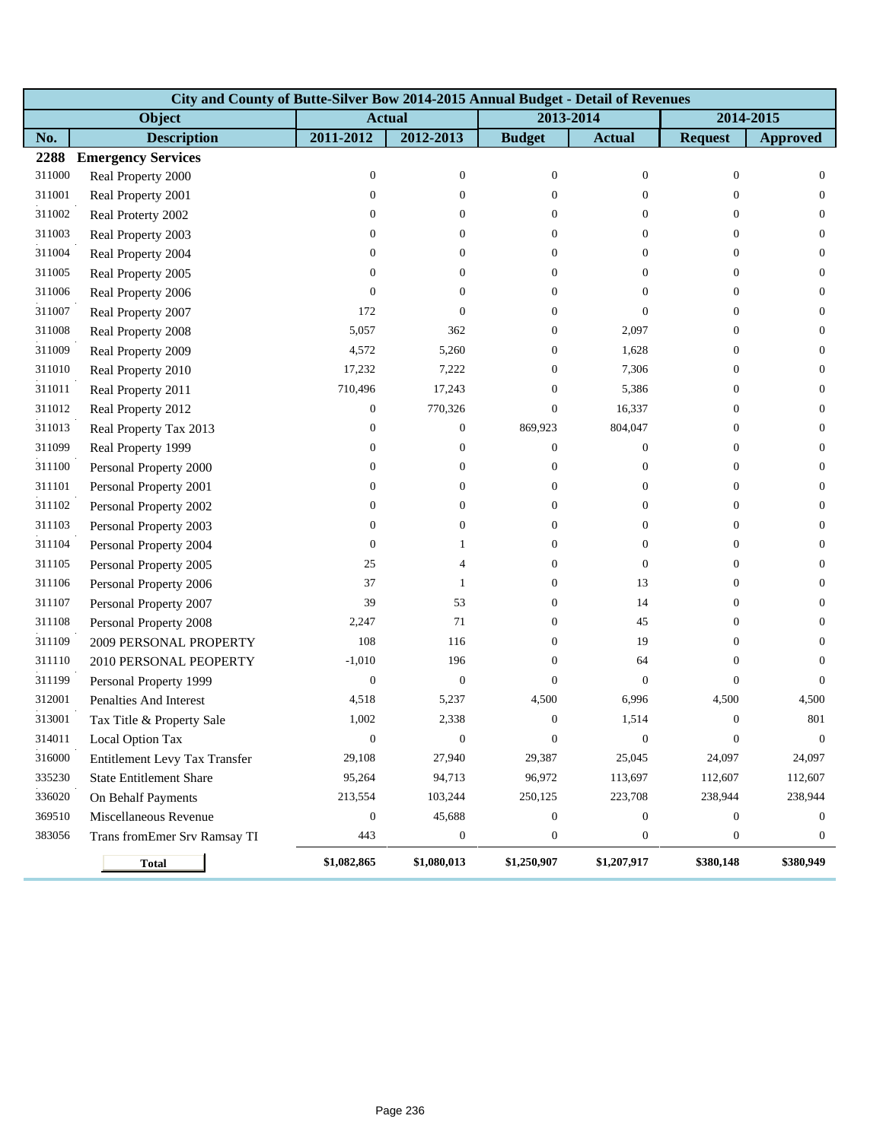|        | City and County of Butte-Silver Bow 2014-2015 Annual Budget - Detail of Revenues |                  |                  |                  |                |                  |                  |  |  |  |  |
|--------|----------------------------------------------------------------------------------|------------------|------------------|------------------|----------------|------------------|------------------|--|--|--|--|
|        | Object                                                                           |                  | <b>Actual</b>    | 2013-2014        |                | 2014-2015        |                  |  |  |  |  |
| No.    | <b>Description</b>                                                               | 2011-2012        | 2012-2013        | <b>Budget</b>    | <b>Actual</b>  | <b>Request</b>   | <b>Approved</b>  |  |  |  |  |
| 2288   | <b>Emergency Services</b>                                                        |                  |                  |                  |                |                  |                  |  |  |  |  |
| 311000 | Real Property 2000                                                               | $\mathbf{0}$     | $\boldsymbol{0}$ | $\mathbf{0}$     | $\mathbf{0}$   | $\mathbf{0}$     | $\mathbf{0}$     |  |  |  |  |
| 311001 | Real Property 2001                                                               | $\boldsymbol{0}$ | $\overline{0}$   | $\Omega$         | $\overline{0}$ | $\overline{0}$   | $\mathbf{0}$     |  |  |  |  |
| 311002 | Real Proterty 2002                                                               | $\mathbf{0}$     | $\theta$         | $\Omega$         | $\overline{0}$ | $\overline{0}$   | $\overline{0}$   |  |  |  |  |
| 311003 | Real Property 2003                                                               | $\boldsymbol{0}$ | $\theta$         | $\Omega$         | $\overline{0}$ | $\mathbf{0}$     | $\boldsymbol{0}$ |  |  |  |  |
| 311004 | Real Property 2004                                                               | 0                | $\theta$         | $\theta$         | 0              | $\mathbf{0}$     | $\boldsymbol{0}$ |  |  |  |  |
| 311005 | Real Property 2005                                                               | $\boldsymbol{0}$ | $\overline{0}$   | $\Omega$         | $\overline{0}$ | $\overline{0}$   | $\mathbf{0}$     |  |  |  |  |
| 311006 | Real Property 2006                                                               | $\mathbf{0}$     | $\overline{0}$   | $\Omega$         | $\overline{0}$ | $\overline{0}$   | $\overline{0}$   |  |  |  |  |
| 311007 | Real Property 2007                                                               | 172              | $\theta$         | $\Omega$         | $\overline{0}$ | $\theta$         | $\mathbf{0}$     |  |  |  |  |
| 311008 | Real Property 2008                                                               | 5,057            | 362              | $\overline{0}$   | 2,097          | $\boldsymbol{0}$ | $\boldsymbol{0}$ |  |  |  |  |
| 311009 | Real Property 2009                                                               | 4,572            | 5,260            | $\overline{0}$   | 1,628          | $\mathbf{0}$     | $\mathbf{0}$     |  |  |  |  |
| 311010 | Real Property 2010                                                               | 17,232           | 7,222            | $\Omega$         | 7,306          | $\overline{0}$   | $\overline{0}$   |  |  |  |  |
| 311011 | Real Property 2011                                                               | 710,496          | 17,243           | $\Omega$         | 5,386          | $\mathbf{0}$     | $\mathbf{0}$     |  |  |  |  |
| 311012 | Real Property 2012                                                               | $\mathbf{0}$     | 770,326          | $\overline{0}$   | 16,337         | $\boldsymbol{0}$ | $\boldsymbol{0}$ |  |  |  |  |
| 311013 | Real Property Tax 2013                                                           | $\boldsymbol{0}$ | $\boldsymbol{0}$ | 869,923          | 804,047        | $\mathbf{0}$     | $\mathbf{0}$     |  |  |  |  |
| 311099 | Real Property 1999                                                               | $\mathbf{0}$     | $\theta$         | $\overline{0}$   | $\overline{0}$ | $\overline{0}$   | $\overline{0}$   |  |  |  |  |
| 311100 | Personal Property 2000                                                           | $\boldsymbol{0}$ | $\theta$         | $\overline{0}$   | 0              | $\mathbf{0}$     | $\mathbf{0}$     |  |  |  |  |
| 311101 | Personal Property 2001                                                           | $\boldsymbol{0}$ | $\overline{0}$   | $\overline{0}$   | $\overline{0}$ | $\boldsymbol{0}$ | $\boldsymbol{0}$ |  |  |  |  |
| 311102 | Personal Property 2002                                                           | $\boldsymbol{0}$ | $\mathbf{0}$     | $\Omega$         | 0              | $\mathbf{0}$     | $\mathbf{0}$     |  |  |  |  |
| 311103 | Personal Property 2003                                                           | $\boldsymbol{0}$ | $\overline{0}$   | $\Omega$         | $\overline{0}$ | $\overline{0}$   | $\overline{0}$   |  |  |  |  |
| 311104 | Personal Property 2004                                                           | $\boldsymbol{0}$ | 1                | $\Omega$         | $\overline{0}$ | $\mathbf{0}$     | $\boldsymbol{0}$ |  |  |  |  |
| 311105 | Personal Property 2005                                                           | 25               | 4                | $\overline{0}$   | $\overline{0}$ | $\overline{0}$   | $\boldsymbol{0}$ |  |  |  |  |
| 311106 | Personal Property 2006                                                           | 37               | 1                | $\overline{0}$   | 13             | $\overline{0}$   | $\mathbf{0}$     |  |  |  |  |
| 311107 | Personal Property 2007                                                           | 39               | 53               | $\Omega$         | 14             | $\overline{0}$   | $\overline{0}$   |  |  |  |  |
| 311108 | Personal Property 2008                                                           | 2,247            | 71               | $\overline{0}$   | 45             | $\mathbf{0}$     | $\mathbf{0}$     |  |  |  |  |
| 311109 | 2009 PERSONAL PROPERTY                                                           | 108              | 116              | $\overline{0}$   | 19             | $\boldsymbol{0}$ | $\boldsymbol{0}$ |  |  |  |  |
| 311110 | 2010 PERSONAL PEOPERTY                                                           | $-1,010$         | 196              | $\overline{0}$   | 64             | $\overline{0}$   | 0                |  |  |  |  |
| 311199 | Personal Property 1999                                                           | $\boldsymbol{0}$ | $\boldsymbol{0}$ | $\Omega$         | $\overline{0}$ | $\overline{0}$   | $\Omega$         |  |  |  |  |
| 312001 | Penalties And Interest                                                           | 4,518            | 5,237            | 4,500            | 6,996          | 4,500            | 4,500            |  |  |  |  |
| 313001 | Tax Title & Property Sale                                                        | 1,002            | 2,338            | $\mathbf{0}$     | 1,514          | $\boldsymbol{0}$ | 801              |  |  |  |  |
| 314011 | Local Option Tax                                                                 | $\theta$         | $\theta$         | $\theta$         | $\theta$       | $\theta$         | $\theta$         |  |  |  |  |
| 316000 | Entitlement Levy Tax Transfer                                                    | 29,108           | 27,940           | 29,387           | 25,045         | 24,097           | 24,097           |  |  |  |  |
| 335230 | <b>State Entitlement Share</b>                                                   | 95,264           | 94,713           | 96,972           | 113,697        | 112,607          | 112,607          |  |  |  |  |
| 336020 | On Behalf Payments                                                               | 213,554          | 103,244          | 250,125          | 223,708        | 238,944          | 238,944          |  |  |  |  |
| 369510 | Miscellaneous Revenue                                                            | $\boldsymbol{0}$ | 45,688           | $\mathbf{0}$     | 0              | $\boldsymbol{0}$ | 0                |  |  |  |  |
| 383056 | Trans fromEmer Srv Ramsay TI                                                     | 443              | $\boldsymbol{0}$ | $\boldsymbol{0}$ | 0              | $\boldsymbol{0}$ | $\mathbf{0}$     |  |  |  |  |
|        | <b>Total</b>                                                                     | \$1,082,865      | \$1,080,013      | \$1,250,907      | \$1,207,917    | \$380,148        | \$380,949        |  |  |  |  |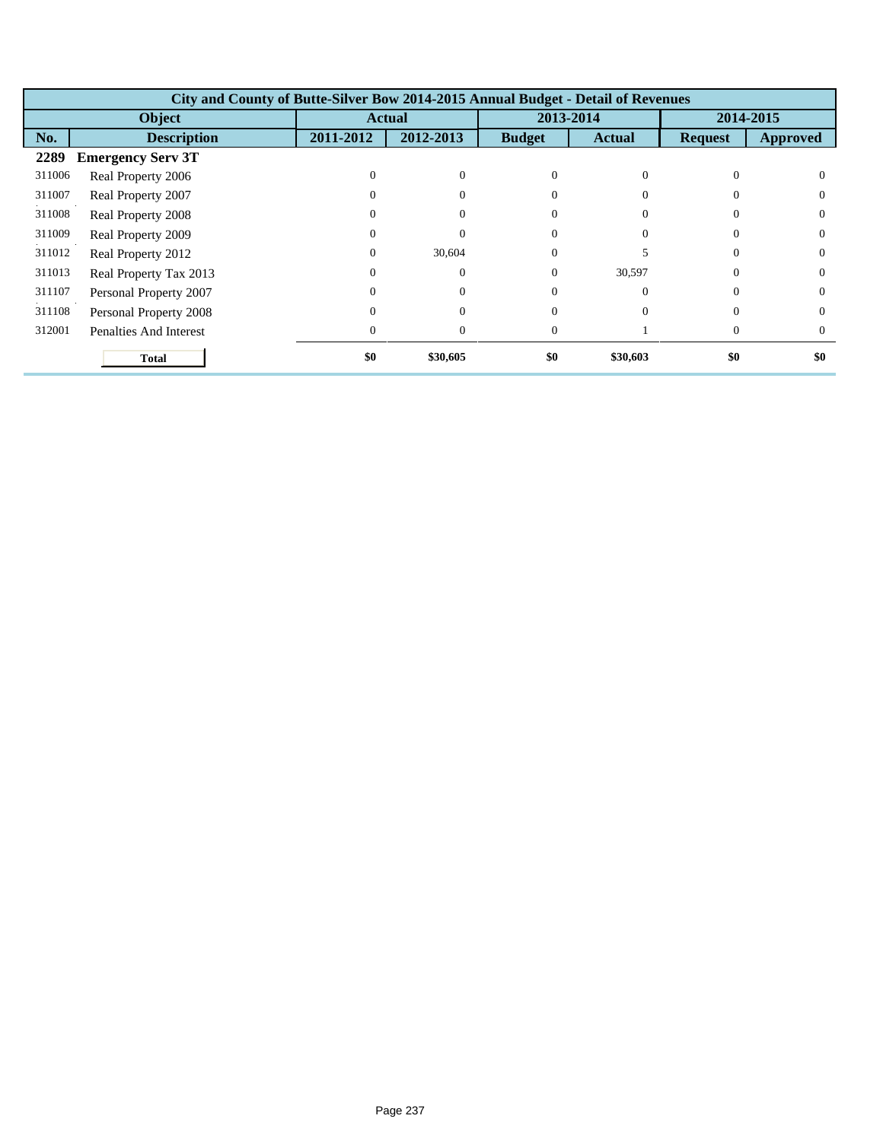|        | City and County of Butte-Silver Bow 2014-2015 Annual Budget - Detail of Revenues |               |           |               |               |                |          |  |  |
|--------|----------------------------------------------------------------------------------|---------------|-----------|---------------|---------------|----------------|----------|--|--|
|        | Object                                                                           | <b>Actual</b> |           | 2013-2014     |               | 2014-2015      |          |  |  |
| No.    | <b>Description</b>                                                               | 2011-2012     | 2012-2013 | <b>Budget</b> | <b>Actual</b> | <b>Request</b> | Approved |  |  |
| 2289   | <b>Emergency Serv 3T</b>                                                         |               |           |               |               |                |          |  |  |
| 311006 | Real Property 2006                                                               |               |           | $\Omega$      | 0             | $\Omega$       |          |  |  |
| 311007 | Real Property 2007                                                               |               | $\Omega$  | $\Omega$      |               | $\Omega$       |          |  |  |
| 311008 | Real Property 2008                                                               |               |           | $\Omega$      |               | $\Omega$       |          |  |  |
| 311009 | Real Property 2009                                                               |               |           |               |               | $\Omega$       |          |  |  |
| 311012 | Real Property 2012                                                               |               | 30,604    | $\Omega$      |               | $\Omega$       | 0        |  |  |
| 311013 | Real Property Tax 2013                                                           |               | $\Omega$  | $\Omega$      | 30,597        | $\Omega$       |          |  |  |
| 311107 | Personal Property 2007                                                           |               | $\Omega$  | $\Omega$      | $\Omega$      | $\Omega$       | 0        |  |  |
| 311108 | Personal Property 2008                                                           |               |           | $\Omega$      |               | $\Omega$       |          |  |  |
| 312001 | <b>Penalties And Interest</b>                                                    |               | $\Omega$  | $\Omega$      |               | $\Omega$       |          |  |  |
|        | <b>Total</b>                                                                     | \$0           | \$30,605  | \$0           | \$30,603      | \$0            | \$0      |  |  |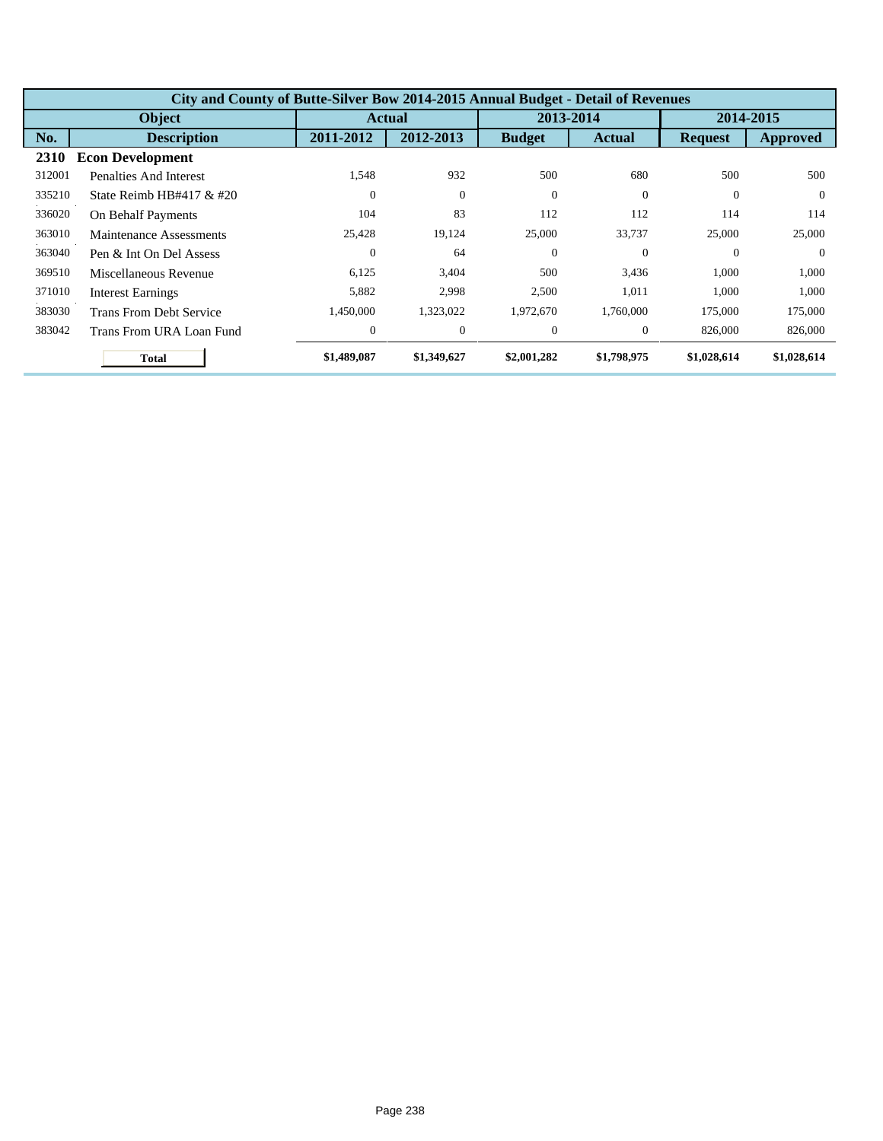|        | City and County of Butte-Silver Bow 2014-2015 Annual Budget - Detail of Revenues |              |             |               |               |                |                 |  |  |  |
|--------|----------------------------------------------------------------------------------|--------------|-------------|---------------|---------------|----------------|-----------------|--|--|--|
|        | <b>Object</b>                                                                    |              | Actual      |               | 2013-2014     | 2014-2015      |                 |  |  |  |
| No.    | <b>Description</b>                                                               | 2011-2012    | 2012-2013   | <b>Budget</b> | <b>Actual</b> | <b>Request</b> | <b>Approved</b> |  |  |  |
| 2310   | <b>Econ Development</b>                                                          |              |             |               |               |                |                 |  |  |  |
| 312001 | Penalties And Interest                                                           | 1,548        | 932         | 500           | 680           | 500            | 500             |  |  |  |
| 335210 | State Reimb HB#417 $&$ #20                                                       | $\Omega$     | $\theta$    | $\Omega$      | $\Omega$      | $\Omega$       | $\Omega$        |  |  |  |
| 336020 | On Behalf Payments                                                               | 104          | 83          | 112           | 112           | 114            | 114             |  |  |  |
| 363010 | Maintenance Assessments                                                          | 25,428       | 19,124      | 25,000        | 33,737        | 25,000         | 25,000          |  |  |  |
| 363040 | Pen & Int On Del Assess                                                          | $\theta$     | 64          | $\theta$      | $\Omega$      | $\Omega$       | $\Omega$        |  |  |  |
| 369510 | Miscellaneous Revenue                                                            | 6,125        | 3,404       | 500           | 3,436         | 1,000          | 1,000           |  |  |  |
| 371010 | <b>Interest Earnings</b>                                                         | 5,882        | 2,998       | 2,500         | 1,011         | 1,000          | 1,000           |  |  |  |
| 383030 | Trans From Debt Service                                                          | 1,450,000    | 1,323,022   | 1,972,670     | 1,760,000     | 175,000        | 175,000         |  |  |  |
| 383042 | Trans From URA Loan Fund                                                         | $\mathbf{0}$ | $\theta$    | $\theta$      | $\Omega$      | 826,000        | 826,000         |  |  |  |
|        | <b>Total</b>                                                                     | \$1,489,087  | \$1,349,627 | \$2,001,282   | \$1,798,975   | \$1,028,614    | \$1,028,614     |  |  |  |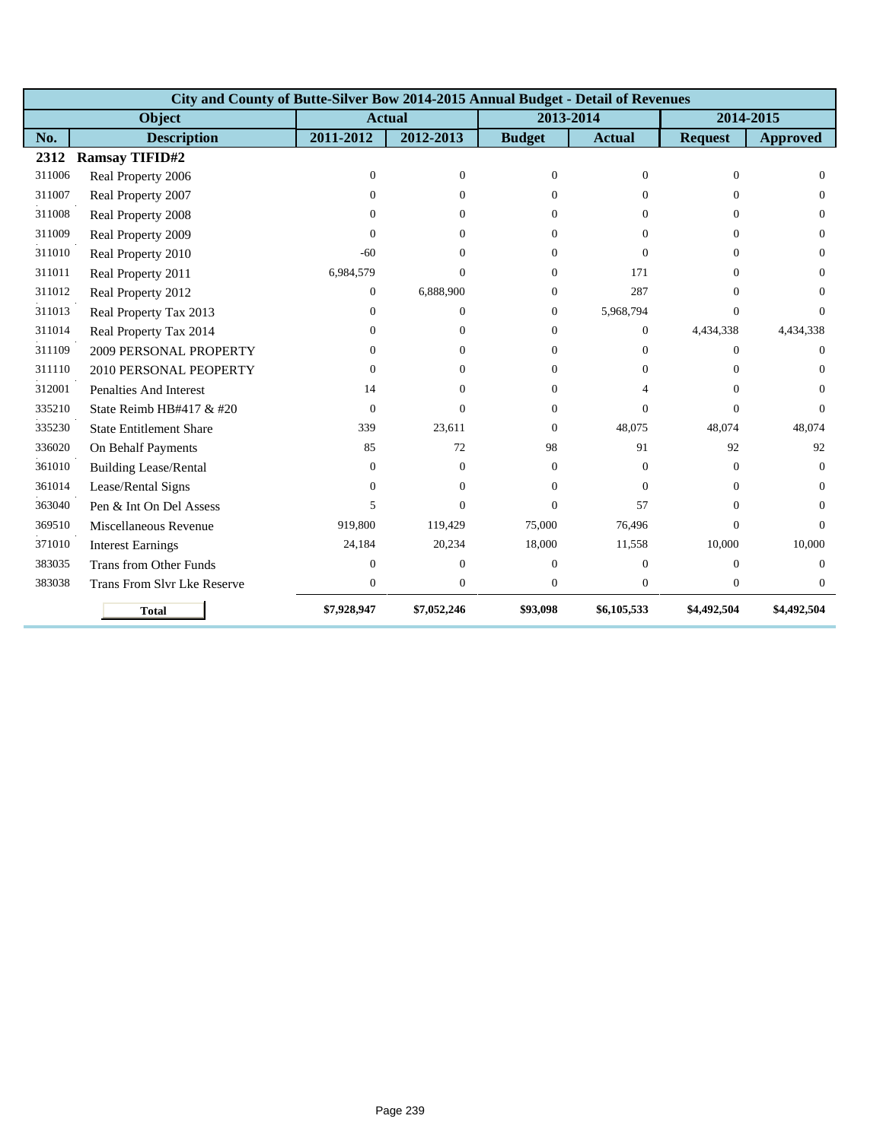|        | City and County of Butte-Silver Bow 2014-2015 Annual Budget - Detail of Revenues |                |                  |                |                |                |                 |  |  |  |
|--------|----------------------------------------------------------------------------------|----------------|------------------|----------------|----------------|----------------|-----------------|--|--|--|
|        | Object                                                                           | <b>Actual</b>  |                  | 2013-2014      |                | 2014-2015      |                 |  |  |  |
| No.    | <b>Description</b>                                                               | 2011-2012      | 2012-2013        | <b>Budget</b>  | <b>Actual</b>  | <b>Request</b> | <b>Approved</b> |  |  |  |
| 2312   | <b>Ramsay TIFID#2</b>                                                            |                |                  |                |                |                |                 |  |  |  |
| 311006 | Real Property 2006                                                               | $\mathbf{0}$   | $\boldsymbol{0}$ | $\Omega$       | $\Omega$       | $\theta$       | $\Omega$        |  |  |  |
| 311007 | Real Property 2007                                                               | $\overline{0}$ | $\overline{0}$   | $\overline{0}$ | $\theta$       | $\theta$       | $\Omega$        |  |  |  |
| 311008 | Real Property 2008                                                               | $\Omega$       | $\Omega$         | $\Omega$       | $\Omega$       | $\Omega$       | $\Omega$        |  |  |  |
| 311009 | Real Property 2009                                                               | 0              | $\Omega$         | $\Omega$       | $\Omega$       | $\Omega$       | $\Omega$        |  |  |  |
| 311010 | Real Property 2010                                                               | $-60$          | $\Omega$         | $\Omega$       | $\Omega$       | $\Omega$       | $\Omega$        |  |  |  |
| 311011 | Real Property 2011                                                               | 6,984,579      | $\Omega$         | $\Omega$       | 171            | $\Omega$       | $\Omega$        |  |  |  |
| 311012 | Real Property 2012                                                               | $\overline{0}$ | 6,888,900        | $\Omega$       | 287            | $\Omega$       | $\Omega$        |  |  |  |
| 311013 | Real Property Tax 2013                                                           | $\overline{0}$ | $\overline{0}$   | $\overline{0}$ | 5,968,794      | $\theta$       | $\Omega$        |  |  |  |
| 311014 | Real Property Tax 2014                                                           | $\Omega$       | $\overline{0}$   | $\overline{0}$ | $\overline{0}$ | 4,434,338      | 4,434,338       |  |  |  |
| 311109 | 2009 PERSONAL PROPERTY                                                           | 0              | $\Omega$         | $\Omega$       | $\Omega$       | $\theta$       | $\Omega$        |  |  |  |
| 311110 | 2010 PERSONAL PEOPERTY                                                           | 0              | $\Omega$         | 0              | $\Omega$       | $\Omega$       | $\Omega$        |  |  |  |
| 312001 | <b>Penalties And Interest</b>                                                    | 14             | $\Omega$         | $\Omega$       | 4              | $\Omega$       | $\Omega$        |  |  |  |
| 335210 | State Reimb HB#417 & #20                                                         | $\Omega$       | $\Omega$         | 0              | $\Omega$       | $\Omega$       | $\Omega$        |  |  |  |
| 335230 | <b>State Entitlement Share</b>                                                   | 339            | 23,611           | $\Omega$       | 48.075         | 48.074         | 48.074          |  |  |  |
| 336020 | On Behalf Payments                                                               | 85             | 72               | 98             | 91             | 92             | 92              |  |  |  |
| 361010 | <b>Building Lease/Rental</b>                                                     | $\Omega$       | $\overline{0}$   | $\Omega$       | $\Omega$       | $\theta$       | $\Omega$        |  |  |  |
| 361014 | Lease/Rental Signs                                                               | $\Omega$       | $\Omega$         | $\Omega$       | $\Omega$       | $\Omega$       | $\Omega$        |  |  |  |
| 363040 | Pen & Int On Del Assess                                                          | 5              | $\Omega$         | $\Omega$       | 57             | $\Omega$       | $\Omega$        |  |  |  |
| 369510 | Miscellaneous Revenue                                                            | 919,800        | 119,429          | 75,000         | 76,496         | $\Omega$       | $\Omega$        |  |  |  |
| 371010 | <b>Interest Earnings</b>                                                         | 24,184         | 20,234           | 18,000         | 11,558         | 10.000         | 10.000          |  |  |  |
| 383035 | <b>Trans from Other Funds</b>                                                    | $\overline{0}$ | $\overline{0}$   | $\Omega$       | $\overline{0}$ | $\theta$       | $\Omega$        |  |  |  |
| 383038 | <b>Trans From Slvr Lke Reserve</b>                                               | $\overline{0}$ | $\mathbf{0}$     | $\overline{0}$ | $\overline{0}$ | $\overline{0}$ | $\overline{0}$  |  |  |  |
|        | <b>Total</b>                                                                     | \$7,928,947    | \$7,052,246      | \$93,098       | \$6,105,533    | \$4,492,504    | \$4,492,504     |  |  |  |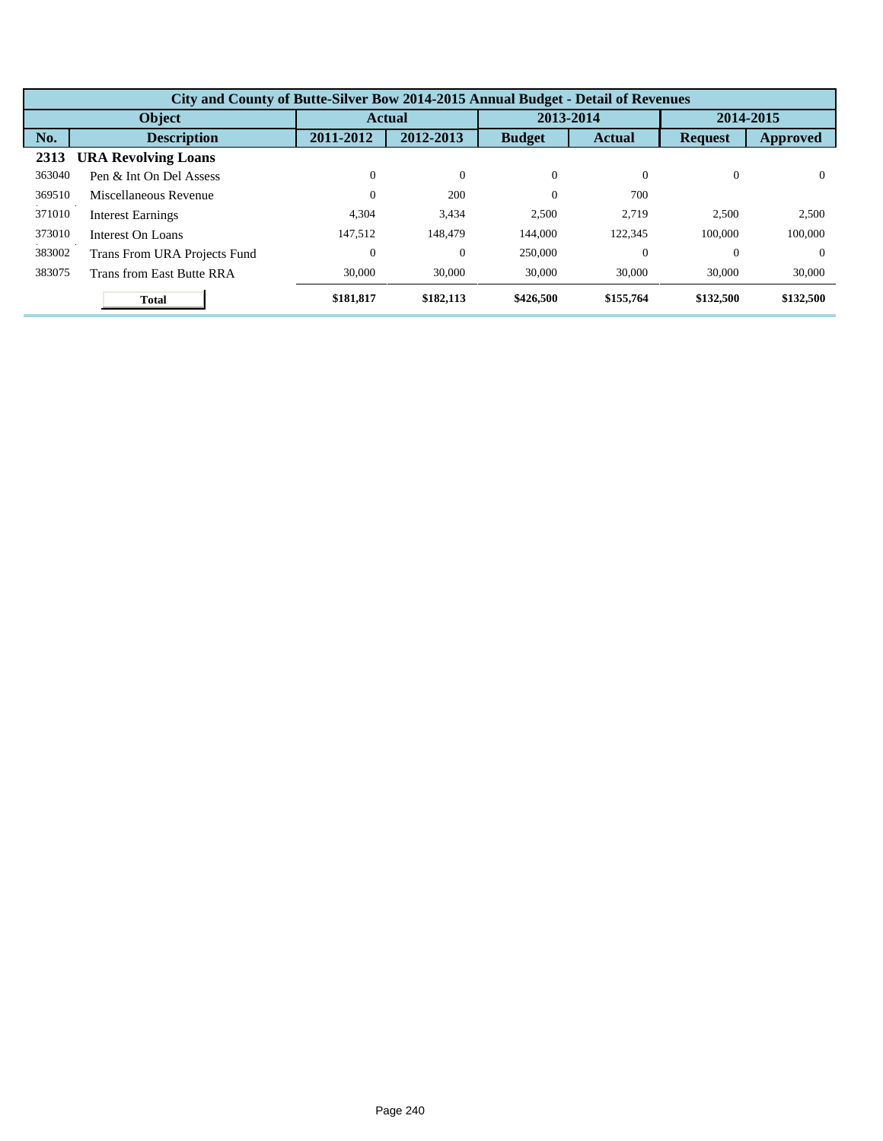|        | City and County of Butte-Silver Bow 2014-2015 Annual Budget - Detail of Revenues |                  |              |               |               |                |           |  |  |  |
|--------|----------------------------------------------------------------------------------|------------------|--------------|---------------|---------------|----------------|-----------|--|--|--|
|        | Object                                                                           |                  | Actual       | 2013-2014     |               | 2014-2015      |           |  |  |  |
| No.    | <b>Description</b>                                                               | 2011-2012        | 2012-2013    | <b>Budget</b> | <b>Actual</b> | <b>Request</b> | Approved  |  |  |  |
| 2313   | <b>URA Revolving Loans</b>                                                       |                  |              |               |               |                |           |  |  |  |
| 363040 | Pen & Int On Del Assess                                                          | $\boldsymbol{0}$ | $\mathbf{0}$ | $\theta$      | $\Omega$      | $\theta$       | $\Omega$  |  |  |  |
| 369510 | Miscellaneous Revenue                                                            | $\boldsymbol{0}$ | 200          | $\Omega$      | 700           |                |           |  |  |  |
| 371010 | <b>Interest Earnings</b>                                                         | 4,304            | 3,434        | 2,500         | 2.719         | 2,500          | 2,500     |  |  |  |
| 373010 | Interest On Loans                                                                | 147.512          | 148,479      | 144,000       | 122,345       | 100,000        | 100,000   |  |  |  |
| 383002 | Trans From URA Projects Fund                                                     | $\boldsymbol{0}$ | $\theta$     | 250,000       | $\theta$      | $\Omega$       | $\Omega$  |  |  |  |
| 383075 | Trans from East Butte RRA                                                        | 30,000           | 30,000       | 30,000        | 30,000        | 30,000         | 30,000    |  |  |  |
|        | <b>Total</b>                                                                     | \$181,817        | \$182,113    | \$426,500     | \$155,764     | \$132,500      | \$132,500 |  |  |  |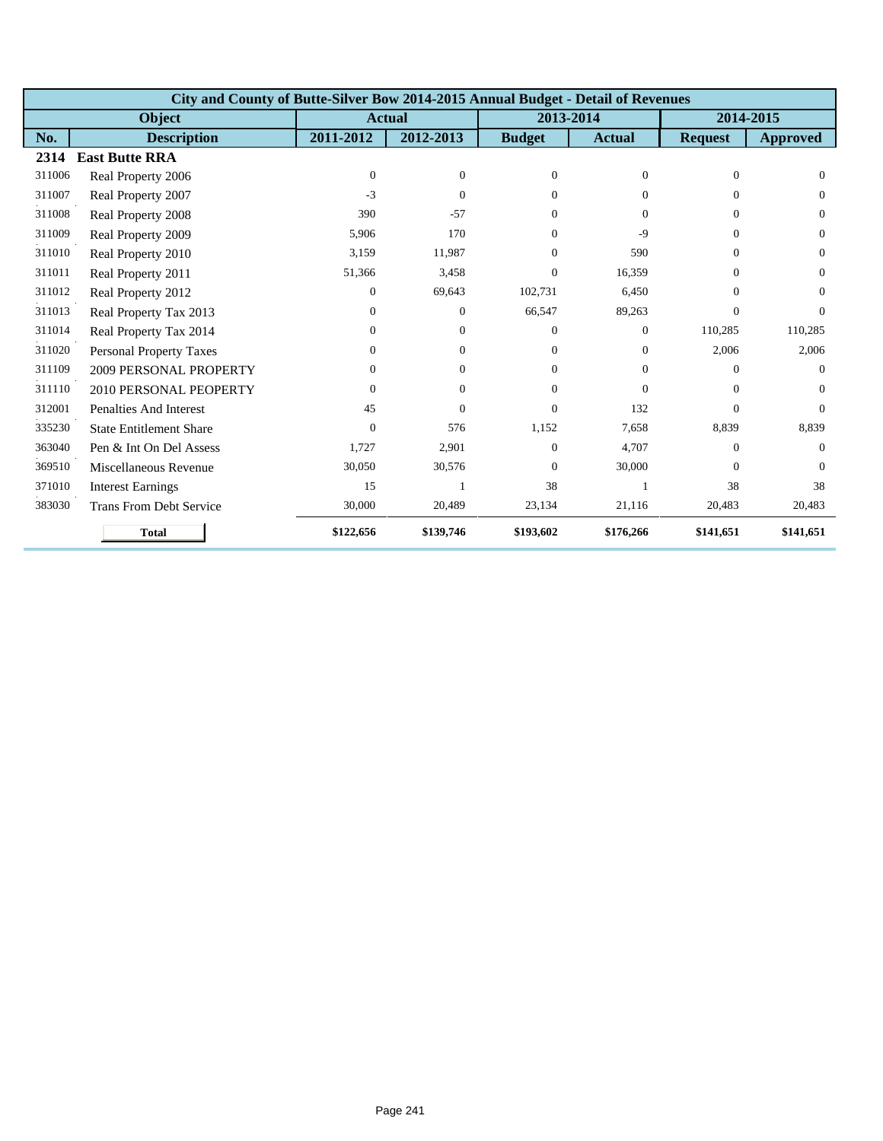|        | City and County of Butte-Silver Bow 2014-2015 Annual Budget - Detail of Revenues |               |                |               |                |                |                 |  |  |  |  |
|--------|----------------------------------------------------------------------------------|---------------|----------------|---------------|----------------|----------------|-----------------|--|--|--|--|
|        | <b>Object</b>                                                                    | <b>Actual</b> |                | 2013-2014     |                |                | 2014-2015       |  |  |  |  |
| No.    | <b>Description</b>                                                               | 2011-2012     | 2012-2013      | <b>Budget</b> | <b>Actual</b>  | <b>Request</b> | <b>Approved</b> |  |  |  |  |
| 2314   | <b>East Butte RRA</b>                                                            |               |                |               |                |                |                 |  |  |  |  |
| 311006 | Real Property 2006                                                               | $\Omega$      | $\overline{0}$ | $\Omega$      | $\Omega$       | $\Omega$       | $\Omega$        |  |  |  |  |
| 311007 | Real Property 2007                                                               | $-3$          | $\Omega$       | $\Omega$      | 0              | $\Omega$       | $\Omega$        |  |  |  |  |
| 311008 | Real Property 2008                                                               | 390           | $-57$          | $\Omega$      | $\Omega$       | $\Omega$       | $\Omega$        |  |  |  |  |
| 311009 | Real Property 2009                                                               | 5,906         | 170            | $\Omega$      | $-9$           | $\Omega$       | $\Omega$        |  |  |  |  |
| 311010 | Real Property 2010                                                               | 3,159         | 11,987         | $\Omega$      | 590            | $\Omega$       | $\Omega$        |  |  |  |  |
| 311011 | Real Property 2011                                                               | 51,366        | 3,458          | $\Omega$      | 16,359         | $\Omega$       | $\Omega$        |  |  |  |  |
| 311012 | Real Property 2012                                                               | 0             | 69,643         | 102,731       | 6,450          | $\Omega$       | $\Omega$        |  |  |  |  |
| 311013 | Real Property Tax 2013                                                           | 0             | $\Omega$       | 66,547        | 89,263         | $\Omega$       | $\Omega$        |  |  |  |  |
| 311014 | Real Property Tax 2014                                                           | 0             | $\overline{0}$ | $\Omega$      | $\overline{0}$ | 110,285        | 110,285         |  |  |  |  |
| 311020 | <b>Personal Property Taxes</b>                                                   | 0             | $\overline{0}$ | $\Omega$      | $\overline{0}$ | 2,006          | 2,006           |  |  |  |  |
| 311109 | 2009 PERSONAL PROPERTY                                                           | 0             | $\overline{0}$ | $\Omega$      | $\Omega$       | $\Omega$       | $\Omega$        |  |  |  |  |
| 311110 | 2010 PERSONAL PEOPERTY                                                           | 0             | $\Omega$       | $\Omega$      | $\Omega$       | $\Omega$       | $\Omega$        |  |  |  |  |
| 312001 | <b>Penalties And Interest</b>                                                    | 45            | $\Omega$       | $\Omega$      | 132            | $\Omega$       | $\Omega$        |  |  |  |  |
| 335230 | <b>State Entitlement Share</b>                                                   | $\Omega$      | 576            | 1,152         | 7,658          | 8,839          | 8,839           |  |  |  |  |
| 363040 | Pen & Int On Del Assess                                                          | 1,727         | 2,901          | $\Omega$      | 4,707          | $\Omega$       | $\Omega$        |  |  |  |  |
| 369510 | Miscellaneous Revenue                                                            | 30,050        | 30,576         | $\Omega$      | 30,000         | $\Omega$       | $\Omega$        |  |  |  |  |
| 371010 | <b>Interest Earnings</b>                                                         | 15            |                | 38            |                | 38             | 38              |  |  |  |  |
| 383030 | <b>Trans From Debt Service</b>                                                   | 30,000        | 20,489         | 23,134        | 21,116         | 20,483         | 20,483          |  |  |  |  |
|        | <b>Total</b>                                                                     | \$122,656     | \$139,746      | \$193,602     | \$176,266      | \$141,651      | \$141,651       |  |  |  |  |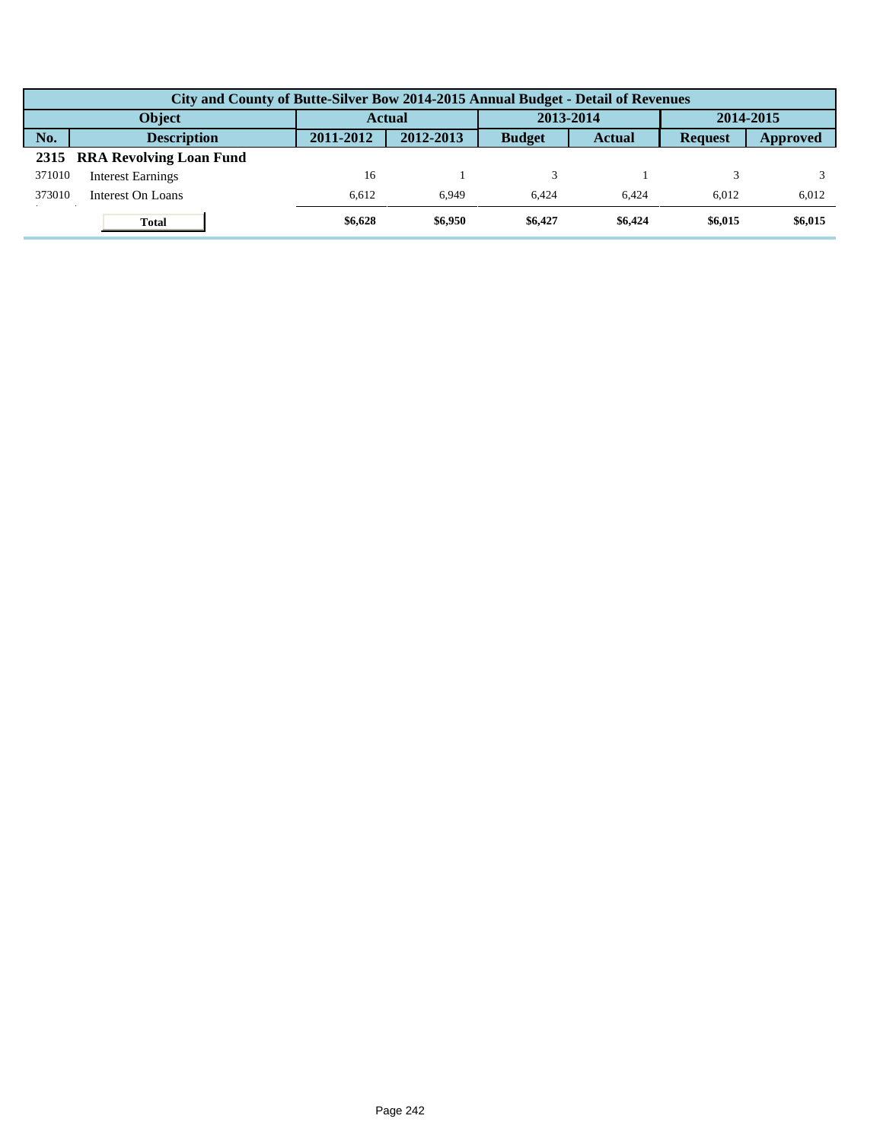| City and County of Butte-Silver Bow 2014-2015 Annual Budget - Detail of Revenues |           |           |               |               |                |           |  |  |  |  |
|----------------------------------------------------------------------------------|-----------|-----------|---------------|---------------|----------------|-----------|--|--|--|--|
| <b>Object</b>                                                                    |           | Actual    |               | 2013-2014     |                | 2014-2015 |  |  |  |  |
| No.<br><b>Description</b>                                                        | 2011-2012 | 2012-2013 | <b>Budget</b> | <b>Actual</b> | <b>Request</b> | Approved  |  |  |  |  |
| 2315 RRA Revolving Loan Fund                                                     |           |           |               |               |                |           |  |  |  |  |
| 371010<br><b>Interest Earnings</b>                                               | 16        |           |               |               |                |           |  |  |  |  |
| 373010<br>Interest On Loans                                                      | 6.612     | 6.949     | 6.424         | 6.424         | 6.012          | 6,012     |  |  |  |  |
| <b>Total</b>                                                                     | \$6,628   | \$6,950   | \$6,427       | \$6,424       | \$6,015        | \$6,015   |  |  |  |  |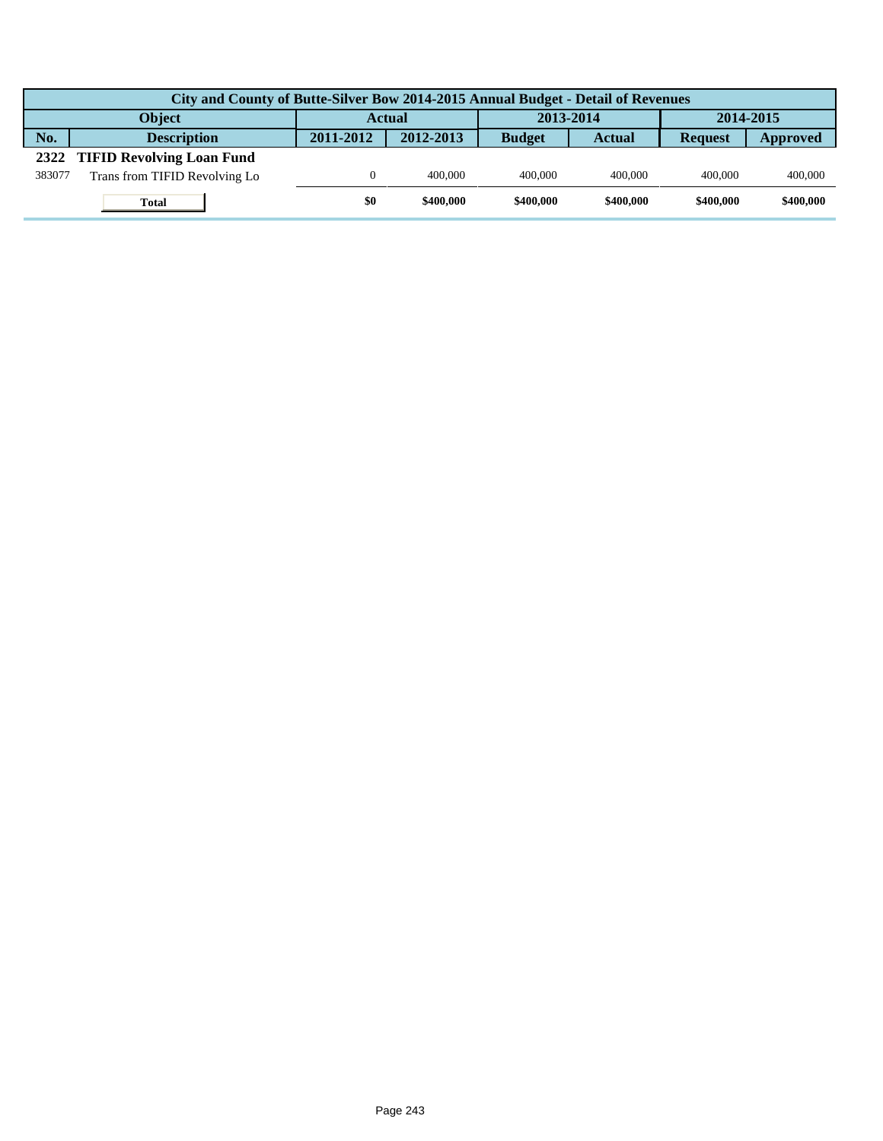|        | City and County of Butte-Silver Bow 2014-2015 Annual Budget - Detail of Revenues |           |           |               |           |                |           |  |  |  |  |
|--------|----------------------------------------------------------------------------------|-----------|-----------|---------------|-----------|----------------|-----------|--|--|--|--|
|        | <b>Object</b>                                                                    | Actual    |           | 2013-2014     |           | 2014-2015      |           |  |  |  |  |
| No.    | <b>Description</b>                                                               | 2011-2012 | 2012-2013 | <b>Budget</b> | Actual    | <b>Request</b> | Approved  |  |  |  |  |
|        | 2322 TIFID Revolving Loan Fund                                                   |           |           |               |           |                |           |  |  |  |  |
| 383077 | Trans from TIFID Revolving Lo                                                    |           | 400,000   | 400,000       | 400,000   | 400,000        | 400,000   |  |  |  |  |
|        | <b>Total</b>                                                                     | \$0       | \$400,000 | \$400,000     | \$400,000 | \$400,000      | \$400,000 |  |  |  |  |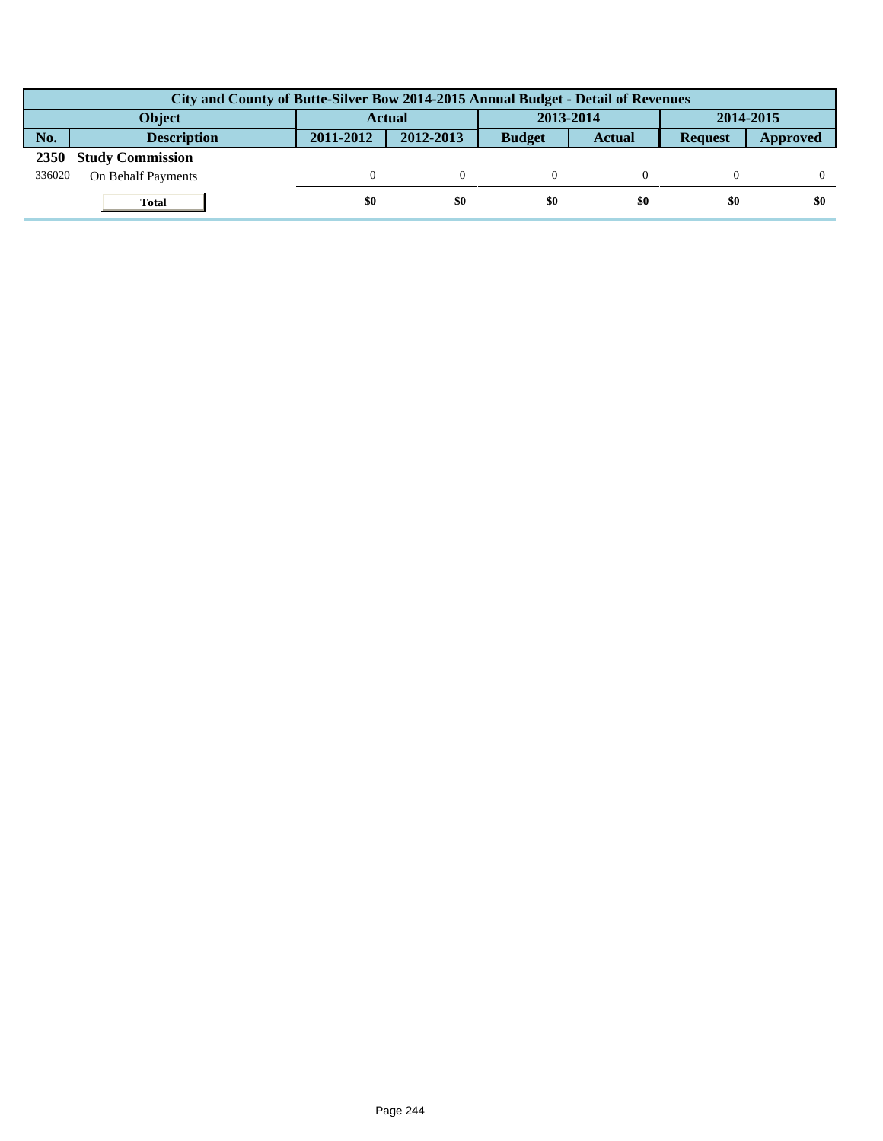|             | City and County of Butte-Silver Bow 2014-2015 Annual Budget - Detail of Revenues |               |           |               |               |                |          |  |  |  |  |
|-------------|----------------------------------------------------------------------------------|---------------|-----------|---------------|---------------|----------------|----------|--|--|--|--|
|             | Object                                                                           | <b>Actual</b> |           | 2013-2014     |               | 2014-2015      |          |  |  |  |  |
| No.         | <b>Description</b>                                                               | 2011-2012     | 2012-2013 | <b>Budget</b> | <b>Actual</b> | <b>Request</b> | Approved |  |  |  |  |
| <b>2350</b> | <b>Study Commission</b>                                                          |               |           |               |               |                |          |  |  |  |  |
| 336020      | On Behalf Payments                                                               |               |           |               |               |                |          |  |  |  |  |
|             | <b>Total</b>                                                                     | \$0           | \$0       | \$0           | \$0           | \$0            | \$0      |  |  |  |  |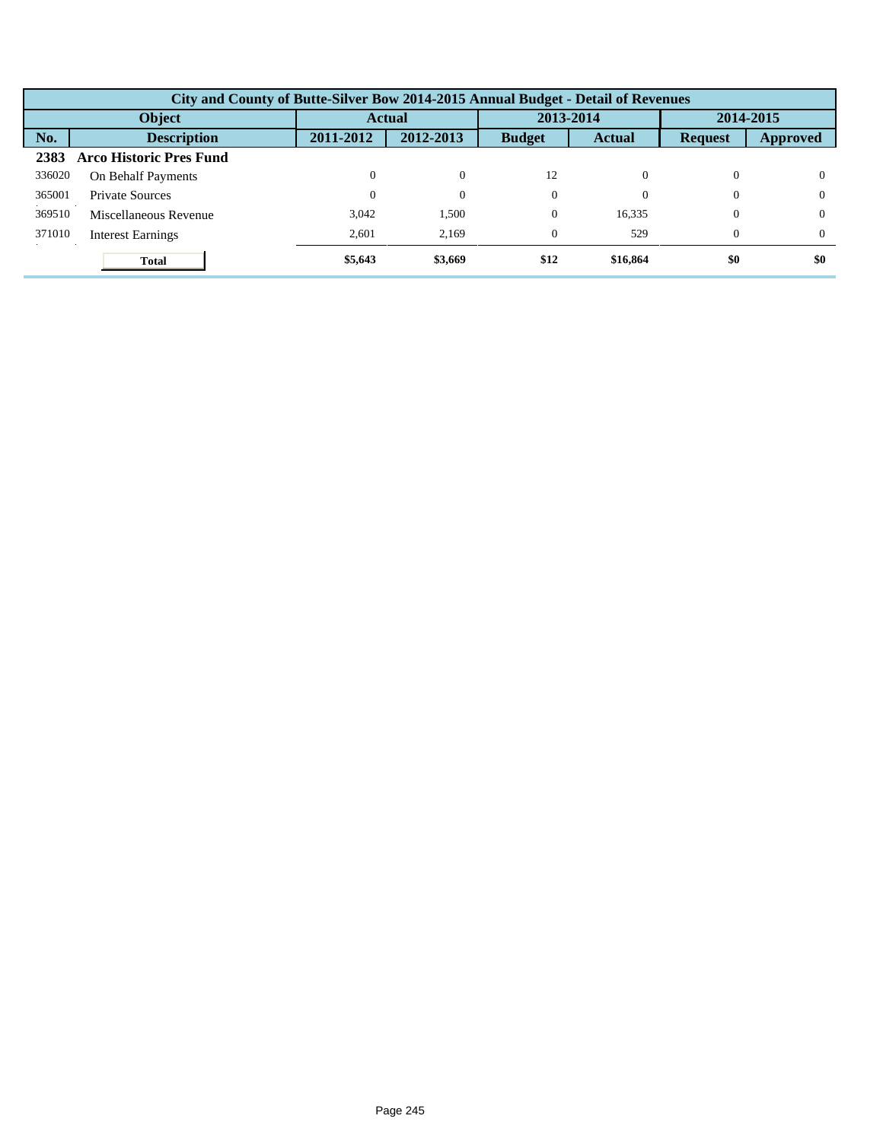|        | City and County of Butte-Silver Bow 2014-2015 Annual Budget - Detail of Revenues |           |           |               |           |                |           |  |  |  |
|--------|----------------------------------------------------------------------------------|-----------|-----------|---------------|-----------|----------------|-----------|--|--|--|
|        | Object                                                                           |           | Actual    |               | 2013-2014 |                | 2014-2015 |  |  |  |
| No.    | <b>Description</b>                                                               | 2011-2012 | 2012-2013 | <b>Budget</b> | Actual    | <b>Request</b> | Approved  |  |  |  |
| 2383   | <b>Arco Historic Pres Fund</b>                                                   |           |           |               |           |                |           |  |  |  |
| 336020 | On Behalf Payments                                                               | $\Omega$  | $\Omega$  | 12            |           | $\Omega$       | $\theta$  |  |  |  |
| 365001 | Private Sources                                                                  | 0         | $\theta$  | $\Omega$      |           | $\Omega$       | $^{0}$    |  |  |  |
| 369510 | Miscellaneous Revenue                                                            | 3,042     | 1,500     | $\Omega$      | 16,335    | $\mathbf{0}$   | $\Omega$  |  |  |  |
| 371010 | <b>Interest Earnings</b>                                                         | 2,601     | 2,169     | $\Omega$      | 529       | $\Omega$       | $^{0}$    |  |  |  |
|        | <b>Total</b>                                                                     | \$5,643   | \$3,669   | \$12          | \$16,864  | \$0            | \$0       |  |  |  |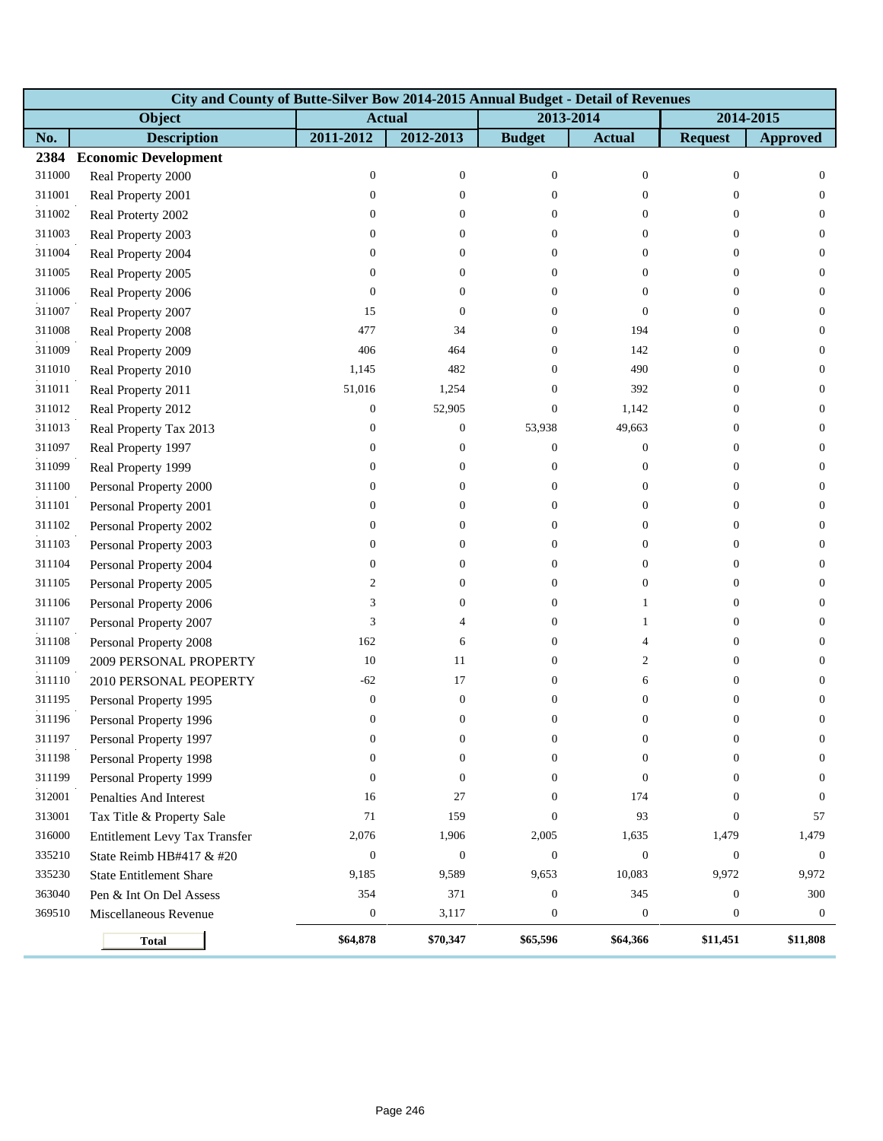|        | City and County of Butte-Silver Bow 2014-2015 Annual Budget - Detail of Revenues |                  |                  |                  |                  |                  |                  |  |  |  |  |
|--------|----------------------------------------------------------------------------------|------------------|------------------|------------------|------------------|------------------|------------------|--|--|--|--|
|        | Object                                                                           | <b>Actual</b>    |                  | 2013-2014        |                  |                  | 2014-2015        |  |  |  |  |
| No.    | <b>Description</b>                                                               | 2011-2012        | 2012-2013        | <b>Budget</b>    | <b>Actual</b>    | <b>Request</b>   | <b>Approved</b>  |  |  |  |  |
| 2384   | <b>Economic Development</b>                                                      |                  |                  |                  |                  |                  |                  |  |  |  |  |
| 311000 | Real Property 2000                                                               | $\boldsymbol{0}$ | $\boldsymbol{0}$ | $\boldsymbol{0}$ | $\boldsymbol{0}$ | $\boldsymbol{0}$ | $\mathbf{0}$     |  |  |  |  |
| 311001 | Real Property 2001                                                               | $\mathbf{0}$     | $\mathbf{0}$     | $\theta$         | $\overline{0}$   | $\theta$         | $\overline{0}$   |  |  |  |  |
| 311002 | Real Proterty 2002                                                               | $\mathbf{0}$     | $\overline{0}$   | $\overline{0}$   | $\overline{0}$   | $\overline{0}$   | $\overline{0}$   |  |  |  |  |
| 311003 | Real Property 2003                                                               | $\boldsymbol{0}$ | $\overline{0}$   | $\overline{0}$   | $\overline{0}$   | $\mathbf{0}$     | $\mathbf{0}$     |  |  |  |  |
| 311004 | Real Property 2004                                                               | $\boldsymbol{0}$ | $\mathbf{0}$     | $\overline{0}$   | $\boldsymbol{0}$ | $\overline{0}$   | $\mathbf{0}$     |  |  |  |  |
| 311005 | Real Property 2005                                                               | $\mathbf{0}$     | 0                | $\overline{0}$   | $\overline{0}$   | $\overline{0}$   | $\overline{0}$   |  |  |  |  |
| 311006 | Real Property 2006                                                               | $\mathbf{0}$     | $\theta$         | $\overline{0}$   | $\overline{0}$   | $\overline{0}$   | $\mathbf{0}$     |  |  |  |  |
| 311007 | Real Property 2007                                                               | 15               | $\boldsymbol{0}$ | $\Omega$         | $\overline{0}$   | $\theta$         | $\mathbf{0}$     |  |  |  |  |
| 311008 | Real Property 2008                                                               | 477              | 34               | $\overline{0}$   | 194              | $\mathbf{0}$     | $\mathbf{0}$     |  |  |  |  |
| 311009 | Real Property 2009                                                               | 406              | 464              | 0                | 142              | $\theta$         | $\mathbf{0}$     |  |  |  |  |
| 311010 | Real Property 2010                                                               | 1,145            | 482              | $\Omega$         | 490              | $\theta$         | $\mathbf{0}$     |  |  |  |  |
| 311011 | Real Property 2011                                                               | 51,016           | 1,254            | $\Omega$         | 392              | $\theta$         | $\mathbf{0}$     |  |  |  |  |
| 311012 | Real Property 2012                                                               | $\mathbf{0}$     | 52,905           | $\overline{0}$   | 1,142            | $\theta$         | $\mathbf{0}$     |  |  |  |  |
| 311013 | Real Property Tax 2013                                                           | $\boldsymbol{0}$ | $\mathbf{0}$     | 53,938           | 49,663           | $\theta$         | $\mathbf{0}$     |  |  |  |  |
| 311097 | Real Property 1997                                                               | $\mathbf{0}$     | $\mathbf{0}$     | $\overline{0}$   | $\boldsymbol{0}$ | $\overline{0}$   | $\mathbf{0}$     |  |  |  |  |
| 311099 | Real Property 1999                                                               | $\boldsymbol{0}$ | $\overline{0}$   | $\overline{0}$   | $\boldsymbol{0}$ | $\theta$         | $\mathbf{0}$     |  |  |  |  |
| 311100 | Personal Property 2000                                                           | $\boldsymbol{0}$ | $\boldsymbol{0}$ | $\overline{0}$   | $\boldsymbol{0}$ | $\boldsymbol{0}$ | $\mathbf{0}$     |  |  |  |  |
| 311101 | Personal Property 2001                                                           | $\boldsymbol{0}$ | 0                | 0                | $\overline{0}$   | $\theta$         | $\mathbf{0}$     |  |  |  |  |
| 311102 | Personal Property 2002                                                           | $\mathbf{0}$     | 0                | $\Omega$         | $\overline{0}$   | $\theta$         | $\mathbf{0}$     |  |  |  |  |
| 311103 | Personal Property 2003                                                           | $\boldsymbol{0}$ | $\overline{0}$   | $\mathbf{0}$     | $\overline{0}$   | $\theta$         | $\mathbf{0}$     |  |  |  |  |
| 311104 | Personal Property 2004                                                           | $\boldsymbol{0}$ | $\theta$         | 0                | $\boldsymbol{0}$ | $\theta$         | $\mathbf{0}$     |  |  |  |  |
| 311105 | Personal Property 2005                                                           | $\overline{c}$   | $\theta$         | $\overline{0}$   | $\boldsymbol{0}$ | $\overline{0}$   | $\mathbf{0}$     |  |  |  |  |
| 311106 | Personal Property 2006                                                           | 3                | $\theta$         | $\overline{0}$   | 1                | $\overline{0}$   | $\mathbf{0}$     |  |  |  |  |
| 311107 | Personal Property 2007                                                           | 3                | $\overline{4}$   | $\overline{0}$   | $\mathbf{1}$     | $\theta$         | $\mathbf{0}$     |  |  |  |  |
| 311108 | Personal Property 2008                                                           | 162              | 6                | $\overline{0}$   | 4                | $\theta$         | $\mathbf{0}$     |  |  |  |  |
| 311109 | 2009 PERSONAL PROPERTY                                                           | 10               | 11               | 0                | 2                | $\theta$         | $\mathbf{0}$     |  |  |  |  |
| 311110 | 2010 PERSONAL PEOPERTY                                                           | $-62$            | $17\,$           | $\Omega$         | 6                | $\overline{0}$   | $\overline{0}$   |  |  |  |  |
| 311195 | Personal Property 1995                                                           | $\boldsymbol{0}$ | $\boldsymbol{0}$ | $\mathbf{0}$     | $\boldsymbol{0}$ | $\boldsymbol{0}$ | $\boldsymbol{0}$ |  |  |  |  |
| 311196 | Personal Property 1996                                                           | $\mathbf{0}$     | $\boldsymbol{0}$ | $\overline{0}$   | $\overline{0}$   | $\boldsymbol{0}$ | $\mathbf{0}$     |  |  |  |  |
| 311197 | Personal Property 1997                                                           | 0                | 0                | $\boldsymbol{0}$ | 0                | $\bf{0}$         | $\bf{0}$         |  |  |  |  |
| 311198 | Personal Property 1998                                                           | $\mathbf{0}$     | $\boldsymbol{0}$ | $\Omega$         | $\overline{0}$   | $\Omega$         | $\mathbf{0}$     |  |  |  |  |
| 311199 | Personal Property 1999                                                           | $\boldsymbol{0}$ | $\mathbf{0}$     | $\Omega$         | $\overline{0}$   | $\mathbf{0}$     | $\mathbf{0}$     |  |  |  |  |
| 312001 | Penalties And Interest                                                           | 16               | 27               | $\theta$         | 174              | $\mathbf{0}$     | $\mathbf{0}$     |  |  |  |  |
| 313001 | Tax Title & Property Sale                                                        | 71               | 159              | $\theta$         | 93               | $\boldsymbol{0}$ | 57               |  |  |  |  |
| 316000 | <b>Entitlement Levy Tax Transfer</b>                                             | 2,076            | 1,906            | 2,005            | 1,635            | 1,479            | 1,479            |  |  |  |  |
| 335210 | State Reimb HB#417 & #20                                                         | $\boldsymbol{0}$ | $\boldsymbol{0}$ | $\theta$         | $\boldsymbol{0}$ | $\mathbf{0}$     | $\mathbf{0}$     |  |  |  |  |
| 335230 | <b>State Entitlement Share</b>                                                   | 9,185            | 9,589            | 9,653            | 10,083           | 9,972            | 9,972            |  |  |  |  |
| 363040 | Pen & Int On Del Assess                                                          | 354              | 371              | $\mathbf{0}$     | 345              | $\boldsymbol{0}$ | 300              |  |  |  |  |
| 369510 | Miscellaneous Revenue                                                            | $\boldsymbol{0}$ | 3,117            | $\mathbf{0}$     | $\boldsymbol{0}$ | $\boldsymbol{0}$ | $\boldsymbol{0}$ |  |  |  |  |
|        | <b>Total</b>                                                                     | \$64,878         | \$70,347         | \$65,596         | \$64,366         | \$11,451         | \$11,808         |  |  |  |  |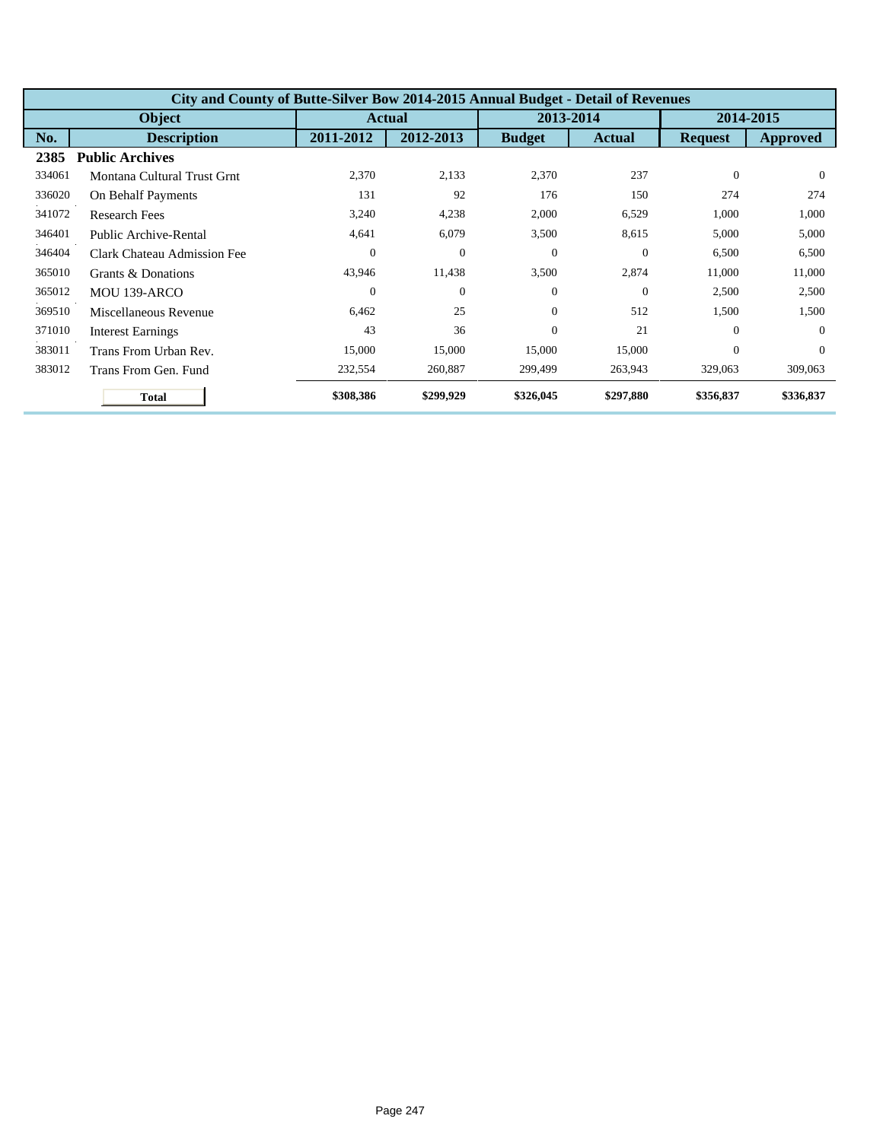|        | City and County of Butte-Silver Bow 2014-2015 Annual Budget - Detail of Revenues |                  |               |               |                |                |           |  |  |
|--------|----------------------------------------------------------------------------------|------------------|---------------|---------------|----------------|----------------|-----------|--|--|
|        | <b>Object</b>                                                                    |                  | <b>Actual</b> |               | 2013-2014      | 2014-2015      |           |  |  |
| No.    | <b>Description</b>                                                               | 2011-2012        | 2012-2013     | <b>Budget</b> | <b>Actual</b>  | <b>Request</b> | Approved  |  |  |
| 2385   | <b>Public Archives</b>                                                           |                  |               |               |                |                |           |  |  |
| 334061 | Montana Cultural Trust Grnt                                                      | 2,370            | 2,133         | 2,370         | 237            | $\Omega$       | $\Omega$  |  |  |
| 336020 | On Behalf Payments                                                               | 131              | 92            | 176           | 150            | 274            | 274       |  |  |
| 341072 | <b>Research Fees</b>                                                             | 3,240            | 4,238         | 2,000         | 6,529          | 1,000          | 1,000     |  |  |
| 346401 | Public Archive-Rental                                                            | 4,641            | 6,079         | 3,500         | 8,615          | 5,000          | 5,000     |  |  |
| 346404 | Clark Chateau Admission Fee                                                      | $\boldsymbol{0}$ | $\theta$      | $\Omega$      | $\Omega$       | 6,500          | 6,500     |  |  |
| 365010 | Grants & Donations                                                               | 43,946           | 11,438        | 3,500         | 2,874          | 11,000         | 11,000    |  |  |
| 365012 | MOU 139-ARCO                                                                     | $\theta$         | $\theta$      | $\Omega$      | $\overline{0}$ | 2,500          | 2,500     |  |  |
| 369510 | Miscellaneous Revenue                                                            | 6,462            | 25            | $\Omega$      | 512            | 1,500          | 1,500     |  |  |
| 371010 | <b>Interest Earnings</b>                                                         | 43               | 36            | $\Omega$      | 21             | $\Omega$       | $\Omega$  |  |  |
| 383011 | Trans From Urban Rev.                                                            | 15,000           | 15,000        | 15,000        | 15,000         | $\overline{0}$ | $\Omega$  |  |  |
| 383012 | Trans From Gen. Fund                                                             | 232,554          | 260,887       | 299,499       | 263,943        | 329,063        | 309,063   |  |  |
|        | <b>Total</b>                                                                     | \$308,386        | \$299,929     | \$326,045     | \$297,880      | \$356,837      | \$336,837 |  |  |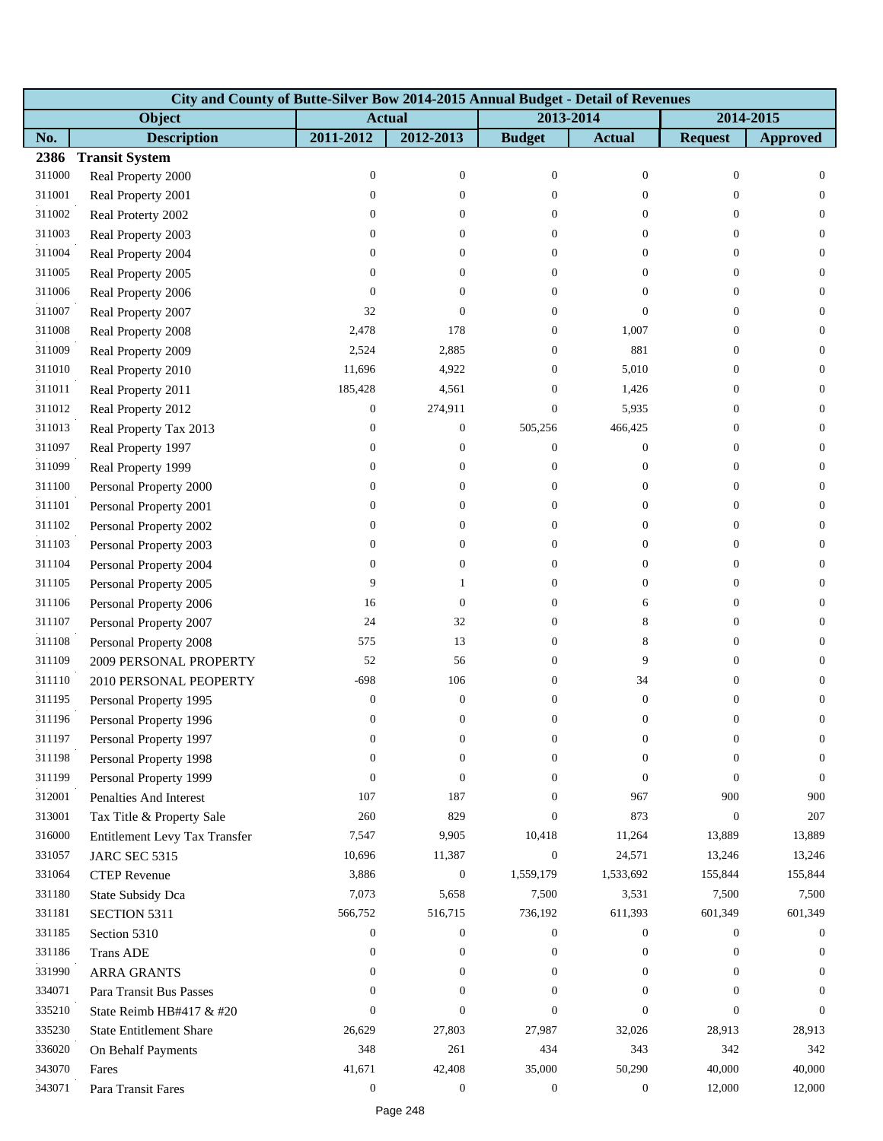|        | City and County of Butte-Silver Bow 2014-2015 Annual Budget - Detail of Revenues |                  |                  |                  |                  |                  |                  |
|--------|----------------------------------------------------------------------------------|------------------|------------------|------------------|------------------|------------------|------------------|
|        | Object                                                                           | <b>Actual</b>    |                  | 2013-2014        |                  | 2014-2015        |                  |
| No.    | <b>Description</b>                                                               | 2011-2012        | 2012-2013        | <b>Budget</b>    | <b>Actual</b>    | <b>Request</b>   | <b>Approved</b>  |
| 2386   | <b>Transit System</b>                                                            |                  |                  |                  |                  |                  |                  |
| 311000 | Real Property 2000                                                               | $\boldsymbol{0}$ | $\boldsymbol{0}$ | $\boldsymbol{0}$ | $\mathbf{0}$     | $\boldsymbol{0}$ | $\mathbf{0}$     |
| 311001 | Real Property 2001                                                               | $\boldsymbol{0}$ | $\overline{0}$   | $\Omega$         | $\mathbf{0}$     | $\Omega$         | $\theta$         |
| 311002 | Real Proterty 2002                                                               | $\boldsymbol{0}$ | $\overline{0}$   | $\overline{0}$   | $\mathbf{0}$     | $\Omega$         | $\theta$         |
| 311003 | Real Property 2003                                                               | $\boldsymbol{0}$ | $\overline{0}$   | $\overline{0}$   | $\theta$         | $\Omega$         | $\overline{0}$   |
| 311004 | Real Property 2004                                                               | $\boldsymbol{0}$ | $\overline{0}$   | $\overline{0}$   | $\mathbf{0}$     | $\overline{0}$   | $\mathbf{0}$     |
| 311005 | Real Property 2005                                                               | $\boldsymbol{0}$ | $\overline{0}$   | $\Omega$         | $\mathbf{0}$     | $\Omega$         | $\theta$         |
| 311006 | Real Property 2006                                                               | $\mathbf{0}$     | $\overline{0}$   | $\overline{0}$   | $\theta$         | $\Omega$         | $\mathbf{0}$     |
| 311007 | Real Property 2007                                                               | 32               | $\theta$         | 0                | $\theta$         | $\overline{0}$   | $\theta$         |
| 311008 | Real Property 2008                                                               | 2,478            | 178              | 0                | 1,007            | $\overline{0}$   | $\mathbf{0}$     |
| 311009 | Real Property 2009                                                               | 2,524            | 2,885            | $\overline{0}$   | 881              | $\theta$         | $\theta$         |
| 311010 | Real Property 2010                                                               | 11,696           | 4,922            | $\mathbf{0}$     | 5,010            | $\overline{0}$   | $\theta$         |
| 311011 | Real Property 2011                                                               | 185,428          | 4,561            | $\overline{0}$   | 1,426            | $\overline{0}$   | $\theta$         |
| 311012 | Real Property 2012                                                               | $\boldsymbol{0}$ | 274,911          | $\boldsymbol{0}$ | 5,935            | $\overline{0}$   | $\mathbf{0}$     |
| 311013 | Real Property Tax 2013                                                           | $\boldsymbol{0}$ | $\boldsymbol{0}$ | 505,256          | 466,425          | $\theta$         | $\theta$         |
| 311097 | Real Property 1997                                                               | $\overline{0}$   | 0                | 0                | $\mathbf{0}$     | $\theta$         | $\theta$         |
| 311099 | Real Property 1999                                                               | $\boldsymbol{0}$ | $\overline{0}$   | 0                | $\boldsymbol{0}$ | $\overline{0}$   | $\theta$         |
| 311100 | Personal Property 2000                                                           | 0                | 0                | 0                | $\mathbf{0}$     | $\overline{0}$   | $\mathbf{0}$     |
| 311101 | Personal Property 2001                                                           | $\boldsymbol{0}$ | 0                | $\overline{0}$   | $\overline{0}$   | $\overline{0}$   | $\theta$         |
| 311102 | Personal Property 2002                                                           | 0                | $\overline{0}$   | $\overline{0}$   | $\mathbf{0}$     | $\theta$         | $\mathbf{0}$     |
| 311103 | Personal Property 2003                                                           | 0                | $\overline{0}$   | 0                | $\mathbf{0}$     | $\overline{0}$   | $\mathbf{0}$     |
| 311104 | Personal Property 2004                                                           | 0                | 0                | 0                | $\mathbf{0}$     | $\overline{0}$   | $\mathbf{0}$     |
| 311105 | Personal Property 2005                                                           | 9                | 1                | $\overline{0}$   | $\overline{0}$   | $\theta$         | $\theta$         |
| 311106 | Personal Property 2006                                                           | 16               | $\boldsymbol{0}$ | $\overline{0}$   | 6                | $\theta$         | $\theta$         |
| 311107 | Personal Property 2007                                                           | 24               | 32               | 0                | 8                | $\overline{0}$   | $\mathbf{0}$     |
| 311108 | Personal Property 2008                                                           | 575              | 13               | 0                | 8                | $\overline{0}$   | $\mathbf{0}$     |
| 311109 | 2009 PERSONAL PROPERTY                                                           | 52               | 56               | $\mathbf{0}$     | 9                | $\overline{0}$   | $\theta$         |
| 311110 | 2010 PERSONAL PEOPERTY                                                           | -698             | 106              | $\mathbf{0}$     | 34               | $\overline{0}$   | $\theta$         |
| 311195 | Personal Property 1995                                                           | $\boldsymbol{0}$ | $\boldsymbol{0}$ | $\mathbf{0}$     | $\boldsymbol{0}$ | $\boldsymbol{0}$ | $\boldsymbol{0}$ |
| 311196 | Personal Property 1996                                                           | $\boldsymbol{0}$ | $\boldsymbol{0}$ | $\overline{0}$   | $\boldsymbol{0}$ | $\boldsymbol{0}$ | $\boldsymbol{0}$ |
| 311197 | Personal Property 1997                                                           | 0                | 0                | 0                | $\boldsymbol{0}$ | 0                | 0                |
| 311198 | Personal Property 1998                                                           | $\boldsymbol{0}$ | 0                | $\Omega$         | $\theta$         | 0                | $\Omega$         |
| 311199 | Personal Property 1999                                                           | $\mathbf{0}$     | $\overline{0}$   | $\overline{0}$   | $\theta$         | $\mathbf{0}$     | $\theta$         |
| 312001 | <b>Penalties And Interest</b>                                                    | 107              | 187              | $\overline{0}$   | 967              | 900              | 900              |
| 313001 | Tax Title & Property Sale                                                        | 260              | 829              | $\Omega$         | 873              | $\theta$         | 207              |
| 316000 | Entitlement Levy Tax Transfer                                                    | 7,547            | 9,905            | 10,418           | 11,264           | 13,889           | 13,889           |
| 331057 | <b>JARC SEC 5315</b>                                                             | 10,696           | 11,387           | $\boldsymbol{0}$ | 24,571           | 13,246           | 13,246           |
| 331064 | <b>CTEP</b> Revenue                                                              | 3,886            | $\boldsymbol{0}$ | 1,559,179        | 1,533,692        | 155,844          | 155,844          |
| 331180 | State Subsidy Dca                                                                | 7,073            | 5,658            | 7,500            | 3,531            | 7,500            | 7,500            |
| 331181 | SECTION 5311                                                                     | 566,752          | 516,715          | 736,192          | 611,393          | 601,349          | 601,349          |
| 331185 | Section 5310                                                                     | $\boldsymbol{0}$ | $\boldsymbol{0}$ | $\boldsymbol{0}$ | $\mathbf{0}$     | $\overline{0}$   | $\overline{0}$   |
| 331186 | <b>Trans ADE</b>                                                                 | 0                | $\mathbf{0}$     | 0                | $\mathbf{0}$     | $\overline{0}$   | $\theta$         |
| 331990 | <b>ARRA GRANTS</b>                                                               | $\mathbf{0}$     | 0                | $\overline{0}$   | $\overline{0}$   | $\Omega$         | $\mathbf{0}$     |
| 334071 | Para Transit Bus Passes                                                          | $\boldsymbol{0}$ | $\overline{0}$   | $\Omega$         | $\theta$         | $\Omega$         | $\Omega$         |
| 335210 | State Reimb HB#417 & #20                                                         | $\boldsymbol{0}$ | $\overline{0}$   | $\Omega$         | $\theta$         | $\Omega$         | $\Omega$         |
| 335230 | <b>State Entitlement Share</b>                                                   | 26,629           | 27,803           | 27,987           | 32,026           | 28,913           | 28,913           |
| 336020 | On Behalf Payments                                                               | 348              | 261              | 434              | 343              | 342              | 342              |
| 343070 | Fares                                                                            | 41,671           | 42,408           | 35,000           | 50,290           | 40,000           | 40,000           |
| 343071 | Para Transit Fares                                                               | $\boldsymbol{0}$ | $\boldsymbol{0}$ | $\mathbf{0}$     | $\boldsymbol{0}$ | 12,000           | 12,000           |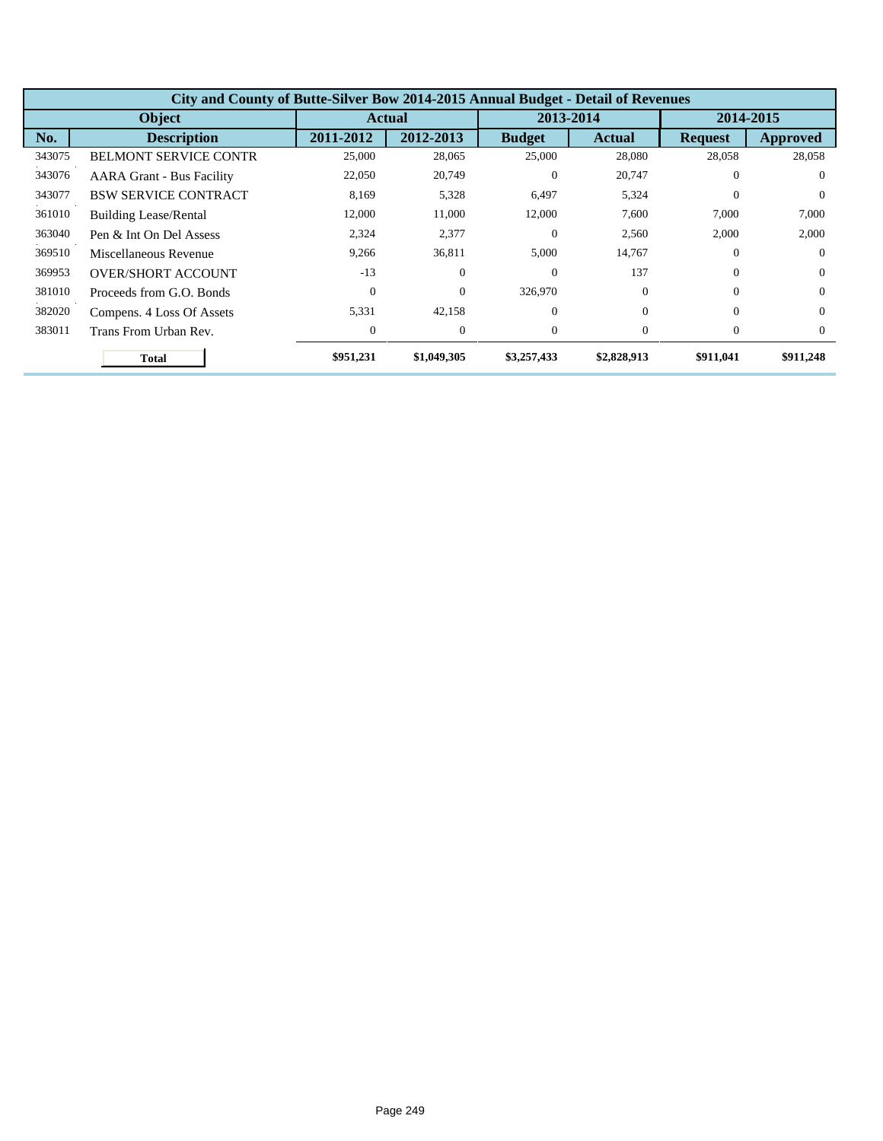|        | City and County of Butte-Silver Bow 2014-2015 Annual Budget - Detail of Revenues |               |             |               |               |                |           |  |  |  |
|--------|----------------------------------------------------------------------------------|---------------|-------------|---------------|---------------|----------------|-----------|--|--|--|
|        | <b>Object</b>                                                                    | <b>Actual</b> |             | 2013-2014     |               | 2014-2015      |           |  |  |  |
| No.    | <b>Description</b>                                                               | 2011-2012     | 2012-2013   | <b>Budget</b> | <b>Actual</b> | <b>Request</b> | Approved  |  |  |  |
| 343075 | <b>BELMONT SERVICE CONTR</b>                                                     | 25,000        | 28,065      | 25,000        | 28,080        | 28,058         | 28,058    |  |  |  |
| 343076 | <b>AARA Grant - Bus Facility</b>                                                 | 22,050        | 20,749      | $\theta$      | 20,747        | $\theta$       | $\Omega$  |  |  |  |
| 343077 | <b>BSW SERVICE CONTRACT</b>                                                      | 8,169         | 5,328       | 6,497         | 5,324         | $\Omega$       | $\Omega$  |  |  |  |
| 361010 | <b>Building Lease/Rental</b>                                                     | 12,000        | 11,000      | 12,000        | 7,600         | 7,000          | 7,000     |  |  |  |
| 363040 | Pen & Int On Del Assess                                                          | 2,324         | 2,377       | $\Omega$      | 2,560         | 2,000          | 2,000     |  |  |  |
| 369510 | Miscellaneous Revenue                                                            | 9,266         | 36,811      | 5,000         | 14,767        | $\Omega$       | $\Omega$  |  |  |  |
| 369953 | <b>OVER/SHORT ACCOUNT</b>                                                        | $-13$         | $\theta$    | $\Omega$      | 137           | $\Omega$       | $\Omega$  |  |  |  |
| 381010 | Proceeds from G.O. Bonds                                                         | $\Omega$      | $\Omega$    | 326,970       | $\Omega$      | $\Omega$       | $\Omega$  |  |  |  |
| 382020 | Compens. 4 Loss Of Assets                                                        | 5,331         | 42,158      | $\Omega$      | $\Omega$      | $\Omega$       | $\Omega$  |  |  |  |
| 383011 | Trans From Urban Rev.                                                            | $\Omega$      | $\theta$    | $\Omega$      | $\Omega$      | $\theta$       | $\Omega$  |  |  |  |
|        | <b>Total</b>                                                                     | \$951,231     | \$1,049,305 | \$3,257,433   | \$2,828,913   | \$911,041      | \$911,248 |  |  |  |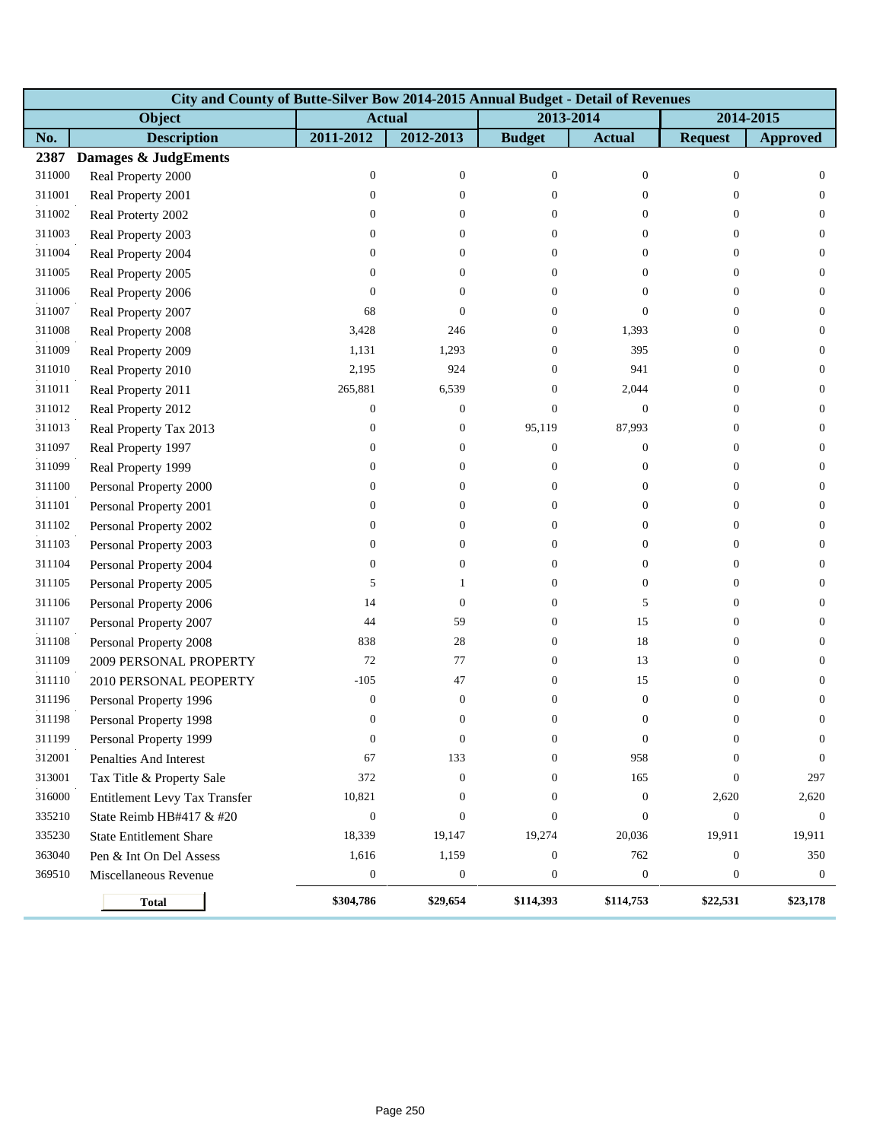|        | City and County of Butte-Silver Bow 2014-2015 Annual Budget - Detail of Revenues |                  |                  |                  |                  |                  |                  |  |  |  |  |
|--------|----------------------------------------------------------------------------------|------------------|------------------|------------------|------------------|------------------|------------------|--|--|--|--|
|        | Object                                                                           |                  | <b>Actual</b>    |                  | 2013-2014        |                  | 2014-2015        |  |  |  |  |
| No.    | <b>Description</b>                                                               | 2011-2012        | 2012-2013        | <b>Budget</b>    | <b>Actual</b>    | <b>Request</b>   | <b>Approved</b>  |  |  |  |  |
| 2387   | <b>Damages &amp; JudgEments</b>                                                  |                  |                  |                  |                  |                  |                  |  |  |  |  |
| 311000 | Real Property 2000                                                               | $\mathbf{0}$     | $\boldsymbol{0}$ | $\mathbf{0}$     | $\mathbf{0}$     | $\mathbf{0}$     | $\boldsymbol{0}$ |  |  |  |  |
| 311001 | Real Property 2001                                                               | $\mathbf{0}$     | $\theta$         | $\Omega$         | $\overline{0}$   | $\overline{0}$   | $\boldsymbol{0}$ |  |  |  |  |
| 311002 | Real Proterty 2002                                                               | $\boldsymbol{0}$ | 0                | $\Omega$         | $\overline{0}$   | $\overline{0}$   | $\overline{0}$   |  |  |  |  |
| 311003 | Real Property 2003                                                               | $\boldsymbol{0}$ | $\theta$         | $\Omega$         | $\overline{0}$   | $\mathbf{0}$     | $\boldsymbol{0}$ |  |  |  |  |
| 311004 | Real Property 2004                                                               | 0                | $\theta$         | $\theta$         | 0                | $\boldsymbol{0}$ | $\mathbf{0}$     |  |  |  |  |
| 311005 | Real Property 2005                                                               | $\boldsymbol{0}$ | $\overline{0}$   | $\Omega$         | $\overline{0}$   | $\overline{0}$   | $\boldsymbol{0}$ |  |  |  |  |
| 311006 | Real Property 2006                                                               | $\mathbf{0}$     | $\theta$         | $\Omega$         | $\overline{0}$   | $\overline{0}$   | $\overline{0}$   |  |  |  |  |
| 311007 | Real Property 2007                                                               | 68               | $\overline{0}$   | $\Omega$         | $\overline{0}$   | $\theta$         | $\boldsymbol{0}$ |  |  |  |  |
| 311008 | Real Property 2008                                                               | 3,428            | 246              | $\boldsymbol{0}$ | 1,393            | $\mathbf{0}$     | $\mathbf{0}$     |  |  |  |  |
| 311009 | Real Property 2009                                                               | 1,131            | 1,293            | $\theta$         | 395              | $\mathbf{0}$     | $\boldsymbol{0}$ |  |  |  |  |
| 311010 | Real Property 2010                                                               | 2,195            | 924              | $\Omega$         | 941              | $\overline{0}$   | $\overline{0}$   |  |  |  |  |
| 311011 | Real Property 2011                                                               | 265,881          | 6,539            | $\Omega$         | 2,044            | $\mathbf{0}$     | $\boldsymbol{0}$ |  |  |  |  |
| 311012 | Real Property 2012                                                               | $\mathbf{0}$     | $\boldsymbol{0}$ | $\overline{0}$   | $\mathbf{0}$     | $\mathbf{0}$     | $\mathbf{0}$     |  |  |  |  |
| 311013 | Real Property Tax 2013                                                           | $\boldsymbol{0}$ | $\mathbf{0}$     | 95,119           | 87,993           | $\mathbf{0}$     | $\boldsymbol{0}$ |  |  |  |  |
| 311097 | Real Property 1997                                                               | $\mathbf{0}$     | $\theta$         | $\overline{0}$   | $\overline{0}$   | $\theta$         | $\overline{0}$   |  |  |  |  |
| 311099 | Real Property 1999                                                               | $\boldsymbol{0}$ | $\theta$         | $\theta$         | $\mathbf{0}$     | $\mathbf{0}$     | $\boldsymbol{0}$ |  |  |  |  |
| 311100 | Personal Property 2000                                                           | $\boldsymbol{0}$ | $\overline{0}$   | $\overline{0}$   | $\boldsymbol{0}$ | $\mathbf{0}$     | $\mathbf{0}$     |  |  |  |  |
| 311101 | Personal Property 2001                                                           | $\boldsymbol{0}$ | $\overline{0}$   | $\Omega$         | 0                | $\mathbf{0}$     | $\boldsymbol{0}$ |  |  |  |  |
| 311102 | Personal Property 2002                                                           | $\boldsymbol{0}$ | $\overline{0}$   | $\Omega$         | $\overline{0}$   | $\overline{0}$   | $\overline{0}$   |  |  |  |  |
| 311103 | Personal Property 2003                                                           | $\boldsymbol{0}$ | $\theta$         | $\Omega$         | $\overline{0}$   | $\mathbf{0}$     | $\boldsymbol{0}$ |  |  |  |  |
| 311104 | Personal Property 2004                                                           | $\boldsymbol{0}$ | $\boldsymbol{0}$ | $\overline{0}$   | $\overline{0}$   | $\mathbf{0}$     | $\mathbf{0}$     |  |  |  |  |
| 311105 | Personal Property 2005                                                           | 5                | 1                | $\overline{0}$   | $\boldsymbol{0}$ | $\overline{0}$   | $\boldsymbol{0}$ |  |  |  |  |
| 311106 | Personal Property 2006                                                           | 14               | $\boldsymbol{0}$ | $\Omega$         | 5                | $\overline{0}$   | $\overline{0}$   |  |  |  |  |
| 311107 | Personal Property 2007                                                           | 44               | 59               | $\overline{0}$   | 15               | $\mathbf{0}$     | $\boldsymbol{0}$ |  |  |  |  |
| 311108 | Personal Property 2008                                                           | 838              | 28               | $\overline{0}$   | 18               | $\mathbf{0}$     | $\mathbf{0}$     |  |  |  |  |
| 311109 | 2009 PERSONAL PROPERTY                                                           | 72               | $77\,$           | $\theta$         | 13               | $\mathbf{0}$     | $\boldsymbol{0}$ |  |  |  |  |
| 311110 | 2010 PERSONAL PEOPERTY                                                           | $-105$           | 47               | $\Omega$         | 15               | $\mathbf{0}$     | $\overline{0}$   |  |  |  |  |
| 311196 | Personal Property 1996                                                           | $\mathbf{0}$     | $\boldsymbol{0}$ | $\Omega$         | $\mathbf{0}$     | $\mathbf{0}$     | $\boldsymbol{0}$ |  |  |  |  |
| 311198 | Personal Property 1998                                                           | $\mathbf{0}$     | $\boldsymbol{0}$ | $\overline{0}$   | $\overline{0}$   | $\boldsymbol{0}$ | $\mathbf{0}$     |  |  |  |  |
| 311199 | Personal Property 1999                                                           | $\theta$         | $\theta$         | $\theta$         | $\theta$         | $\theta$         | $\theta$         |  |  |  |  |
| 312001 | Penalties And Interest                                                           | 67               | 133              | $\Omega$         | 958              | $\overline{0}$   | $\mathbf{0}$     |  |  |  |  |
| 313001 | Tax Title & Property Sale                                                        | 372              | $\boldsymbol{0}$ | $\Omega$         | 165              | $\mathbf{0}$     | 297              |  |  |  |  |
| 316000 | Entitlement Levy Tax Transfer                                                    | 10,821           | $\boldsymbol{0}$ | $\overline{0}$   | $\boldsymbol{0}$ | 2,620            | 2,620            |  |  |  |  |
| 335210 | State Reimb HB#417 & #20                                                         | $\boldsymbol{0}$ | $\boldsymbol{0}$ | $\overline{0}$   | $\mathbf{0}$     | $\mathbf{0}$     | $\mathbf{0}$     |  |  |  |  |
| 335230 | <b>State Entitlement Share</b>                                                   | 18,339           | 19,147           | 19,274           | 20,036           | 19,911           | 19,911           |  |  |  |  |
| 363040 | Pen & Int On Del Assess                                                          | 1,616            | 1,159            | $\overline{0}$   | 762              | $\mathbf{0}$     | 350              |  |  |  |  |
| 369510 | Miscellaneous Revenue                                                            | $\boldsymbol{0}$ | $\boldsymbol{0}$ | $\boldsymbol{0}$ | $\boldsymbol{0}$ | $\boldsymbol{0}$ | $\boldsymbol{0}$ |  |  |  |  |
|        | <b>Total</b>                                                                     | \$304,786        | \$29,654         | \$114,393        | \$114,753        | \$22,531         | \$23,178         |  |  |  |  |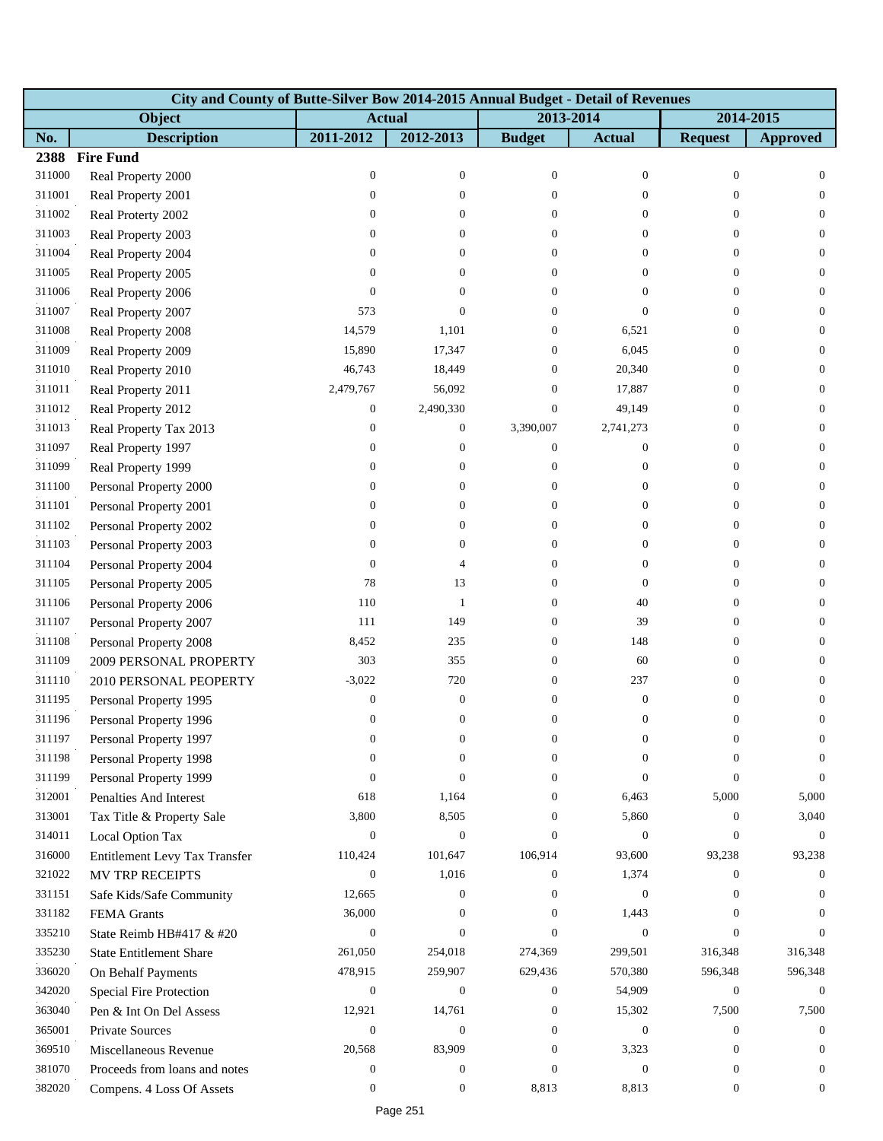|        | City and County of Butte-Silver Bow 2014-2015 Annual Budget - Detail of Revenues |                  |                  |                  |                  |                  |                  |  |  |  |  |
|--------|----------------------------------------------------------------------------------|------------------|------------------|------------------|------------------|------------------|------------------|--|--|--|--|
|        | Object                                                                           | <b>Actual</b>    |                  | 2013-2014        |                  | 2014-2015        |                  |  |  |  |  |
| No.    | <b>Description</b>                                                               | 2011-2012        | 2012-2013        | <b>Budget</b>    | <b>Actual</b>    | <b>Request</b>   | <b>Approved</b>  |  |  |  |  |
| 2388   | <b>Fire Fund</b>                                                                 |                  |                  |                  |                  |                  |                  |  |  |  |  |
| 311000 | Real Property 2000                                                               | $\boldsymbol{0}$ | $\boldsymbol{0}$ | $\boldsymbol{0}$ | $\mathbf{0}$     | $\boldsymbol{0}$ | $\mathbf{0}$     |  |  |  |  |
| 311001 | Real Property 2001                                                               | $\boldsymbol{0}$ | $\overline{0}$   | $\Omega$         | $\theta$         | $\Omega$         | $\theta$         |  |  |  |  |
| 311002 | Real Proterty 2002                                                               | $\boldsymbol{0}$ | $\overline{0}$   | $\overline{0}$   | $\mathbf{0}$     | $\Omega$         | $\theta$         |  |  |  |  |
| 311003 | Real Property 2003                                                               | $\boldsymbol{0}$ | $\overline{0}$   | $\overline{0}$   | $\theta$         | $\Omega$         | $\overline{0}$   |  |  |  |  |
| 311004 | Real Property 2004                                                               | $\boldsymbol{0}$ | $\overline{0}$   | $\overline{0}$   | $\mathbf{0}$     | $\overline{0}$   | $\mathbf{0}$     |  |  |  |  |
| 311005 | Real Property 2005                                                               | $\boldsymbol{0}$ | $\Omega$         | $\Omega$         | $\theta$         | $\Omega$         | $\mathbf{0}$     |  |  |  |  |
| 311006 | Real Property 2006                                                               | $\overline{0}$   | $\overline{0}$   | $\overline{0}$   | $\theta$         | $\Omega$         | $\mathbf{0}$     |  |  |  |  |
| 311007 | Real Property 2007                                                               | 573              | $\Omega$         | 0                | $\theta$         | $\overline{0}$   | $\theta$         |  |  |  |  |
| 311008 | Real Property 2008                                                               | 14,579           | 1,101            | 0                | 6,521            | 0                | $\mathbf{0}$     |  |  |  |  |
| 311009 | Real Property 2009                                                               | 15,890           | 17,347           | $\overline{0}$   | 6,045            | $\theta$         | $\theta$         |  |  |  |  |
| 311010 | Real Property 2010                                                               | 46,743           | 18,449           | $\overline{0}$   | 20,340           | $\overline{0}$   | $\theta$         |  |  |  |  |
| 311011 | Real Property 2011                                                               | 2,479,767        | 56,092           | $\overline{0}$   | 17,887           | $\overline{0}$   | $\theta$         |  |  |  |  |
| 311012 | Real Property 2012                                                               | $\boldsymbol{0}$ | 2,490,330        | $\boldsymbol{0}$ | 49,149           | $\theta$         | $\mathbf{0}$     |  |  |  |  |
| 311013 | Real Property Tax 2013                                                           | $\boldsymbol{0}$ | $\boldsymbol{0}$ | 3,390,007        | 2,741,273        | $\theta$         | $\theta$         |  |  |  |  |
| 311097 | Real Property 1997                                                               | 0                | 0                | $\boldsymbol{0}$ | $\mathbf{0}$     | $\theta$         | $\theta$         |  |  |  |  |
| 311099 | Real Property 1999                                                               | $\boldsymbol{0}$ | $\overline{0}$   | $\boldsymbol{0}$ | $\boldsymbol{0}$ | $\overline{0}$   | $\theta$         |  |  |  |  |
| 311100 | Personal Property 2000                                                           | 0                | 0                | 0                | $\mathbf{0}$     | $\overline{0}$   | $\mathbf{0}$     |  |  |  |  |
| 311101 | Personal Property 2001                                                           | $\boldsymbol{0}$ | 0                | $\overline{0}$   | $\overline{0}$   | $\overline{0}$   | $\theta$         |  |  |  |  |
| 311102 | Personal Property 2002                                                           | 0                | 0                | $\overline{0}$   | $\mathbf{0}$     | $\theta$         | $\mathbf{0}$     |  |  |  |  |
| 311103 | Personal Property 2003                                                           | $\boldsymbol{0}$ | 0                | 0                | $\mathbf{0}$     | $\overline{0}$   | $\mathbf{0}$     |  |  |  |  |
| 311104 | Personal Property 2004                                                           | $\boldsymbol{0}$ | 4                | $\overline{0}$   | $\mathbf{0}$     | $\overline{0}$   | $\mathbf{0}$     |  |  |  |  |
| 311105 | Personal Property 2005                                                           | 78               | 13               | $\overline{0}$   | $\theta$         | $\theta$         | $\theta$         |  |  |  |  |
| 311106 | Personal Property 2006                                                           | 110              | $\mathbf{1}$     | $\overline{0}$   | 40               | $\theta$         | $\theta$         |  |  |  |  |
| 311107 | Personal Property 2007                                                           | 111              | 149              | 0                | 39               | $\overline{0}$   | $\mathbf{0}$     |  |  |  |  |
| 311108 | Personal Property 2008                                                           | 8,452            | 235              | 0                | 148              | $\overline{0}$   | $\mathbf{0}$     |  |  |  |  |
| 311109 | 2009 PERSONAL PROPERTY                                                           | 303              | 355              | $\overline{0}$   | 60               | $\theta$         | $\theta$         |  |  |  |  |
| 311110 | 2010 PERSONAL PEOPERTY                                                           | $-3,022$         | 720              | $\overline{0}$   | 237              | $\overline{0}$   | $\theta$         |  |  |  |  |
| 311195 | Personal Property 1995                                                           | $\boldsymbol{0}$ | $\boldsymbol{0}$ | $\overline{0}$   | $\boldsymbol{0}$ | $\boldsymbol{0}$ | $\mathbf{0}$     |  |  |  |  |
| 311196 | Personal Property 1996                                                           | $\boldsymbol{0}$ | $\boldsymbol{0}$ | $\overline{0}$   | $\boldsymbol{0}$ | $\boldsymbol{0}$ | $\boldsymbol{0}$ |  |  |  |  |
| 311197 | Personal Property 1997                                                           | 0                | 0                | 0                | $\theta$         | 0                | $\boldsymbol{0}$ |  |  |  |  |
| 311198 | Personal Property 1998                                                           | $\boldsymbol{0}$ | $\overline{0}$   | 0                | $\Omega$         | $\Omega$         | $\Omega$         |  |  |  |  |
| 311199 | Personal Property 1999                                                           | $\mathbf{0}$     | $\overline{0}$   | $\overline{0}$   | $\mathbf{0}$     | $\Omega$         | $\overline{0}$   |  |  |  |  |
| 312001 | <b>Penalties And Interest</b>                                                    | 618              | 1,164            | $\overline{0}$   | 6,463            | 5,000            | 5,000            |  |  |  |  |
| 313001 | Tax Title & Property Sale                                                        | 3,800            | 8,505            | $\overline{0}$   | 5,860            | $\theta$         | 3,040            |  |  |  |  |
| 314011 | Local Option Tax                                                                 | $\overline{0}$   | $\boldsymbol{0}$ | $\Omega$         | $\mathbf{0}$     | $\Omega$         | $\theta$         |  |  |  |  |
| 316000 | Entitlement Levy Tax Transfer                                                    | 110,424          | 101,647          | 106,914          | 93,600           | 93,238           | 93,238           |  |  |  |  |
| 321022 | MV TRP RECEIPTS                                                                  | $\mathbf{0}$     | 1,016            | 0                | 1,374            | $\overline{0}$   | $\mathbf{0}$     |  |  |  |  |
| 331151 | Safe Kids/Safe Community                                                         | 12,665           | $\boldsymbol{0}$ | $\overline{0}$   | $\boldsymbol{0}$ | $\Omega$         | $\theta$         |  |  |  |  |
| 331182 | FEMA Grants                                                                      | 36,000           | $\overline{0}$   | $\Omega$         | 1,443            | $\Omega$         | $\Omega$         |  |  |  |  |
| 335210 | State Reimb HB#417 & #20                                                         | $\boldsymbol{0}$ | $\overline{0}$   | $\Omega$         | $\mathbf{0}$     | $\mathbf{0}$     | $\Omega$         |  |  |  |  |
| 335230 | <b>State Entitlement Share</b>                                                   | 261,050          | 254,018          | 274,369          | 299,501          | 316,348          | 316,348          |  |  |  |  |
| 336020 | On Behalf Payments                                                               | 478,915          | 259,907          | 629,436          | 570,380          | 596,348          | 596,348          |  |  |  |  |
| 342020 | Special Fire Protection                                                          | $\overline{0}$   | $\boldsymbol{0}$ | $\overline{0}$   | 54,909           | $\overline{0}$   | $\overline{0}$   |  |  |  |  |
| 363040 | Pen & Int On Del Assess                                                          | 12,921           | 14,761           | $\boldsymbol{0}$ | 15,302           | 7,500            | 7,500            |  |  |  |  |
| 365001 | <b>Private Sources</b>                                                           | $\boldsymbol{0}$ | $\mathbf{0}$     | $\boldsymbol{0}$ | $\mathbf{0}$     | $\overline{0}$   | $\boldsymbol{0}$ |  |  |  |  |
| 369510 | Miscellaneous Revenue                                                            | 20,568           | 83,909           | $\overline{0}$   | 3,323            | $\Omega$         | $\theta$         |  |  |  |  |
| 381070 | Proceeds from loans and notes                                                    | $\boldsymbol{0}$ | $\boldsymbol{0}$ | $\theta$         | $\boldsymbol{0}$ | $\Omega$         | $\Omega$         |  |  |  |  |
| 382020 | Compens. 4 Loss Of Assets                                                        | $\boldsymbol{0}$ | $\boldsymbol{0}$ | 8,813            | 8,813            | $\mathbf{0}$     | $\mathbf{0}$     |  |  |  |  |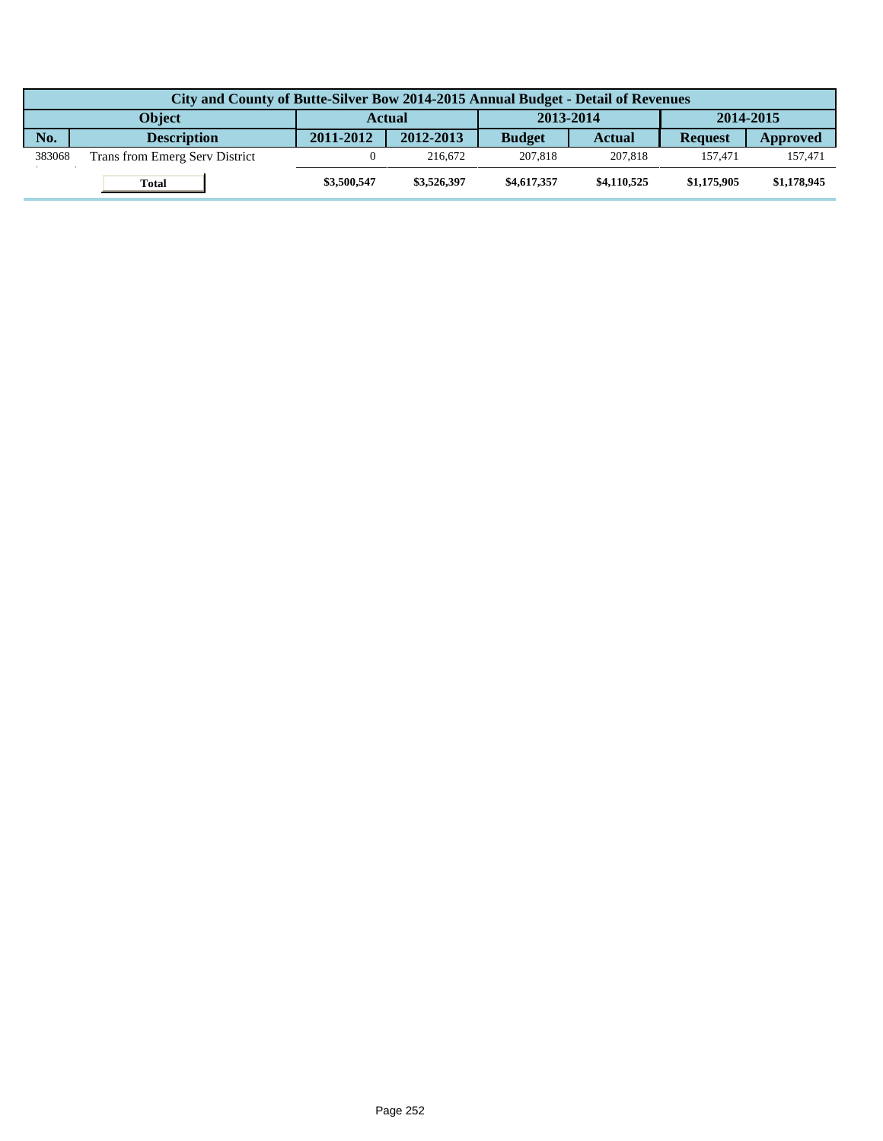|        | City and County of Butte-Silver Bow 2014-2015 Annual Budget - Detail of Revenues |               |             |               |               |                |             |  |  |  |
|--------|----------------------------------------------------------------------------------|---------------|-------------|---------------|---------------|----------------|-------------|--|--|--|
|        | <b>Obiect</b>                                                                    | <b>Actual</b> |             | 2013-2014     |               | 2014-2015      |             |  |  |  |
| No.    | <b>Description</b>                                                               | 2011-2012     | 2012-2013   | <b>Budget</b> | <b>Actual</b> | <b>Request</b> | Approved    |  |  |  |
| 383068 | Trans from Emerg Serv District                                                   |               | 216.672     | 207,818       | 207,818       | 157.471        | 157.471     |  |  |  |
|        | Total                                                                            | \$3,500,547   | \$3,526,397 | \$4,617,357   | \$4,110,525   | \$1,175,905    | \$1,178,945 |  |  |  |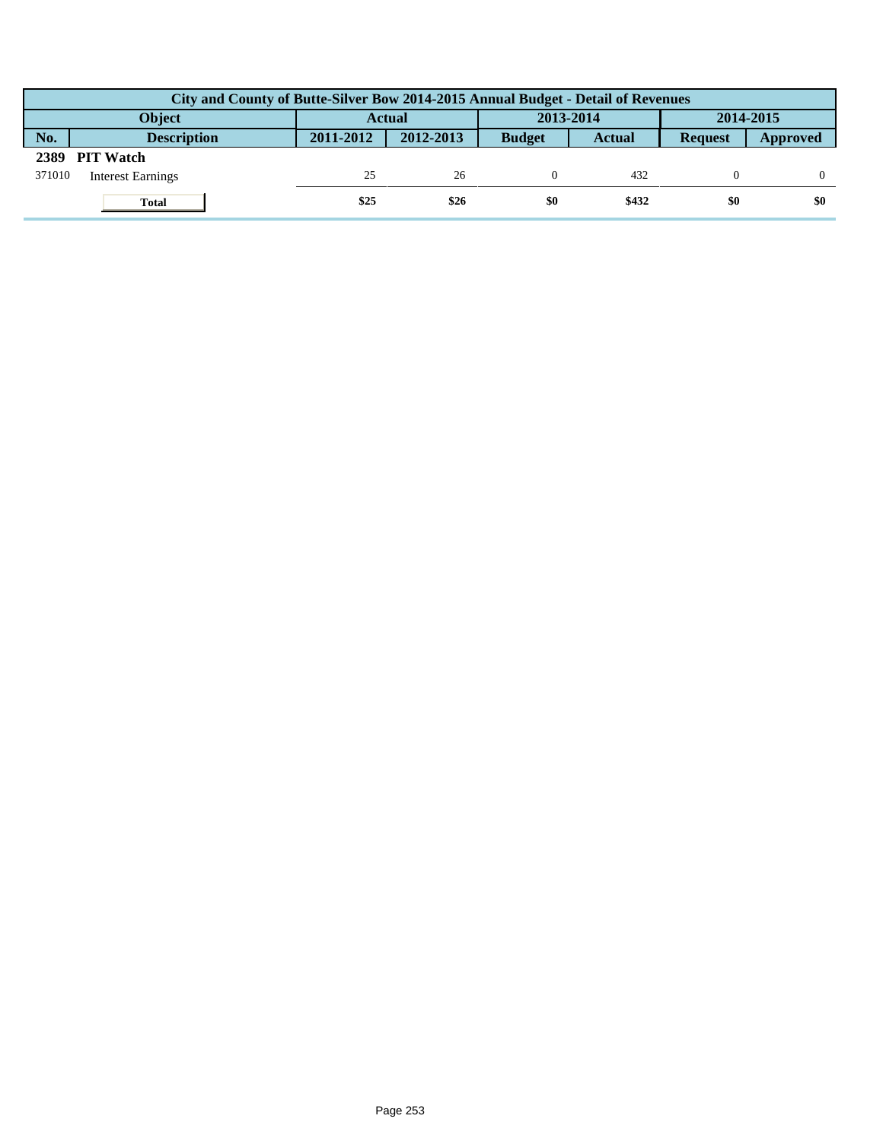|        | City and County of Butte-Silver Bow 2014-2015 Annual Budget - Detail of Revenues |               |           |               |               |                |          |  |  |  |
|--------|----------------------------------------------------------------------------------|---------------|-----------|---------------|---------------|----------------|----------|--|--|--|
|        | Object                                                                           | <b>Actual</b> |           | 2013-2014     |               | 2014-2015      |          |  |  |  |
| No.    | <b>Description</b>                                                               | 2011-2012     | 2012-2013 | <b>Budget</b> | <b>Actual</b> | <b>Request</b> | Approved |  |  |  |
| 2389   | <b>PIT Watch</b>                                                                 |               |           |               |               |                |          |  |  |  |
| 371010 | <b>Interest Earnings</b>                                                         | 25            | 26        |               | 432           |                |          |  |  |  |
|        | <b>Total</b>                                                                     | \$25          | \$26      | \$0           | \$432         | \$0            | \$0      |  |  |  |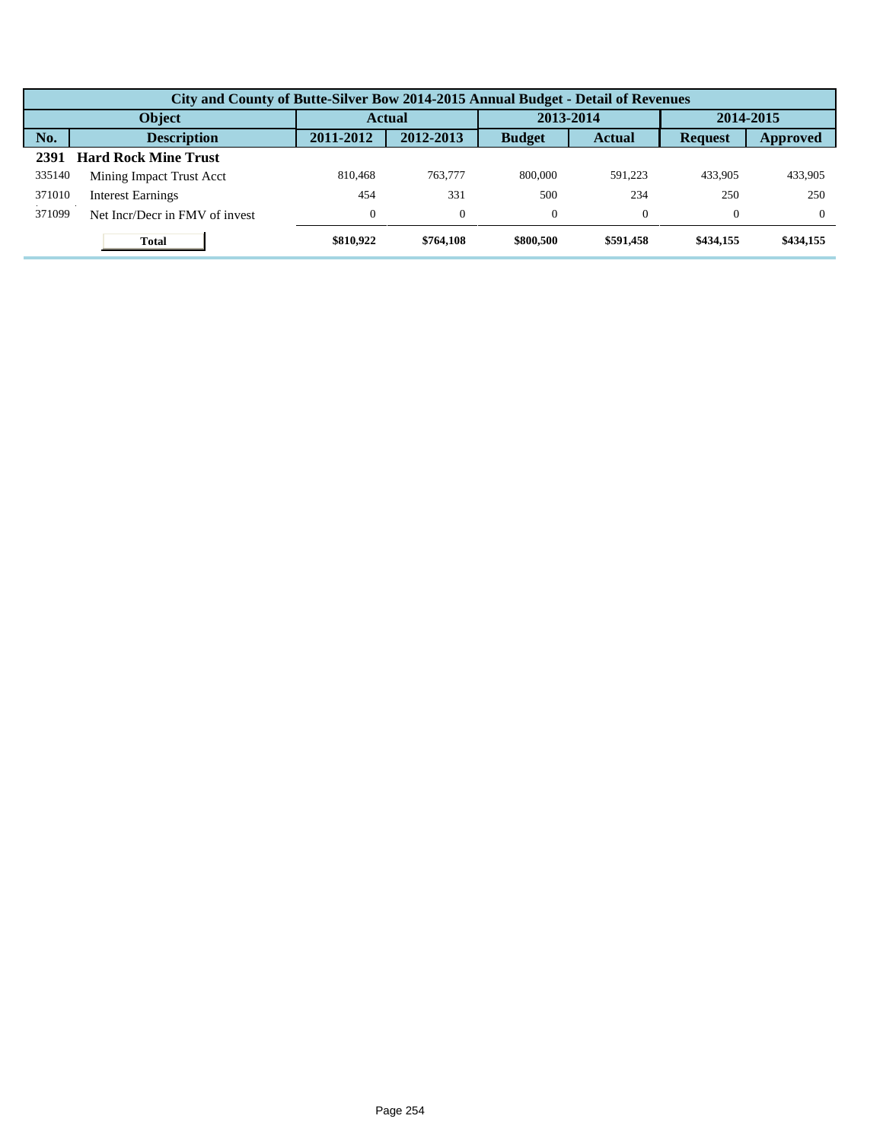|        | City and County of Butte-Silver Bow 2014-2015 Annual Budget - Detail of Revenues |           |               |               |               |                |           |  |  |  |
|--------|----------------------------------------------------------------------------------|-----------|---------------|---------------|---------------|----------------|-----------|--|--|--|
| Object |                                                                                  |           | <b>Actual</b> |               | 2013-2014     |                | 2014-2015 |  |  |  |
| No.    | <b>Description</b>                                                               | 2011-2012 | 2012-2013     | <b>Budget</b> | <b>Actual</b> | <b>Request</b> | Approved  |  |  |  |
| 2391   | <b>Hard Rock Mine Trust</b>                                                      |           |               |               |               |                |           |  |  |  |
| 335140 | Mining Impact Trust Acct                                                         | 810,468   | 763,777       | 800,000       | 591.223       | 433.905        | 433,905   |  |  |  |
| 371010 | <b>Interest Earnings</b>                                                         | 454       | 331           | 500           | 234           | 250            | 250       |  |  |  |
| 371099 | Net Incr/Decr in FMV of invest                                                   |           | $\Omega$      | $\Omega$      | $\Omega$      | $\Omega$       | $\Omega$  |  |  |  |
|        | <b>Total</b>                                                                     | \$810,922 | \$764,108     | \$800,500     | \$591,458     | \$434,155      | \$434,155 |  |  |  |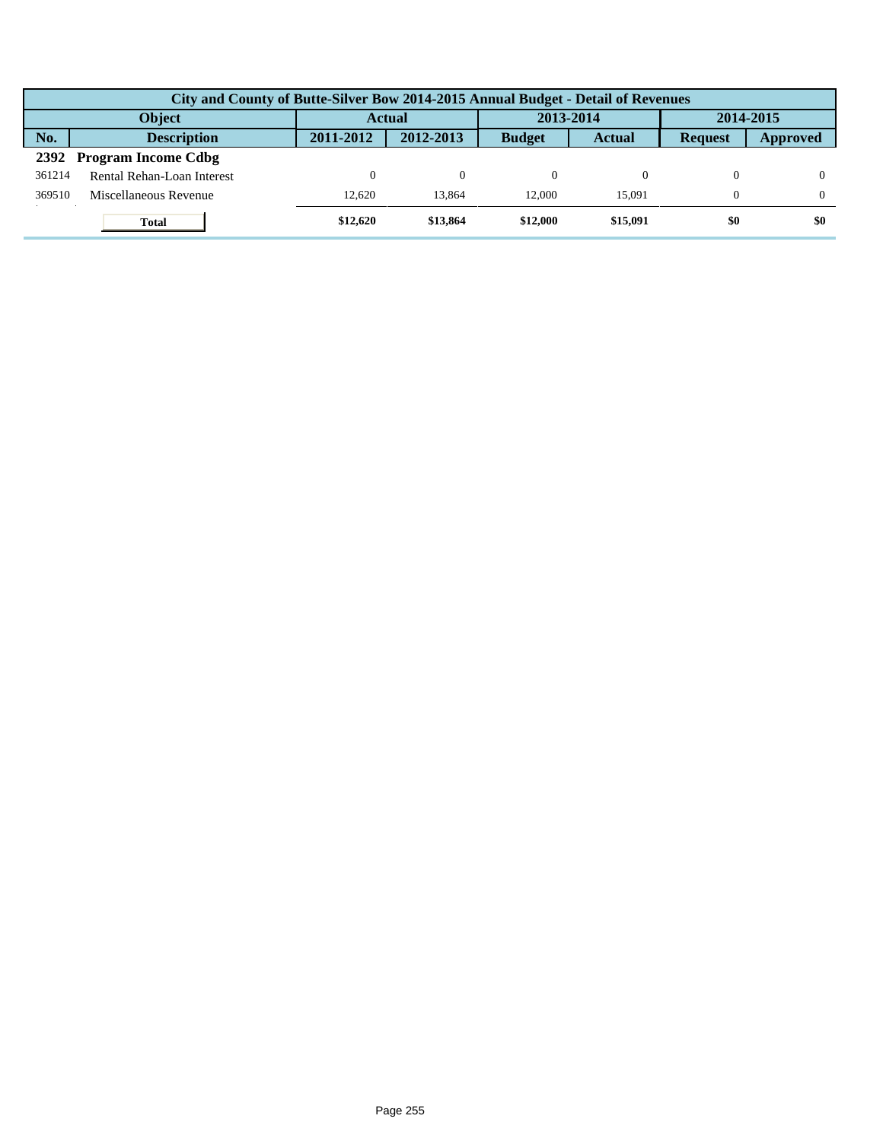|        | City and County of Butte-Silver Bow 2014-2015 Annual Budget - Detail of Revenues |           |           |               |               |                |          |  |  |  |
|--------|----------------------------------------------------------------------------------|-----------|-----------|---------------|---------------|----------------|----------|--|--|--|
|        | <b>Object</b>                                                                    | Actual    |           | 2013-2014     |               | 2014-2015      |          |  |  |  |
| No.    | <b>Description</b>                                                               | 2011-2012 | 2012-2013 | <b>Budget</b> | <b>Actual</b> | <b>Request</b> | Approved |  |  |  |
| 2392   | <b>Program Income Cdbg</b>                                                       |           |           |               |               |                |          |  |  |  |
| 361214 | Rental Rehan-Loan Interest                                                       | 0         | $\Omega$  |               |               |                |          |  |  |  |
| 369510 | Miscellaneous Revenue                                                            | 12.620    | 13.864    | 12,000        | 15.091        | $\Omega$       |          |  |  |  |
|        | <b>Total</b>                                                                     | \$12,620  | \$13,864  | \$12,000      | \$15,091      | \$0            | \$0      |  |  |  |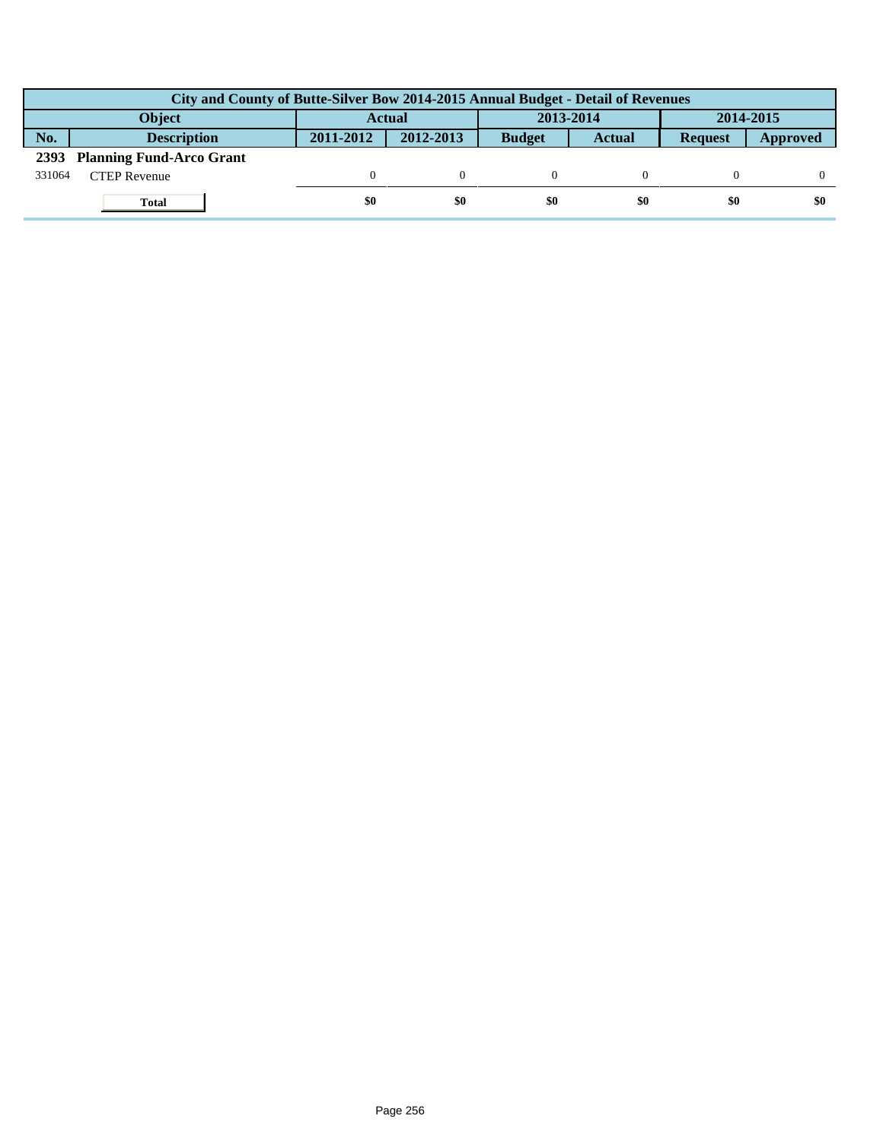|        | City and County of Butte-Silver Bow 2014-2015 Annual Budget - Detail of Revenues |               |           |               |               |                |          |  |  |  |
|--------|----------------------------------------------------------------------------------|---------------|-----------|---------------|---------------|----------------|----------|--|--|--|
|        | <b>Object</b>                                                                    | <b>Actual</b> |           | 2013-2014     |               | 2014-2015      |          |  |  |  |
| No.    | <b>Description</b>                                                               | 2011-2012     | 2012-2013 | <b>Budget</b> | <b>Actual</b> | <b>Request</b> | Approved |  |  |  |
|        | 2393 Planning Fund-Arco Grant                                                    |               |           |               |               |                |          |  |  |  |
| 331064 | <b>CTEP Revenue</b>                                                              |               |           |               |               |                |          |  |  |  |
|        | <b>Total</b>                                                                     | \$0           | \$0       | \$0           | \$0           | \$0            | \$0      |  |  |  |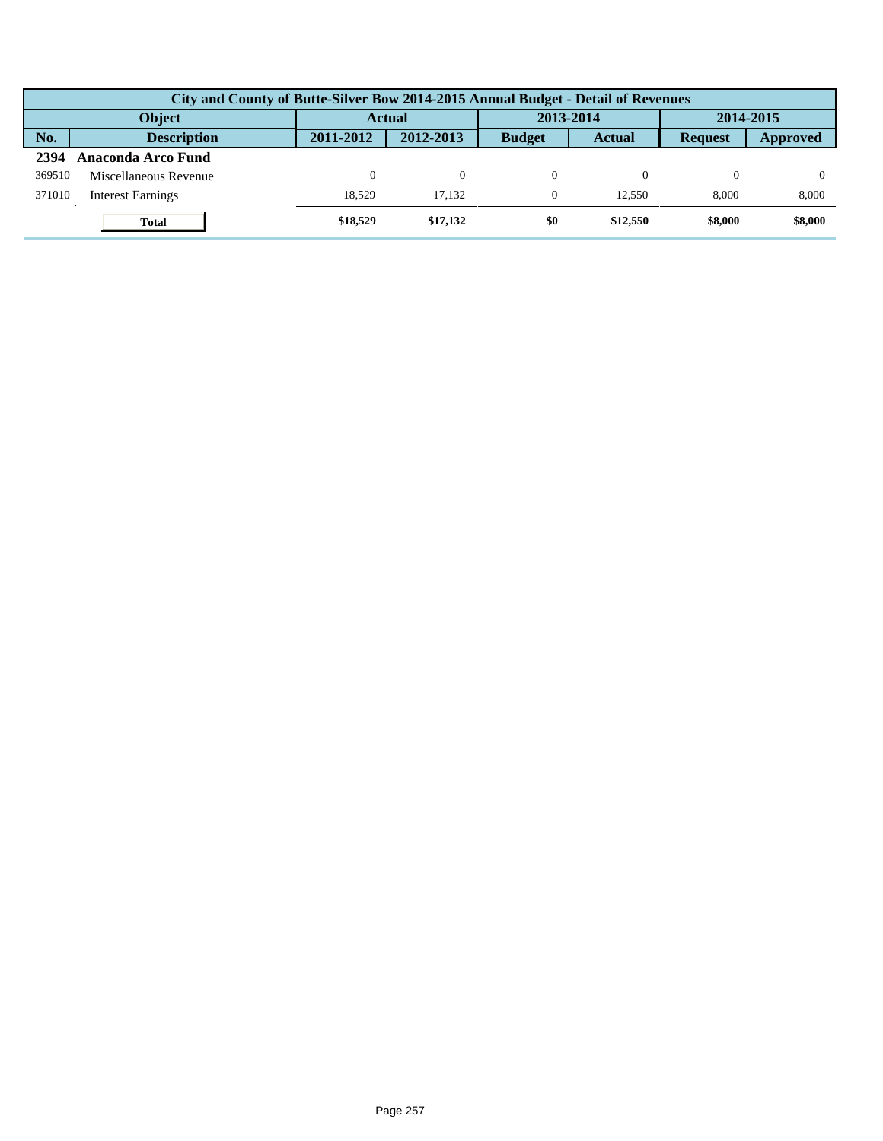|        | City and County of Butte-Silver Bow 2014-2015 Annual Budget - Detail of Revenues |           |           |               |               |                |          |  |  |  |
|--------|----------------------------------------------------------------------------------|-----------|-----------|---------------|---------------|----------------|----------|--|--|--|
|        | <b>Object</b>                                                                    | Actual    |           | 2013-2014     |               | 2014-2015      |          |  |  |  |
| No.    | <b>Description</b>                                                               | 2011-2012 | 2012-2013 | <b>Budget</b> | <b>Actual</b> | <b>Request</b> | Approved |  |  |  |
| 2394   | Anaconda Arco Fund                                                               |           |           |               |               |                |          |  |  |  |
| 369510 | Miscellaneous Revenue                                                            | 0         | $\Omega$  |               |               |                |          |  |  |  |
| 371010 | <b>Interest Earnings</b>                                                         | 18.529    | 17.132    | $\Omega$      | 12.550        | 8.000          | 8,000    |  |  |  |
|        | <b>Total</b>                                                                     | \$18,529  | \$17,132  | \$0           | \$12,550      | \$8,000        | \$8,000  |  |  |  |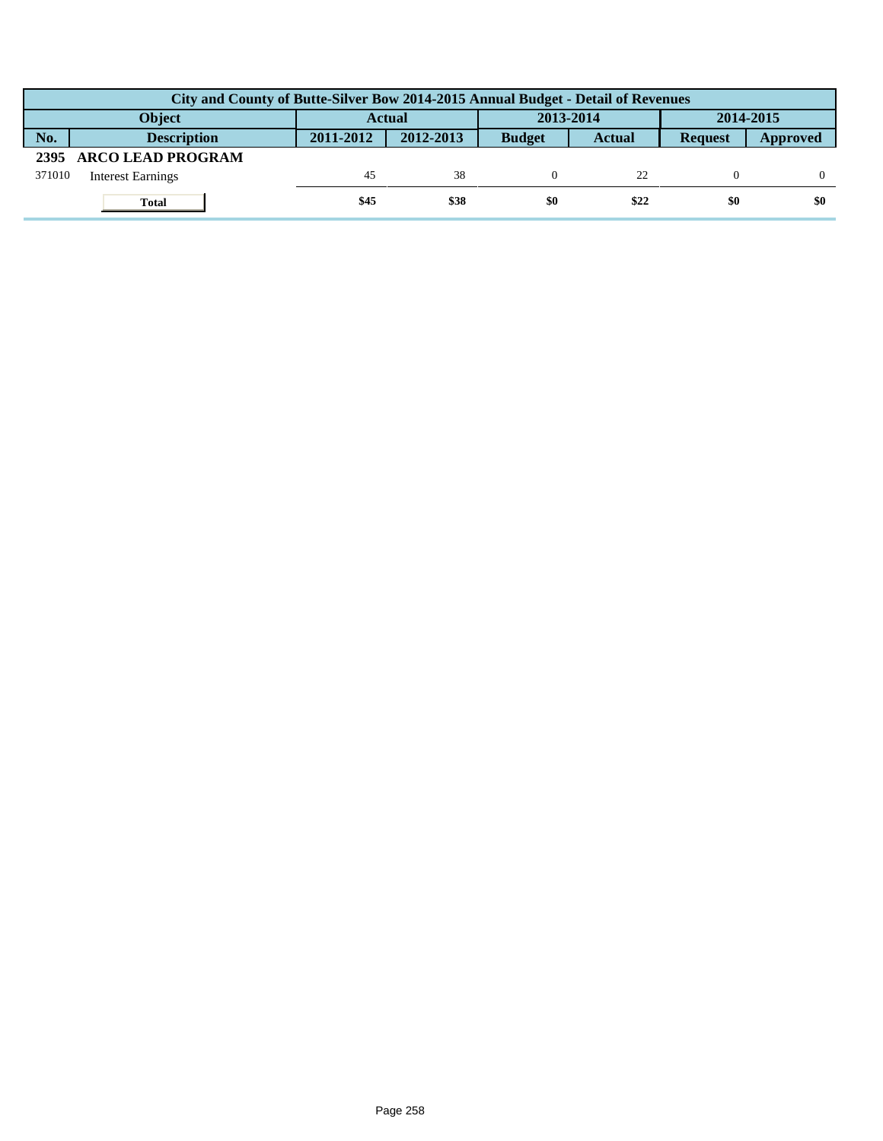|        | City and County of Butte-Silver Bow 2014-2015 Annual Budget - Detail of Revenues |               |           |               |               |                |          |  |  |  |
|--------|----------------------------------------------------------------------------------|---------------|-----------|---------------|---------------|----------------|----------|--|--|--|
|        | <b>Object</b>                                                                    | <b>Actual</b> |           | 2013-2014     |               | 2014-2015      |          |  |  |  |
| No.    | <b>Description</b>                                                               | 2011-2012     | 2012-2013 | <b>Budget</b> | <b>Actual</b> | <b>Request</b> | Approved |  |  |  |
|        | 2395 ARCO LEAD PROGRAM                                                           |               |           |               |               |                |          |  |  |  |
| 371010 | <b>Interest Earnings</b>                                                         | 45            | 38        |               | 22            |                |          |  |  |  |
|        | <b>Total</b>                                                                     | \$45          | \$38      | \$0           | \$22          | \$0            | \$0      |  |  |  |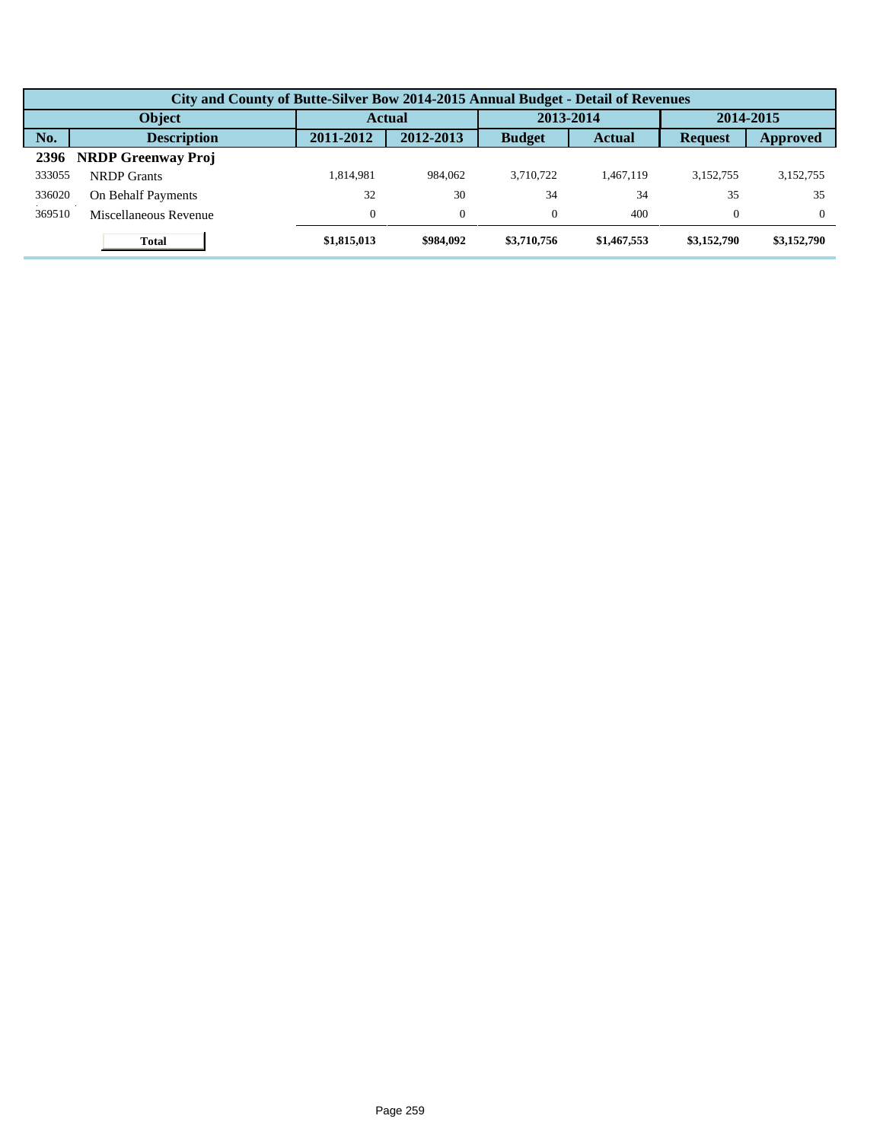|        | City and County of Butte-Silver Bow 2014-2015 Annual Budget - Detail of Revenues |               |           |               |               |                |             |  |  |  |  |
|--------|----------------------------------------------------------------------------------|---------------|-----------|---------------|---------------|----------------|-------------|--|--|--|--|
|        | Object                                                                           | <b>Actual</b> |           | 2013-2014     |               | 2014-2015      |             |  |  |  |  |
| No.    | <b>Description</b>                                                               | 2011-2012     | 2012-2013 | <b>Budget</b> | <b>Actual</b> | <b>Request</b> | Approved    |  |  |  |  |
| 2396   | <b>NRDP Greenway Proj</b>                                                        |               |           |               |               |                |             |  |  |  |  |
| 333055 | <b>NRDP</b> Grants                                                               | 1.814.981     | 984,062   | 3.710.722     | 1.467.119     | 3,152,755      | 3,152,755   |  |  |  |  |
| 336020 | On Behalf Payments                                                               | 32            | 30        | 34            | 34            | 35             | 35          |  |  |  |  |
| 369510 | Miscellaneous Revenue                                                            |               | $\theta$  | $\theta$      | 400           | $\theta$       | $\Omega$    |  |  |  |  |
|        | <b>Total</b>                                                                     | \$1,815,013   | \$984,092 | \$3,710,756   | \$1,467,553   | \$3,152,790    | \$3,152,790 |  |  |  |  |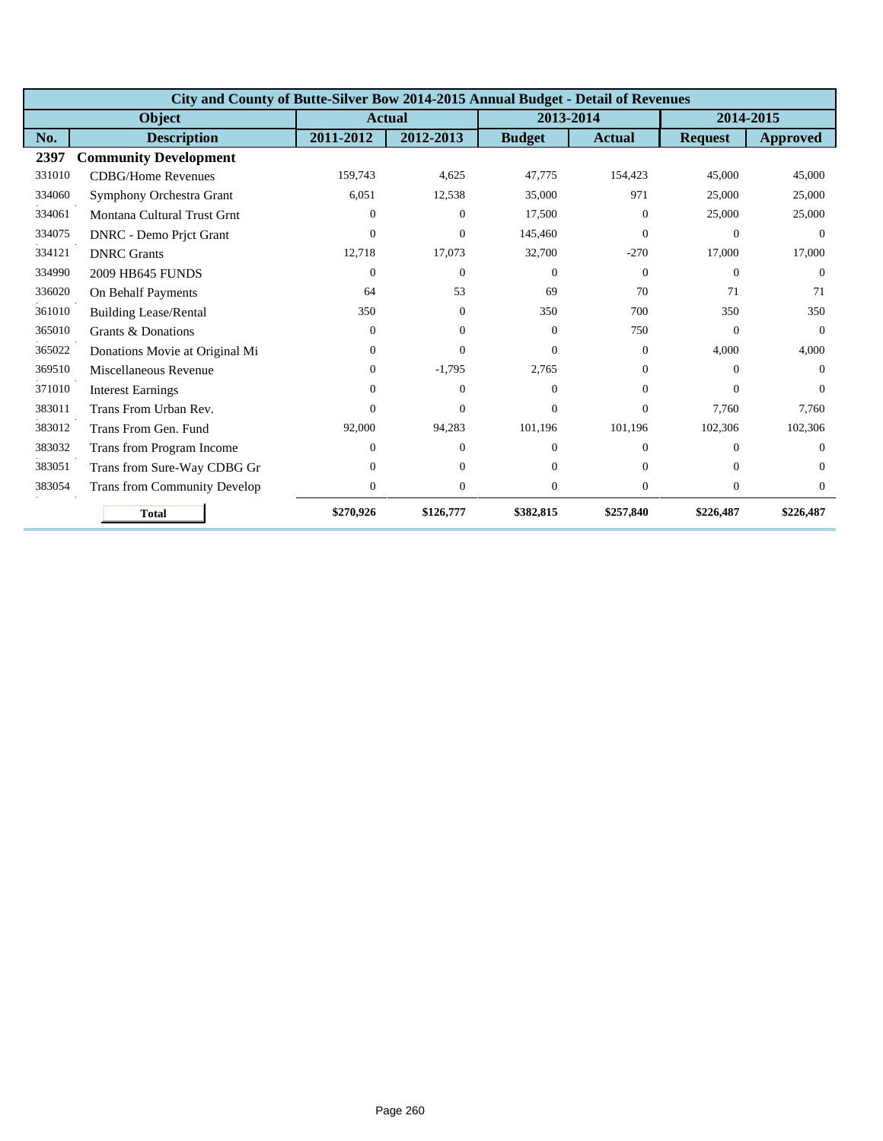|        | City and County of Butte-Silver Bow 2014-2015 Annual Budget - Detail of Revenues |              |                  |               |                  |                |                 |  |  |  |  |
|--------|----------------------------------------------------------------------------------|--------------|------------------|---------------|------------------|----------------|-----------------|--|--|--|--|
|        | <b>Object</b>                                                                    |              | <b>Actual</b>    | 2013-2014     |                  | 2014-2015      |                 |  |  |  |  |
| No.    | <b>Description</b>                                                               | 2011-2012    | 2012-2013        | <b>Budget</b> | <b>Actual</b>    | <b>Request</b> | <b>Approved</b> |  |  |  |  |
| 2397   | <b>Community Development</b>                                                     |              |                  |               |                  |                |                 |  |  |  |  |
| 331010 | <b>CDBG/Home Revenues</b>                                                        | 159,743      | 4,625            | 47,775        | 154,423          | 45,000         | 45,000          |  |  |  |  |
| 334060 | Symphony Orchestra Grant                                                         | 6,051        | 12,538           | 35,000        | 971              | 25,000         | 25,000          |  |  |  |  |
| 334061 | Montana Cultural Trust Grnt                                                      | $\Omega$     | $\theta$         | 17,500        | $\Omega$         | 25,000         | 25,000          |  |  |  |  |
| 334075 | DNRC - Demo Prjct Grant                                                          | $\Omega$     | $\mathbf{0}$     | 145,460       | $\Omega$         | $\Omega$       | $\Omega$        |  |  |  |  |
| 334121 | <b>DNRC</b> Grants                                                               | 12,718       | 17,073           | 32,700        | $-270$           | 17,000         | 17,000          |  |  |  |  |
| 334990 | <b>2009 HB645 FUNDS</b>                                                          | $\Omega$     | $\Omega$         | $\Omega$      | $\Omega$         | $\Omega$       | $\Omega$        |  |  |  |  |
| 336020 | On Behalf Payments                                                               | 64           | 53               | 69            | 70               | 71             | 71              |  |  |  |  |
| 361010 | <b>Building Lease/Rental</b>                                                     | 350          | $\mathbf{0}$     | 350           | 700              | 350            | 350             |  |  |  |  |
| 365010 | Grants & Donations                                                               | $\Omega$     | $\Omega$         | $\Omega$      | 750              | $\Omega$       | $\Omega$        |  |  |  |  |
| 365022 | Donations Movie at Original Mi                                                   | $\Omega$     | $\Omega$         | $\Omega$      | $\overline{0}$   | 4,000          | 4,000           |  |  |  |  |
| 369510 | Miscellaneous Revenue                                                            | $\mathbf{0}$ | $-1,795$         | 2,765         | $\overline{0}$   | $\Omega$       | $\Omega$        |  |  |  |  |
| 371010 | <b>Interest Earnings</b>                                                         | 0            | $\theta$         | $\Omega$      | $\Omega$         | $\Omega$       | $\Omega$        |  |  |  |  |
| 383011 | Trans From Urban Rev.                                                            | 0            | $\Omega$         | $\Omega$      | $\Omega$         | 7.760          | 7.760           |  |  |  |  |
| 383012 | Trans From Gen. Fund                                                             | 92,000       | 94,283           | 101,196       | 101,196          | 102,306        | 102,306         |  |  |  |  |
| 383032 | Trans from Program Income                                                        | 0            | $\theta$         | $\Omega$      | $\Omega$         | $\Omega$       | $\Omega$        |  |  |  |  |
| 383051 | Trans from Sure-Way CDBG Gr                                                      | 0            | $\Omega$         | $\Omega$      | $\Omega$         | $\Omega$       | $\Omega$        |  |  |  |  |
| 383054 | <b>Trans from Community Develop</b>                                              | $\mathbf{0}$ | $\boldsymbol{0}$ | $\theta$      | $\boldsymbol{0}$ | $\mathbf{0}$   | $\Omega$        |  |  |  |  |
|        | <b>Total</b>                                                                     | \$270,926    | \$126,777        | \$382,815     | \$257,840        | \$226,487      | \$226,487       |  |  |  |  |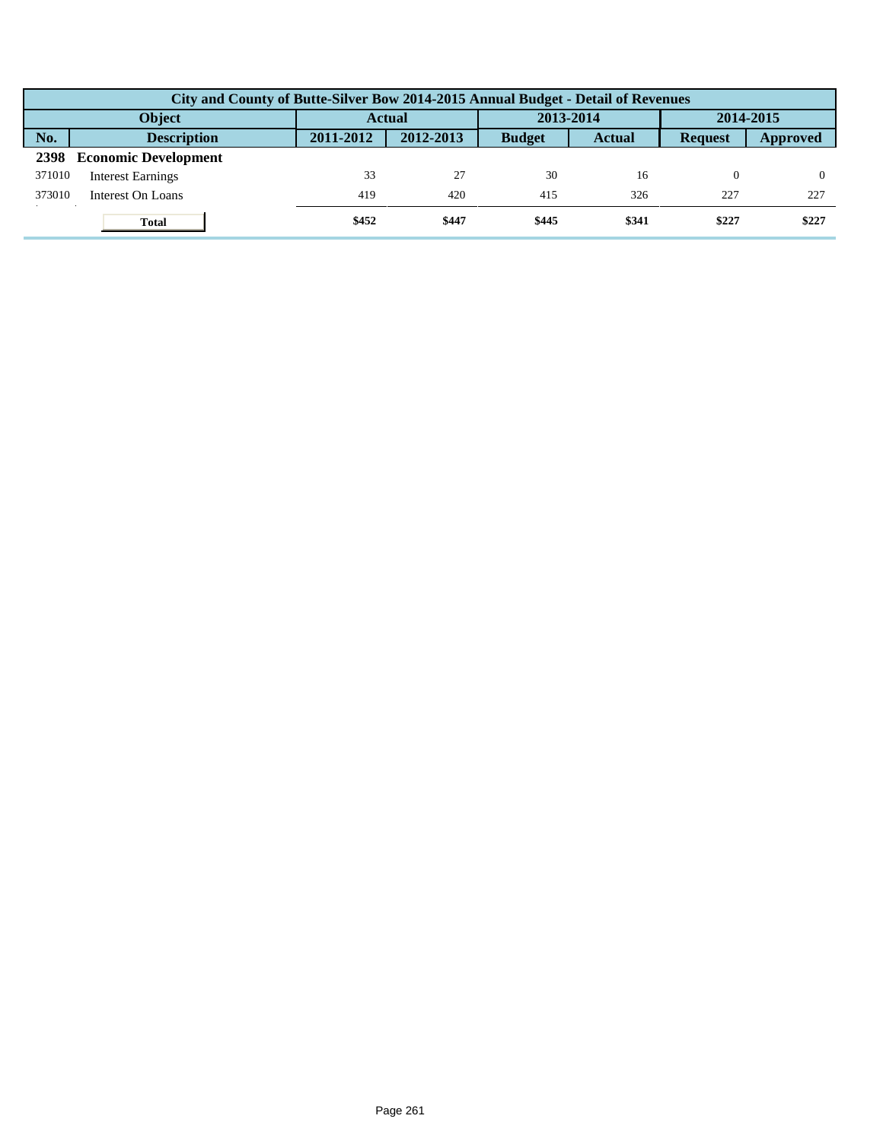|        | City and County of Butte-Silver Bow 2014-2015 Annual Budget - Detail of Revenues |               |           |               |               |                |          |  |  |  |
|--------|----------------------------------------------------------------------------------|---------------|-----------|---------------|---------------|----------------|----------|--|--|--|
|        | Object                                                                           | <b>Actual</b> |           | 2013-2014     |               | 2014-2015      |          |  |  |  |
| No.    | <b>Description</b>                                                               | 2011-2012     | 2012-2013 | <b>Budget</b> | <b>Actual</b> | <b>Request</b> | Approved |  |  |  |
| 2398   | <b>Economic Development</b>                                                      |               |           |               |               |                |          |  |  |  |
| 371010 | <b>Interest Earnings</b>                                                         | 33            | 27        | 30            | 16            | $\Omega$       |          |  |  |  |
| 373010 | Interest On Loans                                                                | 419           | 420       | 415           | 326           | 227            | 227      |  |  |  |
|        | <b>Total</b>                                                                     | \$452         | \$447     | \$445         | \$341         | \$227          | \$227    |  |  |  |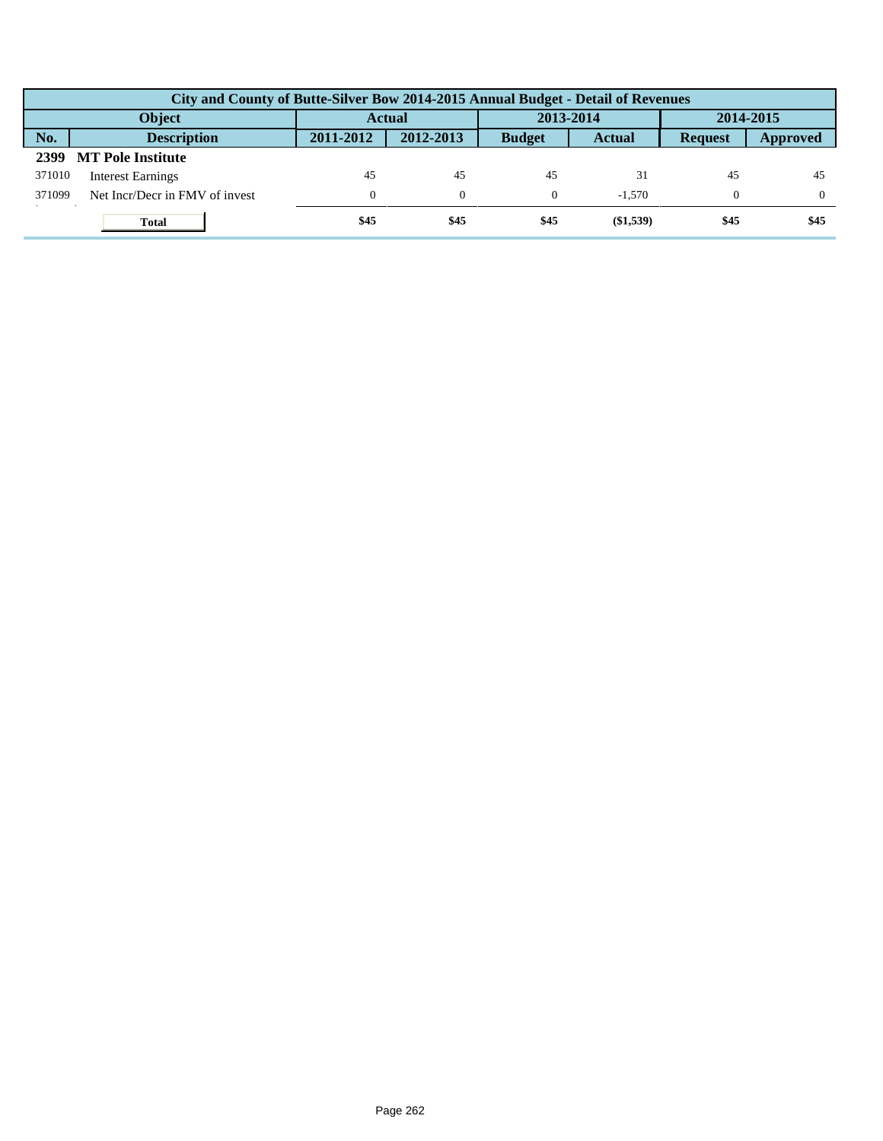|        | City and County of Butte-Silver Bow 2014-2015 Annual Budget - Detail of Revenues |              |           |               |               |                |          |  |  |  |
|--------|----------------------------------------------------------------------------------|--------------|-----------|---------------|---------------|----------------|----------|--|--|--|
|        | <b>Object</b>                                                                    | Actual       |           | 2013-2014     |               | 2014-2015      |          |  |  |  |
| No.    | <b>Description</b>                                                               | 2011-2012    | 2012-2013 | <b>Budget</b> | <b>Actual</b> | <b>Request</b> | Approved |  |  |  |
| 2399   | <b>MT Pole Institute</b>                                                         |              |           |               |               |                |          |  |  |  |
| 371010 | <b>Interest Earnings</b>                                                         | 45           | 45        | 45            | 31            | 45             | 45       |  |  |  |
| 371099 | Net Incr/Decr in FMV of invest                                                   | $\mathbf{0}$ | $\theta$  | $\Omega$      | $-1.570$      | $\theta$       | $\Omega$ |  |  |  |
|        | <b>Total</b>                                                                     | \$45         | \$45      | \$45          | (\$1,539)     | \$45           | \$45     |  |  |  |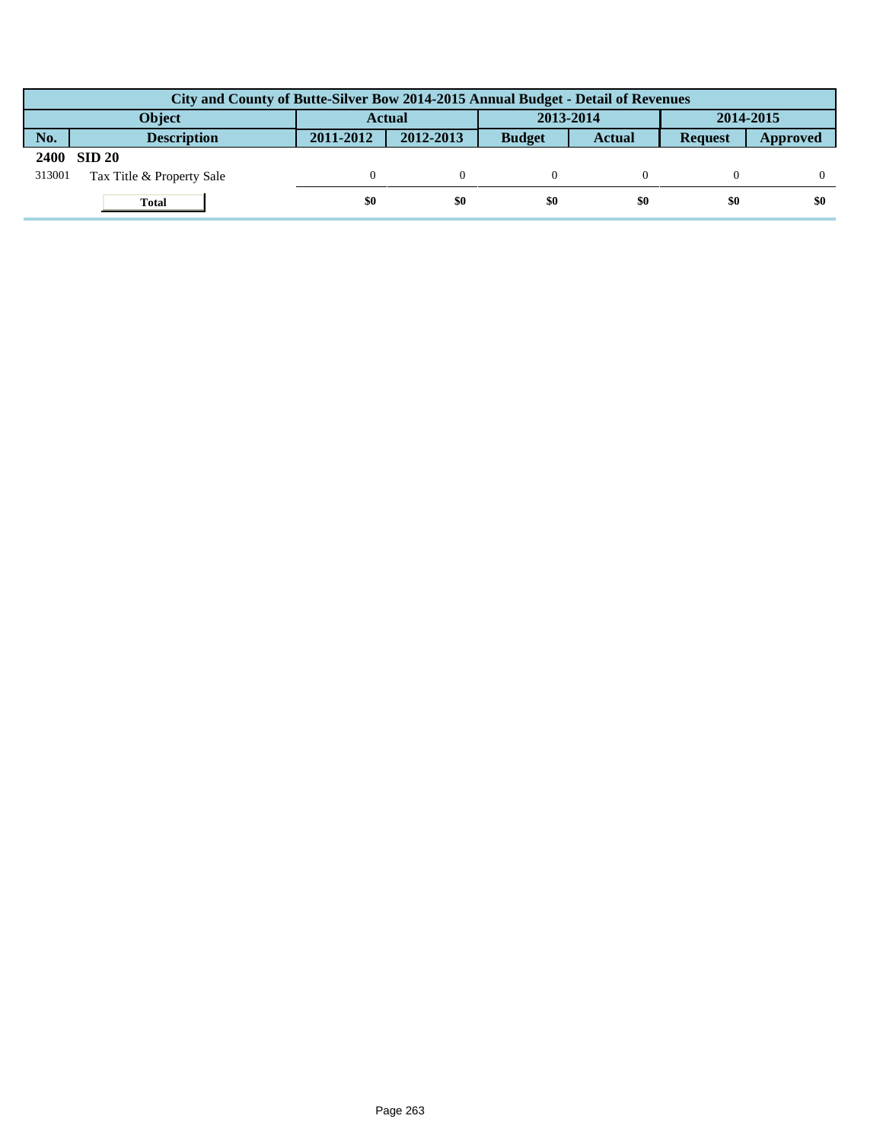|             | City and County of Butte-Silver Bow 2014-2015 Annual Budget - Detail of Revenues |               |           |               |               |                |          |  |  |  |  |
|-------------|----------------------------------------------------------------------------------|---------------|-----------|---------------|---------------|----------------|----------|--|--|--|--|
|             | <b>Object</b>                                                                    | <b>Actual</b> |           | 2013-2014     |               | 2014-2015      |          |  |  |  |  |
| No.         | <b>Description</b>                                                               | 2011-2012     | 2012-2013 | <b>Budget</b> | <b>Actual</b> | <b>Request</b> | Approved |  |  |  |  |
| <b>2400</b> | $\sin 20$                                                                        |               |           |               |               |                |          |  |  |  |  |
| 313001      | Tax Title & Property Sale                                                        |               |           |               |               |                |          |  |  |  |  |
|             | <b>Total</b>                                                                     | \$0           | \$0       | \$0           | \$0           | \$0            | \$0      |  |  |  |  |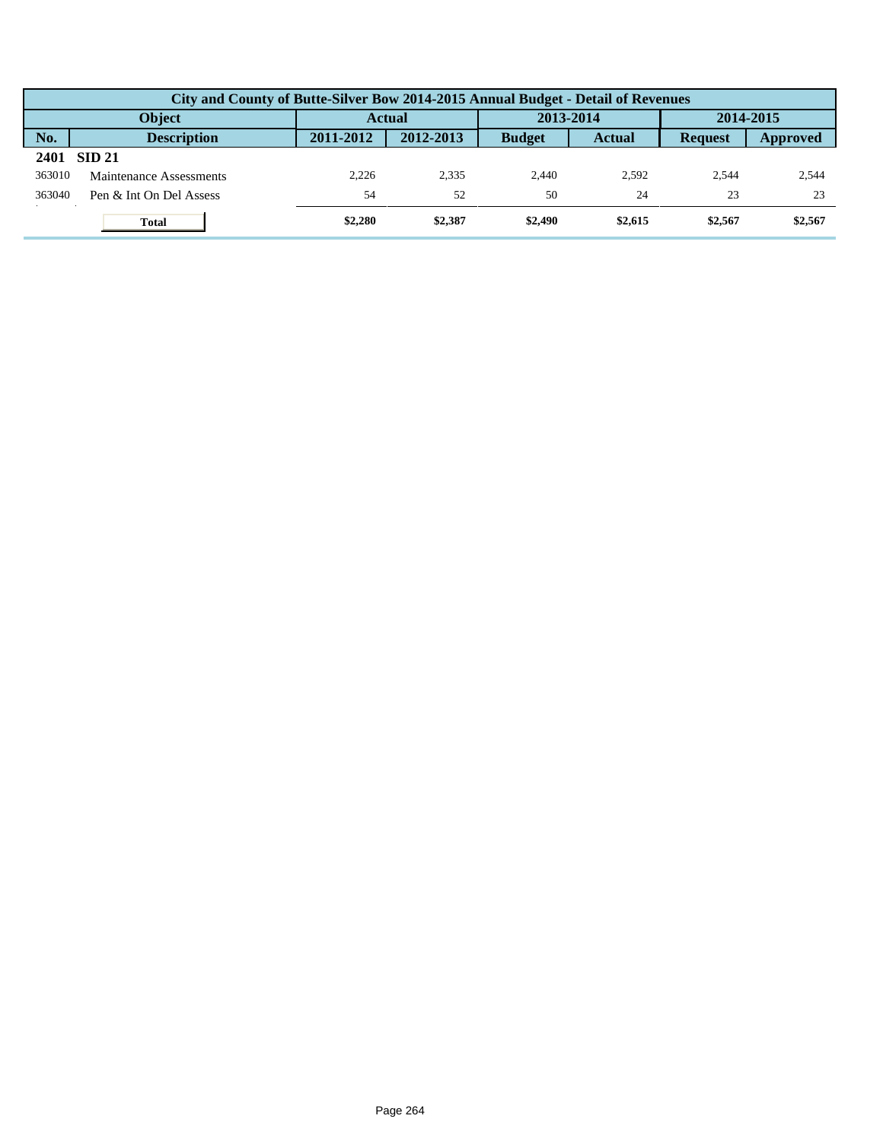|        | City and County of Butte-Silver Bow 2014-2015 Annual Budget - Detail of Revenues |           |           |               |               |                |          |  |  |  |
|--------|----------------------------------------------------------------------------------|-----------|-----------|---------------|---------------|----------------|----------|--|--|--|
|        | <b>Object</b>                                                                    |           | Actual    | 2013-2014     |               | 2014-2015      |          |  |  |  |
| No.    | <b>Description</b>                                                               | 2011-2012 | 2012-2013 | <b>Budget</b> | <b>Actual</b> | <b>Request</b> | Approved |  |  |  |
| 2401   | <b>SID 21</b>                                                                    |           |           |               |               |                |          |  |  |  |
| 363010 | Maintenance Assessments                                                          | 2.226     | 2.335     | 2.440         | 2.592         | 2.544          | 2,544    |  |  |  |
| 363040 | Pen & Int On Del Assess                                                          | 54        | 52        | 50            | 24            | 23             | 23       |  |  |  |
|        | <b>Total</b>                                                                     | \$2,280   | \$2,387   | \$2,490       | \$2,615       | \$2,567        | \$2,567  |  |  |  |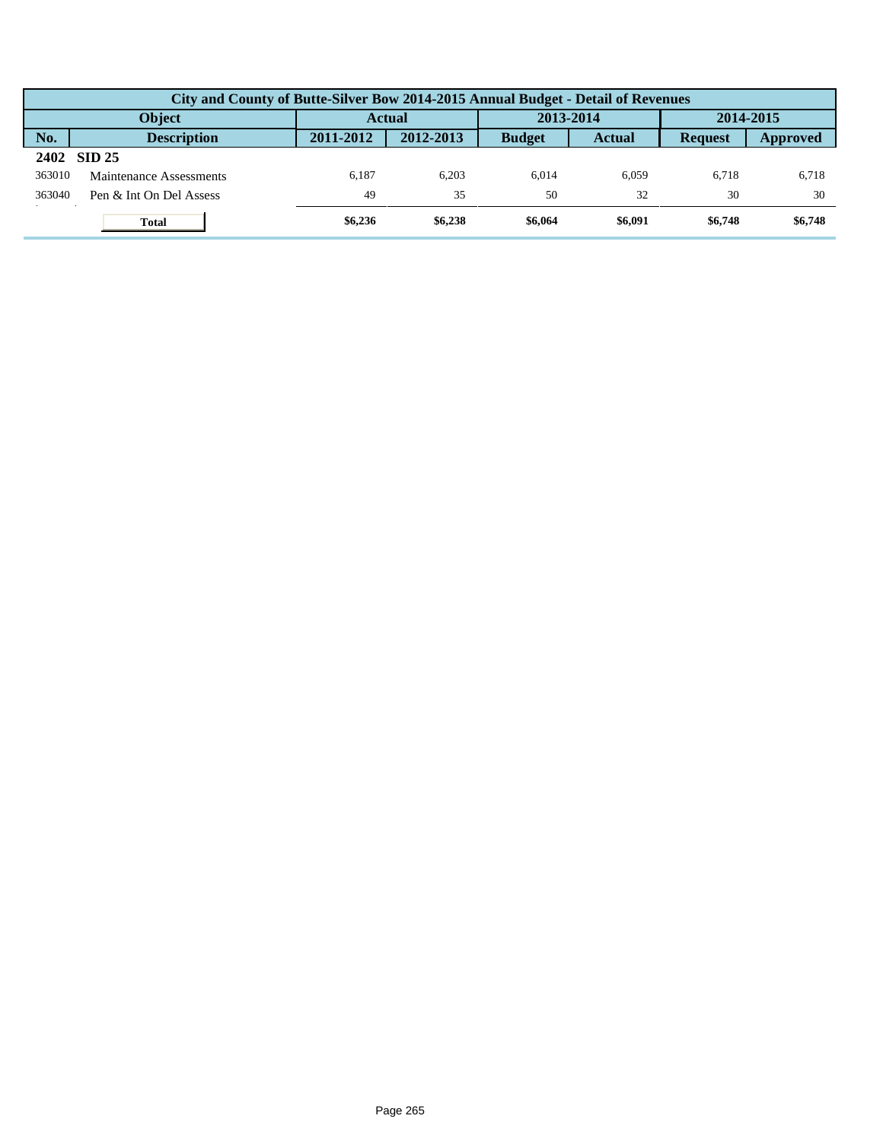|        | City and County of Butte-Silver Bow 2014-2015 Annual Budget - Detail of Revenues |           |           |               |               |                |                 |  |  |  |
|--------|----------------------------------------------------------------------------------|-----------|-----------|---------------|---------------|----------------|-----------------|--|--|--|
|        | <b>Object</b>                                                                    | Actual    |           | 2013-2014     |               | 2014-2015      |                 |  |  |  |
| No.    | <b>Description</b>                                                               | 2011-2012 | 2012-2013 | <b>Budget</b> | <b>Actual</b> | <b>Request</b> | <b>Approved</b> |  |  |  |
|        | 2402 SID 25                                                                      |           |           |               |               |                |                 |  |  |  |
| 363010 | Maintenance Assessments                                                          | 6.187     | 6.203     | 6.014         | 6.059         | 6.718          | 6,718           |  |  |  |
| 363040 | Pen & Int On Del Assess                                                          | 49        | 35        | 50            | 32            | 30             | 30              |  |  |  |
|        | <b>Total</b>                                                                     | \$6,236   | \$6,238   | \$6,064       | \$6,091       | \$6,748        | \$6,748         |  |  |  |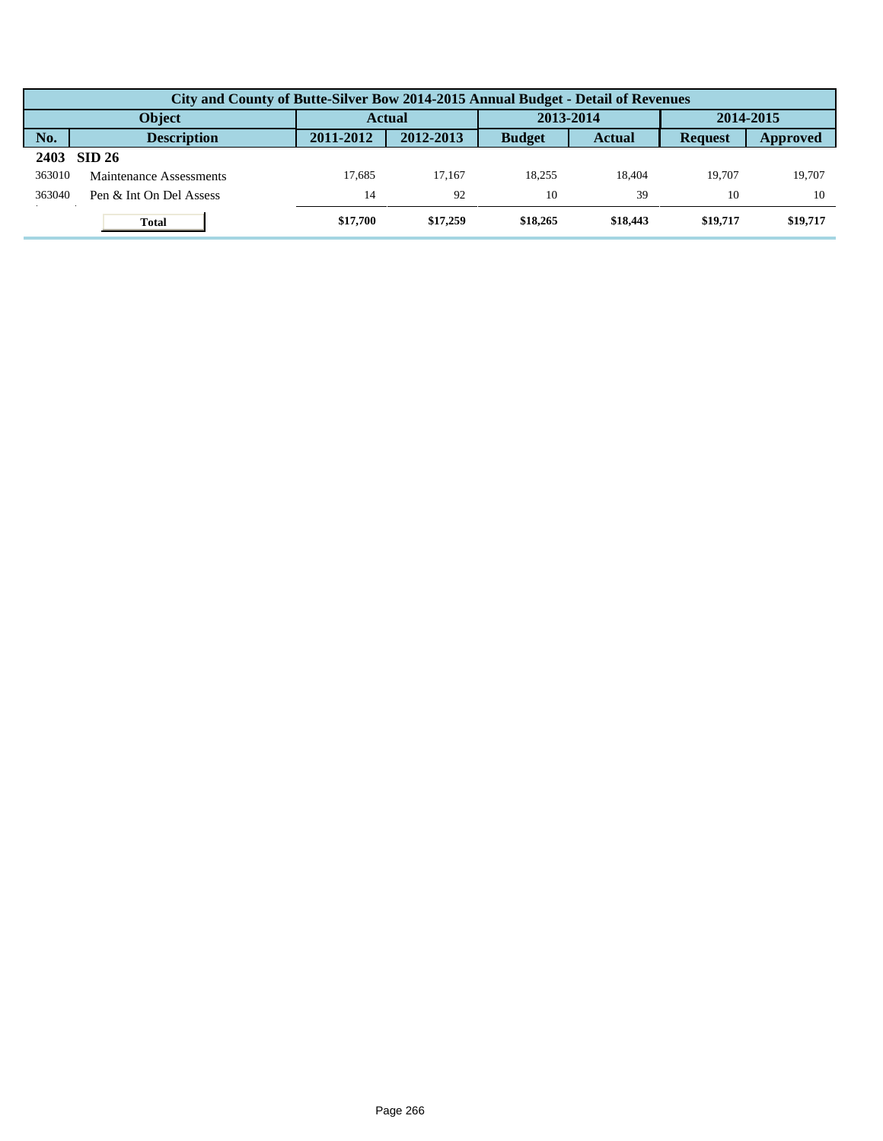|        | City and County of Butte-Silver Bow 2014-2015 Annual Budget - Detail of Revenues |           |               |               |               |                |           |  |  |  |
|--------|----------------------------------------------------------------------------------|-----------|---------------|---------------|---------------|----------------|-----------|--|--|--|
|        | <b>Object</b>                                                                    |           | <b>Actual</b> |               | 2013-2014     |                | 2014-2015 |  |  |  |
| No.    | <b>Description</b>                                                               | 2011-2012 | 2012-2013     | <b>Budget</b> | <b>Actual</b> | <b>Request</b> | Approved  |  |  |  |
| 2403   | <b>SID 26</b>                                                                    |           |               |               |               |                |           |  |  |  |
| 363010 | Maintenance Assessments                                                          | 17.685    | 17.167        | 18.255        | 18.404        | 19.707         | 19.707    |  |  |  |
| 363040 | Pen & Int On Del Assess                                                          | 14        | 92            | 10            | 39            | 10             | 10        |  |  |  |
|        | <b>Total</b>                                                                     | \$17,700  | \$17,259      | \$18,265      | \$18,443      | \$19,717       | \$19,717  |  |  |  |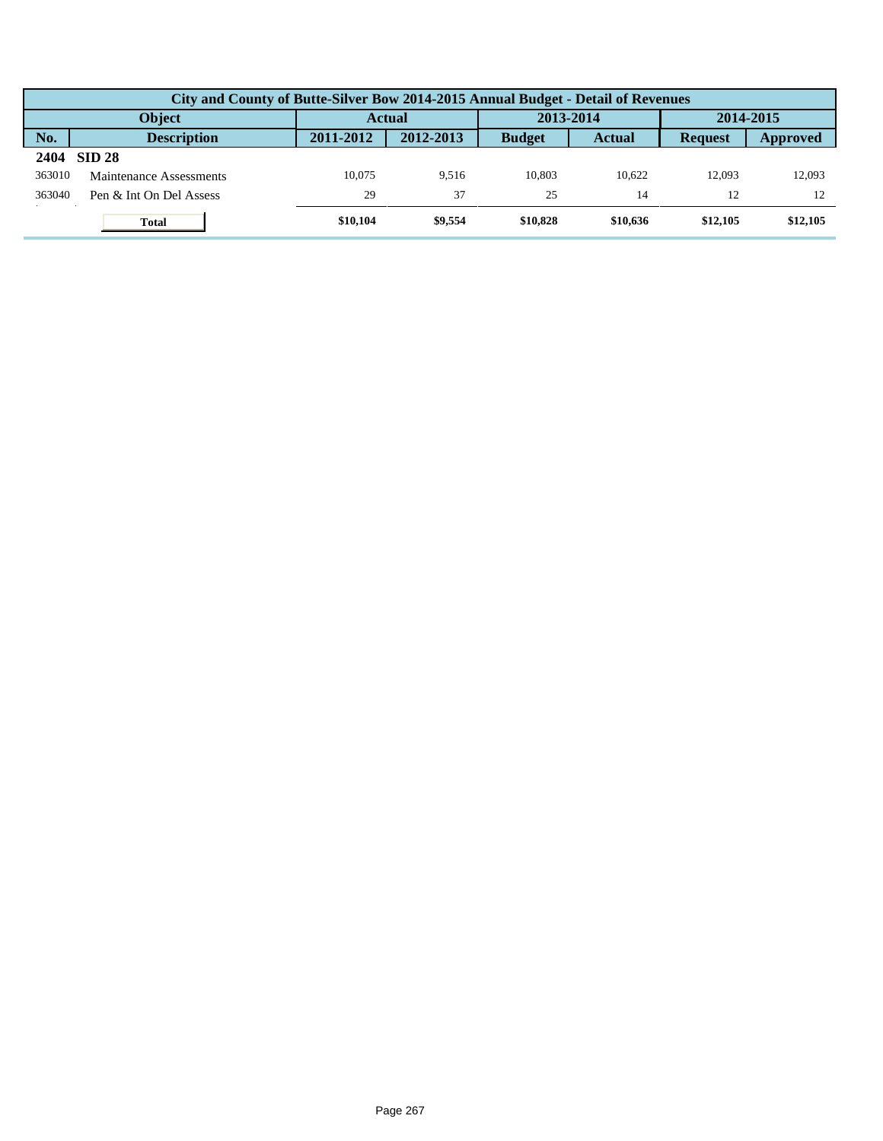|        | City and County of Butte-Silver Bow 2014-2015 Annual Budget - Detail of Revenues |           |           |               |               |                |                 |  |  |  |
|--------|----------------------------------------------------------------------------------|-----------|-----------|---------------|---------------|----------------|-----------------|--|--|--|
|        | <b>Object</b>                                                                    | Actual    |           | 2013-2014     |               | 2014-2015      |                 |  |  |  |
| No.    | <b>Description</b>                                                               | 2011-2012 | 2012-2013 | <b>Budget</b> | <b>Actual</b> | <b>Request</b> | <b>Approved</b> |  |  |  |
| 2404   | <b>SID 28</b>                                                                    |           |           |               |               |                |                 |  |  |  |
| 363010 | Maintenance Assessments                                                          | 10.075    | 9.516     | 10.803        | 10.622        | 12.093         | 12,093          |  |  |  |
| 363040 | Pen & Int On Del Assess                                                          | 29        | 37        | 25            | 14            | 12             |                 |  |  |  |
|        | <b>Total</b>                                                                     | \$10,104  | \$9,554   | \$10,828      | \$10,636      | \$12,105       | \$12,105        |  |  |  |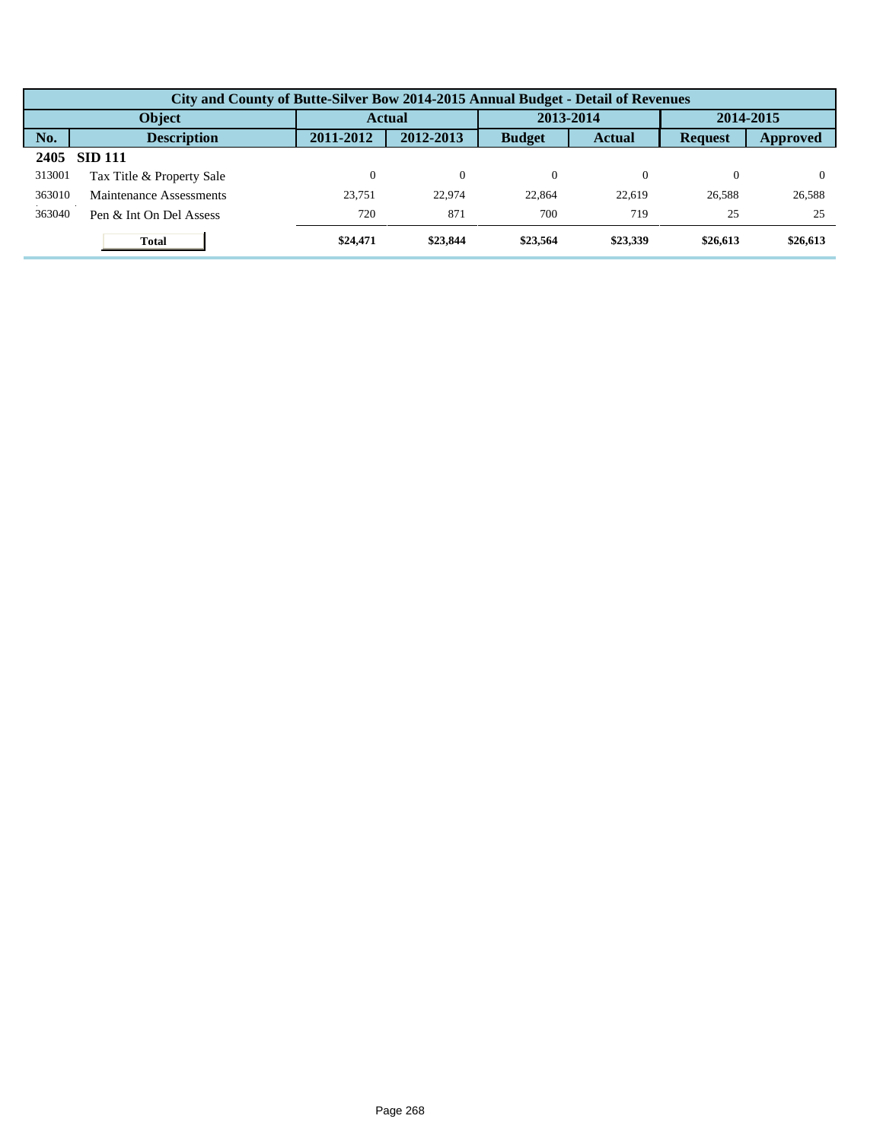|        | City and County of Butte-Silver Bow 2014-2015 Annual Budget - Detail of Revenues |           |               |               |               |                |           |  |  |  |  |
|--------|----------------------------------------------------------------------------------|-----------|---------------|---------------|---------------|----------------|-----------|--|--|--|--|
|        | Object                                                                           |           | <b>Actual</b> |               | 2013-2014     |                | 2014-2015 |  |  |  |  |
| No.    | <b>Description</b>                                                               | 2011-2012 | 2012-2013     | <b>Budget</b> | <b>Actual</b> | <b>Request</b> | Approved  |  |  |  |  |
| 2405   | <b>SID 111</b>                                                                   |           |               |               |               |                |           |  |  |  |  |
| 313001 | Tax Title & Property Sale                                                        |           | $\theta$      | $\Omega$      |               | 0              |           |  |  |  |  |
| 363010 | Maintenance Assessments                                                          | 23.751    | 22,974        | 22,864        | 22,619        | 26,588         | 26,588    |  |  |  |  |
| 363040 | Pen & Int On Del Assess                                                          | 720       | 871           | 700           | 719           | 25             | 25        |  |  |  |  |
|        | <b>Total</b>                                                                     | \$24,471  | \$23,844      | \$23,564      | \$23,339      | \$26,613       | \$26,613  |  |  |  |  |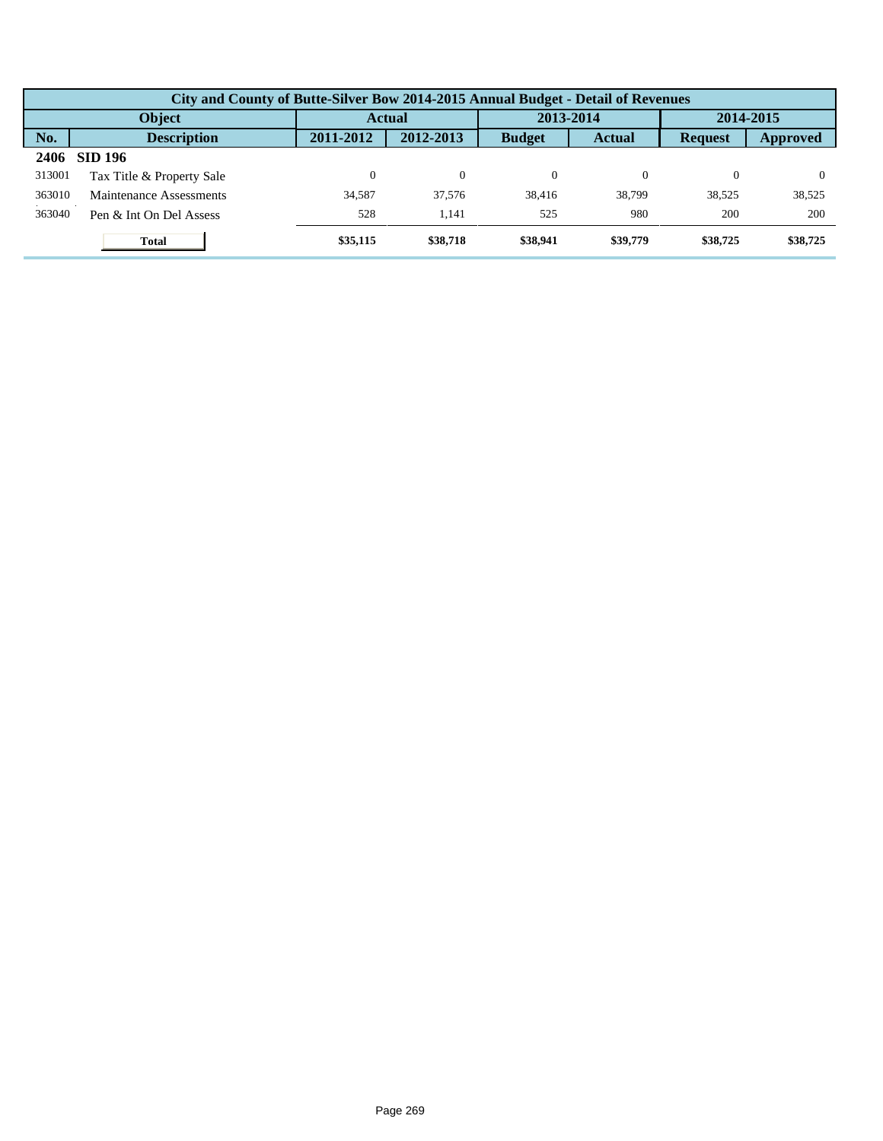|        | City and County of Butte-Silver Bow 2014-2015 Annual Budget - Detail of Revenues |           |               |               |               |                |           |  |  |  |  |
|--------|----------------------------------------------------------------------------------|-----------|---------------|---------------|---------------|----------------|-----------|--|--|--|--|
|        | Object                                                                           |           | <b>Actual</b> |               | 2013-2014     |                | 2014-2015 |  |  |  |  |
| No.    | <b>Description</b>                                                               | 2011-2012 | 2012-2013     | <b>Budget</b> | <b>Actual</b> | <b>Request</b> | Approved  |  |  |  |  |
| 2406   | <b>SID 196</b>                                                                   |           |               |               |               |                |           |  |  |  |  |
| 313001 | Tax Title & Property Sale                                                        |           | $\theta$      | $\Omega$      |               | 0              |           |  |  |  |  |
| 363010 | Maintenance Assessments                                                          | 34.587    | 37,576        | 38.416        | 38,799        | 38.525         | 38,525    |  |  |  |  |
| 363040 | Pen & Int On Del Assess                                                          | 528       | 1.141         | 525           | 980           | 200            | 200       |  |  |  |  |
|        | <b>Total</b>                                                                     | \$35,115  | \$38,718      | \$38,941      | \$39,779      | \$38,725       | \$38,725  |  |  |  |  |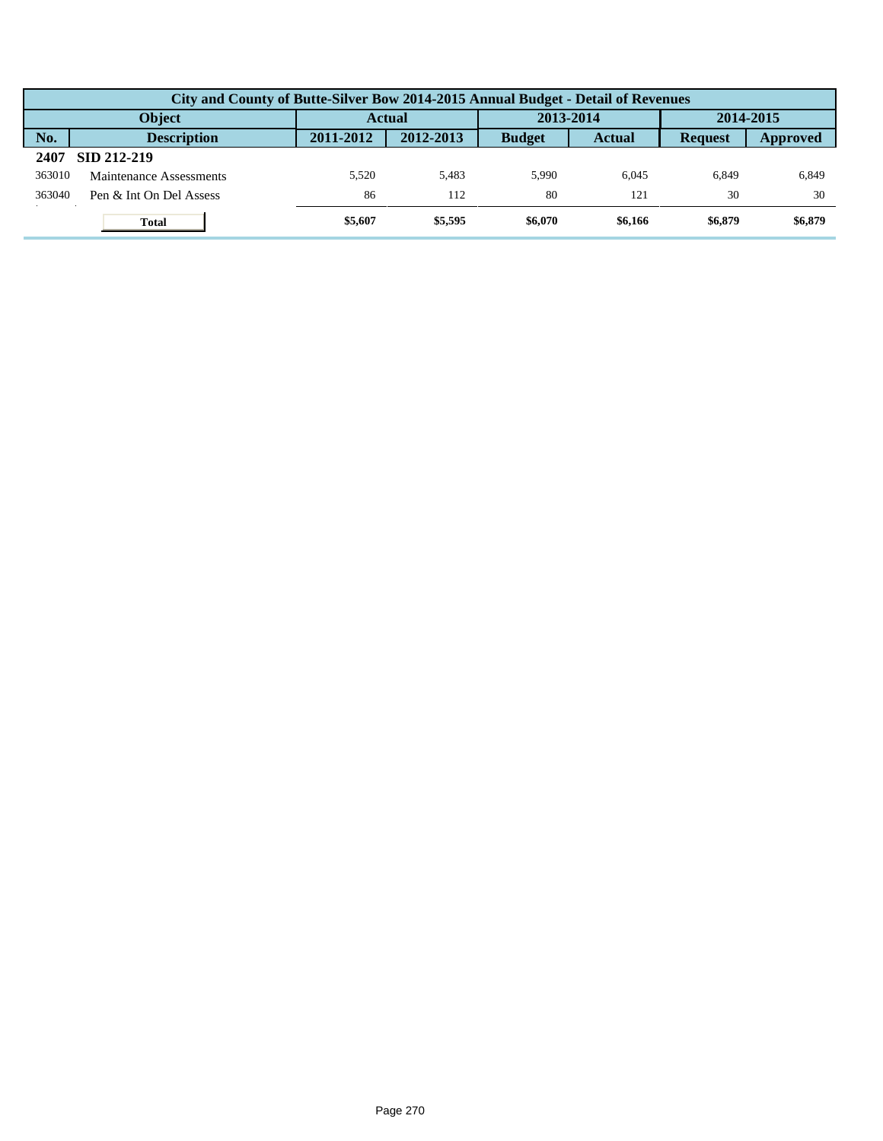|        | City and County of Butte-Silver Bow 2014-2015 Annual Budget - Detail of Revenues |               |           |               |               |                |                 |  |  |  |
|--------|----------------------------------------------------------------------------------|---------------|-----------|---------------|---------------|----------------|-----------------|--|--|--|
|        | <b>Object</b>                                                                    | <b>Actual</b> |           | 2013-2014     |               | 2014-2015      |                 |  |  |  |
| No.    | <b>Description</b>                                                               | 2011-2012     | 2012-2013 | <b>Budget</b> | <b>Actual</b> | <b>Request</b> | <b>Approved</b> |  |  |  |
| 2407   | SID 212-219                                                                      |               |           |               |               |                |                 |  |  |  |
| 363010 | Maintenance Assessments                                                          | 5.520         | 5.483     | 5.990         | 6.045         | 6.849          | 6,849           |  |  |  |
| 363040 | Pen & Int On Del Assess                                                          | 86            | 112       | 80            | 121           | 30             | 30              |  |  |  |
|        | <b>Total</b>                                                                     | \$5,607       | \$5,595   | \$6,070       | \$6,166       | \$6,879        | \$6,879         |  |  |  |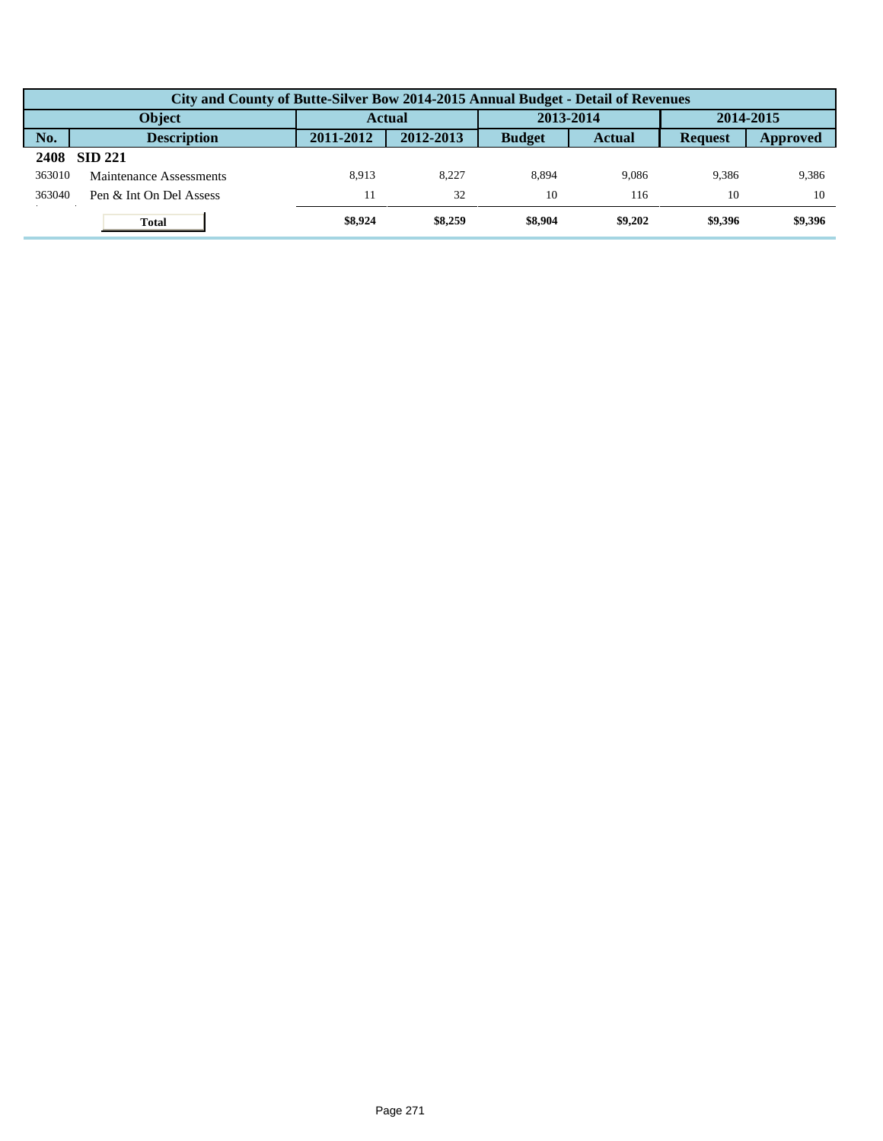|        | City and County of Butte-Silver Bow 2014-2015 Annual Budget - Detail of Revenues |           |               |               |               |                |           |  |  |  |
|--------|----------------------------------------------------------------------------------|-----------|---------------|---------------|---------------|----------------|-----------|--|--|--|
|        | <b>Object</b>                                                                    |           | <b>Actual</b> | 2013-2014     |               |                | 2014-2015 |  |  |  |
| No.    | <b>Description</b>                                                               | 2011-2012 | 2012-2013     | <b>Budget</b> | <b>Actual</b> | <b>Request</b> | Approved  |  |  |  |
| 2408   | <b>SID 221</b>                                                                   |           |               |               |               |                |           |  |  |  |
| 363010 | Maintenance Assessments                                                          | 8.913     | 8.227         | 8.894         | 9.086         | 9.386          | 9,386     |  |  |  |
| 363040 | Pen & Int On Del Assess                                                          |           | 32            | 10            | 116           | 10             | 10        |  |  |  |
|        | <b>Total</b>                                                                     | \$8,924   | \$8,259       | \$8,904       | \$9,202       | \$9,396        | \$9,396   |  |  |  |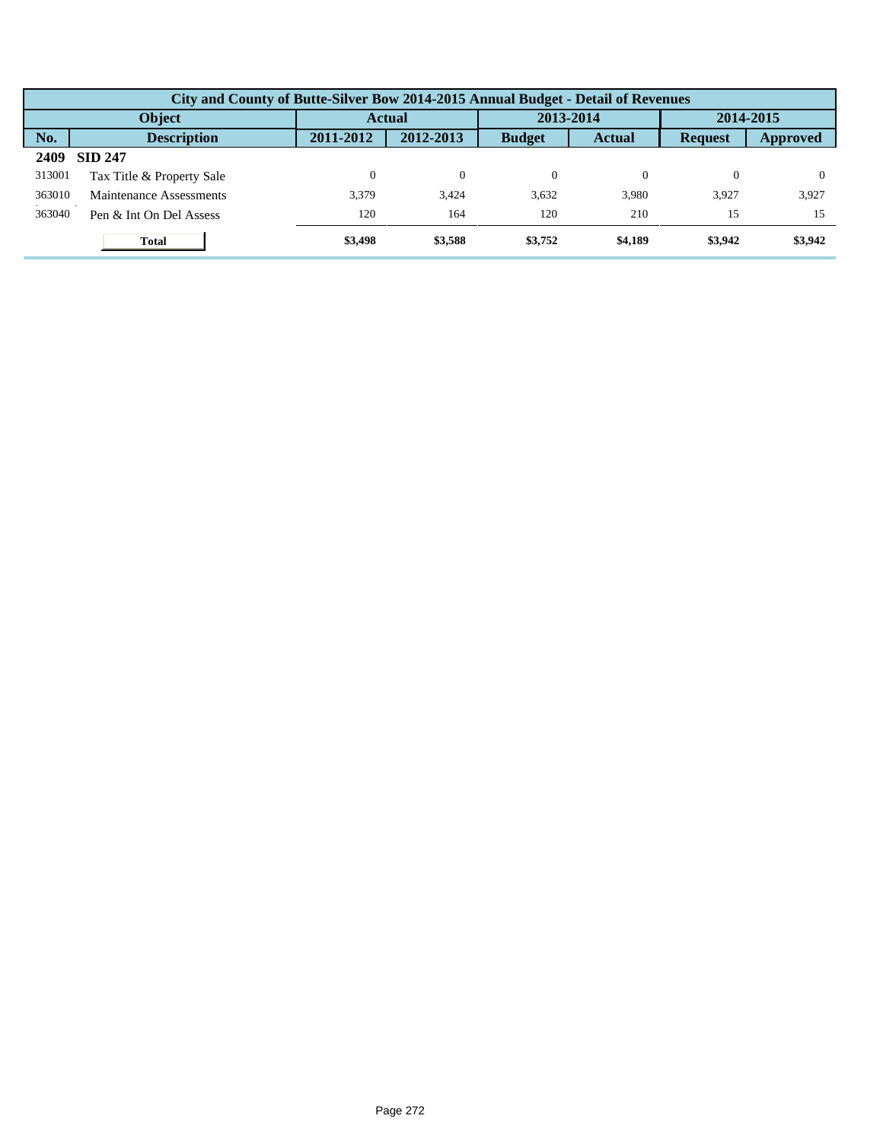|        | City and County of Butte-Silver Bow 2014-2015 Annual Budget - Detail of Revenues |           |           |               |               |                |           |  |  |  |  |
|--------|----------------------------------------------------------------------------------|-----------|-----------|---------------|---------------|----------------|-----------|--|--|--|--|
|        | Object                                                                           |           | Actual    |               | 2013-2014     |                | 2014-2015 |  |  |  |  |
| No.    | <b>Description</b>                                                               | 2011-2012 | 2012-2013 | <b>Budget</b> | <b>Actual</b> | <b>Request</b> | Approved  |  |  |  |  |
| 2409   | <b>SID 247</b>                                                                   |           |           |               |               |                |           |  |  |  |  |
| 313001 | Tax Title & Property Sale                                                        |           | $\Omega$  | $\Omega$      |               | 0              |           |  |  |  |  |
| 363010 | Maintenance Assessments                                                          | 3.379     | 3.424     | 3.632         | 3,980         | 3.927          | 3,927     |  |  |  |  |
| 363040 | Pen & Int On Del Assess                                                          | 120       | 164       | 120           | 210           | 15             | 15        |  |  |  |  |
|        | <b>Total</b>                                                                     | \$3,498   | \$3,588   | \$3,752       | \$4,189       | \$3,942        | \$3,942   |  |  |  |  |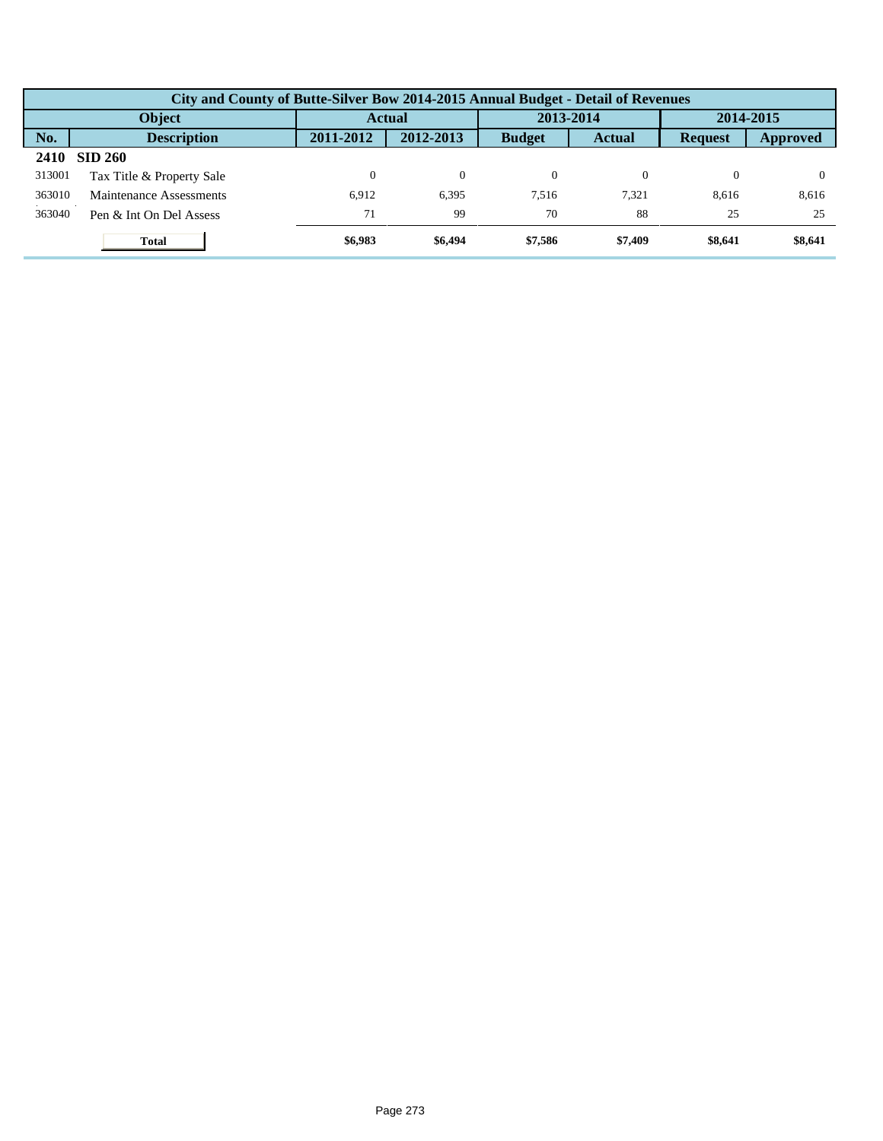|        | City and County of Butte-Silver Bow 2014-2015 Annual Budget - Detail of Revenues |           |               |               |               |                |           |  |  |  |  |
|--------|----------------------------------------------------------------------------------|-----------|---------------|---------------|---------------|----------------|-----------|--|--|--|--|
|        | Object                                                                           |           | <b>Actual</b> |               | 2013-2014     |                | 2014-2015 |  |  |  |  |
| No.    | <b>Description</b>                                                               | 2011-2012 | 2012-2013     | <b>Budget</b> | <b>Actual</b> | <b>Request</b> | Approved  |  |  |  |  |
| 2410   | <b>SID 260</b>                                                                   |           |               |               |               |                |           |  |  |  |  |
| 313001 | Tax Title & Property Sale                                                        |           | $\Omega$      | $\Omega$      |               | 0              |           |  |  |  |  |
| 363010 | Maintenance Assessments                                                          | 6.912     | 6,395         | 7.516         | 7.321         | 8,616          | 8,616     |  |  |  |  |
| 363040 | Pen & Int On Del Assess                                                          | 71        | 99            | 70            | 88            | 25             | 25        |  |  |  |  |
|        | <b>Total</b>                                                                     | \$6,983   | \$6,494       | \$7.586       | \$7,409       | \$8,641        | \$8,641   |  |  |  |  |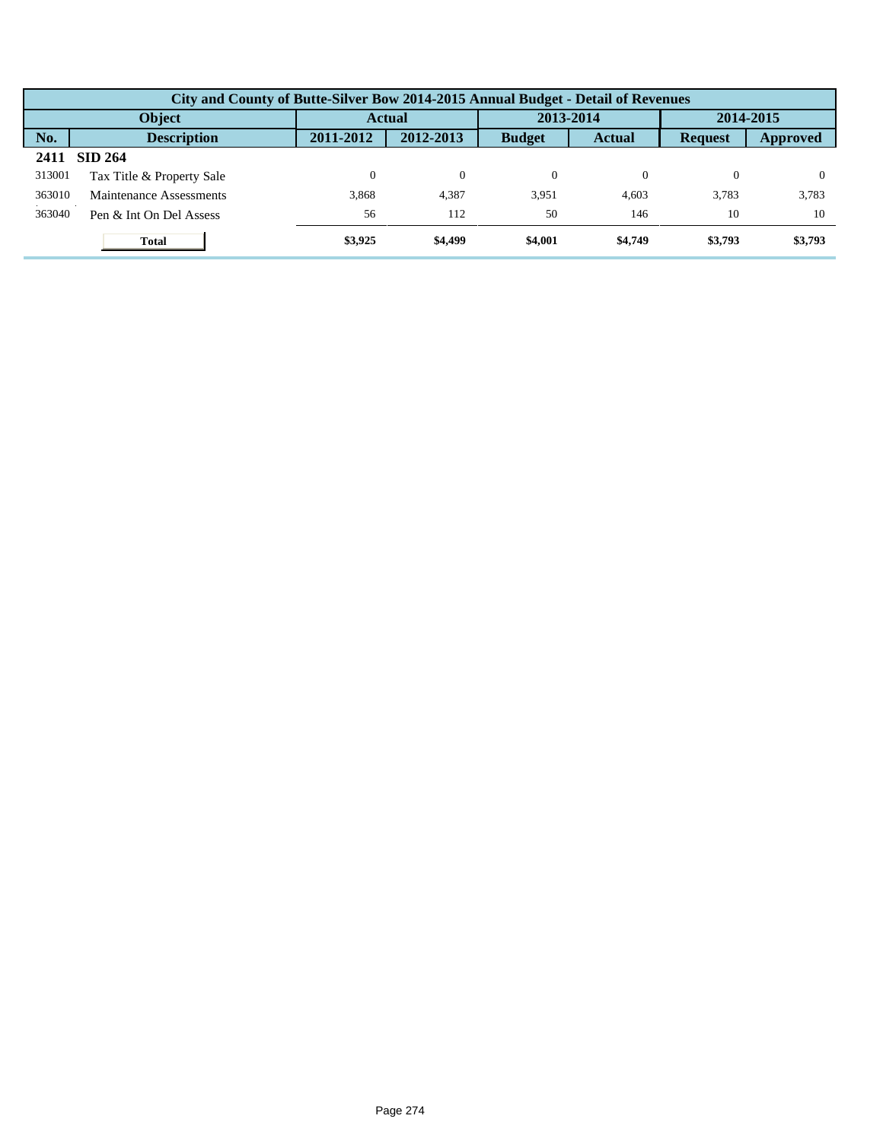|        | City and County of Butte-Silver Bow 2014-2015 Annual Budget - Detail of Revenues |           |                |               |               |                |           |  |  |  |  |
|--------|----------------------------------------------------------------------------------|-----------|----------------|---------------|---------------|----------------|-----------|--|--|--|--|
|        | Object                                                                           |           | <b>Actual</b>  |               | 2013-2014     |                | 2014-2015 |  |  |  |  |
| No.    | <b>Description</b>                                                               | 2011-2012 | 2012-2013      | <b>Budget</b> | <b>Actual</b> | <b>Request</b> | Approved  |  |  |  |  |
| 2411   | <b>SID 264</b>                                                                   |           |                |               |               |                |           |  |  |  |  |
| 313001 | Tax Title & Property Sale                                                        | 0         | $\overline{0}$ | $\Omega$      | 0             |                |           |  |  |  |  |
| 363010 | Maintenance Assessments                                                          | 3.868     | 4,387          | 3,951         | 4.603         | 3.783          | 3,783     |  |  |  |  |
| 363040 | Pen & Int On Del Assess                                                          | 56        | 112            | 50            | 146           | 10             | 10        |  |  |  |  |
|        | <b>Total</b>                                                                     | \$3,925   | \$4,499        | \$4,001       | \$4,749       | \$3,793        | \$3,793   |  |  |  |  |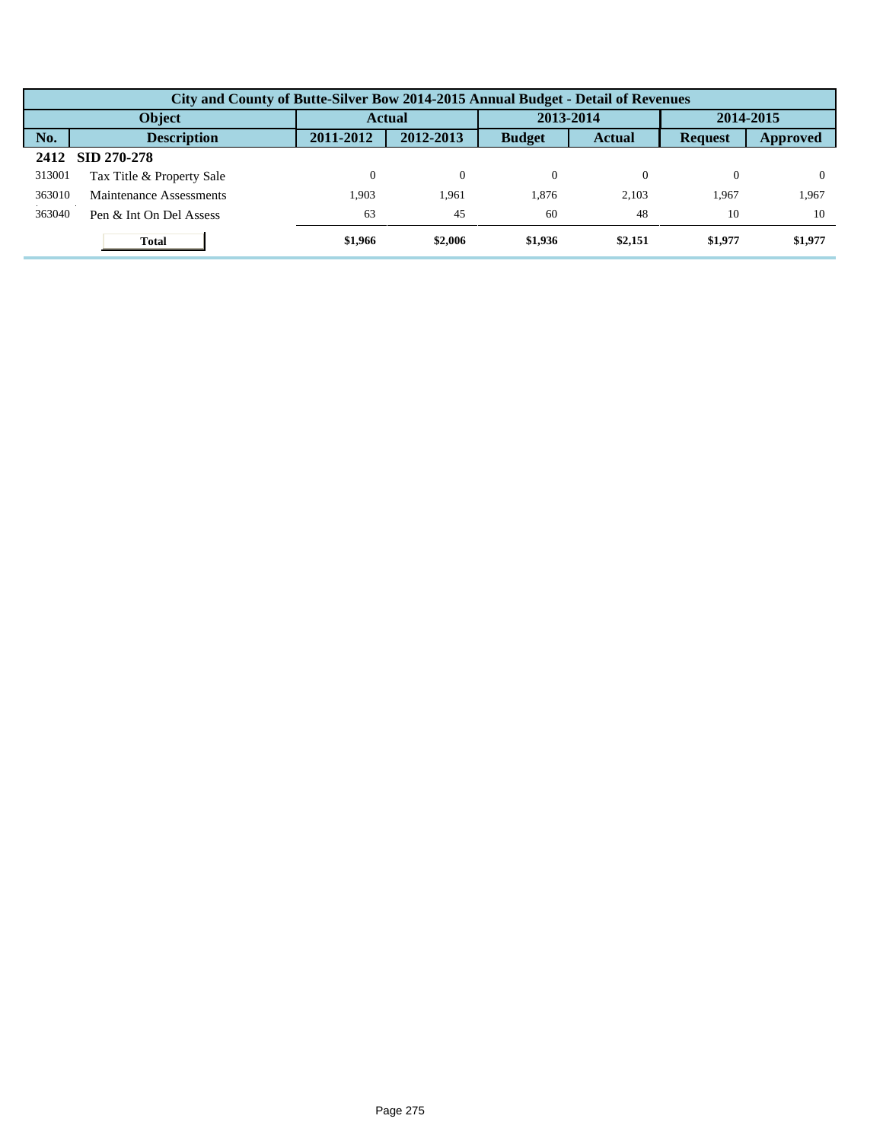|        | City and County of Butte-Silver Bow 2014-2015 Annual Budget - Detail of Revenues |           |               |               |               |                |           |  |  |  |  |
|--------|----------------------------------------------------------------------------------|-----------|---------------|---------------|---------------|----------------|-----------|--|--|--|--|
|        | Object                                                                           |           | <b>Actual</b> |               | 2013-2014     |                | 2014-2015 |  |  |  |  |
| No.    | <b>Description</b>                                                               | 2011-2012 | 2012-2013     | <b>Budget</b> | <b>Actual</b> | <b>Request</b> | Approved  |  |  |  |  |
| 2412   | SID 270-278                                                                      |           |               |               |               |                |           |  |  |  |  |
| 313001 | Tax Title & Property Sale                                                        |           | $\theta$      | $\Omega$      |               | 0              |           |  |  |  |  |
| 363010 | Maintenance Assessments                                                          | 1.903     | 1.961         | 1.876         | 2.103         | 1.967          | 1,967     |  |  |  |  |
| 363040 | Pen & Int On Del Assess                                                          | 63        | 45            | 60            | 48            | 10             | 10        |  |  |  |  |
|        | <b>Total</b>                                                                     | \$1,966   | \$2,006       | \$1,936       | \$2,151       | \$1,977        | \$1,977   |  |  |  |  |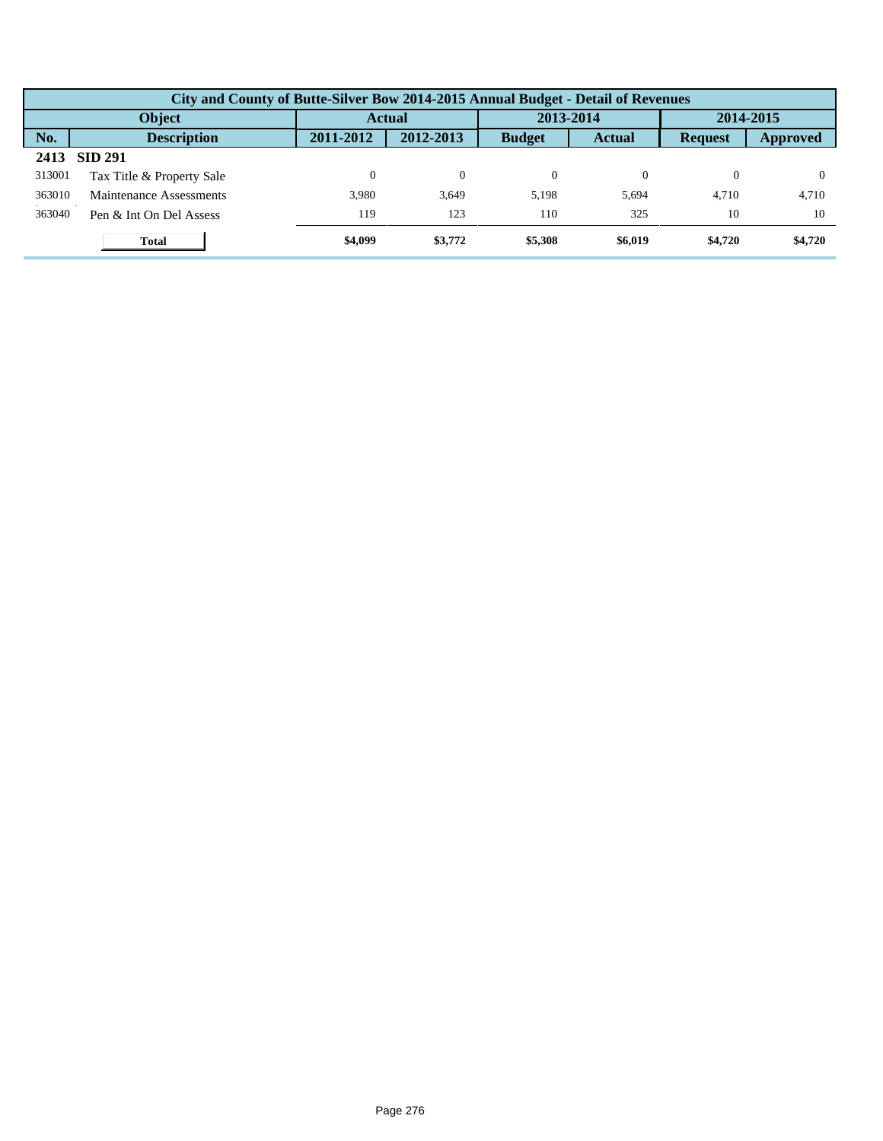|        | City and County of Butte-Silver Bow 2014-2015 Annual Budget - Detail of Revenues |           |               |               |               |                |           |  |  |  |  |
|--------|----------------------------------------------------------------------------------|-----------|---------------|---------------|---------------|----------------|-----------|--|--|--|--|
|        | Object                                                                           |           | <b>Actual</b> |               | 2013-2014     |                | 2014-2015 |  |  |  |  |
| No.    | <b>Description</b>                                                               | 2011-2012 | 2012-2013     | <b>Budget</b> | <b>Actual</b> | <b>Request</b> | Approved  |  |  |  |  |
| 2413   | <b>SID 291</b>                                                                   |           |               |               |               |                |           |  |  |  |  |
| 313001 | Tax Title & Property Sale                                                        |           | $\Omega$      | $\Omega$      |               | 0              |           |  |  |  |  |
| 363010 | Maintenance Assessments                                                          | 3.980     | 3.649         | 5.198         | 5,694         | 4.710          | 4,710     |  |  |  |  |
| 363040 | Pen & Int On Del Assess                                                          | 119       | 123           | 110           | 325           | 10             | 10        |  |  |  |  |
|        | <b>Total</b>                                                                     | \$4,099   | \$3,772       | \$5,308       | \$6,019       | \$4,720        | \$4,720   |  |  |  |  |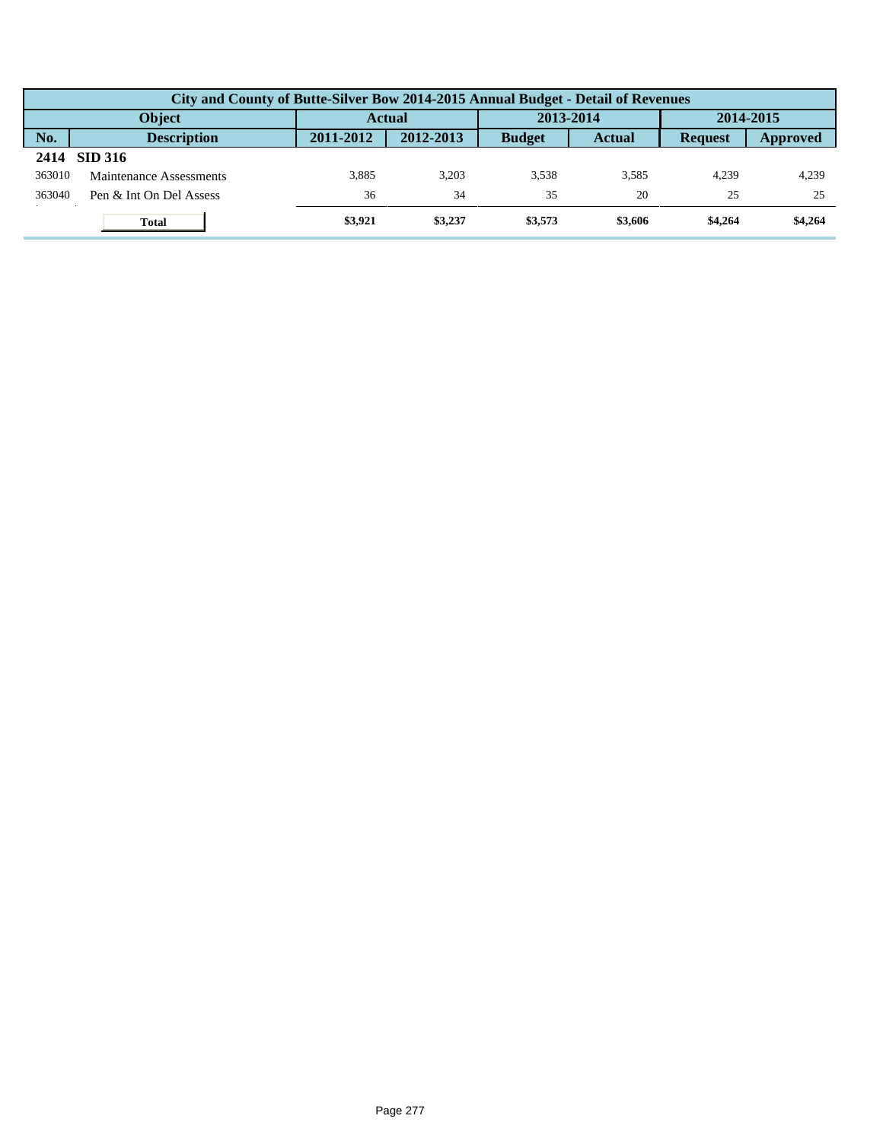|        | City and County of Butte-Silver Bow 2014-2015 Annual Budget - Detail of Revenues |               |           |               |               |                |          |  |  |  |
|--------|----------------------------------------------------------------------------------|---------------|-----------|---------------|---------------|----------------|----------|--|--|--|
|        | <b>Object</b>                                                                    | <b>Actual</b> |           | 2013-2014     |               | 2014-2015      |          |  |  |  |
| No.    | <b>Description</b>                                                               | 2011-2012     | 2012-2013 | <b>Budget</b> | <b>Actual</b> | <b>Request</b> | Approved |  |  |  |
| 2414   | <b>SID 316</b>                                                                   |               |           |               |               |                |          |  |  |  |
| 363010 | Maintenance Assessments                                                          | 3.885         | 3.203     | 3.538         | 3.585         | 4.239          | 4,239    |  |  |  |
| 363040 | Pen & Int On Del Assess                                                          | 36            | 34        | 35            | 20            | 25             | 25       |  |  |  |
|        | <b>Total</b>                                                                     | \$3,921       | \$3,237   | \$3,573       | \$3,606       | \$4,264        | \$4,264  |  |  |  |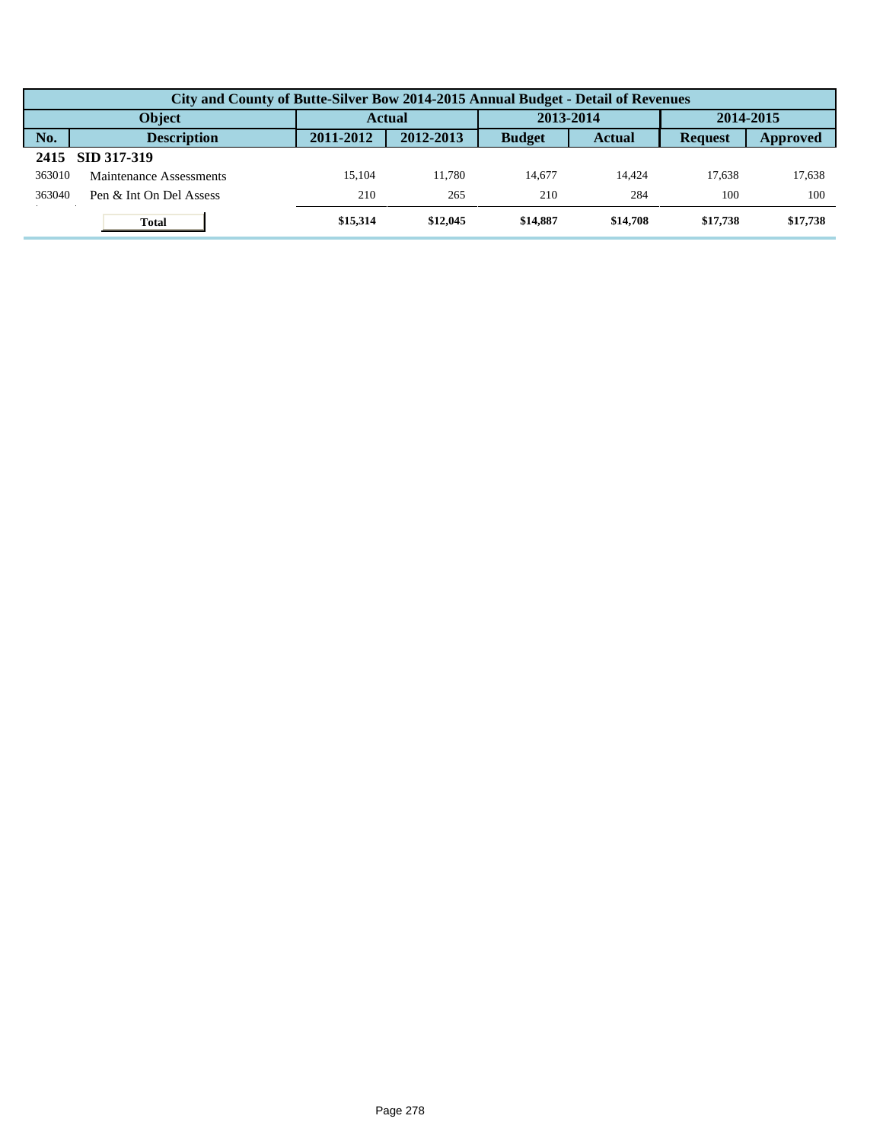|        | City and County of Butte-Silver Bow 2014-2015 Annual Budget - Detail of Revenues |               |           |               |               |                |          |  |  |  |
|--------|----------------------------------------------------------------------------------|---------------|-----------|---------------|---------------|----------------|----------|--|--|--|
|        | <b>Object</b>                                                                    | <b>Actual</b> |           | 2013-2014     |               | 2014-2015      |          |  |  |  |
| No.    | <b>Description</b>                                                               | 2011-2012     | 2012-2013 | <b>Budget</b> | <b>Actual</b> | <b>Request</b> | Approved |  |  |  |
| 2415   | SID 317-319                                                                      |               |           |               |               |                |          |  |  |  |
| 363010 | Maintenance Assessments                                                          | 15.104        | 11.780    | 14.677        | 14.424        | 17.638         | 17,638   |  |  |  |
| 363040 | Pen & Int On Del Assess                                                          | 210           | 265       | 210           | 284           | 100            | 100      |  |  |  |
|        | <b>Total</b>                                                                     | \$15,314      | \$12,045  | \$14,887      | \$14,708      | \$17,738       | \$17,738 |  |  |  |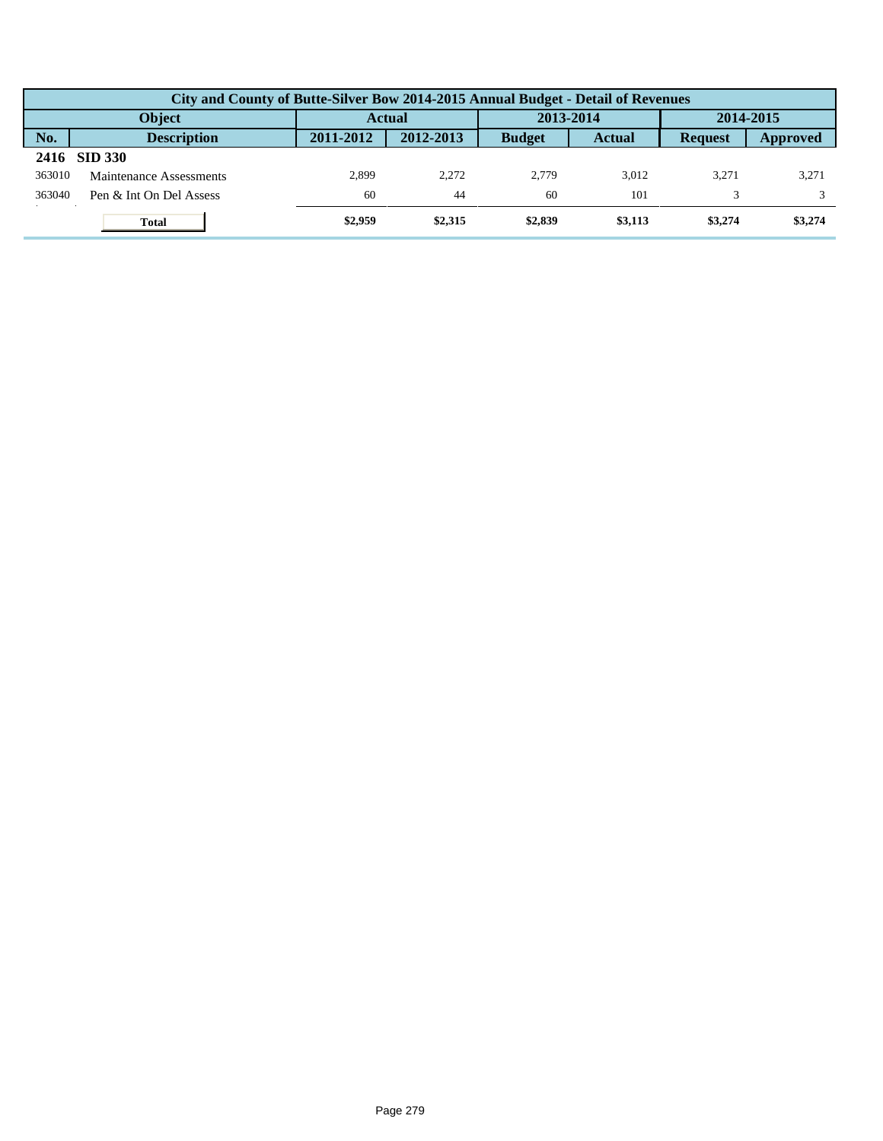|        | City and County of Butte-Silver Bow 2014-2015 Annual Budget - Detail of Revenues |               |           |               |               |                |          |  |  |  |  |
|--------|----------------------------------------------------------------------------------|---------------|-----------|---------------|---------------|----------------|----------|--|--|--|--|
|        | <b>Object</b>                                                                    | <b>Actual</b> |           | 2013-2014     |               | 2014-2015      |          |  |  |  |  |
| No.    | <b>Description</b>                                                               | 2011-2012     | 2012-2013 | <b>Budget</b> | <b>Actual</b> | <b>Request</b> | Approved |  |  |  |  |
| 2416   | <b>SID 330</b>                                                                   |               |           |               |               |                |          |  |  |  |  |
| 363010 | Maintenance Assessments                                                          | 2.899         | 2.272     | 2.779         | 3.012         | 3.271          | 3,271    |  |  |  |  |
| 363040 | Pen & Int On Del Assess                                                          | 60            | 44        | 60            | 101           |                |          |  |  |  |  |
|        | <b>Total</b>                                                                     | \$2,959       | \$2,315   | \$2,839       | \$3,113       | \$3,274        | \$3,274  |  |  |  |  |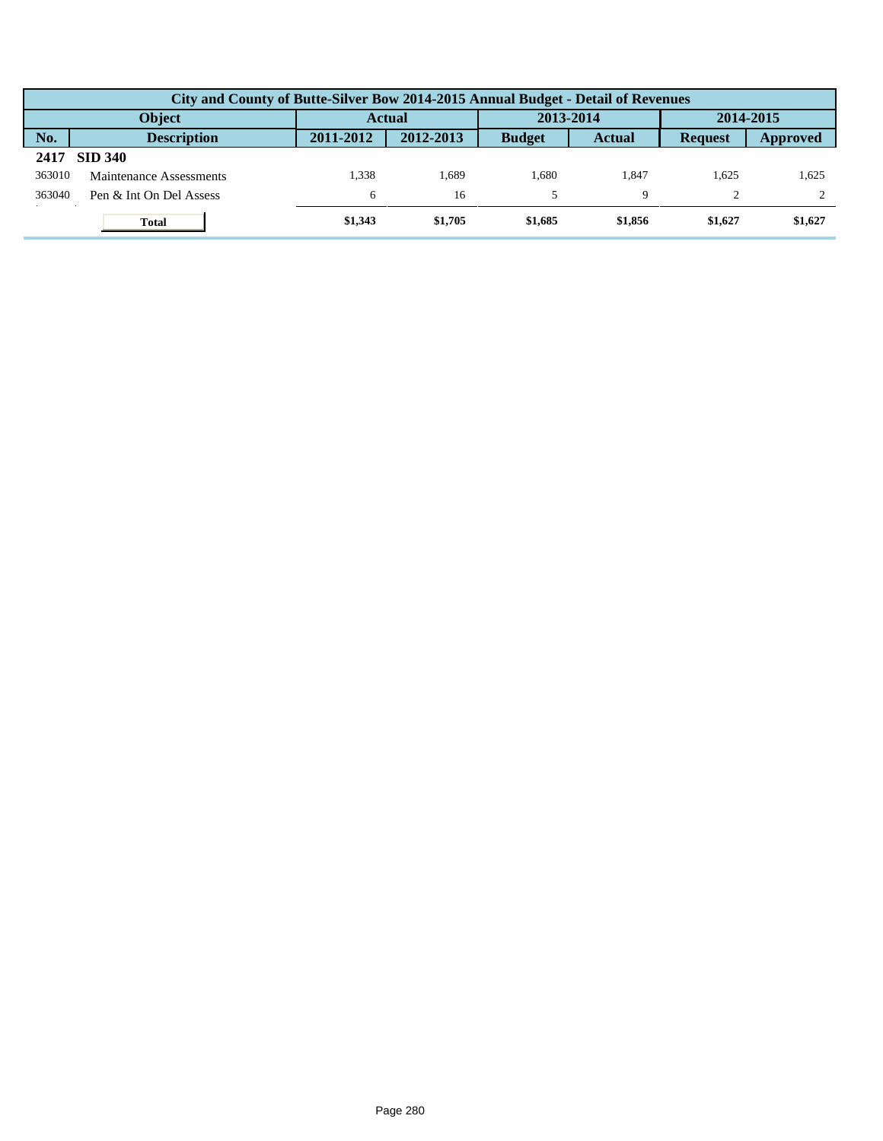|                                             | City and County of Butte-Silver Bow 2014-2015 Annual Budget - Detail of Revenues |           |           |               |               |                |           |  |  |  |
|---------------------------------------------|----------------------------------------------------------------------------------|-----------|-----------|---------------|---------------|----------------|-----------|--|--|--|
| 2013-2014<br><b>Object</b><br><b>Actual</b> |                                                                                  |           |           |               |               |                | 2014-2015 |  |  |  |
| No.                                         | <b>Description</b>                                                               | 2011-2012 | 2012-2013 | <b>Budget</b> | <b>Actual</b> | <b>Request</b> | Approved  |  |  |  |
| 2417                                        | <b>SID 340</b>                                                                   |           |           |               |               |                |           |  |  |  |
| 363010                                      | Maintenance Assessments                                                          | 1.338     | . 689     | 1.680         | 1.847         | 1.625          | 1,625     |  |  |  |
| 363040                                      | Pen & Int On Del Assess                                                          | 6         | 16        |               |               |                |           |  |  |  |
|                                             | <b>Total</b>                                                                     | \$1,343   | \$1,705   | \$1,685       | \$1,856       | \$1,627        | \$1,627   |  |  |  |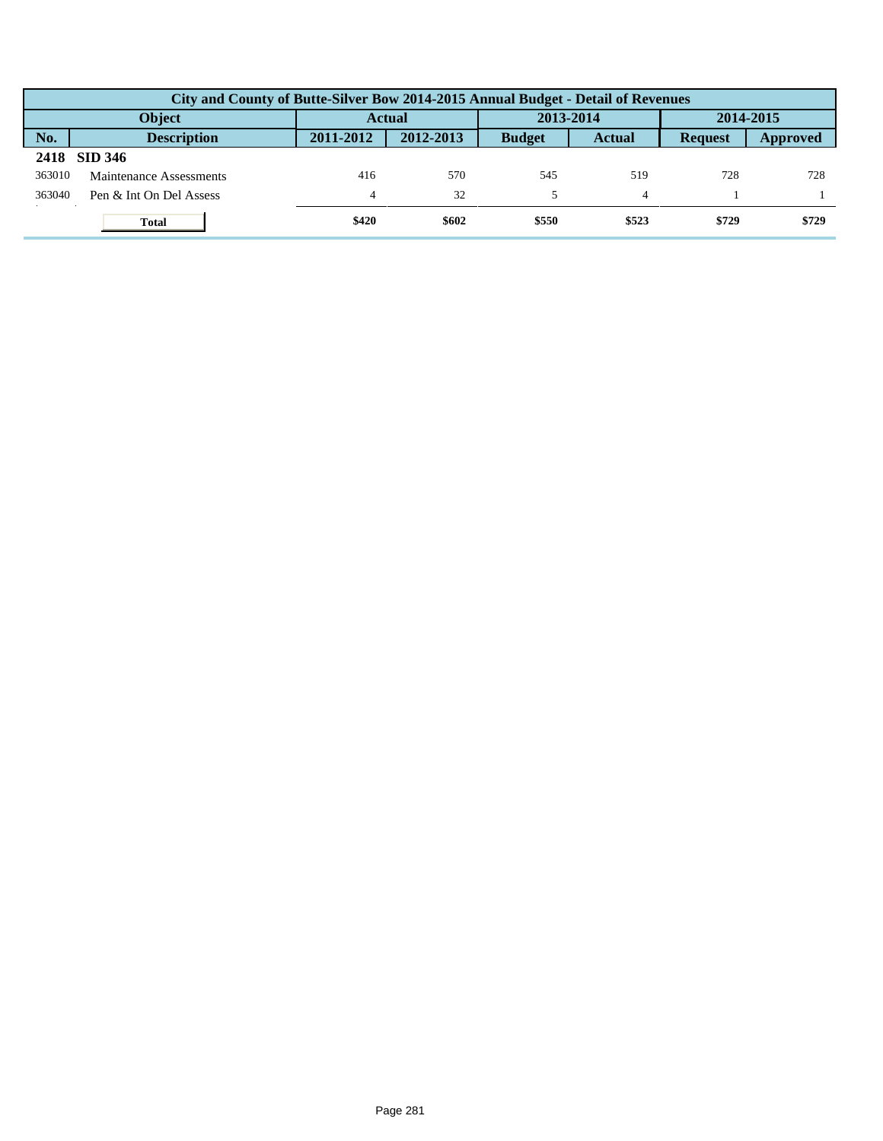|        | City and County of Butte-Silver Bow 2014-2015 Annual Budget - Detail of Revenues |               |           |               |               |                |          |  |  |  |
|--------|----------------------------------------------------------------------------------|---------------|-----------|---------------|---------------|----------------|----------|--|--|--|
|        | <b>Object</b>                                                                    | <b>Actual</b> |           | 2013-2014     |               | 2014-2015      |          |  |  |  |
| No.    | <b>Description</b>                                                               | 2011-2012     | 2012-2013 | <b>Budget</b> | <b>Actual</b> | <b>Request</b> | Approved |  |  |  |
| 2418   | <b>SID 346</b>                                                                   |               |           |               |               |                |          |  |  |  |
| 363010 | Maintenance Assessments                                                          | 416           | 570       | 545           | 519           | 728            | 728      |  |  |  |
| 363040 | Pen & Int On Del Assess                                                          | 4             | 32        |               |               |                |          |  |  |  |
|        | <b>Total</b>                                                                     | \$420         | \$602     | \$550         | \$523         | \$729          | \$729    |  |  |  |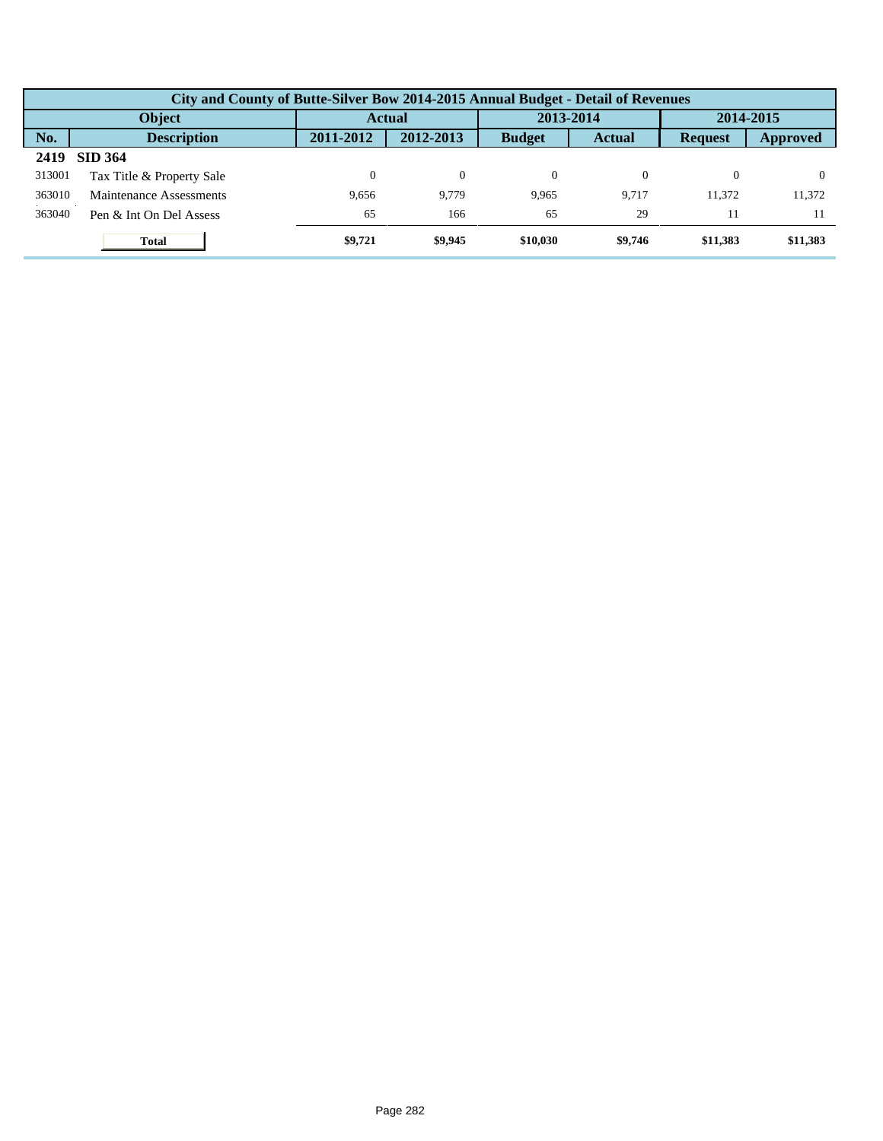|        | City and County of Butte-Silver Bow 2014-2015 Annual Budget - Detail of Revenues |           |               |               |               |                |           |  |  |  |  |
|--------|----------------------------------------------------------------------------------|-----------|---------------|---------------|---------------|----------------|-----------|--|--|--|--|
|        | Object                                                                           |           | <b>Actual</b> |               | 2013-2014     |                | 2014-2015 |  |  |  |  |
| No.    | <b>Description</b>                                                               | 2011-2012 | 2012-2013     | <b>Budget</b> | <b>Actual</b> | <b>Request</b> | Approved  |  |  |  |  |
| 2419   | <b>SID 364</b>                                                                   |           |               |               |               |                |           |  |  |  |  |
| 313001 | Tax Title & Property Sale                                                        |           | $\theta$      | $\Omega$      |               | 0              |           |  |  |  |  |
| 363010 | Maintenance Assessments                                                          | 9.656     | 9.779         | 9.965         | 9.717         | 11.372         | 11,372    |  |  |  |  |
| 363040 | Pen & Int On Del Assess                                                          | 65        | 166           | 65            | 29            | 11             |           |  |  |  |  |
|        | <b>Total</b>                                                                     | \$9,721   | \$9,945       | \$10,030      | \$9,746       | \$11,383       | \$11,383  |  |  |  |  |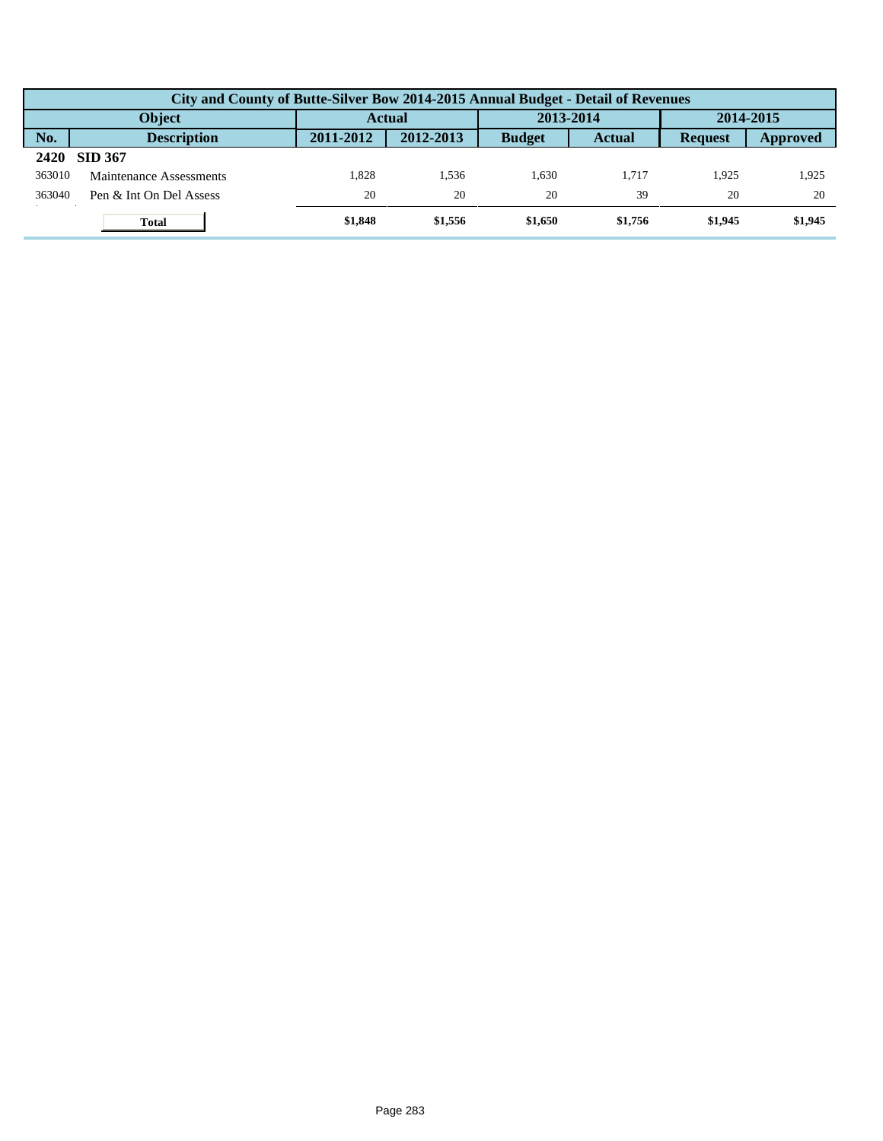|        | City and County of Butte-Silver Bow 2014-2015 Annual Budget - Detail of Revenues |           |           |               |               |                |          |  |  |  |
|--------|----------------------------------------------------------------------------------|-----------|-----------|---------------|---------------|----------------|----------|--|--|--|
|        | <b>Object</b>                                                                    | Actual    |           | 2013-2014     |               | 2014-2015      |          |  |  |  |
| No.    | <b>Description</b>                                                               | 2011-2012 | 2012-2013 | <b>Budget</b> | <b>Actual</b> | <b>Request</b> | Approved |  |  |  |
| 2420   | <b>SID 367</b>                                                                   |           |           |               |               |                |          |  |  |  |
| 363010 | Maintenance Assessments                                                          | 1.828     | .536      | 1.630         | 1.717         | 1.925          | 1,925    |  |  |  |
| 363040 | Pen & Int On Del Assess                                                          | 20        | 20        | 20            | 39            | 20             | 20       |  |  |  |
|        | <b>Total</b>                                                                     | \$1,848   | \$1,556   | \$1,650       | \$1,756       | \$1,945        | \$1,945  |  |  |  |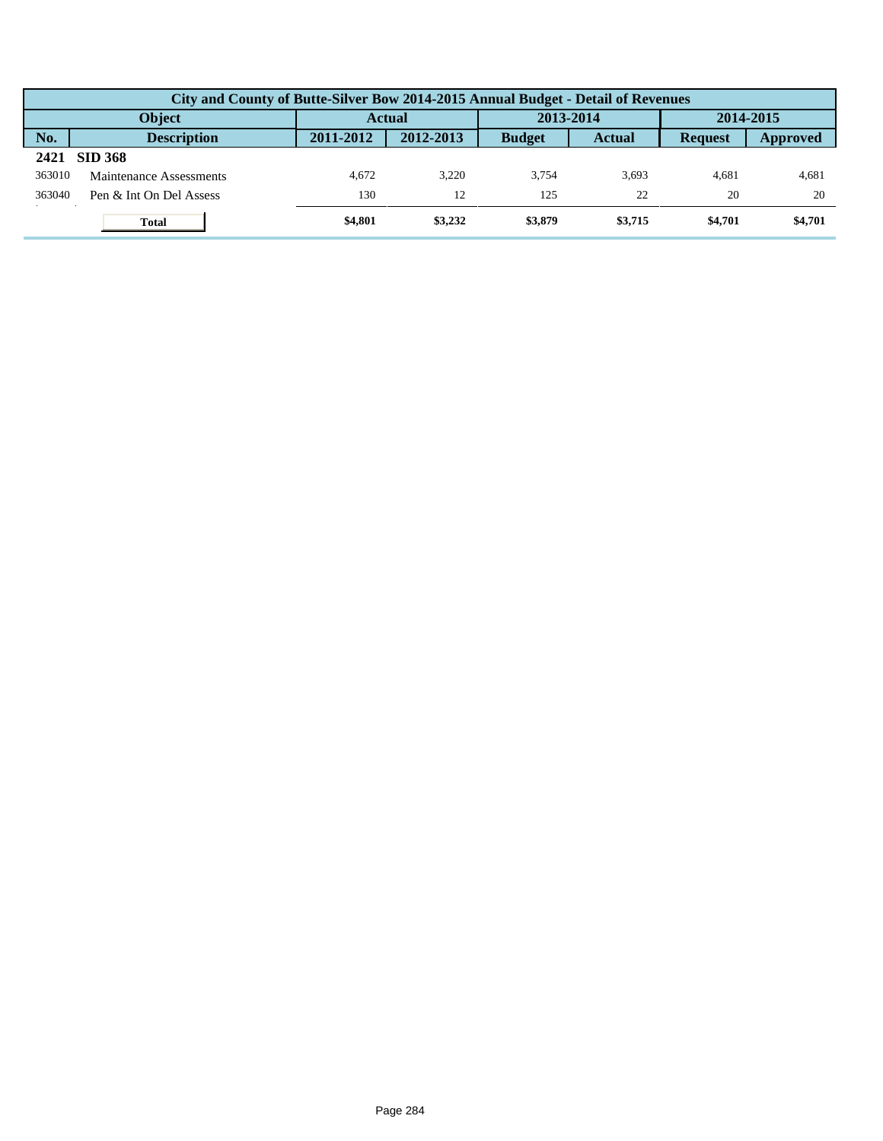|        | City and County of Butte-Silver Bow 2014-2015 Annual Budget - Detail of Revenues |               |           |               |               |                |          |  |  |  |
|--------|----------------------------------------------------------------------------------|---------------|-----------|---------------|---------------|----------------|----------|--|--|--|
|        | <b>Object</b>                                                                    | <b>Actual</b> |           | 2013-2014     |               | 2014-2015      |          |  |  |  |
| No.    | <b>Description</b>                                                               | 2011-2012     | 2012-2013 | <b>Budget</b> | <b>Actual</b> | <b>Request</b> | Approved |  |  |  |
| 2421   | <b>SID 368</b>                                                                   |               |           |               |               |                |          |  |  |  |
| 363010 | Maintenance Assessments                                                          | 4.672         | 3.220     | 3.754         | 3.693         | 4.681          | 4,681    |  |  |  |
| 363040 | Pen & Int On Del Assess                                                          | 130           | 12        | 125           | 22            | 20             | 20       |  |  |  |
|        | <b>Total</b>                                                                     | \$4,801       | \$3,232   | \$3,879       | \$3,715       | \$4,701        | \$4,701  |  |  |  |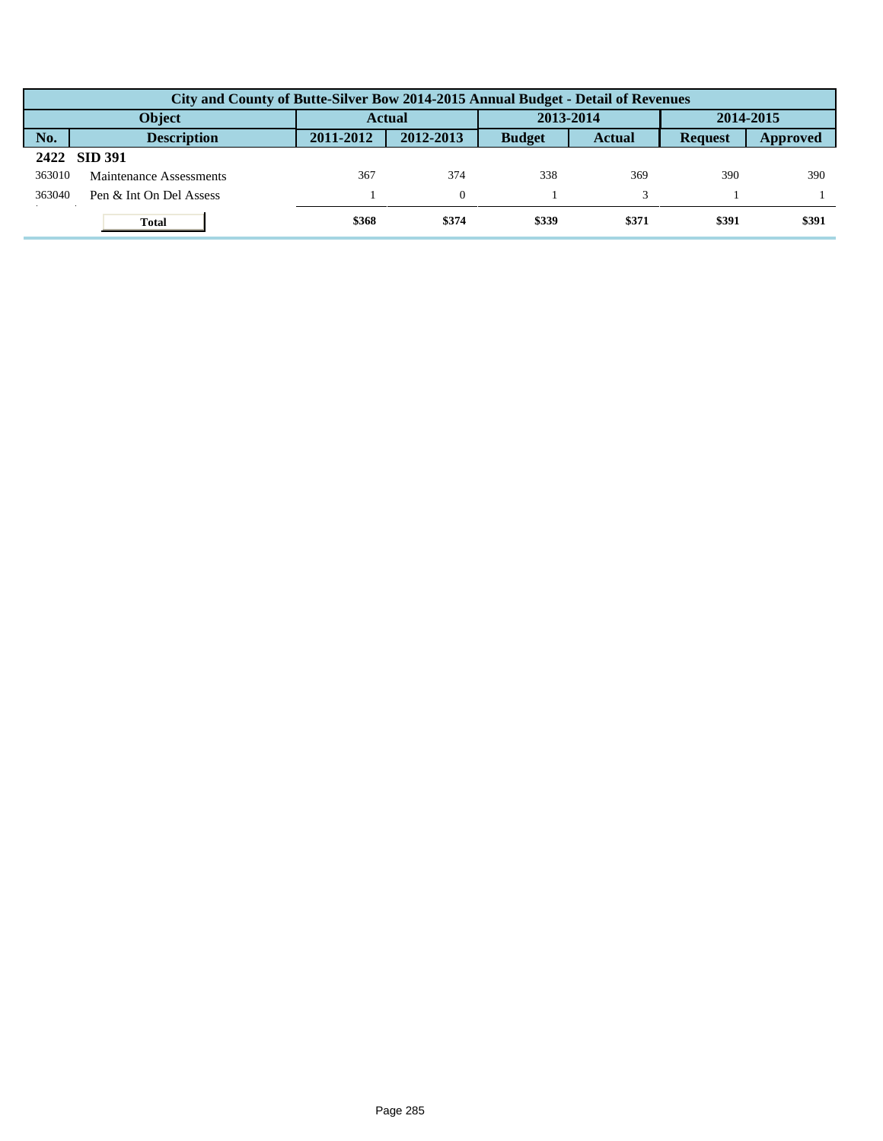|        | City and County of Butte-Silver Bow 2014-2015 Annual Budget - Detail of Revenues |               |           |               |               |                |          |  |  |  |
|--------|----------------------------------------------------------------------------------|---------------|-----------|---------------|---------------|----------------|----------|--|--|--|
|        | <b>Object</b>                                                                    | <b>Actual</b> |           | 2013-2014     |               | 2014-2015      |          |  |  |  |
| No.    | <b>Description</b>                                                               | 2011-2012     | 2012-2013 | <b>Budget</b> | <b>Actual</b> | <b>Request</b> | Approved |  |  |  |
|        | 2422 SID 391                                                                     |               |           |               |               |                |          |  |  |  |
| 363010 | Maintenance Assessments                                                          | 367           | 374       | 338           | 369           | 390            | 390      |  |  |  |
| 363040 | Pen & Int On Del Assess                                                          |               | $\Omega$  |               |               |                |          |  |  |  |
|        | <b>Total</b>                                                                     | \$368         | \$374     | \$339         | \$371         | \$391          | \$391    |  |  |  |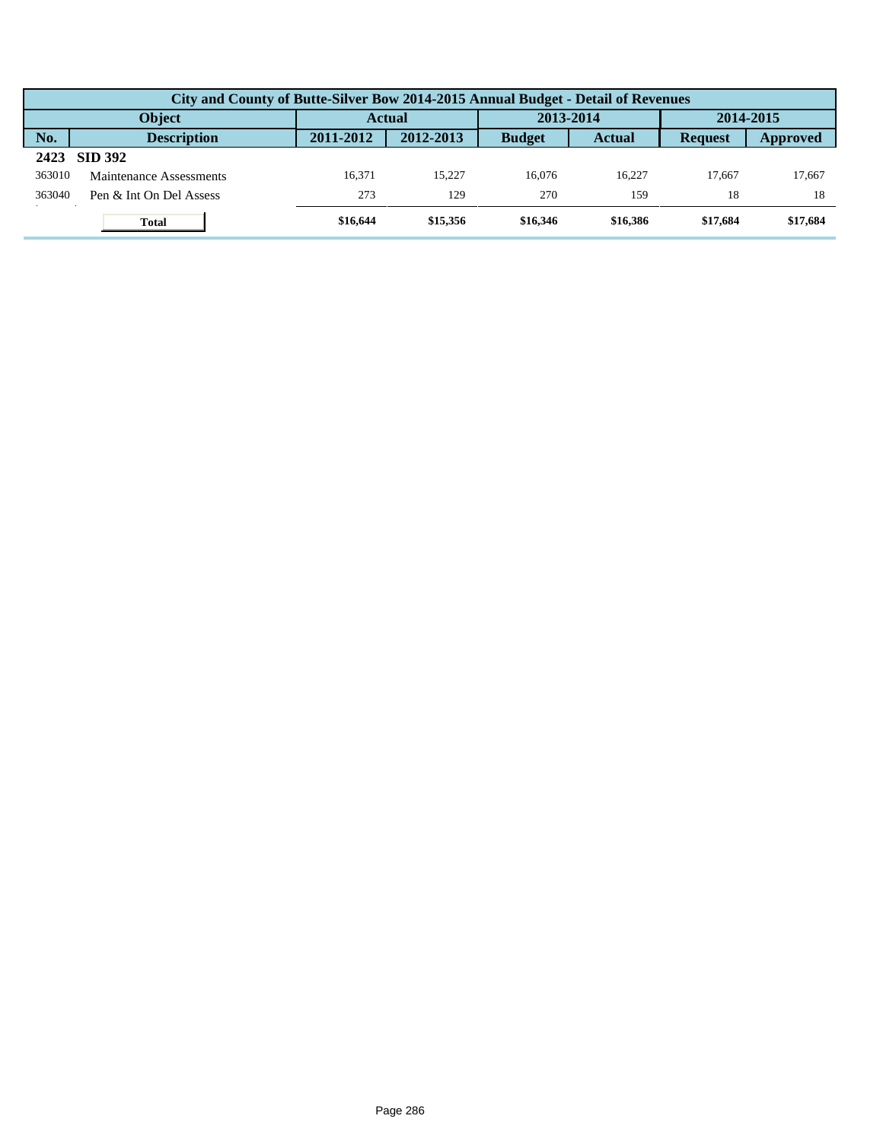|        | City and County of Butte-Silver Bow 2014-2015 Annual Budget - Detail of Revenues |               |           |               |               |                |          |  |  |  |  |
|--------|----------------------------------------------------------------------------------|---------------|-----------|---------------|---------------|----------------|----------|--|--|--|--|
|        | <b>Object</b>                                                                    | <b>Actual</b> |           | 2013-2014     |               | 2014-2015      |          |  |  |  |  |
| No.    | <b>Description</b>                                                               | 2011-2012     | 2012-2013 | <b>Budget</b> | <b>Actual</b> | <b>Request</b> | Approved |  |  |  |  |
| 2423   | <b>SID 392</b>                                                                   |               |           |               |               |                |          |  |  |  |  |
| 363010 | Maintenance Assessments                                                          | 16.371        | 15.227    | 16,076        | 16.227        | 17.667         | 17,667   |  |  |  |  |
| 363040 | Pen & Int On Del Assess                                                          | 273           | 129       | 270           | 159           | 18             | 18       |  |  |  |  |
|        | <b>Total</b>                                                                     | \$16,644      | \$15,356  | \$16,346      | \$16,386      | \$17,684       | \$17,684 |  |  |  |  |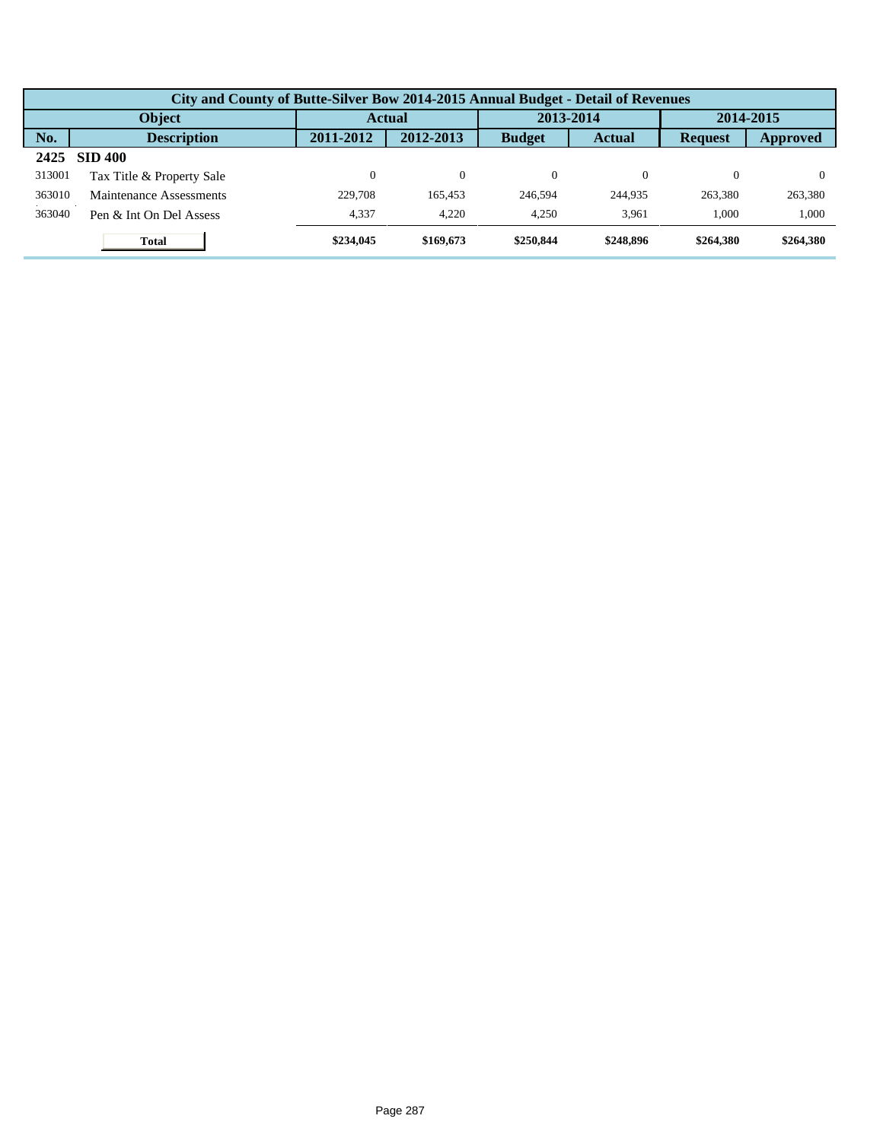|        | City and County of Butte-Silver Bow 2014-2015 Annual Budget - Detail of Revenues |           |           |               |               |                |           |  |  |  |  |
|--------|----------------------------------------------------------------------------------|-----------|-----------|---------------|---------------|----------------|-----------|--|--|--|--|
| Object |                                                                                  |           | Actual    |               | 2013-2014     |                | 2014-2015 |  |  |  |  |
| No.    | <b>Description</b>                                                               | 2011-2012 | 2012-2013 | <b>Budget</b> | <b>Actual</b> | <b>Request</b> | Approved  |  |  |  |  |
| 2425   | <b>SID 400</b>                                                                   |           |           |               |               |                |           |  |  |  |  |
| 313001 | Tax Title & Property Sale                                                        | 0         | $\Omega$  | $\Omega$      | 0             | $\theta$       |           |  |  |  |  |
| 363010 | Maintenance Assessments                                                          | 229,708   | 165.453   | 246,594       | 244,935       | 263,380        | 263,380   |  |  |  |  |
| 363040 | Pen & Int On Del Assess                                                          | 4,337     | 4.220     | 4.250         | 3.961         | 1.000          | 1,000     |  |  |  |  |
|        | <b>Total</b>                                                                     | \$234,045 | \$169,673 | \$250,844     | \$248,896     | \$264,380      | \$264,380 |  |  |  |  |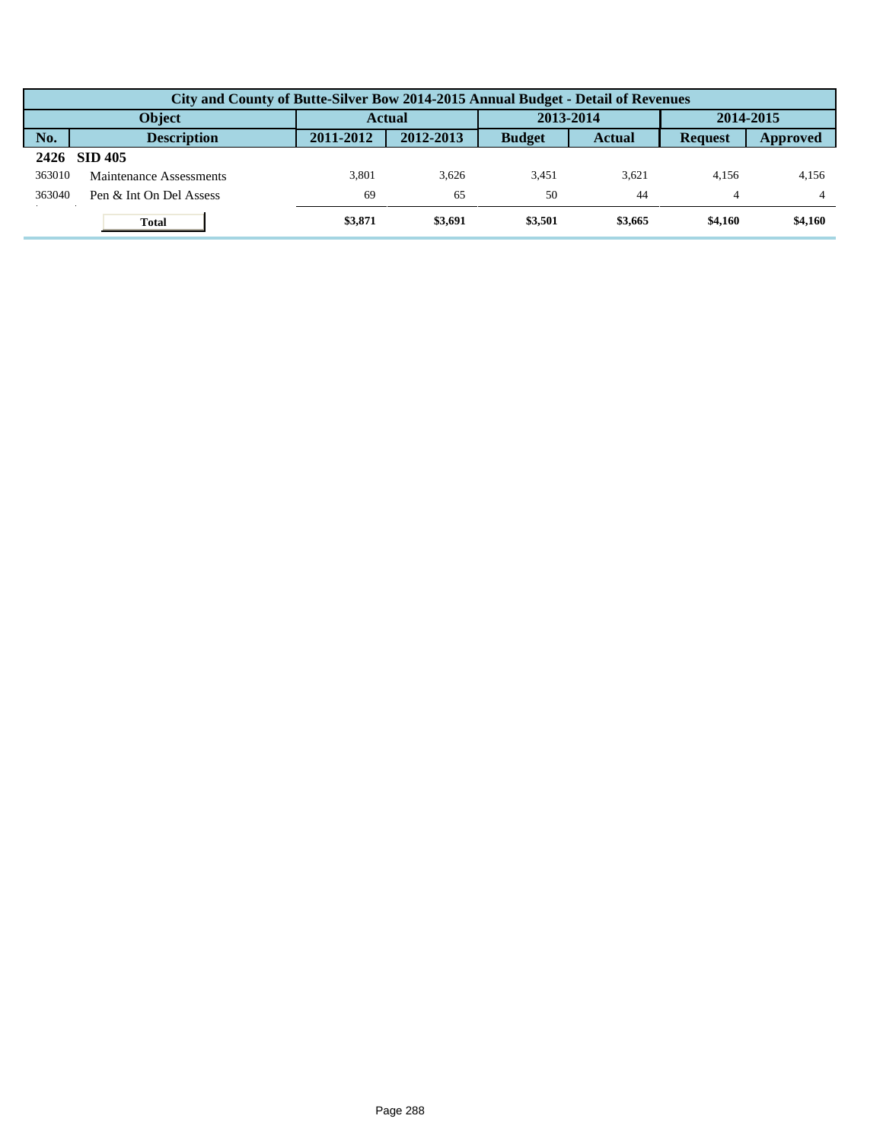|        | City and County of Butte-Silver Bow 2014-2015 Annual Budget - Detail of Revenues |               |           |               |               |                |          |  |  |  |
|--------|----------------------------------------------------------------------------------|---------------|-----------|---------------|---------------|----------------|----------|--|--|--|
|        | <b>Object</b>                                                                    | <b>Actual</b> |           | 2013-2014     |               | 2014-2015      |          |  |  |  |
| No.    | <b>Description</b>                                                               | 2011-2012     | 2012-2013 | <b>Budget</b> | <b>Actual</b> | <b>Request</b> | Approved |  |  |  |
| 2426   | <b>SID 405</b>                                                                   |               |           |               |               |                |          |  |  |  |
| 363010 | Maintenance Assessments                                                          | 3.801         | 3.626     | 3.451         | 3.621         | 4.156          | 4,156    |  |  |  |
| 363040 | Pen & Int On Del Assess                                                          | 69            | 65        | 50            | 44            | 4              | 4        |  |  |  |
|        | <b>Total</b>                                                                     | \$3,871       | \$3,691   | \$3,501       | \$3,665       | \$4,160        | \$4,160  |  |  |  |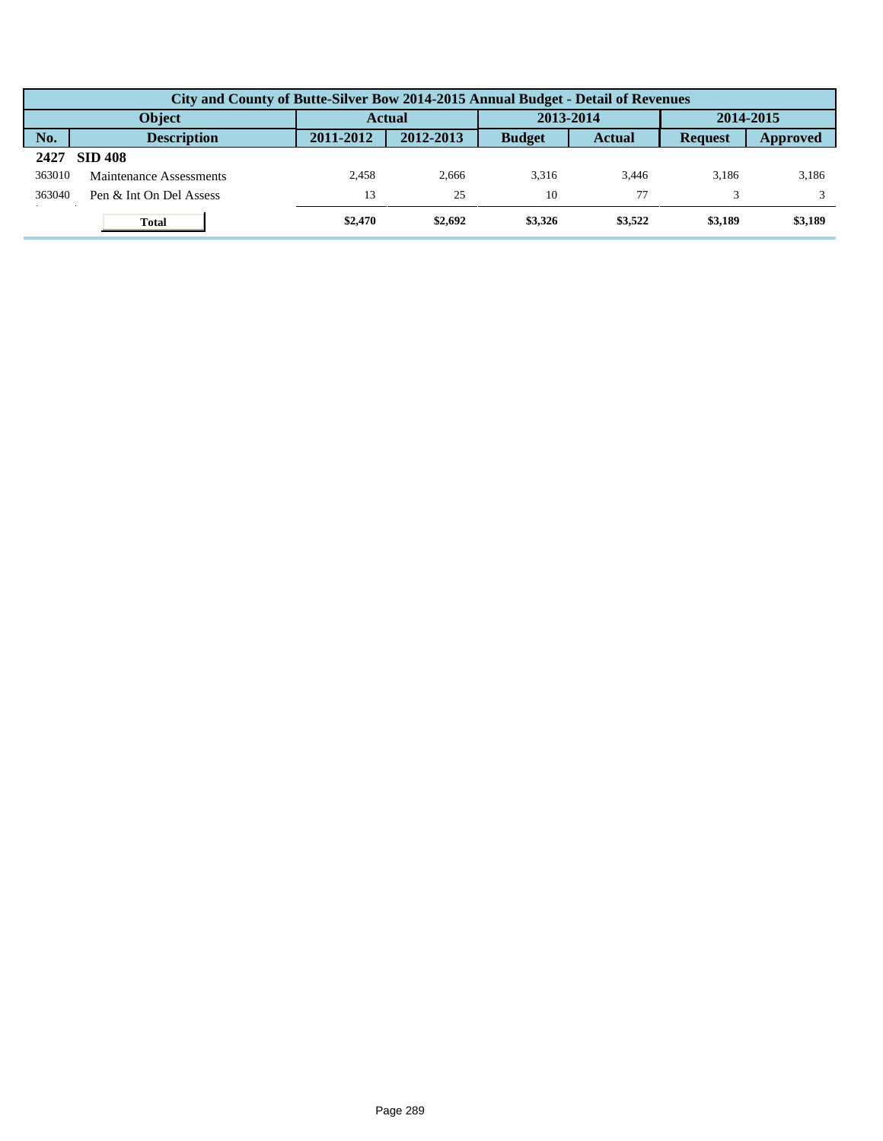|        | City and County of Butte-Silver Bow 2014-2015 Annual Budget - Detail of Revenues |               |           |               |               |                |          |  |  |  |  |
|--------|----------------------------------------------------------------------------------|---------------|-----------|---------------|---------------|----------------|----------|--|--|--|--|
|        | <b>Object</b>                                                                    | <b>Actual</b> |           | 2013-2014     |               | 2014-2015      |          |  |  |  |  |
| No.    | <b>Description</b>                                                               | 2011-2012     | 2012-2013 | <b>Budget</b> | <b>Actual</b> | <b>Request</b> | Approved |  |  |  |  |
| 2427   | <b>SID 408</b>                                                                   |               |           |               |               |                |          |  |  |  |  |
| 363010 | Maintenance Assessments                                                          | 2.458         | 2.666     | 3.316         | 3.446         | 3.186          | 3,186    |  |  |  |  |
| 363040 | Pen & Int On Del Assess                                                          | 13            | 25        | 10            |               |                |          |  |  |  |  |
|        | <b>Total</b>                                                                     | \$2,470       | \$2,692   | \$3,326       | \$3,522       | \$3,189        | \$3,189  |  |  |  |  |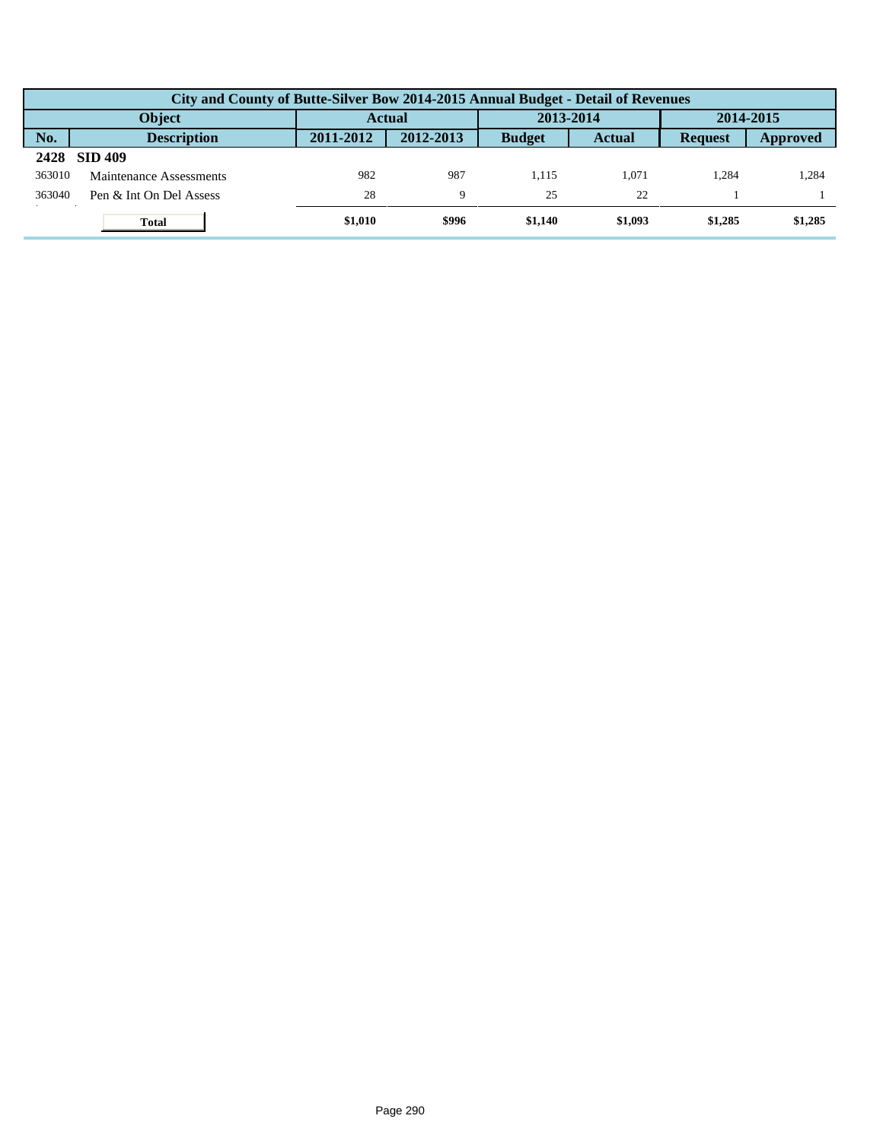|        | City and County of Butte-Silver Bow 2014-2015 Annual Budget - Detail of Revenues |               |           |               |               |                |          |  |  |  |
|--------|----------------------------------------------------------------------------------|---------------|-----------|---------------|---------------|----------------|----------|--|--|--|
|        | <b>Object</b>                                                                    | <b>Actual</b> |           | 2013-2014     |               | 2014-2015      |          |  |  |  |
| No.    | <b>Description</b>                                                               | 2011-2012     | 2012-2013 | <b>Budget</b> | <b>Actual</b> | <b>Request</b> | Approved |  |  |  |
| 2428   | <b>SID 409</b>                                                                   |               |           |               |               |                |          |  |  |  |
| 363010 | Maintenance Assessments                                                          | 982           | 987       | 1.115         | 1.071         | 1.284          | 1,284    |  |  |  |
| 363040 | Pen & Int On Del Assess                                                          | 28            | 9         | 25            | 22            |                |          |  |  |  |
|        | <b>Total</b>                                                                     | \$1,010       | \$996     | \$1.140       | \$1,093       | \$1,285        | \$1,285  |  |  |  |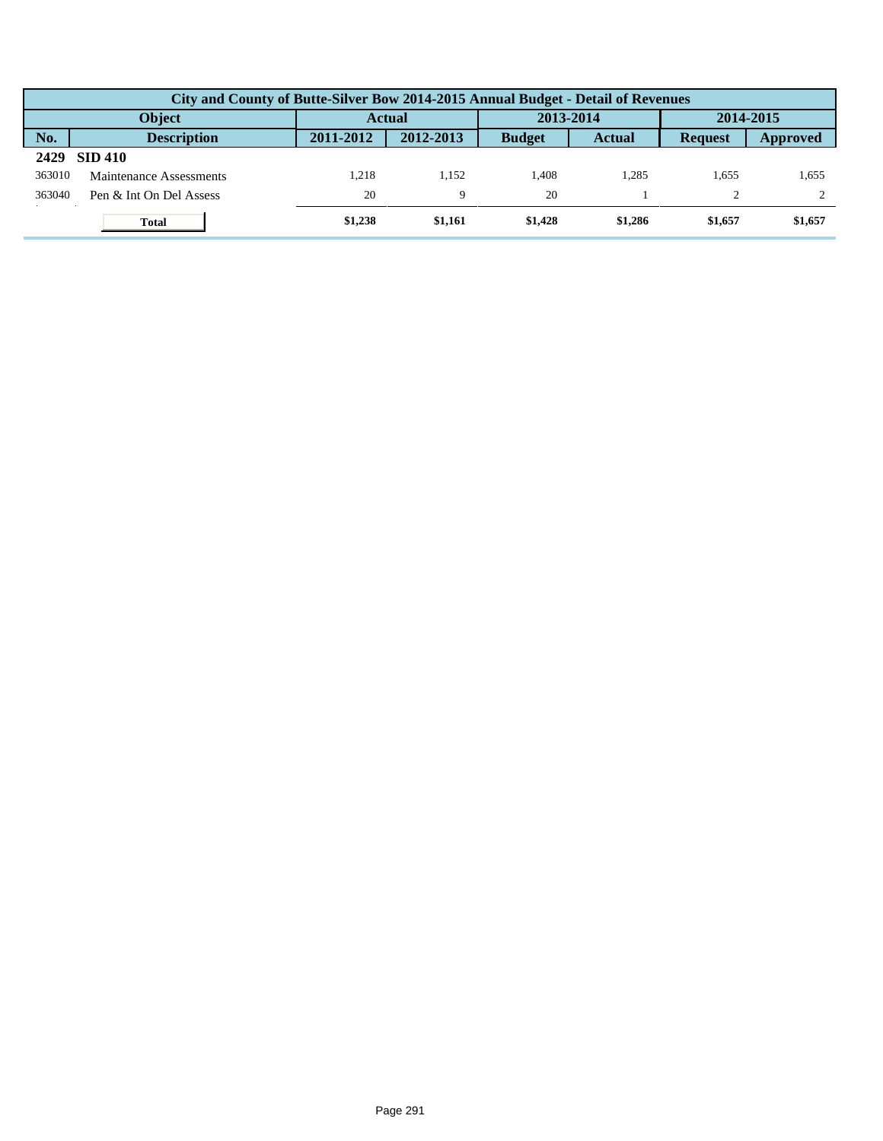|        | City and County of Butte-Silver Bow 2014-2015 Annual Budget - Detail of Revenues |               |             |               |               |                |          |  |  |  |
|--------|----------------------------------------------------------------------------------|---------------|-------------|---------------|---------------|----------------|----------|--|--|--|
|        | <b>Object</b>                                                                    | <b>Actual</b> |             | 2013-2014     |               | 2014-2015      |          |  |  |  |
| No.    | <b>Description</b>                                                               | 2011-2012     | 2012-2013   | <b>Budget</b> | <b>Actual</b> | <b>Request</b> | Approved |  |  |  |
| 2429   | <b>SID 410</b>                                                                   |               |             |               |               |                |          |  |  |  |
| 363010 | Maintenance Assessments                                                          | 1.218         | .152        | 1.408         | 1.285         | 1.655          | 1,655    |  |  |  |
| 363040 | Pen & Int On Del Assess                                                          | 20            | $\mathbf Q$ | 20            |               |                |          |  |  |  |
|        | <b>Total</b>                                                                     | \$1,238       | \$1,161     | \$1,428       | \$1,286       | \$1,657        | \$1,657  |  |  |  |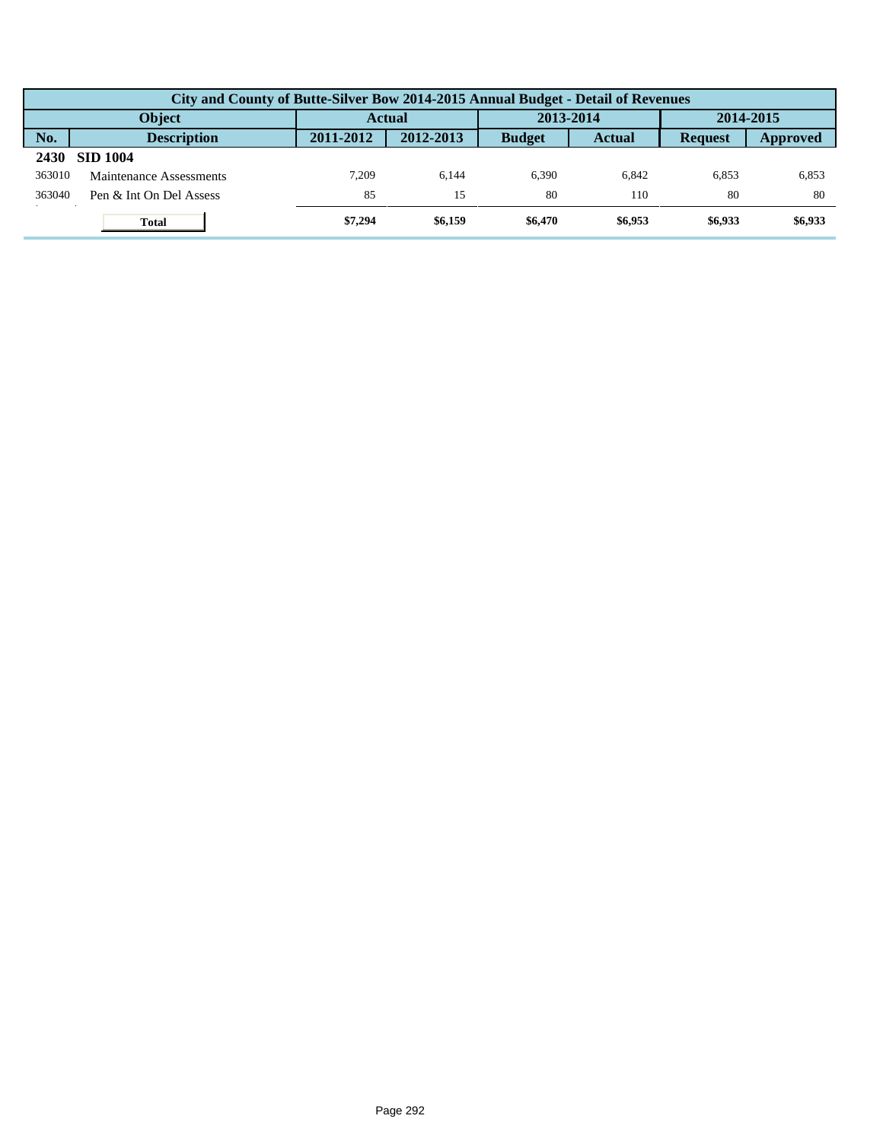|        | City and County of Butte-Silver Bow 2014-2015 Annual Budget - Detail of Revenues |               |           |               |               |                |          |  |  |  |
|--------|----------------------------------------------------------------------------------|---------------|-----------|---------------|---------------|----------------|----------|--|--|--|
|        | <b>Object</b>                                                                    | <b>Actual</b> |           | 2013-2014     |               | 2014-2015      |          |  |  |  |
| No.    | <b>Description</b>                                                               | 2011-2012     | 2012-2013 | <b>Budget</b> | <b>Actual</b> | <b>Request</b> | Approved |  |  |  |
| 2430   | <b>SID 1004</b>                                                                  |               |           |               |               |                |          |  |  |  |
| 363010 | Maintenance Assessments                                                          | 7.209         | 6.144     | 6.390         | 6.842         | 6,853          | 6,853    |  |  |  |
| 363040 | Pen & Int On Del Assess                                                          | 85            | 15        | 80            | 110           | 80             | 80       |  |  |  |
|        | <b>Total</b>                                                                     | \$7,294       | \$6,159   | \$6,470       | \$6,953       | \$6,933        | \$6,933  |  |  |  |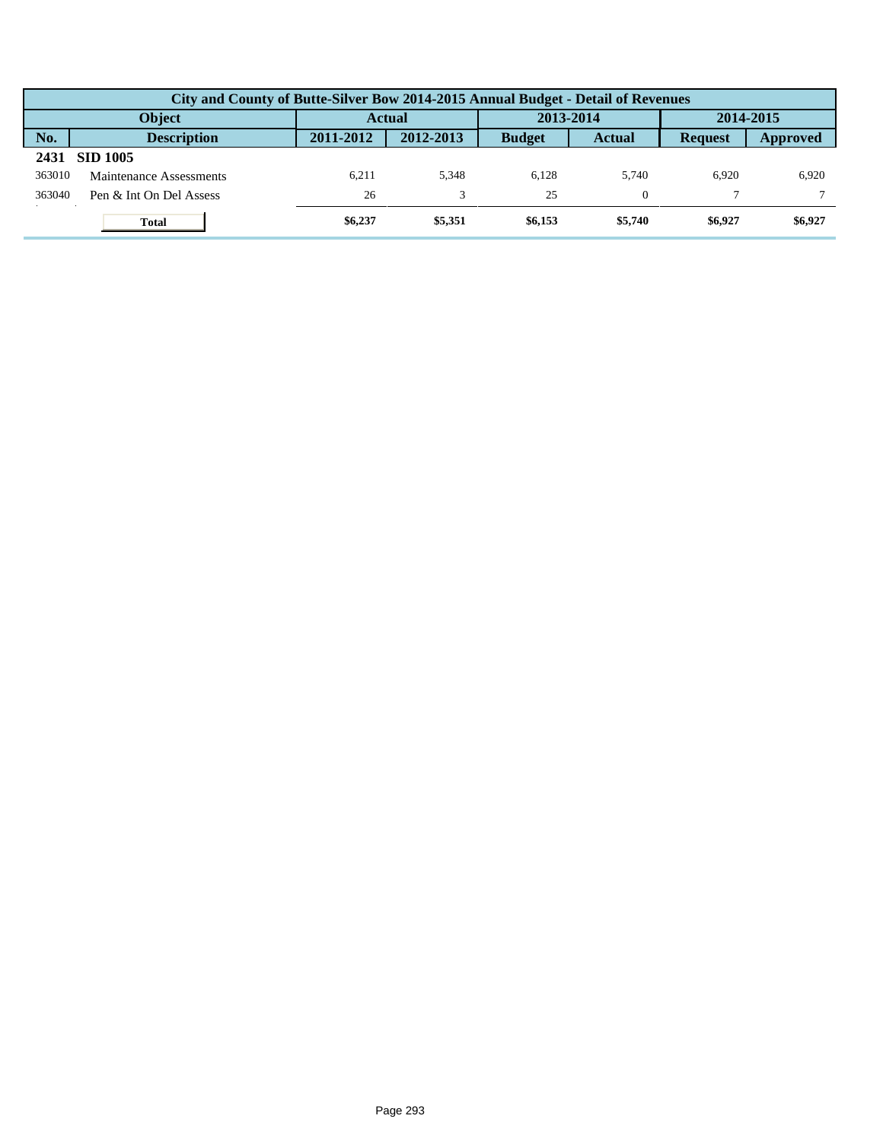|        | City and County of Butte-Silver Bow 2014-2015 Annual Budget - Detail of Revenues |               |           |               |               |                |          |  |  |  |
|--------|----------------------------------------------------------------------------------|---------------|-----------|---------------|---------------|----------------|----------|--|--|--|
|        | <b>Object</b>                                                                    | <b>Actual</b> |           | 2013-2014     |               | 2014-2015      |          |  |  |  |
| No.    | <b>Description</b>                                                               | 2011-2012     | 2012-2013 | <b>Budget</b> | <b>Actual</b> | <b>Request</b> | Approved |  |  |  |
| 2431   | <b>SID 1005</b>                                                                  |               |           |               |               |                |          |  |  |  |
| 363010 | Maintenance Assessments                                                          | 6.211         | 5.348     | 6.128         | 5.740         | 6.920          | 6.920    |  |  |  |
| 363040 | Pen & Int On Del Assess                                                          | 26            | 3         | 25            |               |                |          |  |  |  |
|        | <b>Total</b>                                                                     | \$6,237       | \$5,351   | \$6,153       | \$5,740       | \$6,927        | \$6,927  |  |  |  |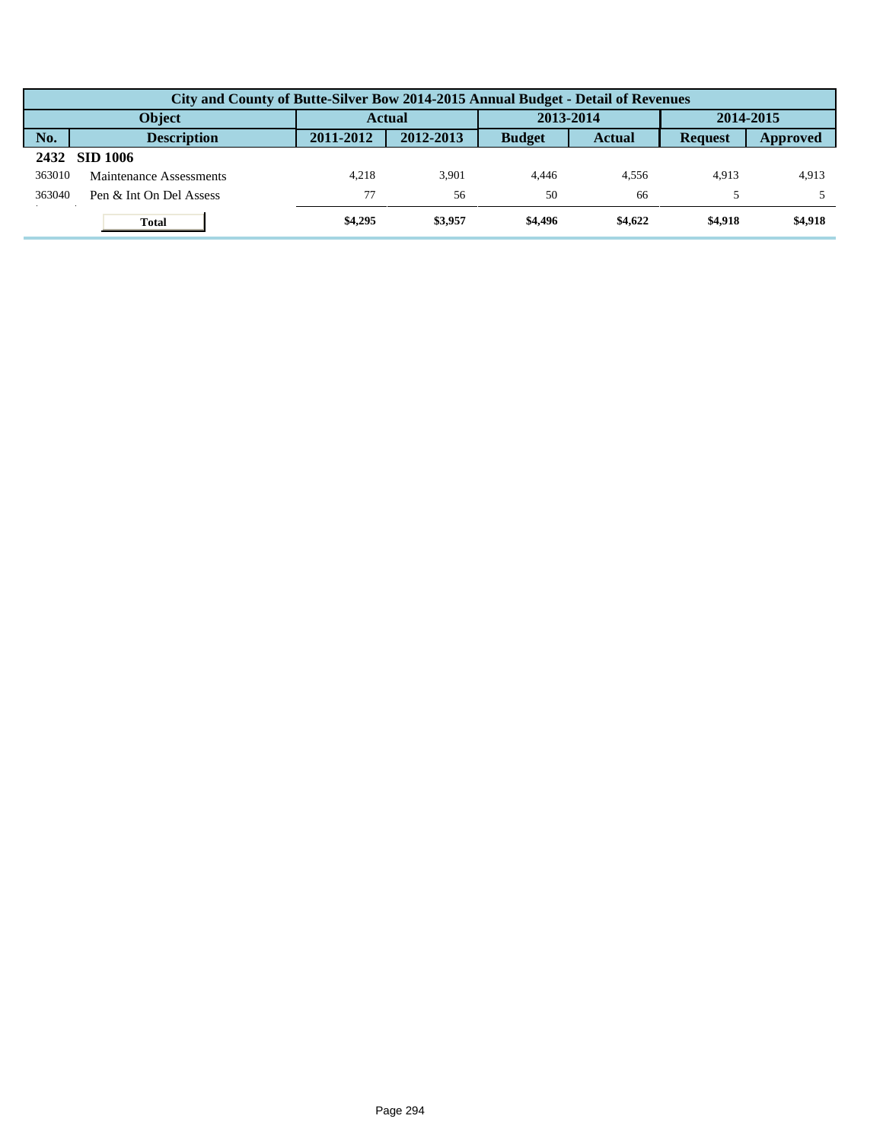|        | City and County of Butte-Silver Bow 2014-2015 Annual Budget - Detail of Revenues |           |               |               |               |                |           |  |  |  |
|--------|----------------------------------------------------------------------------------|-----------|---------------|---------------|---------------|----------------|-----------|--|--|--|
|        | <b>Object</b>                                                                    |           | <b>Actual</b> |               | 2013-2014     |                | 2014-2015 |  |  |  |
| No.    | <b>Description</b>                                                               | 2011-2012 | 2012-2013     | <b>Budget</b> | <b>Actual</b> | <b>Request</b> | Approved  |  |  |  |
| 2432   | SID 1006                                                                         |           |               |               |               |                |           |  |  |  |
| 363010 | Maintenance Assessments                                                          | 4.218     | 3.901         | 4.446         | 4.556         | 4.913          | 4,913     |  |  |  |
| 363040 | Pen & Int On Del Assess                                                          | 77        | 56            | 50            | 66            |                |           |  |  |  |
|        | <b>Total</b>                                                                     | \$4,295   | \$3,957       | \$4,496       | \$4,622       | \$4,918        | \$4,918   |  |  |  |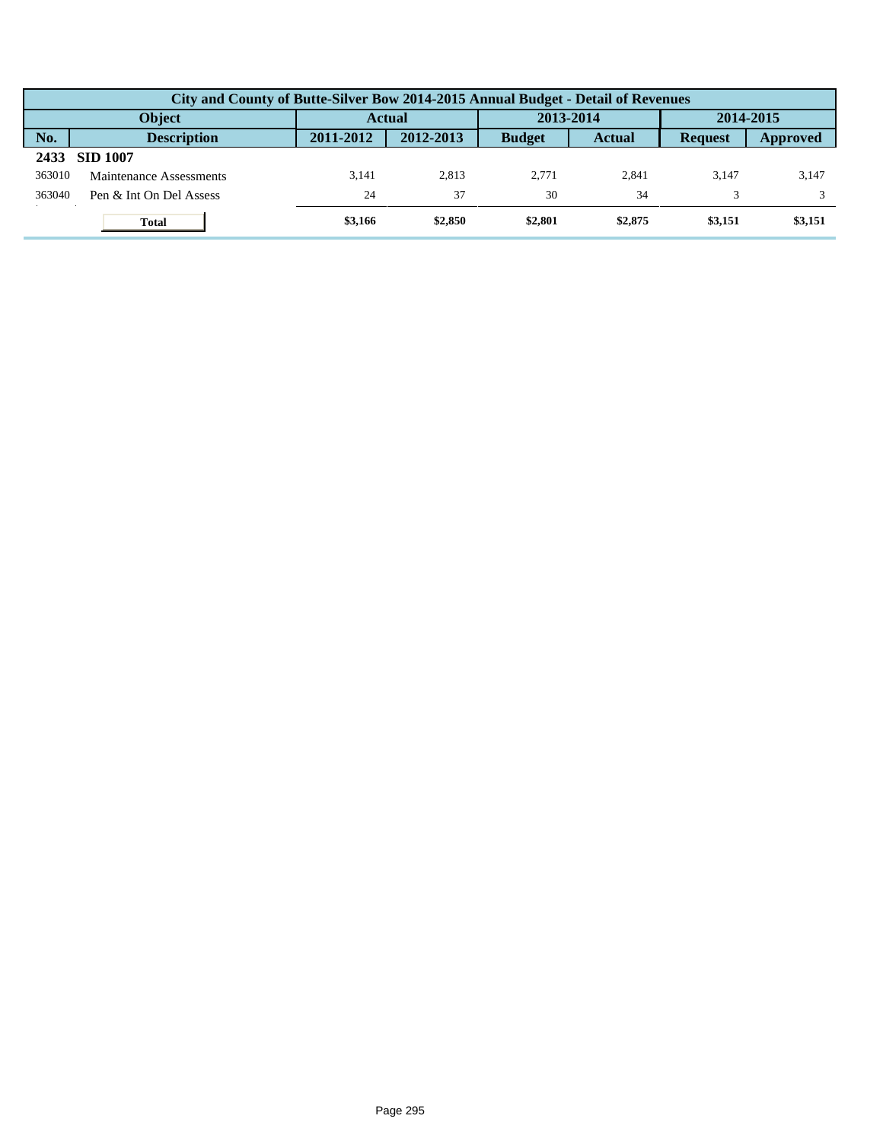|        | City and County of Butte-Silver Bow 2014-2015 Annual Budget - Detail of Revenues |           |           |               |               |                |          |  |  |  |
|--------|----------------------------------------------------------------------------------|-----------|-----------|---------------|---------------|----------------|----------|--|--|--|
|        | <b>Object</b>                                                                    | Actual    |           | 2013-2014     |               | 2014-2015      |          |  |  |  |
| No.    | <b>Description</b>                                                               | 2011-2012 | 2012-2013 | <b>Budget</b> | <b>Actual</b> | <b>Request</b> | Approved |  |  |  |
| 2433   | <b>SID 1007</b>                                                                  |           |           |               |               |                |          |  |  |  |
| 363010 | Maintenance Assessments                                                          | 3.141     | 2.813     | 2.771         | 2.841         | 3.147          | 3,147    |  |  |  |
| 363040 | Pen & Int On Del Assess                                                          | 24        | 37        | 30            | 34            |                |          |  |  |  |
|        | <b>Total</b>                                                                     | \$3,166   | \$2,850   | \$2,801       | \$2,875       | \$3,151        | \$3,151  |  |  |  |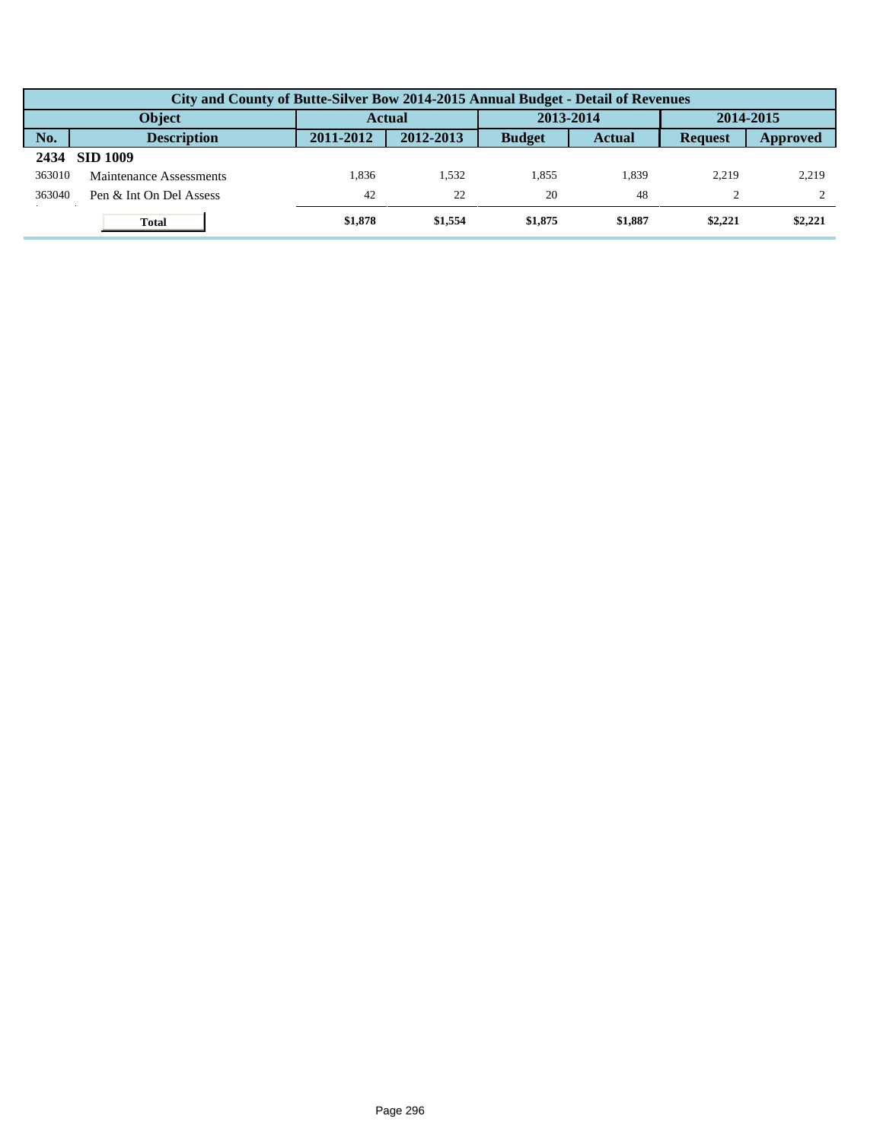|        | City and County of Butte-Silver Bow 2014-2015 Annual Budget - Detail of Revenues |               |           |               |               |                |          |  |  |  |
|--------|----------------------------------------------------------------------------------|---------------|-----------|---------------|---------------|----------------|----------|--|--|--|
|        | <b>Object</b>                                                                    | <b>Actual</b> |           | 2013-2014     |               | 2014-2015      |          |  |  |  |
| No.    | <b>Description</b>                                                               | 2011-2012     | 2012-2013 | <b>Budget</b> | <b>Actual</b> | <b>Request</b> | Approved |  |  |  |
| 2434   | <b>SID 1009</b>                                                                  |               |           |               |               |                |          |  |  |  |
| 363010 | Maintenance Assessments                                                          | 1.836         | .532      | 1.855         | 1.839         | 2.219          | 2,219    |  |  |  |
| 363040 | Pen & Int On Del Assess                                                          | 42            | 22        | 20            | 48            |                |          |  |  |  |
|        | <b>Total</b>                                                                     | \$1,878       | \$1,554   | \$1,875       | \$1,887       | \$2,221        | \$2,221  |  |  |  |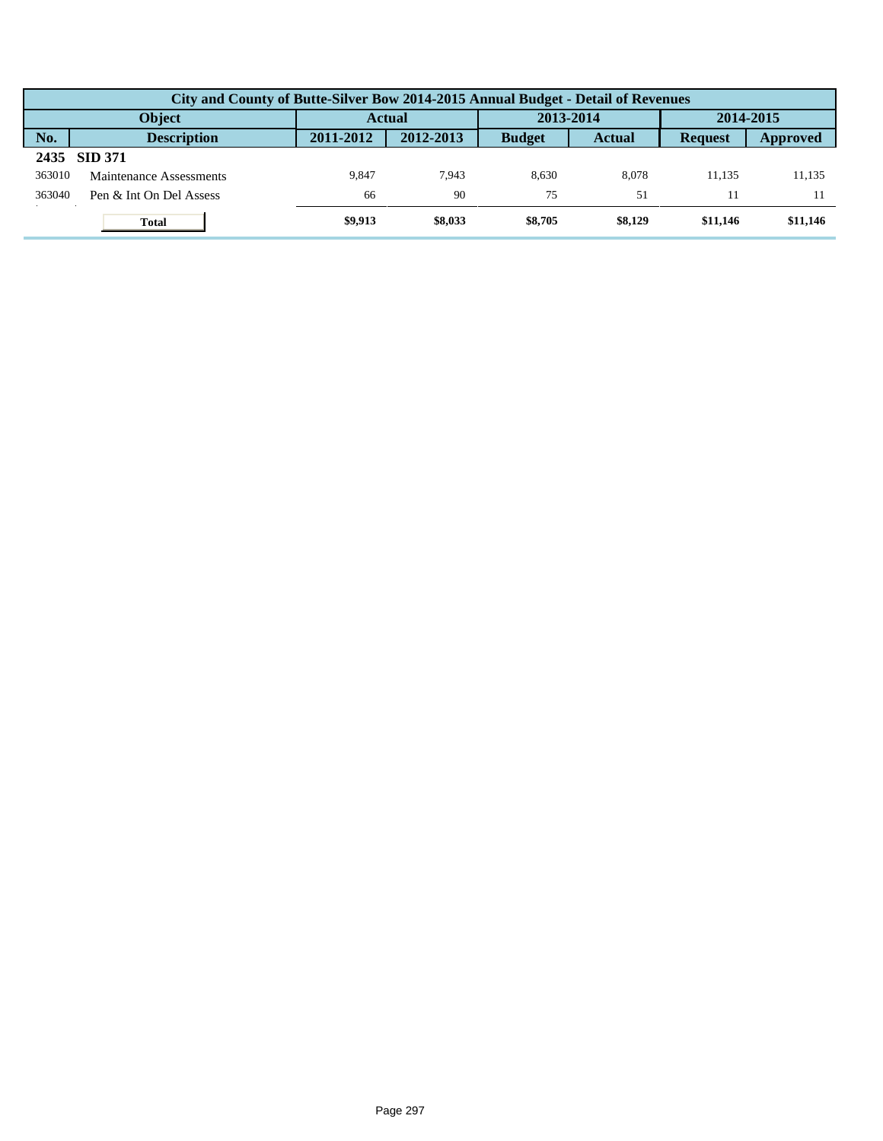|        | City and County of Butte-Silver Bow 2014-2015 Annual Budget - Detail of Revenues |           |           |               |               |                |          |  |  |  |
|--------|----------------------------------------------------------------------------------|-----------|-----------|---------------|---------------|----------------|----------|--|--|--|
|        | <b>Object</b>                                                                    | Actual    |           | 2013-2014     |               | 2014-2015      |          |  |  |  |
| No.    | <b>Description</b>                                                               | 2011-2012 | 2012-2013 | <b>Budget</b> | <b>Actual</b> | <b>Request</b> | Approved |  |  |  |
| 2435   | <b>SID 371</b>                                                                   |           |           |               |               |                |          |  |  |  |
| 363010 | Maintenance Assessments                                                          | 9.847     | 7.943     | 8.630         | 8.078         | 11.135         | 11.135   |  |  |  |
| 363040 | Pen & Int On Del Assess                                                          | 66        | 90        | 75            | 51            |                |          |  |  |  |
|        | <b>Total</b>                                                                     | \$9,913   | \$8,033   | \$8,705       | \$8,129       | \$11,146       | \$11,146 |  |  |  |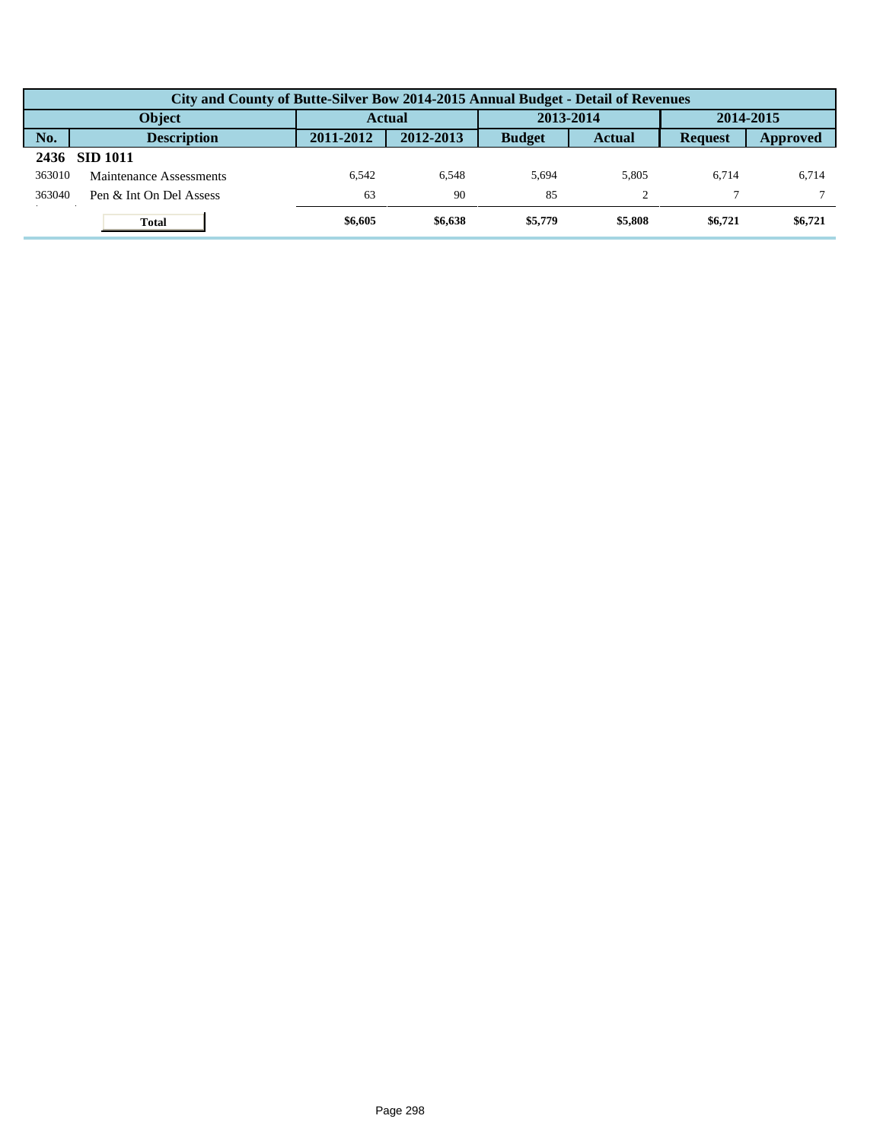|        | City and County of Butte-Silver Bow 2014-2015 Annual Budget - Detail of Revenues |               |           |               |               |                |          |  |  |  |  |
|--------|----------------------------------------------------------------------------------|---------------|-----------|---------------|---------------|----------------|----------|--|--|--|--|
|        | <b>Object</b>                                                                    | <b>Actual</b> |           | 2013-2014     |               | 2014-2015      |          |  |  |  |  |
| No.    | <b>Description</b>                                                               | 2011-2012     | 2012-2013 | <b>Budget</b> | <b>Actual</b> | <b>Request</b> | Approved |  |  |  |  |
| 2436   | <b>SID 1011</b>                                                                  |               |           |               |               |                |          |  |  |  |  |
| 363010 | Maintenance Assessments                                                          | 6.542         | 6.548     | 5.694         | 5.805         | 6.714          | 6,714    |  |  |  |  |
| 363040 | Pen & Int On Del Assess                                                          | 63            | 90        | 85            |               |                |          |  |  |  |  |
|        | <b>Total</b>                                                                     | \$6,605       | \$6,638   | \$5,779       | \$5,808       | \$6,721        | \$6,721  |  |  |  |  |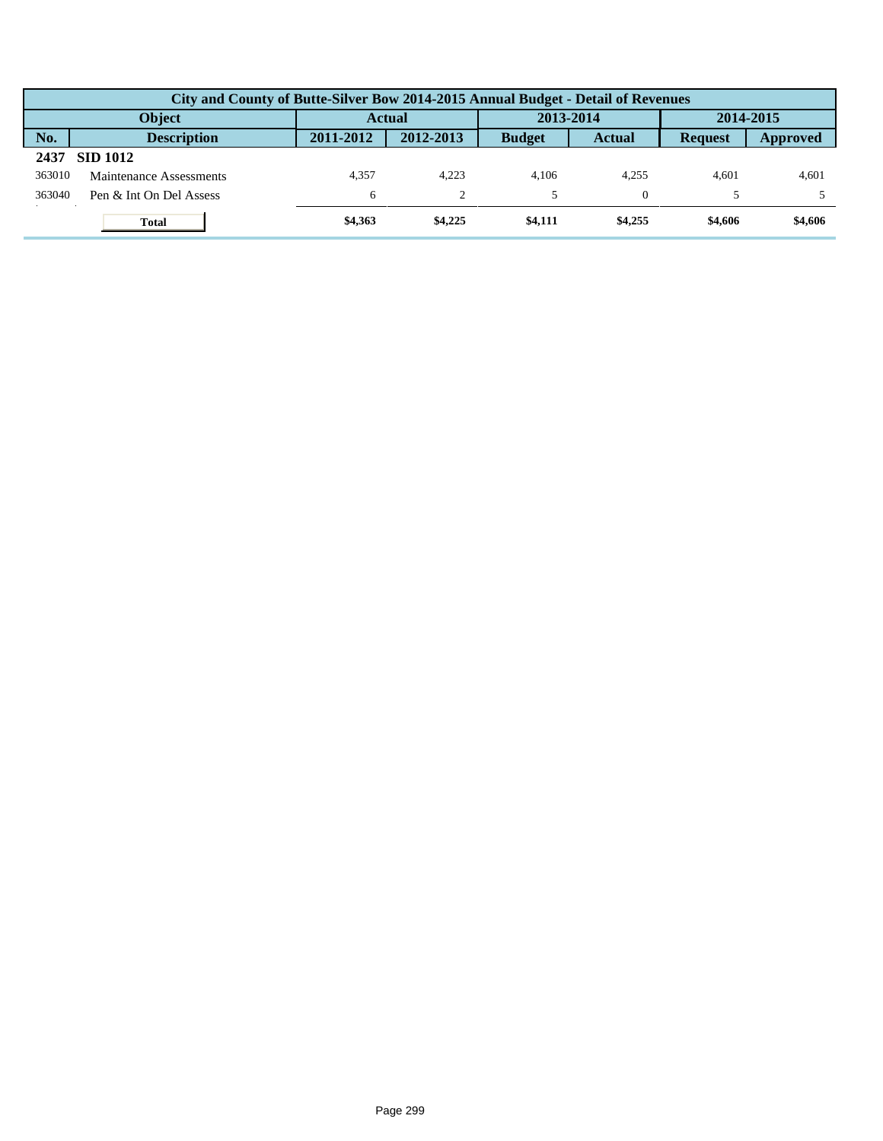|        | City and County of Butte-Silver Bow 2014-2015 Annual Budget - Detail of Revenues |               |                |               |               |                |          |  |  |  |  |
|--------|----------------------------------------------------------------------------------|---------------|----------------|---------------|---------------|----------------|----------|--|--|--|--|
|        | <b>Object</b>                                                                    | <b>Actual</b> |                | 2013-2014     |               | 2014-2015      |          |  |  |  |  |
| No.    | <b>Description</b>                                                               | 2011-2012     | 2012-2013      | <b>Budget</b> | <b>Actual</b> | <b>Request</b> | Approved |  |  |  |  |
| 2437   | <b>SID 1012</b>                                                                  |               |                |               |               |                |          |  |  |  |  |
| 363010 | Maintenance Assessments                                                          | 4.357         | 4.223          | 4.106         | 4.255         | 4.601          | 4,601    |  |  |  |  |
| 363040 | Pen & Int On Del Assess                                                          | 6             | $\overline{c}$ |               |               |                |          |  |  |  |  |
|        | <b>Total</b>                                                                     | \$4,363       | \$4,225        | \$4,111       | \$4,255       | \$4,606        | \$4,606  |  |  |  |  |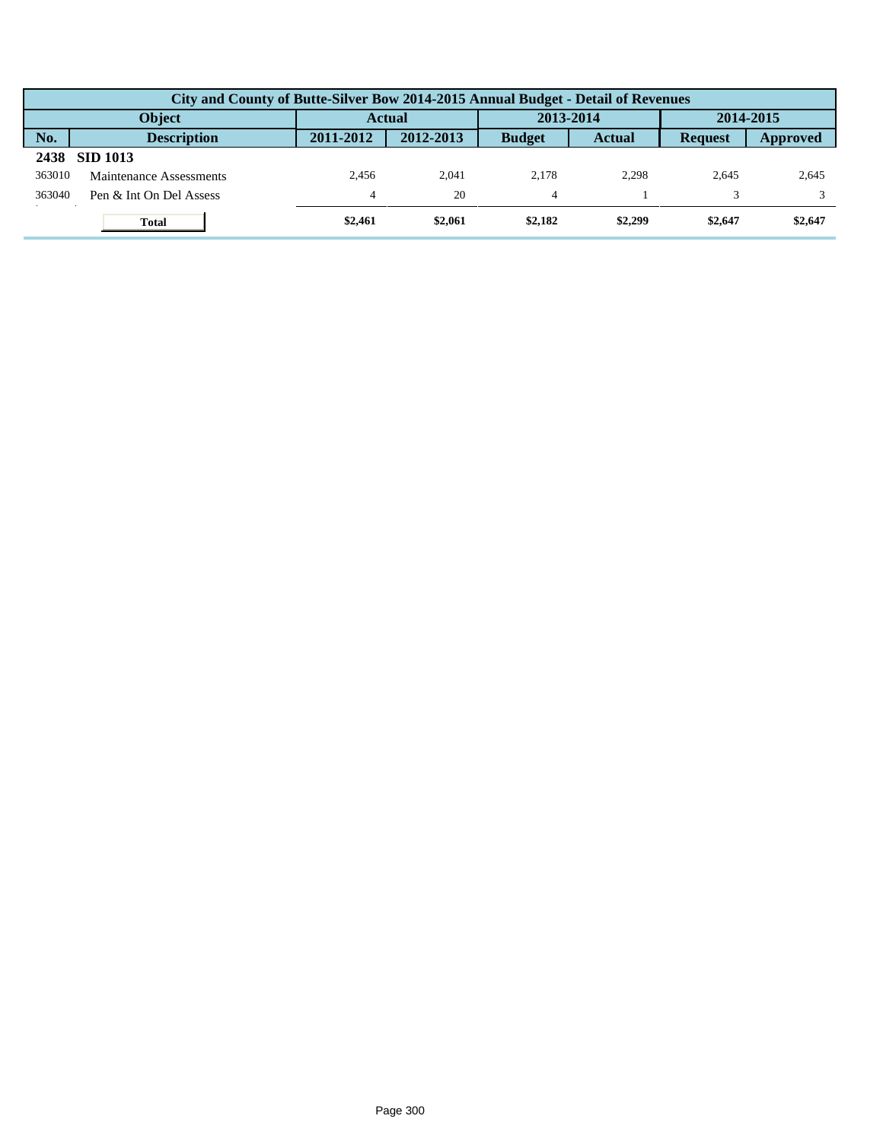|        | City and County of Butte-Silver Bow 2014-2015 Annual Budget - Detail of Revenues |               |           |               |               |                |          |  |  |  |
|--------|----------------------------------------------------------------------------------|---------------|-----------|---------------|---------------|----------------|----------|--|--|--|
|        | <b>Object</b>                                                                    | <b>Actual</b> |           | 2013-2014     |               | 2014-2015      |          |  |  |  |
| No.    | <b>Description</b>                                                               | 2011-2012     | 2012-2013 | <b>Budget</b> | <b>Actual</b> | <b>Request</b> | Approved |  |  |  |
| 2438   | <b>SID 1013</b>                                                                  |               |           |               |               |                |          |  |  |  |
| 363010 | Maintenance Assessments                                                          | 2.456         | 2.041     | 2.178         | 2.298         | 2.645          | 2,645    |  |  |  |
| 363040 | Pen & Int On Del Assess                                                          | 4             | 20        | 4             |               |                |          |  |  |  |
|        | <b>Total</b>                                                                     | \$2,461       | \$2,061   | \$2,182       | \$2,299       | \$2,647        | \$2,647  |  |  |  |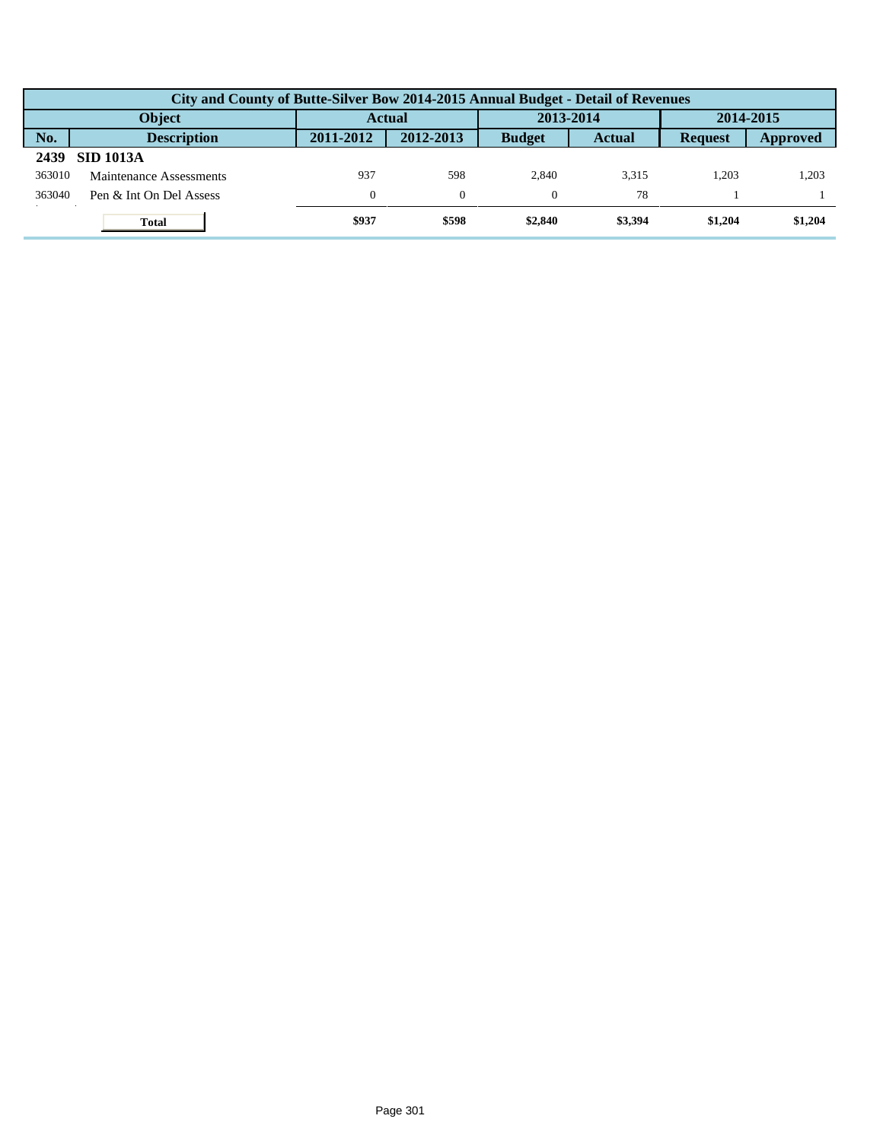|        | City and County of Butte-Silver Bow 2014-2015 Annual Budget - Detail of Revenues |               |           |               |               |                |          |  |  |  |
|--------|----------------------------------------------------------------------------------|---------------|-----------|---------------|---------------|----------------|----------|--|--|--|
|        | <b>Object</b>                                                                    | <b>Actual</b> |           | 2013-2014     |               | 2014-2015      |          |  |  |  |
| No.    | <b>Description</b>                                                               | 2011-2012     | 2012-2013 | <b>Budget</b> | <b>Actual</b> | <b>Request</b> | Approved |  |  |  |
| 2439   | <b>SID 1013A</b>                                                                 |               |           |               |               |                |          |  |  |  |
| 363010 | Maintenance Assessments                                                          | 937           | 598       | 2.840         | 3.315         | 1.203          | 1,203    |  |  |  |
| 363040 | Pen & Int On Del Assess                                                          | $\mathbf{0}$  | $\Omega$  |               | 78            |                |          |  |  |  |
|        | <b>Total</b>                                                                     | \$937         | \$598     | \$2,840       | \$3,394       | \$1,204        | \$1,204  |  |  |  |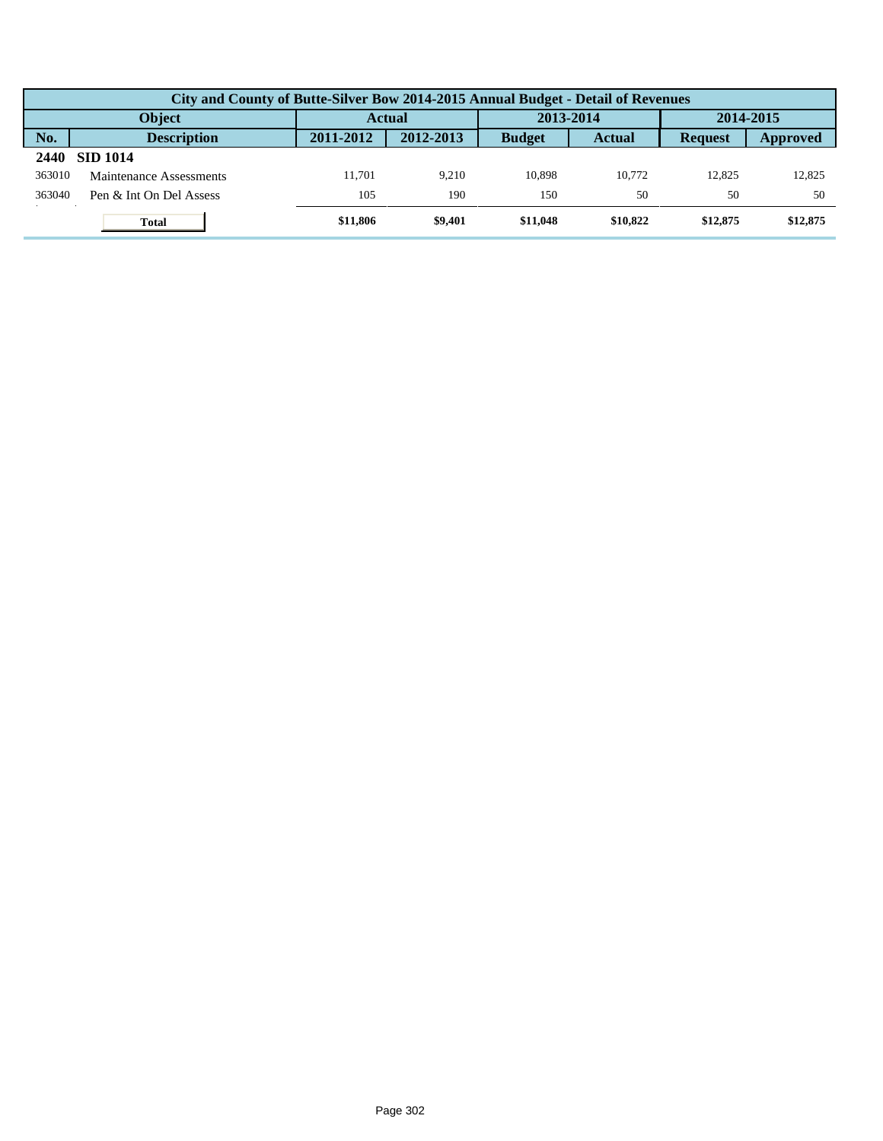|        | City and County of Butte-Silver Bow 2014-2015 Annual Budget - Detail of Revenues |           |           |               |               |                |          |  |  |  |  |
|--------|----------------------------------------------------------------------------------|-----------|-----------|---------------|---------------|----------------|----------|--|--|--|--|
|        | <b>Object</b>                                                                    | Actual    |           | 2013-2014     |               | 2014-2015      |          |  |  |  |  |
| No.    | <b>Description</b>                                                               | 2011-2012 | 2012-2013 | <b>Budget</b> | <b>Actual</b> | <b>Request</b> | Approved |  |  |  |  |
| 2440   | <b>SID 1014</b>                                                                  |           |           |               |               |                |          |  |  |  |  |
| 363010 | Maintenance Assessments                                                          | 11.701    | 9.210     | 10.898        | 10.772        | 12.825         | 12.825   |  |  |  |  |
| 363040 | Pen & Int On Del Assess                                                          | 105       | 190       | 150           | 50            | 50             | 50       |  |  |  |  |
|        | <b>Total</b>                                                                     | \$11,806  | \$9,401   | \$11,048      | \$10.822      | \$12,875       | \$12,875 |  |  |  |  |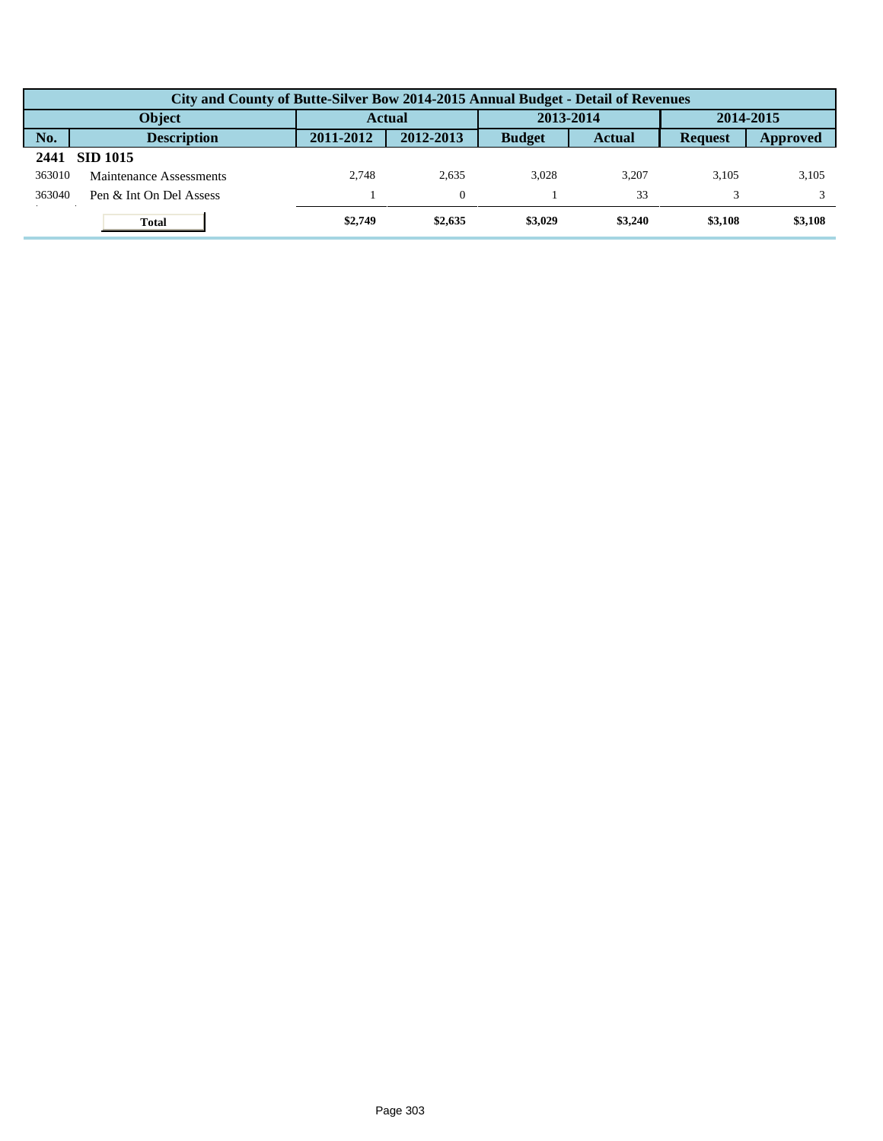|        | City and County of Butte-Silver Bow 2014-2015 Annual Budget - Detail of Revenues |               |           |               |               |                |          |  |  |  |  |
|--------|----------------------------------------------------------------------------------|---------------|-----------|---------------|---------------|----------------|----------|--|--|--|--|
|        | <b>Object</b>                                                                    | <b>Actual</b> |           | 2013-2014     |               | 2014-2015      |          |  |  |  |  |
| No.    | <b>Description</b>                                                               | 2011-2012     | 2012-2013 | <b>Budget</b> | <b>Actual</b> | <b>Request</b> | Approved |  |  |  |  |
| 2441   | <b>SID 1015</b>                                                                  |               |           |               |               |                |          |  |  |  |  |
| 363010 | Maintenance Assessments                                                          | 2.748         | 2.635     | 3.028         | 3.207         | 3.105          | 3,105    |  |  |  |  |
| 363040 | Pen & Int On Del Assess                                                          |               | $\Omega$  |               | 33            |                |          |  |  |  |  |
|        | <b>Total</b>                                                                     | \$2,749       | \$2,635   | \$3,029       | \$3,240       | \$3,108        | \$3,108  |  |  |  |  |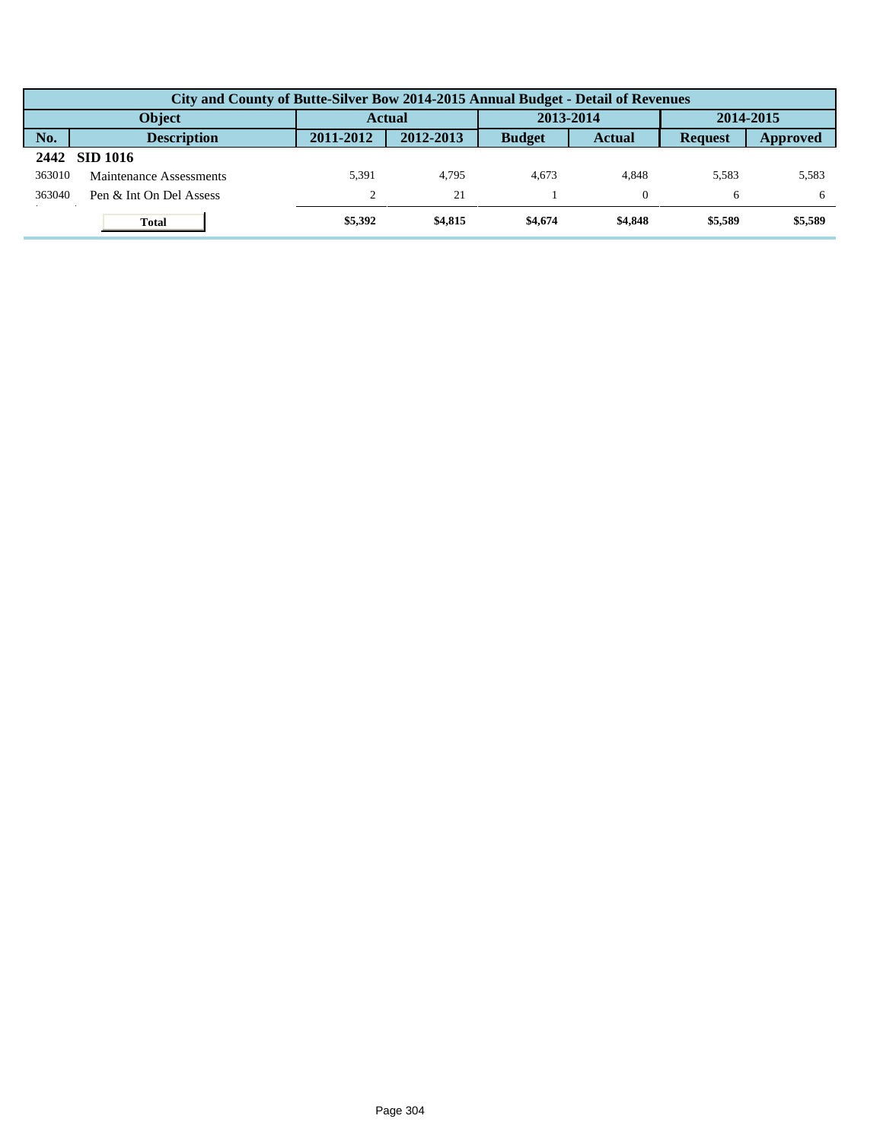|        | City and County of Butte-Silver Bow 2014-2015 Annual Budget - Detail of Revenues |               |           |               |               |                |          |  |  |  |  |
|--------|----------------------------------------------------------------------------------|---------------|-----------|---------------|---------------|----------------|----------|--|--|--|--|
|        | <b>Object</b>                                                                    | <b>Actual</b> |           | 2013-2014     |               | 2014-2015      |          |  |  |  |  |
| No.    | <b>Description</b>                                                               | 2011-2012     | 2012-2013 | <b>Budget</b> | <b>Actual</b> | <b>Request</b> | Approved |  |  |  |  |
| 2442   | SID 1016                                                                         |               |           |               |               |                |          |  |  |  |  |
| 363010 | Maintenance Assessments                                                          | 5.391         | 4.795     | 4.673         | 4.848         | 5.583          | 5,583    |  |  |  |  |
| 363040 | Pen & Int On Del Assess                                                          | $\Omega$      | 21        |               |               | 6              | 6        |  |  |  |  |
|        | <b>Total</b>                                                                     | \$5,392       | \$4,815   | \$4,674       | \$4,848       | \$5,589        | \$5,589  |  |  |  |  |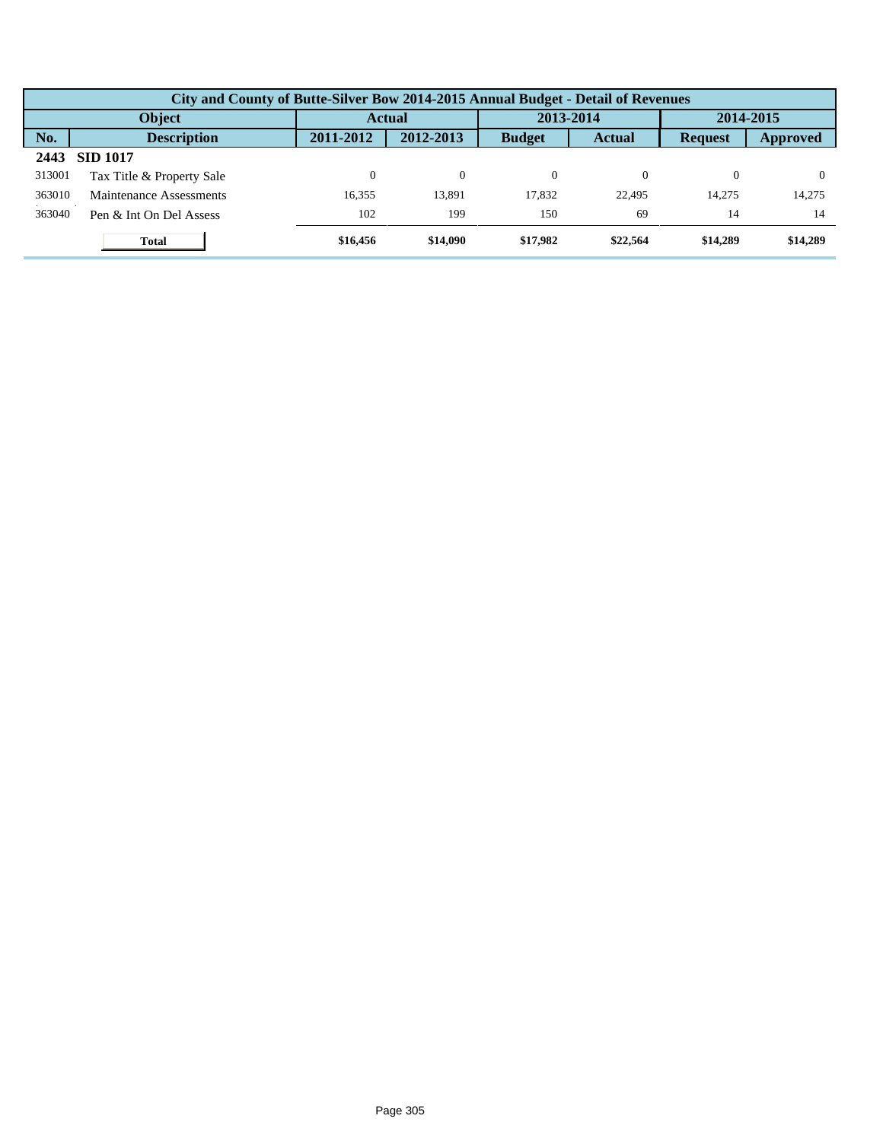|        | City and County of Butte-Silver Bow 2014-2015 Annual Budget - Detail of Revenues |           |           |               |               |                |           |  |  |  |  |
|--------|----------------------------------------------------------------------------------|-----------|-----------|---------------|---------------|----------------|-----------|--|--|--|--|
|        | Object                                                                           |           | Actual    |               | 2013-2014     |                | 2014-2015 |  |  |  |  |
| No.    | <b>Description</b>                                                               | 2011-2012 | 2012-2013 | <b>Budget</b> | <b>Actual</b> | <b>Request</b> | Approved  |  |  |  |  |
| 2443   | <b>SID 1017</b>                                                                  |           |           |               |               |                |           |  |  |  |  |
| 313001 | Tax Title & Property Sale                                                        |           | $\theta$  | $\Omega$      |               | 0              |           |  |  |  |  |
| 363010 | Maintenance Assessments                                                          | 16.355    | 13.891    | 17.832        | 22,495        | 14.275         | 14.275    |  |  |  |  |
| 363040 | Pen & Int On Del Assess                                                          | 102       | 199       | 150           | 69            | 14             | 14        |  |  |  |  |
|        | <b>Total</b>                                                                     | \$16,456  | \$14,090  | \$17,982      | \$22,564      | \$14,289       | \$14,289  |  |  |  |  |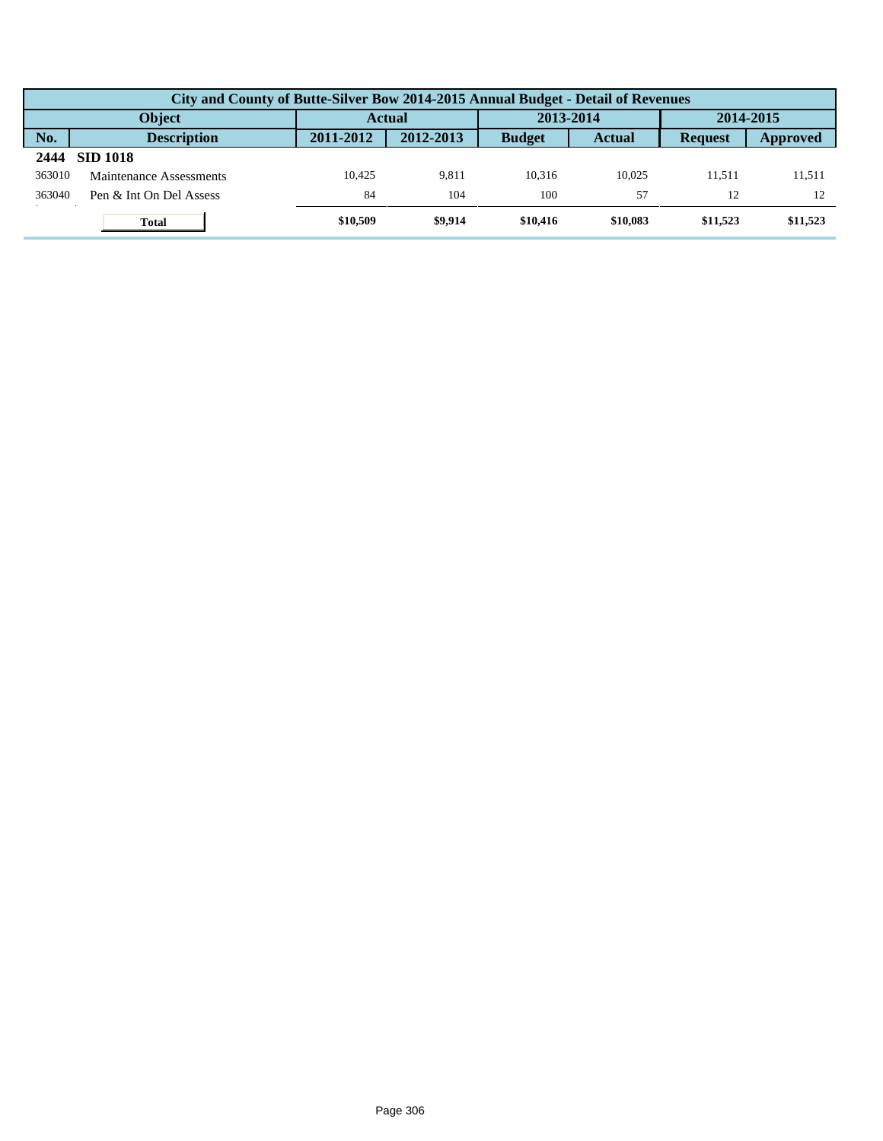|        | City and County of Butte-Silver Bow 2014-2015 Annual Budget - Detail of Revenues |           |           |               |               |                |          |  |  |  |  |
|--------|----------------------------------------------------------------------------------|-----------|-----------|---------------|---------------|----------------|----------|--|--|--|--|
|        | <b>Object</b>                                                                    | Actual    |           | 2013-2014     |               | 2014-2015      |          |  |  |  |  |
| No.    | <b>Description</b>                                                               | 2011-2012 | 2012-2013 | <b>Budget</b> | <b>Actual</b> | <b>Request</b> | Approved |  |  |  |  |
| 2444   | <b>SID 1018</b>                                                                  |           |           |               |               |                |          |  |  |  |  |
| 363010 | Maintenance Assessments                                                          | 10.425    | 9.811     | 10.316        | 10.025        | 11.511         | 11,511   |  |  |  |  |
| 363040 | Pen & Int On Del Assess                                                          | 84        | 104       | 100           | 57            | 12             |          |  |  |  |  |
|        | <b>Total</b>                                                                     | \$10,509  | \$9,914   | \$10,416      | \$10,083      | \$11,523       | \$11,523 |  |  |  |  |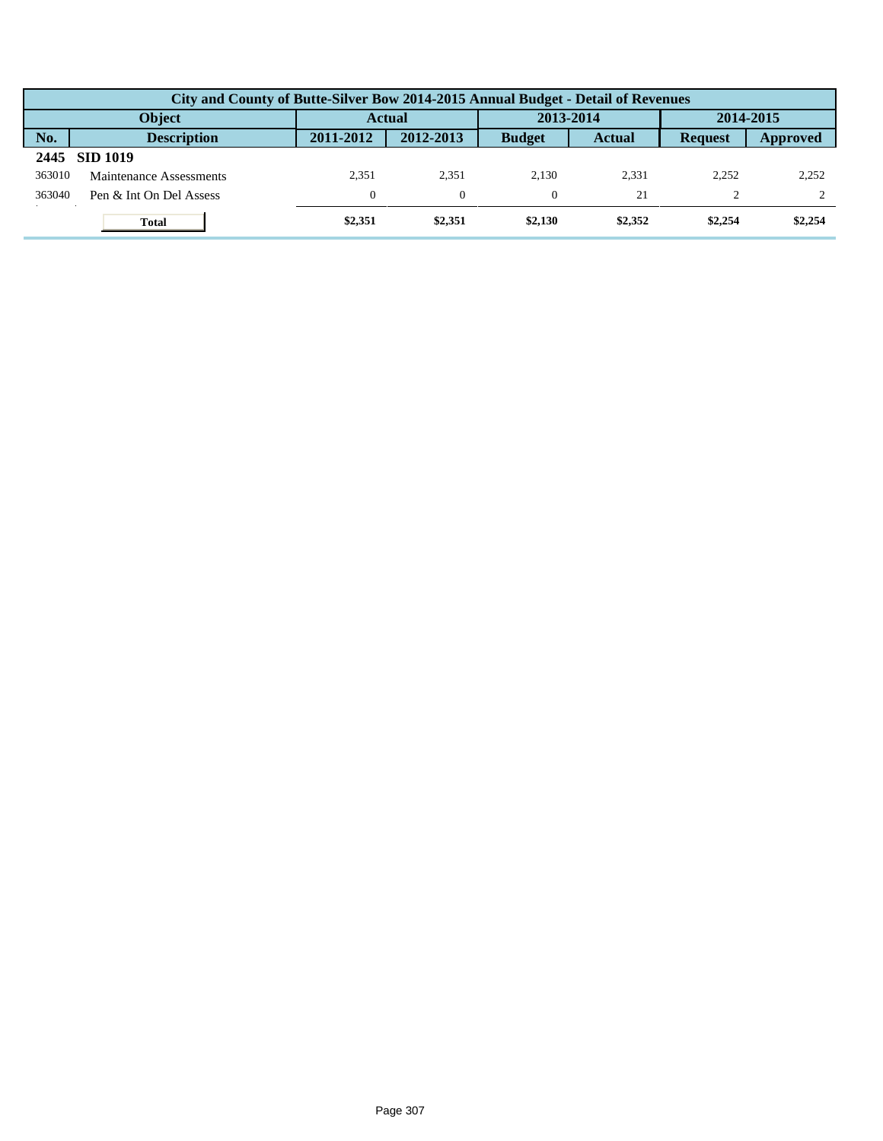|        | City and County of Butte-Silver Bow 2014-2015 Annual Budget - Detail of Revenues |              |           |               |               |                |          |  |  |  |  |
|--------|----------------------------------------------------------------------------------|--------------|-----------|---------------|---------------|----------------|----------|--|--|--|--|
|        | <b>Object</b>                                                                    | Actual       |           | 2013-2014     |               | 2014-2015      |          |  |  |  |  |
| No.    | <b>Description</b>                                                               | 2011-2012    | 2012-2013 | <b>Budget</b> | <b>Actual</b> | <b>Request</b> | Approved |  |  |  |  |
| 2445   | <b>SID 1019</b>                                                                  |              |           |               |               |                |          |  |  |  |  |
| 363010 | Maintenance Assessments                                                          | 2.351        | 2.351     | 2.130         | 2.331         | 2.252          | 2,252    |  |  |  |  |
| 363040 | Pen & Int On Del Assess                                                          | $\mathbf{0}$ | $\Omega$  |               | 21            |                |          |  |  |  |  |
|        | <b>Total</b>                                                                     | \$2,351      | \$2,351   | \$2,130       | \$2,352       | \$2,254        | \$2,254  |  |  |  |  |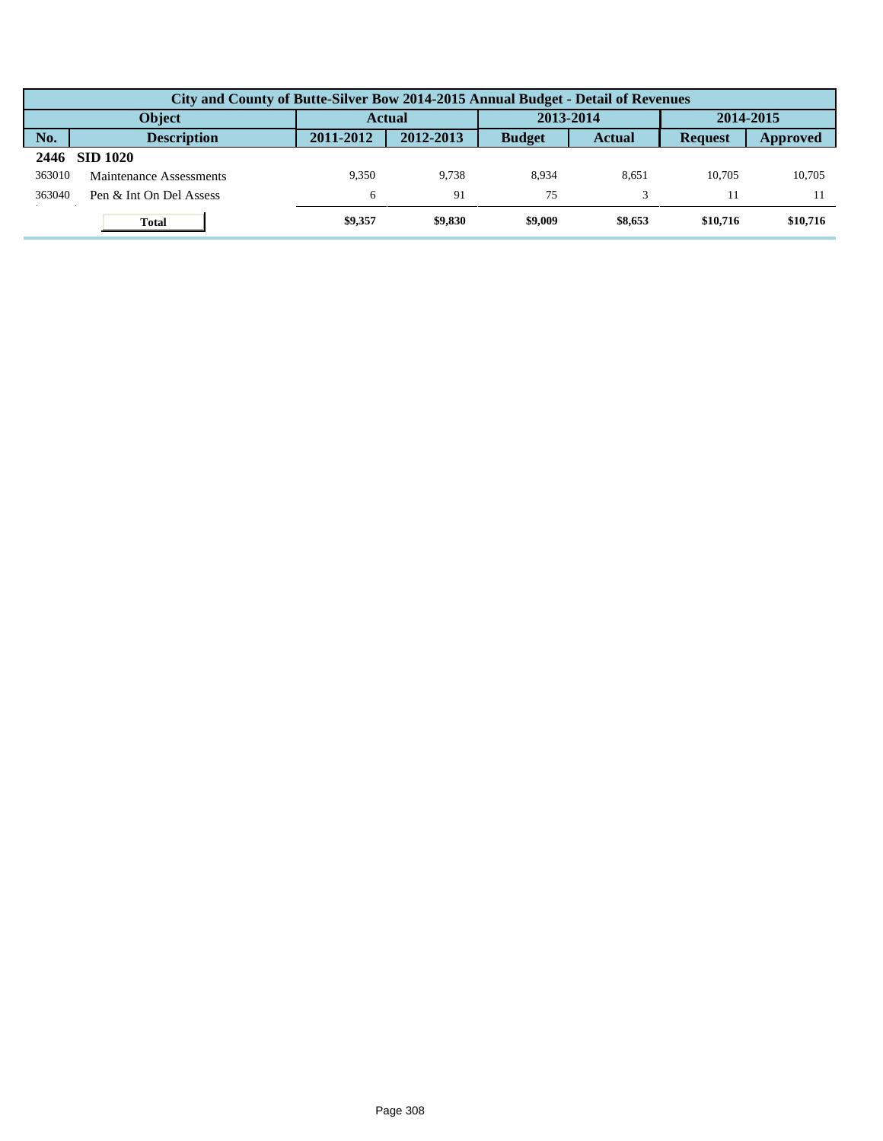|        | City and County of Butte-Silver Bow 2014-2015 Annual Budget - Detail of Revenues |               |           |               |               |                |          |  |  |  |  |
|--------|----------------------------------------------------------------------------------|---------------|-----------|---------------|---------------|----------------|----------|--|--|--|--|
|        | <b>Object</b>                                                                    | <b>Actual</b> |           | 2013-2014     |               | 2014-2015      |          |  |  |  |  |
| No.    | <b>Description</b>                                                               | 2011-2012     | 2012-2013 | <b>Budget</b> | <b>Actual</b> | <b>Request</b> | Approved |  |  |  |  |
| 2446   | <b>SID 1020</b>                                                                  |               |           |               |               |                |          |  |  |  |  |
| 363010 | Maintenance Assessments                                                          | 9.350         | 9.738     | 8.934         | 8.651         | 10.705         | 10.705   |  |  |  |  |
| 363040 | Pen & Int On Del Assess                                                          | 6             | 91        | 75            |               |                |          |  |  |  |  |
|        | <b>Total</b>                                                                     | \$9,357       | \$9,830   | \$9,009       | \$8,653       | \$10,716       | \$10,716 |  |  |  |  |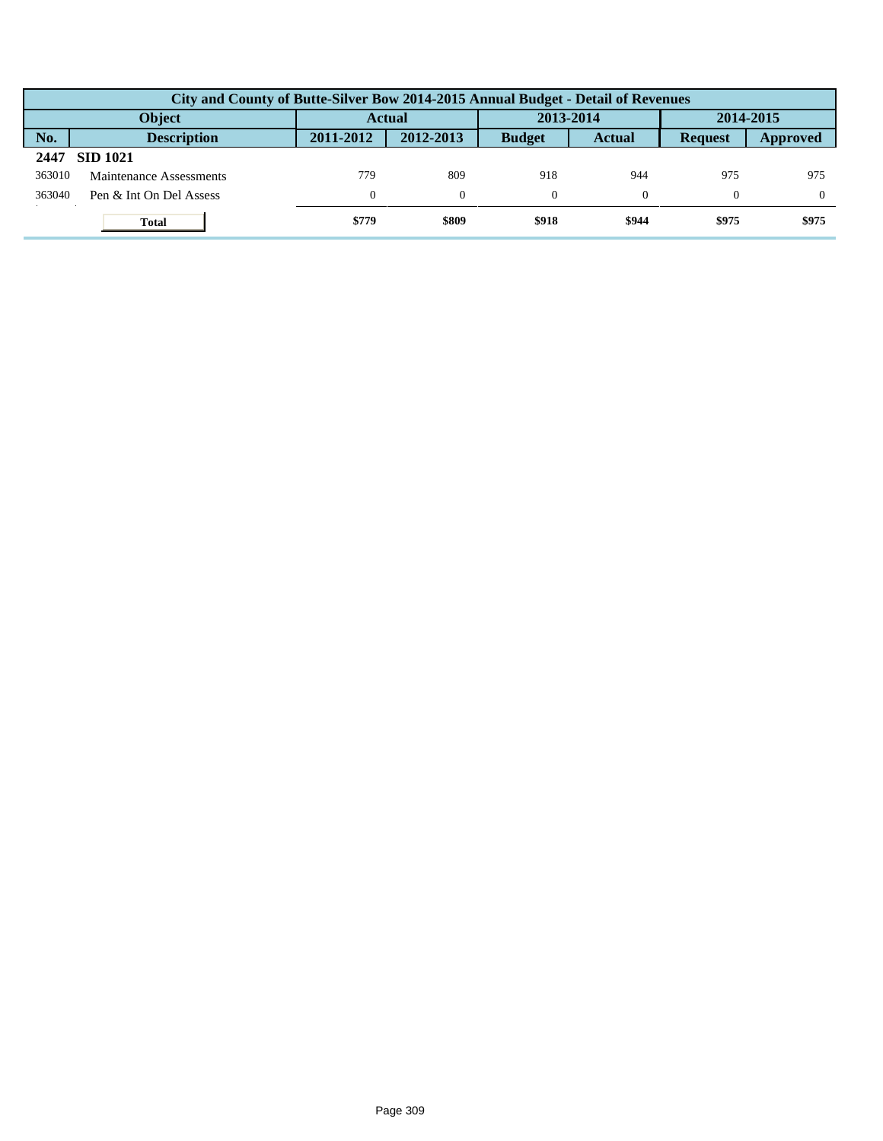|        | City and County of Butte-Silver Bow 2014-2015 Annual Budget - Detail of Revenues |               |           |               |               |                |                 |  |  |  |
|--------|----------------------------------------------------------------------------------|---------------|-----------|---------------|---------------|----------------|-----------------|--|--|--|
|        | <b>Object</b>                                                                    | <b>Actual</b> |           | 2013-2014     |               | 2014-2015      |                 |  |  |  |
| No.    | <b>Description</b>                                                               | 2011-2012     | 2012-2013 | <b>Budget</b> | <b>Actual</b> | <b>Request</b> | <b>Approved</b> |  |  |  |
| 2447   | <b>SID 1021</b>                                                                  |               |           |               |               |                |                 |  |  |  |
| 363010 | Maintenance Assessments                                                          | 779           | 809       | 918           | 944           | 975            | 975             |  |  |  |
| 363040 | Pen & Int On Del Assess                                                          | $\theta$      | $\Omega$  |               |               | $\Omega$       | $\Omega$        |  |  |  |
|        | <b>Total</b>                                                                     | \$779         | \$809     | \$918         | \$944         | \$975          | \$975           |  |  |  |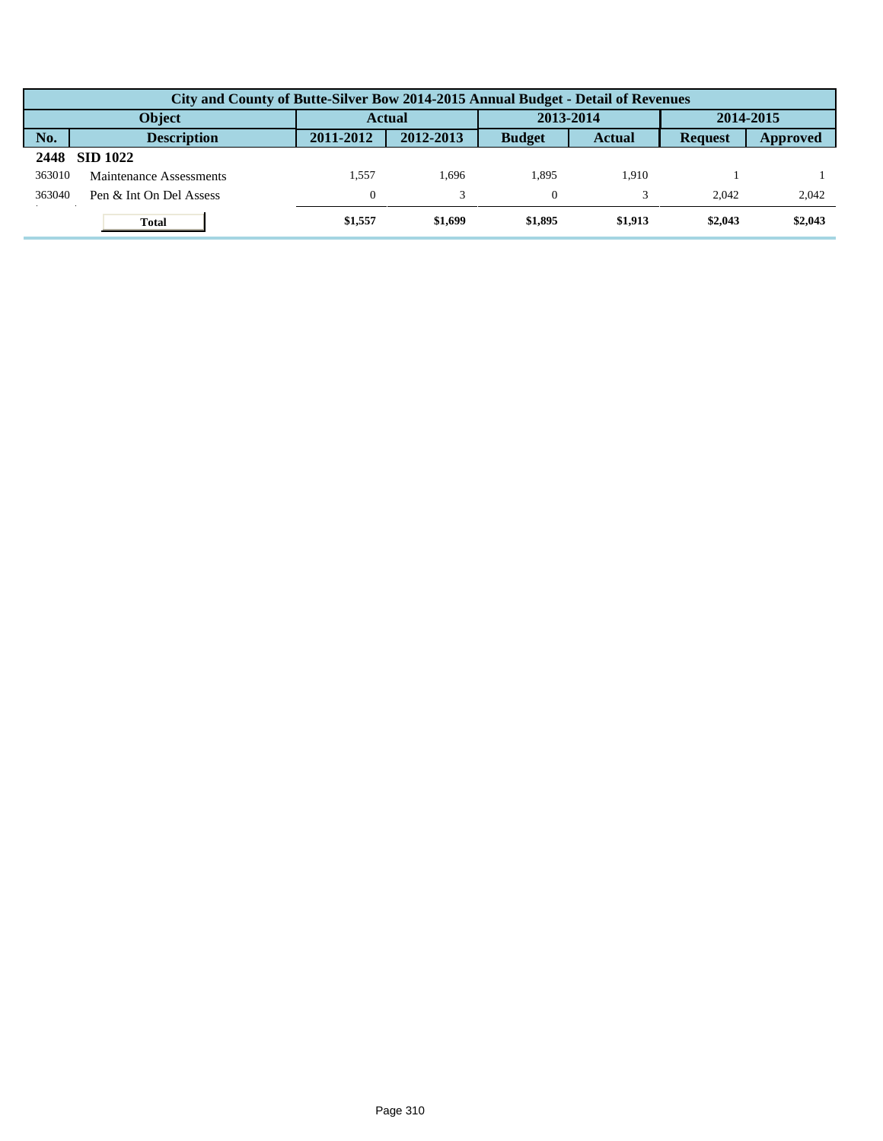|        | City and County of Butte-Silver Bow 2014-2015 Annual Budget - Detail of Revenues |              |           |               |               |                |           |  |  |  |
|--------|----------------------------------------------------------------------------------|--------------|-----------|---------------|---------------|----------------|-----------|--|--|--|
|        | <b>Object</b>                                                                    |              | Actual    |               | 2013-2014     |                | 2014-2015 |  |  |  |
| No.    | <b>Description</b>                                                               | 2011-2012    | 2012-2013 | <b>Budget</b> | <b>Actual</b> | <b>Request</b> | Approved  |  |  |  |
| 2448   | <b>SID 1022</b>                                                                  |              |           |               |               |                |           |  |  |  |
| 363010 | Maintenance Assessments                                                          | 1.557        | .696      | 1.895         | 1.910         |                |           |  |  |  |
| 363040 | Pen & Int On Del Assess                                                          | $\mathbf{0}$ |           |               |               | 2.042          | 2,042     |  |  |  |
|        | <b>Total</b>                                                                     | \$1,557      | \$1,699   | \$1,895       | \$1,913       | \$2,043        | \$2,043   |  |  |  |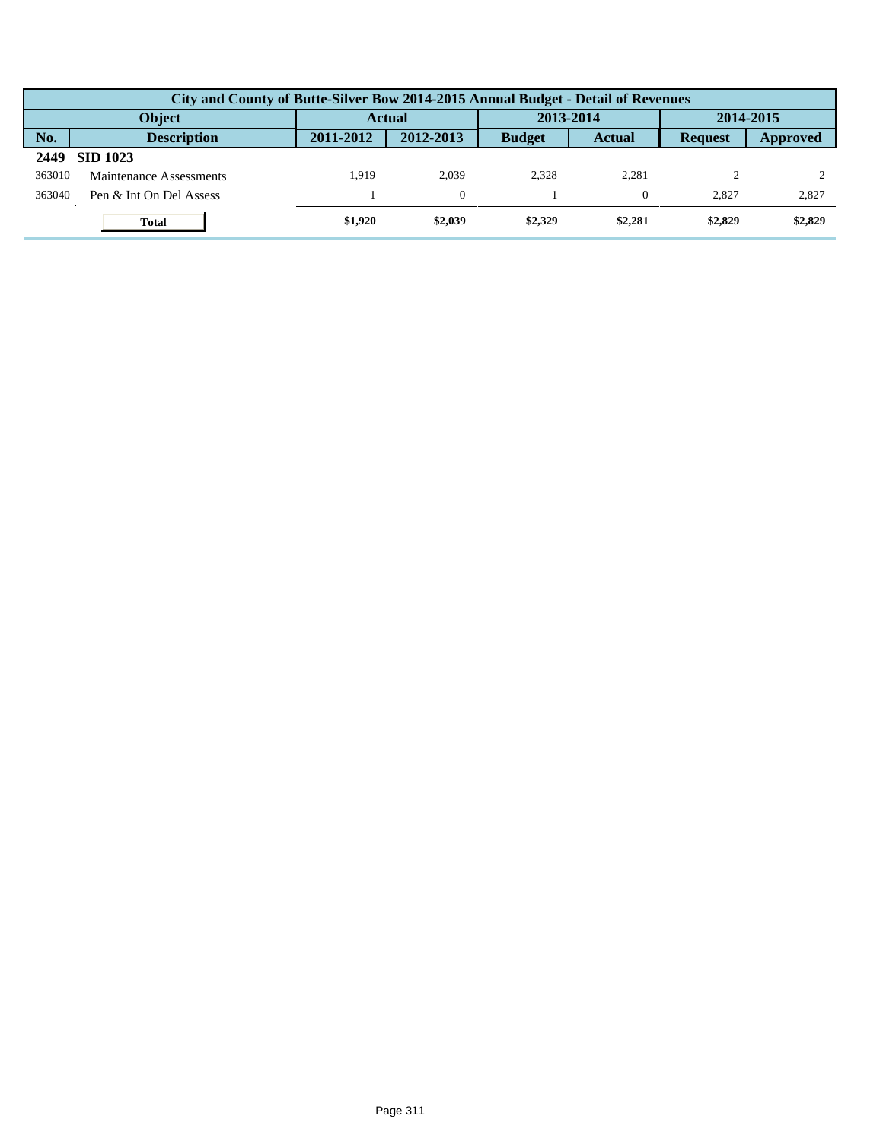|        | City and County of Butte-Silver Bow 2014-2015 Annual Budget - Detail of Revenues |               |           |               |               |                |          |  |  |  |  |
|--------|----------------------------------------------------------------------------------|---------------|-----------|---------------|---------------|----------------|----------|--|--|--|--|
|        | <b>Object</b>                                                                    | <b>Actual</b> |           | 2013-2014     |               | 2014-2015      |          |  |  |  |  |
| No.    | <b>Description</b>                                                               | 2011-2012     | 2012-2013 | <b>Budget</b> | <b>Actual</b> | <b>Request</b> | Approved |  |  |  |  |
| 2449   | <b>SID 1023</b>                                                                  |               |           |               |               |                |          |  |  |  |  |
| 363010 | Maintenance Assessments                                                          | 1.919         | 2.039     | 2.328         | 2.281         |                |          |  |  |  |  |
| 363040 | Pen & Int On Del Assess                                                          |               | $\Omega$  |               |               | 2.827          | 2,827    |  |  |  |  |
|        | <b>Total</b>                                                                     | \$1,920       | \$2,039   | \$2,329       | \$2,281       | \$2,829        | \$2,829  |  |  |  |  |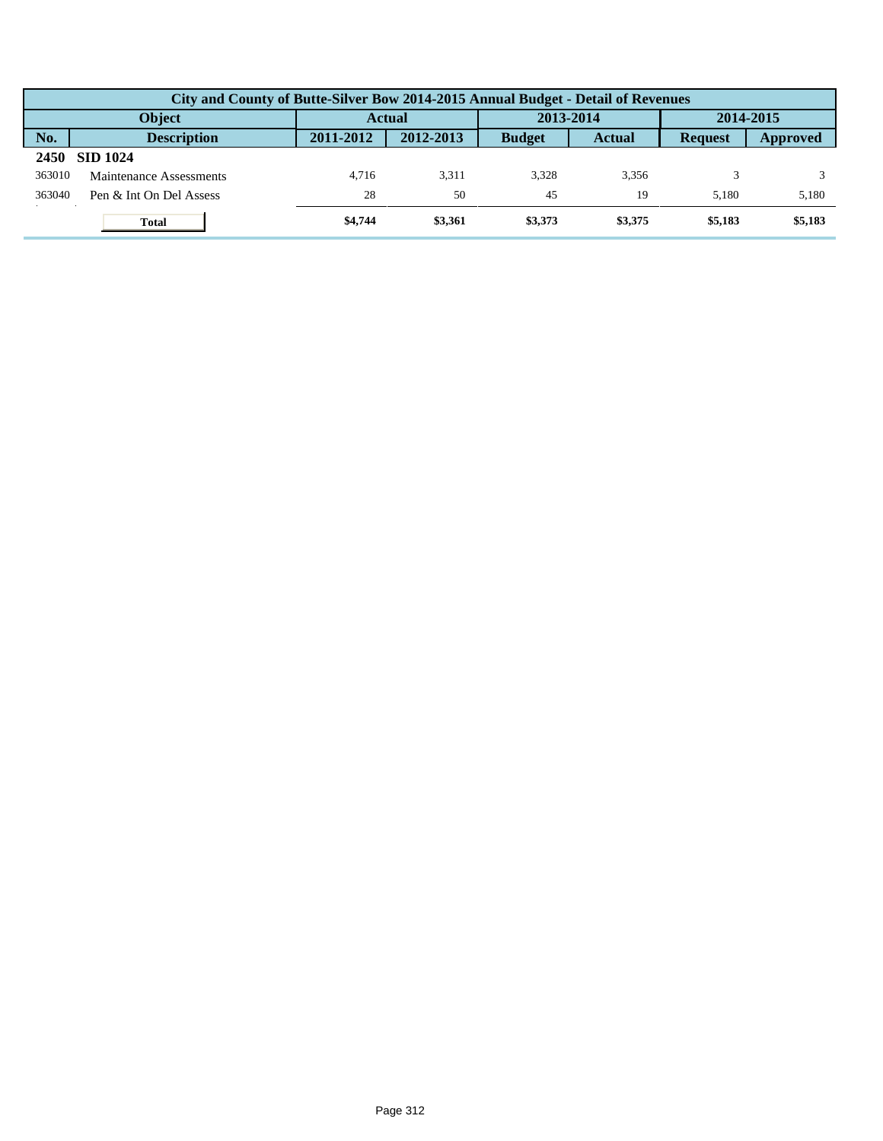|        | City and County of Butte-Silver Bow 2014-2015 Annual Budget - Detail of Revenues |               |           |               |               |                |          |  |  |  |
|--------|----------------------------------------------------------------------------------|---------------|-----------|---------------|---------------|----------------|----------|--|--|--|
|        | <b>Object</b>                                                                    | <b>Actual</b> |           | 2013-2014     |               | 2014-2015      |          |  |  |  |
| No.    | <b>Description</b>                                                               | 2011-2012     | 2012-2013 | <b>Budget</b> | <b>Actual</b> | <b>Request</b> | Approved |  |  |  |
| 2450   | <b>SID 1024</b>                                                                  |               |           |               |               |                |          |  |  |  |
| 363010 | Maintenance Assessments                                                          | 4.716         | 3.311     | 3.328         | 3.356         |                |          |  |  |  |
| 363040 | Pen & Int On Del Assess                                                          | 28            | 50        | 45            | 19            | 5.180          | 5,180    |  |  |  |
|        | <b>Total</b>                                                                     | \$4,744       | \$3,361   | \$3,373       | \$3,375       | \$5,183        | \$5,183  |  |  |  |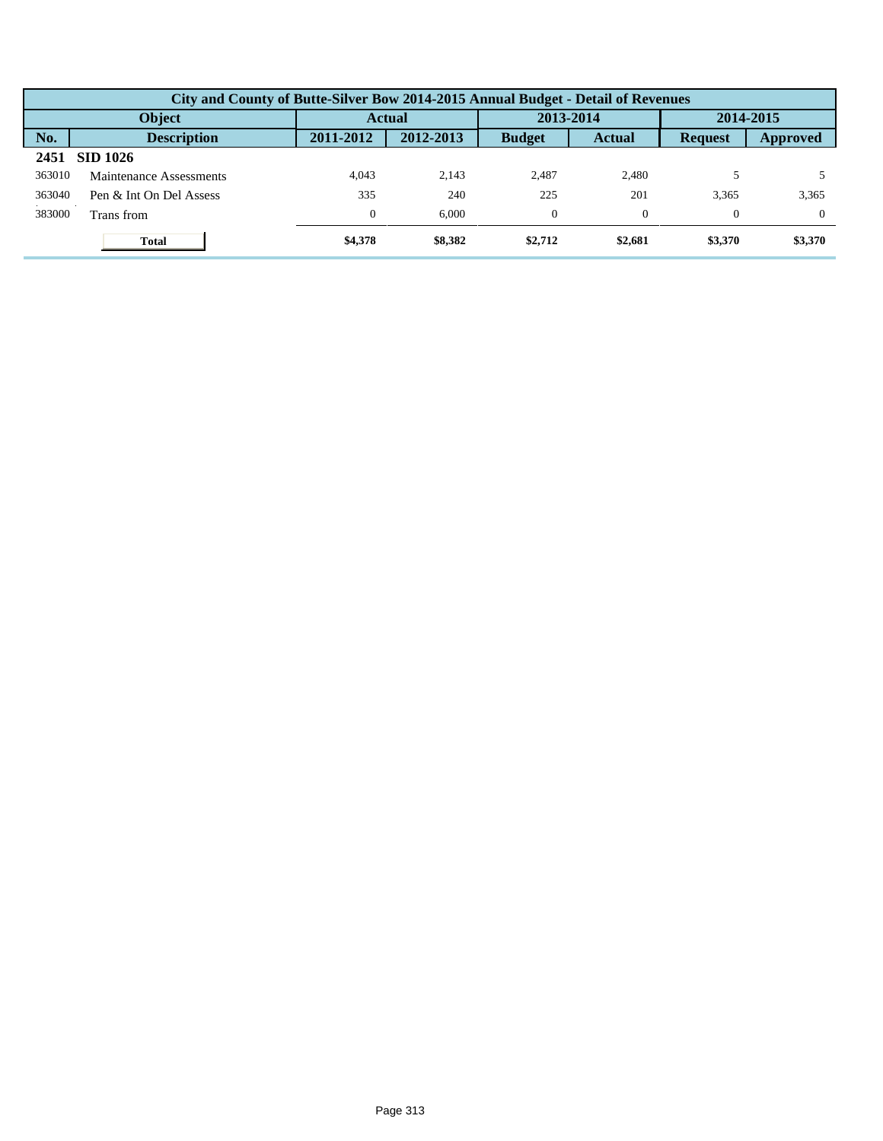|        | City and County of Butte-Silver Bow 2014-2015 Annual Budget - Detail of Revenues |                |           |               |               |                |           |  |  |  |  |
|--------|----------------------------------------------------------------------------------|----------------|-----------|---------------|---------------|----------------|-----------|--|--|--|--|
| Object |                                                                                  |                | Actual    |               | 2013-2014     |                | 2014-2015 |  |  |  |  |
| No.    | <b>Description</b>                                                               | 2011-2012      | 2012-2013 | <b>Budget</b> | <b>Actual</b> | <b>Request</b> | Approved  |  |  |  |  |
| 2451   | <b>SID 1026</b>                                                                  |                |           |               |               |                |           |  |  |  |  |
| 363010 | Maintenance Assessments                                                          | 4.043          | 2.143     | 2.487         | 2,480         |                |           |  |  |  |  |
| 363040 | Pen & Int On Del Assess                                                          | 335            | 240       | 225           | 201           | 3,365          | 3,365     |  |  |  |  |
| 383000 | Trans from                                                                       | $\overline{0}$ | 6.000     | $\Omega$      |               | $\Omega$       | $\Omega$  |  |  |  |  |
|        | <b>Total</b>                                                                     | \$4,378        | \$8,382   | \$2,712       | \$2,681       | \$3,370        | \$3,370   |  |  |  |  |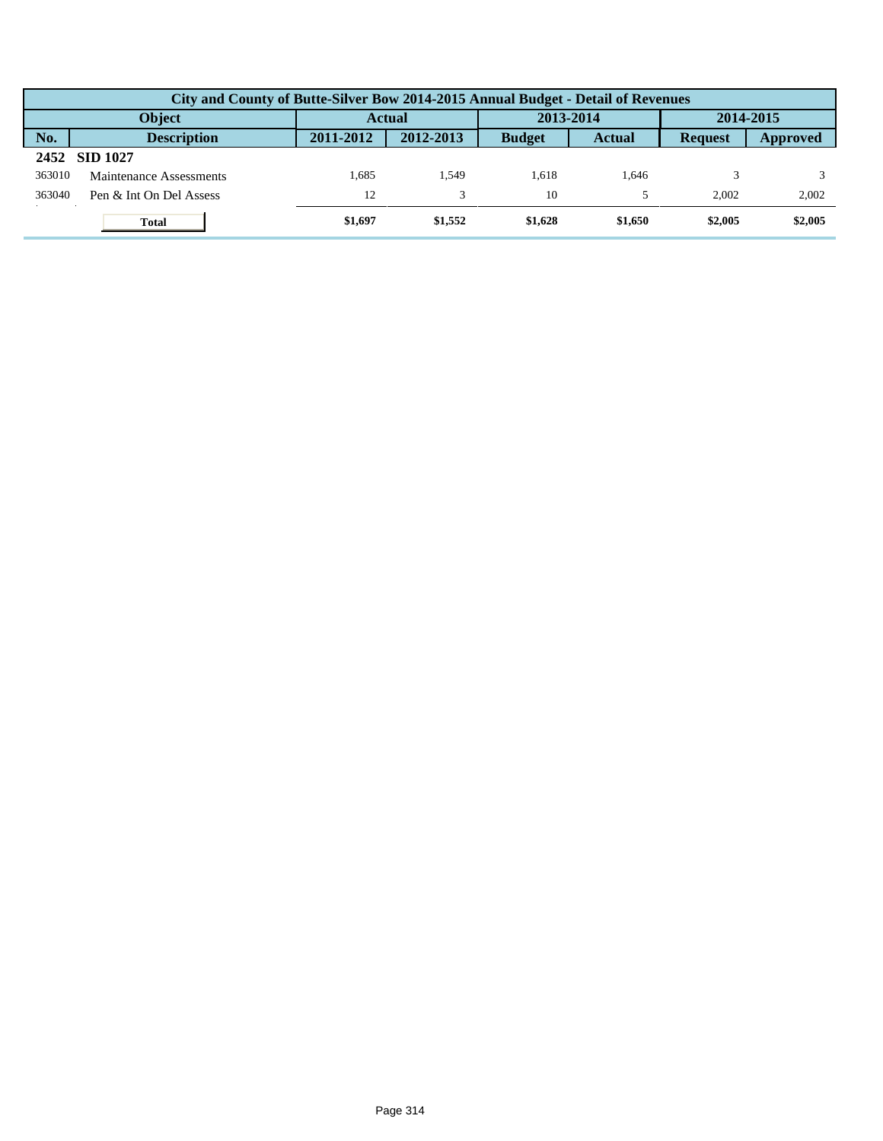|        | City and County of Butte-Silver Bow 2014-2015 Annual Budget - Detail of Revenues |           |               |               |               |                |           |  |  |  |
|--------|----------------------------------------------------------------------------------|-----------|---------------|---------------|---------------|----------------|-----------|--|--|--|
|        | <b>Object</b>                                                                    |           | <b>Actual</b> |               | 2013-2014     |                | 2014-2015 |  |  |  |
| No.    | <b>Description</b>                                                               | 2011-2012 | 2012-2013     | <b>Budget</b> | <b>Actual</b> | <b>Request</b> | Approved  |  |  |  |
| 2452   | <b>SID 1027</b>                                                                  |           |               |               |               |                |           |  |  |  |
| 363010 | Maintenance Assessments                                                          | 1.685     | .549          | 1.618         | 1.646         |                |           |  |  |  |
| 363040 | Pen & Int On Del Assess                                                          | 12        |               | 10            |               | 2.002          | 2,002     |  |  |  |
|        | <b>Total</b>                                                                     | \$1,697   | \$1,552       | \$1,628       | \$1,650       | \$2,005        | \$2,005   |  |  |  |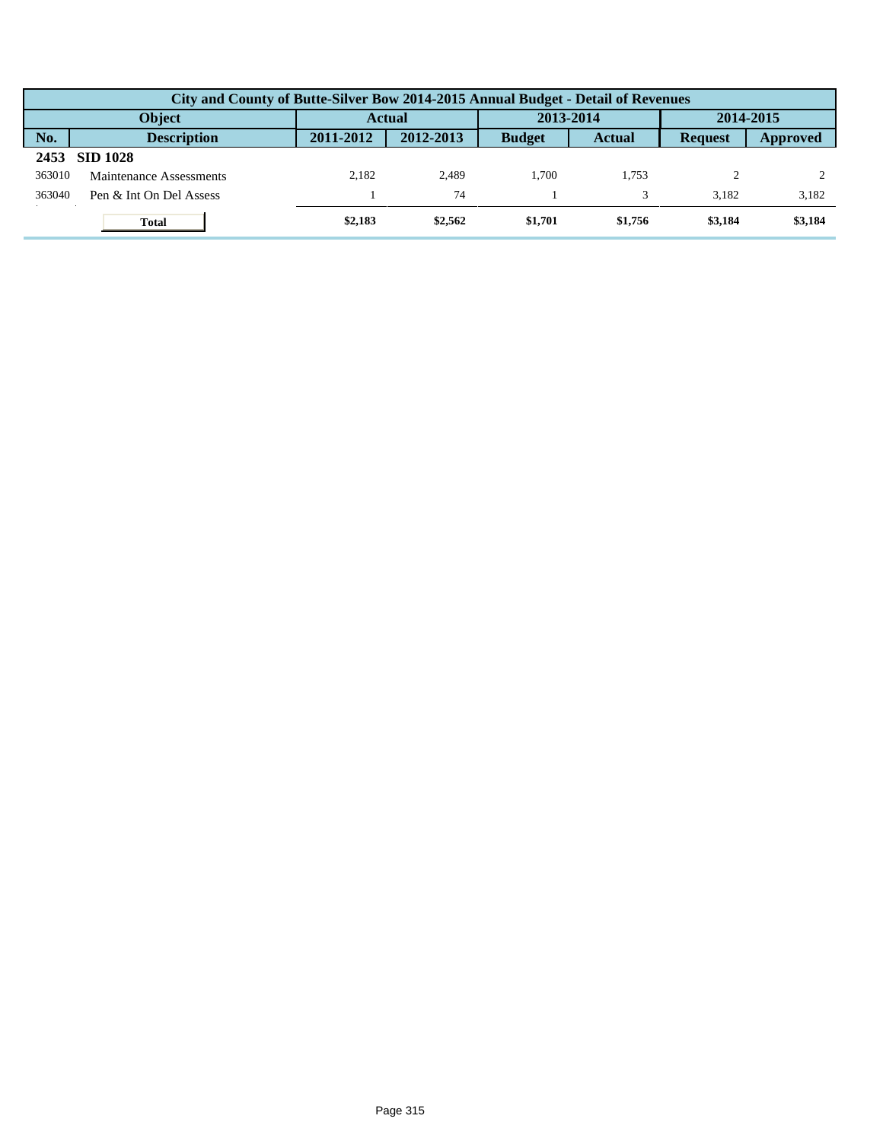|        | City and County of Butte-Silver Bow 2014-2015 Annual Budget - Detail of Revenues |               |           |               |               |                |          |  |  |  |  |
|--------|----------------------------------------------------------------------------------|---------------|-----------|---------------|---------------|----------------|----------|--|--|--|--|
|        | <b>Object</b>                                                                    | <b>Actual</b> |           | 2013-2014     |               | 2014-2015      |          |  |  |  |  |
| No.    | <b>Description</b>                                                               | 2011-2012     | 2012-2013 | <b>Budget</b> | <b>Actual</b> | <b>Request</b> | Approved |  |  |  |  |
| 2453   | <b>SID 1028</b>                                                                  |               |           |               |               |                |          |  |  |  |  |
| 363010 | Maintenance Assessments                                                          | 2.182         | 2.489     | 1.700         | 1.753         |                |          |  |  |  |  |
| 363040 | Pen & Int On Del Assess                                                          |               | 74        |               |               | 3.182          | 3,182    |  |  |  |  |
|        | <b>Total</b>                                                                     | \$2,183       | \$2,562   | \$1,701       | \$1,756       | \$3,184        | \$3,184  |  |  |  |  |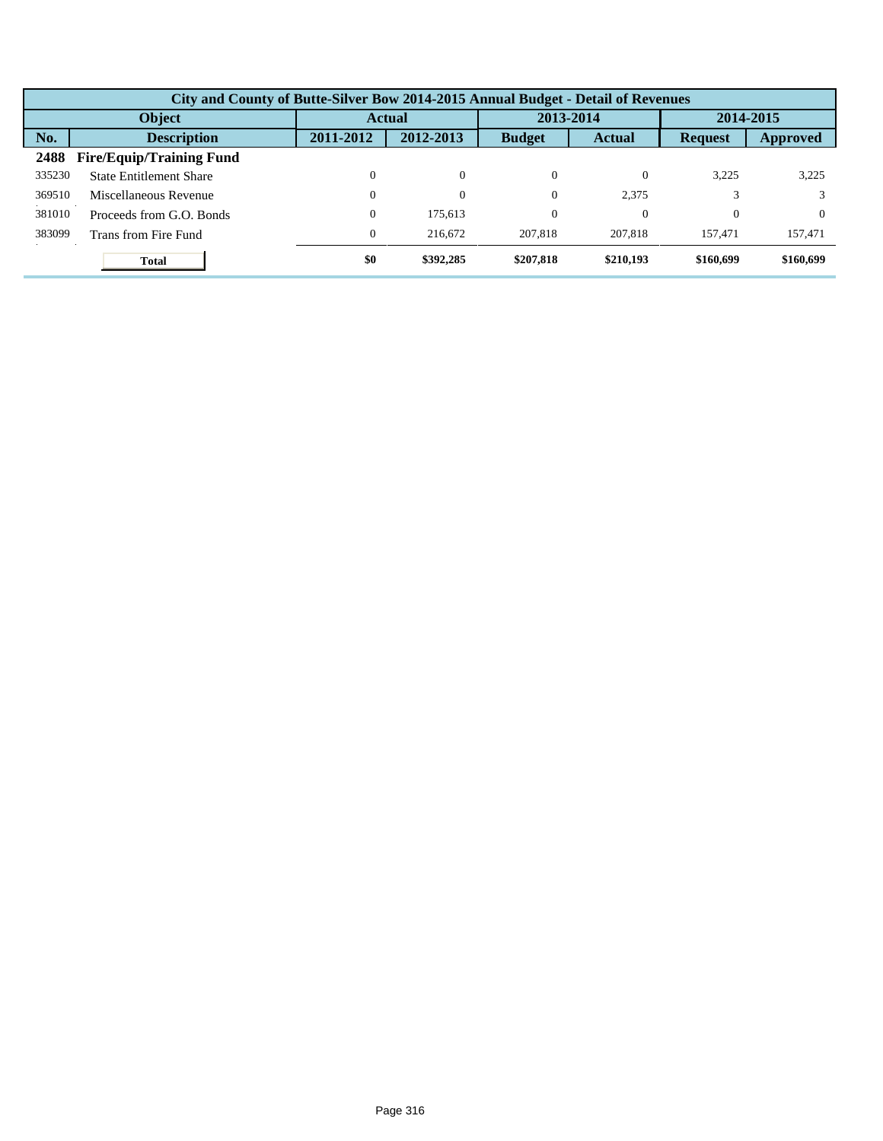|        | City and County of Butte-Silver Bow 2014-2015 Annual Budget - Detail of Revenues |                  |           |               |               |                |           |  |  |  |
|--------|----------------------------------------------------------------------------------|------------------|-----------|---------------|---------------|----------------|-----------|--|--|--|
| Object |                                                                                  | <b>Actual</b>    |           | 2013-2014     |               | 2014-2015      |           |  |  |  |
| No.    | <b>Description</b>                                                               | 2011-2012        | 2012-2013 | <b>Budget</b> | <b>Actual</b> | <b>Request</b> | Approved  |  |  |  |
| 2488   | <b>Fire/Equip/Training Fund</b>                                                  |                  |           |               |               |                |           |  |  |  |
| 335230 | <b>State Entitlement Share</b>                                                   | 0                | $\theta$  | $\Omega$      | 0             | 3,225          | 3,225     |  |  |  |
| 369510 | Miscellaneous Revenue                                                            | 0                | $\theta$  | $\Omega$      | 2.375         |                |           |  |  |  |
| 381010 | Proceeds from G.O. Bonds                                                         | 0                | 175,613   | $\theta$      | $\Omega$      | $\Omega$       | $\Omega$  |  |  |  |
| 383099 | Trans from Fire Fund                                                             | $\boldsymbol{0}$ | 216,672   | 207.818       | 207,818       | 157.471        | 157,471   |  |  |  |
|        | <b>Total</b>                                                                     | \$0              | \$392,285 | \$207,818     | \$210,193     | \$160,699      | \$160,699 |  |  |  |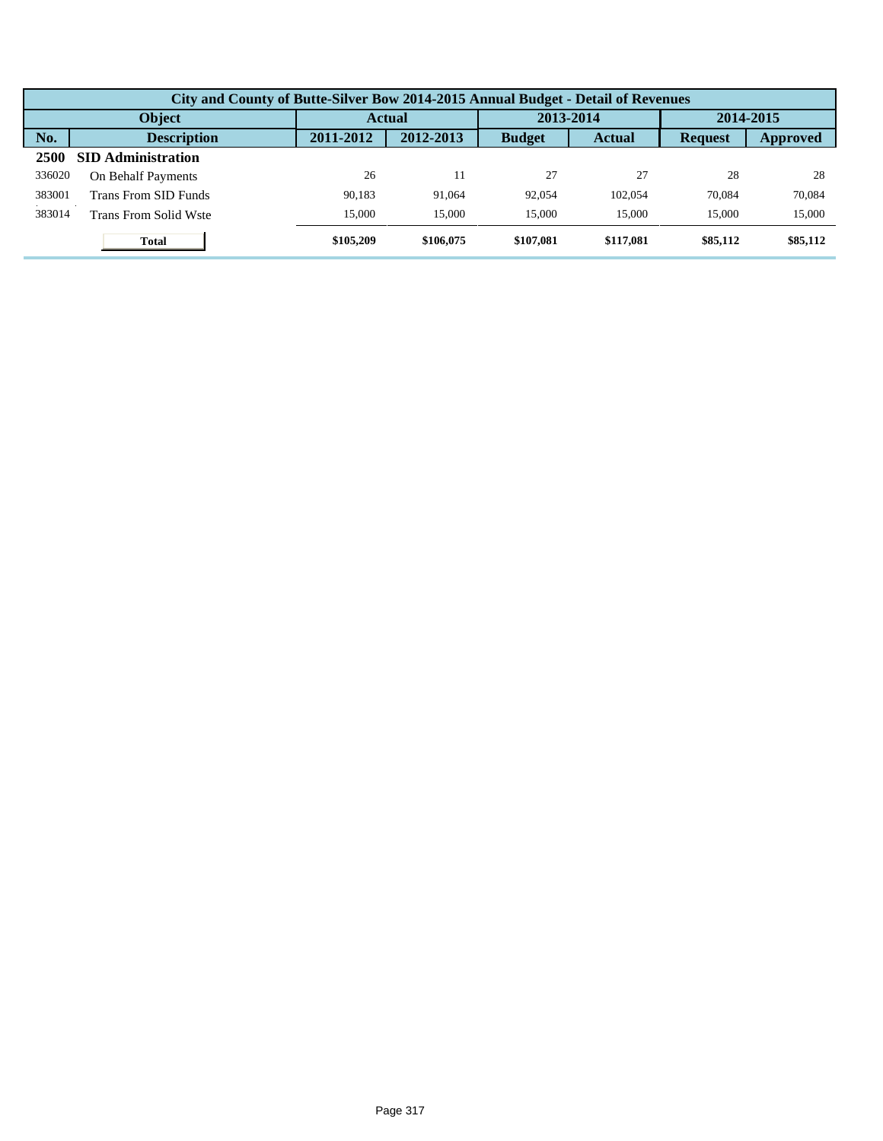|        | City and County of Butte-Silver Bow 2014-2015 Annual Budget - Detail of Revenues |           |           |               |               |                |          |  |  |  |  |
|--------|----------------------------------------------------------------------------------|-----------|-----------|---------------|---------------|----------------|----------|--|--|--|--|
|        | Object                                                                           |           | Actual    |               | 2013-2014     | 2014-2015      |          |  |  |  |  |
| No.    | <b>Description</b>                                                               | 2011-2012 | 2012-2013 | <b>Budget</b> | <b>Actual</b> | <b>Request</b> | Approved |  |  |  |  |
| 2500   | <b>SID Administration</b>                                                        |           |           |               |               |                |          |  |  |  |  |
| 336020 | On Behalf Payments                                                               | 26        | 11        | 27            | 27            | 28             | 28       |  |  |  |  |
| 383001 | Trans From SID Funds                                                             | 90.183    | 91,064    | 92.054        | 102.054       | 70,084         | 70,084   |  |  |  |  |
| 383014 | Trans From Solid Wste                                                            | 15,000    | 15,000    | 15,000        | 15,000        | 15,000         | 15,000   |  |  |  |  |
|        | <b>Total</b>                                                                     | \$105,209 | \$106,075 | \$107.081     | \$117,081     | \$85,112       | \$85,112 |  |  |  |  |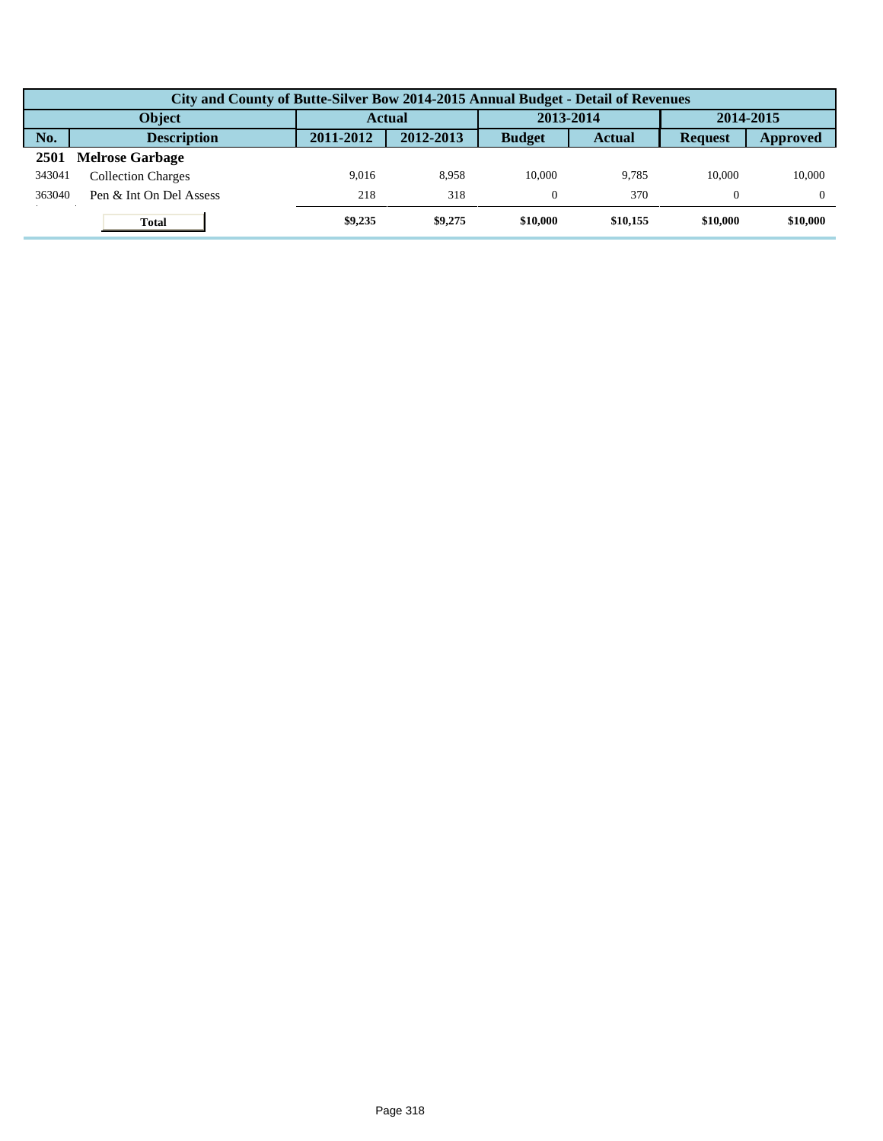|        | City and County of Butte-Silver Bow 2014-2015 Annual Budget - Detail of Revenues |               |           |               |               |                |                 |  |  |  |  |
|--------|----------------------------------------------------------------------------------|---------------|-----------|---------------|---------------|----------------|-----------------|--|--|--|--|
|        | <b>Object</b>                                                                    | <b>Actual</b> |           | 2013-2014     |               | 2014-2015      |                 |  |  |  |  |
| No.    | <b>Description</b>                                                               | 2011-2012     | 2012-2013 | <b>Budget</b> | <b>Actual</b> | <b>Request</b> | <b>Approved</b> |  |  |  |  |
| 2501   | <b>Melrose Garbage</b>                                                           |               |           |               |               |                |                 |  |  |  |  |
| 343041 | <b>Collection Charges</b>                                                        | 9.016         | 8.958     | 10.000        | 9.785         | 10.000         | 10,000          |  |  |  |  |
| 363040 | Pen & Int On Del Assess                                                          | 218           | 318       |               | 370           | $\Omega$       |                 |  |  |  |  |
|        | <b>Total</b>                                                                     | \$9,235       | \$9,275   | \$10,000      | \$10,155      | \$10,000       | \$10,000        |  |  |  |  |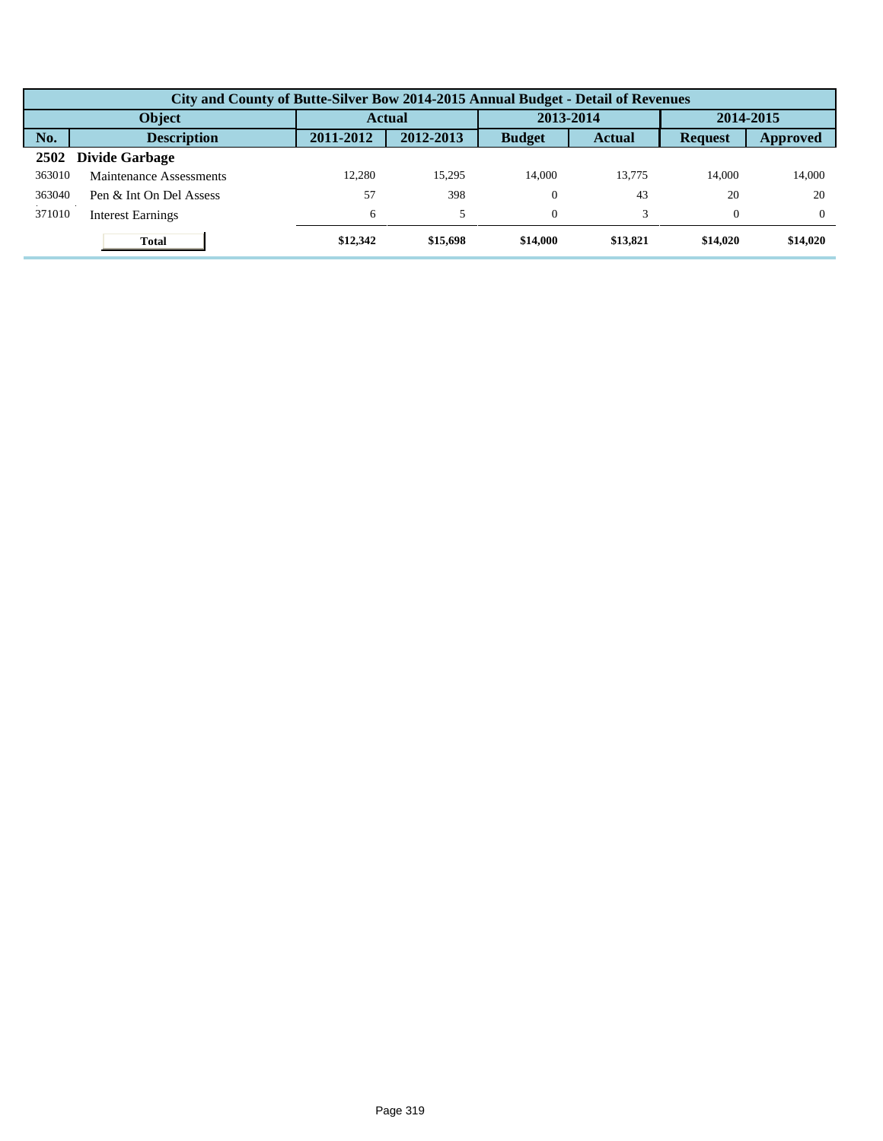|        | City and County of Butte-Silver Bow 2014-2015 Annual Budget - Detail of Revenues |           |           |               |               |                |           |  |  |  |  |
|--------|----------------------------------------------------------------------------------|-----------|-----------|---------------|---------------|----------------|-----------|--|--|--|--|
|        | Object                                                                           |           | Actual    |               | 2013-2014     |                | 2014-2015 |  |  |  |  |
| No.    | <b>Description</b>                                                               | 2011-2012 | 2012-2013 | <b>Budget</b> | <b>Actual</b> | <b>Request</b> | Approved  |  |  |  |  |
| 2502   | <b>Divide Garbage</b>                                                            |           |           |               |               |                |           |  |  |  |  |
| 363010 | Maintenance Assessments                                                          | 12.280    | 15.295    | 14.000        | 13.775        | 14.000         | 14.000    |  |  |  |  |
| 363040 | Pen & Int On Del Assess                                                          | 57        | 398       | $\Omega$      | 43            | 20             | 20        |  |  |  |  |
| 371010 | <b>Interest Earnings</b>                                                         | 6         | 5         | $\Omega$      |               | $\Omega$       | $\Omega$  |  |  |  |  |
|        | <b>Total</b>                                                                     | \$12,342  | \$15,698  | \$14,000      | \$13,821      | \$14.020       | \$14,020  |  |  |  |  |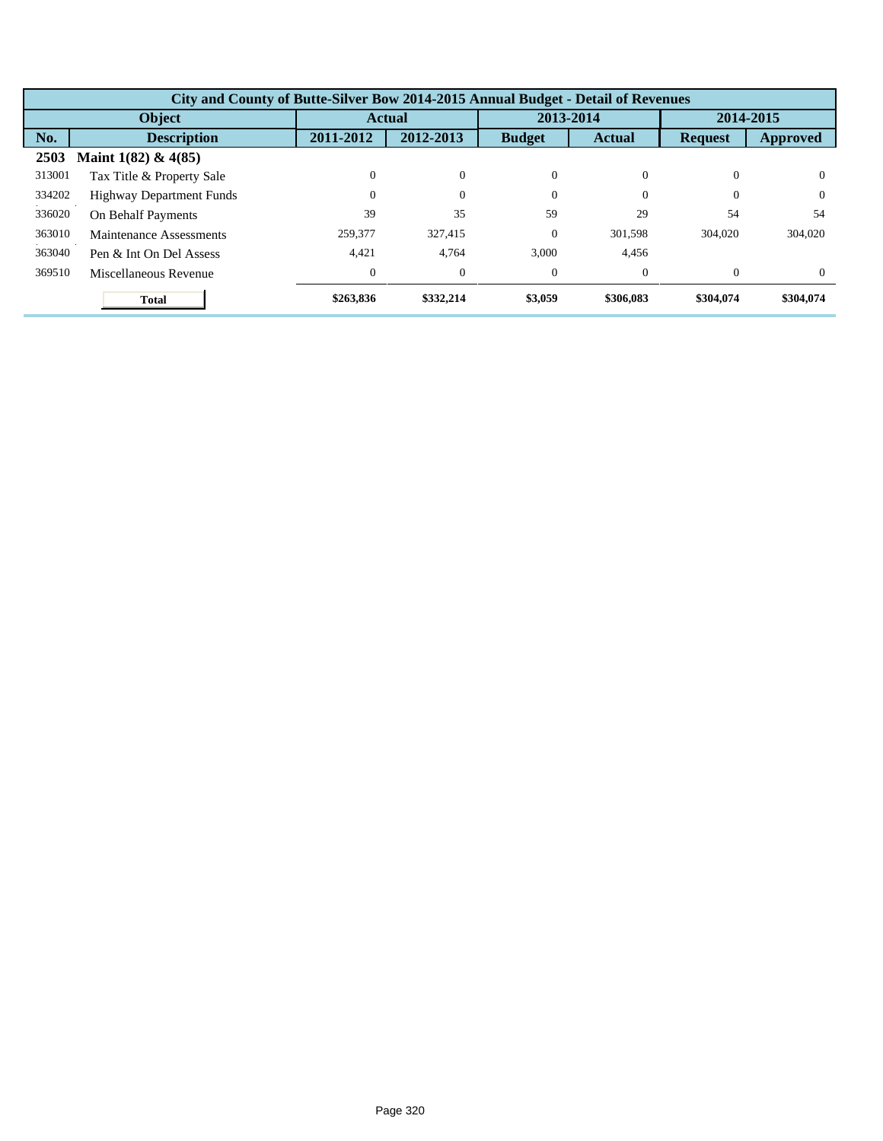|        | City and County of Butte-Silver Bow 2014-2015 Annual Budget - Detail of Revenues |                  |               |               |               |                |           |  |  |  |
|--------|----------------------------------------------------------------------------------|------------------|---------------|---------------|---------------|----------------|-----------|--|--|--|
|        | Object                                                                           |                  | <b>Actual</b> |               | 2013-2014     | 2014-2015      |           |  |  |  |
| No.    | <b>Description</b>                                                               | 2011-2012        | 2012-2013     | <b>Budget</b> | <b>Actual</b> | <b>Request</b> | Approved  |  |  |  |
| 2503   | Maint $1(82)$ & $4(85)$                                                          |                  |               |               |               |                |           |  |  |  |
| 313001 | Tax Title & Property Sale                                                        | 0                | $\theta$      | $\theta$      | 0             | $\Omega$       | $\Omega$  |  |  |  |
| 334202 | <b>Highway Department Funds</b>                                                  | $\Omega$         | $\theta$      | $\theta$      | 0             | $\Omega$       | $\Omega$  |  |  |  |
| 336020 | On Behalf Payments                                                               | 39               | 35            | 59            | 29            | 54             | 54        |  |  |  |
| 363010 | Maintenance Assessments                                                          | 259,377          | 327.415       | $\theta$      | 301.598       | 304,020        | 304,020   |  |  |  |
| 363040 | Pen & Int On Del Assess                                                          | 4.421            | 4,764         | 3.000         | 4,456         |                |           |  |  |  |
| 369510 | Miscellaneous Revenue                                                            | $\boldsymbol{0}$ | $\mathbf{0}$  | $\theta$      | $\Omega$      | $\theta$       | $\Omega$  |  |  |  |
|        | <b>Total</b>                                                                     | \$263,836        | \$332,214     | \$3,059       | \$306,083     | \$304,074      | \$304,074 |  |  |  |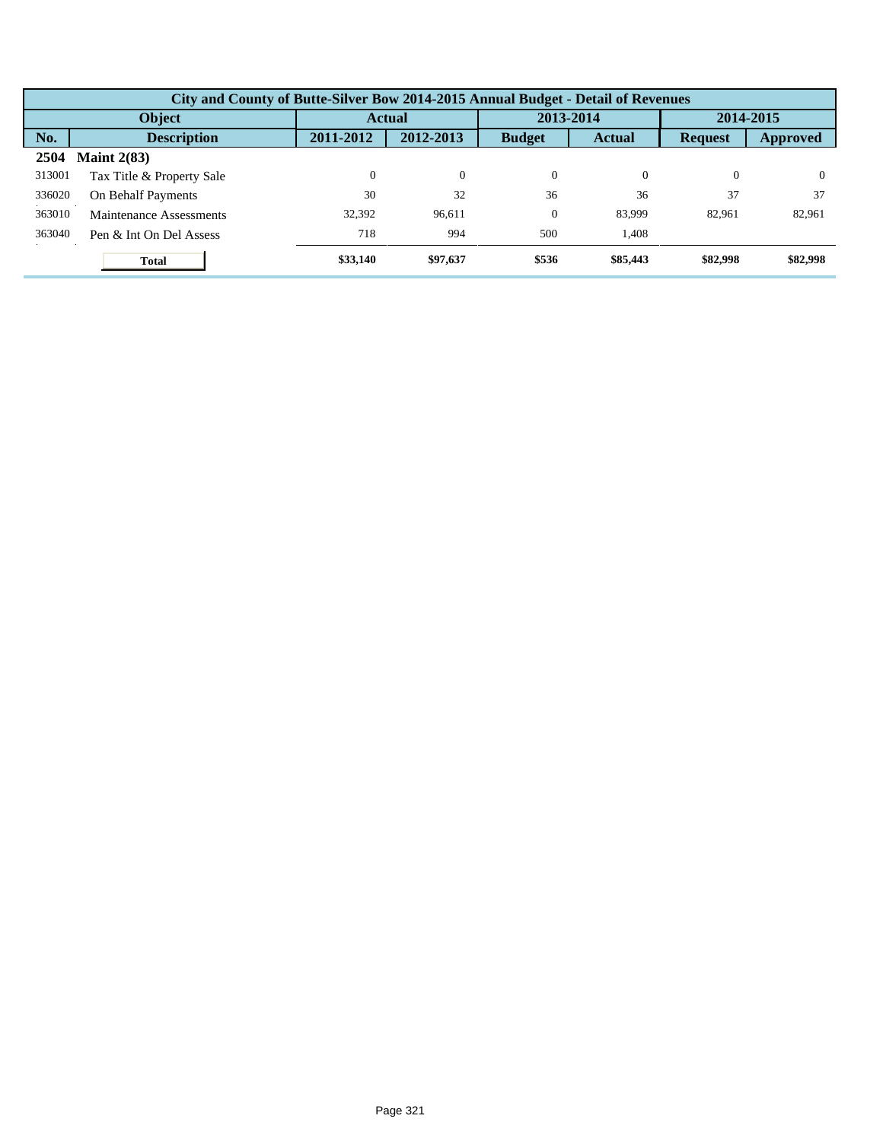|        | City and County of Butte-Silver Bow 2014-2015 Annual Budget - Detail of Revenues |           |           |               |               |                |                 |  |  |  |
|--------|----------------------------------------------------------------------------------|-----------|-----------|---------------|---------------|----------------|-----------------|--|--|--|
| Object |                                                                                  |           | Actual    |               | 2013-2014     |                | 2014-2015       |  |  |  |
| No.    | <b>Description</b>                                                               | 2011-2012 | 2012-2013 | <b>Budget</b> | <b>Actual</b> | <b>Request</b> | <b>Approved</b> |  |  |  |
| 2504   | Maint $2(83)$                                                                    |           |           |               |               |                |                 |  |  |  |
| 313001 | Tax Title & Property Sale                                                        | $\Omega$  | $\theta$  | $\theta$      | $\Omega$      | $\Omega$       | $\Omega$        |  |  |  |
| 336020 | On Behalf Payments                                                               | 30        | 32        | 36            | 36            | 37             | 37              |  |  |  |
| 363010 | Maintenance Assessments                                                          | 32.392    | 96.611    | $\theta$      | 83,999        | 82.961         | 82,961          |  |  |  |
| 363040 | Pen & Int On Del Assess                                                          | 718       | 994       | 500           | 1.408         |                |                 |  |  |  |
|        | <b>Total</b>                                                                     | \$33,140  | \$97,637  | \$536         | \$85,443      | \$82,998       | \$82,998        |  |  |  |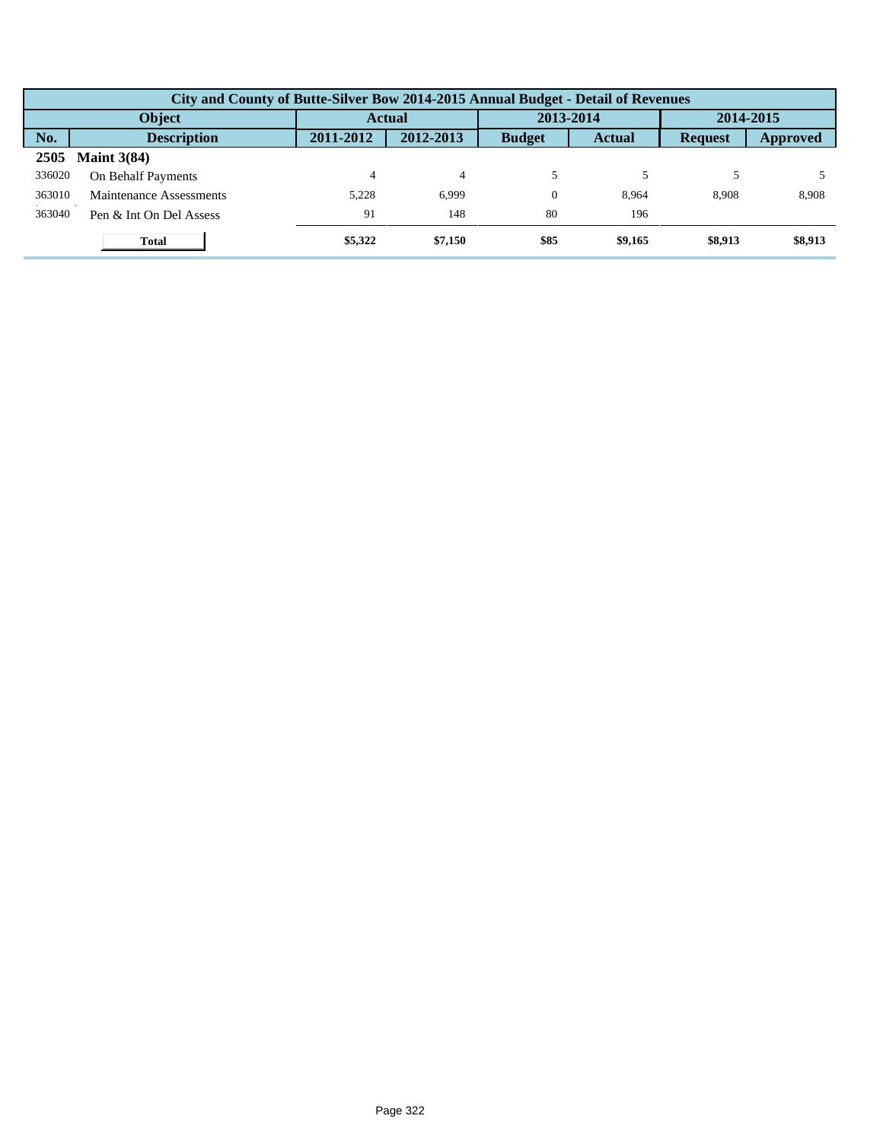|        | City and County of Butte-Silver Bow 2014-2015 Annual Budget - Detail of Revenues |           |           |               |               |                |           |  |  |  |  |
|--------|----------------------------------------------------------------------------------|-----------|-----------|---------------|---------------|----------------|-----------|--|--|--|--|
|        | <b>Object</b>                                                                    |           | Actual    |               | 2013-2014     |                | 2014-2015 |  |  |  |  |
| No.    | <b>Description</b>                                                               | 2011-2012 | 2012-2013 | <b>Budget</b> | <b>Actual</b> | <b>Request</b> | Approved  |  |  |  |  |
| 2505   | Maint $3(84)$                                                                    |           |           |               |               |                |           |  |  |  |  |
| 336020 | On Behalf Payments                                                               | 4         | 4         |               |               |                |           |  |  |  |  |
| 363010 | Maintenance Assessments                                                          | 5,228     | 6,999     | $\Omega$      | 8.964         | 8.908          | 8,908     |  |  |  |  |
| 363040 | Pen & Int On Del Assess                                                          | 91        | 148       | 80            | 196           |                |           |  |  |  |  |
|        | <b>Total</b>                                                                     | \$5,322   | \$7,150   | \$85          | \$9,165       | \$8,913        | \$8,913   |  |  |  |  |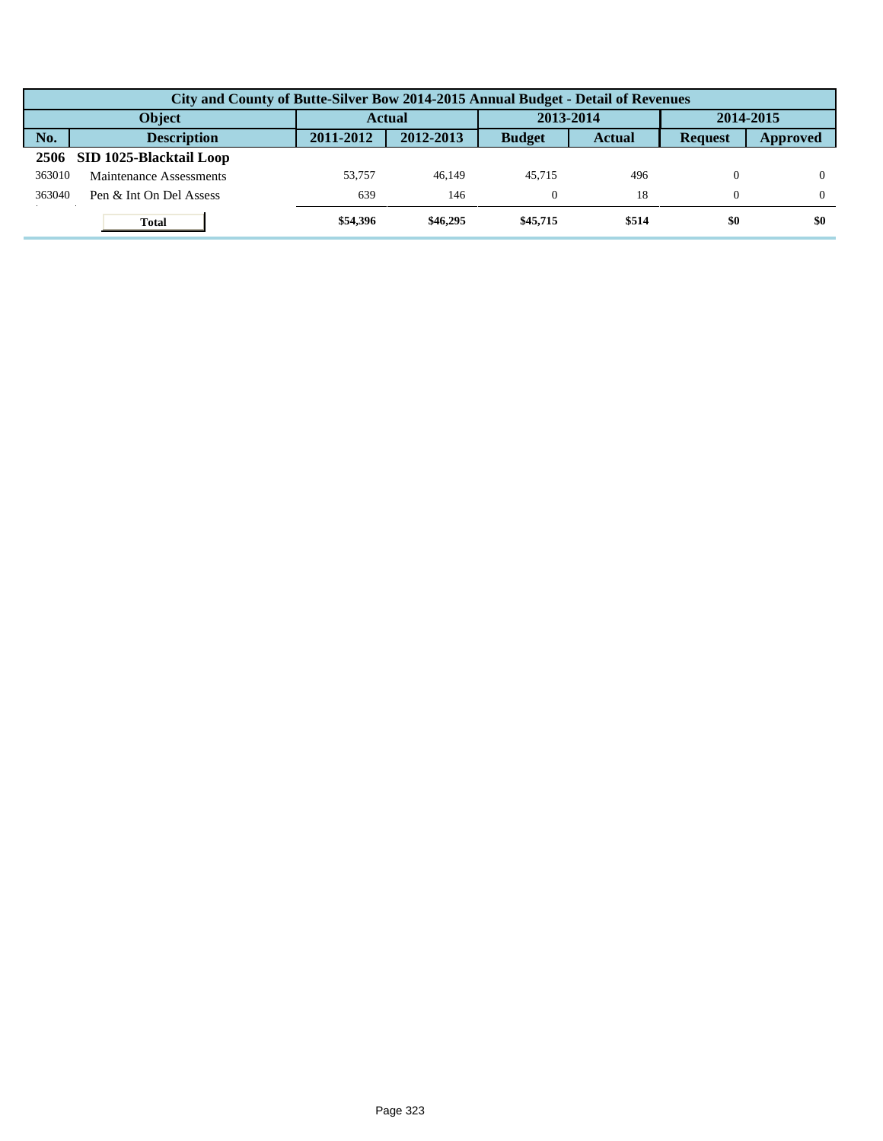|        | City and County of Butte-Silver Bow 2014-2015 Annual Budget - Detail of Revenues |               |           |               |               |                |          |  |  |  |
|--------|----------------------------------------------------------------------------------|---------------|-----------|---------------|---------------|----------------|----------|--|--|--|
|        | <b>Object</b>                                                                    | <b>Actual</b> |           | 2013-2014     |               | 2014-2015      |          |  |  |  |
| No.    | <b>Description</b>                                                               | 2011-2012     | 2012-2013 | <b>Budget</b> | <b>Actual</b> | <b>Request</b> | Approved |  |  |  |
| 2506   | SID 1025-Blacktail Loop                                                          |               |           |               |               |                |          |  |  |  |
| 363010 | Maintenance Assessments                                                          | 53,757        | 46.149    | 45.715        | 496           | $\theta$       |          |  |  |  |
| 363040 | Pen & Int On Del Assess                                                          | 639           | 146       |               | 18            | $\Omega$       |          |  |  |  |
|        | <b>Total</b>                                                                     | \$54,396      | \$46,295  | \$45,715      | \$514         | \$0            | \$0      |  |  |  |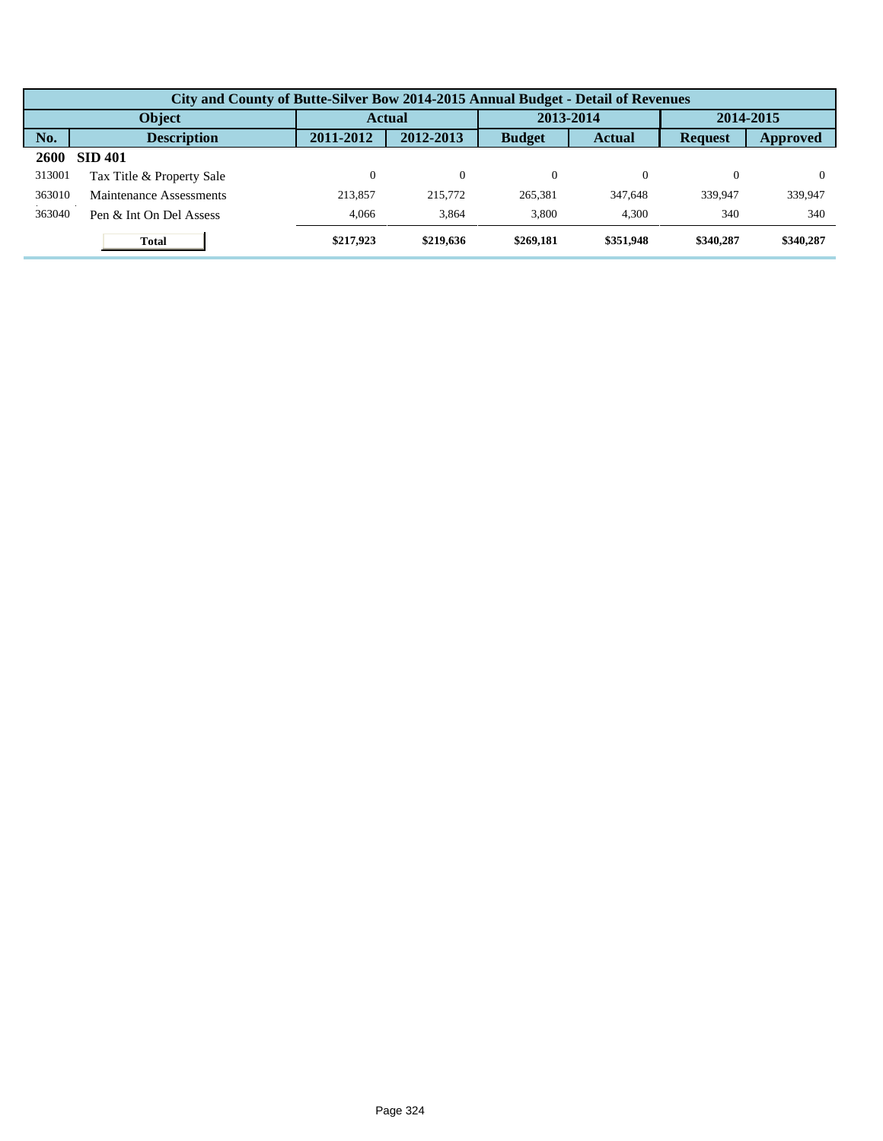|        | City and County of Butte-Silver Bow 2014-2015 Annual Budget - Detail of Revenues |           |               |               |               |                |           |  |  |  |  |
|--------|----------------------------------------------------------------------------------|-----------|---------------|---------------|---------------|----------------|-----------|--|--|--|--|
|        | Object                                                                           |           | <b>Actual</b> |               | 2013-2014     |                | 2014-2015 |  |  |  |  |
| No.    | <b>Description</b>                                                               | 2011-2012 | 2012-2013     | <b>Budget</b> | <b>Actual</b> | <b>Request</b> | Approved  |  |  |  |  |
| 2600   | <b>SID 401</b>                                                                   |           |               |               |               |                |           |  |  |  |  |
| 313001 | Tax Title & Property Sale                                                        |           | $\theta$      | $\Omega$      |               | 0              |           |  |  |  |  |
| 363010 | Maintenance Assessments                                                          | 213.857   | 215,772       | 265,381       | 347,648       | 339,947        | 339,947   |  |  |  |  |
| 363040 | Pen & Int On Del Assess                                                          | 4.066     | 3,864         | 3.800         | 4.300         | 340            | 340       |  |  |  |  |
|        | <b>Total</b>                                                                     | \$217,923 | \$219,636     | \$269,181     | \$351,948     | \$340,287      | \$340,287 |  |  |  |  |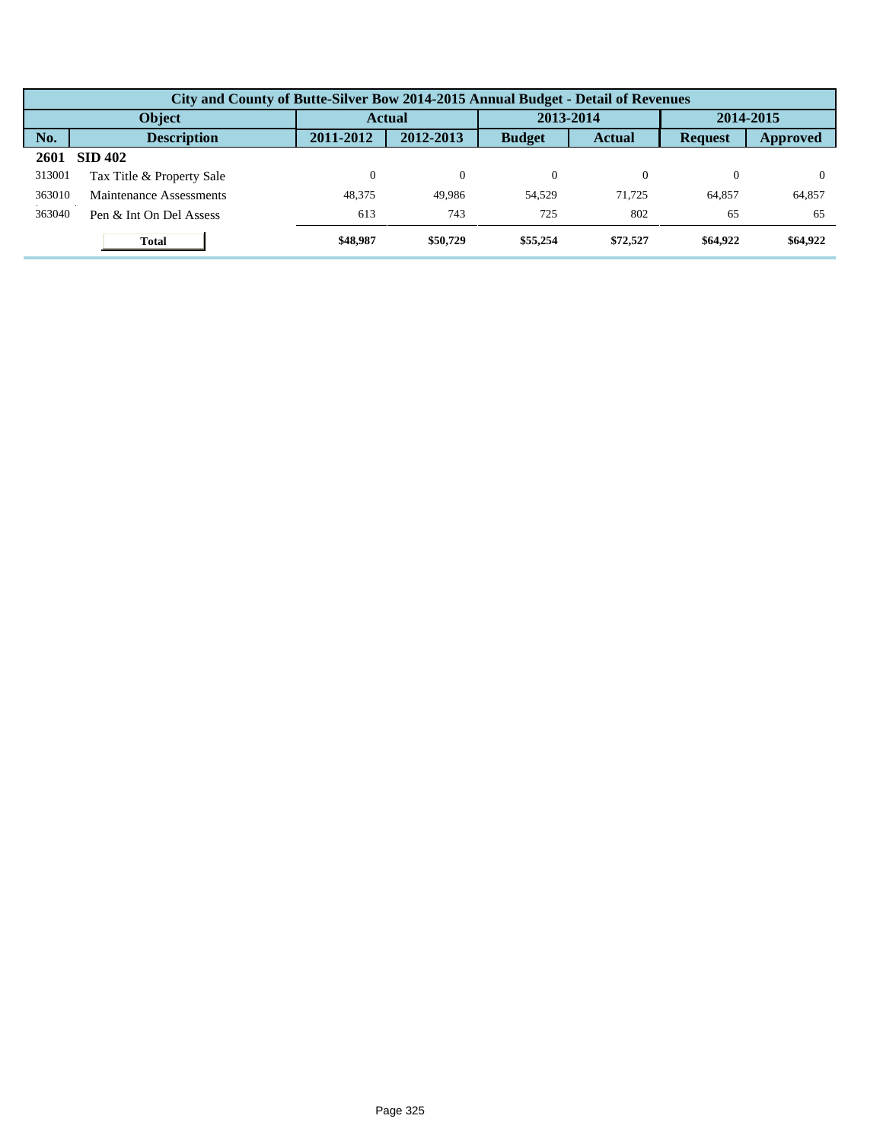|        | City and County of Butte-Silver Bow 2014-2015 Annual Budget - Detail of Revenues |           |               |               |               |                |           |  |  |  |  |
|--------|----------------------------------------------------------------------------------|-----------|---------------|---------------|---------------|----------------|-----------|--|--|--|--|
|        | Object                                                                           |           | <b>Actual</b> |               | 2013-2014     |                | 2014-2015 |  |  |  |  |
| No.    | <b>Description</b>                                                               | 2011-2012 | 2012-2013     | <b>Budget</b> | <b>Actual</b> | <b>Request</b> | Approved  |  |  |  |  |
| 2601   | <b>SID 402</b>                                                                   |           |               |               |               |                |           |  |  |  |  |
| 313001 | Tax Title & Property Sale                                                        |           | $\theta$      | $\Omega$      |               | 0              |           |  |  |  |  |
| 363010 | Maintenance Assessments                                                          | 48,375    | 49.986        | 54.529        | 71.725        | 64.857         | 64,857    |  |  |  |  |
| 363040 | Pen & Int On Del Assess                                                          | 613       | 743           | 725           | 802           | 65             | 65        |  |  |  |  |
|        | <b>Total</b>                                                                     | \$48,987  | \$50,729      | \$55,254      | \$72,527      | \$64,922       | \$64,922  |  |  |  |  |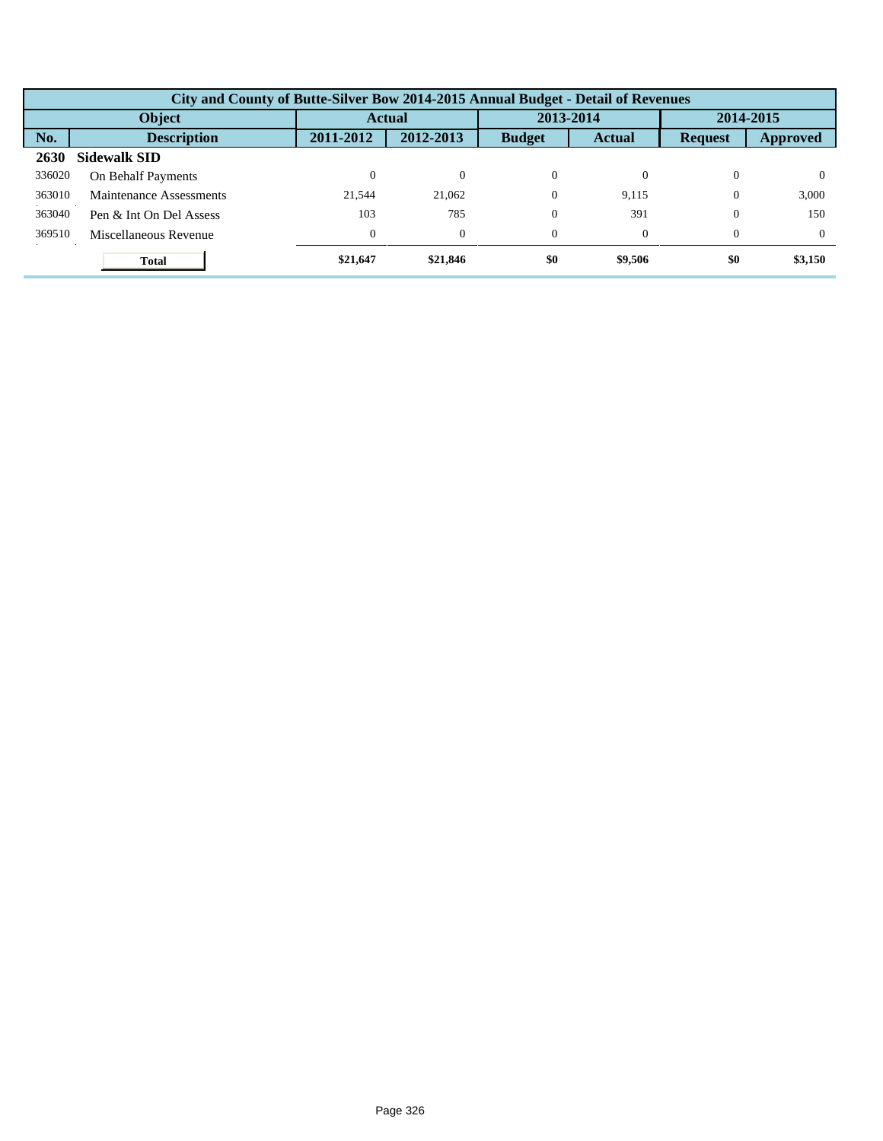|        | City and County of Butte-Silver Bow 2014-2015 Annual Budget - Detail of Revenues |                  |           |               |               |                |          |  |  |  |
|--------|----------------------------------------------------------------------------------|------------------|-----------|---------------|---------------|----------------|----------|--|--|--|
|        | Object                                                                           |                  | Actual    | 2013-2014     |               | 2014-2015      |          |  |  |  |
| No.    | <b>Description</b>                                                               | 2011-2012        | 2012-2013 | <b>Budget</b> | <b>Actual</b> | <b>Request</b> | Approved |  |  |  |
| 2630   | <b>Sidewalk SID</b>                                                              |                  |           |               |               |                |          |  |  |  |
| 336020 | On Behalf Payments                                                               | $\theta$         | $\Omega$  | $\Omega$      |               | $\Omega$       | $_{0}$   |  |  |  |
| 363010 | Maintenance Assessments                                                          | 21.544           | 21,062    | $\Omega$      | 9,115         | $\Omega$       | 3,000    |  |  |  |
| 363040 | Pen & Int On Del Assess                                                          | 103              | 785       | $\Omega$      | 391           | $\mathbf{0}$   | 150      |  |  |  |
| 369510 | Miscellaneous Revenue                                                            | $\boldsymbol{0}$ | $\theta$  | $\Omega$      |               | $\Omega$       | $\Omega$ |  |  |  |
|        | <b>Total</b>                                                                     | \$21,647         | \$21,846  | \$0           | \$9,506       | \$0            | \$3,150  |  |  |  |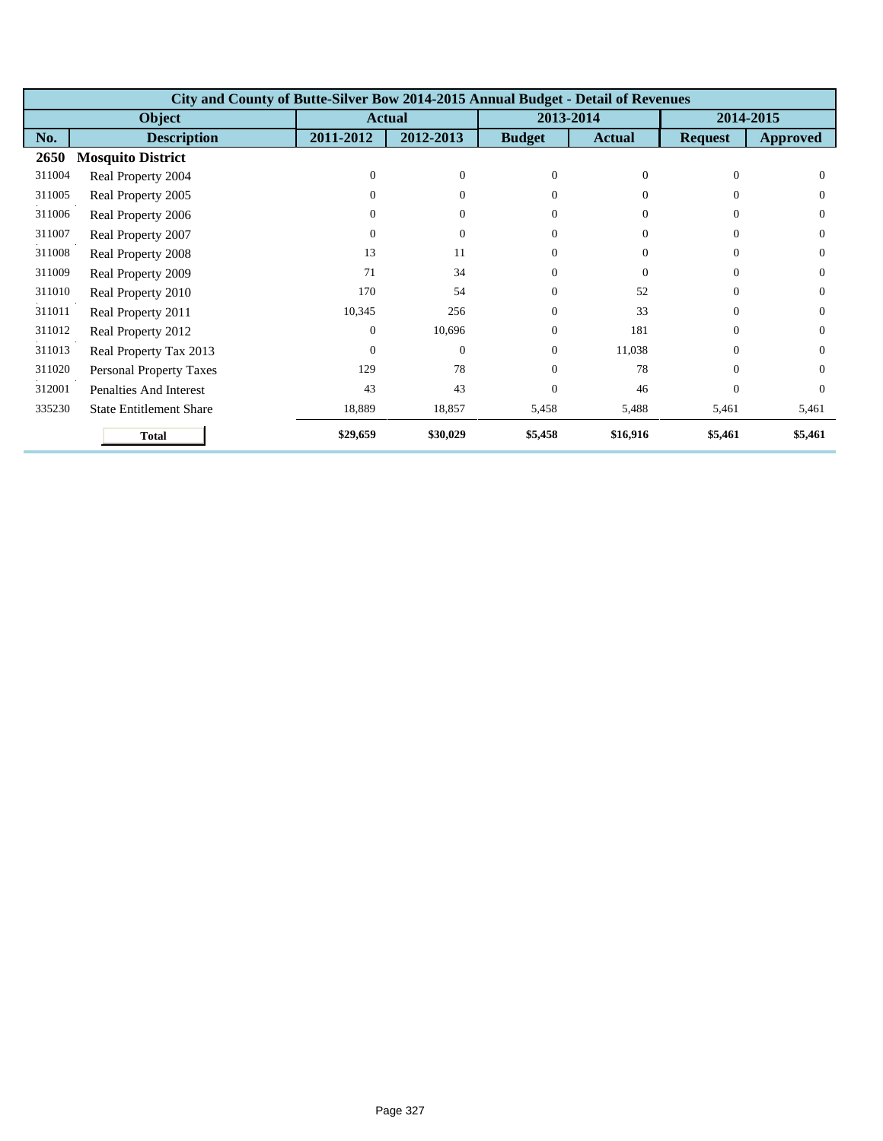|        | City and County of Butte-Silver Bow 2014-2015 Annual Budget - Detail of Revenues |              |                |               |               |                |                 |  |  |  |
|--------|----------------------------------------------------------------------------------|--------------|----------------|---------------|---------------|----------------|-----------------|--|--|--|
|        | Object                                                                           |              | <b>Actual</b>  |               | 2013-2014     |                | 2014-2015       |  |  |  |
| No.    | <b>Description</b>                                                               | 2011-2012    | 2012-2013      | <b>Budget</b> | <b>Actual</b> | <b>Request</b> | <b>Approved</b> |  |  |  |
| 2650   | <b>Mosquito District</b>                                                         |              |                |               |               |                |                 |  |  |  |
| 311004 | Real Property 2004                                                               | $\Omega$     | $\mathbf{0}$   | $\Omega$      | $\Omega$      | $\Omega$       | $\Omega$        |  |  |  |
| 311005 | Real Property 2005                                                               | 0            | $\overline{0}$ | $\Omega$      | $\Omega$      | $\Omega$       | $\Omega$        |  |  |  |
| 311006 | Real Property 2006                                                               | 0            | $\overline{0}$ | $\Omega$      | $\Omega$      | $\Omega$       | $\Omega$        |  |  |  |
| 311007 | Real Property 2007                                                               | $\mathbf{0}$ | $\overline{0}$ | $\Omega$      | $\Omega$      | $\theta$       | $\Omega$        |  |  |  |
| 311008 | Real Property 2008                                                               | 13           | 11             | $\Omega$      | $\Omega$      | $\Omega$       | $\Omega$        |  |  |  |
| 311009 | Real Property 2009                                                               | 71           | 34             | $\Omega$      | $\Omega$      | $\Omega$       | $\Omega$        |  |  |  |
| 311010 | Real Property 2010                                                               | 170          | 54             | $\Omega$      | 52            | $\Omega$       | $\Omega$        |  |  |  |
| 311011 | Real Property 2011                                                               | 10,345       | 256            | $\Omega$      | 33            | $\Omega$       | $\Omega$        |  |  |  |
| 311012 | Real Property 2012                                                               | $\mathbf{0}$ | 10,696         | $\Omega$      | 181           | $\Omega$       | $\Omega$        |  |  |  |
| 311013 | Real Property Tax 2013                                                           | $\Omega$     | $\theta$       | $\Omega$      | 11,038        | $\Omega$       | $\Omega$        |  |  |  |
| 311020 | <b>Personal Property Taxes</b>                                                   | 129          | 78             | $\Omega$      | 78            | $\Omega$       | $\Omega$        |  |  |  |
| 312001 | <b>Penalties And Interest</b>                                                    | 43           | 43             | $\Omega$      | 46            | $\Omega$       | $\Omega$        |  |  |  |
| 335230 | <b>State Entitlement Share</b>                                                   | 18,889       | 18,857         | 5,458         | 5,488         | 5,461          | 5,461           |  |  |  |
|        | <b>Total</b>                                                                     | \$29,659     | \$30,029       | \$5,458       | \$16,916      | \$5,461        | \$5,461         |  |  |  |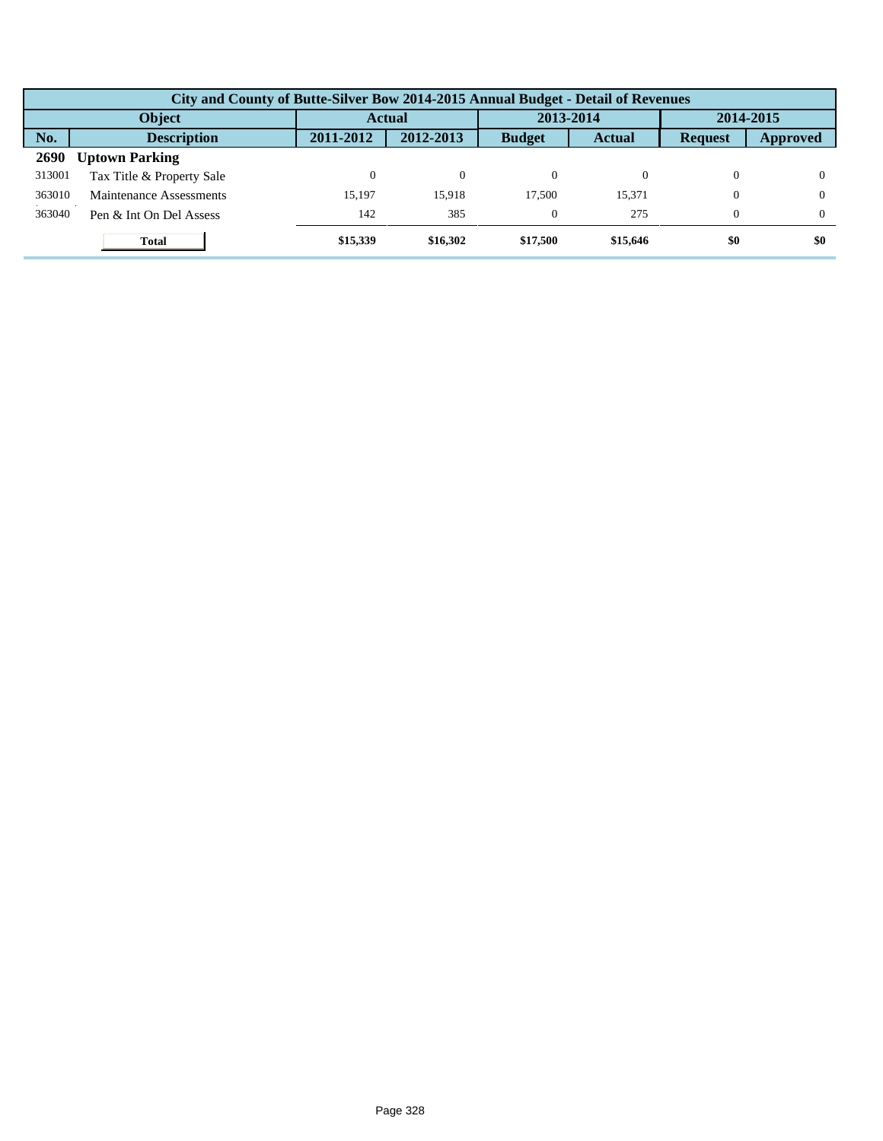|             | City and County of Butte-Silver Bow 2014-2015 Annual Budget - Detail of Revenues |           |               |               |               |                |          |  |  |  |  |
|-------------|----------------------------------------------------------------------------------|-----------|---------------|---------------|---------------|----------------|----------|--|--|--|--|
|             | Object                                                                           |           | <b>Actual</b> |               | 2013-2014     | 2014-2015      |          |  |  |  |  |
| No.         | <b>Description</b>                                                               | 2011-2012 | 2012-2013     | <b>Budget</b> | <b>Actual</b> | <b>Request</b> | Approved |  |  |  |  |
| <b>2690</b> | <b>Uptown Parking</b>                                                            |           |               |               |               |                |          |  |  |  |  |
| 313001      | Tax Title & Property Sale                                                        |           | $\Omega$      | $\Omega$      |               | 0              |          |  |  |  |  |
| 363010      | Maintenance Assessments                                                          | 15.197    | 15.918        | 17,500        | 15.371        | $\overline{0}$ |          |  |  |  |  |
| 363040      | Pen & Int On Del Assess                                                          | 142       | 385           | $\Omega$      | 275           | $\Omega$       | $\Omega$ |  |  |  |  |
|             | <b>Total</b>                                                                     | \$15,339  | \$16,302      | \$17,500      | \$15,646      | \$0            | \$0      |  |  |  |  |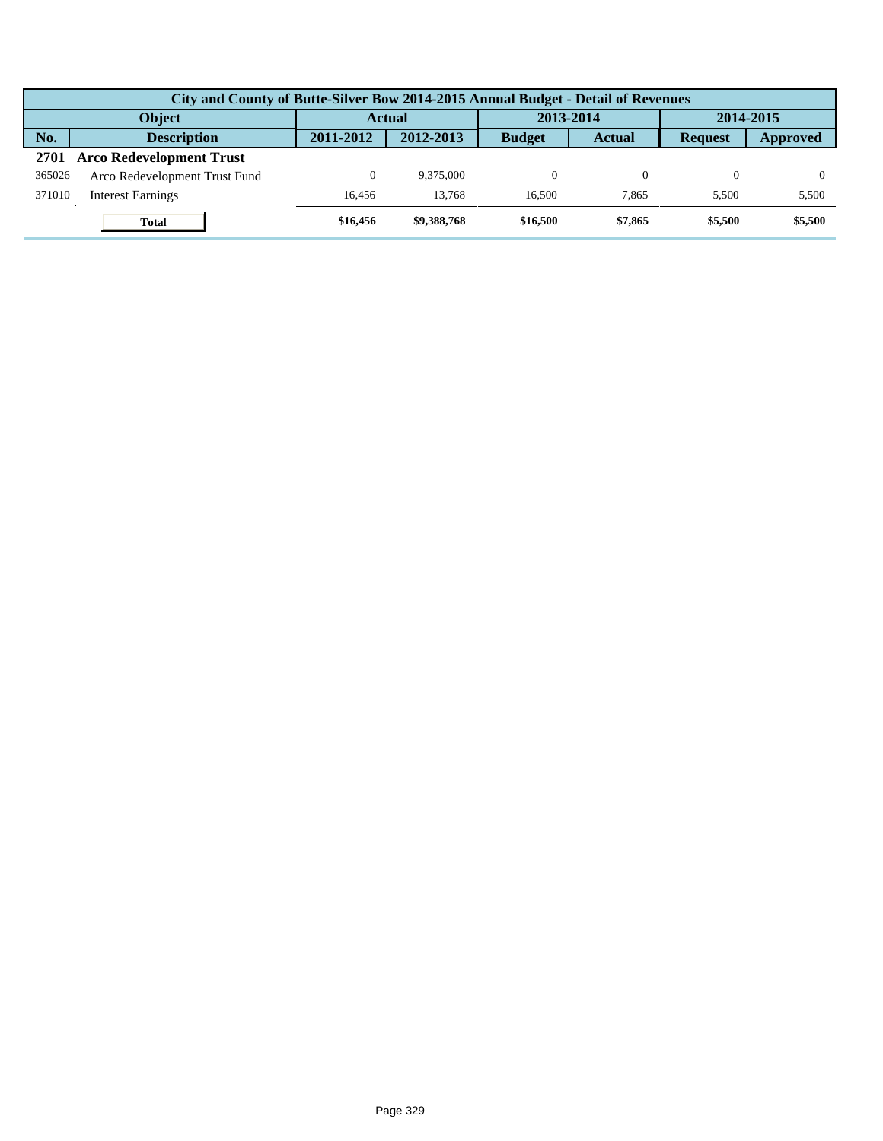|        | City and County of Butte-Silver Bow 2014-2015 Annual Budget - Detail of Revenues |               |             |               |               |                |          |  |  |  |
|--------|----------------------------------------------------------------------------------|---------------|-------------|---------------|---------------|----------------|----------|--|--|--|
|        | <b>Object</b>                                                                    | <b>Actual</b> |             | 2013-2014     |               | 2014-2015      |          |  |  |  |
| No.    | <b>Description</b>                                                               | 2011-2012     | 2012-2013   | <b>Budget</b> | <b>Actual</b> | <b>Request</b> | Approved |  |  |  |
| 2701   | <b>Arco Redevelopment Trust</b>                                                  |               |             |               |               |                |          |  |  |  |
| 365026 | Arco Redevelopment Trust Fund                                                    | 0             | 9.375,000   |               |               |                |          |  |  |  |
| 371010 | <b>Interest Earnings</b>                                                         | 16.456        | 13.768      | 16.500        | 7.865         | 5.500          | 5,500    |  |  |  |
|        | <b>Total</b>                                                                     | \$16,456      | \$9,388,768 | \$16,500      | \$7,865       | \$5,500        | \$5,500  |  |  |  |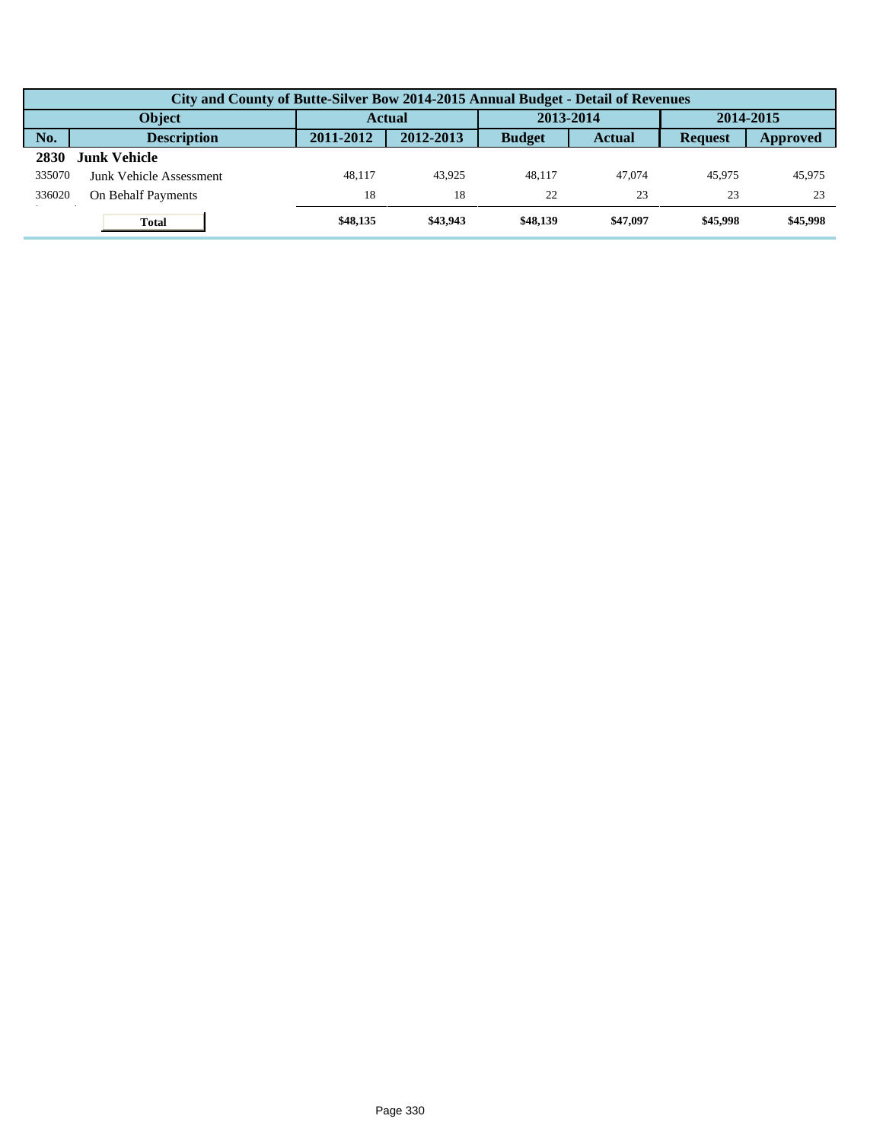|        | City and County of Butte-Silver Bow 2014-2015 Annual Budget - Detail of Revenues |           |           |               |               |                |          |  |  |  |
|--------|----------------------------------------------------------------------------------|-----------|-----------|---------------|---------------|----------------|----------|--|--|--|
|        | <b>Object</b>                                                                    | Actual    |           | 2013-2014     |               | 2014-2015      |          |  |  |  |
| No.    | <b>Description</b>                                                               | 2011-2012 | 2012-2013 | <b>Budget</b> | <b>Actual</b> | <b>Request</b> | Approved |  |  |  |
| 2830   | <b>Junk Vehicle</b>                                                              |           |           |               |               |                |          |  |  |  |
| 335070 | Junk Vehicle Assessment                                                          | 48.117    | 43.925    | 48.117        | 47,074        | 45,975         | 45,975   |  |  |  |
| 336020 | On Behalf Payments                                                               | 18        | 18        | 22            | 23            | 23             | 23       |  |  |  |
|        | <b>Total</b>                                                                     | \$48,135  | \$43,943  | \$48,139      | \$47,097      | \$45,998       | \$45,998 |  |  |  |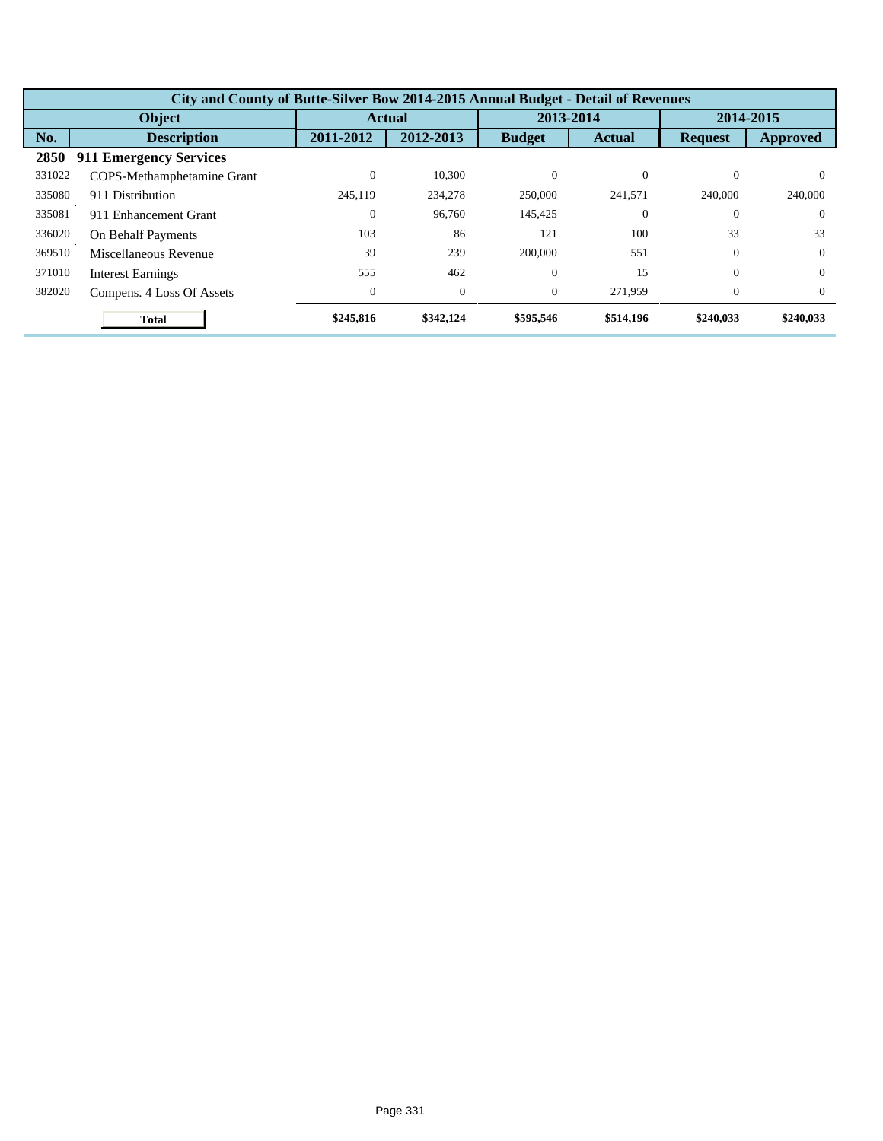|        | City and County of Butte-Silver Bow 2014-2015 Annual Budget - Detail of Revenues |                  |              |                |               |                |           |  |  |  |
|--------|----------------------------------------------------------------------------------|------------------|--------------|----------------|---------------|----------------|-----------|--|--|--|
|        | <b>Object</b>                                                                    |                  | Actual       | 2013-2014      |               | 2014-2015      |           |  |  |  |
| No.    | <b>Description</b>                                                               | 2011-2012        | 2012-2013    | <b>Budget</b>  | <b>Actual</b> | <b>Request</b> | Approved  |  |  |  |
| 2850   | <b>911 Emergency Services</b>                                                    |                  |              |                |               |                |           |  |  |  |
| 331022 | COPS-Methamphetamine Grant                                                       | $\boldsymbol{0}$ | 10,300       | $\Omega$       | $\theta$      | $\Omega$       | $\Omega$  |  |  |  |
| 335080 | 911 Distribution                                                                 | 245,119          | 234,278      | 250,000        | 241,571       | 240,000        | 240,000   |  |  |  |
| 335081 | 911 Enhancement Grant                                                            | $\boldsymbol{0}$ | 96,760       | 145,425        | $\theta$      | $\Omega$       | $\Omega$  |  |  |  |
| 336020 | On Behalf Payments                                                               | 103              | 86           | 121            | 100           | 33             | 33        |  |  |  |
| 369510 | Miscellaneous Revenue                                                            | 39               | 239          | 200,000        | 551           | $\Omega$       | $\Omega$  |  |  |  |
| 371010 | <b>Interest Earnings</b>                                                         | 555              | 462          | $\overline{0}$ | 15            | $\Omega$       | $\Omega$  |  |  |  |
| 382020 | Compens. 4 Loss Of Assets                                                        | $\boldsymbol{0}$ | $\mathbf{0}$ | $\overline{0}$ | 271,959       | $\Omega$       | $\Omega$  |  |  |  |
|        | <b>Total</b>                                                                     | \$245,816        | \$342,124    | \$595,546      | \$514,196     | \$240,033      | \$240,033 |  |  |  |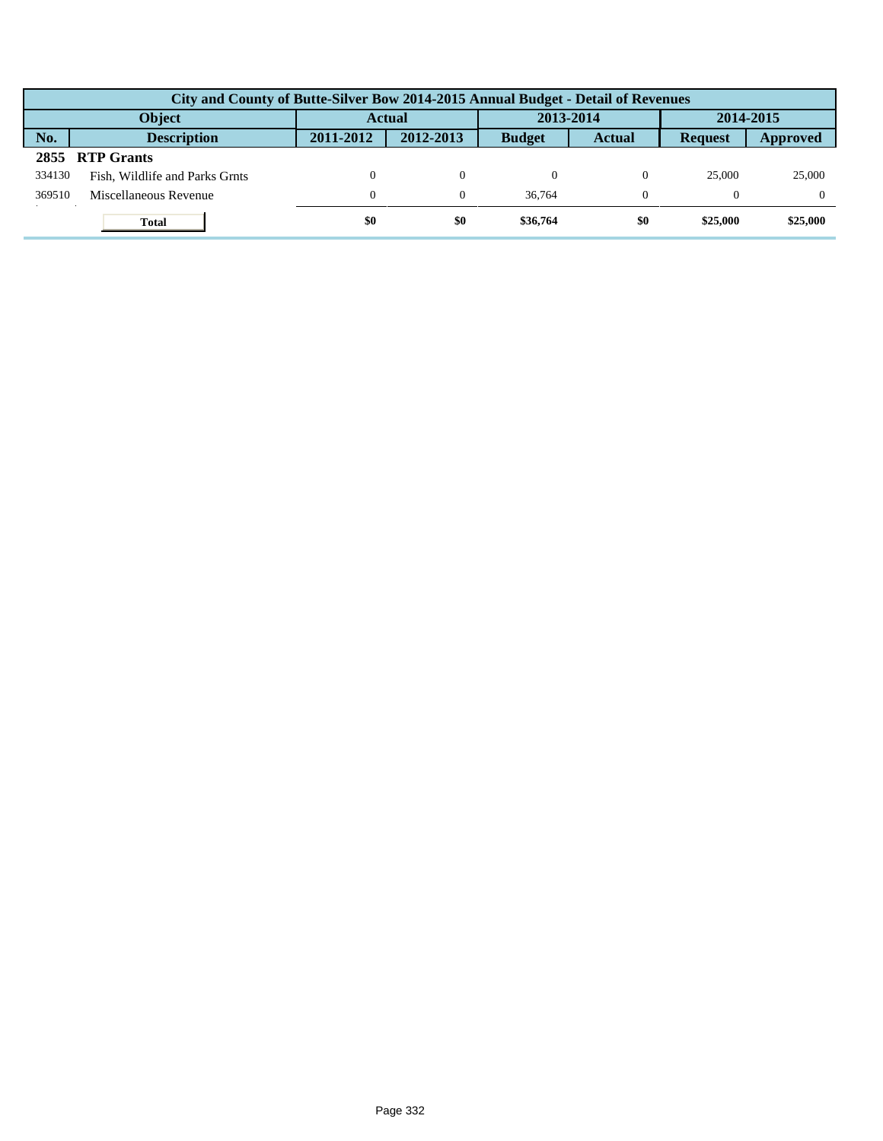|        | City and County of Butte-Silver Bow 2014-2015 Annual Budget - Detail of Revenues |               |                |               |               |                |          |  |  |  |
|--------|----------------------------------------------------------------------------------|---------------|----------------|---------------|---------------|----------------|----------|--|--|--|
|        | Object                                                                           | <b>Actual</b> |                | 2013-2014     |               | 2014-2015      |          |  |  |  |
| No.    | <b>Description</b>                                                               | 2011-2012     | 2012-2013      | <b>Budget</b> | <b>Actual</b> | <b>Request</b> | Approved |  |  |  |
|        | 2855 RTP Grants                                                                  |               |                |               |               |                |          |  |  |  |
| 334130 | Fish, Wildlife and Parks Grnts                                                   |               | $\Omega$       |               |               | 25,000         | 25,000   |  |  |  |
| 369510 | Miscellaneous Revenue                                                            | $\mathbf{0}$  | $\overline{0}$ | 36,764        |               |                |          |  |  |  |
|        | <b>Total</b>                                                                     | \$0           | \$0            | \$36,764      | \$0           | \$25,000       | \$25,000 |  |  |  |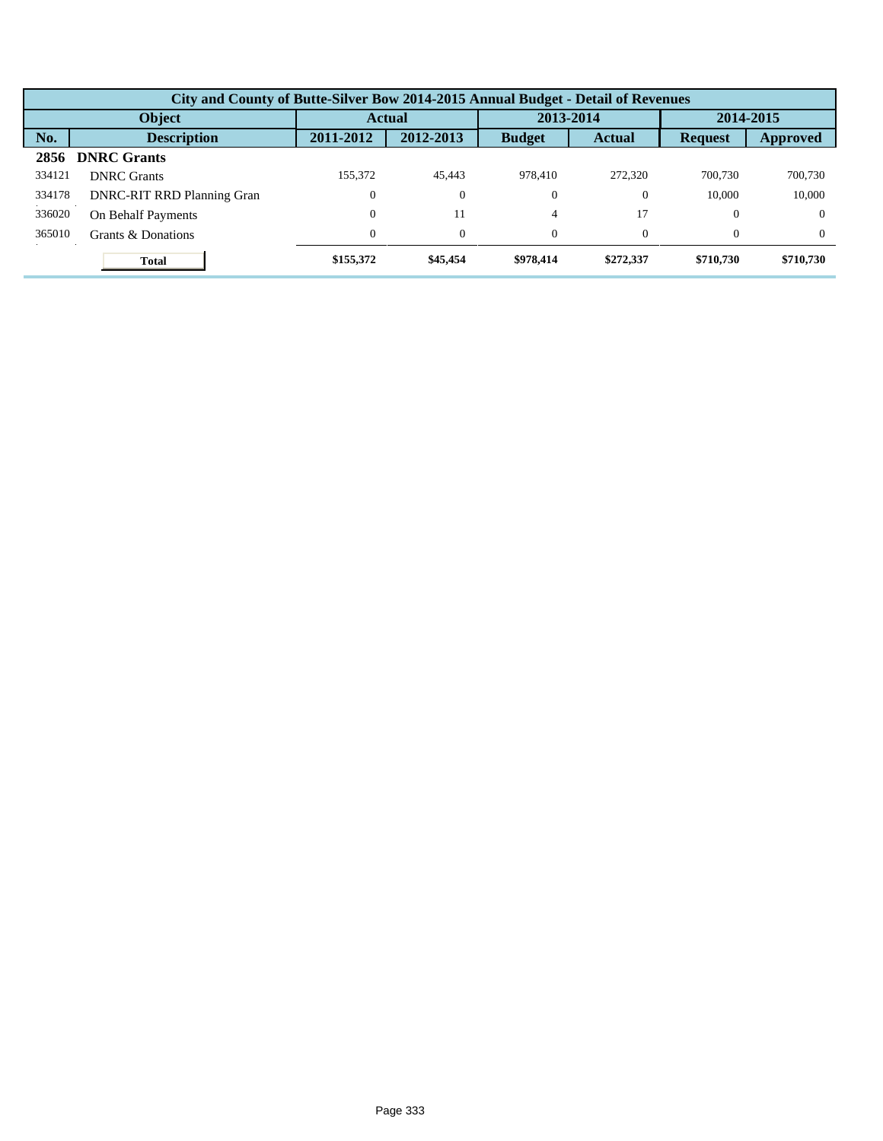|        | City and County of Butte-Silver Bow 2014-2015 Annual Budget - Detail of Revenues |                  |               |                |               |                |           |  |  |  |
|--------|----------------------------------------------------------------------------------|------------------|---------------|----------------|---------------|----------------|-----------|--|--|--|
|        | Object                                                                           |                  | <b>Actual</b> |                | 2013-2014     |                | 2014-2015 |  |  |  |
| No.    | <b>Description</b>                                                               | 2011-2012        | 2012-2013     | <b>Budget</b>  | <b>Actual</b> | <b>Request</b> | Approved  |  |  |  |
| 2856   | <b>DNRC Grants</b>                                                               |                  |               |                |               |                |           |  |  |  |
| 334121 | <b>DNRC</b> Grants                                                               | 155.372          | 45.443        | 978,410        | 272,320       | 700,730        | 700,730   |  |  |  |
| 334178 | <b>DNRC-RIT RRD Planning Gran</b>                                                | $\mathbf{0}$     | $\theta$      | $\theta$       | $\theta$      | 10.000         | 10,000    |  |  |  |
| 336020 | On Behalf Payments                                                               | $\boldsymbol{0}$ | 11            | $\overline{4}$ | 17            | $\theta$       | $\Omega$  |  |  |  |
| 365010 | Grants & Donations                                                               | $\overline{0}$   | $\theta$      | $\Omega$       | 0             | $\Omega$       | $\Omega$  |  |  |  |
|        | <b>Total</b>                                                                     | \$155,372        | \$45,454      | \$978,414      | \$272,337     | \$710,730      | \$710,730 |  |  |  |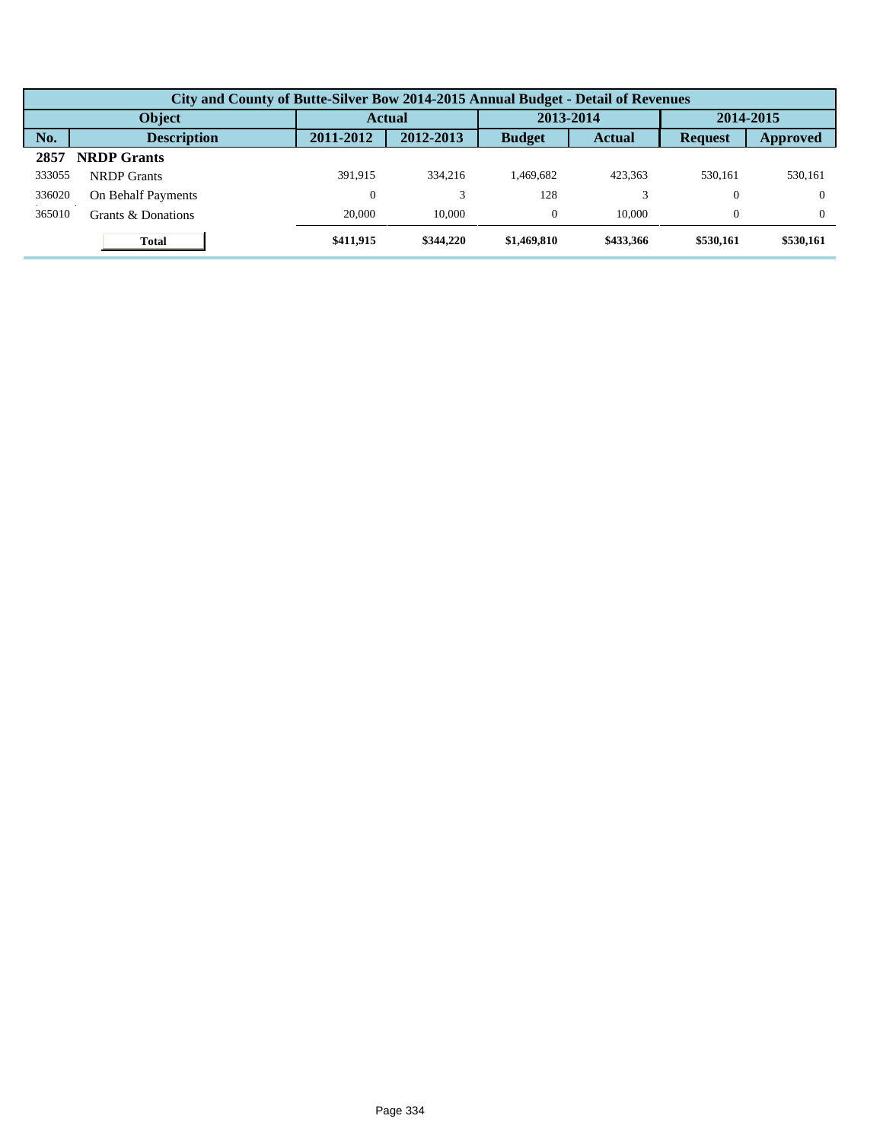|        | City and County of Butte-Silver Bow 2014-2015 Annual Budget - Detail of Revenues |           |               |               |               |                |           |  |  |  |  |
|--------|----------------------------------------------------------------------------------|-----------|---------------|---------------|---------------|----------------|-----------|--|--|--|--|
|        | Object                                                                           |           | <b>Actual</b> |               | 2013-2014     |                | 2014-2015 |  |  |  |  |
| No.    | <b>Description</b>                                                               | 2011-2012 | 2012-2013     | <b>Budget</b> | <b>Actual</b> | <b>Request</b> | Approved  |  |  |  |  |
| 2857   | <b>NRDP</b> Grants                                                               |           |               |               |               |                |           |  |  |  |  |
| 333055 | <b>NRDP</b> Grants                                                               | 391.915   | 334,216       | 1.469.682     | 423.363       | 530,161        | 530,161   |  |  |  |  |
| 336020 | <b>On Behalf Payments</b>                                                        | 0         |               | 128           |               | 0              | $\Omega$  |  |  |  |  |
| 365010 | Grants & Donations                                                               | 20,000    | 10,000        | $\theta$      | 10,000        | $\theta$       | $\Omega$  |  |  |  |  |
|        | <b>Total</b>                                                                     | \$411,915 | \$344,220     | \$1,469,810   | \$433,366     | \$530,161      | \$530,161 |  |  |  |  |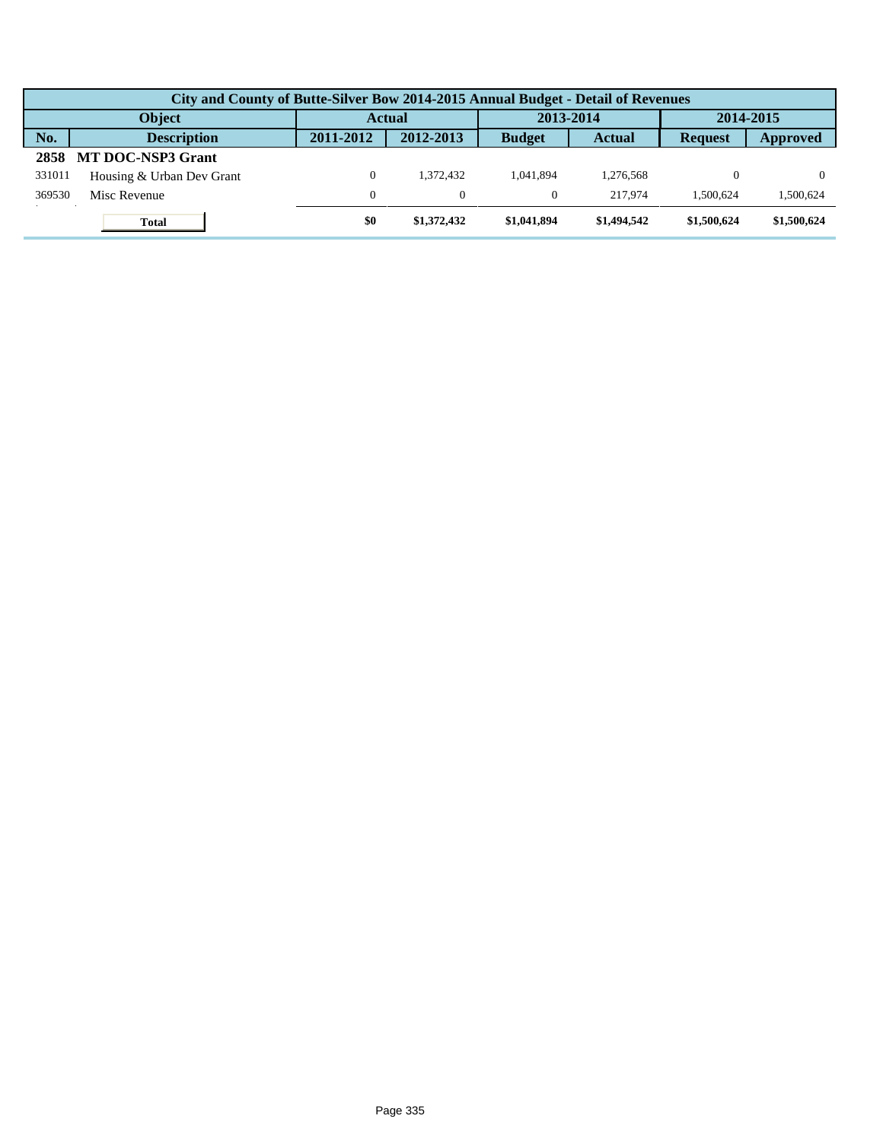|        | City and County of Butte-Silver Bow 2014-2015 Annual Budget - Detail of Revenues |               |             |               |               |                |                 |  |  |  |
|--------|----------------------------------------------------------------------------------|---------------|-------------|---------------|---------------|----------------|-----------------|--|--|--|
|        | <b>Object</b>                                                                    | <b>Actual</b> |             | 2013-2014     |               | 2014-2015      |                 |  |  |  |
| No.    | <b>Description</b>                                                               | 2011-2012     | 2012-2013   | <b>Budget</b> | <b>Actual</b> | <b>Request</b> | <b>Approved</b> |  |  |  |
| 2858   | <b>MT DOC-NSP3 Grant</b>                                                         |               |             |               |               |                |                 |  |  |  |
| 331011 | Housing & Urban Dev Grant                                                        | $\mathbf{0}$  | 1.372.432   | 1.041.894     | 1.276.568     |                |                 |  |  |  |
| 369530 | Misc Revenue                                                                     | $\mathbf{0}$  | $\Omega$    |               | 217.974       | 1.500.624      | .500,624        |  |  |  |
|        | <b>Total</b>                                                                     | \$0           | \$1,372,432 | \$1,041,894   | \$1,494,542   | \$1,500,624    | \$1,500,624     |  |  |  |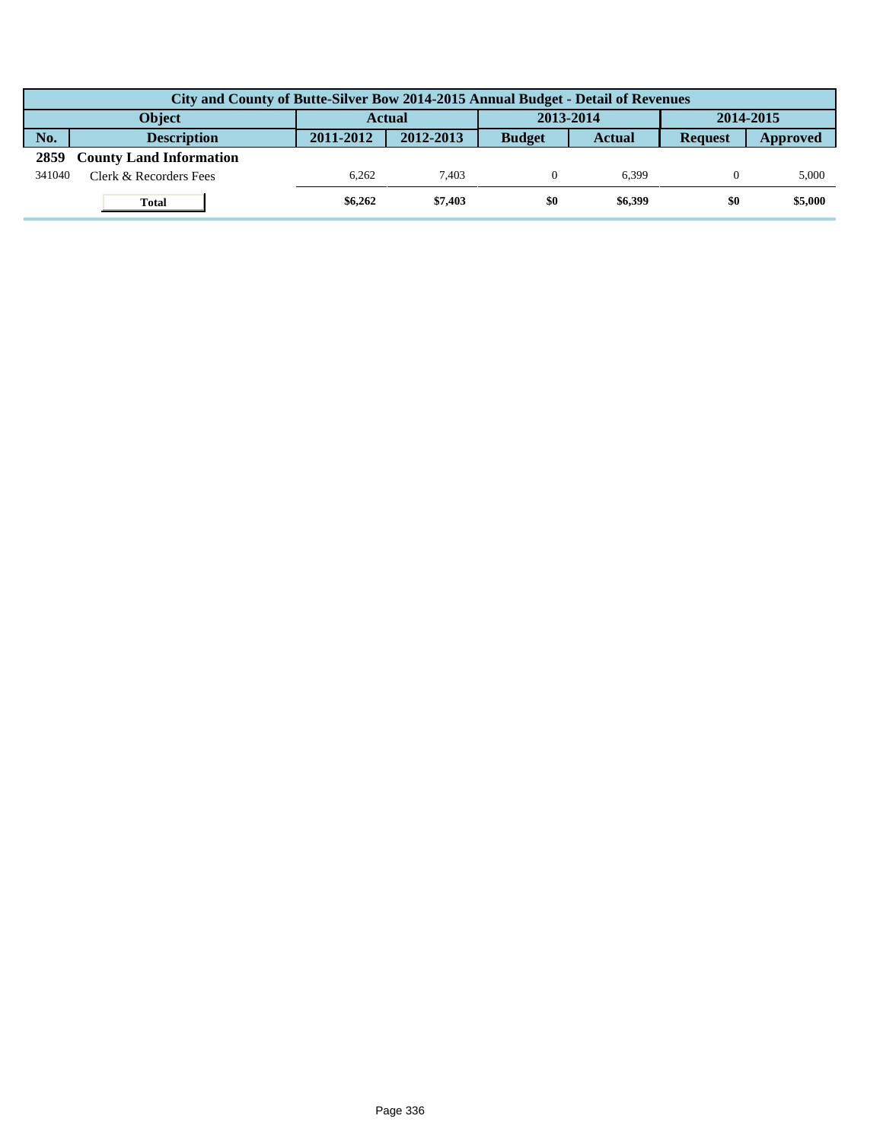|        | City and County of Butte-Silver Bow 2014-2015 Annual Budget - Detail of Revenues |               |           |               |               |                |          |  |  |  |  |
|--------|----------------------------------------------------------------------------------|---------------|-----------|---------------|---------------|----------------|----------|--|--|--|--|
|        | Object                                                                           | <b>Actual</b> |           | 2013-2014     |               | 2014-2015      |          |  |  |  |  |
| No.    | <b>Description</b>                                                               | 2011-2012     | 2012-2013 | <b>Budget</b> | <b>Actual</b> | <b>Request</b> | Approved |  |  |  |  |
| 2859   | <b>County Land Information</b>                                                   |               |           |               |               |                |          |  |  |  |  |
| 341040 | Clerk & Recorders Fees                                                           | 6.262         | 7.403     |               | 6.399         |                | 5,000    |  |  |  |  |
|        | <b>Total</b>                                                                     | \$6,262       | \$7,403   | \$0           | \$6,399       | \$0            | \$5,000  |  |  |  |  |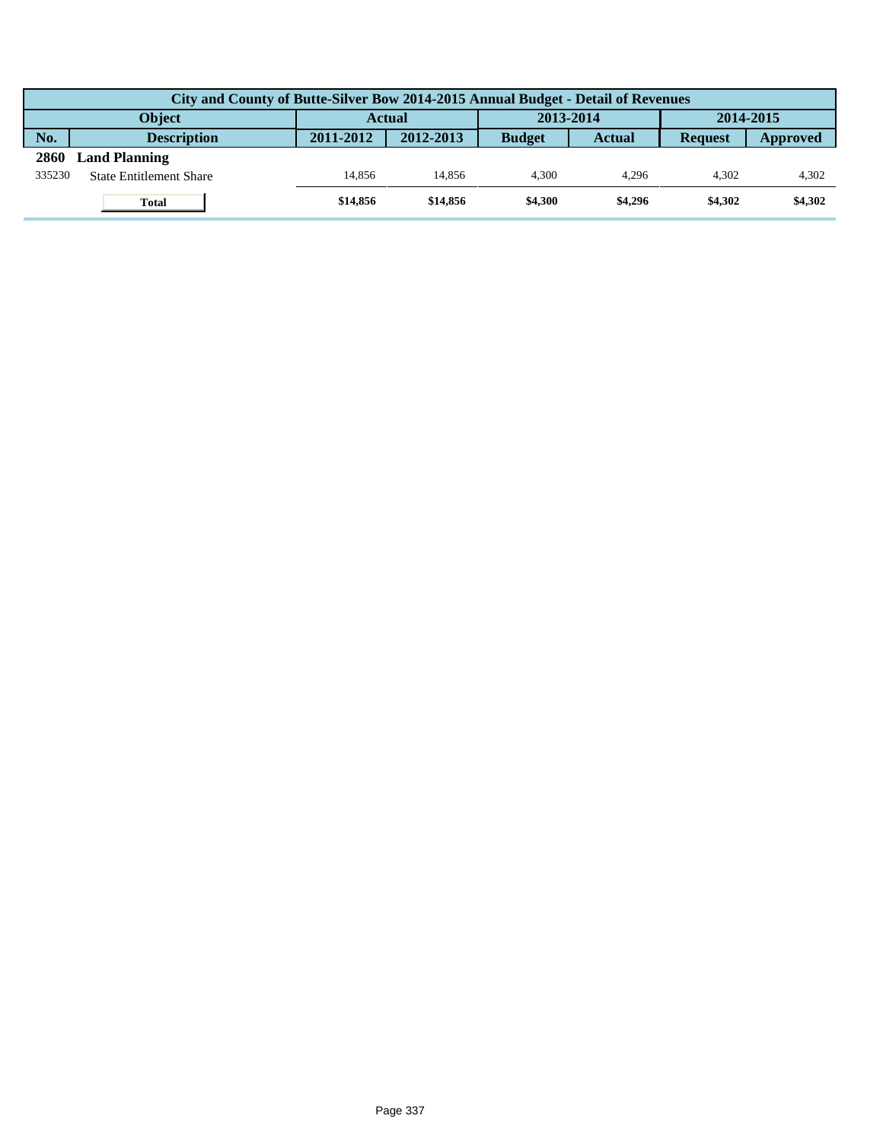|        | City and County of Butte-Silver Bow 2014-2015 Annual Budget - Detail of Revenues |               |           |               |               |                |          |  |  |  |  |
|--------|----------------------------------------------------------------------------------|---------------|-----------|---------------|---------------|----------------|----------|--|--|--|--|
|        | Object                                                                           | <b>Actual</b> |           | 2013-2014     |               | 2014-2015      |          |  |  |  |  |
| No.    | <b>Description</b>                                                               | 2011-2012     | 2012-2013 | <b>Budget</b> | <b>Actual</b> | <b>Request</b> | Approved |  |  |  |  |
| 2860   | <b>Land Planning</b>                                                             |               |           |               |               |                |          |  |  |  |  |
| 335230 | <b>State Entitlement Share</b>                                                   | 14.856        | 14.856    | 4.300         | 4.296         | 4.302          | 4,302    |  |  |  |  |
|        | <b>Total</b>                                                                     | \$14,856      | \$14,856  | \$4,300       | \$4,296       | \$4,302        | \$4,302  |  |  |  |  |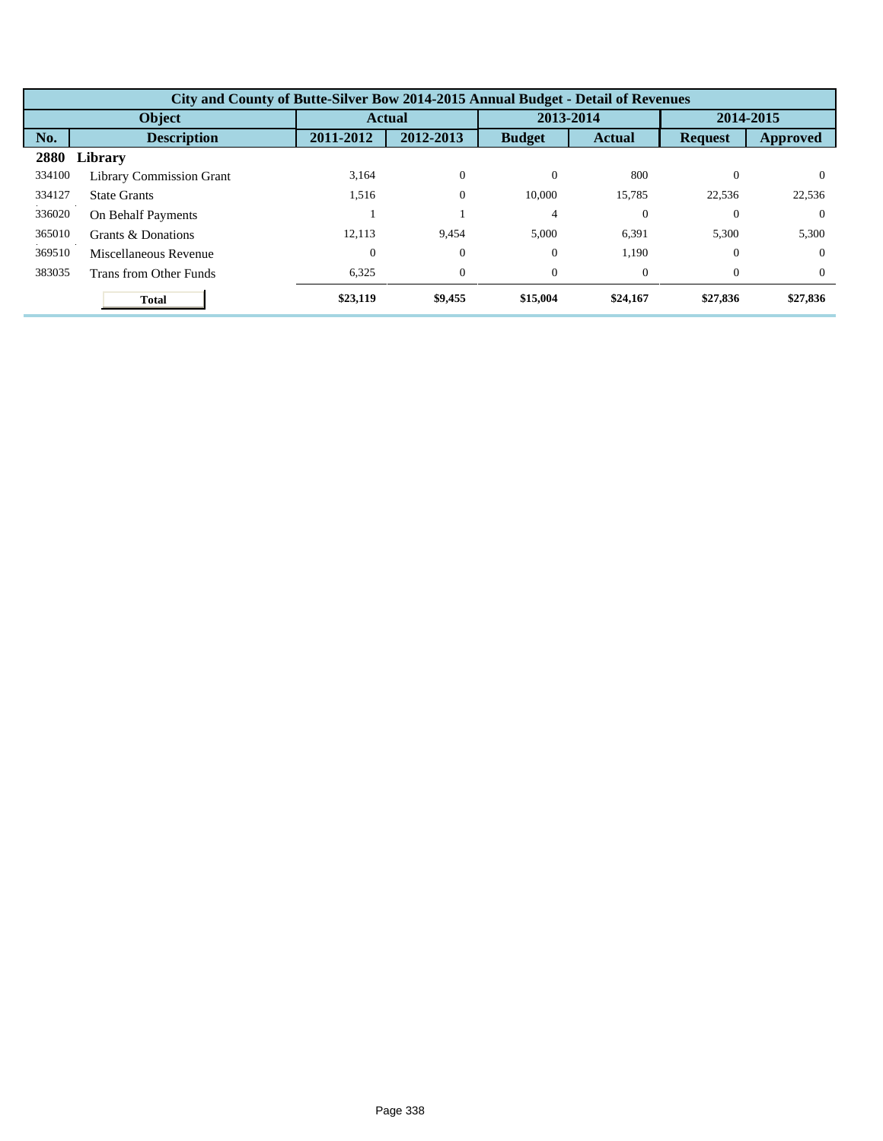|        | City and County of Butte-Silver Bow 2014-2015 Annual Budget - Detail of Revenues |                  |                |                |                |                |          |  |  |  |  |
|--------|----------------------------------------------------------------------------------|------------------|----------------|----------------|----------------|----------------|----------|--|--|--|--|
|        | <b>Object</b>                                                                    |                  | Actual         | 2013-2014      |                | 2014-2015      |          |  |  |  |  |
| No.    | <b>Description</b>                                                               | 2011-2012        | 2012-2013      | <b>Budget</b>  | <b>Actual</b>  | <b>Request</b> | Approved |  |  |  |  |
| 2880   | Library                                                                          |                  |                |                |                |                |          |  |  |  |  |
| 334100 | <b>Library Commission Grant</b>                                                  | 3,164            | $\mathbf{0}$   | $\theta$       | 800            | $\Omega$       | $\Omega$ |  |  |  |  |
| 334127 | <b>State Grants</b>                                                              | 1,516            | $\overline{0}$ | 10,000         | 15,785         | 22,536         | 22,536   |  |  |  |  |
| 336020 | On Behalf Payments                                                               |                  |                | $\overline{4}$ | $\Omega$       | $\Omega$       | $\Omega$ |  |  |  |  |
| 365010 | Grants & Donations                                                               | 12.113           | 9.454          | 5.000          | 6,391          | 5,300          | 5,300    |  |  |  |  |
| 369510 | Miscellaneous Revenue                                                            | $\boldsymbol{0}$ | $\theta$       | $\theta$       | 1,190          | $\theta$       | $\Omega$ |  |  |  |  |
| 383035 | Trans from Other Funds                                                           | 6,325            | $\mathbf{0}$   | $\overline{0}$ | $\overline{0}$ | $\theta$       | $\Omega$ |  |  |  |  |
|        | <b>Total</b>                                                                     | \$23,119         | \$9,455        | \$15,004       | \$24,167       | \$27,836       | \$27,836 |  |  |  |  |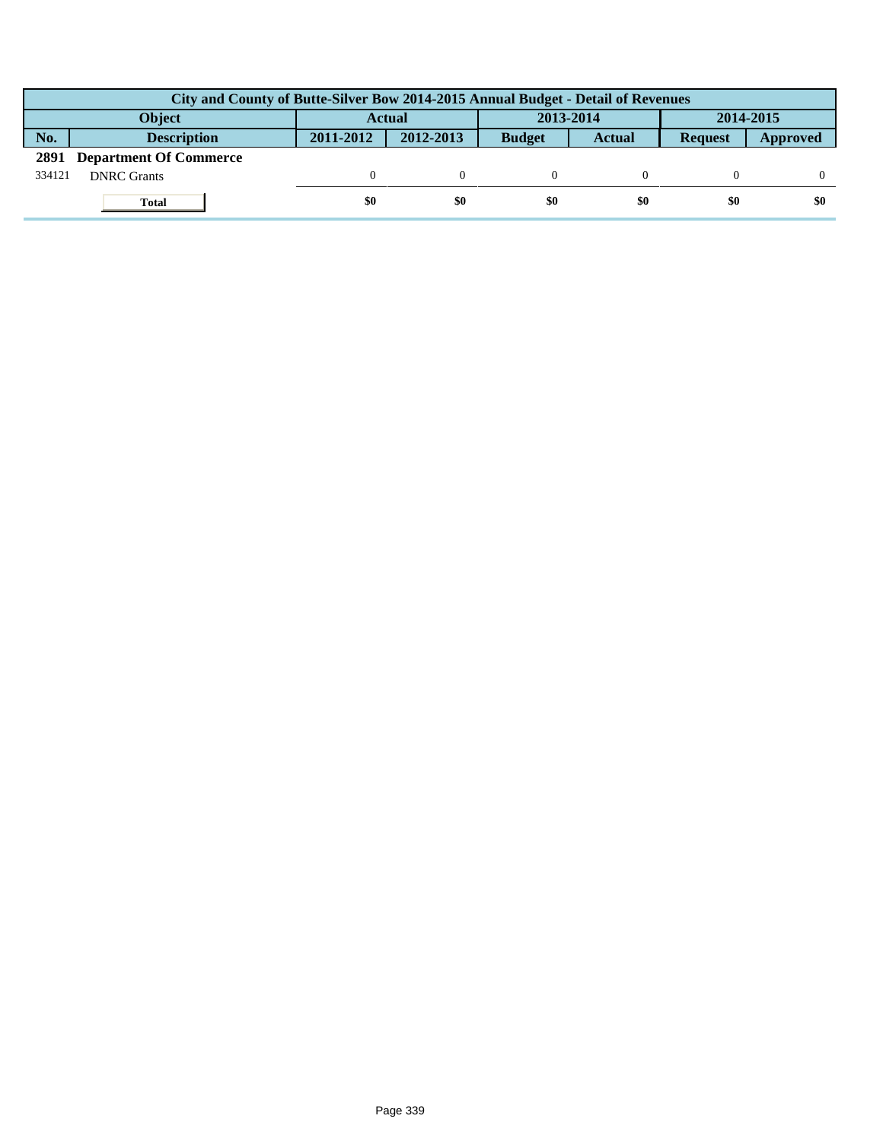|        | City and County of Butte-Silver Bow 2014-2015 Annual Budget - Detail of Revenues |               |           |               |        |                |          |  |  |  |
|--------|----------------------------------------------------------------------------------|---------------|-----------|---------------|--------|----------------|----------|--|--|--|
|        | <b>Object</b>                                                                    | <b>Actual</b> |           | 2013-2014     |        | 2014-2015      |          |  |  |  |
| No.    | <b>Description</b>                                                               | 2011-2012     | 2012-2013 | <b>Budget</b> | Actual | <b>Request</b> | Approved |  |  |  |
| 2891   | <b>Department Of Commerce</b>                                                    |               |           |               |        |                |          |  |  |  |
| 334121 | <b>DNRC</b> Grants                                                               |               |           |               |        |                |          |  |  |  |
|        | <b>Total</b>                                                                     | \$0           | \$0       | \$0           | \$0    | \$0            | \$0      |  |  |  |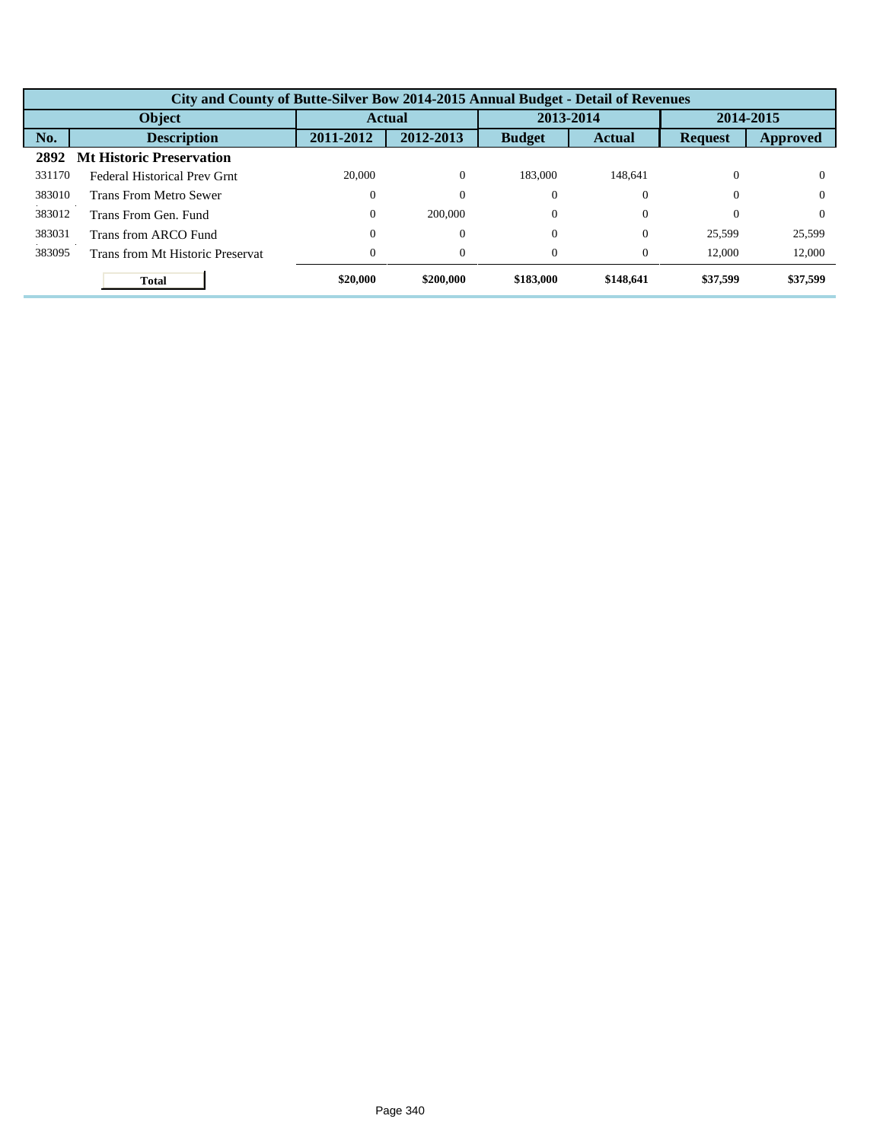|        | City and County of Butte-Silver Bow 2014-2015 Annual Budget - Detail of Revenues |                  |           |               |               |                |          |  |  |  |
|--------|----------------------------------------------------------------------------------|------------------|-----------|---------------|---------------|----------------|----------|--|--|--|
|        | Object                                                                           | <b>Actual</b>    |           | 2013-2014     |               | 2014-2015      |          |  |  |  |
| No.    | <b>Description</b>                                                               | 2011-2012        | 2012-2013 | <b>Budget</b> | <b>Actual</b> | <b>Request</b> | Approved |  |  |  |
| 2892   | <b>Mt Historic Preservation</b>                                                  |                  |           |               |               |                |          |  |  |  |
| 331170 | Federal Historical Prev Grnt                                                     | 20,000           | $\Omega$  | 183,000       | 148,641       | 0              | $\Omega$ |  |  |  |
| 383010 | <b>Trans From Metro Sewer</b>                                                    |                  | C         | $\Omega$      | 0             | $\Omega$       | $\Omega$ |  |  |  |
| 383012 | Trans From Gen. Fund                                                             | $\boldsymbol{0}$ | 200,000   | $\Omega$      | 0             | 0              | $\Omega$ |  |  |  |
| 383031 | Trans from ARCO Fund                                                             |                  | C         | $\Omega$      | 0             | 25,599         | 25,599   |  |  |  |
| 383095 | Trans from Mt Historic Preservat                                                 |                  | $\Omega$  | $\Omega$      | $\Omega$      | 12,000         | 12,000   |  |  |  |
|        | <b>Total</b>                                                                     | \$20,000         | \$200,000 | \$183,000     | \$148,641     | \$37,599       | \$37,599 |  |  |  |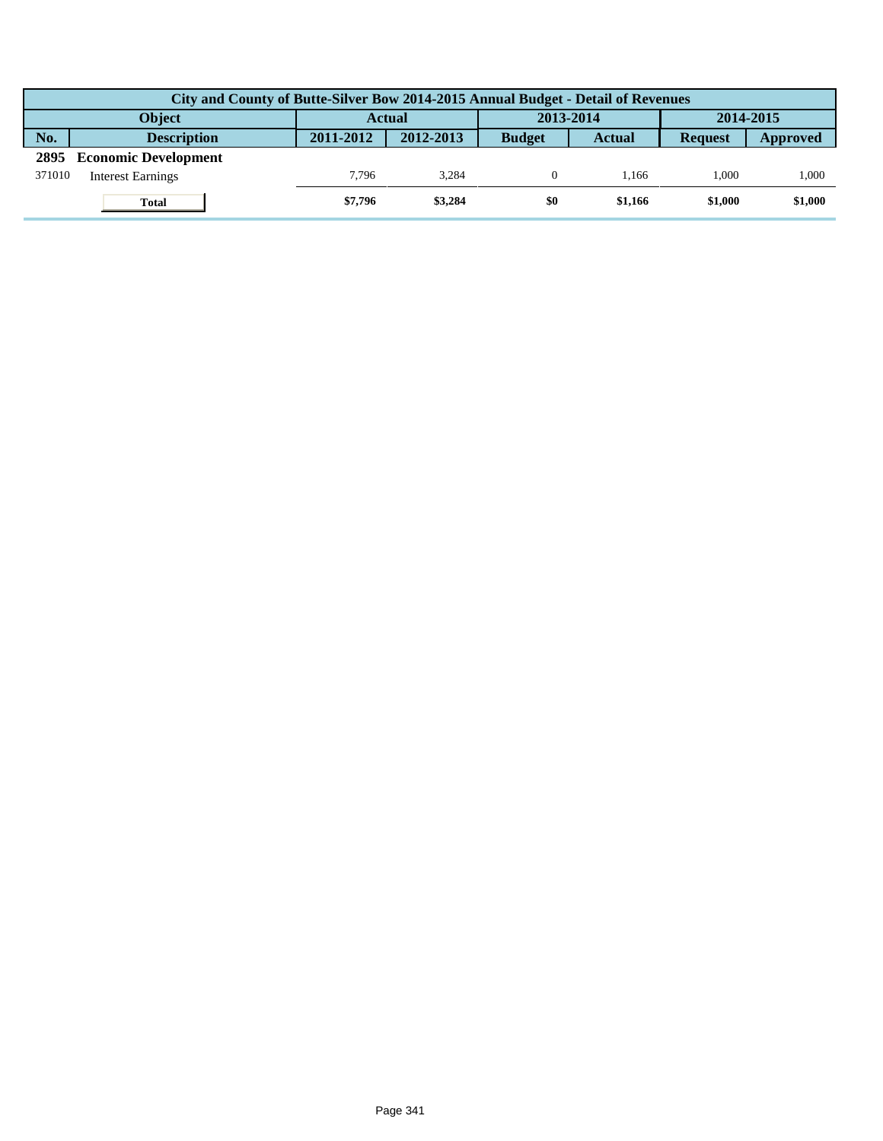|        | City and County of Butte-Silver Bow 2014-2015 Annual Budget - Detail of Revenues |               |           |               |           |                |           |  |  |  |  |
|--------|----------------------------------------------------------------------------------|---------------|-----------|---------------|-----------|----------------|-----------|--|--|--|--|
|        | Object                                                                           | <b>Actual</b> |           |               | 2013-2014 |                | 2014-2015 |  |  |  |  |
| No.    | <b>Description</b>                                                               | 2011-2012     | 2012-2013 | <b>Budget</b> | Actual    | <b>Request</b> | Approved  |  |  |  |  |
| 2895   | <b>Economic Development</b>                                                      |               |           |               |           |                |           |  |  |  |  |
| 371010 | <b>Interest Earnings</b>                                                         | 7.796         | 3.284     |               | 1.166     | 1.000          | 1,000     |  |  |  |  |
|        | <b>Total</b>                                                                     | \$7,796       | \$3,284   | \$0           | \$1,166   | \$1.000        | \$1,000   |  |  |  |  |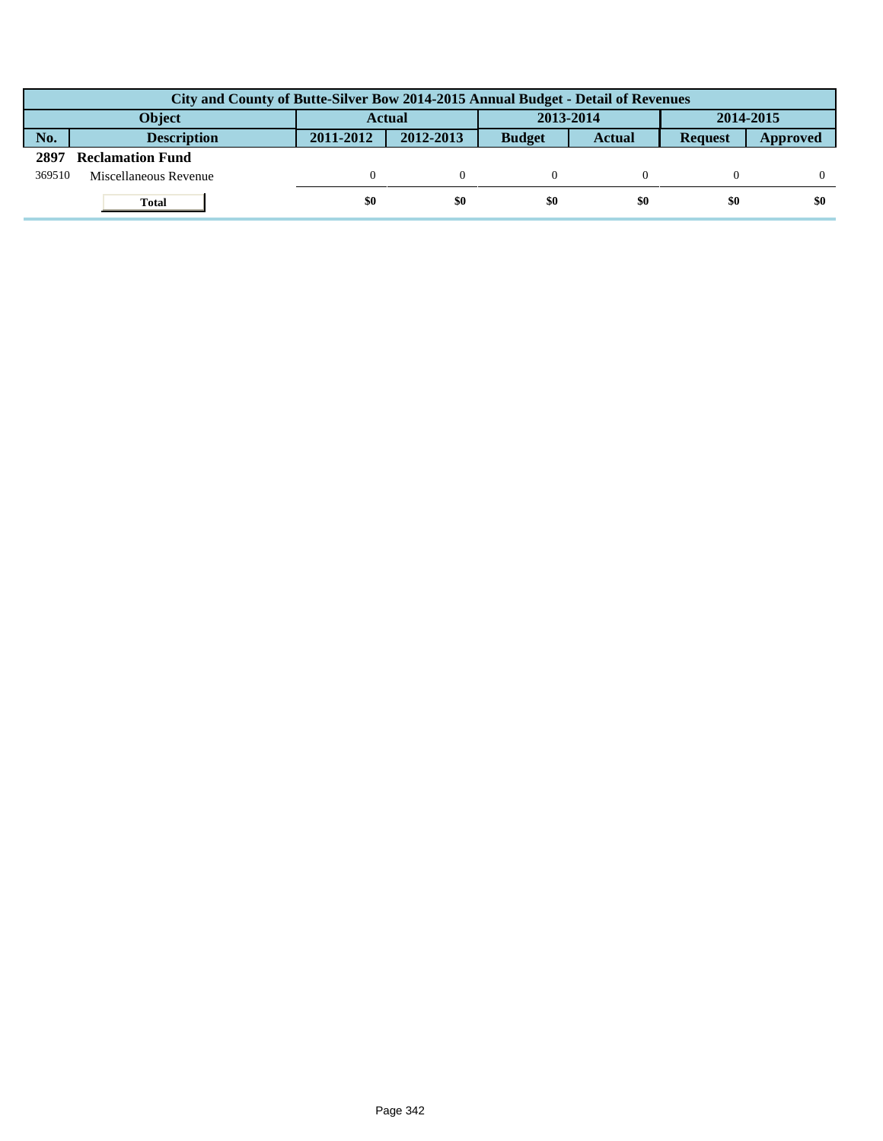|        | City and County of Butte-Silver Bow 2014-2015 Annual Budget - Detail of Revenues |               |           |               |               |                |          |  |  |  |
|--------|----------------------------------------------------------------------------------|---------------|-----------|---------------|---------------|----------------|----------|--|--|--|
|        | <b>Object</b>                                                                    | <b>Actual</b> |           | 2013-2014     |               | 2014-2015      |          |  |  |  |
| No.    | <b>Description</b>                                                               | 2011-2012     | 2012-2013 | <b>Budget</b> | <b>Actual</b> | <b>Request</b> | Approved |  |  |  |
| 2897   | <b>Reclamation Fund</b>                                                          |               |           |               |               |                |          |  |  |  |
| 369510 | Miscellaneous Revenue                                                            |               |           |               |               |                |          |  |  |  |
|        | Total                                                                            | \$0           | \$0       | \$0           | \$0           | \$0            | \$0      |  |  |  |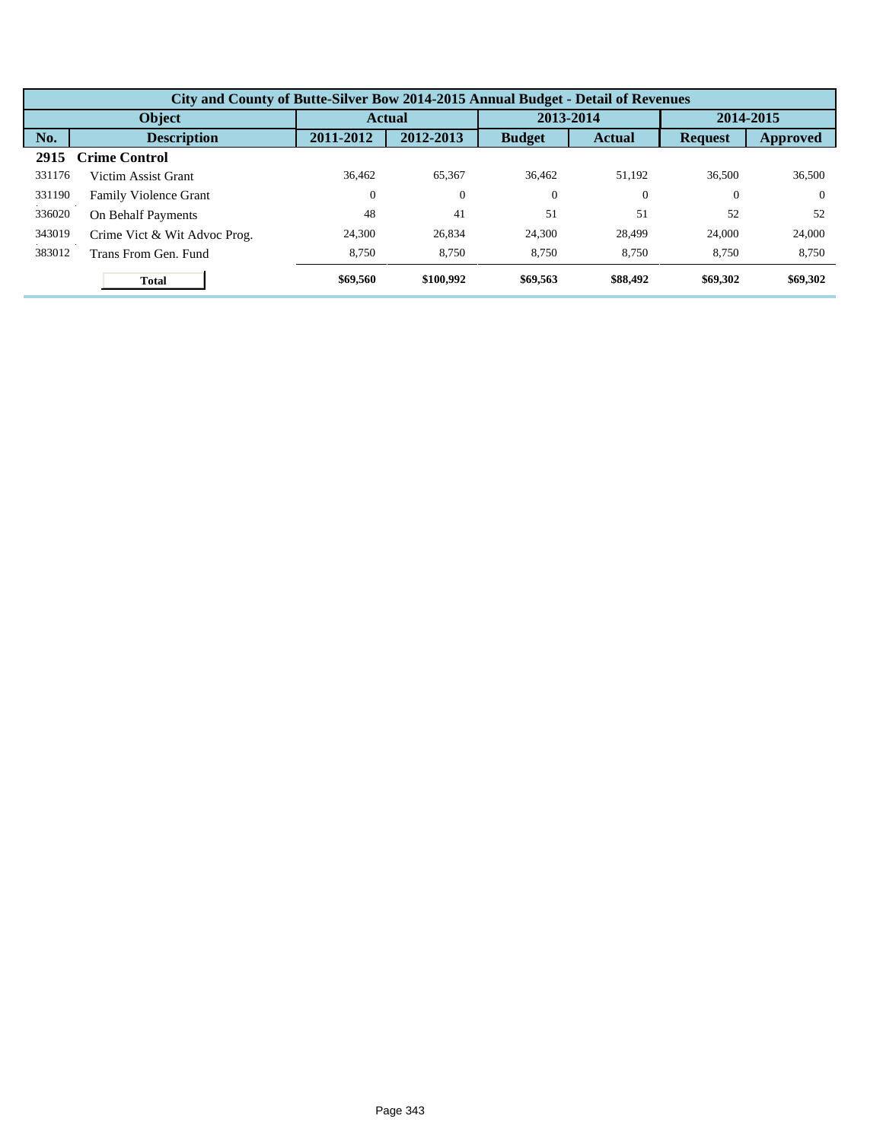|        | City and County of Butte-Silver Bow 2014-2015 Annual Budget - Detail of Revenues |                  |                |               |                |                |          |  |  |  |
|--------|----------------------------------------------------------------------------------|------------------|----------------|---------------|----------------|----------------|----------|--|--|--|
|        | Object                                                                           | <b>Actual</b>    |                | 2013-2014     |                | 2014-2015      |          |  |  |  |
| No.    | <b>Description</b>                                                               | 2011-2012        | 2012-2013      | <b>Budget</b> | <b>Actual</b>  | <b>Request</b> | Approved |  |  |  |
| 2915   | <b>Crime Control</b>                                                             |                  |                |               |                |                |          |  |  |  |
| 331176 | Victim Assist Grant                                                              | 36.462           | 65,367         | 36,462        | 51,192         | 36.500         | 36,500   |  |  |  |
| 331190 | <b>Family Violence Grant</b>                                                     | $\boldsymbol{0}$ | $\overline{0}$ | $\theta$      | $\overline{0}$ | $\theta$       | $\Omega$ |  |  |  |
| 336020 | On Behalf Payments                                                               | 48               | 41             | 51            | 51             | 52             | 52       |  |  |  |
| 343019 | Crime Vict & Wit Advoc Prog.                                                     | 24,300           | 26,834         | 24,300        | 28,499         | 24,000         | 24,000   |  |  |  |
| 383012 | Trans From Gen. Fund                                                             | 8,750            | 8,750          | 8.750         | 8,750          | 8,750          | 8,750    |  |  |  |
|        | <b>Total</b>                                                                     | \$69,560         | \$100,992      | \$69,563      | \$88,492       | \$69,302       | \$69,302 |  |  |  |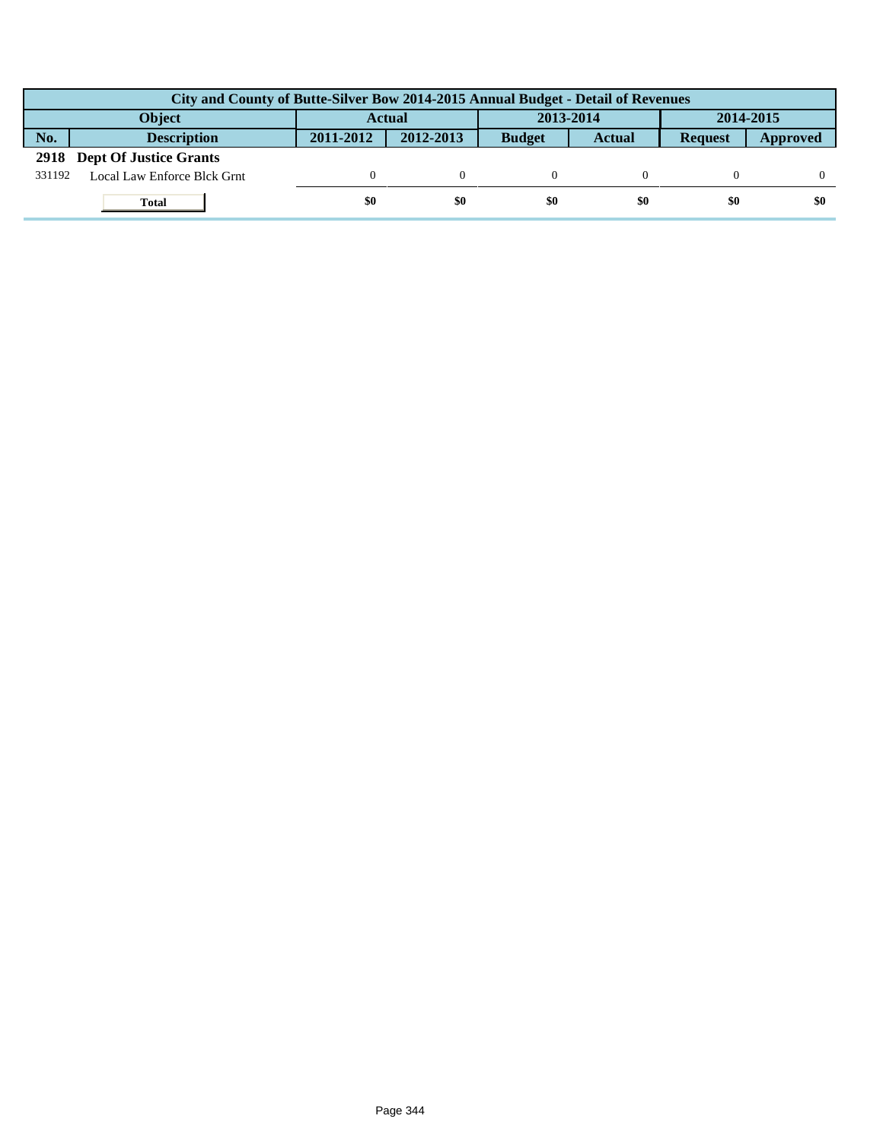|        | City and County of Butte-Silver Bow 2014-2015 Annual Budget - Detail of Revenues |                            |           |               |               |                |          |  |  |  |  |
|--------|----------------------------------------------------------------------------------|----------------------------|-----------|---------------|---------------|----------------|----------|--|--|--|--|
|        | <b>Object</b>                                                                    | 2013-2014<br><b>Actual</b> |           | 2014-2015     |               |                |          |  |  |  |  |
| No.    | <b>Description</b>                                                               | 2011-2012                  | 2012-2013 | <b>Budget</b> | <b>Actual</b> | <b>Request</b> | Approved |  |  |  |  |
|        | 2918 Dept Of Justice Grants                                                      |                            |           |               |               |                |          |  |  |  |  |
| 331192 | Local Law Enforce Blck Grnt                                                      |                            |           |               |               |                |          |  |  |  |  |
|        | <b>Total</b>                                                                     | \$0                        | \$0       | \$0           | \$0           | \$0            | \$0      |  |  |  |  |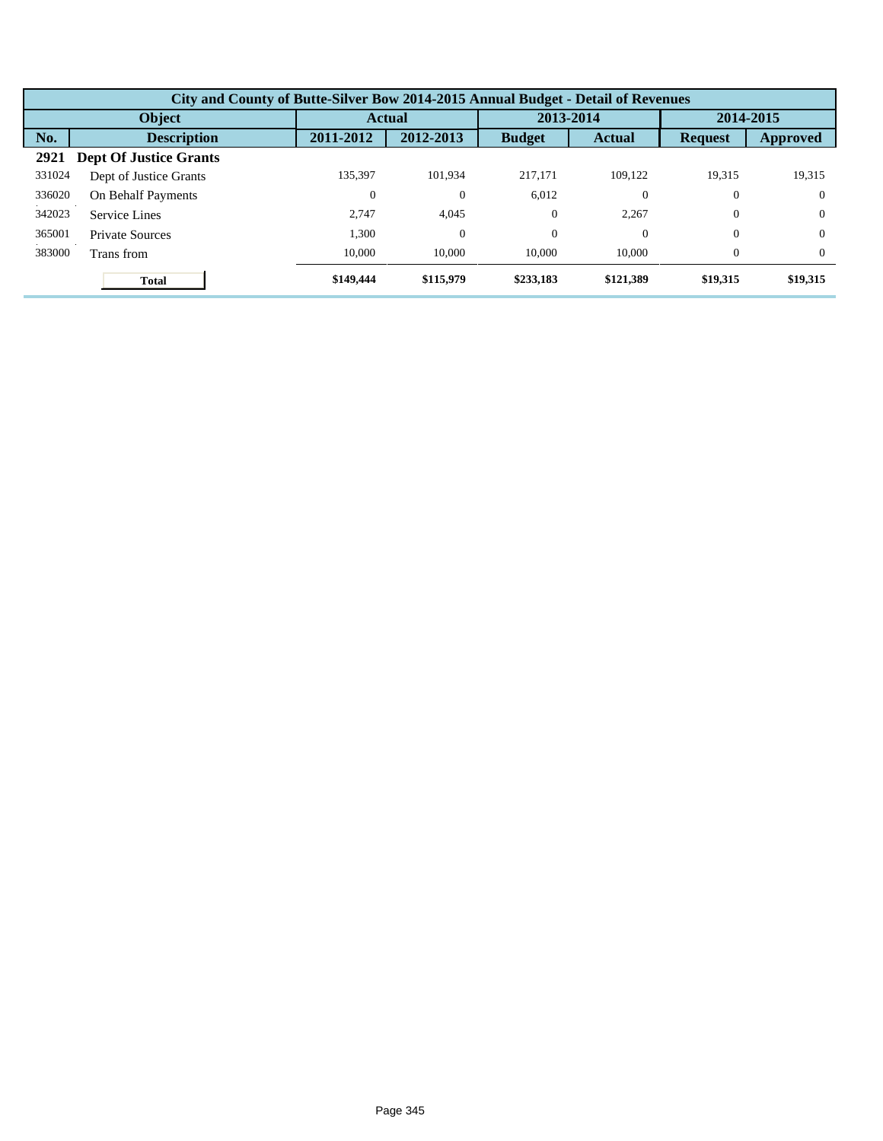|        | City and County of Butte-Silver Bow 2014-2015 Annual Budget - Detail of Revenues |                  |               |               |               |                |           |  |  |  |
|--------|----------------------------------------------------------------------------------|------------------|---------------|---------------|---------------|----------------|-----------|--|--|--|
|        | Object                                                                           |                  | <b>Actual</b> |               | 2013-2014     |                | 2014-2015 |  |  |  |
| No.    | <b>Description</b>                                                               | 2011-2012        | 2012-2013     | <b>Budget</b> | <b>Actual</b> | <b>Request</b> | Approved  |  |  |  |
| 2921   | <b>Dept Of Justice Grants</b>                                                    |                  |               |               |               |                |           |  |  |  |
| 331024 | Dept of Justice Grants                                                           | 135.397          | 101.934       | 217,171       | 109.122       | 19.315         | 19,315    |  |  |  |
| 336020 | On Behalf Payments                                                               | $\boldsymbol{0}$ | $\theta$      | 6.012         | $\theta$      | $\theta$       | $\Omega$  |  |  |  |
| 342023 | Service Lines                                                                    | 2.747            | 4,045         | $\theta$      | 2.267         | $\Omega$       | $\Omega$  |  |  |  |
| 365001 | <b>Private Sources</b>                                                           | 1,300            | $\theta$      | $\theta$      | $\theta$      | $\theta$       | $\Omega$  |  |  |  |
| 383000 | Trans from                                                                       | 10,000           | 10,000        | 10,000        | 10,000        | $\Omega$       | $\Omega$  |  |  |  |
|        | <b>Total</b>                                                                     | \$149,444        | \$115,979     | \$233,183     | \$121,389     | \$19,315       | \$19,315  |  |  |  |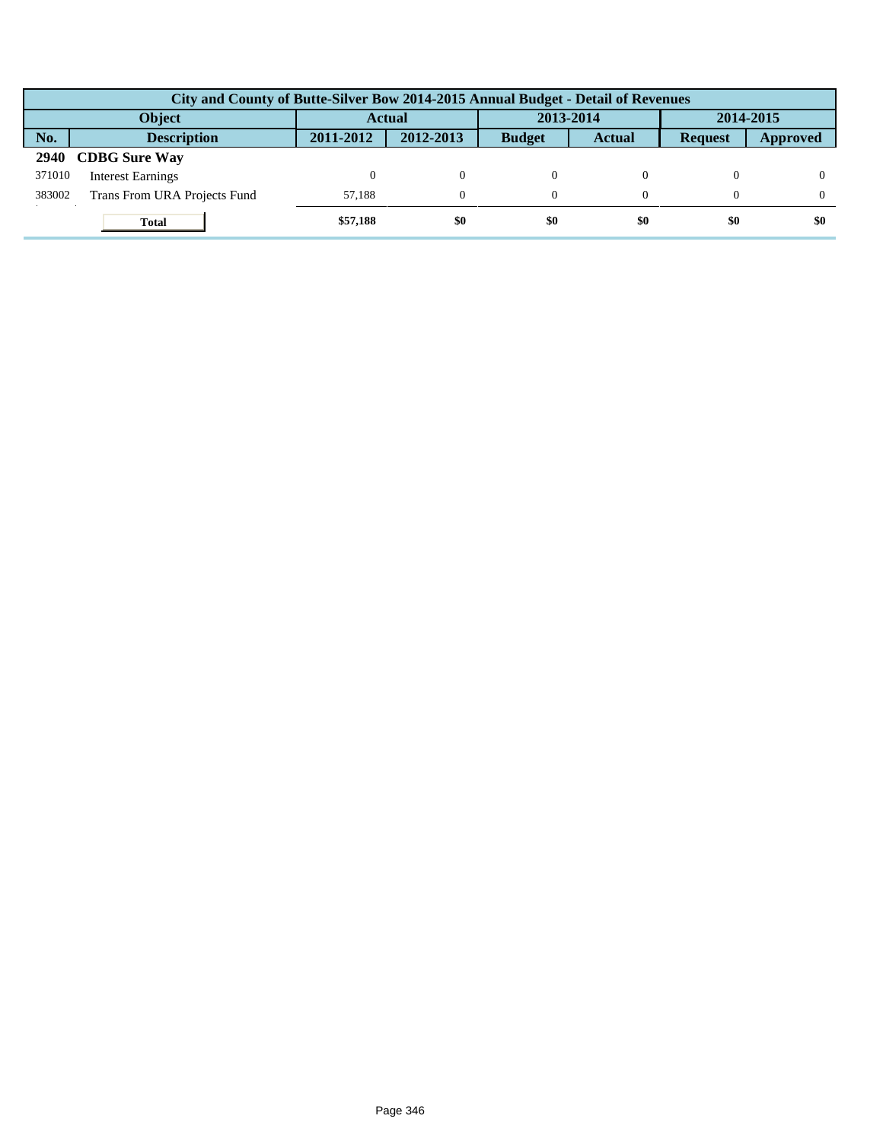|               | City and County of Butte-Silver Bow 2014-2015 Annual Budget - Detail of Revenues |               |           |               |               |                |          |  |  |  |
|---------------|----------------------------------------------------------------------------------|---------------|-----------|---------------|---------------|----------------|----------|--|--|--|
| <b>Object</b> |                                                                                  | <b>Actual</b> |           | 2013-2014     |               | 2014-2015      |          |  |  |  |
| No.           | <b>Description</b>                                                               | 2011-2012     | 2012-2013 | <b>Budget</b> | <b>Actual</b> | <b>Request</b> | Approved |  |  |  |
| <b>2940</b>   | <b>CDBG</b> Sure Way                                                             |               |           |               |               |                |          |  |  |  |
| 371010        | <b>Interest Earnings</b>                                                         |               | $\Omega$  |               |               |                |          |  |  |  |
| 383002        | Trans From URA Projects Fund                                                     | 57.188        | $\Omega$  |               |               |                |          |  |  |  |
|               | <b>Total</b>                                                                     | \$57,188      | \$0       | \$0           | \$0           | \$0            | \$0      |  |  |  |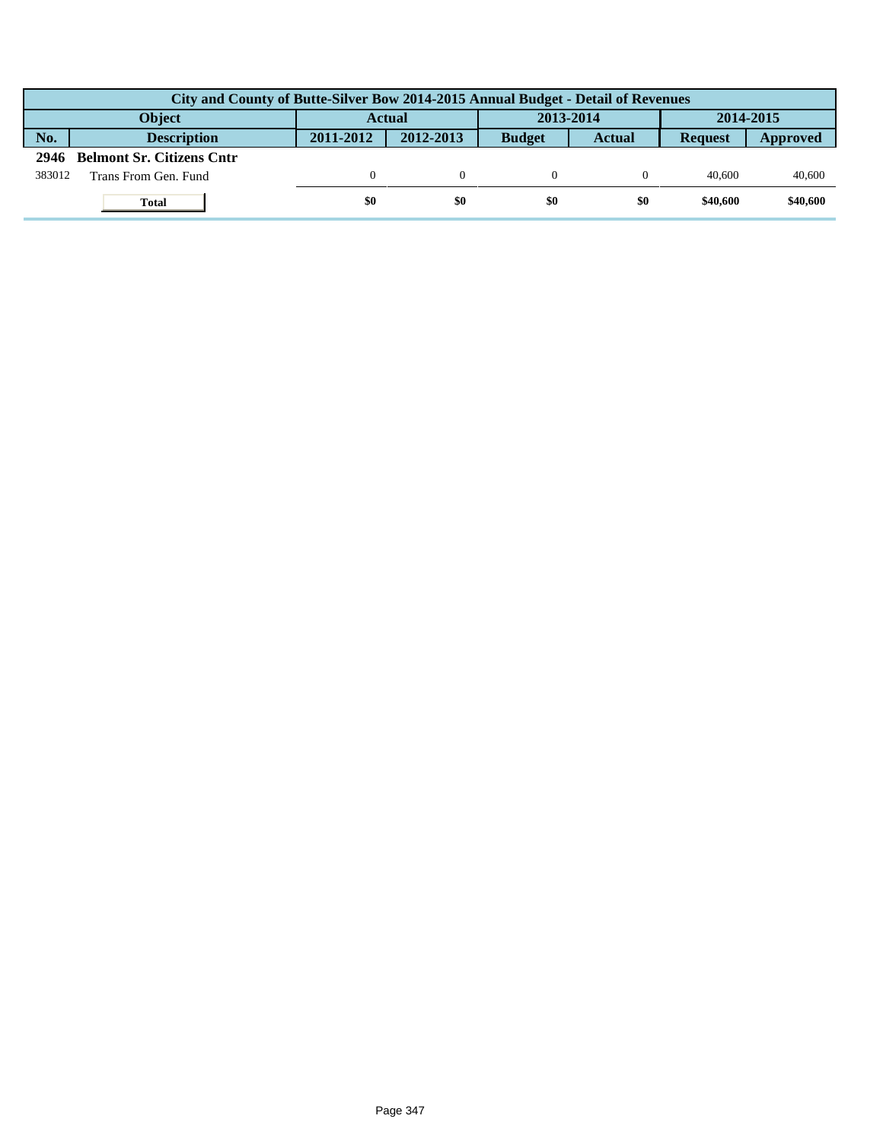|        | City and County of Butte-Silver Bow 2014-2015 Annual Budget - Detail of Revenues |               |           |               |               |                |          |  |  |  |
|--------|----------------------------------------------------------------------------------|---------------|-----------|---------------|---------------|----------------|----------|--|--|--|
|        | Object                                                                           | <b>Actual</b> |           | 2013-2014     |               | 2014-2015      |          |  |  |  |
| No.    | <b>Description</b>                                                               | 2011-2012     | 2012-2013 | <b>Budget</b> | <b>Actual</b> | <b>Request</b> | Approved |  |  |  |
| 2946   | <b>Belmont Sr. Citizens Cntr</b>                                                 |               |           |               |               |                |          |  |  |  |
| 383012 | Trans From Gen. Fund                                                             |               |           |               |               | 40.600         | 40,600   |  |  |  |
|        | Total                                                                            | \$0           | \$0       | \$0           | \$0           | \$40,600       | \$40,600 |  |  |  |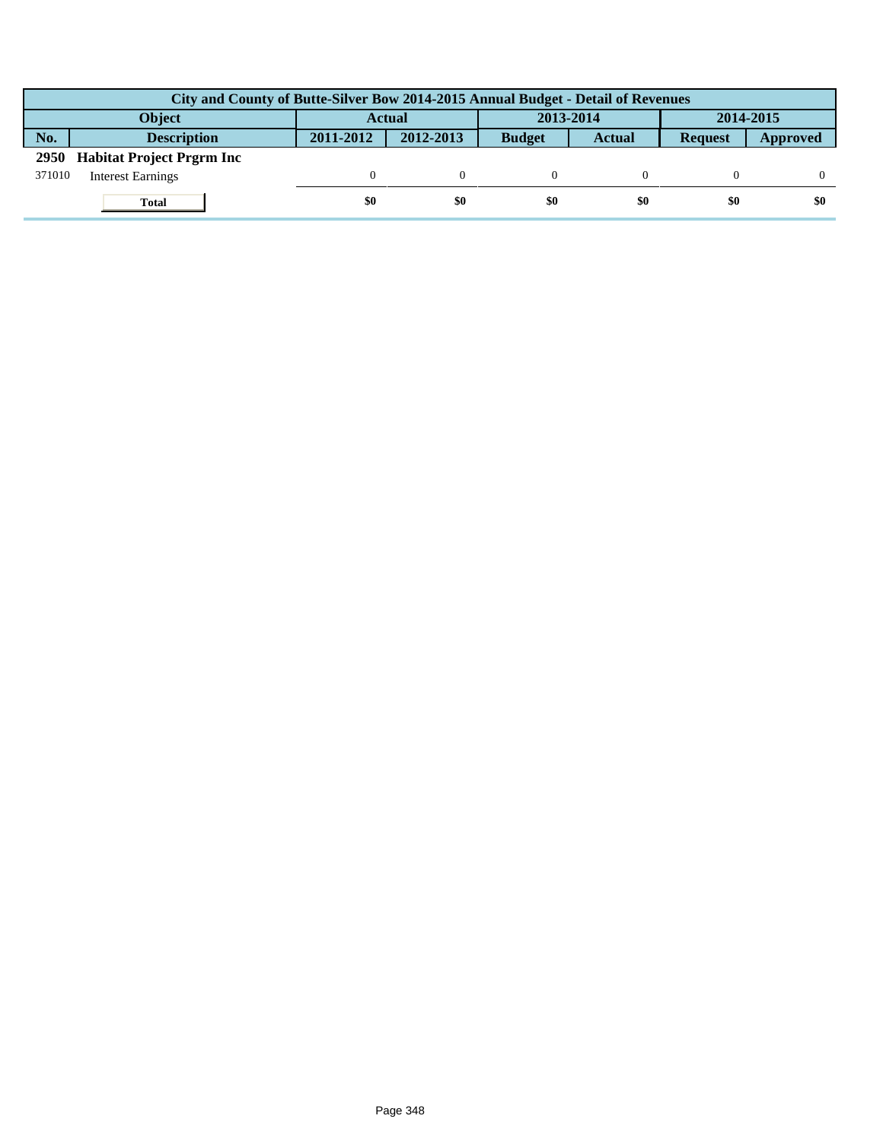|               | City and County of Butte-Silver Bow 2014-2015 Annual Budget - Detail of Revenues |               |           |               |               |                |          |  |  |  |  |
|---------------|----------------------------------------------------------------------------------|---------------|-----------|---------------|---------------|----------------|----------|--|--|--|--|
| <b>Object</b> |                                                                                  | <b>Actual</b> |           | 2013-2014     |               | 2014-2015      |          |  |  |  |  |
| No.           | <b>Description</b>                                                               | 2011-2012     | 2012-2013 | <b>Budget</b> | <b>Actual</b> | <b>Request</b> | Approved |  |  |  |  |
| <b>2950</b>   | <b>Habitat Project Prgrm Inc</b>                                                 |               |           |               |               |                |          |  |  |  |  |
| 371010        | <b>Interest Earnings</b>                                                         |               |           |               |               |                |          |  |  |  |  |
|               | <b>Total</b>                                                                     | \$0           | \$0       | \$0           | \$0           | \$0            | \$0      |  |  |  |  |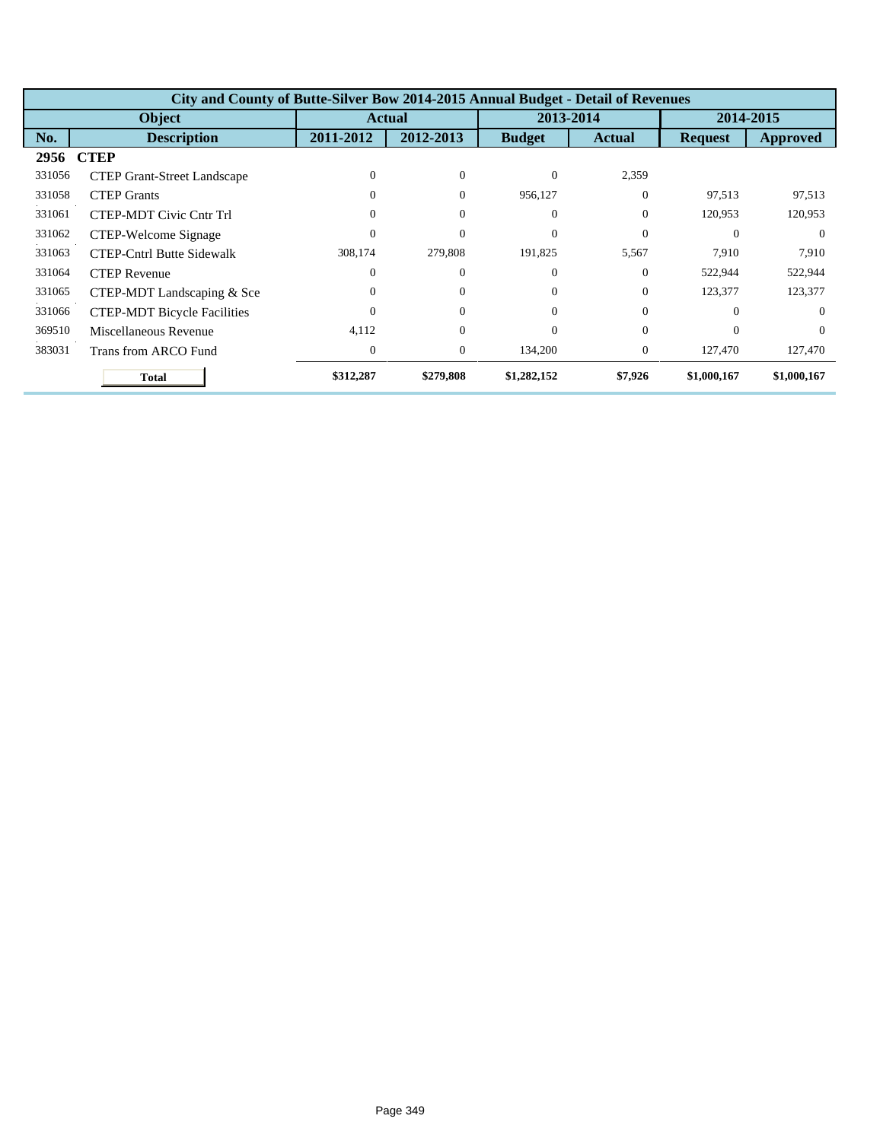|        | City and County of Butte-Silver Bow 2014-2015 Annual Budget - Detail of Revenues |                  |                  |               |                |                |                 |  |  |  |
|--------|----------------------------------------------------------------------------------|------------------|------------------|---------------|----------------|----------------|-----------------|--|--|--|
|        | <b>Object</b>                                                                    |                  | <b>Actual</b>    |               | 2013-2014      |                | 2014-2015       |  |  |  |
| No.    | <b>Description</b>                                                               | 2011-2012        | 2012-2013        | <b>Budget</b> | <b>Actual</b>  | <b>Request</b> | <b>Approved</b> |  |  |  |
| 2956   | <b>CTEP</b>                                                                      |                  |                  |               |                |                |                 |  |  |  |
| 331056 | <b>CTEP Grant-Street Landscape</b>                                               | $\Omega$         | $\theta$         | $\Omega$      | 2,359          |                |                 |  |  |  |
| 331058 | <b>CTEP Grants</b>                                                               | 0                | $\theta$         | 956,127       | $\Omega$       | 97,513         | 97,513          |  |  |  |
| 331061 | <b>CTEP-MDT Civic Cntr Trl</b>                                                   | 0                | $\theta$         | $\Omega$      | $\Omega$       | 120,953        | 120,953         |  |  |  |
| 331062 | CTEP-Welcome Signage                                                             | 0                | $\theta$         | $\Omega$      | $\Omega$       | $\Omega$       | $\Omega$        |  |  |  |
| 331063 | <b>CTEP-Cntrl Butte Sidewalk</b>                                                 | 308,174          | 279,808          | 191,825       | 5,567          | 7,910          | 7,910           |  |  |  |
| 331064 | <b>CTEP Revenue</b>                                                              | $\theta$         | $\theta$         | $\Omega$      | $\Omega$       | 522,944        | 522,944         |  |  |  |
| 331065 | CTEP-MDT Landscaping & Sce                                                       | $\Omega$         | $\theta$         | $\Omega$      | $\Omega$       | 123,377        | 123,377         |  |  |  |
| 331066 | <b>CTEP-MDT Bicycle Facilities</b>                                               | 0                | $\theta$         | $\Omega$      | $\Omega$       | $\Omega$       | $\Omega$        |  |  |  |
| 369510 | Miscellaneous Revenue                                                            | 4,112            | $\theta$         | $\Omega$      | $\Omega$       | $\Omega$       | $\Omega$        |  |  |  |
| 383031 | Trans from ARCO Fund                                                             | $\boldsymbol{0}$ | $\boldsymbol{0}$ | 134,200       | $\overline{0}$ | 127,470        | 127,470         |  |  |  |
|        | <b>Total</b>                                                                     | \$312,287        | \$279,808        | \$1,282,152   | \$7,926        | \$1,000,167    | \$1,000,167     |  |  |  |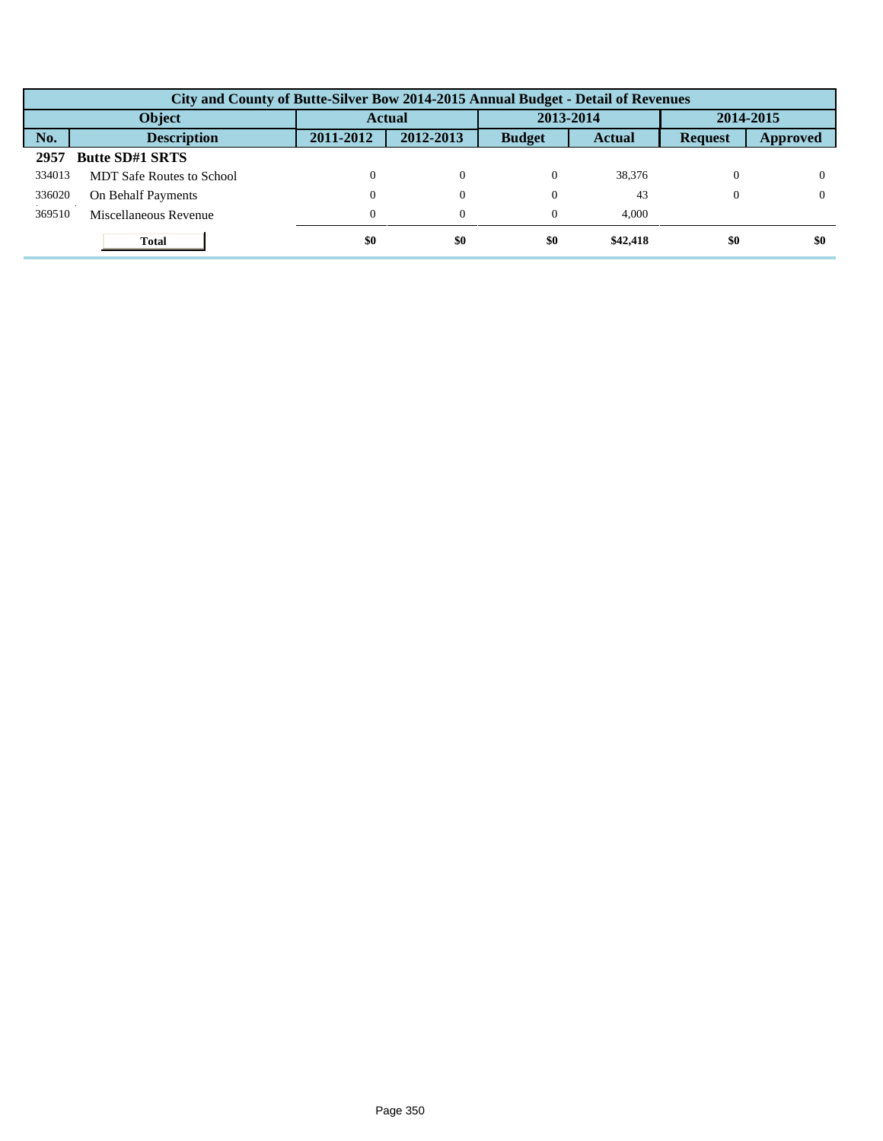|        | City and County of Butte-Silver Bow 2014-2015 Annual Budget - Detail of Revenues |           |                |               |               |                |           |  |  |  |  |
|--------|----------------------------------------------------------------------------------|-----------|----------------|---------------|---------------|----------------|-----------|--|--|--|--|
| Object |                                                                                  |           | <b>Actual</b>  |               | 2013-2014     |                | 2014-2015 |  |  |  |  |
| No.    | <b>Description</b>                                                               | 2011-2012 | 2012-2013      | <b>Budget</b> | <b>Actual</b> | <b>Request</b> | Approved  |  |  |  |  |
| 2957   | <b>Butte SD#1 SRTS</b>                                                           |           |                |               |               |                |           |  |  |  |  |
| 334013 | <b>MDT</b> Safe Routes to School                                                 |           | $\Omega$       | $\Omega$      | 38,376        |                |           |  |  |  |  |
| 336020 | On Behalf Payments                                                               |           | $\overline{0}$ | $\Omega$      | 43            | 0              |           |  |  |  |  |
| 369510 | Miscellaneous Revenue                                                            |           | $\theta$       | $\theta$      | 4.000         |                |           |  |  |  |  |
|        | <b>Total</b>                                                                     | \$0       | \$0            | \$0           | \$42,418      | \$0            | \$0       |  |  |  |  |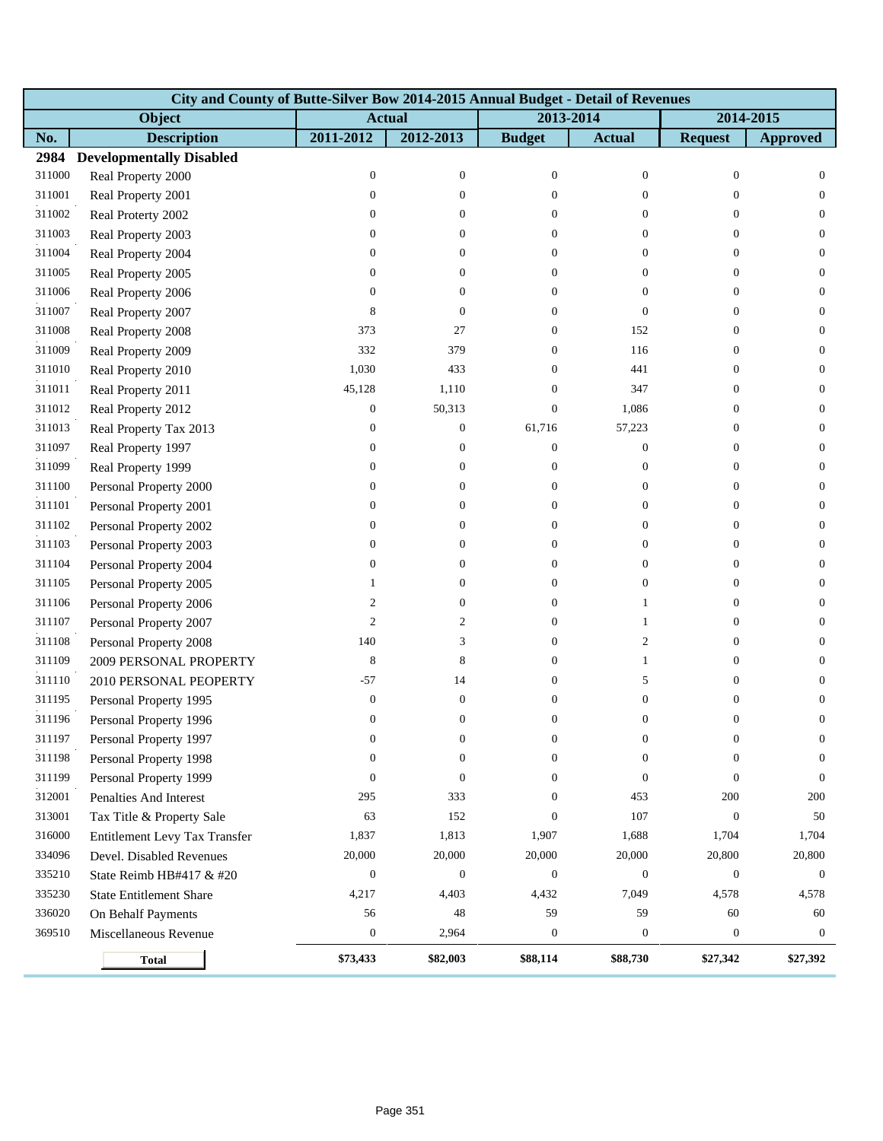|        | City and County of Butte-Silver Bow 2014-2015 Annual Budget - Detail of Revenues |                  |                  |                  |                  |                  |                  |
|--------|----------------------------------------------------------------------------------|------------------|------------------|------------------|------------------|------------------|------------------|
|        | Object                                                                           |                  | <b>Actual</b>    |                  | 2013-2014        |                  | 2014-2015        |
| No.    | <b>Description</b>                                                               | 2011-2012        | 2012-2013        | <b>Budget</b>    | <b>Actual</b>    | <b>Request</b>   | <b>Approved</b>  |
| 2984   | <b>Developmentally Disabled</b>                                                  |                  |                  |                  |                  |                  |                  |
| 311000 | Real Property 2000                                                               | $\boldsymbol{0}$ | $\boldsymbol{0}$ | $\boldsymbol{0}$ | $\boldsymbol{0}$ | $\boldsymbol{0}$ | $\mathbf{0}$     |
| 311001 | Real Property 2001                                                               | $\boldsymbol{0}$ | $\boldsymbol{0}$ | $\overline{0}$   | $\overline{0}$   | $\theta$         | $\overline{0}$   |
| 311002 | Real Proterty 2002                                                               | $\mathbf{0}$     | $\overline{0}$   | $\overline{0}$   | $\overline{0}$   | $\overline{0}$   | $\overline{0}$   |
| 311003 | Real Property 2003                                                               | $\boldsymbol{0}$ | $\overline{0}$   | $\overline{0}$   | $\overline{0}$   | $\mathbf{0}$     | $\mathbf{0}$     |
| 311004 | Real Property 2004                                                               | $\boldsymbol{0}$ | $\boldsymbol{0}$ | $\overline{0}$   | $\boldsymbol{0}$ | $\overline{0}$   | $\mathbf{0}$     |
| 311005 | Real Property 2005                                                               | $\mathbf{0}$     | 0                | $\overline{0}$   | $\overline{0}$   | $\overline{0}$   | $\overline{0}$   |
| 311006 | Real Property 2006                                                               | $\mathbf{0}$     | $\overline{0}$   | $\overline{0}$   | $\overline{0}$   | $\overline{0}$   | $\mathbf{0}$     |
| 311007 | Real Property 2007                                                               | 8                | $\boldsymbol{0}$ | $\Omega$         | $\overline{0}$   | $\theta$         | $\mathbf{0}$     |
| 311008 | Real Property 2008                                                               | 373              | 27               | $\overline{0}$   | 152              | $\mathbf{0}$     | $\mathbf{0}$     |
| 311009 | Real Property 2009                                                               | 332              | 379              | 0                | 116              | $\theta$         | $\mathbf{0}$     |
| 311010 | Real Property 2010                                                               | 1,030            | 433              | $\Omega$         | 441              | $\theta$         | $\mathbf{0}$     |
| 311011 | Real Property 2011                                                               | 45,128           | 1,110            | $\Omega$         | 347              | $\theta$         | $\mathbf{0}$     |
| 311012 | Real Property 2012                                                               | $\mathbf{0}$     | 50,313           | $\overline{0}$   | 1,086            | $\theta$         | $\mathbf{0}$     |
| 311013 | Real Property Tax 2013                                                           | $\boldsymbol{0}$ | $\boldsymbol{0}$ | 61,716           | 57,223           | $\theta$         | $\mathbf{0}$     |
| 311097 | Real Property 1997                                                               | $\mathbf{0}$     | $\overline{0}$   | $\theta$         | $\boldsymbol{0}$ | $\overline{0}$   | $\mathbf{0}$     |
| 311099 | Real Property 1999                                                               | $\boldsymbol{0}$ | $\overline{0}$   | $\overline{0}$   | $\boldsymbol{0}$ | $\theta$         | $\mathbf{0}$     |
| 311100 | Personal Property 2000                                                           | $\boldsymbol{0}$ | $\boldsymbol{0}$ | $\overline{0}$   | $\boldsymbol{0}$ | $\boldsymbol{0}$ | $\mathbf{0}$     |
| 311101 | Personal Property 2001                                                           | $\boldsymbol{0}$ | 0                | 0                | $\overline{0}$   | $\theta$         | $\mathbf{0}$     |
| 311102 | Personal Property 2002                                                           | $\mathbf{0}$     | 0                | $\Omega$         | $\overline{0}$   | $\theta$         | $\mathbf{0}$     |
| 311103 | Personal Property 2003                                                           | $\boldsymbol{0}$ | $\overline{0}$   | $\overline{0}$   | $\overline{0}$   | $\theta$         | $\mathbf{0}$     |
| 311104 | Personal Property 2004                                                           | $\boldsymbol{0}$ | $\theta$         | 0                | $\boldsymbol{0}$ | $\theta$         | $\mathbf{0}$     |
| 311105 | Personal Property 2005                                                           | 1                | $\theta$         | $\overline{0}$   | $\boldsymbol{0}$ | $\overline{0}$   | $\mathbf{0}$     |
| 311106 | Personal Property 2006                                                           | 2                | $\overline{0}$   | $\overline{0}$   | 1                | $\overline{0}$   | $\mathbf{0}$     |
| 311107 | Personal Property 2007                                                           | $\overline{2}$   | $\mathfrak{2}$   | $\overline{0}$   | $\mathbf{1}$     | $\theta$         | $\mathbf{0}$     |
| 311108 | Personal Property 2008                                                           | 140              | 3                | $\overline{0}$   | $\overline{c}$   | $\theta$         | $\mathbf{0}$     |
| 311109 | 2009 PERSONAL PROPERTY                                                           | 8                | 8                | 0                | $\mathbf{1}$     | $\theta$         | $\mathbf{0}$     |
| 311110 | 2010 PERSONAL PEOPERTY                                                           | $-57$            | 14               | $\Omega$         | 5                | $\theta$         | $\overline{0}$   |
| 311195 | Personal Property 1995                                                           | $\boldsymbol{0}$ | $\boldsymbol{0}$ | $\Omega$         | $\boldsymbol{0}$ | $\boldsymbol{0}$ | $\boldsymbol{0}$ |
| 311196 | Personal Property 1996                                                           | $\mathbf{0}$     | $\boldsymbol{0}$ | $\overline{0}$   | $\overline{0}$   | $\boldsymbol{0}$ | $\mathbf{0}$     |
| 311197 | Personal Property 1997                                                           | $\boldsymbol{0}$ | $\boldsymbol{0}$ | $\bf{0}$         | 0                | $\bf{0}$         | $\boldsymbol{0}$ |
| 311198 | Personal Property 1998                                                           | $\mathbf{0}$     | $\boldsymbol{0}$ | $\Omega$         | $\overline{0}$   | $\Omega$         | $\mathbf{0}$     |
| 311199 | Personal Property 1999                                                           | $\boldsymbol{0}$ | $\mathbf{0}$     | $\Omega$         | $\overline{0}$   | $\mathbf{0}$     | $\mathbf{0}$     |
| 312001 | Penalties And Interest                                                           | 295              | 333              | $\mathbf{0}$     | 453              | 200              | 200              |
| 313001 | Tax Title & Property Sale                                                        | 63               | 152              | $\Omega$         | 107              | $\mathbf{0}$     | 50               |
| 316000 | Entitlement Levy Tax Transfer                                                    | 1,837            | 1,813            | 1,907            | 1,688            | 1,704            | 1,704            |
| 334096 | Devel. Disabled Revenues                                                         | 20,000           | 20,000           | 20,000           | 20,000           | 20,800           | 20,800           |
| 335210 | State Reimb HB#417 & #20                                                         | $\boldsymbol{0}$ | $\boldsymbol{0}$ | $\mathbf{0}$     | $\boldsymbol{0}$ | $\boldsymbol{0}$ | $\boldsymbol{0}$ |
| 335230 | <b>State Entitlement Share</b>                                                   | 4,217            | 4,403            | 4,432            | 7,049            | 4,578            | 4,578            |
| 336020 | On Behalf Payments                                                               | 56               | 48               | 59               | 59               | 60               | 60               |
| 369510 | Miscellaneous Revenue                                                            | $\boldsymbol{0}$ | 2,964            | $\boldsymbol{0}$ | $\boldsymbol{0}$ | $\mathbf{0}$     | $\overline{0}$   |
|        | <b>Total</b>                                                                     | \$73,433         | \$82,003         | \$88,114         | \$88,730         | \$27,342         | \$27,392         |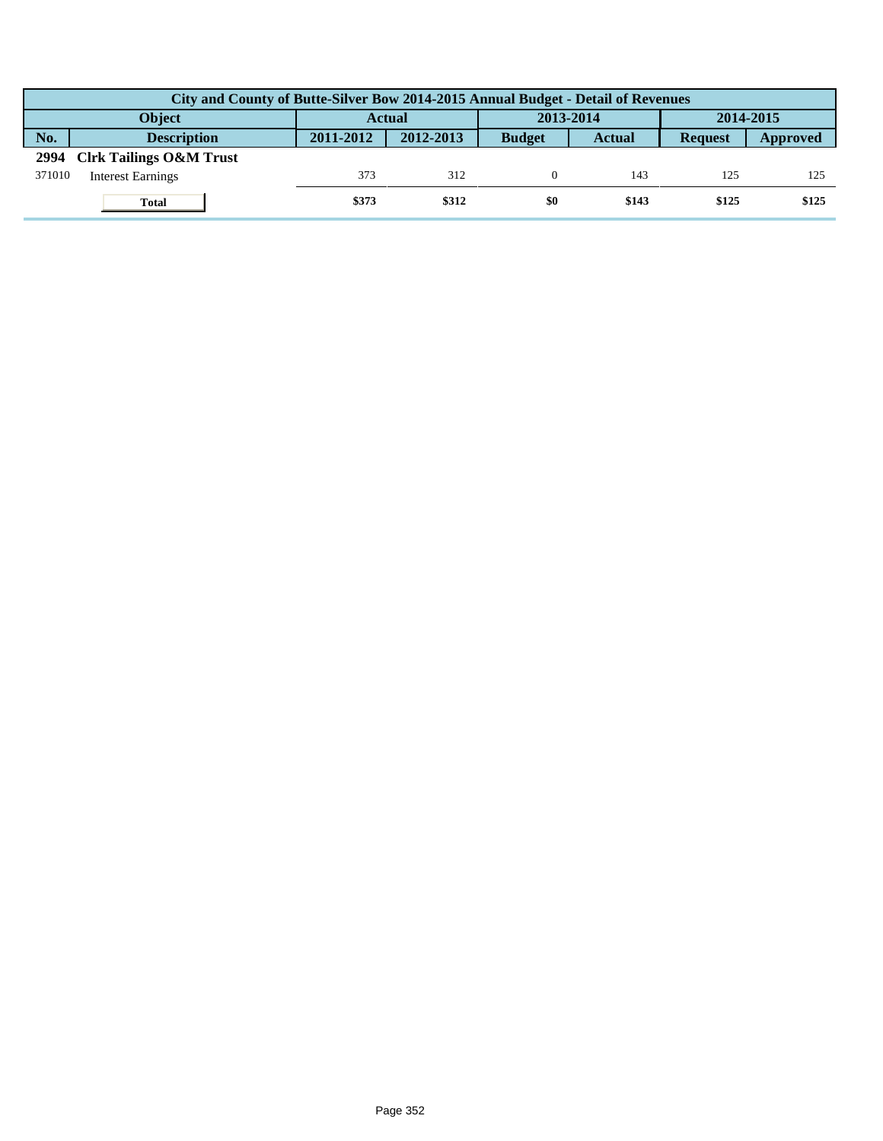|        | City and County of Butte-Silver Bow 2014-2015 Annual Budget - Detail of Revenues |                            |           |               |           |                |          |  |  |  |
|--------|----------------------------------------------------------------------------------|----------------------------|-----------|---------------|-----------|----------------|----------|--|--|--|
|        | Object                                                                           | 2013-2014<br><b>Actual</b> |           |               | 2014-2015 |                |          |  |  |  |
| No.    | <b>Description</b>                                                               | 2011-2012                  | 2012-2013 | <b>Budget</b> | Actual    | <b>Request</b> | Approved |  |  |  |
| 2994   | <b>Clrk Tailings O&amp;M Trust</b>                                               |                            |           |               |           |                |          |  |  |  |
| 371010 | <b>Interest Earnings</b>                                                         | 373                        | 312       |               | 143       | 125            | 125      |  |  |  |
|        | <b>Total</b>                                                                     | \$373                      | \$312     | \$0           | \$143     | \$125          | \$125    |  |  |  |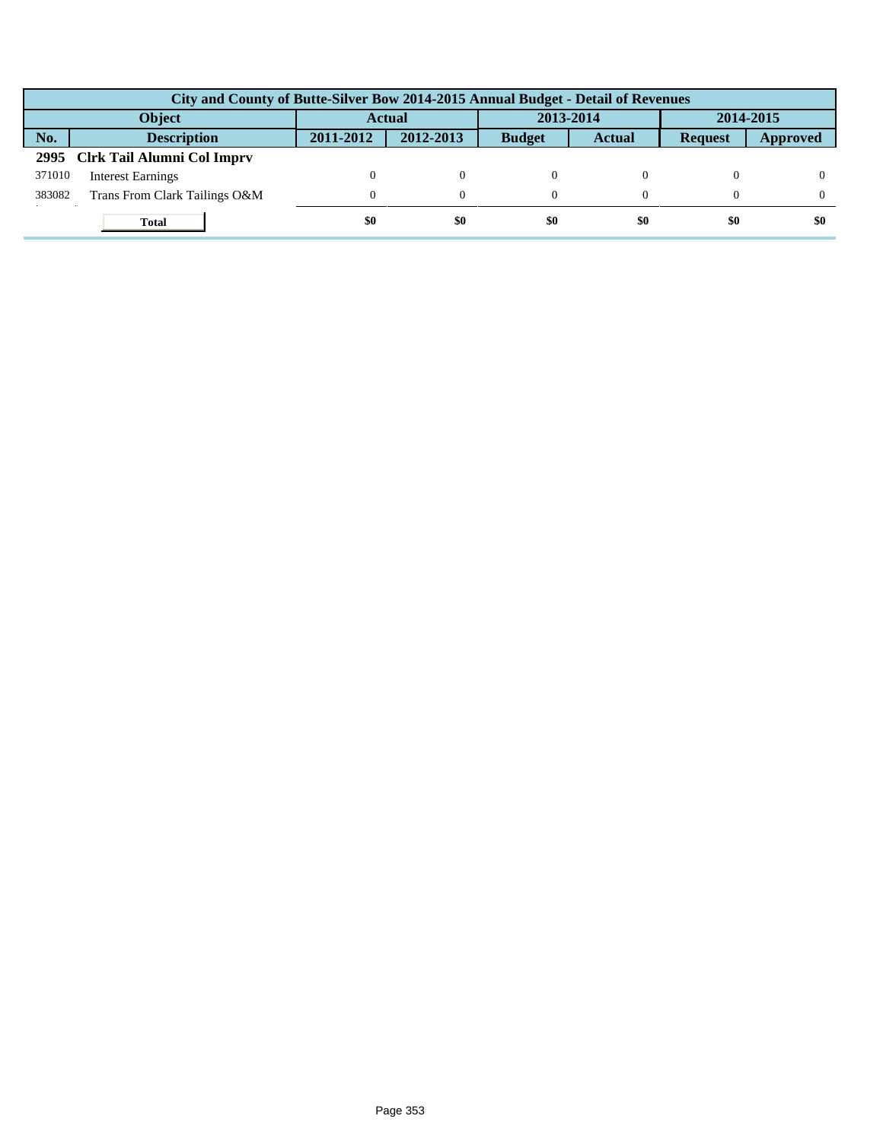|               | City and County of Butte-Silver Bow 2014-2015 Annual Budget - Detail of Revenues |               |           |               |               |                |                 |  |  |  |
|---------------|----------------------------------------------------------------------------------|---------------|-----------|---------------|---------------|----------------|-----------------|--|--|--|
| <b>Object</b> |                                                                                  | <b>Actual</b> |           | 2013-2014     |               | 2014-2015      |                 |  |  |  |
| No.           | <b>Description</b>                                                               | 2011-2012     | 2012-2013 | <b>Budget</b> | <b>Actual</b> | <b>Request</b> | <b>Approved</b> |  |  |  |
|               | 2995 Clrk Tail Alumni Col Imprv                                                  |               |           |               |               |                |                 |  |  |  |
| 371010        | <b>Interest Earnings</b>                                                         |               | $\theta$  |               |               |                |                 |  |  |  |
| 383082        | Trans From Clark Tailings O&M                                                    | $\Omega$      | 0         |               |               |                |                 |  |  |  |
|               | <b>Total</b>                                                                     | \$0           | \$0       | \$0           | \$0           | \$0            | \$0             |  |  |  |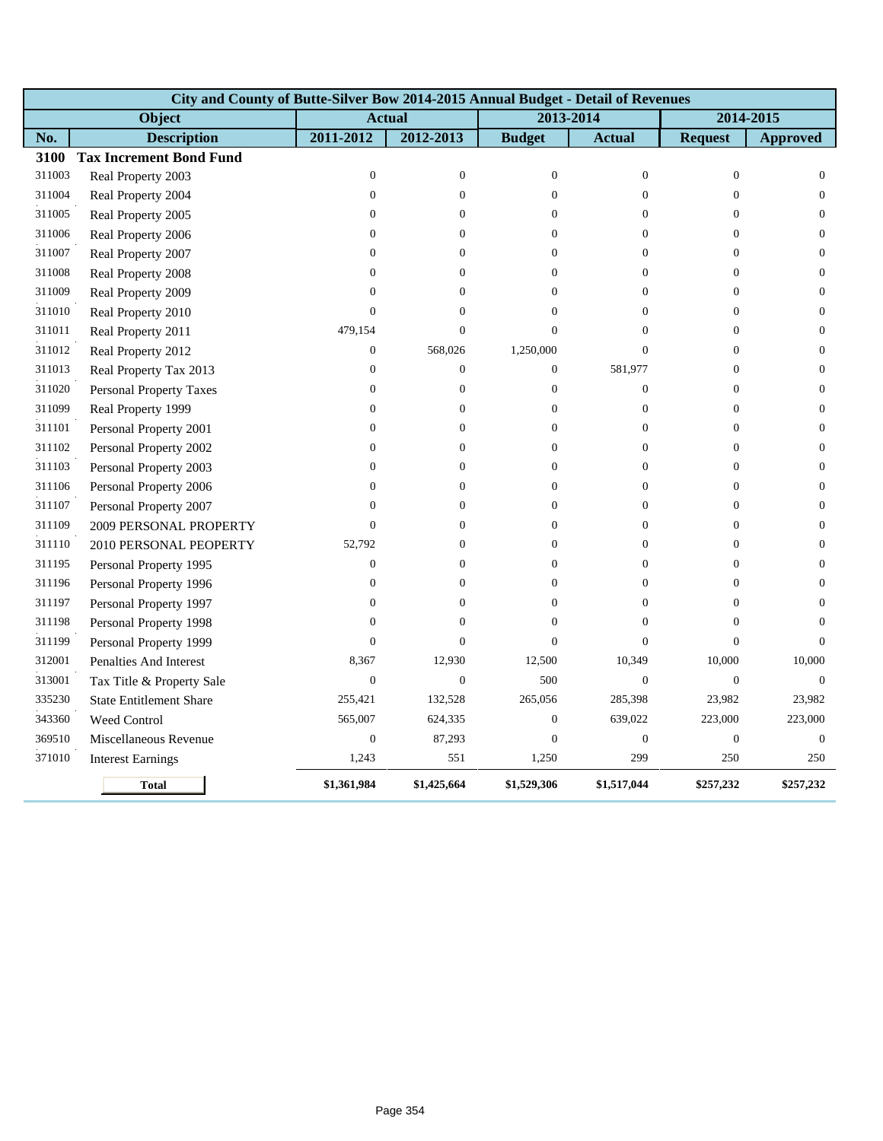|        | City and County of Butte-Silver Bow 2014-2015 Annual Budget - Detail of Revenues |                  |                  |                  |                  |                  |                  |
|--------|----------------------------------------------------------------------------------|------------------|------------------|------------------|------------------|------------------|------------------|
|        | Object                                                                           |                  | <b>Actual</b>    | 2013-2014        |                  | 2014-2015        |                  |
| No.    | <b>Description</b>                                                               | 2011-2012        | 2012-2013        | <b>Budget</b>    | <b>Actual</b>    | <b>Request</b>   | <b>Approved</b>  |
| 3100   | <b>Tax Increment Bond Fund</b>                                                   |                  |                  |                  |                  |                  |                  |
| 311003 | Real Property 2003                                                               | $\mathbf{0}$     | $\mathbf{0}$     | $\theta$         | $\overline{0}$   | $\mathbf{0}$     | $\mathbf{0}$     |
| 311004 | Real Property 2004                                                               | $\boldsymbol{0}$ | $\boldsymbol{0}$ | $\mathbf{0}$     | $\boldsymbol{0}$ | $\boldsymbol{0}$ | $\mathbf{0}$     |
| 311005 | Real Property 2005                                                               | $\boldsymbol{0}$ | $\boldsymbol{0}$ | $\overline{0}$   | $\boldsymbol{0}$ | $\boldsymbol{0}$ | $\mathbf{0}$     |
| 311006 | Real Property 2006                                                               | $\mathbf{0}$     | $\theta$         | $\Omega$         | $\overline{0}$   | $\mathbf{0}$     | $\mathbf{0}$     |
| 311007 | Real Property 2007                                                               | $\mathbf{0}$     | 0                | $\Omega$         | $\overline{0}$   | $\mathbf{0}$     | $\mathbf{0}$     |
| 311008 | Real Property 2008                                                               | $\Omega$         | $\theta$         | $\Omega$         | $\Omega$         | $\Omega$         | $\mathbf{0}$     |
| 311009 | Real Property 2009                                                               | $\Omega$         | $\boldsymbol{0}$ | $\Omega$         | $\theta$         | $\Omega$         | $\boldsymbol{0}$ |
| 311010 | Real Property 2010                                                               | $\mathbf{0}$     | $\boldsymbol{0}$ | $\overline{0}$   | $\overline{0}$   | $\mathbf{0}$     | $\boldsymbol{0}$ |
| 311011 | Real Property 2011                                                               | 479,154          | $\boldsymbol{0}$ | $\overline{0}$   | $\overline{0}$   | $\mathbf{0}$     | $\boldsymbol{0}$ |
| 311012 | Real Property 2012                                                               | $\boldsymbol{0}$ | 568,026          | 1,250,000        | $\overline{0}$   | $\mathbf{0}$     | $\boldsymbol{0}$ |
| 311013 | Real Property Tax 2013                                                           | $\boldsymbol{0}$ | $\mathbf{0}$     | $\boldsymbol{0}$ | 581,977          | $\mathbf{0}$     | $\mathbf{0}$     |
| 311020 | <b>Personal Property Taxes</b>                                                   | $\mathbf{0}$     | $\mathbf{0}$     | $\mathbf{0}$     | $\overline{0}$   | $\mathbf{0}$     | $\boldsymbol{0}$ |
| 311099 | Real Property 1999                                                               | $\mathbf{0}$     | $\mathbf{0}$     | $\Omega$         | $\overline{0}$   | $\mathbf{0}$     | $\mathbf{0}$     |
| 311101 | Personal Property 2001                                                           | $\boldsymbol{0}$ | $\boldsymbol{0}$ | $\overline{0}$   | $\boldsymbol{0}$ | $\boldsymbol{0}$ | $\mathbf{0}$     |
| 311102 | Personal Property 2002                                                           | $\boldsymbol{0}$ | $\boldsymbol{0}$ | $\overline{0}$   | $\boldsymbol{0}$ | $\mathbf{0}$     | $\boldsymbol{0}$ |
| 311103 | Personal Property 2003                                                           | $\mathbf{0}$     | $\overline{0}$   | $\overline{0}$   | $\overline{0}$   | $\overline{0}$   | $\boldsymbol{0}$ |
| 311106 | Personal Property 2006                                                           | $\mathbf{0}$     | $\mathbf{0}$     | $\overline{0}$   | $\overline{0}$   | $\overline{0}$   | $\boldsymbol{0}$ |
| 311107 | Personal Property 2007                                                           | $\mathbf{0}$     | $\mathbf{0}$     | $\overline{0}$   | $\overline{0}$   | $\mathbf{0}$     | $\boldsymbol{0}$ |
| 311109 | 2009 PERSONAL PROPERTY                                                           | $\boldsymbol{0}$ | $\boldsymbol{0}$ | $\theta$         | $\boldsymbol{0}$ | $\boldsymbol{0}$ | $\mathbf{0}$     |
| 311110 | 2010 PERSONAL PEOPERTY                                                           | 52,792           | $\boldsymbol{0}$ | $\overline{0}$   | $\boldsymbol{0}$ | $\boldsymbol{0}$ | $\boldsymbol{0}$ |
| 311195 | Personal Property 1995                                                           | $\boldsymbol{0}$ | $\mathbf{0}$     | $\overline{0}$   | $\boldsymbol{0}$ | $\overline{0}$   | $\boldsymbol{0}$ |
| 311196 | Personal Property 1996                                                           | $\mathbf{0}$     | $\mathbf{0}$     | $\theta$         | $\overline{0}$   | $\mathbf{0}$     | $\mathbf{0}$     |
| 311197 | Personal Property 1997                                                           | $\mathbf{0}$     | $\theta$         | $\Omega$         | $\overline{0}$   | $\mathbf{0}$     | $\theta$         |
| 311198 | Personal Property 1998                                                           | $\mathbf{0}$     | $\mathbf{0}$     | $\theta$         | $\overline{0}$   | $\mathbf{0}$     | $\mathbf{0}$     |
| 311199 | Personal Property 1999                                                           | $\boldsymbol{0}$ | $\boldsymbol{0}$ | $\Omega$         | $\boldsymbol{0}$ | $\Omega$         | $\Omega$         |
| 312001 | Penalties And Interest                                                           | 8,367            | 12,930           | 12,500           | 10,349           | 10,000           | 10,000           |
| 313001 | Tax Title & Property Sale                                                        | $\boldsymbol{0}$ | $\boldsymbol{0}$ | 500              | $\boldsymbol{0}$ | $\boldsymbol{0}$ | $\boldsymbol{0}$ |
| 335230 | <b>State Entitlement Share</b>                                                   | 255,421          | 132,528          | 265,056          | 285,398          | 23,982           | 23,982           |
| 343360 | <b>Weed Control</b>                                                              | 565,007          | 624,335          | $\mathbf{0}$     | 639,022          | 223,000          | 223,000          |
| 369510 | Miscellaneous Revenue                                                            | $\mathbf{0}$     | 87,293           | $\mathbf{0}$     | $\boldsymbol{0}$ | $\boldsymbol{0}$ | $\theta$         |
| 371010 | <b>Interest Earnings</b>                                                         | 1,243            | 551              | 1,250            | 299              | 250              | 250              |
|        | <b>Total</b>                                                                     | \$1,361,984      | \$1,425,664      | \$1,529,306      | \$1,517,044      | \$257,232        | \$257,232        |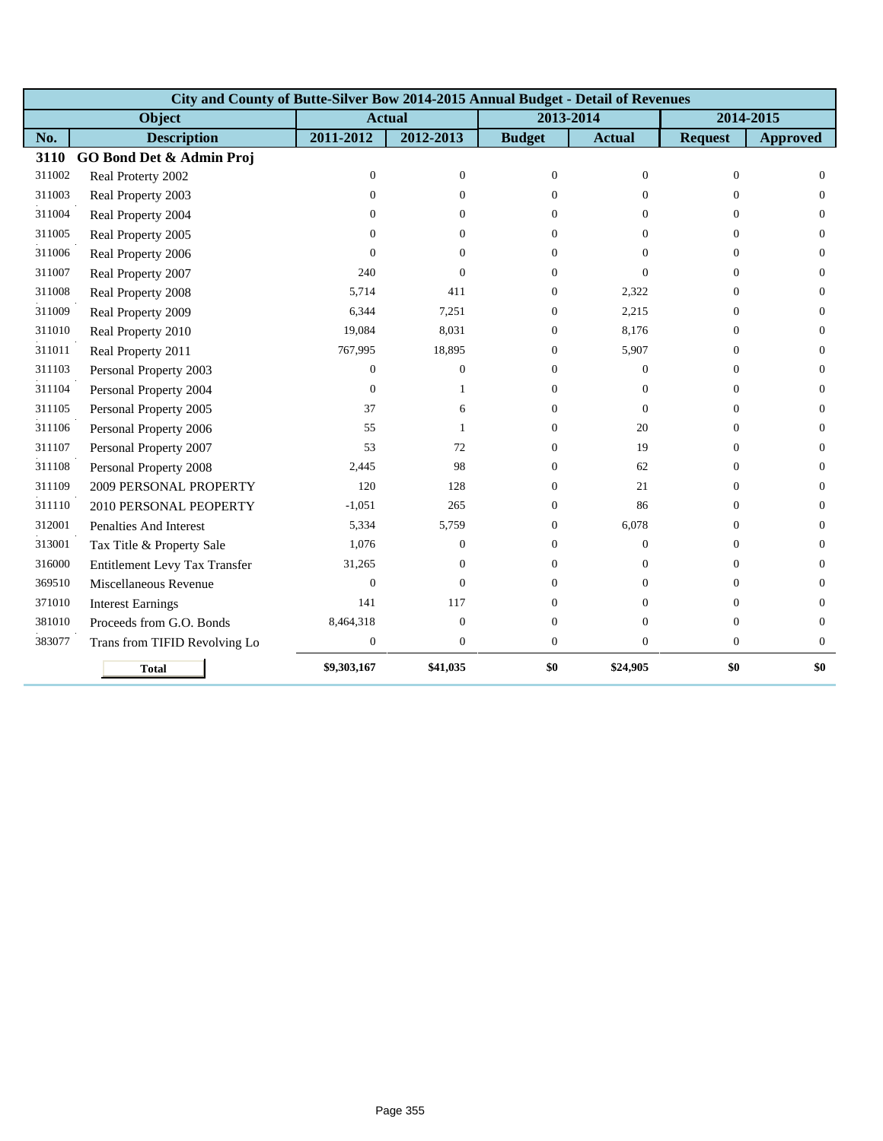|        | City and County of Butte-Silver Bow 2014-2015 Annual Budget - Detail of Revenues |                  |                  |                |                |                |                 |
|--------|----------------------------------------------------------------------------------|------------------|------------------|----------------|----------------|----------------|-----------------|
|        | Object                                                                           |                  | <b>Actual</b>    | 2013-2014      |                | 2014-2015      |                 |
| No.    | <b>Description</b>                                                               | 2011-2012        | 2012-2013        | <b>Budget</b>  | <b>Actual</b>  | <b>Request</b> | <b>Approved</b> |
| 3110   | GO Bond Det & Admin Proj                                                         |                  |                  |                |                |                |                 |
| 311002 | Real Proterty 2002                                                               | $\overline{0}$   | $\boldsymbol{0}$ | $\mathbf{0}$   | $\overline{0}$ | $\mathbf{0}$   | $\theta$        |
| 311003 | Real Property 2003                                                               | $\Omega$         | $\Omega$         | $\Omega$       | $\Omega$       | $\Omega$       | $\Omega$        |
| 311004 | Real Property 2004                                                               | $\Omega$         | $\Omega$         | $\Omega$       | $\Omega$       | $\Omega$       | $\Omega$        |
| 311005 | Real Property 2005                                                               | $\Omega$         | $\Omega$         | $\Omega$       | $\Omega$       | $\Omega$       | $\Omega$        |
| 311006 | Real Property 2006                                                               | $\Omega$         | $\theta$         | 0              | $\Omega$       | $\Omega$       | $\theta$        |
| 311007 | Real Property 2007                                                               | 240              | $\Omega$         | 0              | $\Omega$       | $\Omega$       | $\overline{0}$  |
| 311008 | Real Property 2008                                                               | 5,714            | 411              | 0              | 2,322          | $\Omega$       | $\theta$        |
| 311009 | Real Property 2009                                                               | 6,344            | 7,251            | $\overline{0}$ | 2,215          | $\Omega$       | $\theta$        |
| 311010 | Real Property 2010                                                               | 19,084           | 8,031            | 0              | 8,176          | $\Omega$       | $\Omega$        |
| 311011 | Real Property 2011                                                               | 767,995          | 18,895           | $\Omega$       | 5,907          | $\Omega$       | $\Omega$        |
| 311103 | Personal Property 2003                                                           | $\Omega$         | $\overline{0}$   | $\Omega$       | $\Omega$       | $\Omega$       | $\Omega$        |
| 311104 | Personal Property 2004                                                           | $\mathbf{0}$     | 1                | 0              | $\Omega$       | $\Omega$       | $\theta$        |
| 311105 | Personal Property 2005                                                           | 37               | 6                | $\Omega$       | $\mathbf{0}$   | $\Omega$       | $\overline{0}$  |
| 311106 | Personal Property 2006                                                           | 55               | $\mathbf{1}$     | 0              | 20             | $\Omega$       | $\theta$        |
| 311107 | Personal Property 2007                                                           | 53               | 72               | 0              | 19             | $\Omega$       | $\theta$        |
| 311108 | Personal Property 2008                                                           | 2,445            | 98               | 0              | 62             | $\Omega$       | $\overline{0}$  |
| 311109 | 2009 PERSONAL PROPERTY                                                           | 120              | 128              | 0              | 21             | $\Omega$       | $\theta$        |
| 311110 | 2010 PERSONAL PEOPERTY                                                           | $-1,051$         | 265              | 0              | 86             | $\Omega$       | $\Omega$        |
| 312001 | Penalties And Interest                                                           | 5,334            | 5,759            | 0              | 6,078          | $\Omega$       | $\Omega$        |
| 313001 | Tax Title & Property Sale                                                        | 1,076            | $\overline{0}$   | $\Omega$       | $\mathbf{0}$   | $\Omega$       | $\overline{0}$  |
| 316000 | Entitlement Levy Tax Transfer                                                    | 31,265           | $\overline{0}$   | 0              | $\mathbf{0}$   | $\Omega$       | $\theta$        |
| 369510 | Miscellaneous Revenue                                                            | $\mathbf{0}$     | $\overline{0}$   | $\theta$       | $\overline{0}$ | $\theta$       | $\mathbf{0}$    |
| 371010 | <b>Interest Earnings</b>                                                         | 141              | 117              | 0              | $\Omega$       | $\Omega$       | $\overline{0}$  |
| 381010 | Proceeds from G.O. Bonds                                                         | 8,464,318        | $\boldsymbol{0}$ | $\theta$       | $\mathbf{0}$   | $\mathbf{0}$   | $\mathbf{0}$    |
| 383077 | Trans from TIFID Revolving Lo                                                    | $\boldsymbol{0}$ | $\boldsymbol{0}$ | $\overline{0}$ | $\mathbf{0}$   | $\mathbf{0}$   | $\mathbf{0}$    |
|        | <b>Total</b>                                                                     | \$9,303,167      | \$41,035         | \$0            | \$24,905       | \$0            | \$0             |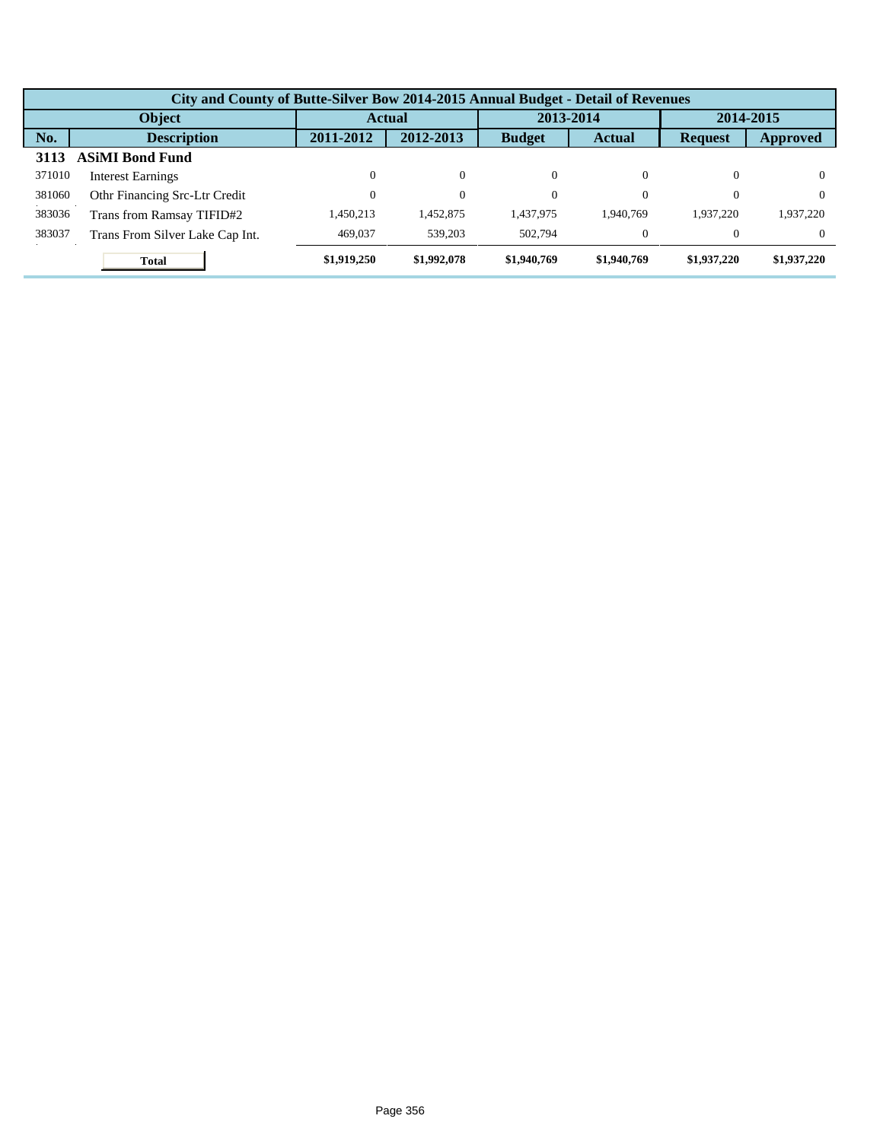|        | City and County of Butte-Silver Bow 2014-2015 Annual Budget - Detail of Revenues |             |               |               |               |                |             |  |  |  |  |
|--------|----------------------------------------------------------------------------------|-------------|---------------|---------------|---------------|----------------|-------------|--|--|--|--|
| Object |                                                                                  |             | <b>Actual</b> |               | 2013-2014     |                | 2014-2015   |  |  |  |  |
| No.    | <b>Description</b>                                                               | 2011-2012   | 2012-2013     | <b>Budget</b> | <b>Actual</b> | <b>Request</b> | Approved    |  |  |  |  |
| 3113   | <b>ASIMI Bond Fund</b>                                                           |             |               |               |               |                |             |  |  |  |  |
| 371010 | <b>Interest Earnings</b>                                                         | 0           | $\Omega$      | $\Omega$      | 0             | $\Omega$       |             |  |  |  |  |
| 381060 | Othr Financing Src-Ltr Credit                                                    | 0           | $\Omega$      | $\Omega$      | $\Omega$      | $\theta$       | $\Omega$    |  |  |  |  |
| 383036 | Trans from Ramsay TIFID#2                                                        | 1.450.213   | .452,875      | 1.437.975     | 1.940.769     | 1.937.220      | 1,937,220   |  |  |  |  |
| 383037 | Trans From Silver Lake Cap Int.                                                  | 469,037     | 539,203       | 502.794       | $\Omega$      |                | $\Omega$    |  |  |  |  |
|        | <b>Total</b>                                                                     | \$1,919,250 | \$1,992,078   | \$1,940,769   | \$1,940,769   | \$1,937,220    | \$1,937,220 |  |  |  |  |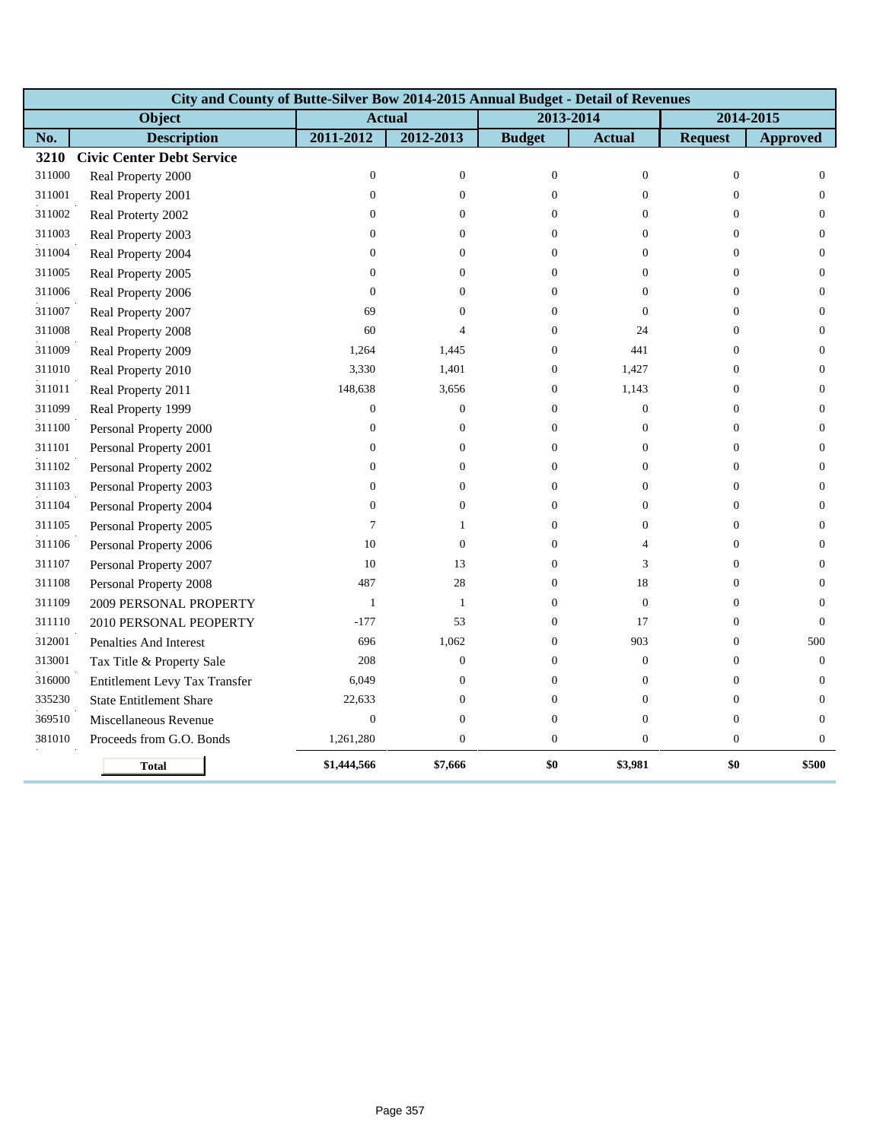|        | City and County of Butte-Silver Bow 2014-2015 Annual Budget - Detail of Revenues |                  |                  |                  |                  |                  |                  |
|--------|----------------------------------------------------------------------------------|------------------|------------------|------------------|------------------|------------------|------------------|
|        | Object                                                                           |                  | <b>Actual</b>    | 2013-2014        |                  | 2014-2015        |                  |
| No.    | <b>Description</b>                                                               | 2011-2012        | 2012-2013        | <b>Budget</b>    | <b>Actual</b>    | <b>Request</b>   | <b>Approved</b>  |
| 3210   | <b>Civic Center Debt Service</b>                                                 |                  |                  |                  |                  |                  |                  |
| 311000 | Real Property 2000                                                               | $\mathbf{0}$     | $\mathbf{0}$     | $\theta$         | $\overline{0}$   | $\mathbf{0}$     | $\overline{0}$   |
| 311001 | Real Property 2001                                                               | $\mathbf{0}$     | $\mathbf{0}$     | $\Omega$         | $\overline{0}$   | $\theta$         | $\mathbf{0}$     |
| 311002 | Real Proterty 2002                                                               | $\mathbf{0}$     | $\Omega$         | $\Omega$         | $\Omega$         | $\mathbf{0}$     | $\overline{0}$   |
| 311003 | Real Property 2003                                                               | $\boldsymbol{0}$ | $\theta$         | $\overline{0}$   | $\overline{0}$   | $\boldsymbol{0}$ | $\boldsymbol{0}$ |
| 311004 | Real Property 2004                                                               | $\mathbf{0}$     | $\mathbf{0}$     | $\overline{0}$   | $\overline{0}$   | $\mathbf{0}$     | $\mathbf{0}$     |
| 311005 | Real Property 2005                                                               | $\mathbf{0}$     | $\mathbf{0}$     | $\Omega$         | $\theta$         | $\overline{0}$   | $\overline{0}$   |
| 311006 | Real Property 2006                                                               | $\mathbf{0}$     | $\mathbf{0}$     | $\overline{0}$   | $\boldsymbol{0}$ | $\boldsymbol{0}$ | $\boldsymbol{0}$ |
| 311007 | Real Property 2007                                                               | 69               | $\mathbf{0}$     | $\overline{0}$   | $\mathbf{0}$     | $\mathbf{0}$     | $\overline{0}$   |
| 311008 | Real Property 2008                                                               | 60               | 4                | $\Omega$         | 24               | $\mathbf{0}$     | $\overline{0}$   |
| 311009 | Real Property 2009                                                               | 1,264            | 1,445            | $\overline{0}$   | 441              | $\mathbf{0}$     | $\boldsymbol{0}$ |
| 311010 | Real Property 2010                                                               | 3,330            | 1,401            | $\overline{0}$   | 1,427            | $\overline{0}$   | $\overline{0}$   |
| 311011 | Real Property 2011                                                               | 148,638          | 3,656            | $\Omega$         | 1,143            | $\Omega$         | $\boldsymbol{0}$ |
| 311099 | Real Property 1999                                                               | $\mathbf{0}$     | $\boldsymbol{0}$ | $\overline{0}$   | $\overline{0}$   | $\mathbf{0}$     | $\overline{0}$   |
| 311100 | Personal Property 2000                                                           | $\mathbf{0}$     | $\mathbf{0}$     | $\Omega$         | $\overline{0}$   | $\mathbf{0}$     | $\mathbf{0}$     |
| 311101 | Personal Property 2001                                                           | $\boldsymbol{0}$ | $\boldsymbol{0}$ | $\overline{0}$   | $\boldsymbol{0}$ | $\boldsymbol{0}$ | $\boldsymbol{0}$ |
| 311102 | Personal Property 2002                                                           | $\mathbf{0}$     | $\mathbf{0}$     | $\overline{0}$   | $\overline{0}$   | $\overline{0}$   | $\boldsymbol{0}$ |
| 311103 | Personal Property 2003                                                           | $\mathbf{0}$     | $\mathbf{0}$     | $\Omega$         | $\overline{0}$   | $\mathbf{0}$     | $\overline{0}$   |
| 311104 | Personal Property 2004                                                           | $\boldsymbol{0}$ | $\boldsymbol{0}$ | $\overline{0}$   | $\overline{0}$   | $\mathbf{0}$     | $\boldsymbol{0}$ |
| 311105 | Personal Property 2005                                                           | 7                | 1                | $\Omega$         | $\overline{0}$   | $\mathbf{0}$     | $\mathbf{0}$     |
| 311106 | Personal Property 2006                                                           | 10               | $\mathbf{0}$     | $\Omega$         | $\overline{4}$   | $\mathbf{0}$     | $\overline{0}$   |
| 311107 | Personal Property 2007                                                           | 10               | 13               | $\Omega$         | 3                | $\mathbf{0}$     | $\overline{0}$   |
| 311108 | Personal Property 2008                                                           | 487              | 28               | $\Omega$         | 18               | $\theta$         | $\mathbf{0}$     |
| 311109 | 2009 PERSONAL PROPERTY                                                           | $\mathbf{1}$     | $\mathbf{1}$     | $\Omega$         | $\overline{0}$   | $\Omega$         | $\Omega$         |
| 311110 | 2010 PERSONAL PEOPERTY                                                           | $-177$           | 53               | $\overline{0}$   | 17               | $\boldsymbol{0}$ | $\mathbf{0}$     |
| 312001 | Penalties And Interest                                                           | 696              | 1,062            | $\overline{0}$   | 903              | $\mathbf{0}$     | 500              |
| 313001 | Tax Title & Property Sale                                                        | 208              | $\boldsymbol{0}$ | $\boldsymbol{0}$ | $\boldsymbol{0}$ | $\boldsymbol{0}$ | $\boldsymbol{0}$ |
| 316000 | Entitlement Levy Tax Transfer                                                    | 6,049            | $\boldsymbol{0}$ | $\overline{0}$   | $\boldsymbol{0}$ | $\boldsymbol{0}$ | $\mathbf{0}$     |
| 335230 | <b>State Entitlement Share</b>                                                   | 22,633           | $\mathbf{0}$     | $\overline{0}$   | $\overline{0}$   | $\theta$         | $\mathbf{0}$     |
| 369510 | Miscellaneous Revenue                                                            | $\boldsymbol{0}$ | $\boldsymbol{0}$ | $\boldsymbol{0}$ | $\boldsymbol{0}$ | $\boldsymbol{0}$ | $\mathbf{0}$     |
| 381010 | Proceeds from G.O. Bonds                                                         | 1,261,280        | $\mathbf{0}$     | $\theta$         | $\overline{0}$   | $\boldsymbol{0}$ | $\boldsymbol{0}$ |
|        | <b>Total</b>                                                                     | \$1,444,566      | \$7,666          | \$0              | \$3,981          | \$0              | \$500            |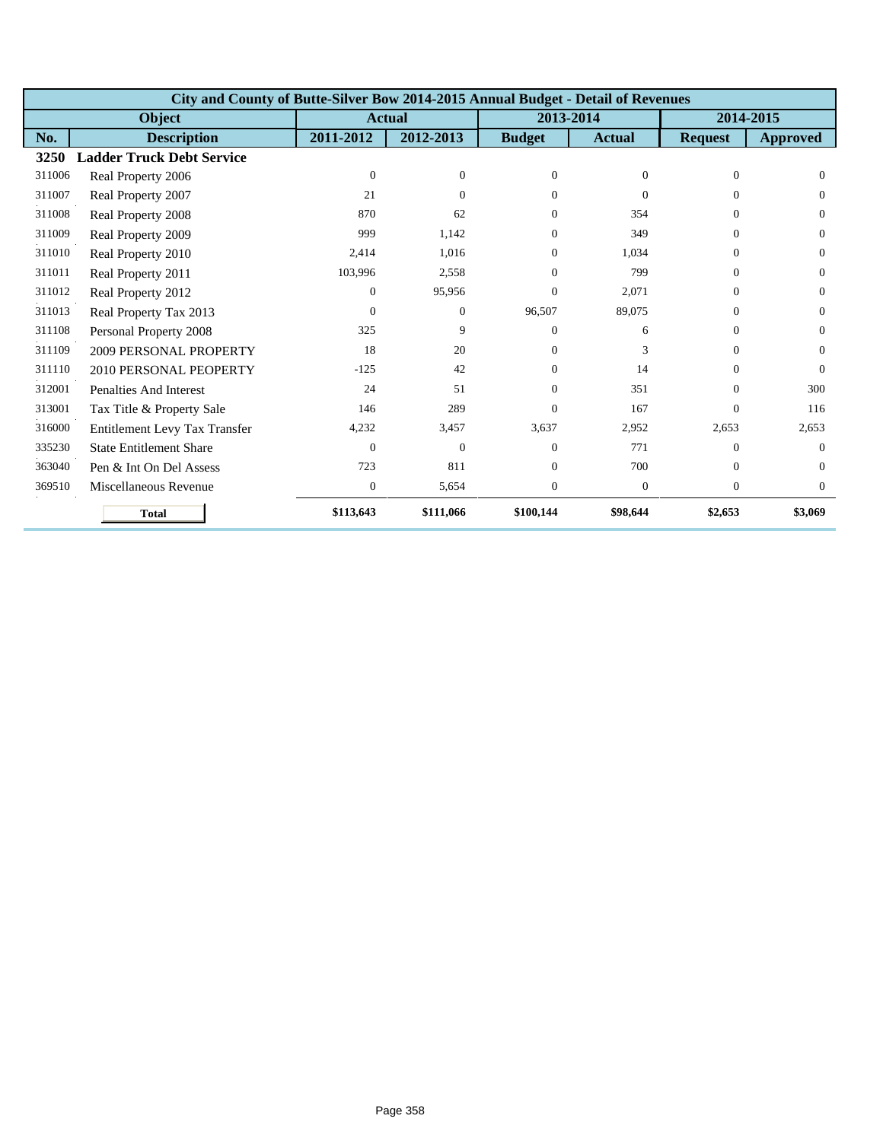|        | City and County of Butte-Silver Bow 2014-2015 Annual Budget - Detail of Revenues |                  |                |                  |                  |                |                 |  |  |  |  |
|--------|----------------------------------------------------------------------------------|------------------|----------------|------------------|------------------|----------------|-----------------|--|--|--|--|
|        | <b>Object</b>                                                                    |                  | <b>Actual</b>  |                  | 2013-2014        |                | 2014-2015       |  |  |  |  |
| No.    | <b>Description</b>                                                               | 2011-2012        | 2012-2013      | <b>Budget</b>    | <b>Actual</b>    | <b>Request</b> | <b>Approved</b> |  |  |  |  |
| 3250   | <b>Ladder Truck Debt Service</b>                                                 |                  |                |                  |                  |                |                 |  |  |  |  |
| 311006 | Real Property 2006                                                               | $\mathbf{0}$     | $\theta$       | $\mathbf{0}$     | $\overline{0}$   | $\theta$       | $\Omega$        |  |  |  |  |
| 311007 | Real Property 2007                                                               | 21               | $\Omega$       | $\Omega$         | $\Omega$         | $\Omega$       | $\Omega$        |  |  |  |  |
| 311008 | Real Property 2008                                                               | 870              | 62             | $\Omega$         | 354              | $\Omega$       | $\Omega$        |  |  |  |  |
| 311009 | Real Property 2009                                                               | 999              | 1,142          | $\Omega$         | 349              | $\Omega$       | $\Omega$        |  |  |  |  |
| 311010 | Real Property 2010                                                               | 2,414            | 1,016          | $\Omega$         | 1,034            | $\Omega$       | $\Omega$        |  |  |  |  |
| 311011 | Real Property 2011                                                               | 103,996          | 2,558          | $\Omega$         | 799              | $\Omega$       | $\Omega$        |  |  |  |  |
| 311012 | Real Property 2012                                                               | $\Omega$         | 95,956         | $\Omega$         | 2.071            | $\Omega$       | $\Omega$        |  |  |  |  |
| 311013 | Real Property Tax 2013                                                           | $\Omega$         | $\overline{0}$ | 96,507           | 89,075           | $\Omega$       | $\Omega$        |  |  |  |  |
| 311108 | Personal Property 2008                                                           | 325              | 9              | $\Omega$         | 6                | $\Omega$       | $\Omega$        |  |  |  |  |
| 311109 | 2009 PERSONAL PROPERTY                                                           | 18               | 20             | $\Omega$         | 3                | $\Omega$       | $\Omega$        |  |  |  |  |
| 311110 | 2010 PERSONAL PEOPERTY                                                           | $-125$           | 42             | $\Omega$         | 14               | $\Omega$       | $\Omega$        |  |  |  |  |
| 312001 | <b>Penalties And Interest</b>                                                    | 24               | 51             | $\Omega$         | 351              | $\Omega$       | 300             |  |  |  |  |
| 313001 | Tax Title & Property Sale                                                        | 146              | 289            | $\Omega$         | 167              | $\Omega$       | 116             |  |  |  |  |
| 316000 | Entitlement Levy Tax Transfer                                                    | 4,232            | 3,457          | 3,637            | 2,952            | 2,653          | 2,653           |  |  |  |  |
| 335230 | <b>State Entitlement Share</b>                                                   | $\Omega$         | $\Omega$       | $\Omega$         | 771              | $\Omega$       | $\Omega$        |  |  |  |  |
| 363040 | Pen & Int On Del Assess                                                          | 723              | 811            | $\Omega$         | 700              | $\Omega$       | $\Omega$        |  |  |  |  |
| 369510 | Miscellaneous Revenue                                                            | $\boldsymbol{0}$ | 5,654          | $\boldsymbol{0}$ | $\boldsymbol{0}$ | $\mathbf{0}$   | $\overline{0}$  |  |  |  |  |
|        | <b>Total</b>                                                                     | \$113,643        | \$111,066      | \$100,144        | \$98,644         | \$2,653        | \$3,069         |  |  |  |  |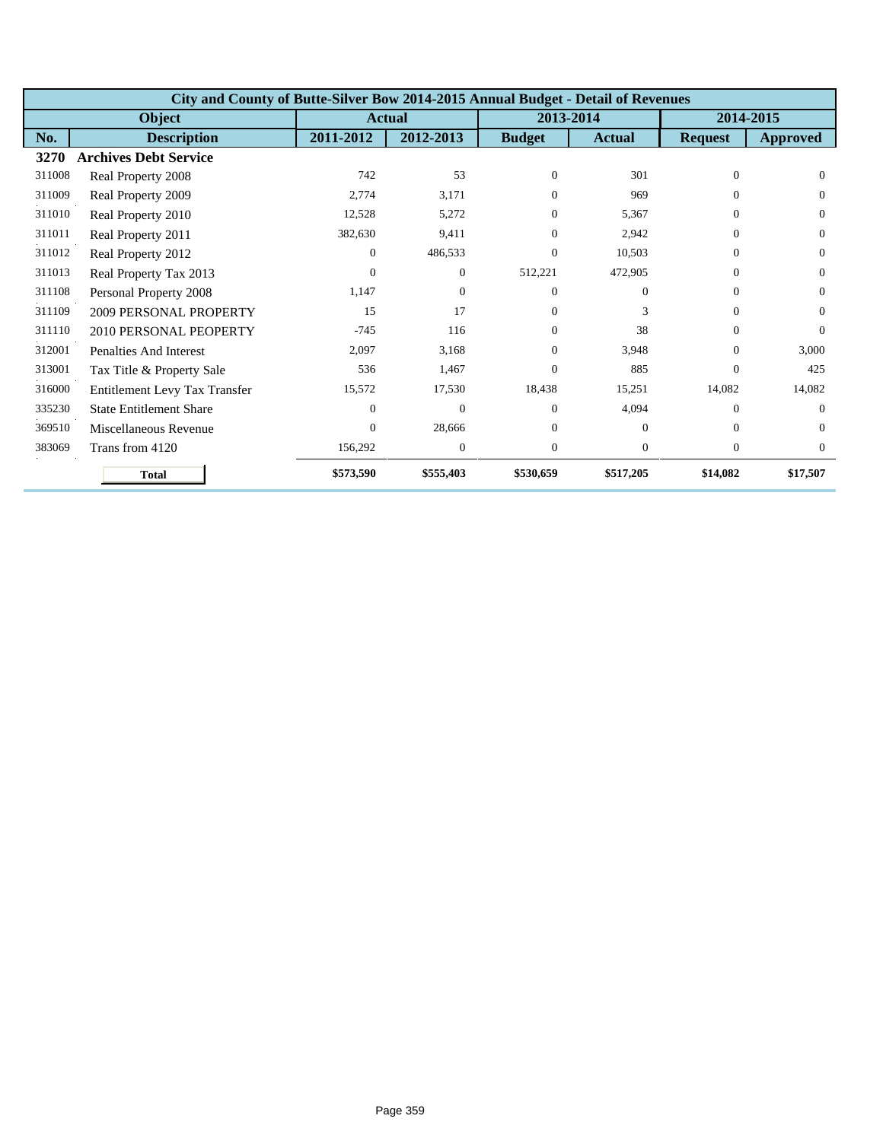|        | City and County of Butte-Silver Bow 2014-2015 Annual Budget - Detail of Revenues |           |                |               |                |                |                 |  |  |  |  |
|--------|----------------------------------------------------------------------------------|-----------|----------------|---------------|----------------|----------------|-----------------|--|--|--|--|
|        | <b>Object</b>                                                                    |           | <b>Actual</b>  | 2013-2014     |                |                | 2014-2015       |  |  |  |  |
| No.    | <b>Description</b>                                                               | 2011-2012 | 2012-2013      | <b>Budget</b> | <b>Actual</b>  | <b>Request</b> | <b>Approved</b> |  |  |  |  |
| 3270   | <b>Archives Debt Service</b>                                                     |           |                |               |                |                |                 |  |  |  |  |
| 311008 | Real Property 2008                                                               | 742       | 53             | $\Omega$      | 301            | $\Omega$       | $\Omega$        |  |  |  |  |
| 311009 | Real Property 2009                                                               | 2,774     | 3,171          | $\Omega$      | 969            | $\Omega$       | $\Omega$        |  |  |  |  |
| 311010 | Real Property 2010                                                               | 12,528    | 5,272          | $\Omega$      | 5,367          | $\Omega$       | $\Omega$        |  |  |  |  |
| 311011 | Real Property 2011                                                               | 382,630   | 9,411          | $\Omega$      | 2,942          | $\Omega$       | $\Omega$        |  |  |  |  |
| 311012 | Real Property 2012                                                               | $\Omega$  | 486,533        | $\Omega$      | 10,503         | $\Omega$       | $\Omega$        |  |  |  |  |
| 311013 | Real Property Tax 2013                                                           | $\Omega$  | $\overline{0}$ | 512,221       | 472,905        | $\Omega$       | $\Omega$        |  |  |  |  |
| 311108 | Personal Property 2008                                                           | 1,147     | $\overline{0}$ | $\Omega$      | $\Omega$       | $\Omega$       | $\Omega$        |  |  |  |  |
| 311109 | 2009 PERSONAL PROPERTY                                                           | 15        | 17             | $\Omega$      | 3              | $\Omega$       | $\Omega$        |  |  |  |  |
| 311110 | 2010 PERSONAL PEOPERTY                                                           | $-745$    | 116            | $\Omega$      | 38             | $\Omega$       | $\Omega$        |  |  |  |  |
| 312001 | Penalties And Interest                                                           | 2,097     | 3.168          | $\Omega$      | 3.948          | $\Omega$       | 3.000           |  |  |  |  |
| 313001 | Tax Title & Property Sale                                                        | 536       | 1,467          | $\Omega$      | 885            | $\Omega$       | 425             |  |  |  |  |
| 316000 | Entitlement Levy Tax Transfer                                                    | 15,572    | 17,530         | 18,438        | 15,251         | 14,082         | 14,082          |  |  |  |  |
| 335230 | <b>State Entitlement Share</b>                                                   | $\Omega$  | $\mathbf{0}$   | $\Omega$      | 4,094          | $\Omega$       | $\Omega$        |  |  |  |  |
| 369510 | Miscellaneous Revenue                                                            | $\Omega$  | 28,666         | $\Omega$      | $\Omega$       | $\Omega$       | $\Omega$        |  |  |  |  |
| 383069 | Trans from 4120                                                                  | 156,292   | $\mathbf{0}$   | $\theta$      | $\overline{0}$ | $\theta$       | $\Omega$        |  |  |  |  |
|        | <b>Total</b>                                                                     | \$573,590 | \$555,403      | \$530,659     | \$517,205      | \$14,082       | \$17,507        |  |  |  |  |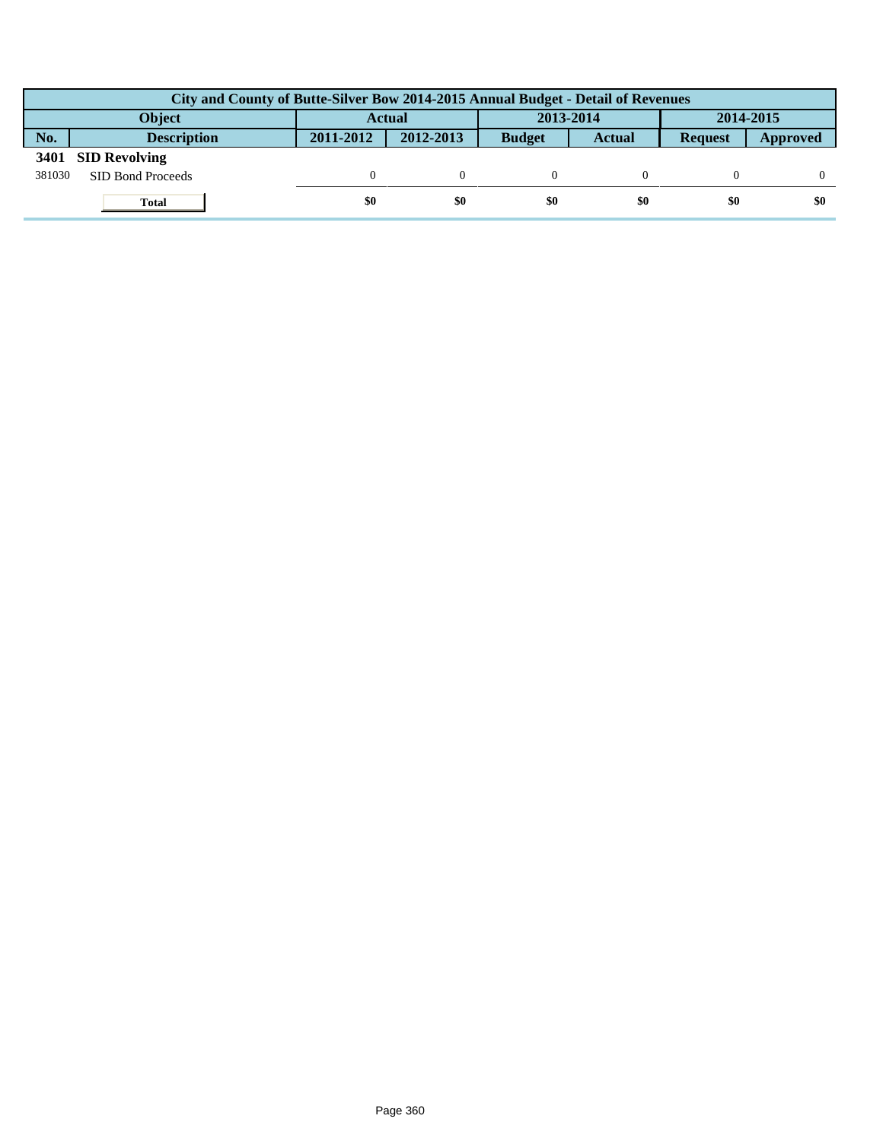|        | City and County of Butte-Silver Bow 2014-2015 Annual Budget - Detail of Revenues |               |           |               |               |                |          |  |  |  |
|--------|----------------------------------------------------------------------------------|---------------|-----------|---------------|---------------|----------------|----------|--|--|--|
|        | Object                                                                           | <b>Actual</b> |           | 2013-2014     |               | 2014-2015      |          |  |  |  |
| No.    | <b>Description</b>                                                               | 2011-2012     | 2012-2013 | <b>Budget</b> | <b>Actual</b> | <b>Request</b> | Approved |  |  |  |
| 3401   | <b>SID Revolving</b>                                                             |               |           |               |               |                |          |  |  |  |
| 381030 | SID Bond Proceeds                                                                |               |           |               |               |                |          |  |  |  |
|        | <b>Total</b>                                                                     | \$0           | \$0       | \$0           | \$0           | \$0            | \$0      |  |  |  |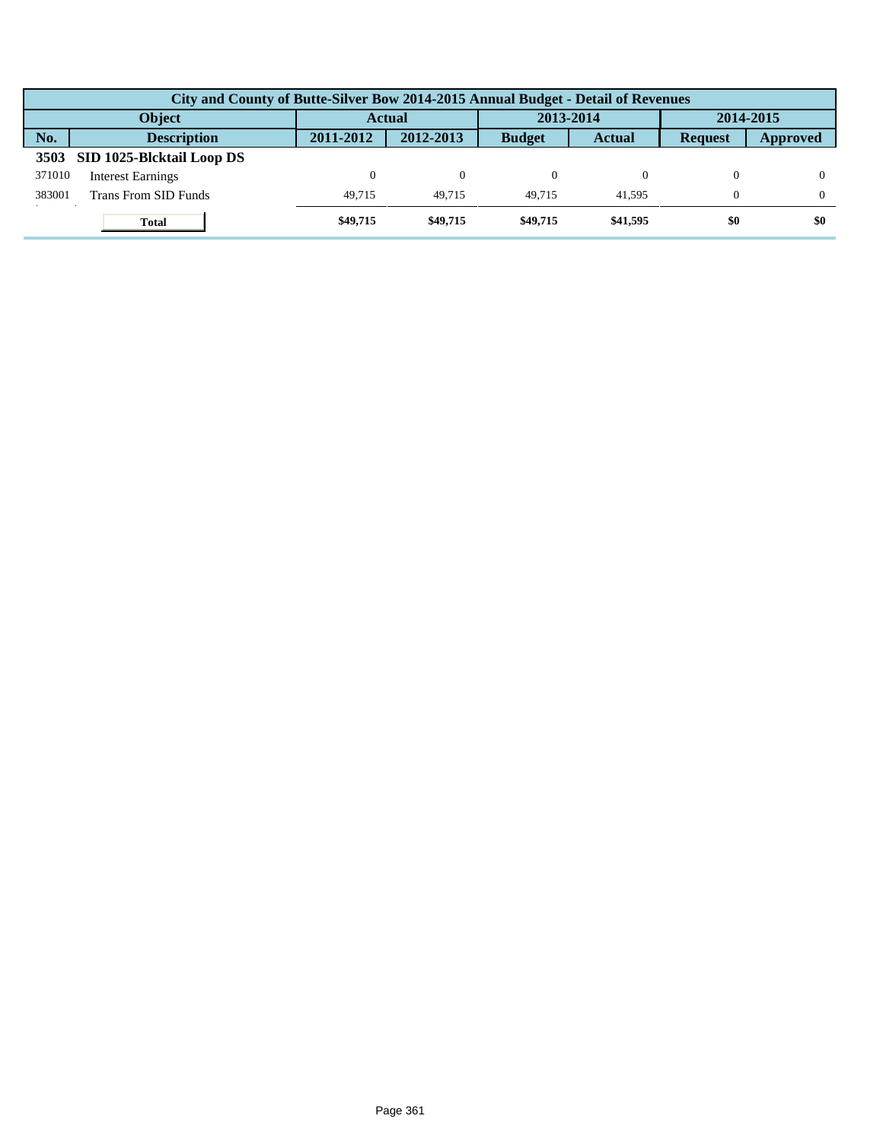|        | City and County of Butte-Silver Bow 2014-2015 Annual Budget - Detail of Revenues |           |           |               |               |                |          |  |  |  |
|--------|----------------------------------------------------------------------------------|-----------|-----------|---------------|---------------|----------------|----------|--|--|--|
|        | <b>Object</b>                                                                    | Actual    |           | 2013-2014     |               | 2014-2015      |          |  |  |  |
| No.    | <b>Description</b>                                                               | 2011-2012 | 2012-2013 | <b>Budget</b> | <b>Actual</b> | <b>Request</b> | Approved |  |  |  |
| 3503   | SID 1025-Blcktail Loop DS                                                        |           |           |               |               |                |          |  |  |  |
| 371010 | <b>Interest Earnings</b>                                                         | $\Omega$  | $\Omega$  |               |               |                |          |  |  |  |
| 383001 | Trans From SID Funds                                                             | 49.715    | 49.715    | 49.715        | 41.595        | $\Omega$       |          |  |  |  |
|        | <b>Total</b>                                                                     | \$49,715  | \$49,715  | \$49,715      | \$41,595      | \$0            | \$0      |  |  |  |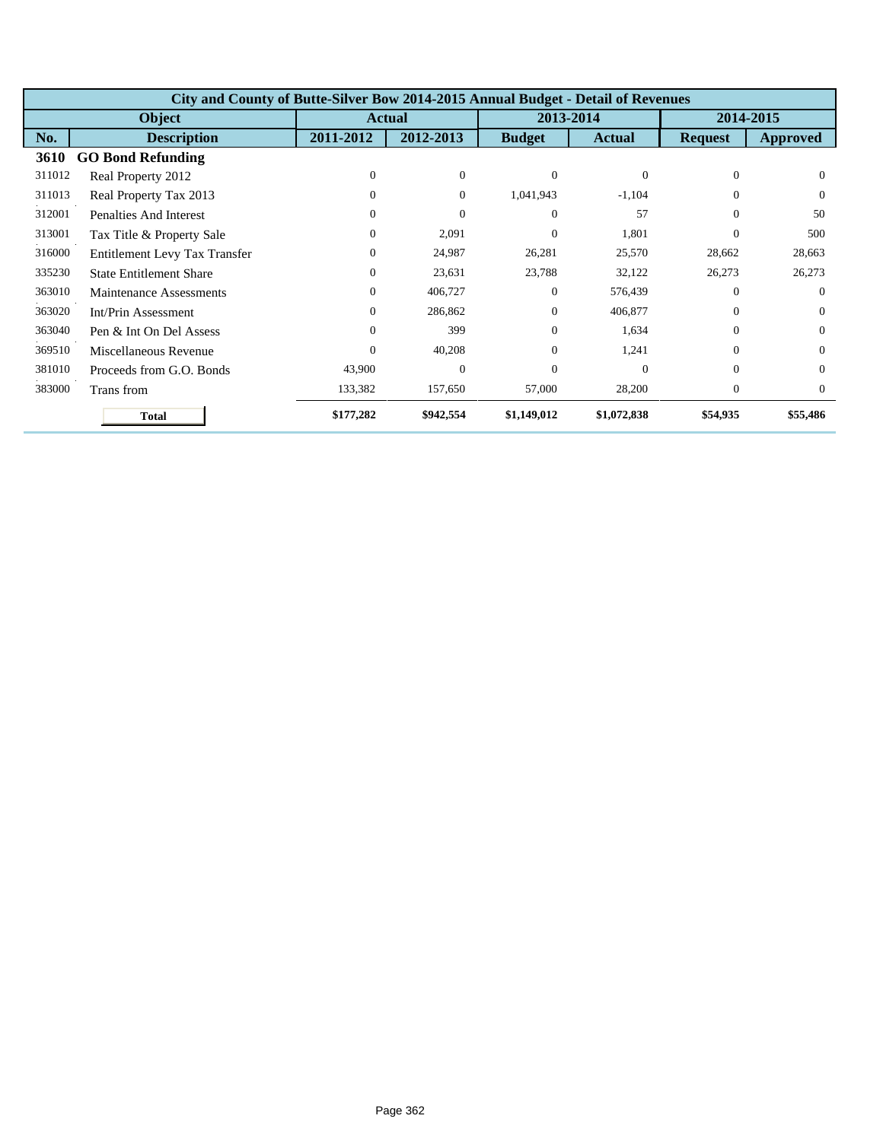|        | City and County of Butte-Silver Bow 2014-2015 Annual Budget - Detail of Revenues |               |                |               |               |                |          |  |  |  |  |
|--------|----------------------------------------------------------------------------------|---------------|----------------|---------------|---------------|----------------|----------|--|--|--|--|
|        | <b>Object</b>                                                                    | <b>Actual</b> |                | 2013-2014     |               | 2014-2015      |          |  |  |  |  |
| No.    | <b>Description</b>                                                               | 2011-2012     | 2012-2013      | <b>Budget</b> | <b>Actual</b> | <b>Request</b> | Approved |  |  |  |  |
| 3610   | <b>GO Bond Refunding</b>                                                         |               |                |               |               |                |          |  |  |  |  |
| 311012 | Real Property 2012                                                               | $\Omega$      | $\mathbf{0}$   | $\Omega$      | $\Omega$      | $\Omega$       | $\Omega$ |  |  |  |  |
| 311013 | Real Property Tax 2013                                                           | 0             | $\overline{0}$ | 1,041,943     | $-1,104$      | $\Omega$       | $\Omega$ |  |  |  |  |
| 312001 | <b>Penalties And Interest</b>                                                    | 0             | $\theta$       | $\Omega$      | 57            | $\Omega$       | 50       |  |  |  |  |
| 313001 | Tax Title & Property Sale                                                        | $\Omega$      | 2,091          | $\Omega$      | 1,801         | $\Omega$       | 500      |  |  |  |  |
| 316000 | Entitlement Levy Tax Transfer                                                    | $\Omega$      | 24,987         | 26,281        | 25,570        | 28,662         | 28,663   |  |  |  |  |
| 335230 | <b>State Entitlement Share</b>                                                   | 0             | 23,631         | 23,788        | 32,122        | 26,273         | 26,273   |  |  |  |  |
| 363010 | Maintenance Assessments                                                          | $\Omega$      | 406,727        | $\Omega$      | 576,439       | $\Omega$       | $\Omega$ |  |  |  |  |
| 363020 | Int/Prin Assessment                                                              | $\Omega$      | 286,862        | $\Omega$      | 406,877       | $\Omega$       | $\Omega$ |  |  |  |  |
| 363040 | Pen & Int On Del Assess                                                          | $\Omega$      | 399            | $\Omega$      | 1,634         | $\theta$       | $\Omega$ |  |  |  |  |
| 369510 | Miscellaneous Revenue                                                            | $\mathbf{0}$  | 40,208         | $\Omega$      | 1,241         | $\Omega$       | $\Omega$ |  |  |  |  |
| 381010 | Proceeds from G.O. Bonds                                                         | 43,900        | $\overline{0}$ | $\Omega$      | $\Omega$      | $\Omega$       | $\Omega$ |  |  |  |  |
| 383000 | Trans from                                                                       | 133,382       | 157,650        | 57,000        | 28,200        | $\overline{0}$ | $\Omega$ |  |  |  |  |
|        | <b>Total</b>                                                                     | \$177,282     | \$942,554      | \$1,149,012   | \$1,072,838   | \$54,935       | \$55,486 |  |  |  |  |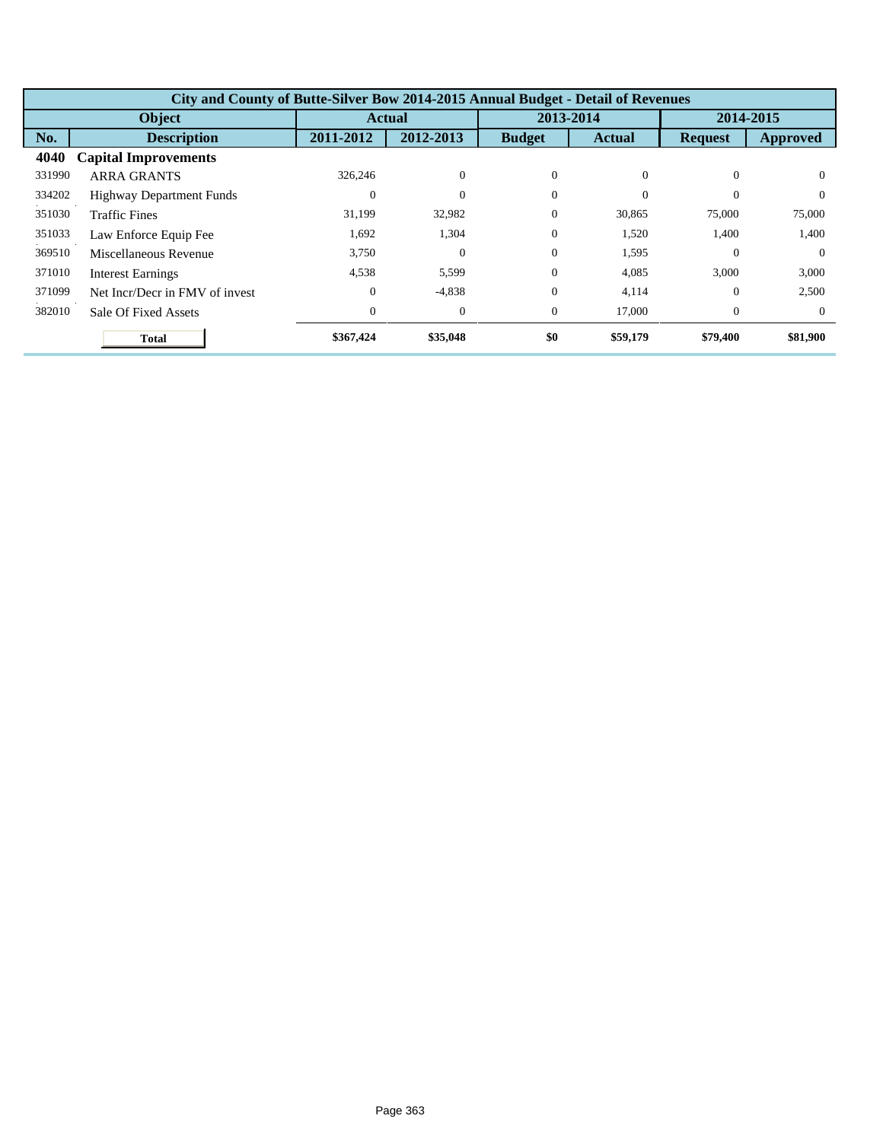|        | City and County of Butte-Silver Bow 2014-2015 Annual Budget - Detail of Revenues |              |               |               |               |                |                 |  |  |  |
|--------|----------------------------------------------------------------------------------|--------------|---------------|---------------|---------------|----------------|-----------------|--|--|--|
|        | <b>Object</b>                                                                    |              | <b>Actual</b> |               | 2013-2014     |                | 2014-2015       |  |  |  |
| No.    | <b>Description</b>                                                               | 2011-2012    | 2012-2013     | <b>Budget</b> | <b>Actual</b> | <b>Request</b> | <b>Approved</b> |  |  |  |
| 4040   | <b>Capital Improvements</b>                                                      |              |               |               |               |                |                 |  |  |  |
| 331990 | <b>ARRA GRANTS</b>                                                               | 326,246      | $\theta$      | $\theta$      | $\Omega$      | $\Omega$       | $\Omega$        |  |  |  |
| 334202 | <b>Highway Department Funds</b>                                                  | $\Omega$     | $\theta$      | $\Omega$      | $\Omega$      | $\Omega$       | $\Omega$        |  |  |  |
| 351030 | <b>Traffic Fines</b>                                                             | 31,199       | 32,982        | $\theta$      | 30,865        | 75,000         | 75,000          |  |  |  |
| 351033 | Law Enforce Equip Fee                                                            | 1,692        | 1,304         | $\theta$      | 1,520         | 1,400          | 1,400           |  |  |  |
| 369510 | Miscellaneous Revenue                                                            | 3,750        | $\theta$      | $\theta$      | 1,595         | $\Omega$       | $\Omega$        |  |  |  |
| 371010 | <b>Interest Earnings</b>                                                         | 4,538        | 5,599         | $\Omega$      | 4,085         | 3,000          | 3,000           |  |  |  |
| 371099 | Net Incr/Decr in FMV of invest                                                   | $\Omega$     | $-4,838$      | $\Omega$      | 4,114         | $\Omega$       | 2,500           |  |  |  |
| 382010 | Sale Of Fixed Assets                                                             | $\mathbf{0}$ | $\theta$      | $\theta$      | 17,000        | $\theta$       | $\Omega$        |  |  |  |
|        | <b>Total</b>                                                                     | \$367,424    | \$35,048      | \$0           | \$59,179      | \$79,400       | \$81,900        |  |  |  |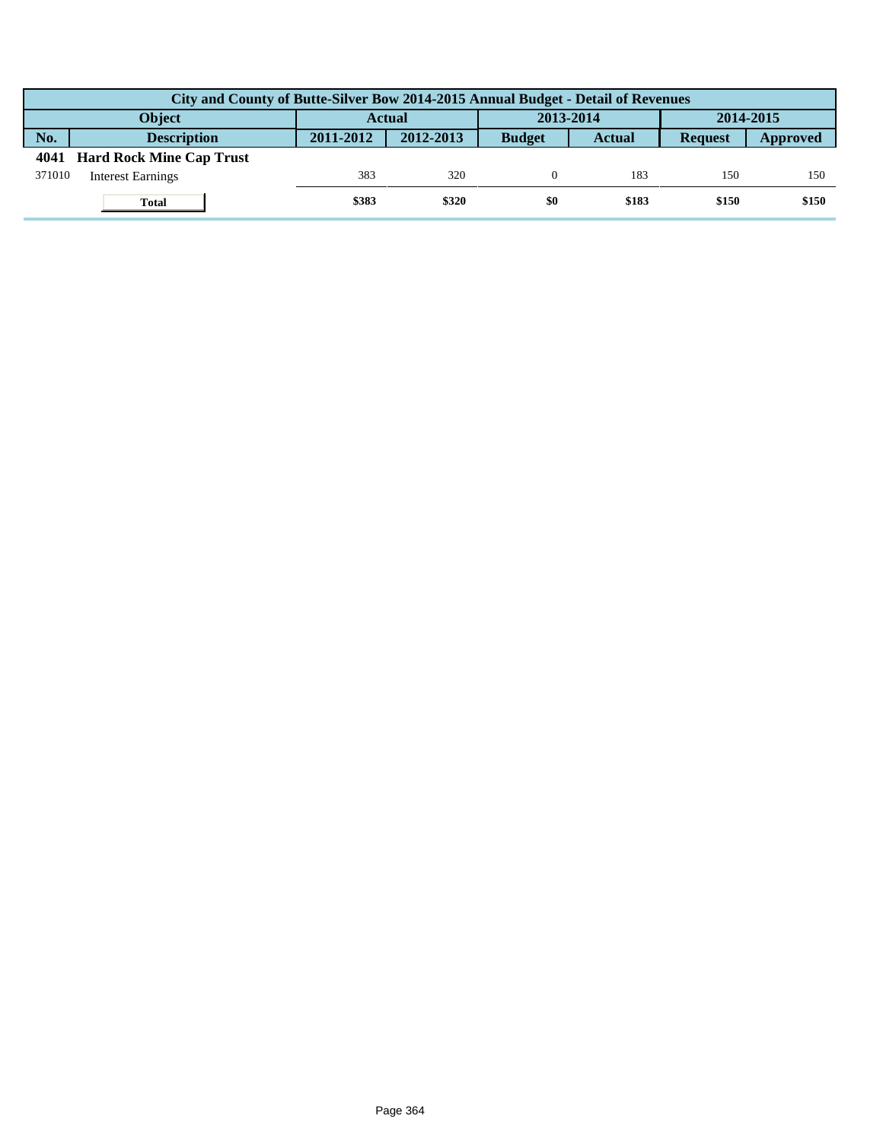|        | City and County of Butte-Silver Bow 2014-2015 Annual Budget - Detail of Revenues |               |           |               |               |                |          |  |  |  |  |
|--------|----------------------------------------------------------------------------------|---------------|-----------|---------------|---------------|----------------|----------|--|--|--|--|
|        | Object                                                                           | <b>Actual</b> |           | 2013-2014     |               | 2014-2015      |          |  |  |  |  |
| No.    | <b>Description</b>                                                               | 2011-2012     | 2012-2013 | <b>Budget</b> | <b>Actual</b> | <b>Request</b> | Approved |  |  |  |  |
| 4041   | <b>Hard Rock Mine Cap Trust</b>                                                  |               |           |               |               |                |          |  |  |  |  |
| 371010 | <b>Interest Earnings</b>                                                         | 383           | 320       |               | 183           | 150            | 150      |  |  |  |  |
|        | <b>Total</b>                                                                     | \$383         | \$320     | \$0           | \$183         | \$150          | \$150    |  |  |  |  |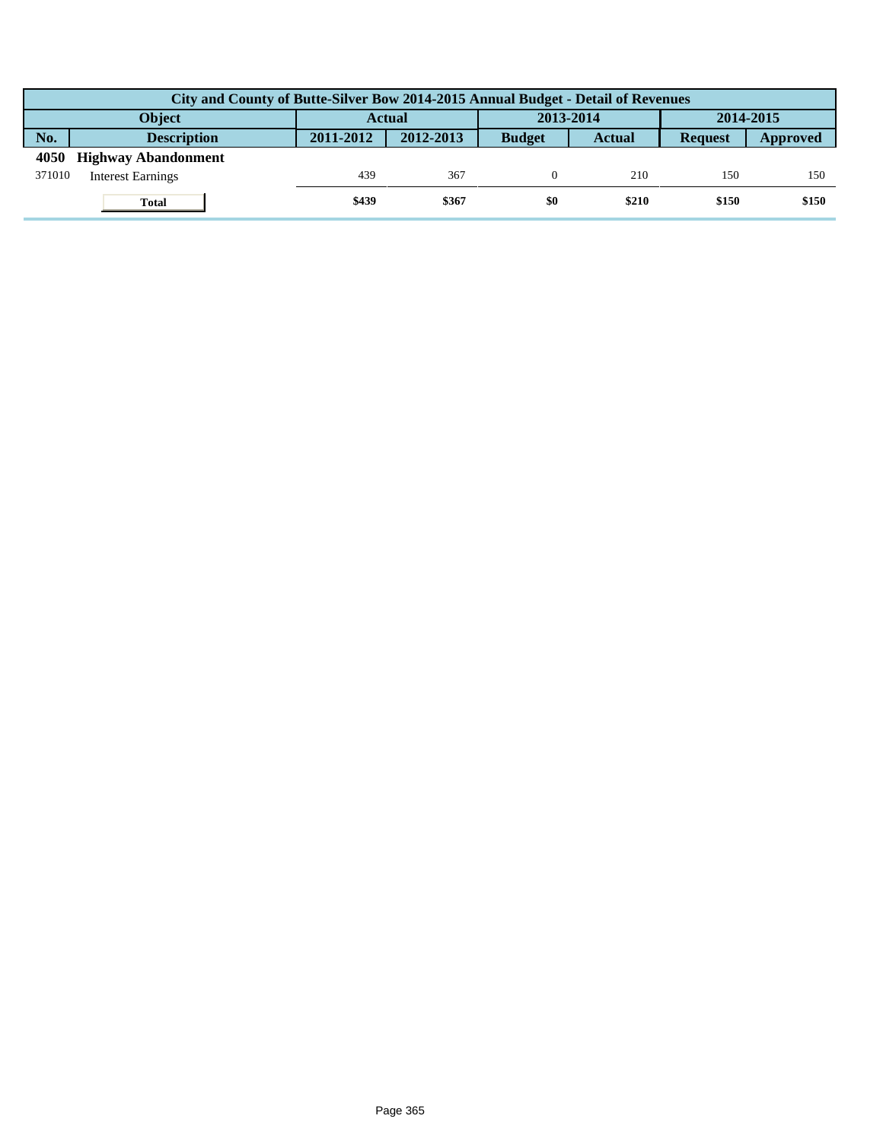|        | City and County of Butte-Silver Bow 2014-2015 Annual Budget - Detail of Revenues |               |           |               |               |                |          |  |  |  |  |
|--------|----------------------------------------------------------------------------------|---------------|-----------|---------------|---------------|----------------|----------|--|--|--|--|
|        | Object                                                                           | <b>Actual</b> |           | 2013-2014     |               | 2014-2015      |          |  |  |  |  |
| No.    | <b>Description</b>                                                               | 2011-2012     | 2012-2013 | <b>Budget</b> | <b>Actual</b> | <b>Request</b> | Approved |  |  |  |  |
| 4050   | <b>Highway Abandonment</b>                                                       |               |           |               |               |                |          |  |  |  |  |
| 371010 | <b>Interest Earnings</b>                                                         | 439           | 367       |               | 210           | 150            | 150      |  |  |  |  |
|        | <b>Total</b>                                                                     | \$439         | \$367     | \$0           | \$210         | \$150          | \$150    |  |  |  |  |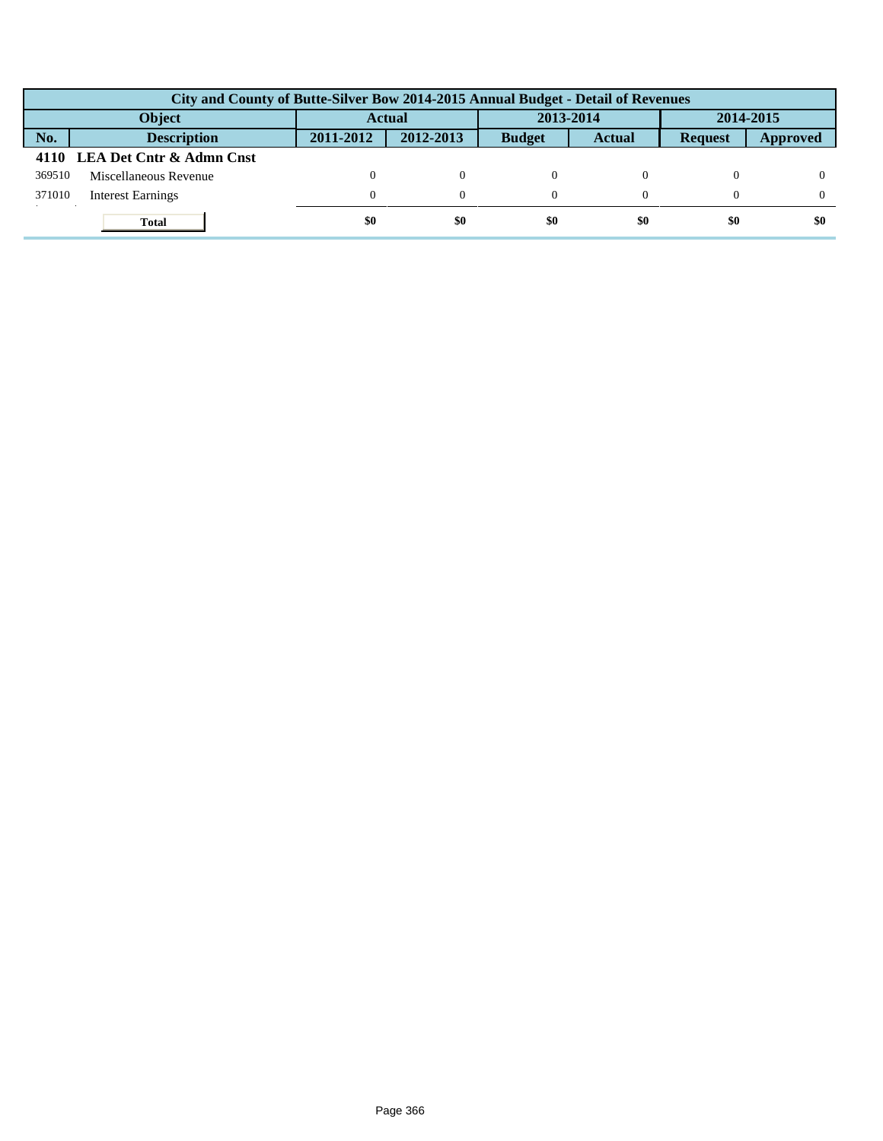|                                      | City and County of Butte-Silver Bow 2014-2015 Annual Budget - Detail of Revenues |           |           |               |               |                |          |  |  |  |
|--------------------------------------|----------------------------------------------------------------------------------|-----------|-----------|---------------|---------------|----------------|----------|--|--|--|
| 2013-2014<br><b>Object</b><br>Actual |                                                                                  |           |           |               |               | 2014-2015      |          |  |  |  |
| No.                                  | <b>Description</b>                                                               | 2011-2012 | 2012-2013 | <b>Budget</b> | <b>Actual</b> | <b>Request</b> | Approved |  |  |  |
|                                      | 4110 LEA Det Cntr & Admn Cnst                                                    |           |           |               |               |                |          |  |  |  |
| 369510                               | Miscellaneous Revenue                                                            |           | $\Omega$  |               |               |                |          |  |  |  |
| 371010                               | <b>Interest Earnings</b>                                                         | $\Omega$  | $\Omega$  |               |               |                |          |  |  |  |
|                                      | <b>Total</b>                                                                     | \$0       | \$0       | \$0           | \$0           | \$0            | \$0      |  |  |  |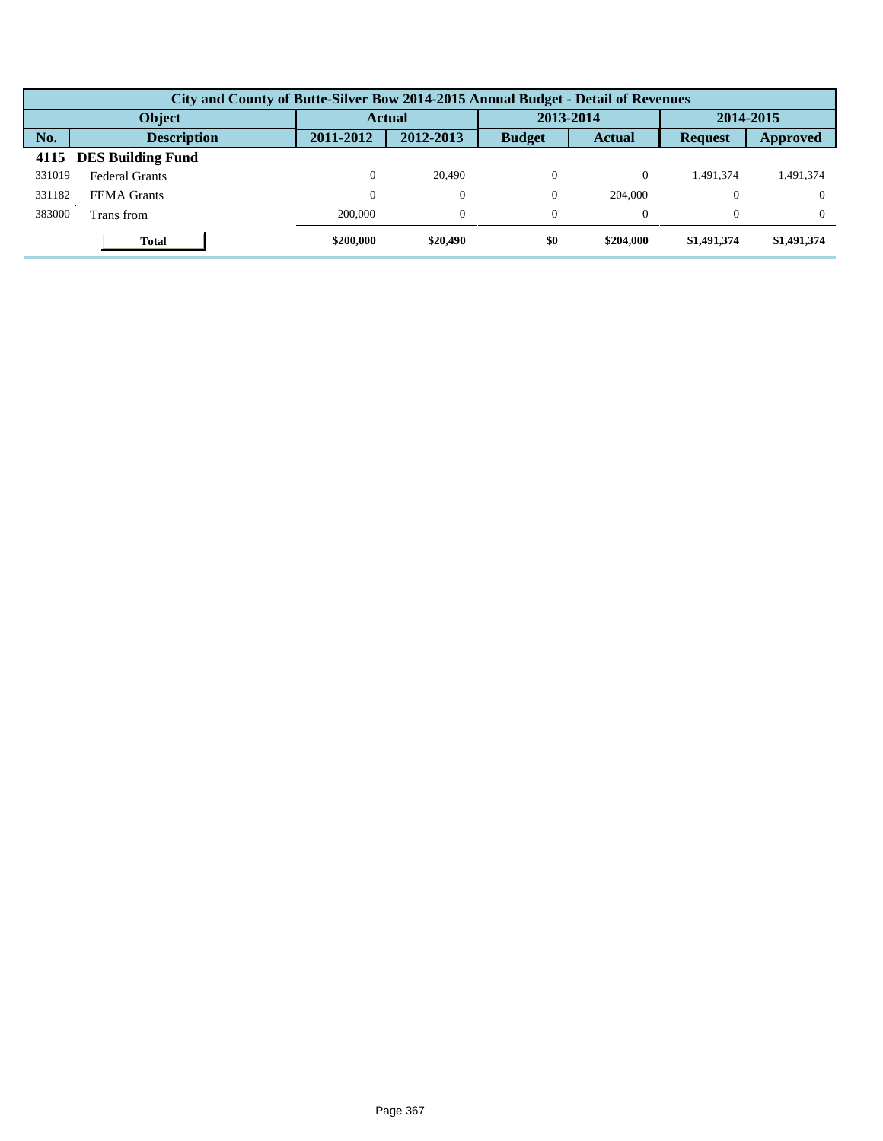|        | City and County of Butte-Silver Bow 2014-2015 Annual Budget - Detail of Revenues |               |                |               |               |                |             |  |  |  |  |
|--------|----------------------------------------------------------------------------------|---------------|----------------|---------------|---------------|----------------|-------------|--|--|--|--|
|        | Object                                                                           | <b>Actual</b> |                | 2013-2014     |               | 2014-2015      |             |  |  |  |  |
| No.    | <b>Description</b>                                                               | 2011-2012     | 2012-2013      | <b>Budget</b> | <b>Actual</b> | <b>Request</b> | Approved    |  |  |  |  |
| 4115   | <b>DES Building Fund</b>                                                         |               |                |               |               |                |             |  |  |  |  |
| 331019 | <b>Federal Grants</b>                                                            |               | 20,490         | $\Omega$      | 0             | 1.491.374      | 1,491,374   |  |  |  |  |
| 331182 | <b>FEMA</b> Grants                                                               |               | $\theta$       | $\Omega$      | 204,000       |                | $\Omega$    |  |  |  |  |
| 383000 | Trans from                                                                       | 200,000       | $\overline{0}$ | $\theta$      | 0             |                | $\Omega$    |  |  |  |  |
|        | <b>Total</b>                                                                     | \$200,000     | \$20,490       | \$0           | \$204,000     | \$1,491,374    | \$1,491,374 |  |  |  |  |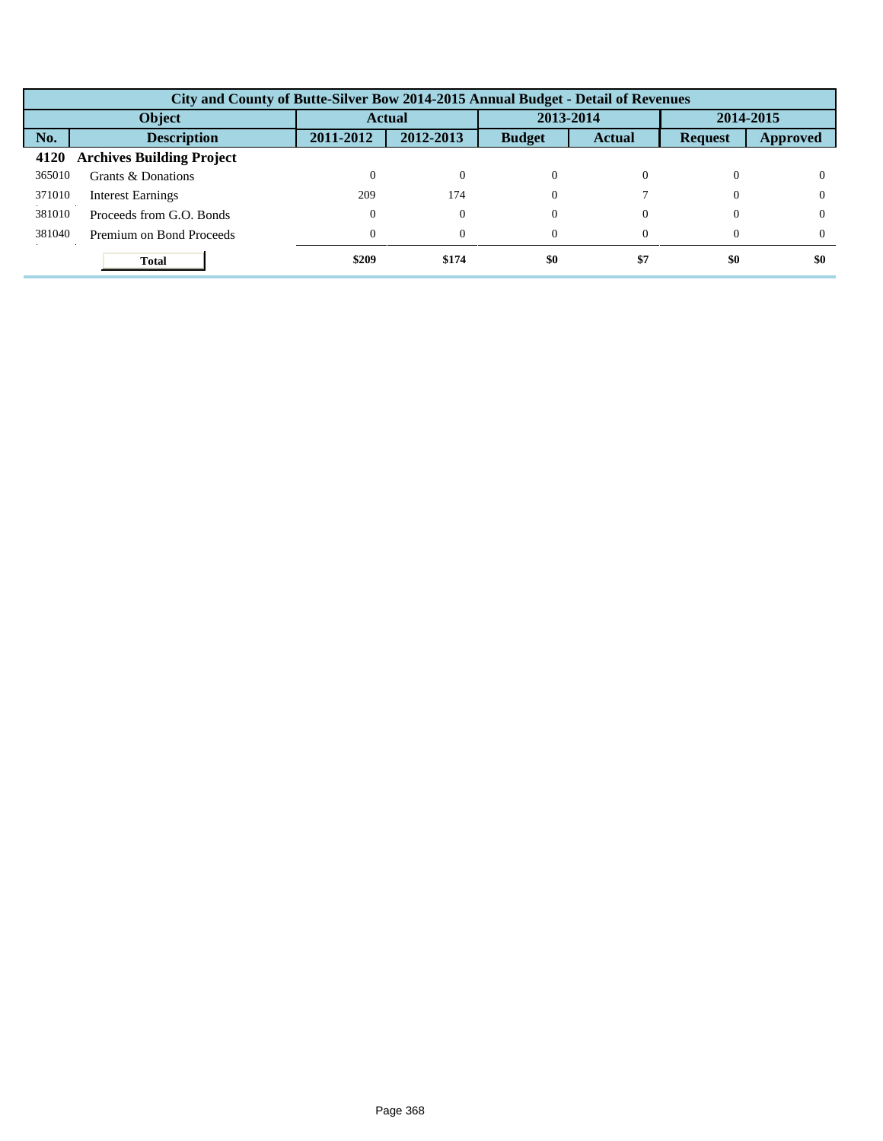|        | City and County of Butte-Silver Bow 2014-2015 Annual Budget - Detail of Revenues |           |           |               |               |                |           |  |  |  |
|--------|----------------------------------------------------------------------------------|-----------|-----------|---------------|---------------|----------------|-----------|--|--|--|
| Object |                                                                                  |           | Actual    |               | 2013-2014     |                | 2014-2015 |  |  |  |
| No.    | <b>Description</b>                                                               | 2011-2012 | 2012-2013 | <b>Budget</b> | <b>Actual</b> | <b>Request</b> | Approved  |  |  |  |
| 4120   | <b>Archives Building Project</b>                                                 |           |           |               |               |                |           |  |  |  |
| 365010 | Grants & Donations                                                               |           | $\Omega$  | $\Omega$      |               | 0              |           |  |  |  |
| 371010 | <b>Interest Earnings</b>                                                         | 209       | 174       | $\Omega$      |               | $\Omega$       | v         |  |  |  |
| 381010 | Proceeds from G.O. Bonds                                                         |           | $\theta$  | $\Omega$      |               | $\Omega$       | v         |  |  |  |
| 381040 | Premium on Bond Proceeds                                                         | 0         | $\theta$  | $\Omega$      |               | $\Omega$       |           |  |  |  |
|        | <b>Total</b>                                                                     | \$209     | \$174     | \$0           | \$7           | \$0            | \$0       |  |  |  |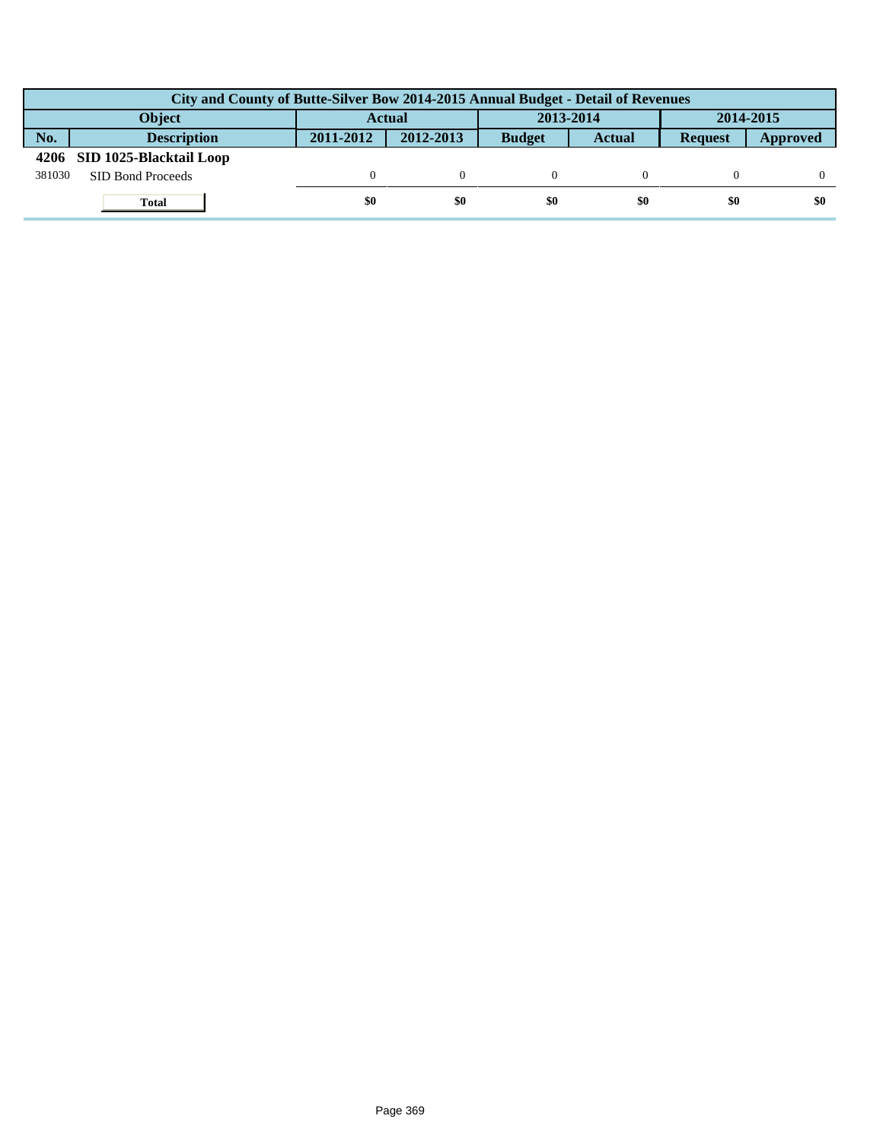|        | City and County of Butte-Silver Bow 2014-2015 Annual Budget - Detail of Revenues |               |           |               |               |                |          |  |  |  |
|--------|----------------------------------------------------------------------------------|---------------|-----------|---------------|---------------|----------------|----------|--|--|--|
|        | <b>Object</b>                                                                    | <b>Actual</b> |           | 2013-2014     |               | 2014-2015      |          |  |  |  |
| No.    | <b>Description</b>                                                               | 2011-2012     | 2012-2013 | <b>Budget</b> | <b>Actual</b> | <b>Request</b> | Approved |  |  |  |
|        | 4206 SID 1025-Blacktail Loop                                                     |               |           |               |               |                |          |  |  |  |
| 381030 | SID Bond Proceeds                                                                |               |           |               |               |                |          |  |  |  |
|        | <b>Total</b>                                                                     | \$0           | \$0       | \$0           | \$0           | \$0            | \$0      |  |  |  |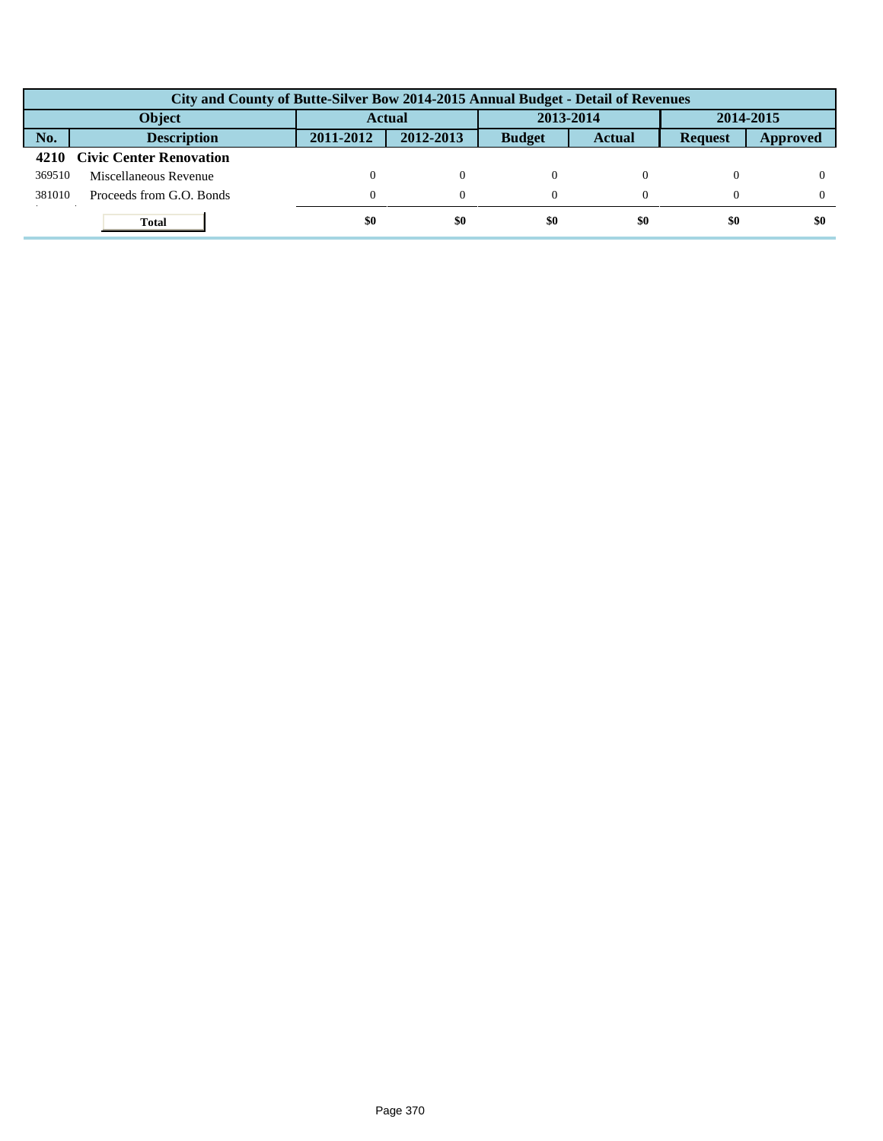|               | City and County of Butte-Silver Bow 2014-2015 Annual Budget - Detail of Revenues |           |           |               |               |                |          |  |  |  |
|---------------|----------------------------------------------------------------------------------|-----------|-----------|---------------|---------------|----------------|----------|--|--|--|
| <b>Object</b> |                                                                                  | Actual    |           | 2013-2014     |               | 2014-2015      |          |  |  |  |
| No.           | <b>Description</b>                                                               | 2011-2012 | 2012-2013 | <b>Budget</b> | <b>Actual</b> | <b>Request</b> | Approved |  |  |  |
|               | 4210 Civic Center Renovation                                                     |           |           |               |               |                |          |  |  |  |
| 369510        | Miscellaneous Revenue                                                            |           |           |               |               |                |          |  |  |  |
| 381010        | Proceeds from G.O. Bonds                                                         | 0         | $\Omega$  |               |               |                |          |  |  |  |
|               | <b>Total</b>                                                                     | \$0       | \$0       | \$0           | \$0           | \$0            | \$0      |  |  |  |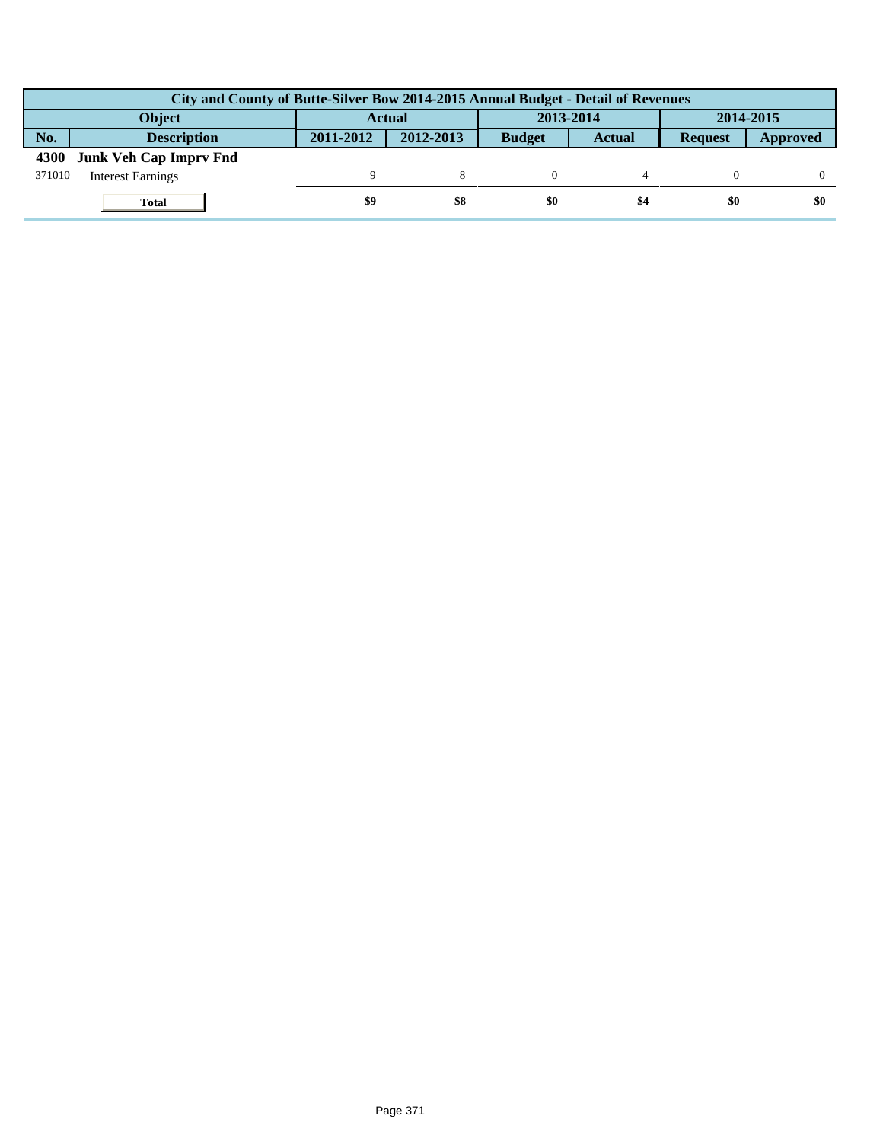|        | City and County of Butte-Silver Bow 2014-2015 Annual Budget - Detail of Revenues |               |           |               |               |                |          |  |  |  |  |
|--------|----------------------------------------------------------------------------------|---------------|-----------|---------------|---------------|----------------|----------|--|--|--|--|
|        | <b>Object</b>                                                                    | <b>Actual</b> |           | 2013-2014     |               | 2014-2015      |          |  |  |  |  |
| No.    | <b>Description</b>                                                               | 2011-2012     | 2012-2013 | <b>Budget</b> | <b>Actual</b> | <b>Request</b> | Approved |  |  |  |  |
| 4300   | <b>Junk Veh Cap Impry Fnd</b>                                                    |               |           |               |               |                |          |  |  |  |  |
| 371010 | <b>Interest Earnings</b>                                                         |               |           |               |               |                |          |  |  |  |  |
|        | <b>Total</b>                                                                     | \$9           | \$8       | \$0           | \$4           | \$0            | \$0      |  |  |  |  |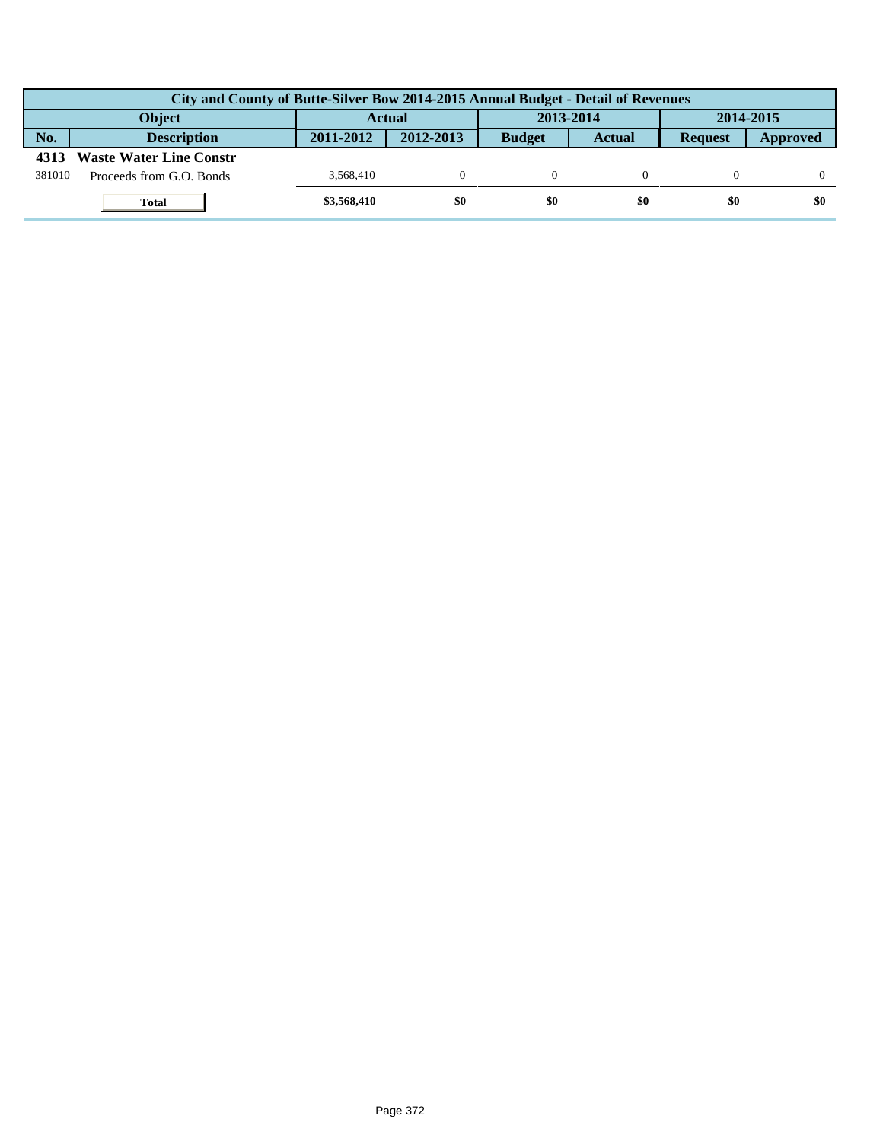|        | City and County of Butte-Silver Bow 2014-2015 Annual Budget - Detail of Revenues |             |           |               |        |                |          |  |  |  |  |
|--------|----------------------------------------------------------------------------------|-------------|-----------|---------------|--------|----------------|----------|--|--|--|--|
|        | <b>Object</b>                                                                    | Actual      |           | 2013-2014     |        | 2014-2015      |          |  |  |  |  |
| No.    | <b>Description</b>                                                               | 2011-2012   | 2012-2013 | <b>Budget</b> | Actual | <b>Request</b> | Approved |  |  |  |  |
| 4313   | <b>Waste Water Line Constr</b>                                                   |             |           |               |        |                |          |  |  |  |  |
| 381010 | Proceeds from G.O. Bonds                                                         | 3.568.410   |           |               |        |                |          |  |  |  |  |
|        | <b>Total</b>                                                                     | \$3,568,410 | \$0       | \$0           | \$0    | \$0            | \$0      |  |  |  |  |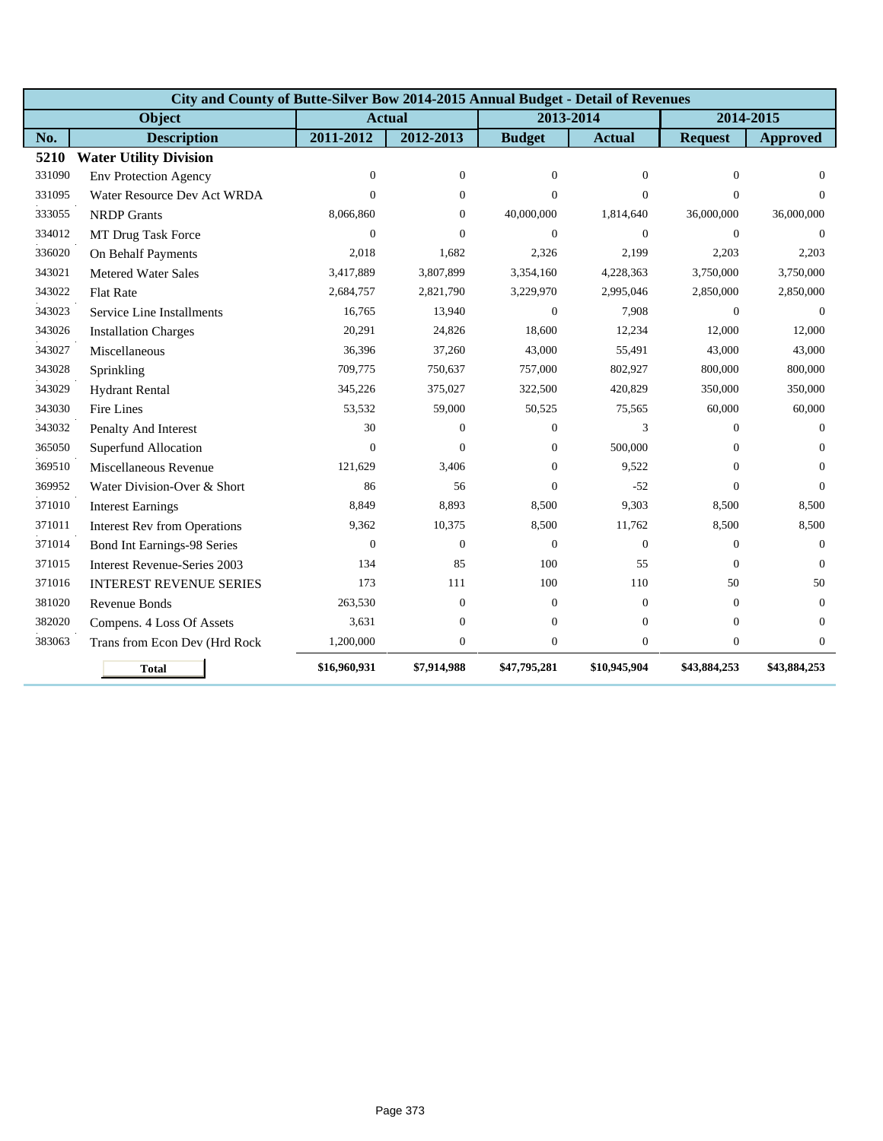|        | City and County of Butte-Silver Bow 2014-2015 Annual Budget - Detail of Revenues |               |                  |                |                  |                  |                  |
|--------|----------------------------------------------------------------------------------|---------------|------------------|----------------|------------------|------------------|------------------|
|        | Object                                                                           | <b>Actual</b> |                  | 2013-2014      |                  | 2014-2015        |                  |
| No.    | <b>Description</b>                                                               | 2011-2012     | 2012-2013        | <b>Budget</b>  | <b>Actual</b>    | <b>Request</b>   | <b>Approved</b>  |
| 5210   | <b>Water Utility Division</b>                                                    |               |                  |                |                  |                  |                  |
| 331090 | <b>Env Protection Agency</b>                                                     | $\mathbf{0}$  | $\overline{0}$   | $\mathbf{0}$   | $\boldsymbol{0}$ | $\mathbf{0}$     | $\mathbf{0}$     |
| 331095 | Water Resource Dev Act WRDA                                                      | $\Omega$      | $\mathbf{0}$     | $\Omega$       | $\Omega$         | $\Omega$         | $\Omega$         |
| 333055 | <b>NRDP</b> Grants                                                               | 8,066,860     | $\mathbf{0}$     | 40,000,000     | 1,814,640        | 36,000,000       | 36,000,000       |
| 334012 | MT Drug Task Force                                                               | $\mathbf{0}$  | $\mathbf{0}$     | $\Omega$       | $\overline{0}$   | $\theta$         | $\mathbf{0}$     |
| 336020 | On Behalf Payments                                                               | 2,018         | 1,682            | 2,326          | 2,199            | 2,203            | 2,203            |
| 343021 | <b>Metered Water Sales</b>                                                       | 3,417,889     | 3,807,899        | 3,354,160      | 4,228,363        | 3,750,000        | 3,750,000        |
| 343022 | <b>Flat Rate</b>                                                                 | 2,684,757     | 2,821,790        | 3,229,970      | 2,995,046        | 2,850,000        | 2,850,000        |
| 343023 | Service Line Installments                                                        | 16,765        | 13,940           | $\mathbf{0}$   | 7,908            | $\mathbf{0}$     | $\theta$         |
| 343026 | <b>Installation Charges</b>                                                      | 20,291        | 24,826           | 18,600         | 12,234           | 12,000           | 12,000           |
| 343027 | Miscellaneous                                                                    | 36,396        | 37,260           | 43,000         | 55,491           | 43,000           | 43,000           |
| 343028 | Sprinkling                                                                       | 709,775       | 750,637          | 757,000        | 802,927          | 800,000          | 800,000          |
| 343029 | <b>Hydrant Rental</b>                                                            | 345,226       | 375,027          | 322,500        | 420,829          | 350,000          | 350,000          |
| 343030 | Fire Lines                                                                       | 53,532        | 59,000           | 50,525         | 75,565           | 60,000           | 60,000           |
| 343032 | Penalty And Interest                                                             | 30            | $\mathbf{0}$     | $\Omega$       | 3                | $\Omega$         | $\Omega$         |
| 365050 | Superfund Allocation                                                             | $\Omega$      | $\Omega$         | $\theta$       | 500,000          | $\Omega$         | $\Omega$         |
| 369510 | Miscellaneous Revenue                                                            | 121,629       | 3,406            | $\Omega$       | 9,522            | $\Omega$         | $\Omega$         |
| 369952 | Water Division-Over & Short                                                      | 86            | 56               | $\Omega$       | $-52$            | $\Omega$         | $\Omega$         |
| 371010 | <b>Interest Earnings</b>                                                         | 8,849         | 8,893            | 8,500          | 9,303            | 8,500            | 8,500            |
| 371011 | <b>Interest Rev from Operations</b>                                              | 9,362         | 10,375           | 8,500          | 11,762           | 8,500            | 8,500            |
| 371014 | <b>Bond Int Earnings-98 Series</b>                                               | $\Omega$      | $\mathbf{0}$     | $\Omega$       | $\overline{0}$   | $\Omega$         | $\theta$         |
| 371015 | <b>Interest Revenue-Series 2003</b>                                              | 134           | 85               | 100            | 55               | $\Omega$         | $\Omega$         |
| 371016 | <b>INTEREST REVENUE SERIES</b>                                                   | 173           | 111              | 100            | 110              | 50               | 50               |
| 381020 | Revenue Bonds                                                                    | 263,530       | $\boldsymbol{0}$ | $\mathbf{0}$   | $\overline{0}$   | $\mathbf{0}$     | $\theta$         |
| 382020 | Compens. 4 Loss Of Assets                                                        | 3,631         | $\boldsymbol{0}$ | $\mathbf{0}$   | $\overline{0}$   | $\mathbf{0}$     | $\theta$         |
| 383063 | Trans from Econ Dev (Hrd Rock                                                    | 1,200,000     | $\boldsymbol{0}$ | $\overline{0}$ | $\boldsymbol{0}$ | $\boldsymbol{0}$ | $\boldsymbol{0}$ |
|        | <b>Total</b>                                                                     | \$16,960,931  | \$7,914,988      | \$47,795,281   | \$10,945,904     | \$43,884,253     | \$43,884,253     |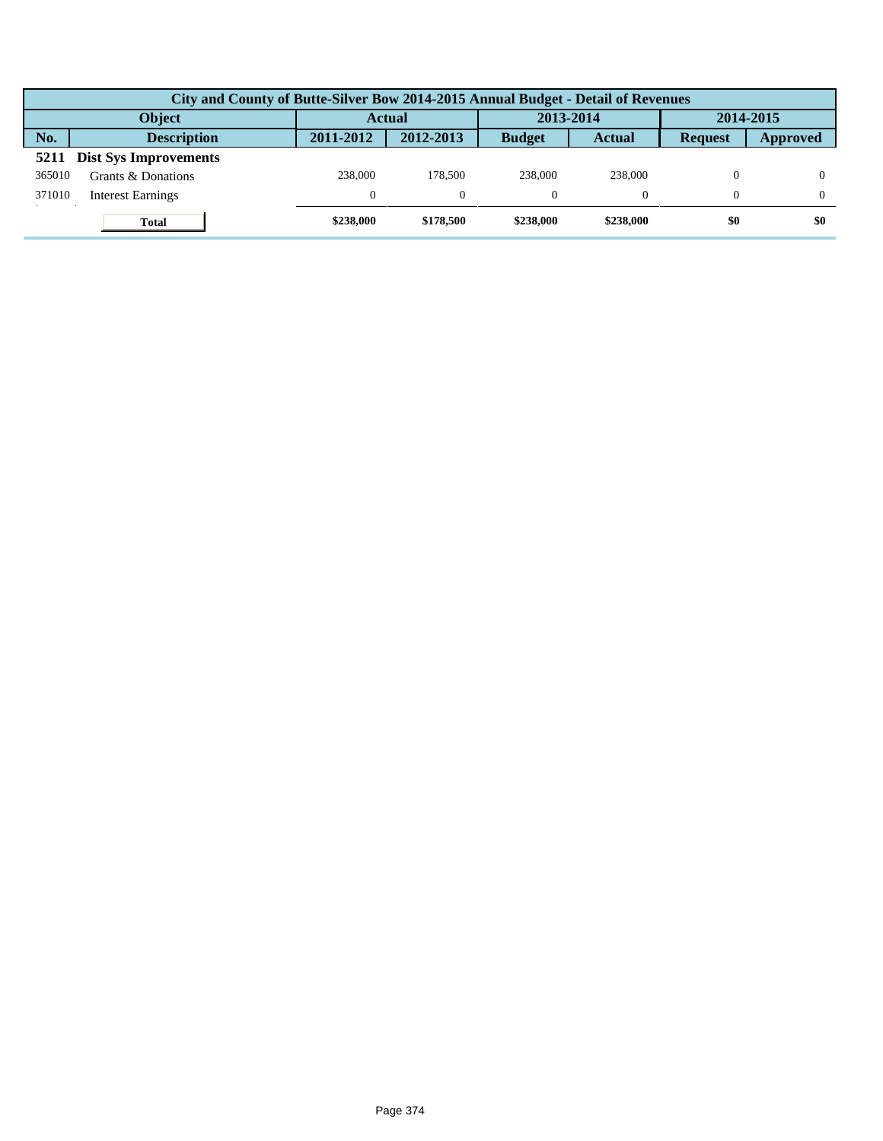|        | City and County of Butte-Silver Bow 2014-2015 Annual Budget - Detail of Revenues |           |           |               |               |                |                 |  |  |  |  |
|--------|----------------------------------------------------------------------------------|-----------|-----------|---------------|---------------|----------------|-----------------|--|--|--|--|
|        | <b>Object</b>                                                                    | Actual    |           | 2013-2014     |               | 2014-2015      |                 |  |  |  |  |
| No.    | <b>Description</b>                                                               | 2011-2012 | 2012-2013 | <b>Budget</b> | <b>Actual</b> | <b>Request</b> | <b>Approved</b> |  |  |  |  |
| 5211   | <b>Dist Sys Improvements</b>                                                     |           |           |               |               |                |                 |  |  |  |  |
| 365010 | Grants & Donations                                                               | 238,000   | 178,500   | 238,000       | 238,000       | $\Omega$       |                 |  |  |  |  |
| 371010 | <b>Interest Earnings</b>                                                         | $\Omega$  | $\Omega$  |               |               |                |                 |  |  |  |  |
|        | <b>Total</b>                                                                     | \$238,000 | \$178,500 | \$238,000     | \$238,000     | \$0            | \$0             |  |  |  |  |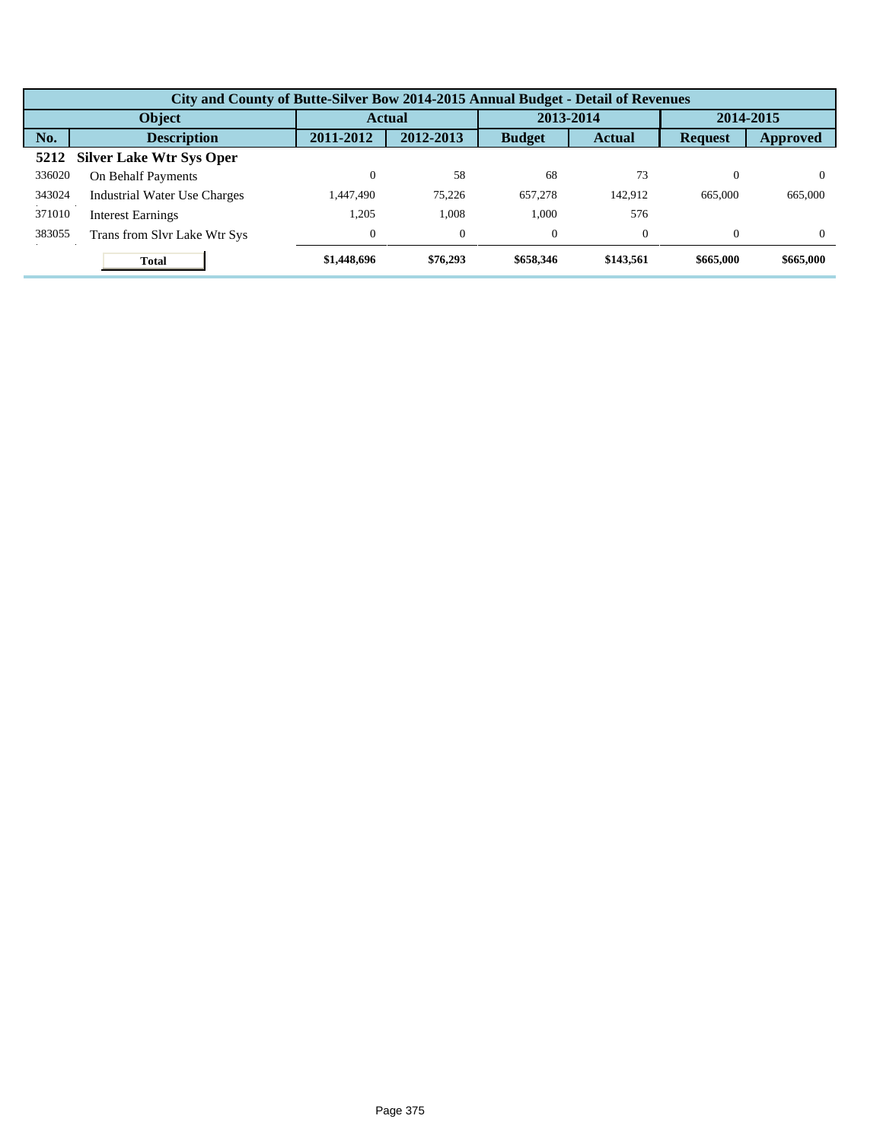|        | City and County of Butte-Silver Bow 2014-2015 Annual Budget - Detail of Revenues |             |                |               |               |                |                 |  |  |  |
|--------|----------------------------------------------------------------------------------|-------------|----------------|---------------|---------------|----------------|-----------------|--|--|--|
|        | Object                                                                           |             | <b>Actual</b>  |               | 2013-2014     |                | 2014-2015       |  |  |  |
| No.    | <b>Description</b>                                                               | 2011-2012   | 2012-2013      | <b>Budget</b> | <b>Actual</b> | <b>Request</b> | <b>Approved</b> |  |  |  |
| 5212   | <b>Silver Lake Wtr Sys Oper</b>                                                  |             |                |               |               |                |                 |  |  |  |
| 336020 | On Behalf Payments                                                               | 0           | 58             | 68            | 73            |                | $\Omega$        |  |  |  |
| 343024 | <b>Industrial Water Use Charges</b>                                              | 1.447.490   | 75.226         | 657,278       | 142,912       | 665,000        | 665,000         |  |  |  |
| 371010 | <b>Interest Earnings</b>                                                         | 1,205       | 1,008          | 1,000         | 576           |                |                 |  |  |  |
| 383055 | Trans from Slvr Lake Wtr Sys                                                     | 0           | $\overline{0}$ | $\theta$      | $\Omega$      | $\Omega$       | $\Omega$        |  |  |  |
|        | <b>Total</b>                                                                     | \$1,448,696 | \$76,293       | \$658,346     | \$143.561     | \$665,000      | \$665,000       |  |  |  |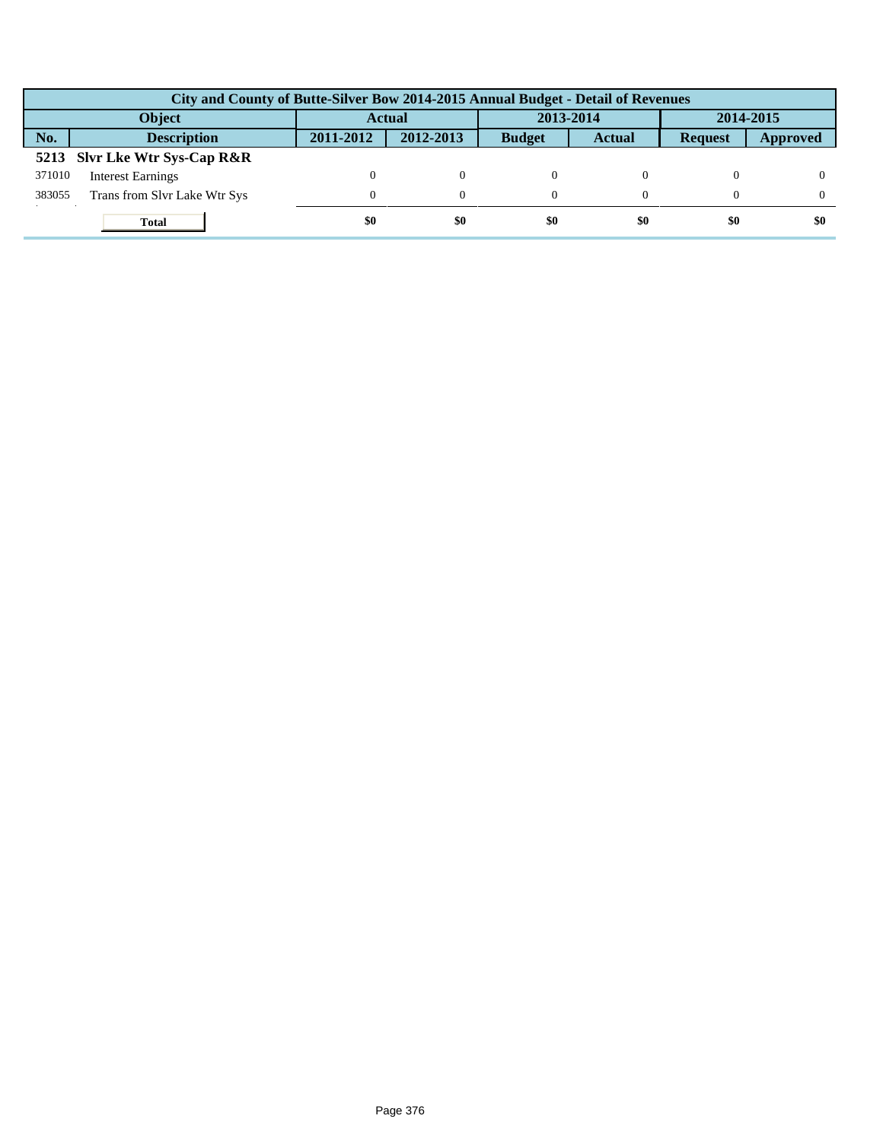|        | City and County of Butte-Silver Bow 2014-2015 Annual Budget - Detail of Revenues |               |           |               |               |                |                 |  |  |  |
|--------|----------------------------------------------------------------------------------|---------------|-----------|---------------|---------------|----------------|-----------------|--|--|--|
|        | <b>Object</b>                                                                    | <b>Actual</b> |           | 2013-2014     |               | 2014-2015      |                 |  |  |  |
| No.    | <b>Description</b>                                                               | 2011-2012     | 2012-2013 | <b>Budget</b> | <b>Actual</b> | <b>Request</b> | <b>Approved</b> |  |  |  |
|        | 5213 Slvr Lke Wtr Sys-Cap R&R                                                    |               |           |               |               |                |                 |  |  |  |
| 371010 | <b>Interest Earnings</b>                                                         |               | $^{0}$    |               |               |                |                 |  |  |  |
| 383055 | Trans from Slvr Lake Wtr Sys                                                     | $\Omega$      | 0         |               |               |                |                 |  |  |  |
|        | <b>Total</b>                                                                     | \$0           | \$0       | \$0           | \$0           | \$0            | \$0             |  |  |  |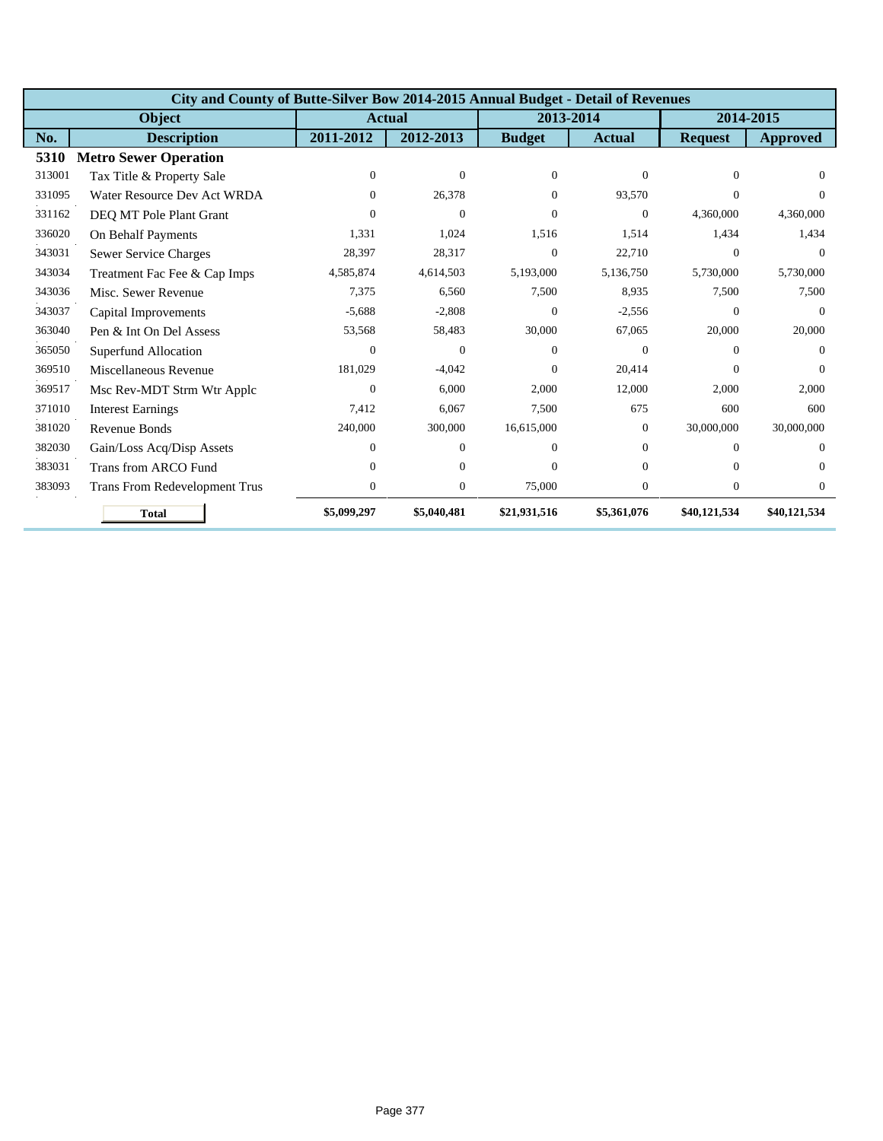|        | City and County of Butte-Silver Bow 2014-2015 Annual Budget - Detail of Revenues |                |                  |                |                  |                |                 |  |  |  |
|--------|----------------------------------------------------------------------------------|----------------|------------------|----------------|------------------|----------------|-----------------|--|--|--|
|        | Object                                                                           |                | <b>Actual</b>    | 2013-2014      |                  | 2014-2015      |                 |  |  |  |
| No.    | <b>Description</b>                                                               | 2011-2012      | 2012-2013        | <b>Budget</b>  | <b>Actual</b>    | <b>Request</b> | <b>Approved</b> |  |  |  |
| 5310   | <b>Metro Sewer Operation</b>                                                     |                |                  |                |                  |                |                 |  |  |  |
| 313001 | Tax Title & Property Sale                                                        | $\Omega$       | $\overline{0}$   | $\Omega$       | $\mathbf{0}$     | $\Omega$       | $\Omega$        |  |  |  |
| 331095 | Water Resource Dev Act WRDA                                                      | 0              | 26,378           | $\Omega$       | 93,570           | $\Omega$       | $\Omega$        |  |  |  |
| 331162 | DEQ MT Pole Plant Grant                                                          | 0              | $\Omega$         | 0              | $\Omega$         | 4,360,000      | 4,360,000       |  |  |  |
| 336020 | On Behalf Payments                                                               | 1,331          | 1,024            | 1,516          | 1,514            | 1,434          | 1,434           |  |  |  |
| 343031 | Sewer Service Charges                                                            | 28,397         | 28,317           | $\Omega$       | 22,710           | $\Omega$       | $\Omega$        |  |  |  |
| 343034 | Treatment Fac Fee & Cap Imps                                                     | 4,585,874      | 4,614,503        | 5,193,000      | 5,136,750        | 5,730,000      | 5,730,000       |  |  |  |
| 343036 | Misc. Sewer Revenue                                                              | 7,375          | 6,560            | 7,500          | 8,935            | 7,500          | 7,500           |  |  |  |
| 343037 | Capital Improvements                                                             | $-5,688$       | $-2,808$         | $\overline{0}$ | $-2,556$         | $\mathbf{0}$   | $\theta$        |  |  |  |
| 363040 | Pen & Int On Del Assess                                                          | 53,568         | 58,483           | 30,000         | 67,065           | 20,000         | 20,000          |  |  |  |
| 365050 | Superfund Allocation                                                             | $\Omega$       | $\Omega$         | $\Omega$       | $\mathbf{0}$     | $\Omega$       | $\Omega$        |  |  |  |
| 369510 | Miscellaneous Revenue                                                            | 181,029        | $-4,042$         | $\Omega$       | 20,414           | $\Omega$       | $\Omega$        |  |  |  |
| 369517 | Msc Rev-MDT Strm Wtr Applc                                                       | $\Omega$       | 6,000            | 2,000          | 12,000           | 2,000          | 2,000           |  |  |  |
| 371010 | <b>Interest Earnings</b>                                                         | 7,412          | 6,067            | 7,500          | 675              | 600            | 600             |  |  |  |
| 381020 | Revenue Bonds                                                                    | 240,000        | 300,000          | 16,615,000     | $\overline{0}$   | 30,000,000     | 30,000,000      |  |  |  |
| 382030 | Gain/Loss Acq/Disp Assets                                                        | $\Omega$       | $\theta$         | $\Omega$       | $\Omega$         | $\Omega$       | $\Omega$        |  |  |  |
| 383031 | <b>Trans from ARCO Fund</b>                                                      | 0              | $\mathbf{0}$     | $\Omega$       | $\Omega$         | $\Omega$       | $\Omega$        |  |  |  |
| 383093 | Trans From Redevelopment Trus                                                    | $\overline{0}$ | $\boldsymbol{0}$ | 75,000         | $\boldsymbol{0}$ | $\mathbf{0}$   | $\theta$        |  |  |  |
|        | <b>Total</b>                                                                     | \$5,099,297    | \$5,040,481      | \$21,931,516   | \$5,361,076      | \$40,121,534   | \$40,121,534    |  |  |  |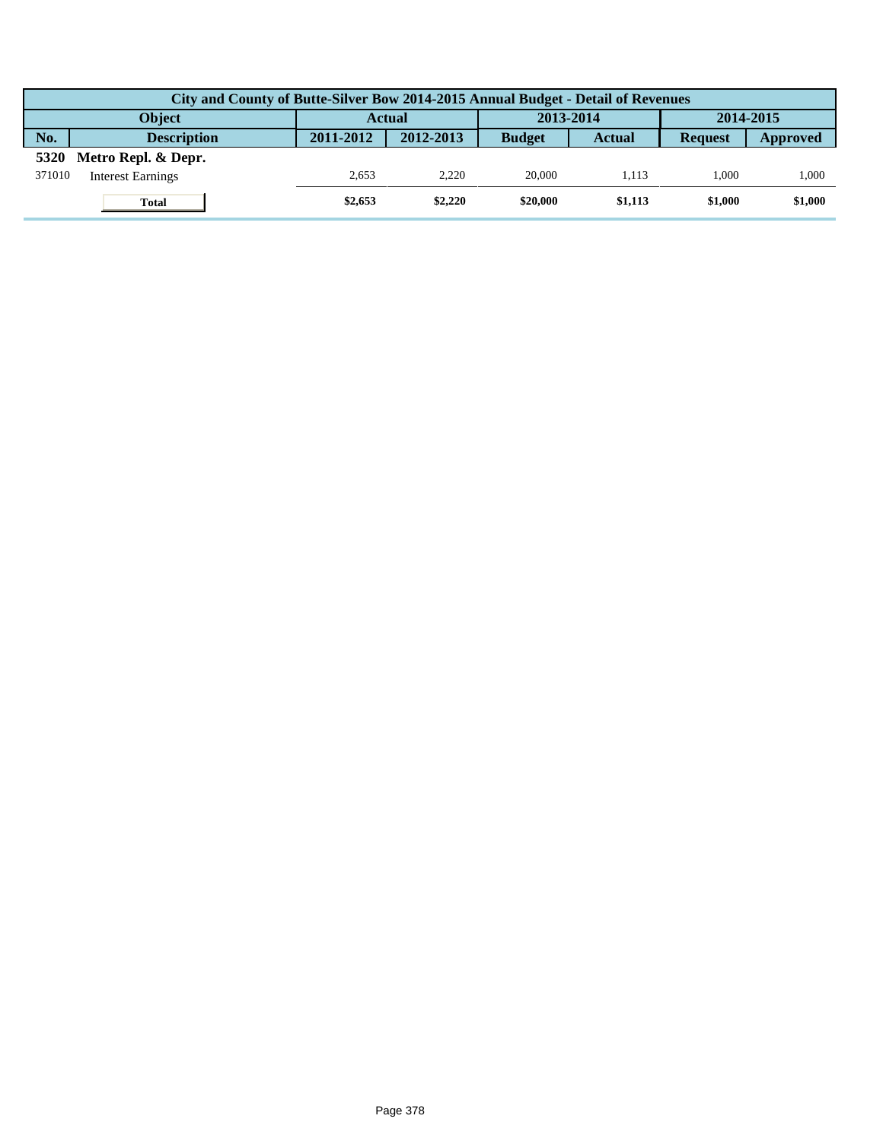|        | City and County of Butte-Silver Bow 2014-2015 Annual Budget - Detail of Revenues |               |           |               |         |                |          |  |  |  |  |
|--------|----------------------------------------------------------------------------------|---------------|-----------|---------------|---------|----------------|----------|--|--|--|--|
|        | <b>Obiect</b>                                                                    | <b>Actual</b> |           | 2013-2014     |         | 2014-2015      |          |  |  |  |  |
| No.    | <b>Description</b>                                                               | 2011-2012     | 2012-2013 | <b>Budget</b> | Actual  | <b>Request</b> | Approved |  |  |  |  |
| 5320   | Metro Repl. & Depr.                                                              |               |           |               |         |                |          |  |  |  |  |
| 371010 | <b>Interest Earnings</b>                                                         | 2.653         | 2.220     | 20,000        | 1.113   | 1.000          | 1,000    |  |  |  |  |
|        | <b>Total</b>                                                                     | \$2,653       | \$2,220   | \$20,000      | \$1,113 | \$1.000        | \$1,000  |  |  |  |  |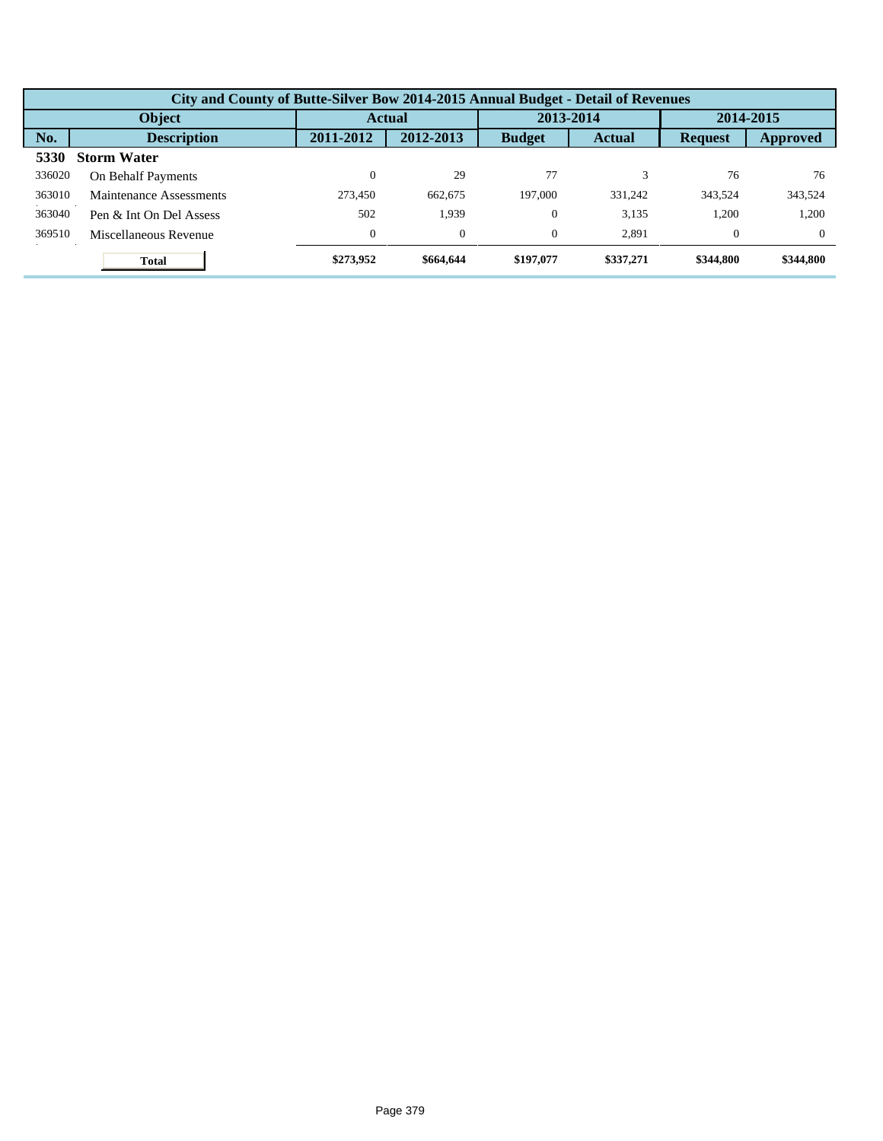|        | City and County of Butte-Silver Bow 2014-2015 Annual Budget - Detail of Revenues |              |                |               |               |                |                 |  |  |  |  |
|--------|----------------------------------------------------------------------------------|--------------|----------------|---------------|---------------|----------------|-----------------|--|--|--|--|
| Object |                                                                                  |              | <b>Actual</b>  |               | 2013-2014     |                | 2014-2015       |  |  |  |  |
| No.    | <b>Description</b>                                                               | 2011-2012    | 2012-2013      | <b>Budget</b> | <b>Actual</b> | <b>Request</b> | <b>Approved</b> |  |  |  |  |
| 5330   | <b>Storm Water</b>                                                               |              |                |               |               |                |                 |  |  |  |  |
| 336020 | On Behalf Payments                                                               | 0            | 29             | 77            |               | 76             | 76              |  |  |  |  |
| 363010 | Maintenance Assessments                                                          | 273.450      | 662,675        | 197,000       | 331.242       | 343.524        | 343,524         |  |  |  |  |
| 363040 | Pen & Int On Del Assess                                                          | 502          | 1,939          | $\theta$      | 3,135         | 1,200          | 1,200           |  |  |  |  |
| 369510 | Miscellaneous Revenue                                                            | $\mathbf{0}$ | $\overline{0}$ | $\theta$      | 2.891         | $\Omega$       | $\Omega$        |  |  |  |  |
|        | <b>Total</b>                                                                     | \$273,952    | \$664,644      | \$197,077     | \$337,271     | \$344,800      | \$344,800       |  |  |  |  |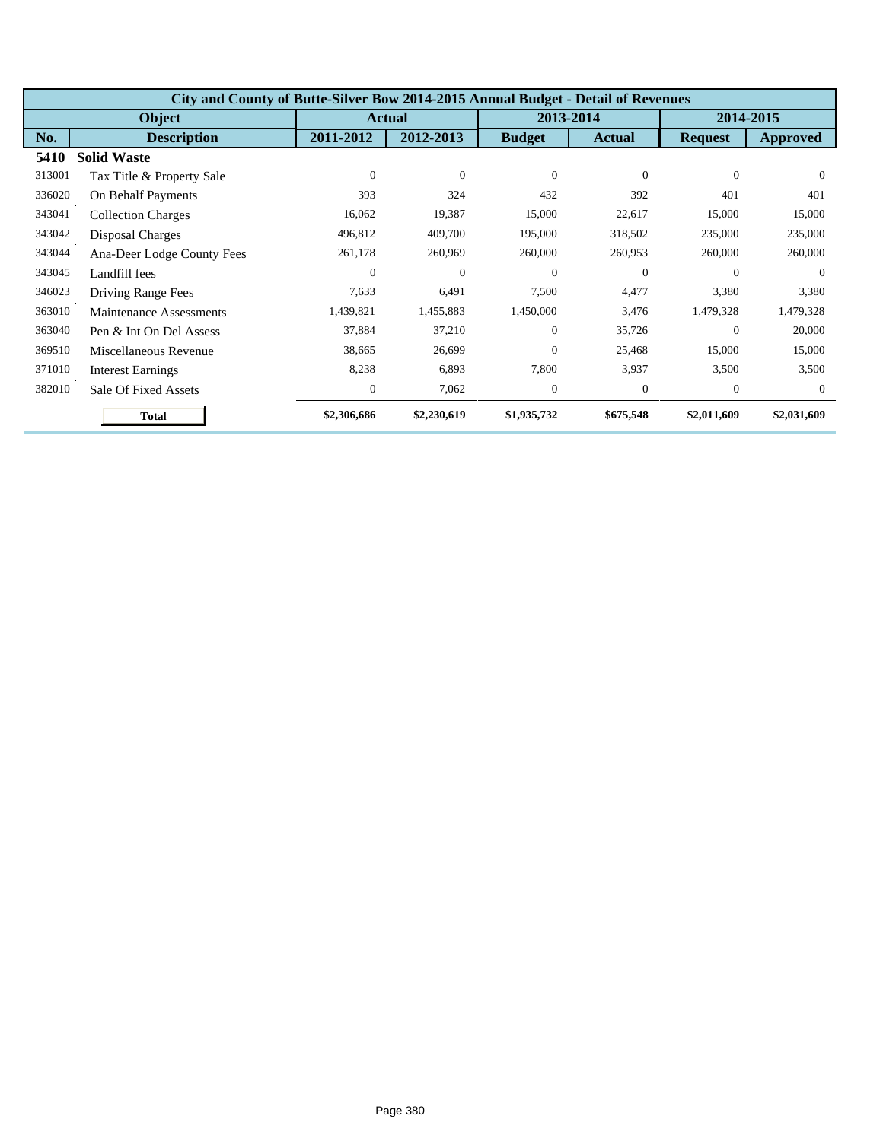|        | City and County of Butte-Silver Bow 2014-2015 Annual Budget - Detail of Revenues |                  |                |               |               |                |             |  |  |  |
|--------|----------------------------------------------------------------------------------|------------------|----------------|---------------|---------------|----------------|-------------|--|--|--|
|        | Object                                                                           |                  | <b>Actual</b>  |               | 2013-2014     | 2014-2015      |             |  |  |  |
| No.    | <b>Description</b>                                                               | 2011-2012        | 2012-2013      | <b>Budget</b> | <b>Actual</b> | <b>Request</b> | Approved    |  |  |  |
| 5410   | <b>Solid Waste</b>                                                               |                  |                |               |               |                |             |  |  |  |
| 313001 | Tax Title & Property Sale                                                        | $\overline{0}$   | $\theta$       | $\Omega$      | $\Omega$      | $\Omega$       | $\Omega$    |  |  |  |
| 336020 | On Behalf Payments                                                               | 393              | 324            | 432           | 392           | 401            | 401         |  |  |  |
| 343041 | <b>Collection Charges</b>                                                        | 16,062           | 19,387         | 15,000        | 22,617        | 15,000         | 15,000      |  |  |  |
| 343042 | Disposal Charges                                                                 | 496,812          | 409,700        | 195,000       | 318,502       | 235,000        | 235,000     |  |  |  |
| 343044 | Ana-Deer Lodge County Fees                                                       | 261,178          | 260,969        | 260,000       | 260,953       | 260,000        | 260,000     |  |  |  |
| 343045 | Landfill fees                                                                    | $\Omega$         | $\overline{0}$ | $\Omega$      | $\mathbf{0}$  | $\Omega$       | $\Omega$    |  |  |  |
| 346023 | Driving Range Fees                                                               | 7,633            | 6,491          | 7,500         | 4,477         | 3,380          | 3,380       |  |  |  |
| 363010 | Maintenance Assessments                                                          | 1,439,821        | 1,455,883      | 1,450,000     | 3,476         | 1,479,328      | 1,479,328   |  |  |  |
| 363040 | Pen & Int On Del Assess                                                          | 37,884           | 37,210         | $\Omega$      | 35,726        | $\overline{0}$ | 20,000      |  |  |  |
| 369510 | Miscellaneous Revenue                                                            | 38,665           | 26,699         | $\Omega$      | 25,468        | 15,000         | 15,000      |  |  |  |
| 371010 | <b>Interest Earnings</b>                                                         | 8,238            | 6,893          | 7,800         | 3,937         | 3,500          | 3,500       |  |  |  |
| 382010 | Sale Of Fixed Assets                                                             | $\boldsymbol{0}$ | 7,062          | $\theta$      | $\mathbf{0}$  | $\theta$       | $\theta$    |  |  |  |
|        | <b>Total</b>                                                                     | \$2,306,686      | \$2,230,619    | \$1,935,732   | \$675,548     | \$2,011,609    | \$2,031,609 |  |  |  |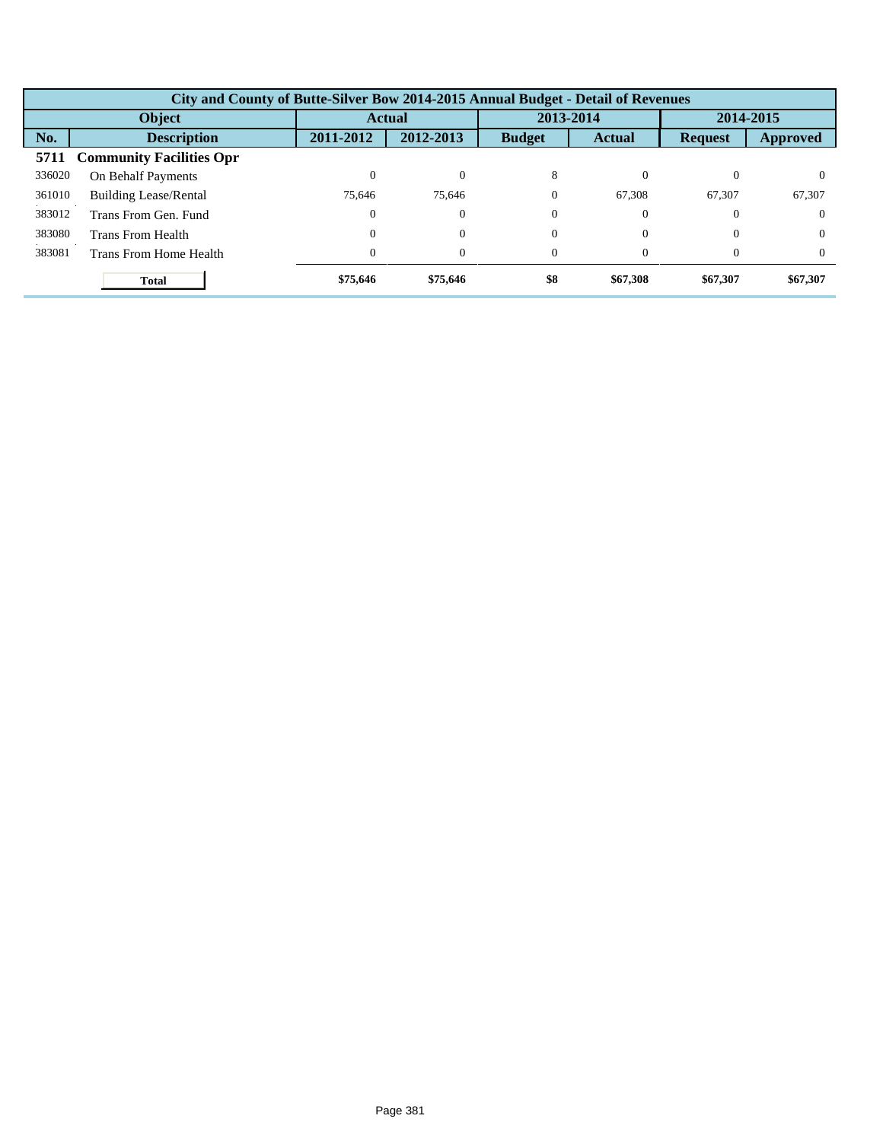|        | City and County of Butte-Silver Bow 2014-2015 Annual Budget - Detail of Revenues |           |           |               |               |                |                 |  |  |  |  |
|--------|----------------------------------------------------------------------------------|-----------|-----------|---------------|---------------|----------------|-----------------|--|--|--|--|
| Object |                                                                                  |           | Actual    |               | 2013-2014     |                | 2014-2015       |  |  |  |  |
| No.    | <b>Description</b>                                                               | 2011-2012 | 2012-2013 | <b>Budget</b> | <b>Actual</b> | <b>Request</b> | <b>Approved</b> |  |  |  |  |
| 5711   | <b>Community Facilities Opr</b>                                                  |           |           |               |               |                |                 |  |  |  |  |
| 336020 | On Behalf Payments                                                               | 0         | $\Omega$  | 8             |               | 0              | $\Omega$        |  |  |  |  |
| 361010 | <b>Building Lease/Rental</b>                                                     | 75.646    | 75.646    | $\Omega$      | 67.308        | 67,307         | 67,307          |  |  |  |  |
| 383012 | Trans From Gen. Fund                                                             | $\Omega$  | $\theta$  | $\Omega$      | $\Omega$      | $\Omega$       | $\Omega$        |  |  |  |  |
| 383080 | Trans From Health                                                                | 0         | $\theta$  | $\Omega$      | $\Omega$      | $\Omega$       | $\Omega$        |  |  |  |  |
| 383081 | Trans From Home Health                                                           | 0         | $\theta$  | $\Omega$      | $\Omega$      | $\Omega$       | $\Omega$        |  |  |  |  |
|        | <b>Total</b>                                                                     | \$75,646  | \$75,646  | \$8           | \$67,308      | \$67,307       | \$67,307        |  |  |  |  |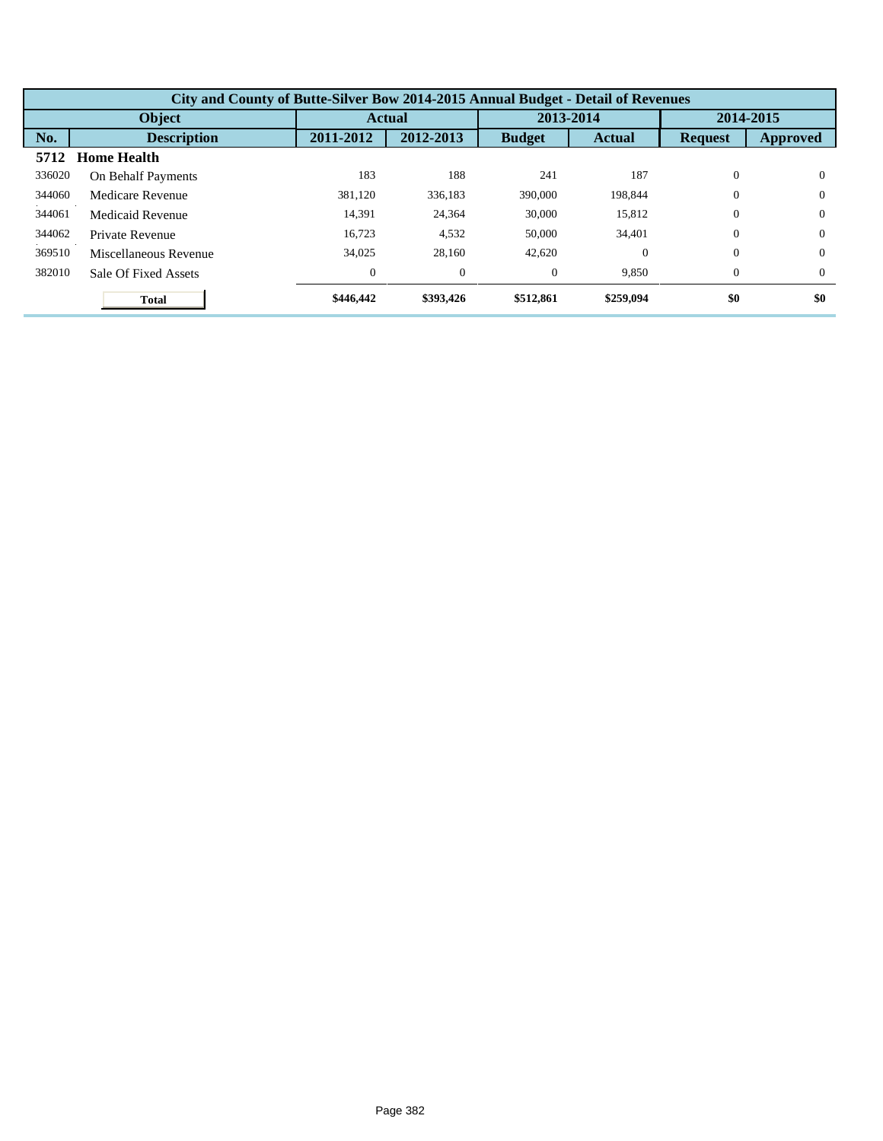| City and County of Butte-Silver Bow 2014-2015 Annual Budget - Detail of Revenues |                       |              |           |                |               |                |                 |  |  |
|----------------------------------------------------------------------------------|-----------------------|--------------|-----------|----------------|---------------|----------------|-----------------|--|--|
| <b>Object</b>                                                                    |                       | Actual       |           | 2013-2014      |               | 2014-2015      |                 |  |  |
| No.                                                                              | <b>Description</b>    | 2011-2012    | 2012-2013 | <b>Budget</b>  | <b>Actual</b> | <b>Request</b> | <b>Approved</b> |  |  |
| 5712                                                                             | <b>Home Health</b>    |              |           |                |               |                |                 |  |  |
| 336020                                                                           | On Behalf Payments    | 183          | 188       | 241            | 187           | $\Omega$       | $\Omega$        |  |  |
| 344060                                                                           | Medicare Revenue      | 381.120      | 336.183   | 390,000        | 198,844       | $\overline{0}$ | $\theta$        |  |  |
| 344061                                                                           | Medicaid Revenue      | 14.391       | 24,364    | 30,000         | 15.812        | $\Omega$       | $\Omega$        |  |  |
| 344062                                                                           | Private Revenue       | 16.723       | 4,532     | 50,000         | 34,401        | $\Omega$       | $\Omega$        |  |  |
| 369510                                                                           | Miscellaneous Revenue | 34,025       | 28,160    | 42,620         | $\Omega$      | $\Omega$       | $\Omega$        |  |  |
| 382010                                                                           | Sale Of Fixed Assets  | $\mathbf{0}$ | $\theta$  | $\overline{0}$ | 9,850         | $\overline{0}$ | $\theta$        |  |  |
|                                                                                  | <b>Total</b>          | \$446,442    | \$393,426 | \$512,861      | \$259,094     | \$0            | \$0             |  |  |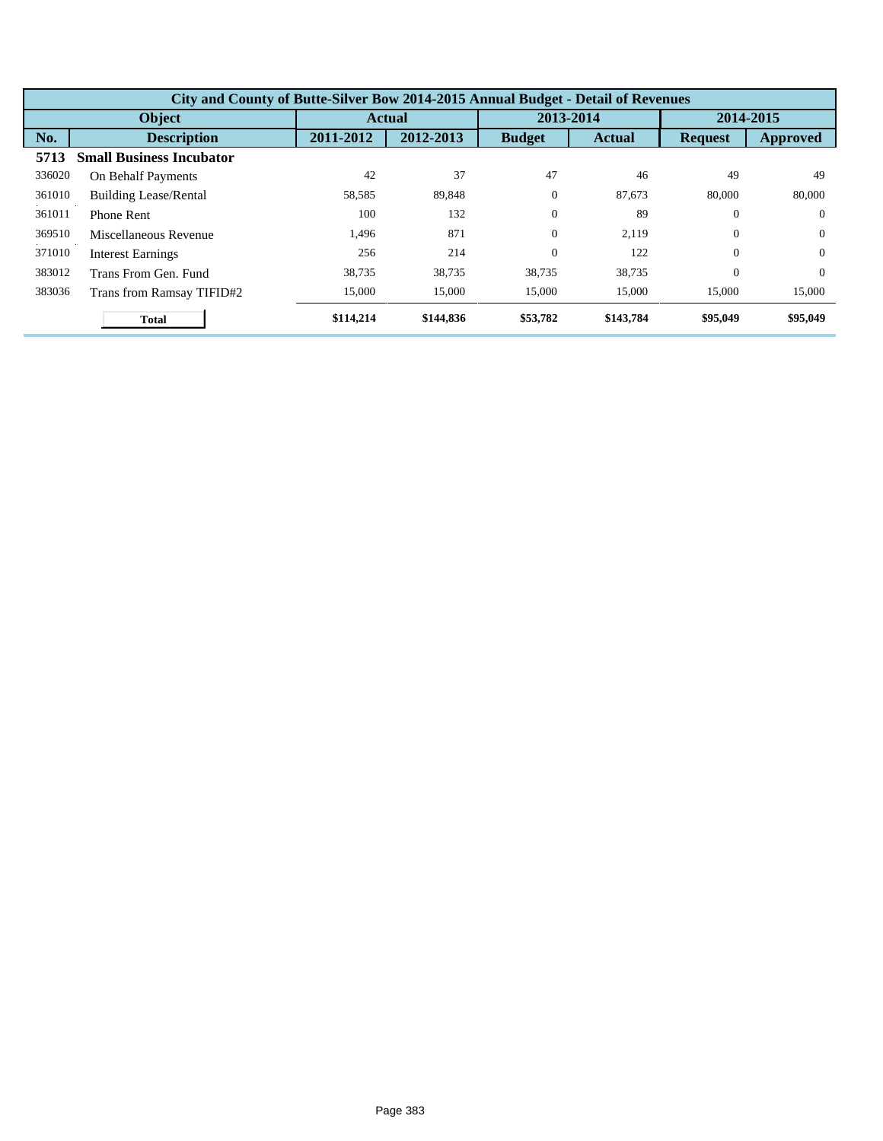| City and County of Butte-Silver Bow 2014-2015 Annual Budget - Detail of Revenues |                                 |           |               |               |               |                |                 |  |
|----------------------------------------------------------------------------------|---------------------------------|-----------|---------------|---------------|---------------|----------------|-----------------|--|
| Object                                                                           |                                 |           | <b>Actual</b> |               | 2013-2014     |                | 2014-2015       |  |
| No.                                                                              | <b>Description</b>              | 2011-2012 | 2012-2013     | <b>Budget</b> | <b>Actual</b> | <b>Request</b> | <b>Approved</b> |  |
| 5713                                                                             | <b>Small Business Incubator</b> |           |               |               |               |                |                 |  |
| 336020                                                                           | On Behalf Payments              | 42        | 37            | 47            | 46            | 49             | 49              |  |
| 361010                                                                           | <b>Building Lease/Rental</b>    | 58,585    | 89,848        | $\theta$      | 87.673        | 80,000         | 80,000          |  |
| 361011                                                                           | <b>Phone Rent</b>               | 100       | 132           | $\Omega$      | 89            | $\Omega$       | $\Omega$        |  |
| 369510                                                                           | Miscellaneous Revenue           | 1,496     | 871           | $\theta$      | 2.119         | $\theta$       | $\Omega$        |  |
| 371010                                                                           | <b>Interest Earnings</b>        | 256       | 214           | $\theta$      | 122           | $\Omega$       | $\Omega$        |  |
| 383012                                                                           | Trans From Gen. Fund            | 38.735    | 38.735        | 38.735        | 38.735        | $\Omega$       | $\Omega$        |  |
| 383036                                                                           | Trans from Ramsay TIFID#2       | 15,000    | 15,000        | 15,000        | 15,000        | 15,000         | 15,000          |  |
|                                                                                  | <b>Total</b>                    | \$114,214 | \$144,836     | \$53,782      | \$143,784     | \$95,049       | \$95,049        |  |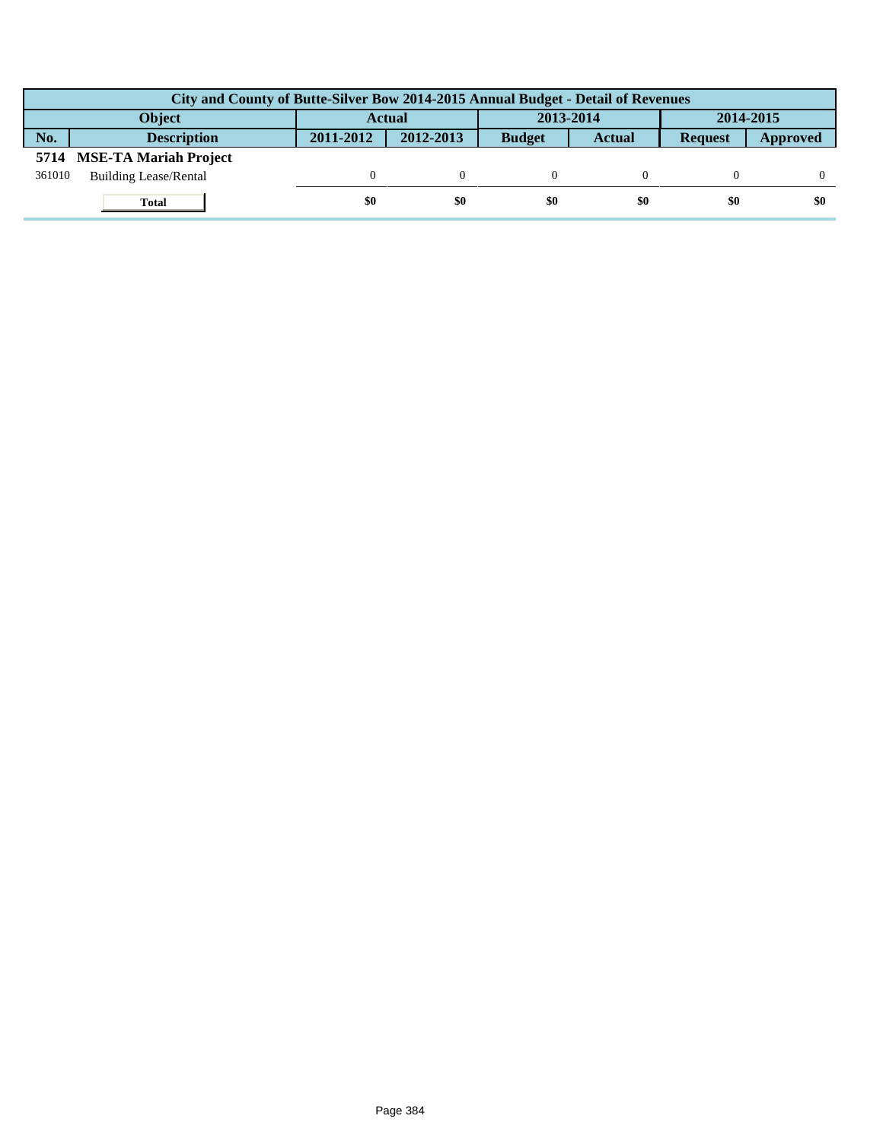| City and County of Butte-Silver Bow 2014-2015 Annual Budget - Detail of Revenues |                              |           |               |               |               |                |          |  |
|----------------------------------------------------------------------------------|------------------------------|-----------|---------------|---------------|---------------|----------------|----------|--|
| <b>Object</b>                                                                    |                              |           | <b>Actual</b> | 2013-2014     |               | 2014-2015      |          |  |
| No.                                                                              | <b>Description</b>           | 2011-2012 | 2012-2013     | <b>Budget</b> | <b>Actual</b> | <b>Request</b> | Approved |  |
|                                                                                  | 5714 MSE-TA Mariah Project   |           |               |               |               |                |          |  |
| 361010                                                                           | <b>Building Lease/Rental</b> |           |               |               |               |                |          |  |
|                                                                                  | <b>Total</b>                 | \$0       | \$0           | \$0           | \$0           | \$0            | \$0      |  |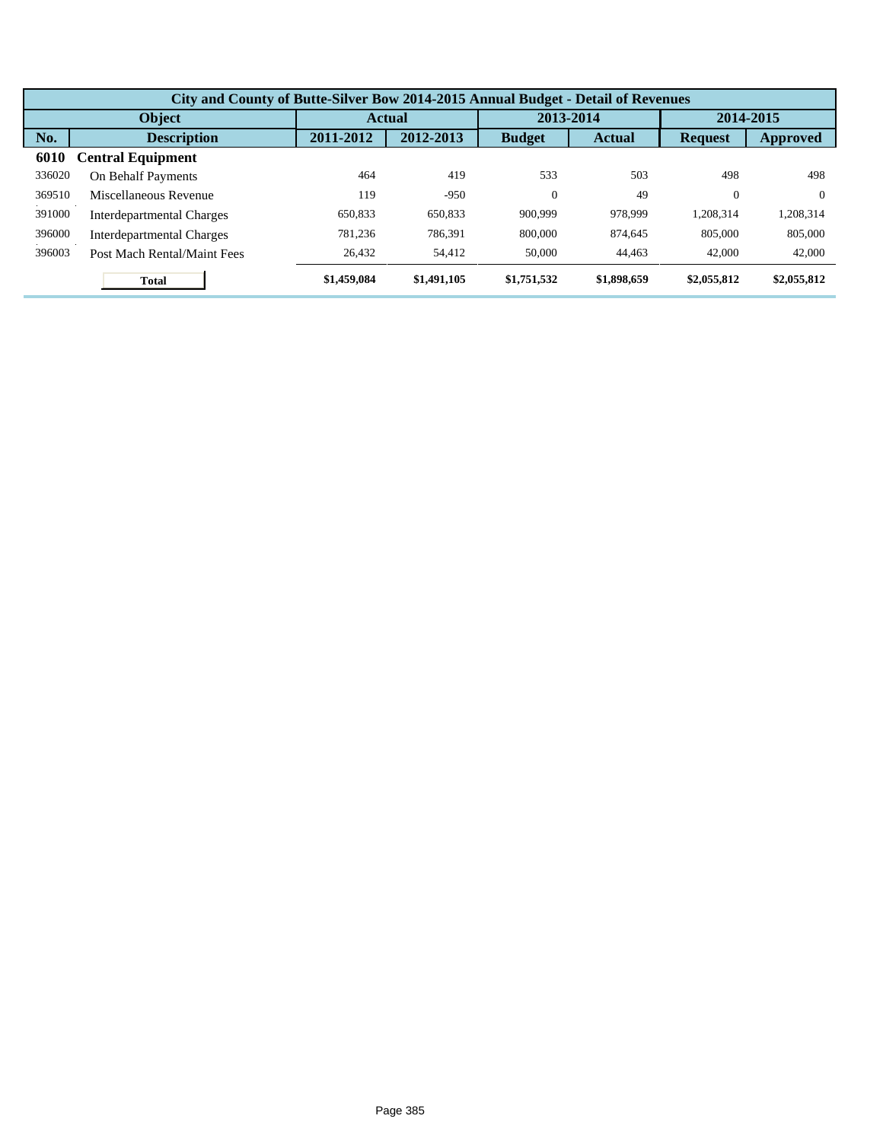| City and County of Butte-Silver Bow 2014-2015 Annual Budget - Detail of Revenues |                             |             |               |               |               |                |             |  |  |
|----------------------------------------------------------------------------------|-----------------------------|-------------|---------------|---------------|---------------|----------------|-------------|--|--|
| Object                                                                           |                             |             | <b>Actual</b> |               | 2013-2014     |                | 2014-2015   |  |  |
| No.                                                                              | <b>Description</b>          | 2011-2012   | 2012-2013     | <b>Budget</b> | <b>Actual</b> | <b>Request</b> | Approved    |  |  |
| 6010                                                                             | <b>Central Equipment</b>    |             |               |               |               |                |             |  |  |
| 336020                                                                           | On Behalf Payments          | 464         | 419           | 533           | 503           | 498            | 498         |  |  |
| 369510                                                                           | Miscellaneous Revenue       | 119         | $-950$        | $\theta$      | 49            | $\overline{0}$ | $\theta$    |  |  |
| 391000                                                                           | Interdepartmental Charges   | 650.833     | 650.833       | 900,999       | 978,999       | 1.208.314      | 1,208,314   |  |  |
| 396000                                                                           | Interdepartmental Charges   | 781.236     | 786.391       | 800,000       | 874.645       | 805,000        | 805,000     |  |  |
| 396003                                                                           | Post Mach Rental/Maint Fees | 26,432      | 54.412        | 50,000        | 44,463        | 42,000         | 42,000      |  |  |
|                                                                                  | <b>Total</b>                | \$1,459,084 | \$1,491,105   | \$1,751,532   | \$1,898,659   | \$2,055,812    | \$2,055,812 |  |  |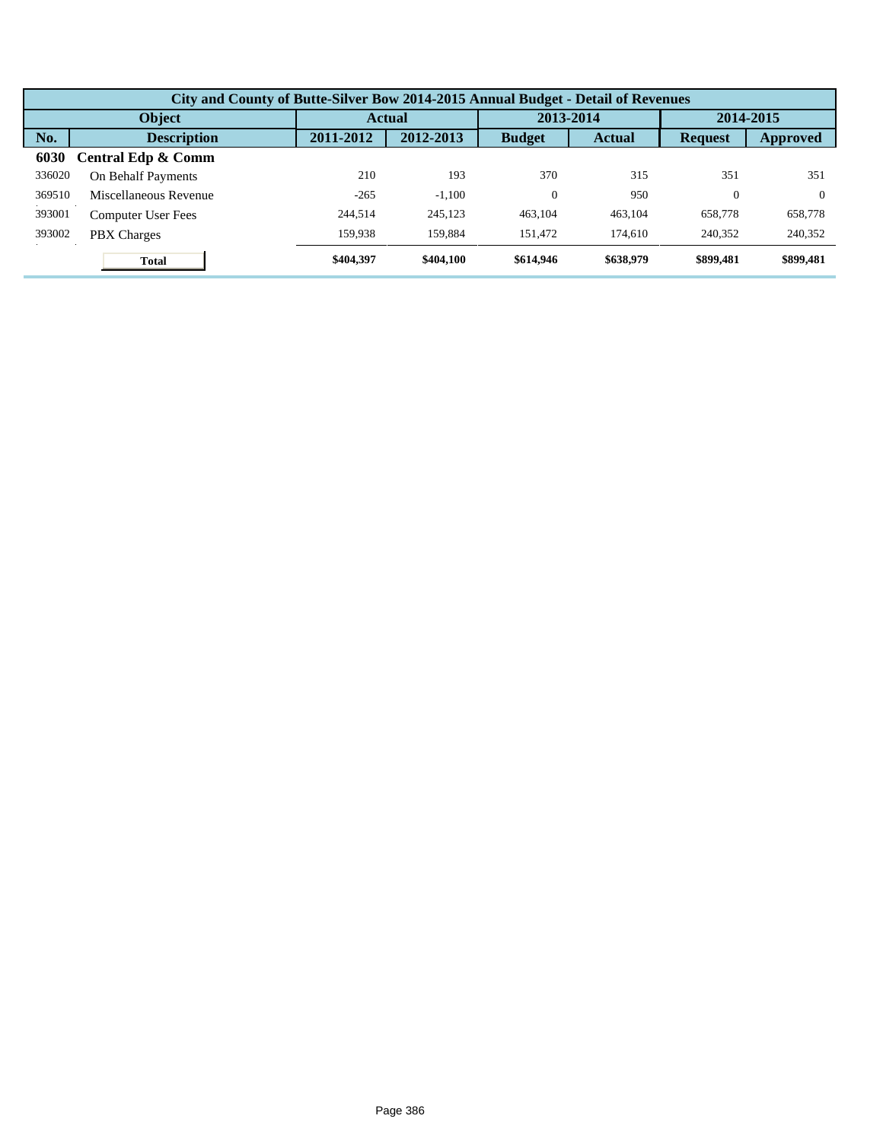| City and County of Butte-Silver Bow 2014-2015 Annual Budget - Detail of Revenues |                       |           |           |               |               |                |           |  |  |
|----------------------------------------------------------------------------------|-----------------------|-----------|-----------|---------------|---------------|----------------|-----------|--|--|
| Object                                                                           |                       |           | Actual    |               | 2013-2014     |                | 2014-2015 |  |  |
| No.                                                                              | <b>Description</b>    | 2011-2012 | 2012-2013 | <b>Budget</b> | <b>Actual</b> | <b>Request</b> | Approved  |  |  |
| 6030                                                                             | Central Edp & Comm    |           |           |               |               |                |           |  |  |
| 336020                                                                           | On Behalf Payments    | 210       | 193       | 370           | 315           | 351            | 351       |  |  |
| 369510                                                                           | Miscellaneous Revenue | $-265$    | $-1.100$  | $\theta$      | 950           | $\Omega$       | $\Omega$  |  |  |
| 393001                                                                           | Computer User Fees    | 244.514   | 245.123   | 463.104       | 463.104       | 658,778        | 658,778   |  |  |
| 393002                                                                           | <b>PBX</b> Charges    | 159.938   | 159,884   | 151.472       | 174,610       | 240,352        | 240,352   |  |  |
|                                                                                  | <b>Total</b>          | \$404,397 | \$404,100 | \$614,946     | \$638,979     | \$899,481      | \$899,481 |  |  |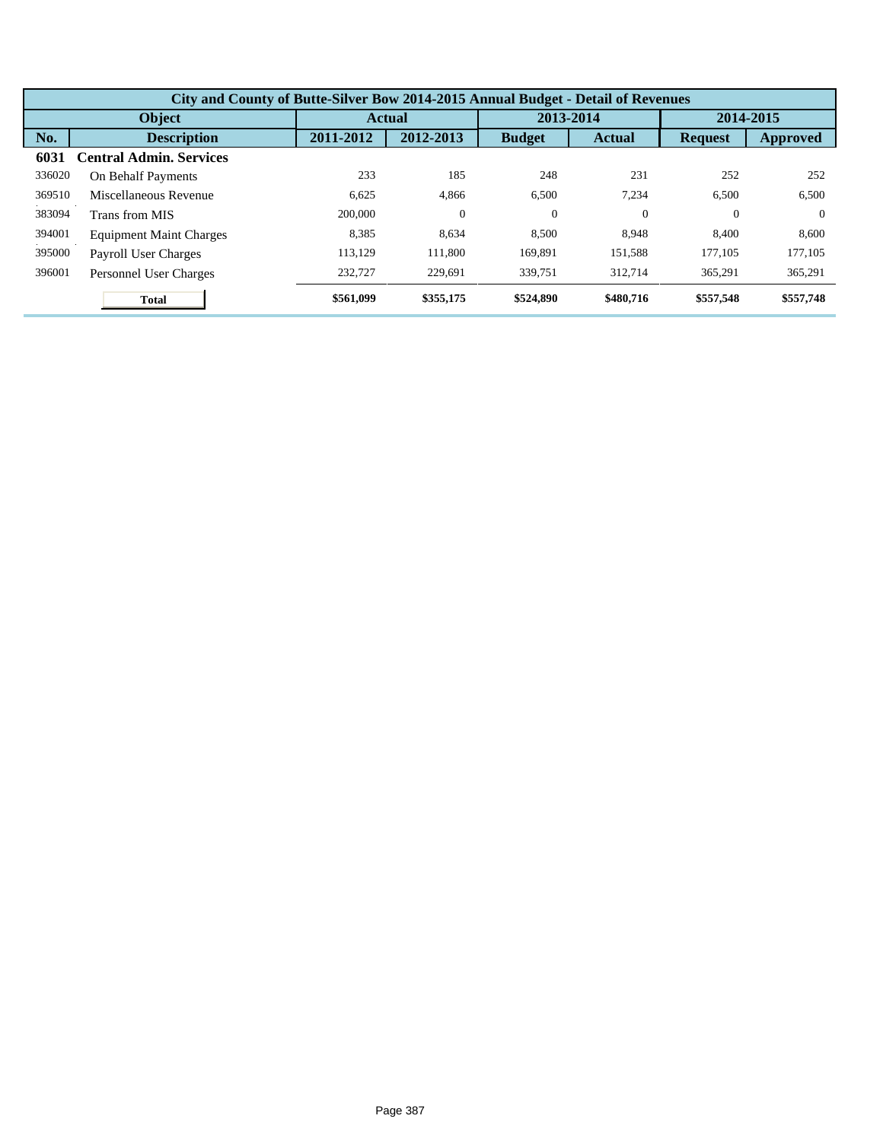| City and County of Butte-Silver Bow 2014-2015 Annual Budget - Detail of Revenues |                                |               |           |               |               |                |           |  |  |
|----------------------------------------------------------------------------------|--------------------------------|---------------|-----------|---------------|---------------|----------------|-----------|--|--|
| <b>Object</b>                                                                    |                                | <b>Actual</b> |           | 2013-2014     |               | 2014-2015      |           |  |  |
| No.                                                                              | <b>Description</b>             | 2011-2012     | 2012-2013 | <b>Budget</b> | <b>Actual</b> | <b>Request</b> | Approved  |  |  |
| 6031                                                                             | <b>Central Admin, Services</b> |               |           |               |               |                |           |  |  |
| 336020                                                                           | On Behalf Payments             | 233           | 185       | 248           | 231           | 252            | 252       |  |  |
| 369510                                                                           | Miscellaneous Revenue          | 6,625         | 4,866     | 6,500         | 7.234         | 6,500          | 6,500     |  |  |
| 383094                                                                           | Trans from MIS                 | 200,000       | $\theta$  | $\theta$      | $\Omega$      | $\Omega$       | $\Omega$  |  |  |
| 394001                                                                           | <b>Equipment Maint Charges</b> | 8,385         | 8,634     | 8,500         | 8.948         | 8.400          | 8,600     |  |  |
| 395000                                                                           | Payroll User Charges           | 113.129       | 111,800   | 169,891       | 151,588       | 177,105        | 177,105   |  |  |
| 396001                                                                           | Personnel User Charges         | 232,727       | 229,691   | 339,751       | 312,714       | 365,291        | 365,291   |  |  |
|                                                                                  | <b>Total</b>                   | \$561,099     | \$355,175 | \$524,890     | \$480,716     | \$557,548      | \$557,748 |  |  |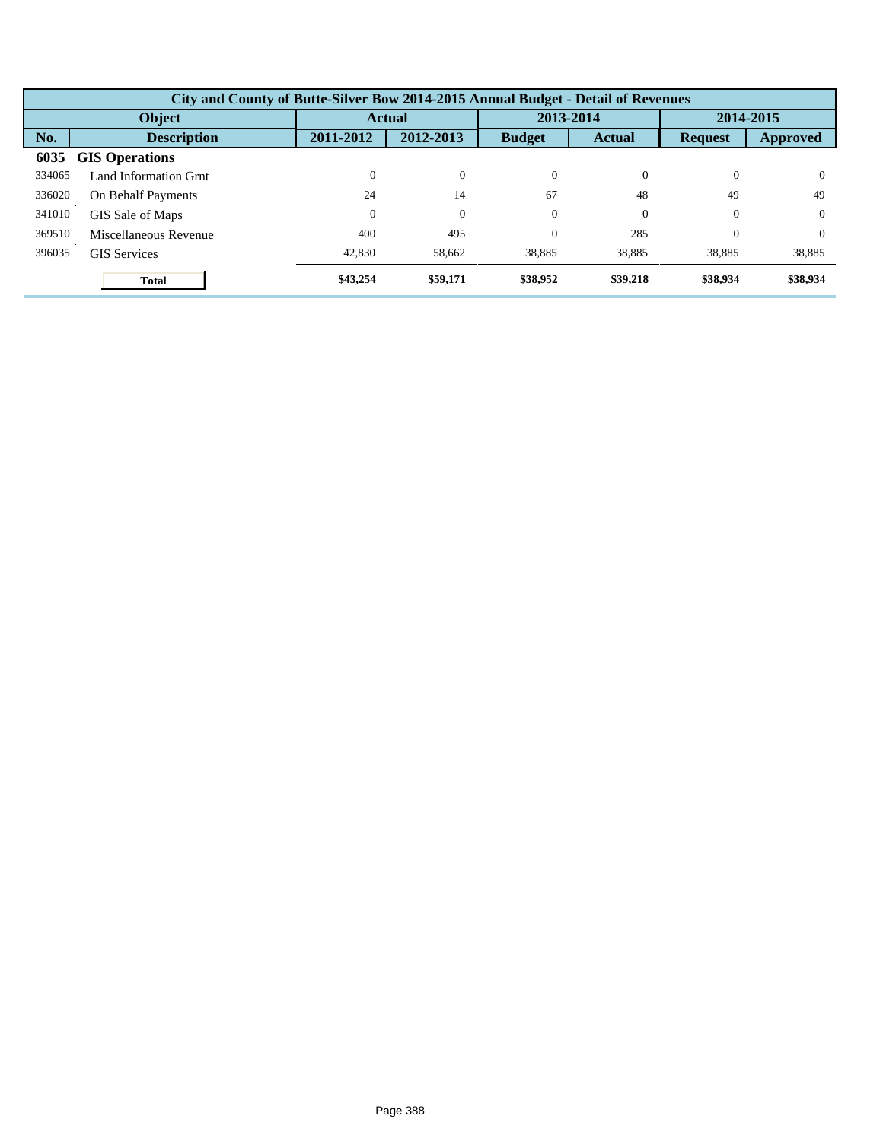| City and County of Butte-Silver Bow 2014-2015 Annual Budget - Detail of Revenues |                       |               |                |               |               |                |          |  |  |
|----------------------------------------------------------------------------------|-----------------------|---------------|----------------|---------------|---------------|----------------|----------|--|--|
| Object                                                                           |                       | <b>Actual</b> |                | 2013-2014     |               | 2014-2015      |          |  |  |
| No.                                                                              | <b>Description</b>    | 2011-2012     | 2012-2013      | <b>Budget</b> | <b>Actual</b> | <b>Request</b> | Approved |  |  |
| 6035                                                                             | <b>GIS Operations</b> |               |                |               |               |                |          |  |  |
| 334065                                                                           | Land Information Grnt | $\Omega$      | $\overline{0}$ | $\Omega$      | $\Omega$      | $\Omega$       | $\Omega$ |  |  |
| 336020                                                                           | On Behalf Payments    | 24            | 14             | 67            | 48            | 49             | 49       |  |  |
| 341010                                                                           | GIS Sale of Maps      | $\Omega$      | $\theta$       | $\Omega$      | $\Omega$      | $\Omega$       | $\Omega$ |  |  |
| 369510                                                                           | Miscellaneous Revenue | 400           | 495            | $\theta$      | 285           | $\Omega$       | $\Omega$ |  |  |
| 396035                                                                           | <b>GIS</b> Services   | 42,830        | 58,662         | 38,885        | 38,885        | 38,885         | 38,885   |  |  |
|                                                                                  | Total                 | \$43,254      | \$59,171       | \$38,952      | \$39,218      | \$38,934       | \$38,934 |  |  |